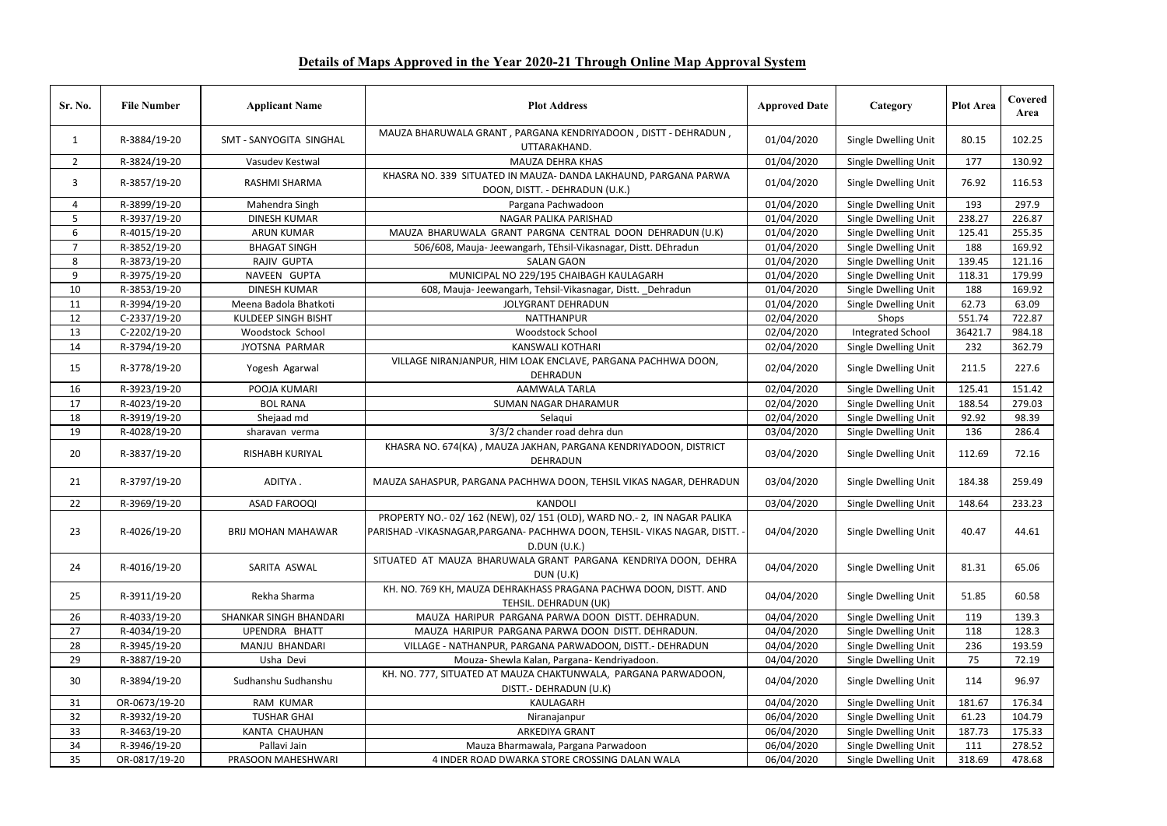| Sr. No.        | <b>File Number</b> | <b>Applicant Name</b>         | <b>Plot Address</b>                                                                                                                                                 | <b>Approved Date</b> | Category             | <b>Plot Area</b> | Covered<br>Area |
|----------------|--------------------|-------------------------------|---------------------------------------------------------------------------------------------------------------------------------------------------------------------|----------------------|----------------------|------------------|-----------------|
| 1              | R-3884/19-20       | SMT - SANYOGITA SINGHAL       | MAUZA BHARUWALA GRANT, PARGANA KENDRIYADOON, DISTT - DEHRADUN,<br>UTTARAKHAND.                                                                                      | 01/04/2020           | Single Dwelling Unit | 80.15            | 102.25          |
| $\overline{2}$ | R-3824/19-20       | Vasudev Kestwal               | MAUZA DEHRA KHAS                                                                                                                                                    | 01/04/2020           | Single Dwelling Unit | 177              | 130.92          |
| 3              | R-3857/19-20       | RASHMI SHARMA                 | KHASRA NO. 339 SITUATED IN MAUZA- DANDA LAKHAUND, PARGANA PARWA<br>DOON, DISTT. - DEHRADUN (U.K.)                                                                   | 01/04/2020           | Single Dwelling Unit | 76.92            | 116.53          |
| 4              | R-3899/19-20       | Mahendra Singh                | Pargana Pachwadoon                                                                                                                                                  | 01/04/2020           | Single Dwelling Unit | 193              | 297.9           |
| 5              | R-3937/19-20       | <b>DINESH KUMAR</b>           | NAGAR PALIKA PARISHAD                                                                                                                                               | 01/04/2020           | Single Dwelling Unit | 238.27           | 226.87          |
| 6              | R-4015/19-20       | <b>ARUN KUMAR</b>             | MAUZA BHARUWALA GRANT PARGNA CENTRAL DOON DEHRADUN (U.K)                                                                                                            | 01/04/2020           | Single Dwelling Unit | 125.41           | 255.35          |
| $\overline{7}$ | R-3852/19-20       | <b>BHAGAT SINGH</b>           | 506/608, Mauja- Jeewangarh, TEhsil-Vikasnagar, Distt. DEhradun                                                                                                      | 01/04/2020           | Single Dwelling Unit | 188              | 169.92          |
| 8              | R-3873/19-20       | RAJIV GUPTA                   | <b>SALAN GAON</b>                                                                                                                                                   | 01/04/2020           | Single Dwelling Unit | 139.45           | 121.16          |
| 9              | R-3975/19-20       | NAVEEN GUPTA                  | MUNICIPAL NO 229/195 CHAIBAGH KAULAGARH                                                                                                                             | 01/04/2020           | Single Dwelling Unit | 118.31           | 179.99          |
| 10             | R-3853/19-20       | <b>DINESH KUMAR</b>           | 608, Mauja-Jeewangarh, Tehsil-Vikasnagar, Distt. _ Dehradun                                                                                                         | 01/04/2020           | Single Dwelling Unit | 188              | 169.92          |
| 11             | R-3994/19-20       | Meena Badola Bhatkoti         | <b>JOLYGRANT DEHRADUN</b>                                                                                                                                           | 01/04/2020           | Single Dwelling Unit | 62.73            | 63.09           |
| 12             | C-2337/19-20       | KULDEEP SINGH BISHT           | <b>NATTHANPUR</b>                                                                                                                                                   | 02/04/2020           | Shops                | 551.74           | 722.87          |
| 13             | C-2202/19-20       | Woodstock School              | <b>Woodstock School</b>                                                                                                                                             | 02/04/2020           | Integrated School    | 36421.7          | 984.18          |
| 14             | R-3794/19-20       | JYOTSNA PARMAR                | <b>KANSWALI KOTHARI</b>                                                                                                                                             | 02/04/2020           | Single Dwelling Unit | 232              | 362.79          |
| 15             | R-3778/19-20       | Yogesh Agarwal                | VILLAGE NIRANJANPUR, HIM LOAK ENCLAVE, PARGANA PACHHWA DOON,<br>DEHRADUN                                                                                            | 02/04/2020           | Single Dwelling Unit | 211.5            | 227.6           |
| 16             | R-3923/19-20       | POOJA KUMARI                  | AAMWALA TARLA                                                                                                                                                       | 02/04/2020           | Single Dwelling Unit | 125.41           | 151.42          |
| 17             | R-4023/19-20       | <b>BOL RANA</b>               | SUMAN NAGAR DHARAMUR                                                                                                                                                | 02/04/2020           | Single Dwelling Unit | 188.54           | 279.03          |
| 18             | R-3919/19-20       | Shejaad md                    | Selagui                                                                                                                                                             | 02/04/2020           | Single Dwelling Unit | 92.92            | 98.39           |
| 19             | R-4028/19-20       | sharavan verma                | 3/3/2 chander road dehra dun                                                                                                                                        | 03/04/2020           | Single Dwelling Unit | 136              | 286.4           |
| 20             | R-3837/19-20       | RISHABH KURIYAL               | KHASRA NO. 674(KA), MAUZA JAKHAN, PARGANA KENDRIYADOON, DISTRICT<br>DEHRADUN                                                                                        | 03/04/2020           | Single Dwelling Unit | 112.69           | 72.16           |
| 21             | R-3797/19-20       | ADITYA.                       | MAUZA SAHASPUR, PARGANA PACHHWA DOON, TEHSIL VIKAS NAGAR, DEHRADUN                                                                                                  | 03/04/2020           | Single Dwelling Unit | 184.38           | 259.49          |
| 22             | R-3969/19-20       | <b>ASAD FAROOQI</b>           | <b>KANDOLI</b>                                                                                                                                                      | 03/04/2020           | Single Dwelling Unit | 148.64           | 233.23          |
| 23             | R-4026/19-20       | <b>BRIJ MOHAN MAHAWAR</b>     | PROPERTY NO.- 02/162 (NEW), 02/151 (OLD), WARD NO.- 2, IN NAGAR PALIKA<br>PARISHAD -VIKASNAGAR,PARGANA- PACHHWA DOON, TEHSIL- VIKAS NAGAR, DISTT. -<br>D.DUN (U.K.) | 04/04/2020           | Single Dwelling Unit | 40.47            | 44.61           |
| 24             | R-4016/19-20       | SARITA ASWAL                  | SITUATED AT MAUZA BHARUWALA GRANT PARGANA KENDRIYA DOON, DEHRA<br>DUN (U.K)                                                                                         | 04/04/2020           | Single Dwelling Unit | 81.31            | 65.06           |
| 25             | R-3911/19-20       | Rekha Sharma                  | KH. NO. 769 KH, MAUZA DEHRAKHASS PRAGANA PACHWA DOON, DISTT. AND<br>TEHSIL. DEHRADUN (UK)                                                                           | 04/04/2020           | Single Dwelling Unit | 51.85            | 60.58           |
| 26             | R-4033/19-20       | <b>SHANKAR SINGH BHANDARI</b> | MAUZA HARIPUR PARGANA PARWA DOON DISTT. DEHRADUN.                                                                                                                   | 04/04/2020           | Single Dwelling Unit | 119              | 139.3           |
| 27             | R-4034/19-20       | UPENDRA BHATT                 | MAUZA HARIPUR PARGANA PARWA DOON DISTT. DEHRADUN.                                                                                                                   | 04/04/2020           | Single Dwelling Unit | 118              | 128.3           |
| 28             | R-3945/19-20       | MANJU BHANDARI                | VILLAGE - NATHANPUR, PARGANA PARWADOON, DISTT.- DEHRADUN                                                                                                            | 04/04/2020           | Single Dwelling Unit | 236              | 193.59          |
| 29             | R-3887/19-20       | Usha Devi                     | Mouza- Shewla Kalan, Pargana- Kendriyadoon.                                                                                                                         | 04/04/2020           | Single Dwelling Unit | 75               | 72.19           |
| 30             | R-3894/19-20       | Sudhanshu Sudhanshu           | KH. NO. 777, SITUATED AT MAUZA CHAKTUNWALA, PARGANA PARWADOON,<br>DISTT.- DEHRADUN (U.K)                                                                            | 04/04/2020           | Single Dwelling Unit | 114              | 96.97           |
| 31             | OR-0673/19-20      | RAM KUMAR                     | KAULAGARH                                                                                                                                                           | 04/04/2020           | Single Dwelling Unit | 181.67           | 176.34          |
| 32             | R-3932/19-20       | <b>TUSHAR GHAI</b>            | Niranajanpur                                                                                                                                                        | 06/04/2020           | Single Dwelling Unit | 61.23            | 104.79          |
| 33             | R-3463/19-20       | KANTA CHAUHAN                 | ARKEDIYA GRANT                                                                                                                                                      | 06/04/2020           | Single Dwelling Unit | 187.73           | 175.33          |
| 34             | R-3946/19-20       | Pallavi Jain                  | Mauza Bharmawala, Pargana Parwadoon                                                                                                                                 | 06/04/2020           | Single Dwelling Unit | 111              | 278.52          |
| 35             | OR-0817/19-20      | PRASOON MAHESHWARI            | 4 INDER ROAD DWARKA STORE CROSSING DALAN WALA                                                                                                                       | 06/04/2020           | Single Dwelling Unit | 318.69           | 478.68          |

## **Details of Maps Approved in the Year 2020-21 Through Online Map Approval System**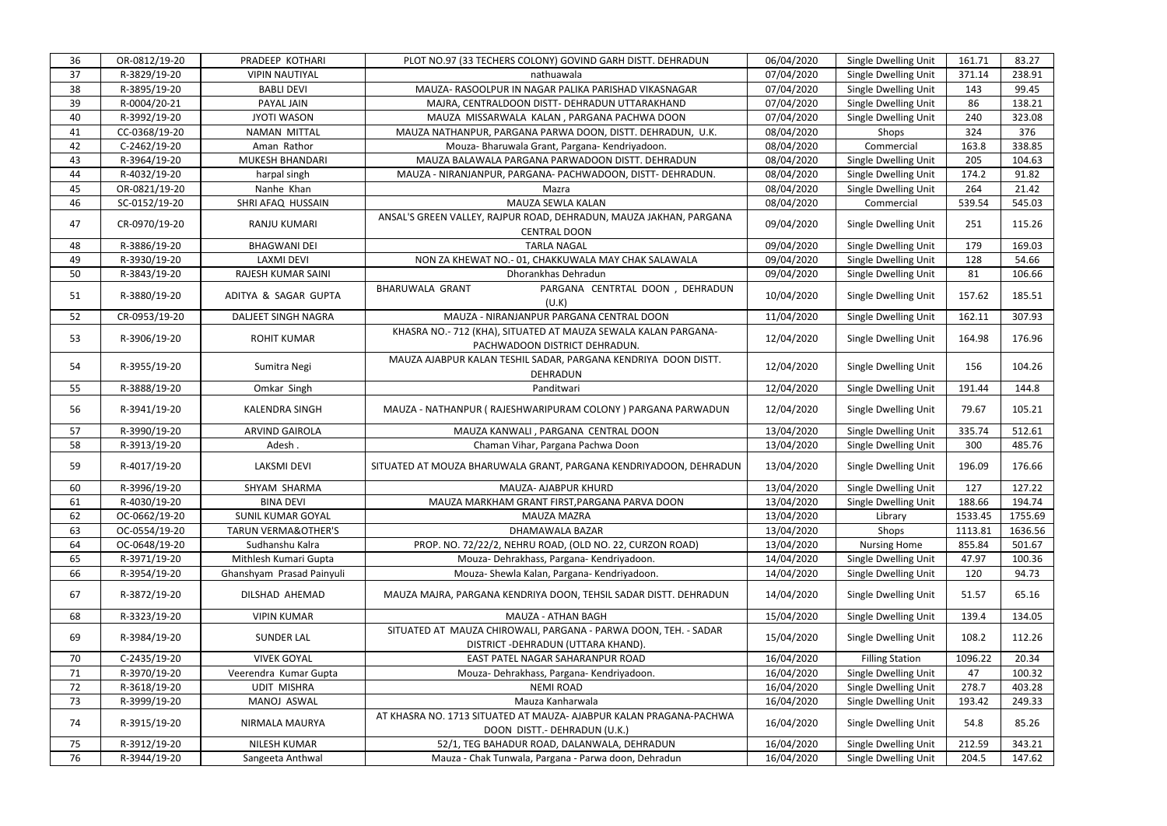| 37<br>07/04/2020<br>371.14<br>R-3829/19-20<br><b>VIPIN NAUTIYAL</b><br>nathuawala<br>Single Dwelling Unit<br>238.91<br>38<br>MAUZA- RASOOLPUR IN NAGAR PALIKA PARISHAD VIKASNAGAR<br>Single Dwelling Unit<br>99.45<br>R-3895/19-20<br><b>BABLI DEVI</b><br>07/04/2020<br>143<br>86<br>39<br>R-0004/20-21<br>PAYAL JAIN<br>MAJRA, CENTRALDOON DISTT- DEHRADUN UTTARAKHAND<br>07/04/2020<br>Single Dwelling Unit<br>138.21<br>R-3992/19-20<br>MAUZA MISSARWALA KALAN, PARGANA PACHWA DOON<br>240<br>40<br><b>JYOTI WASON</b><br>07/04/2020<br>Single Dwelling Unit<br>323.08<br>08/04/2020<br>324<br>376<br>CC-0368/19-20<br><b>NAMAN MITTAL</b><br>MAUZA NATHANPUR, PARGANA PARWA DOON, DISTT. DEHRADUN, U.K.<br>41<br>Shops<br>Mouza- Bharuwala Grant, Pargana- Kendriyadoon.<br>08/04/2020<br>338.85<br>42<br>C-2462/19-20<br>Aman Rathor<br>Commercial<br>163.8<br>43<br>R-3964/19-20<br>MAUZA BALAWALA PARGANA PARWADOON DISTT. DEHRADUN<br>08/04/2020<br>Single Dwelling Unit<br>205<br>104.63<br><b>MUKESH BHANDARI</b><br>R-4032/19-20<br>08/04/2020<br>174.2<br>91.82<br>44<br>MAUZA - NIRANJANPUR, PARGANA- PACHWADOON, DISTT- DEHRADUN.<br>Single Dwelling Unit<br>harpal singh<br>45<br>OR-0821/19-20<br>Nanhe Khan<br>08/04/2020<br>Single Dwelling Unit<br>264<br>21.42<br>Mazra<br>46<br>MAUZA SEWLA KALAN<br>08/04/2020<br>539.54<br>545.03<br>SC-0152/19-20<br>SHRI AFAQ HUSSAIN<br>Commercial<br>ANSAL'S GREEN VALLEY, RAJPUR ROAD, DEHRADUN, MAUZA JAKHAN, PARGANA<br>47<br>CR-0970/19-20<br>09/04/2020<br>Single Dwelling Unit<br>115.26<br>RANJU KUMARI<br>251<br><b>CENTRAL DOON</b><br>R-3886/19-20<br>09/04/2020<br>169.03<br>48<br><b>BHAGWANI DEI</b><br><b>TARLA NAGAL</b><br><b>Single Dwelling Unit</b><br>179<br>R-3930/19-20<br>09/04/2020<br>Single Dwelling Unit<br>49<br>LAXMI DEVI<br>NON ZA KHEWAT NO.- 01, CHAKKUWALA MAY CHAK SALAWALA<br>128<br>54.66<br>50<br>RAJESH KUMAR SAINI<br>Dhorankhas Dehradun<br>09/04/2020<br>81<br>106.66<br>R-3843/19-20<br>Single Dwelling Unit<br>PARGANA CENTRTAL DOON, DEHRADUN<br><b>BHARUWALA GRANT</b><br>10/04/2020<br>R-3880/19-20<br>ADITYA & SAGAR GUPTA<br>Single Dwelling Unit<br>157.62<br>185.51<br>51<br>(U.K)<br>CR-0953/19-20<br>MAUZA - NIRANJANPUR PARGANA CENTRAL DOON<br>11/04/2020<br>Single Dwelling Unit<br>162.11<br>307.93<br>52<br>DALJEET SINGH NAGRA<br>KHASRA NO.- 712 (KHA), SITUATED AT MAUZA SEWALA KALAN PARGANA-<br>176.96<br>53<br>R-3906/19-20<br><b>ROHIT KUMAR</b><br>12/04/2020<br>Single Dwelling Unit<br>164.98<br>PACHWADOON DISTRICT DEHRADUN.<br>MAUZA AJABPUR KALAN TESHIL SADAR, PARGANA KENDRIYA DOON DISTT.<br>12/04/2020<br>R-3955/19-20<br>Single Dwelling Unit<br>104.26<br>54<br>Sumitra Negi<br>156<br>DEHRADUN<br>12/04/2020<br>R-3888/19-20<br>Omkar Singh<br>Panditwari<br>Single Dwelling Unit<br>144.8<br>55<br>191.44<br>R-3941/19-20<br>MAUZA - NATHANPUR (RAJESHWARIPURAM COLONY) PARGANA PARWADUN<br>12/04/2020<br>Single Dwelling Unit<br>79.67<br>105.21<br>56<br><b>KALENDRA SINGH</b><br>512.61<br>57<br>R-3990/19-20<br>MAUZA KANWALI, PARGANA CENTRAL DOON<br>13/04/2020<br>Single Dwelling Unit<br>335.74<br>ARVIND GAIROLA<br>58<br>R-3913/19-20<br>13/04/2020<br>Adesh.<br>Chaman Vihar, Pargana Pachwa Doon<br>Single Dwelling Unit<br>300<br>485.76<br>59<br>R-4017/19-20<br>13/04/2020<br>Single Dwelling Unit<br>176.66<br><b>LAKSMI DEVI</b><br>SITUATED AT MOUZA BHARUWALA GRANT, PARGANA KENDRIYADOON, DEHRADUN<br>196.09<br>R-3996/19-20<br>13/04/2020<br>SHYAM SHARMA<br>MAUZA- AJABPUR KHURD<br>Single Dwelling Unit<br>127<br>127.22<br>60<br>R-4030/19-20<br>13/04/2020<br><b>BINA DEVI</b><br>MAUZA MARKHAM GRANT FIRST, PARGANA PARVA DOON<br>Single Dwelling Unit<br>194.74<br>188.66<br>61<br>62<br>OC-0662/19-20<br><b>SUNIL KUMAR GOYAL</b><br>MAUZA MAZRA<br>13/04/2020<br>1533.45<br>1755.69<br>Library<br>63<br>OC-0554/19-20<br><b>TARUN VERMA&amp;OTHER'S</b><br>DHAMAWALA BAZAR<br>13/04/2020<br>1636.56<br>Shops<br>1113.81<br>64<br>OC-0648/19-20<br>Sudhanshu Kalra<br>PROP. NO. 72/22/2, NEHRU ROAD, (OLD NO. 22, CURZON ROAD)<br>13/04/2020<br>855.84<br>501.67<br><b>Nursing Home</b><br>65<br>R-3971/19-20<br>Mithlesh Kumari Gupta<br>Mouza- Dehrakhass, Pargana- Kendriyadoon.<br>14/04/2020<br>Single Dwelling Unit<br>47.97<br>100.36<br>66<br>Mouza- Shewla Kalan, Pargana- Kendriyadoon.<br>14/04/2020<br>94.73<br>R-3954/19-20<br>Ghanshyam Prasad Painyuli<br>Single Dwelling Unit<br>120<br>R-3872/19-20<br>DILSHAD AHEMAD<br>14/04/2020<br>Single Dwelling Unit<br>51.57<br>65.16<br>67<br>MAUZA MAJRA, PARGANA KENDRIYA DOON, TEHSIL SADAR DISTT. DEHRADUN<br>R-3323/19-20<br>MAUZA - ATHAN BAGH<br>68<br><b>VIPIN KUMAR</b><br>15/04/2020<br>Single Dwelling Unit<br>139.4<br>134.05<br>SITUATED AT MAUZA CHIROWALI, PARGANA - PARWA DOON, TEH. - SADAR<br>R-3984/19-20<br><b>SUNDER LAL</b><br>15/04/2020<br>Single Dwelling Unit<br>112.26<br>69<br>108.2<br>DISTRICT - DEHRADUN (UTTARA KHAND).<br>EAST PATEL NAGAR SAHARANPUR ROAD<br>70<br>C-2435/19-20<br><b>VIVEK GOYAL</b><br>16/04/2020<br><b>Filling Station</b><br>1096.22<br>20.34<br>16/04/2020<br>71<br>R-3970/19-20<br>Veerendra Kumar Gupta<br>Single Dwelling Unit<br>47<br>100.32<br>Mouza- Dehrakhass, Pargana- Kendriyadoon.<br>R-3618/19-20<br><b>UDIT MISHRA</b><br>16/04/2020<br>72<br><b>NEMI ROAD</b><br>Single Dwelling Unit<br>278.7<br>403.28<br>73<br>Mauza Kanharwala<br>16/04/2020<br>Single Dwelling Unit<br>R-3999/19-20<br>MANOJ ASWAL<br>193.42<br>249.33<br>AT KHASRA NO. 1713 SITUATED AT MAUZA- AJABPUR KALAN PRAGANA-PACHWA<br>R-3915/19-20<br>NIRMALA MAURYA<br>16/04/2020<br>Single Dwelling Unit<br>54.8<br>85.26<br>74<br>DOON DISTT.- DEHRADUN (U.K.)<br>75<br>R-3912/19-20<br>52/1, TEG BAHADUR ROAD, DALANWALA, DEHRADUN<br>16/04/2020<br>212.59<br>343.21<br>NILESH KUMAR<br>Single Dwelling Unit<br>R-3944/19-20<br>16/04/2020<br>76<br>Sangeeta Anthwal<br>Mauza - Chak Tunwala, Pargana - Parwa doon, Dehradun<br>Single Dwelling Unit<br>204.5<br>147.62 |    |               |                 |                                                            |            |                      |        |       |
|----------------------------------------------------------------------------------------------------------------------------------------------------------------------------------------------------------------------------------------------------------------------------------------------------------------------------------------------------------------------------------------------------------------------------------------------------------------------------------------------------------------------------------------------------------------------------------------------------------------------------------------------------------------------------------------------------------------------------------------------------------------------------------------------------------------------------------------------------------------------------------------------------------------------------------------------------------------------------------------------------------------------------------------------------------------------------------------------------------------------------------------------------------------------------------------------------------------------------------------------------------------------------------------------------------------------------------------------------------------------------------------------------------------------------------------------------------------------------------------------------------------------------------------------------------------------------------------------------------------------------------------------------------------------------------------------------------------------------------------------------------------------------------------------------------------------------------------------------------------------------------------------------------------------------------------------------------------------------------------------------------------------------------------------------------------------------------------------------------------------------------------------------------------------------------------------------------------------------------------------------------------------------------------------------------------------------------------------------------------------------------------------------------------------------------------------------------------------------------------------------------------------------------------------------------------------------------------------------------------------------------------------------------------------------------------------------------------------------------------------------------------------------------------------------------------------------------------------------------------------------------------------------------------------------------------------------------------------------------------------------------------------------------------------------------------------------------------------------------------------------------------------------------------------------------------------------------------------------------------------------------------------------------------------------------------------------------------------------------------------------------------------------------------------------------------------------------------------------------------------------------------------------------------------------------------------------------------------------------------------------------------------------------------------------------------------------------------------------------------------------------------------------------------------------------------------------------------------------------------------------------------------------------------------------------------------------------------------------------------------------------------------------------------------------------------------------------------------------------------------------------------------------------------------------------------------------------------------------------------------------------------------------------------------------------------------------------------------------------------------------------------------------------------------------------------------------------------------------------------------------------------------------------------------------------------------------------------------------------------------------------------------------------------------------------------------------------------------------------------------------------------------------------------------------------------------------------------------------------------------------------------------------------------------------------------------------------------------------------------------------------------------------------------------------------------------------------------------------------------------------------------------------------------------------------------------------------------------------------------------------------------------------------------------------------------------------------------------------------------------------------------------------------------------------------------------------------------------------------------------------------------------------------------------------------------------------------------------------------------------------------------------------------------------------------------------------------------------------------------------------------------------------------------------------------------------------------------------------------------------------------------------------------------------------------------------------------------------------------------------------------------------------------------------------|----|---------------|-----------------|------------------------------------------------------------|------------|----------------------|--------|-------|
|                                                                                                                                                                                                                                                                                                                                                                                                                                                                                                                                                                                                                                                                                                                                                                                                                                                                                                                                                                                                                                                                                                                                                                                                                                                                                                                                                                                                                                                                                                                                                                                                                                                                                                                                                                                                                                                                                                                                                                                                                                                                                                                                                                                                                                                                                                                                                                                                                                                                                                                                                                                                                                                                                                                                                                                                                                                                                                                                                                                                                                                                                                                                                                                                                                                                                                                                                                                                                                                                                                                                                                                                                                                                                                                                                                                                                                                                                                                                                                                                                                                                                                                                                                                                                                                                                                                                                                                                                                                                                                                                                                                                                                                                                                                                                                                                                                                                                                                                                                                                                                                                                                                                                                                                                                                                                                                                                                                                                                                                                                                                                                                                                                                                                                                                                                                                                                                                                                                                                                                                                                                    | 36 | OR-0812/19-20 | PRADEEP KOTHARI | PLOT NO.97 (33 TECHERS COLONY) GOVIND GARH DISTT. DEHRADUN | 06/04/2020 | Single Dwelling Unit | 161.71 | 83.27 |
|                                                                                                                                                                                                                                                                                                                                                                                                                                                                                                                                                                                                                                                                                                                                                                                                                                                                                                                                                                                                                                                                                                                                                                                                                                                                                                                                                                                                                                                                                                                                                                                                                                                                                                                                                                                                                                                                                                                                                                                                                                                                                                                                                                                                                                                                                                                                                                                                                                                                                                                                                                                                                                                                                                                                                                                                                                                                                                                                                                                                                                                                                                                                                                                                                                                                                                                                                                                                                                                                                                                                                                                                                                                                                                                                                                                                                                                                                                                                                                                                                                                                                                                                                                                                                                                                                                                                                                                                                                                                                                                                                                                                                                                                                                                                                                                                                                                                                                                                                                                                                                                                                                                                                                                                                                                                                                                                                                                                                                                                                                                                                                                                                                                                                                                                                                                                                                                                                                                                                                                                                                                    |    |               |                 |                                                            |            |                      |        |       |
|                                                                                                                                                                                                                                                                                                                                                                                                                                                                                                                                                                                                                                                                                                                                                                                                                                                                                                                                                                                                                                                                                                                                                                                                                                                                                                                                                                                                                                                                                                                                                                                                                                                                                                                                                                                                                                                                                                                                                                                                                                                                                                                                                                                                                                                                                                                                                                                                                                                                                                                                                                                                                                                                                                                                                                                                                                                                                                                                                                                                                                                                                                                                                                                                                                                                                                                                                                                                                                                                                                                                                                                                                                                                                                                                                                                                                                                                                                                                                                                                                                                                                                                                                                                                                                                                                                                                                                                                                                                                                                                                                                                                                                                                                                                                                                                                                                                                                                                                                                                                                                                                                                                                                                                                                                                                                                                                                                                                                                                                                                                                                                                                                                                                                                                                                                                                                                                                                                                                                                                                                                                    |    |               |                 |                                                            |            |                      |        |       |
|                                                                                                                                                                                                                                                                                                                                                                                                                                                                                                                                                                                                                                                                                                                                                                                                                                                                                                                                                                                                                                                                                                                                                                                                                                                                                                                                                                                                                                                                                                                                                                                                                                                                                                                                                                                                                                                                                                                                                                                                                                                                                                                                                                                                                                                                                                                                                                                                                                                                                                                                                                                                                                                                                                                                                                                                                                                                                                                                                                                                                                                                                                                                                                                                                                                                                                                                                                                                                                                                                                                                                                                                                                                                                                                                                                                                                                                                                                                                                                                                                                                                                                                                                                                                                                                                                                                                                                                                                                                                                                                                                                                                                                                                                                                                                                                                                                                                                                                                                                                                                                                                                                                                                                                                                                                                                                                                                                                                                                                                                                                                                                                                                                                                                                                                                                                                                                                                                                                                                                                                                                                    |    |               |                 |                                                            |            |                      |        |       |
|                                                                                                                                                                                                                                                                                                                                                                                                                                                                                                                                                                                                                                                                                                                                                                                                                                                                                                                                                                                                                                                                                                                                                                                                                                                                                                                                                                                                                                                                                                                                                                                                                                                                                                                                                                                                                                                                                                                                                                                                                                                                                                                                                                                                                                                                                                                                                                                                                                                                                                                                                                                                                                                                                                                                                                                                                                                                                                                                                                                                                                                                                                                                                                                                                                                                                                                                                                                                                                                                                                                                                                                                                                                                                                                                                                                                                                                                                                                                                                                                                                                                                                                                                                                                                                                                                                                                                                                                                                                                                                                                                                                                                                                                                                                                                                                                                                                                                                                                                                                                                                                                                                                                                                                                                                                                                                                                                                                                                                                                                                                                                                                                                                                                                                                                                                                                                                                                                                                                                                                                                                                    |    |               |                 |                                                            |            |                      |        |       |
|                                                                                                                                                                                                                                                                                                                                                                                                                                                                                                                                                                                                                                                                                                                                                                                                                                                                                                                                                                                                                                                                                                                                                                                                                                                                                                                                                                                                                                                                                                                                                                                                                                                                                                                                                                                                                                                                                                                                                                                                                                                                                                                                                                                                                                                                                                                                                                                                                                                                                                                                                                                                                                                                                                                                                                                                                                                                                                                                                                                                                                                                                                                                                                                                                                                                                                                                                                                                                                                                                                                                                                                                                                                                                                                                                                                                                                                                                                                                                                                                                                                                                                                                                                                                                                                                                                                                                                                                                                                                                                                                                                                                                                                                                                                                                                                                                                                                                                                                                                                                                                                                                                                                                                                                                                                                                                                                                                                                                                                                                                                                                                                                                                                                                                                                                                                                                                                                                                                                                                                                                                                    |    |               |                 |                                                            |            |                      |        |       |
|                                                                                                                                                                                                                                                                                                                                                                                                                                                                                                                                                                                                                                                                                                                                                                                                                                                                                                                                                                                                                                                                                                                                                                                                                                                                                                                                                                                                                                                                                                                                                                                                                                                                                                                                                                                                                                                                                                                                                                                                                                                                                                                                                                                                                                                                                                                                                                                                                                                                                                                                                                                                                                                                                                                                                                                                                                                                                                                                                                                                                                                                                                                                                                                                                                                                                                                                                                                                                                                                                                                                                                                                                                                                                                                                                                                                                                                                                                                                                                                                                                                                                                                                                                                                                                                                                                                                                                                                                                                                                                                                                                                                                                                                                                                                                                                                                                                                                                                                                                                                                                                                                                                                                                                                                                                                                                                                                                                                                                                                                                                                                                                                                                                                                                                                                                                                                                                                                                                                                                                                                                                    |    |               |                 |                                                            |            |                      |        |       |
|                                                                                                                                                                                                                                                                                                                                                                                                                                                                                                                                                                                                                                                                                                                                                                                                                                                                                                                                                                                                                                                                                                                                                                                                                                                                                                                                                                                                                                                                                                                                                                                                                                                                                                                                                                                                                                                                                                                                                                                                                                                                                                                                                                                                                                                                                                                                                                                                                                                                                                                                                                                                                                                                                                                                                                                                                                                                                                                                                                                                                                                                                                                                                                                                                                                                                                                                                                                                                                                                                                                                                                                                                                                                                                                                                                                                                                                                                                                                                                                                                                                                                                                                                                                                                                                                                                                                                                                                                                                                                                                                                                                                                                                                                                                                                                                                                                                                                                                                                                                                                                                                                                                                                                                                                                                                                                                                                                                                                                                                                                                                                                                                                                                                                                                                                                                                                                                                                                                                                                                                                                                    |    |               |                 |                                                            |            |                      |        |       |
|                                                                                                                                                                                                                                                                                                                                                                                                                                                                                                                                                                                                                                                                                                                                                                                                                                                                                                                                                                                                                                                                                                                                                                                                                                                                                                                                                                                                                                                                                                                                                                                                                                                                                                                                                                                                                                                                                                                                                                                                                                                                                                                                                                                                                                                                                                                                                                                                                                                                                                                                                                                                                                                                                                                                                                                                                                                                                                                                                                                                                                                                                                                                                                                                                                                                                                                                                                                                                                                                                                                                                                                                                                                                                                                                                                                                                                                                                                                                                                                                                                                                                                                                                                                                                                                                                                                                                                                                                                                                                                                                                                                                                                                                                                                                                                                                                                                                                                                                                                                                                                                                                                                                                                                                                                                                                                                                                                                                                                                                                                                                                                                                                                                                                                                                                                                                                                                                                                                                                                                                                                                    |    |               |                 |                                                            |            |                      |        |       |
|                                                                                                                                                                                                                                                                                                                                                                                                                                                                                                                                                                                                                                                                                                                                                                                                                                                                                                                                                                                                                                                                                                                                                                                                                                                                                                                                                                                                                                                                                                                                                                                                                                                                                                                                                                                                                                                                                                                                                                                                                                                                                                                                                                                                                                                                                                                                                                                                                                                                                                                                                                                                                                                                                                                                                                                                                                                                                                                                                                                                                                                                                                                                                                                                                                                                                                                                                                                                                                                                                                                                                                                                                                                                                                                                                                                                                                                                                                                                                                                                                                                                                                                                                                                                                                                                                                                                                                                                                                                                                                                                                                                                                                                                                                                                                                                                                                                                                                                                                                                                                                                                                                                                                                                                                                                                                                                                                                                                                                                                                                                                                                                                                                                                                                                                                                                                                                                                                                                                                                                                                                                    |    |               |                 |                                                            |            |                      |        |       |
|                                                                                                                                                                                                                                                                                                                                                                                                                                                                                                                                                                                                                                                                                                                                                                                                                                                                                                                                                                                                                                                                                                                                                                                                                                                                                                                                                                                                                                                                                                                                                                                                                                                                                                                                                                                                                                                                                                                                                                                                                                                                                                                                                                                                                                                                                                                                                                                                                                                                                                                                                                                                                                                                                                                                                                                                                                                                                                                                                                                                                                                                                                                                                                                                                                                                                                                                                                                                                                                                                                                                                                                                                                                                                                                                                                                                                                                                                                                                                                                                                                                                                                                                                                                                                                                                                                                                                                                                                                                                                                                                                                                                                                                                                                                                                                                                                                                                                                                                                                                                                                                                                                                                                                                                                                                                                                                                                                                                                                                                                                                                                                                                                                                                                                                                                                                                                                                                                                                                                                                                                                                    |    |               |                 |                                                            |            |                      |        |       |
|                                                                                                                                                                                                                                                                                                                                                                                                                                                                                                                                                                                                                                                                                                                                                                                                                                                                                                                                                                                                                                                                                                                                                                                                                                                                                                                                                                                                                                                                                                                                                                                                                                                                                                                                                                                                                                                                                                                                                                                                                                                                                                                                                                                                                                                                                                                                                                                                                                                                                                                                                                                                                                                                                                                                                                                                                                                                                                                                                                                                                                                                                                                                                                                                                                                                                                                                                                                                                                                                                                                                                                                                                                                                                                                                                                                                                                                                                                                                                                                                                                                                                                                                                                                                                                                                                                                                                                                                                                                                                                                                                                                                                                                                                                                                                                                                                                                                                                                                                                                                                                                                                                                                                                                                                                                                                                                                                                                                                                                                                                                                                                                                                                                                                                                                                                                                                                                                                                                                                                                                                                                    |    |               |                 |                                                            |            |                      |        |       |
|                                                                                                                                                                                                                                                                                                                                                                                                                                                                                                                                                                                                                                                                                                                                                                                                                                                                                                                                                                                                                                                                                                                                                                                                                                                                                                                                                                                                                                                                                                                                                                                                                                                                                                                                                                                                                                                                                                                                                                                                                                                                                                                                                                                                                                                                                                                                                                                                                                                                                                                                                                                                                                                                                                                                                                                                                                                                                                                                                                                                                                                                                                                                                                                                                                                                                                                                                                                                                                                                                                                                                                                                                                                                                                                                                                                                                                                                                                                                                                                                                                                                                                                                                                                                                                                                                                                                                                                                                                                                                                                                                                                                                                                                                                                                                                                                                                                                                                                                                                                                                                                                                                                                                                                                                                                                                                                                                                                                                                                                                                                                                                                                                                                                                                                                                                                                                                                                                                                                                                                                                                                    |    |               |                 |                                                            |            |                      |        |       |
|                                                                                                                                                                                                                                                                                                                                                                                                                                                                                                                                                                                                                                                                                                                                                                                                                                                                                                                                                                                                                                                                                                                                                                                                                                                                                                                                                                                                                                                                                                                                                                                                                                                                                                                                                                                                                                                                                                                                                                                                                                                                                                                                                                                                                                                                                                                                                                                                                                                                                                                                                                                                                                                                                                                                                                                                                                                                                                                                                                                                                                                                                                                                                                                                                                                                                                                                                                                                                                                                                                                                                                                                                                                                                                                                                                                                                                                                                                                                                                                                                                                                                                                                                                                                                                                                                                                                                                                                                                                                                                                                                                                                                                                                                                                                                                                                                                                                                                                                                                                                                                                                                                                                                                                                                                                                                                                                                                                                                                                                                                                                                                                                                                                                                                                                                                                                                                                                                                                                                                                                                                                    |    |               |                 |                                                            |            |                      |        |       |
|                                                                                                                                                                                                                                                                                                                                                                                                                                                                                                                                                                                                                                                                                                                                                                                                                                                                                                                                                                                                                                                                                                                                                                                                                                                                                                                                                                                                                                                                                                                                                                                                                                                                                                                                                                                                                                                                                                                                                                                                                                                                                                                                                                                                                                                                                                                                                                                                                                                                                                                                                                                                                                                                                                                                                                                                                                                                                                                                                                                                                                                                                                                                                                                                                                                                                                                                                                                                                                                                                                                                                                                                                                                                                                                                                                                                                                                                                                                                                                                                                                                                                                                                                                                                                                                                                                                                                                                                                                                                                                                                                                                                                                                                                                                                                                                                                                                                                                                                                                                                                                                                                                                                                                                                                                                                                                                                                                                                                                                                                                                                                                                                                                                                                                                                                                                                                                                                                                                                                                                                                                                    |    |               |                 |                                                            |            |                      |        |       |
|                                                                                                                                                                                                                                                                                                                                                                                                                                                                                                                                                                                                                                                                                                                                                                                                                                                                                                                                                                                                                                                                                                                                                                                                                                                                                                                                                                                                                                                                                                                                                                                                                                                                                                                                                                                                                                                                                                                                                                                                                                                                                                                                                                                                                                                                                                                                                                                                                                                                                                                                                                                                                                                                                                                                                                                                                                                                                                                                                                                                                                                                                                                                                                                                                                                                                                                                                                                                                                                                                                                                                                                                                                                                                                                                                                                                                                                                                                                                                                                                                                                                                                                                                                                                                                                                                                                                                                                                                                                                                                                                                                                                                                                                                                                                                                                                                                                                                                                                                                                                                                                                                                                                                                                                                                                                                                                                                                                                                                                                                                                                                                                                                                                                                                                                                                                                                                                                                                                                                                                                                                                    |    |               |                 |                                                            |            |                      |        |       |
|                                                                                                                                                                                                                                                                                                                                                                                                                                                                                                                                                                                                                                                                                                                                                                                                                                                                                                                                                                                                                                                                                                                                                                                                                                                                                                                                                                                                                                                                                                                                                                                                                                                                                                                                                                                                                                                                                                                                                                                                                                                                                                                                                                                                                                                                                                                                                                                                                                                                                                                                                                                                                                                                                                                                                                                                                                                                                                                                                                                                                                                                                                                                                                                                                                                                                                                                                                                                                                                                                                                                                                                                                                                                                                                                                                                                                                                                                                                                                                                                                                                                                                                                                                                                                                                                                                                                                                                                                                                                                                                                                                                                                                                                                                                                                                                                                                                                                                                                                                                                                                                                                                                                                                                                                                                                                                                                                                                                                                                                                                                                                                                                                                                                                                                                                                                                                                                                                                                                                                                                                                                    |    |               |                 |                                                            |            |                      |        |       |
|                                                                                                                                                                                                                                                                                                                                                                                                                                                                                                                                                                                                                                                                                                                                                                                                                                                                                                                                                                                                                                                                                                                                                                                                                                                                                                                                                                                                                                                                                                                                                                                                                                                                                                                                                                                                                                                                                                                                                                                                                                                                                                                                                                                                                                                                                                                                                                                                                                                                                                                                                                                                                                                                                                                                                                                                                                                                                                                                                                                                                                                                                                                                                                                                                                                                                                                                                                                                                                                                                                                                                                                                                                                                                                                                                                                                                                                                                                                                                                                                                                                                                                                                                                                                                                                                                                                                                                                                                                                                                                                                                                                                                                                                                                                                                                                                                                                                                                                                                                                                                                                                                                                                                                                                                                                                                                                                                                                                                                                                                                                                                                                                                                                                                                                                                                                                                                                                                                                                                                                                                                                    |    |               |                 |                                                            |            |                      |        |       |
|                                                                                                                                                                                                                                                                                                                                                                                                                                                                                                                                                                                                                                                                                                                                                                                                                                                                                                                                                                                                                                                                                                                                                                                                                                                                                                                                                                                                                                                                                                                                                                                                                                                                                                                                                                                                                                                                                                                                                                                                                                                                                                                                                                                                                                                                                                                                                                                                                                                                                                                                                                                                                                                                                                                                                                                                                                                                                                                                                                                                                                                                                                                                                                                                                                                                                                                                                                                                                                                                                                                                                                                                                                                                                                                                                                                                                                                                                                                                                                                                                                                                                                                                                                                                                                                                                                                                                                                                                                                                                                                                                                                                                                                                                                                                                                                                                                                                                                                                                                                                                                                                                                                                                                                                                                                                                                                                                                                                                                                                                                                                                                                                                                                                                                                                                                                                                                                                                                                                                                                                                                                    |    |               |                 |                                                            |            |                      |        |       |
|                                                                                                                                                                                                                                                                                                                                                                                                                                                                                                                                                                                                                                                                                                                                                                                                                                                                                                                                                                                                                                                                                                                                                                                                                                                                                                                                                                                                                                                                                                                                                                                                                                                                                                                                                                                                                                                                                                                                                                                                                                                                                                                                                                                                                                                                                                                                                                                                                                                                                                                                                                                                                                                                                                                                                                                                                                                                                                                                                                                                                                                                                                                                                                                                                                                                                                                                                                                                                                                                                                                                                                                                                                                                                                                                                                                                                                                                                                                                                                                                                                                                                                                                                                                                                                                                                                                                                                                                                                                                                                                                                                                                                                                                                                                                                                                                                                                                                                                                                                                                                                                                                                                                                                                                                                                                                                                                                                                                                                                                                                                                                                                                                                                                                                                                                                                                                                                                                                                                                                                                                                                    |    |               |                 |                                                            |            |                      |        |       |
|                                                                                                                                                                                                                                                                                                                                                                                                                                                                                                                                                                                                                                                                                                                                                                                                                                                                                                                                                                                                                                                                                                                                                                                                                                                                                                                                                                                                                                                                                                                                                                                                                                                                                                                                                                                                                                                                                                                                                                                                                                                                                                                                                                                                                                                                                                                                                                                                                                                                                                                                                                                                                                                                                                                                                                                                                                                                                                                                                                                                                                                                                                                                                                                                                                                                                                                                                                                                                                                                                                                                                                                                                                                                                                                                                                                                                                                                                                                                                                                                                                                                                                                                                                                                                                                                                                                                                                                                                                                                                                                                                                                                                                                                                                                                                                                                                                                                                                                                                                                                                                                                                                                                                                                                                                                                                                                                                                                                                                                                                                                                                                                                                                                                                                                                                                                                                                                                                                                                                                                                                                                    |    |               |                 |                                                            |            |                      |        |       |
|                                                                                                                                                                                                                                                                                                                                                                                                                                                                                                                                                                                                                                                                                                                                                                                                                                                                                                                                                                                                                                                                                                                                                                                                                                                                                                                                                                                                                                                                                                                                                                                                                                                                                                                                                                                                                                                                                                                                                                                                                                                                                                                                                                                                                                                                                                                                                                                                                                                                                                                                                                                                                                                                                                                                                                                                                                                                                                                                                                                                                                                                                                                                                                                                                                                                                                                                                                                                                                                                                                                                                                                                                                                                                                                                                                                                                                                                                                                                                                                                                                                                                                                                                                                                                                                                                                                                                                                                                                                                                                                                                                                                                                                                                                                                                                                                                                                                                                                                                                                                                                                                                                                                                                                                                                                                                                                                                                                                                                                                                                                                                                                                                                                                                                                                                                                                                                                                                                                                                                                                                                                    |    |               |                 |                                                            |            |                      |        |       |
|                                                                                                                                                                                                                                                                                                                                                                                                                                                                                                                                                                                                                                                                                                                                                                                                                                                                                                                                                                                                                                                                                                                                                                                                                                                                                                                                                                                                                                                                                                                                                                                                                                                                                                                                                                                                                                                                                                                                                                                                                                                                                                                                                                                                                                                                                                                                                                                                                                                                                                                                                                                                                                                                                                                                                                                                                                                                                                                                                                                                                                                                                                                                                                                                                                                                                                                                                                                                                                                                                                                                                                                                                                                                                                                                                                                                                                                                                                                                                                                                                                                                                                                                                                                                                                                                                                                                                                                                                                                                                                                                                                                                                                                                                                                                                                                                                                                                                                                                                                                                                                                                                                                                                                                                                                                                                                                                                                                                                                                                                                                                                                                                                                                                                                                                                                                                                                                                                                                                                                                                                                                    |    |               |                 |                                                            |            |                      |        |       |
|                                                                                                                                                                                                                                                                                                                                                                                                                                                                                                                                                                                                                                                                                                                                                                                                                                                                                                                                                                                                                                                                                                                                                                                                                                                                                                                                                                                                                                                                                                                                                                                                                                                                                                                                                                                                                                                                                                                                                                                                                                                                                                                                                                                                                                                                                                                                                                                                                                                                                                                                                                                                                                                                                                                                                                                                                                                                                                                                                                                                                                                                                                                                                                                                                                                                                                                                                                                                                                                                                                                                                                                                                                                                                                                                                                                                                                                                                                                                                                                                                                                                                                                                                                                                                                                                                                                                                                                                                                                                                                                                                                                                                                                                                                                                                                                                                                                                                                                                                                                                                                                                                                                                                                                                                                                                                                                                                                                                                                                                                                                                                                                                                                                                                                                                                                                                                                                                                                                                                                                                                                                    |    |               |                 |                                                            |            |                      |        |       |
|                                                                                                                                                                                                                                                                                                                                                                                                                                                                                                                                                                                                                                                                                                                                                                                                                                                                                                                                                                                                                                                                                                                                                                                                                                                                                                                                                                                                                                                                                                                                                                                                                                                                                                                                                                                                                                                                                                                                                                                                                                                                                                                                                                                                                                                                                                                                                                                                                                                                                                                                                                                                                                                                                                                                                                                                                                                                                                                                                                                                                                                                                                                                                                                                                                                                                                                                                                                                                                                                                                                                                                                                                                                                                                                                                                                                                                                                                                                                                                                                                                                                                                                                                                                                                                                                                                                                                                                                                                                                                                                                                                                                                                                                                                                                                                                                                                                                                                                                                                                                                                                                                                                                                                                                                                                                                                                                                                                                                                                                                                                                                                                                                                                                                                                                                                                                                                                                                                                                                                                                                                                    |    |               |                 |                                                            |            |                      |        |       |
|                                                                                                                                                                                                                                                                                                                                                                                                                                                                                                                                                                                                                                                                                                                                                                                                                                                                                                                                                                                                                                                                                                                                                                                                                                                                                                                                                                                                                                                                                                                                                                                                                                                                                                                                                                                                                                                                                                                                                                                                                                                                                                                                                                                                                                                                                                                                                                                                                                                                                                                                                                                                                                                                                                                                                                                                                                                                                                                                                                                                                                                                                                                                                                                                                                                                                                                                                                                                                                                                                                                                                                                                                                                                                                                                                                                                                                                                                                                                                                                                                                                                                                                                                                                                                                                                                                                                                                                                                                                                                                                                                                                                                                                                                                                                                                                                                                                                                                                                                                                                                                                                                                                                                                                                                                                                                                                                                                                                                                                                                                                                                                                                                                                                                                                                                                                                                                                                                                                                                                                                                                                    |    |               |                 |                                                            |            |                      |        |       |
|                                                                                                                                                                                                                                                                                                                                                                                                                                                                                                                                                                                                                                                                                                                                                                                                                                                                                                                                                                                                                                                                                                                                                                                                                                                                                                                                                                                                                                                                                                                                                                                                                                                                                                                                                                                                                                                                                                                                                                                                                                                                                                                                                                                                                                                                                                                                                                                                                                                                                                                                                                                                                                                                                                                                                                                                                                                                                                                                                                                                                                                                                                                                                                                                                                                                                                                                                                                                                                                                                                                                                                                                                                                                                                                                                                                                                                                                                                                                                                                                                                                                                                                                                                                                                                                                                                                                                                                                                                                                                                                                                                                                                                                                                                                                                                                                                                                                                                                                                                                                                                                                                                                                                                                                                                                                                                                                                                                                                                                                                                                                                                                                                                                                                                                                                                                                                                                                                                                                                                                                                                                    |    |               |                 |                                                            |            |                      |        |       |
|                                                                                                                                                                                                                                                                                                                                                                                                                                                                                                                                                                                                                                                                                                                                                                                                                                                                                                                                                                                                                                                                                                                                                                                                                                                                                                                                                                                                                                                                                                                                                                                                                                                                                                                                                                                                                                                                                                                                                                                                                                                                                                                                                                                                                                                                                                                                                                                                                                                                                                                                                                                                                                                                                                                                                                                                                                                                                                                                                                                                                                                                                                                                                                                                                                                                                                                                                                                                                                                                                                                                                                                                                                                                                                                                                                                                                                                                                                                                                                                                                                                                                                                                                                                                                                                                                                                                                                                                                                                                                                                                                                                                                                                                                                                                                                                                                                                                                                                                                                                                                                                                                                                                                                                                                                                                                                                                                                                                                                                                                                                                                                                                                                                                                                                                                                                                                                                                                                                                                                                                                                                    |    |               |                 |                                                            |            |                      |        |       |
|                                                                                                                                                                                                                                                                                                                                                                                                                                                                                                                                                                                                                                                                                                                                                                                                                                                                                                                                                                                                                                                                                                                                                                                                                                                                                                                                                                                                                                                                                                                                                                                                                                                                                                                                                                                                                                                                                                                                                                                                                                                                                                                                                                                                                                                                                                                                                                                                                                                                                                                                                                                                                                                                                                                                                                                                                                                                                                                                                                                                                                                                                                                                                                                                                                                                                                                                                                                                                                                                                                                                                                                                                                                                                                                                                                                                                                                                                                                                                                                                                                                                                                                                                                                                                                                                                                                                                                                                                                                                                                                                                                                                                                                                                                                                                                                                                                                                                                                                                                                                                                                                                                                                                                                                                                                                                                                                                                                                                                                                                                                                                                                                                                                                                                                                                                                                                                                                                                                                                                                                                                                    |    |               |                 |                                                            |            |                      |        |       |
|                                                                                                                                                                                                                                                                                                                                                                                                                                                                                                                                                                                                                                                                                                                                                                                                                                                                                                                                                                                                                                                                                                                                                                                                                                                                                                                                                                                                                                                                                                                                                                                                                                                                                                                                                                                                                                                                                                                                                                                                                                                                                                                                                                                                                                                                                                                                                                                                                                                                                                                                                                                                                                                                                                                                                                                                                                                                                                                                                                                                                                                                                                                                                                                                                                                                                                                                                                                                                                                                                                                                                                                                                                                                                                                                                                                                                                                                                                                                                                                                                                                                                                                                                                                                                                                                                                                                                                                                                                                                                                                                                                                                                                                                                                                                                                                                                                                                                                                                                                                                                                                                                                                                                                                                                                                                                                                                                                                                                                                                                                                                                                                                                                                                                                                                                                                                                                                                                                                                                                                                                                                    |    |               |                 |                                                            |            |                      |        |       |
|                                                                                                                                                                                                                                                                                                                                                                                                                                                                                                                                                                                                                                                                                                                                                                                                                                                                                                                                                                                                                                                                                                                                                                                                                                                                                                                                                                                                                                                                                                                                                                                                                                                                                                                                                                                                                                                                                                                                                                                                                                                                                                                                                                                                                                                                                                                                                                                                                                                                                                                                                                                                                                                                                                                                                                                                                                                                                                                                                                                                                                                                                                                                                                                                                                                                                                                                                                                                                                                                                                                                                                                                                                                                                                                                                                                                                                                                                                                                                                                                                                                                                                                                                                                                                                                                                                                                                                                                                                                                                                                                                                                                                                                                                                                                                                                                                                                                                                                                                                                                                                                                                                                                                                                                                                                                                                                                                                                                                                                                                                                                                                                                                                                                                                                                                                                                                                                                                                                                                                                                                                                    |    |               |                 |                                                            |            |                      |        |       |
|                                                                                                                                                                                                                                                                                                                                                                                                                                                                                                                                                                                                                                                                                                                                                                                                                                                                                                                                                                                                                                                                                                                                                                                                                                                                                                                                                                                                                                                                                                                                                                                                                                                                                                                                                                                                                                                                                                                                                                                                                                                                                                                                                                                                                                                                                                                                                                                                                                                                                                                                                                                                                                                                                                                                                                                                                                                                                                                                                                                                                                                                                                                                                                                                                                                                                                                                                                                                                                                                                                                                                                                                                                                                                                                                                                                                                                                                                                                                                                                                                                                                                                                                                                                                                                                                                                                                                                                                                                                                                                                                                                                                                                                                                                                                                                                                                                                                                                                                                                                                                                                                                                                                                                                                                                                                                                                                                                                                                                                                                                                                                                                                                                                                                                                                                                                                                                                                                                                                                                                                                                                    |    |               |                 |                                                            |            |                      |        |       |
|                                                                                                                                                                                                                                                                                                                                                                                                                                                                                                                                                                                                                                                                                                                                                                                                                                                                                                                                                                                                                                                                                                                                                                                                                                                                                                                                                                                                                                                                                                                                                                                                                                                                                                                                                                                                                                                                                                                                                                                                                                                                                                                                                                                                                                                                                                                                                                                                                                                                                                                                                                                                                                                                                                                                                                                                                                                                                                                                                                                                                                                                                                                                                                                                                                                                                                                                                                                                                                                                                                                                                                                                                                                                                                                                                                                                                                                                                                                                                                                                                                                                                                                                                                                                                                                                                                                                                                                                                                                                                                                                                                                                                                                                                                                                                                                                                                                                                                                                                                                                                                                                                                                                                                                                                                                                                                                                                                                                                                                                                                                                                                                                                                                                                                                                                                                                                                                                                                                                                                                                                                                    |    |               |                 |                                                            |            |                      |        |       |
|                                                                                                                                                                                                                                                                                                                                                                                                                                                                                                                                                                                                                                                                                                                                                                                                                                                                                                                                                                                                                                                                                                                                                                                                                                                                                                                                                                                                                                                                                                                                                                                                                                                                                                                                                                                                                                                                                                                                                                                                                                                                                                                                                                                                                                                                                                                                                                                                                                                                                                                                                                                                                                                                                                                                                                                                                                                                                                                                                                                                                                                                                                                                                                                                                                                                                                                                                                                                                                                                                                                                                                                                                                                                                                                                                                                                                                                                                                                                                                                                                                                                                                                                                                                                                                                                                                                                                                                                                                                                                                                                                                                                                                                                                                                                                                                                                                                                                                                                                                                                                                                                                                                                                                                                                                                                                                                                                                                                                                                                                                                                                                                                                                                                                                                                                                                                                                                                                                                                                                                                                                                    |    |               |                 |                                                            |            |                      |        |       |
|                                                                                                                                                                                                                                                                                                                                                                                                                                                                                                                                                                                                                                                                                                                                                                                                                                                                                                                                                                                                                                                                                                                                                                                                                                                                                                                                                                                                                                                                                                                                                                                                                                                                                                                                                                                                                                                                                                                                                                                                                                                                                                                                                                                                                                                                                                                                                                                                                                                                                                                                                                                                                                                                                                                                                                                                                                                                                                                                                                                                                                                                                                                                                                                                                                                                                                                                                                                                                                                                                                                                                                                                                                                                                                                                                                                                                                                                                                                                                                                                                                                                                                                                                                                                                                                                                                                                                                                                                                                                                                                                                                                                                                                                                                                                                                                                                                                                                                                                                                                                                                                                                                                                                                                                                                                                                                                                                                                                                                                                                                                                                                                                                                                                                                                                                                                                                                                                                                                                                                                                                                                    |    |               |                 |                                                            |            |                      |        |       |
|                                                                                                                                                                                                                                                                                                                                                                                                                                                                                                                                                                                                                                                                                                                                                                                                                                                                                                                                                                                                                                                                                                                                                                                                                                                                                                                                                                                                                                                                                                                                                                                                                                                                                                                                                                                                                                                                                                                                                                                                                                                                                                                                                                                                                                                                                                                                                                                                                                                                                                                                                                                                                                                                                                                                                                                                                                                                                                                                                                                                                                                                                                                                                                                                                                                                                                                                                                                                                                                                                                                                                                                                                                                                                                                                                                                                                                                                                                                                                                                                                                                                                                                                                                                                                                                                                                                                                                                                                                                                                                                                                                                                                                                                                                                                                                                                                                                                                                                                                                                                                                                                                                                                                                                                                                                                                                                                                                                                                                                                                                                                                                                                                                                                                                                                                                                                                                                                                                                                                                                                                                                    |    |               |                 |                                                            |            |                      |        |       |
|                                                                                                                                                                                                                                                                                                                                                                                                                                                                                                                                                                                                                                                                                                                                                                                                                                                                                                                                                                                                                                                                                                                                                                                                                                                                                                                                                                                                                                                                                                                                                                                                                                                                                                                                                                                                                                                                                                                                                                                                                                                                                                                                                                                                                                                                                                                                                                                                                                                                                                                                                                                                                                                                                                                                                                                                                                                                                                                                                                                                                                                                                                                                                                                                                                                                                                                                                                                                                                                                                                                                                                                                                                                                                                                                                                                                                                                                                                                                                                                                                                                                                                                                                                                                                                                                                                                                                                                                                                                                                                                                                                                                                                                                                                                                                                                                                                                                                                                                                                                                                                                                                                                                                                                                                                                                                                                                                                                                                                                                                                                                                                                                                                                                                                                                                                                                                                                                                                                                                                                                                                                    |    |               |                 |                                                            |            |                      |        |       |
|                                                                                                                                                                                                                                                                                                                                                                                                                                                                                                                                                                                                                                                                                                                                                                                                                                                                                                                                                                                                                                                                                                                                                                                                                                                                                                                                                                                                                                                                                                                                                                                                                                                                                                                                                                                                                                                                                                                                                                                                                                                                                                                                                                                                                                                                                                                                                                                                                                                                                                                                                                                                                                                                                                                                                                                                                                                                                                                                                                                                                                                                                                                                                                                                                                                                                                                                                                                                                                                                                                                                                                                                                                                                                                                                                                                                                                                                                                                                                                                                                                                                                                                                                                                                                                                                                                                                                                                                                                                                                                                                                                                                                                                                                                                                                                                                                                                                                                                                                                                                                                                                                                                                                                                                                                                                                                                                                                                                                                                                                                                                                                                                                                                                                                                                                                                                                                                                                                                                                                                                                                                    |    |               |                 |                                                            |            |                      |        |       |
|                                                                                                                                                                                                                                                                                                                                                                                                                                                                                                                                                                                                                                                                                                                                                                                                                                                                                                                                                                                                                                                                                                                                                                                                                                                                                                                                                                                                                                                                                                                                                                                                                                                                                                                                                                                                                                                                                                                                                                                                                                                                                                                                                                                                                                                                                                                                                                                                                                                                                                                                                                                                                                                                                                                                                                                                                                                                                                                                                                                                                                                                                                                                                                                                                                                                                                                                                                                                                                                                                                                                                                                                                                                                                                                                                                                                                                                                                                                                                                                                                                                                                                                                                                                                                                                                                                                                                                                                                                                                                                                                                                                                                                                                                                                                                                                                                                                                                                                                                                                                                                                                                                                                                                                                                                                                                                                                                                                                                                                                                                                                                                                                                                                                                                                                                                                                                                                                                                                                                                                                                                                    |    |               |                 |                                                            |            |                      |        |       |
|                                                                                                                                                                                                                                                                                                                                                                                                                                                                                                                                                                                                                                                                                                                                                                                                                                                                                                                                                                                                                                                                                                                                                                                                                                                                                                                                                                                                                                                                                                                                                                                                                                                                                                                                                                                                                                                                                                                                                                                                                                                                                                                                                                                                                                                                                                                                                                                                                                                                                                                                                                                                                                                                                                                                                                                                                                                                                                                                                                                                                                                                                                                                                                                                                                                                                                                                                                                                                                                                                                                                                                                                                                                                                                                                                                                                                                                                                                                                                                                                                                                                                                                                                                                                                                                                                                                                                                                                                                                                                                                                                                                                                                                                                                                                                                                                                                                                                                                                                                                                                                                                                                                                                                                                                                                                                                                                                                                                                                                                                                                                                                                                                                                                                                                                                                                                                                                                                                                                                                                                                                                    |    |               |                 |                                                            |            |                      |        |       |
|                                                                                                                                                                                                                                                                                                                                                                                                                                                                                                                                                                                                                                                                                                                                                                                                                                                                                                                                                                                                                                                                                                                                                                                                                                                                                                                                                                                                                                                                                                                                                                                                                                                                                                                                                                                                                                                                                                                                                                                                                                                                                                                                                                                                                                                                                                                                                                                                                                                                                                                                                                                                                                                                                                                                                                                                                                                                                                                                                                                                                                                                                                                                                                                                                                                                                                                                                                                                                                                                                                                                                                                                                                                                                                                                                                                                                                                                                                                                                                                                                                                                                                                                                                                                                                                                                                                                                                                                                                                                                                                                                                                                                                                                                                                                                                                                                                                                                                                                                                                                                                                                                                                                                                                                                                                                                                                                                                                                                                                                                                                                                                                                                                                                                                                                                                                                                                                                                                                                                                                                                                                    |    |               |                 |                                                            |            |                      |        |       |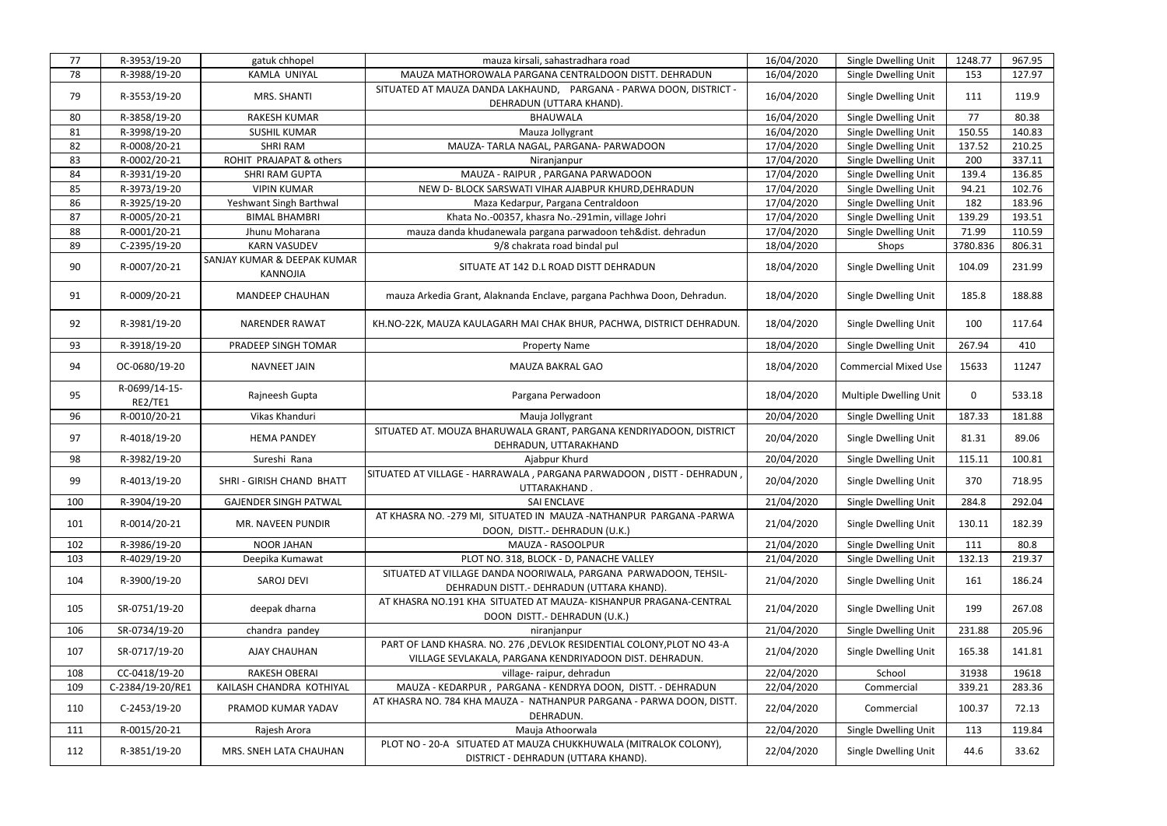| 77  | R-3953/19-20             | gatuk chhopel                                  | mauza kirsali, sahastradhara road                                                                                                 | 16/04/2020 | Single Dwelling Unit        | 1248.77     | 967.95 |
|-----|--------------------------|------------------------------------------------|-----------------------------------------------------------------------------------------------------------------------------------|------------|-----------------------------|-------------|--------|
| 78  | R-3988/19-20             | KAMLA UNIYAL                                   | MAUZA MATHOROWALA PARGANA CENTRALDOON DISTT. DEHRADUN                                                                             | 16/04/2020 | Single Dwelling Unit        | 153         | 127.97 |
| 79  | R-3553/19-20             | MRS. SHANTI                                    | SITUATED AT MAUZA DANDA LAKHAUND, PARGANA - PARWA DOON, DISTRICT -<br>DEHRADUN (UTTARA KHAND).                                    | 16/04/2020 | Single Dwelling Unit        | 111         | 119.9  |
| 80  | R-3858/19-20             | <b>RAKESH KUMAR</b>                            | <b>BHAUWALA</b>                                                                                                                   | 16/04/2020 | Single Dwelling Unit        | 77          | 80.38  |
| 81  | R-3998/19-20             | <b>SUSHIL KUMAR</b>                            | Mauza Jollygrant                                                                                                                  | 16/04/2020 | <b>Single Dwelling Unit</b> | 150.55      | 140.83 |
| 82  | R-0008/20-21             | <b>SHRI RAM</b>                                | MAUZA- TARLA NAGAL, PARGANA- PARWADOON                                                                                            | 17/04/2020 | <b>Single Dwelling Unit</b> | 137.52      | 210.25 |
| 83  | R-0002/20-21             | ROHIT PRAJAPAT & others                        | Niranjanpur                                                                                                                       | 17/04/2020 | Single Dwelling Unit        | 200         | 337.11 |
| 84  | R-3931/19-20             | <b>SHRI RAM GUPTA</b>                          | MAUZA - RAIPUR, PARGANA PARWADOON                                                                                                 | 17/04/2020 | Single Dwelling Unit        | 139.4       | 136.85 |
| 85  | R-3973/19-20             | <b>VIPIN KUMAR</b>                             | NEW D- BLOCK SARSWATI VIHAR AJABPUR KHURD, DEHRADUN                                                                               | 17/04/2020 | Single Dwelling Unit        | 94.21       | 102.76 |
| 86  | R-3925/19-20             | Yeshwant Singh Barthwal                        | Maza Kedarpur, Pargana Centraldoon                                                                                                | 17/04/2020 | Single Dwelling Unit        | 182         | 183.96 |
| 87  | R-0005/20-21             | <b>BIMAL BHAMBRI</b>                           | Khata No.-00357, khasra No.-291min, village Johri                                                                                 | 17/04/2020 | Single Dwelling Unit        | 139.29      | 193.51 |
| 88  | R-0001/20-21             | Jhunu Moharana                                 | mauza danda khudanewala pargana parwadoon teh&dist. dehradun                                                                      | 17/04/2020 | Single Dwelling Unit        | 71.99       | 110.59 |
| 89  | C-2395/19-20             | <b>KARN VASUDEV</b>                            | 9/8 chakrata road bindal pul                                                                                                      | 18/04/2020 | Shops                       | 3780.836    | 806.31 |
| 90  | R-0007/20-21             | SANJAY KUMAR & DEEPAK KUMAR<br><b>KANNOJIA</b> | SITUATE AT 142 D.L ROAD DISTT DEHRADUN                                                                                            | 18/04/2020 | <b>Single Dwelling Unit</b> | 104.09      | 231.99 |
| 91  | R-0009/20-21             | <b>MANDEEP CHAUHAN</b>                         | mauza Arkedia Grant, Alaknanda Enclave, pargana Pachhwa Doon, Dehradun.                                                           | 18/04/2020 | Single Dwelling Unit        | 185.8       | 188.88 |
| 92  | R-3981/19-20             | <b>NARENDER RAWAT</b>                          | KH.NO-22K, MAUZA KAULAGARH MAI CHAK BHUR, PACHWA, DISTRICT DEHRADUN.                                                              | 18/04/2020 | Single Dwelling Unit        | 100         | 117.64 |
| 93  | R-3918/19-20             | PRADEEP SINGH TOMAR                            | <b>Property Name</b>                                                                                                              | 18/04/2020 | Single Dwelling Unit        | 267.94      | 410    |
| 94  | OC-0680/19-20            | <b>NAVNEET JAIN</b>                            | MAUZA BAKRAL GAO                                                                                                                  | 18/04/2020 | <b>Commercial Mixed Use</b> | 15633       | 11247  |
| 95  | R-0699/14-15-<br>RE2/TE1 | Rajneesh Gupta                                 | Pargana Perwadoon                                                                                                                 | 18/04/2020 | Multiple Dwelling Unit      | $\mathbf 0$ | 533.18 |
|     |                          |                                                |                                                                                                                                   |            |                             |             |        |
| 96  | R-0010/20-21             | Vikas Khanduri                                 | Mauja Jollygrant                                                                                                                  | 20/04/2020 | Single Dwelling Unit        | 187.33      | 181.88 |
| 97  | R-4018/19-20             | <b>HEMA PANDEY</b>                             | SITUATED AT. MOUZA BHARUWALA GRANT, PARGANA KENDRIYADOON, DISTRICT<br>DEHRADUN, UTTARAKHAND                                       | 20/04/2020 | Single Dwelling Unit        | 81.31       | 89.06  |
| 98  | R-3982/19-20             | Sureshi Rana                                   | Ajabpur Khurd                                                                                                                     | 20/04/2020 | Single Dwelling Unit        | 115.11      | 100.81 |
| 99  | R-4013/19-20             | SHRI - GIRISH CHAND BHATT                      | SITUATED AT VILLAGE - HARRAWALA, PARGANA PARWADOON, DISTT - DEHRADUN,<br>UTTARAKHAND.                                             | 20/04/2020 | Single Dwelling Unit        | 370         | 718.95 |
| 100 | R-3904/19-20             | <b>GAJENDER SINGH PATWAL</b>                   | SAI ENCLAVE                                                                                                                       | 21/04/2020 | Single Dwelling Unit        | 284.8       | 292.04 |
| 101 | R-0014/20-21             | MR. NAVEEN PUNDIR                              | AT KHASRA NO. - 279 MI, SITUATED IN MAUZA - NATHANPUR PARGANA - PARWA<br>DOON, DISTT.- DEHRADUN (U.K.)                            | 21/04/2020 | Single Dwelling Unit        | 130.11      | 182.39 |
| 102 | R-3986/19-20             | <b>NOOR JAHAN</b>                              | MAUZA - RASOOLPUR                                                                                                                 | 21/04/2020 | Single Dwelling Unit        | 111         | 80.8   |
| 103 | R-4029/19-20             | Deepika Kumawat                                | PLOT NO. 318, BLOCK - D, PANACHE VALLEY                                                                                           | 21/04/2020 | Single Dwelling Unit        | 132.13      | 219.37 |
| 104 | R-3900/19-20             | SAROJ DEVI                                     | SITUATED AT VILLAGE DANDA NOORIWALA, PARGANA PARWADOON, TEHSIL-<br>DEHRADUN DISTT. - DEHRADUN (UTTARA KHAND).                     | 21/04/2020 | Single Dwelling Unit        | 161         | 186.24 |
| 105 | SR-0751/19-20            | deepak dharna                                  | AT KHASRA NO.191 KHA SITUATED AT MAUZA-KISHANPUR PRAGANA-CENTRAL<br>DOON DISTT. - DEHRADUN (U.K.)                                 | 21/04/2020 | Single Dwelling Unit        | 199         | 267.08 |
| 106 | SR-0734/19-20            | chandra pandey                                 | niranjanpur                                                                                                                       | 21/04/2020 | Single Dwelling Unit        | 231.88      | 205.96 |
| 107 | SR-0717/19-20            | AJAY CHAUHAN                                   | PART OF LAND KHASRA. NO. 276 , DEVLOK RESIDENTIAL COLONY, PLOT NO 43-A<br>VILLAGE SEVLAKALA, PARGANA KENDRIYADOON DIST. DEHRADUN. | 21/04/2020 | Single Dwelling Unit        | 165.38      | 141.81 |
| 108 | CC-0418/19-20            | <b>RAKESH OBERAI</b>                           | village- raipur, dehradun                                                                                                         | 22/04/2020 | School                      | 31938       | 19618  |
| 109 | C-2384/19-20/RE1         | KAILASH CHANDRA KOTHIYAL                       | MAUZA - KEDARPUR, PARGANA - KENDRYA DOON, DISTT. - DEHRADUN                                                                       | 22/04/2020 | Commercial                  | 339.21      | 283.36 |
| 110 | C-2453/19-20             | PRAMOD KUMAR YADAV                             | AT KHASRA NO. 784 KHA MAUZA - NATHANPUR PARGANA - PARWA DOON, DISTT.<br>DEHRADUN.                                                 | 22/04/2020 | Commercial                  | 100.37      | 72.13  |
| 111 | R-0015/20-21             | Rajesh Arora                                   | Mauja Athoorwala                                                                                                                  | 22/04/2020 | Single Dwelling Unit        | 113         | 119.84 |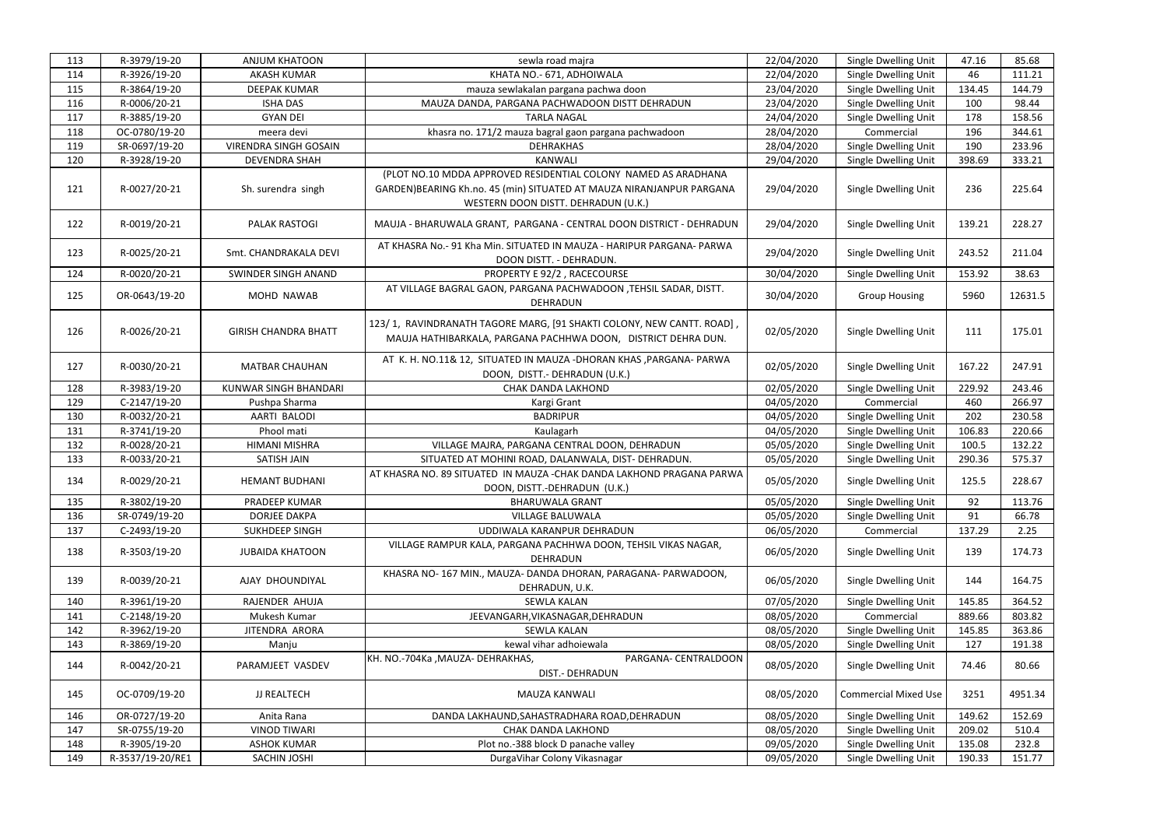| 113 | R-3979/19-20     | <b>ANJUM KHATOON</b>         | sewla road majra                                                                                                                                                              | 22/04/2020 | Single Dwelling Unit        | 47.16  | 85.68   |
|-----|------------------|------------------------------|-------------------------------------------------------------------------------------------------------------------------------------------------------------------------------|------------|-----------------------------|--------|---------|
| 114 | R-3926/19-20     | <b>AKASH KUMAR</b>           | KHATA NO.- 671, ADHOIWALA                                                                                                                                                     | 22/04/2020 | Single Dwelling Unit        | 46     | 111.21  |
| 115 | R-3864/19-20     | <b>DEEPAK KUMAR</b>          | mauza sewlakalan pargana pachwa doon                                                                                                                                          | 23/04/2020 | Single Dwelling Unit        | 134.45 | 144.79  |
| 116 | R-0006/20-21     | <b>ISHA DAS</b>              | MAUZA DANDA, PARGANA PACHWADOON DISTT DEHRADUN                                                                                                                                | 23/04/2020 | Single Dwelling Unit        | 100    | 98.44   |
| 117 | R-3885/19-20     | <b>GYAN DEI</b>              | <b>TARLA NAGAL</b>                                                                                                                                                            | 24/04/2020 | Single Dwelling Unit        | 178    | 158.56  |
| 118 | OC-0780/19-20    | meera devi                   | khasra no. 171/2 mauza bagral gaon pargana pachwadoon                                                                                                                         | 28/04/2020 | Commercial                  | 196    | 344.61  |
| 119 | SR-0697/19-20    | <b>VIRENDRA SINGH GOSAIN</b> | <b>DEHRAKHAS</b>                                                                                                                                                              | 28/04/2020 | Single Dwelling Unit        | 190    | 233.96  |
| 120 | R-3928/19-20     | <b>DEVENDRA SHAH</b>         | KANWALI                                                                                                                                                                       | 29/04/2020 | Single Dwelling Unit        | 398.69 | 333.21  |
| 121 | R-0027/20-21     | Sh. surendra singh           | (PLOT NO.10 MDDA APPROVED RESIDENTIAL COLONY NAMED AS ARADHANA<br>GARDEN)BEARING Kh.no. 45 (min) SITUATED AT MAUZA NIRANJANPUR PARGANA<br>WESTERN DOON DISTT. DEHRADUN (U.K.) | 29/04/2020 | Single Dwelling Unit        | 236    | 225.64  |
| 122 | R-0019/20-21     | PALAK RASTOGI                | MAUJA - BHARUWALA GRANT, PARGANA - CENTRAL DOON DISTRICT - DEHRADUN                                                                                                           | 29/04/2020 | Single Dwelling Unit        | 139.21 | 228.27  |
| 123 | R-0025/20-21     | Smt. CHANDRAKALA DEVI        | AT KHASRA No.- 91 Kha Min. SITUATED IN MAUZA - HARIPUR PARGANA- PARWA<br>DOON DISTT. - DEHRADUN.                                                                              | 29/04/2020 | Single Dwelling Unit        | 243.52 | 211.04  |
| 124 | R-0020/20-21     | SWINDER SINGH ANAND          | PROPERTY E 92/2, RACECOURSE                                                                                                                                                   | 30/04/2020 | Single Dwelling Unit        | 153.92 | 38.63   |
| 125 | OR-0643/19-20    | MOHD NAWAB                   | AT VILLAGE BAGRAL GAON, PARGANA PACHWADOON , TEHSIL SADAR, DISTT.<br>DEHRADUN                                                                                                 | 30/04/2020 | <b>Group Housing</b>        | 5960   | 12631.5 |
| 126 | R-0026/20-21     | <b>GIRISH CHANDRA BHATT</b>  | 123/1, RAVINDRANATH TAGORE MARG, [91 SHAKTI COLONY, NEW CANTT. ROAD],<br>MAUJA HATHIBARKALA, PARGANA PACHHWA DOON, DISTRICT DEHRA DUN.                                        | 02/05/2020 | Single Dwelling Unit        | 111    | 175.01  |
| 127 | R-0030/20-21     | <b>MATBAR CHAUHAN</b>        | AT K. H. NO.11& 12, SITUATED IN MAUZA-DHORAN KHAS, PARGANA- PARWA<br>DOON, DISTT.- DEHRADUN (U.K.)                                                                            | 02/05/2020 | Single Dwelling Unit        | 167.22 | 247.91  |
| 128 | R-3983/19-20     | <b>KUNWAR SINGH BHANDARI</b> | <b>CHAK DANDA LAKHOND</b>                                                                                                                                                     | 02/05/2020 | Single Dwelling Unit        | 229.92 | 243.46  |
| 129 | C-2147/19-20     | Pushpa Sharma                | Kargi Grant                                                                                                                                                                   | 04/05/2020 | Commercial                  | 460    | 266.97  |
| 130 | R-0032/20-21     | AARTI BALODI                 | <b>BADRIPUR</b>                                                                                                                                                               | 04/05/2020 | Single Dwelling Unit        | 202    | 230.58  |
| 131 | R-3741/19-20     | Phool mati                   | Kaulagarh                                                                                                                                                                     | 04/05/2020 | Single Dwelling Unit        | 106.83 | 220.66  |
| 132 | R-0028/20-21     | <b>HIMANI MISHRA</b>         | VILLAGE MAJRA, PARGANA CENTRAL DOON, DEHRADUN                                                                                                                                 | 05/05/2020 | Single Dwelling Unit        | 100.5  | 132.22  |
| 133 | R-0033/20-21     | SATISH JAIN                  | SITUATED AT MOHINI ROAD, DALANWALA, DIST- DEHRADUN.                                                                                                                           | 05/05/2020 | Single Dwelling Unit        | 290.36 | 575.37  |
| 134 | R-0029/20-21     | <b>HEMANT BUDHANI</b>        | AT KHASRA NO. 89 SITUATED IN MAUZA -CHAK DANDA LAKHOND PRAGANA PARWA<br>DOON, DISTT.-DEHRADUN (U.K.)                                                                          | 05/05/2020 | Single Dwelling Unit        | 125.5  | 228.67  |
| 135 | R-3802/19-20     | PRADEEP KUMAR                | <b>BHARUWALA GRANT</b>                                                                                                                                                        | 05/05/2020 | Single Dwelling Unit        | 92     | 113.76  |
| 136 | SR-0749/19-20    | <b>DORJEE DAKPA</b>          | VILLAGE BALUWALA                                                                                                                                                              | 05/05/2020 | Single Dwelling Unit        | 91     | 66.78   |
| 137 | C-2493/19-20     | SUKHDEEP SINGH               | UDDIWALA KARANPUR DEHRADUN                                                                                                                                                    | 06/05/2020 | Commercial                  | 137.29 | 2.25    |
| 138 | R-3503/19-20     | <b>JUBAIDA KHATOON</b>       | VILLAGE RAMPUR KALA, PARGANA PACHHWA DOON, TEHSIL VIKAS NAGAR,<br>DEHRADUN                                                                                                    | 06/05/2020 | Single Dwelling Unit        | 139    | 174.73  |
| 139 | R-0039/20-21     | AJAY DHOUNDIYAL              | KHASRA NO-167 MIN., MAUZA-DANDA DHORAN, PARAGANA-PARWADOON,<br>DEHRADUN, U.K.                                                                                                 | 06/05/2020 | Single Dwelling Unit        | 144    | 164.75  |
| 140 | R-3961/19-20     | RAJENDER AHUJA               | <b>SEWLA KALAN</b>                                                                                                                                                            | 07/05/2020 | Single Dwelling Unit        | 145.85 | 364.52  |
| 141 | C-2148/19-20     | Mukesh Kumar                 | JEEVANGARH, VIKASNAGAR, DEHRADUN                                                                                                                                              | 08/05/2020 | Commercial                  | 889.66 | 803.82  |
| 142 | R-3962/19-20     | JITENDRA ARORA               | SEWLA KALAN                                                                                                                                                                   | 08/05/2020 | Single Dwelling Unit        | 145.85 | 363.86  |
| 143 | R-3869/19-20     | Manju                        | kewal vihar adhoiewala                                                                                                                                                        | 08/05/2020 | Single Dwelling Unit        | 127    | 191.38  |
| 144 | R-0042/20-21     | PARAMJEET VASDEV             | KH. NO.-704Ka , MAUZA- DEHRAKHAS,<br>PARGANA- CENTRALDOON<br>DIST.- DEHRADUN                                                                                                  | 08/05/2020 | Single Dwelling Unit        | 74.46  | 80.66   |
| 145 | OC-0709/19-20    | <b>JJ REALTECH</b>           | MAUZA KANWALI                                                                                                                                                                 | 08/05/2020 | <b>Commercial Mixed Use</b> | 3251   | 4951.34 |
| 146 | OR-0727/19-20    | Anita Rana                   | DANDA LAKHAUND, SAHASTRADHARA ROAD, DEHRADUN                                                                                                                                  | 08/05/2020 | Single Dwelling Unit        | 149.62 | 152.69  |
| 147 | SR-0755/19-20    | <b>VINOD TIWARI</b>          | CHAK DANDA LAKHOND                                                                                                                                                            | 08/05/2020 | Single Dwelling Unit        | 209.02 | 510.4   |
| 148 | R-3905/19-20     | <b>ASHOK KUMAR</b>           | Plot no.-388 block D panache valley                                                                                                                                           | 09/05/2020 | Single Dwelling Unit        | 135.08 | 232.8   |
| 149 | R-3537/19-20/RE1 | SACHIN JOSHI                 | DurgaVihar Colony Vikasnagar                                                                                                                                                  | 09/05/2020 | Single Dwelling Unit        | 190.33 | 151.77  |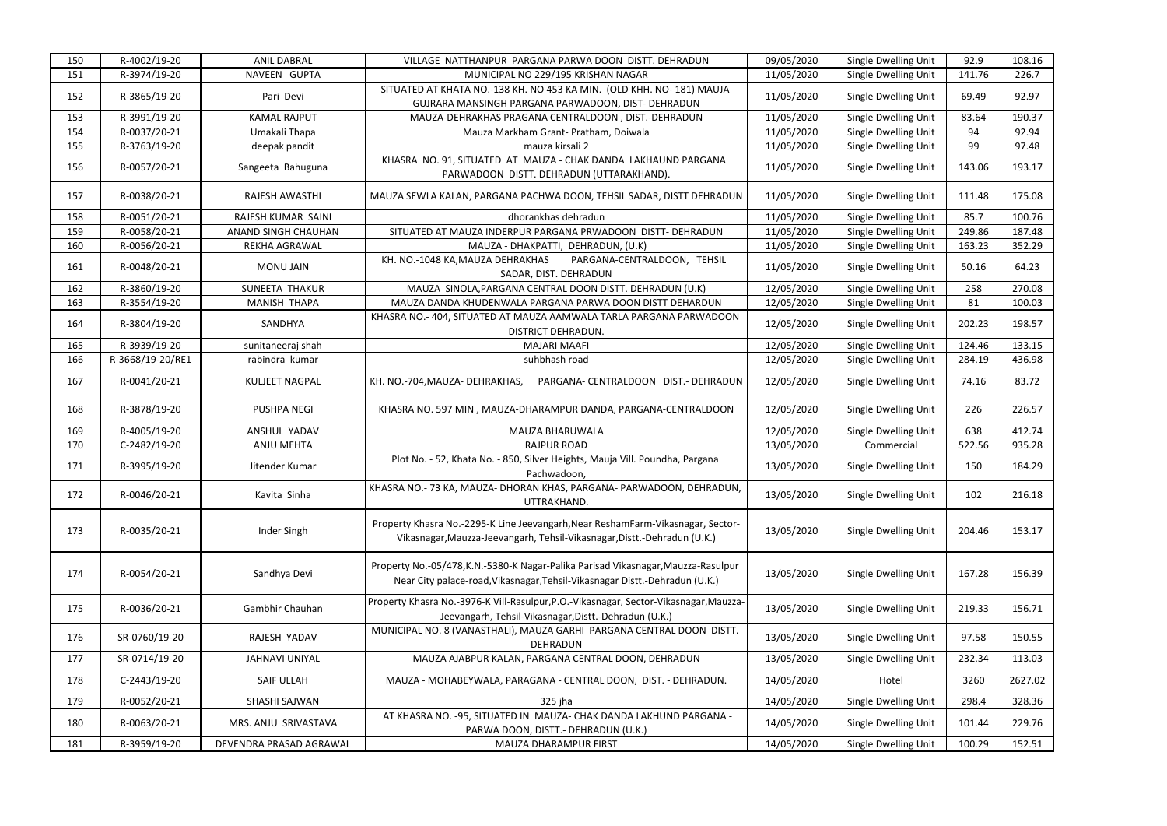| 150 | R-4002/19-20     | <b>ANIL DABRAL</b>      | VILLAGE NATTHANPUR PARGANA PARWA DOON DISTT. DEHRADUN                                                                                                            | 09/05/2020 | Single Dwelling Unit | 92.9   | 108.16  |
|-----|------------------|-------------------------|------------------------------------------------------------------------------------------------------------------------------------------------------------------|------------|----------------------|--------|---------|
| 151 | R-3974/19-20     | NAVEEN GUPTA            | MUNICIPAL NO 229/195 KRISHAN NAGAR                                                                                                                               | 11/05/2020 | Single Dwelling Unit | 141.76 | 226.7   |
| 152 | R-3865/19-20     | Pari Devi               | SITUATED AT KHATA NO.-138 KH. NO 453 KA MIN. (OLD KHH. NO-181) MAUJA<br>GUJRARA MANSINGH PARGANA PARWADOON, DIST- DEHRADUN                                       | 11/05/2020 | Single Dwelling Unit | 69.49  | 92.97   |
| 153 | R-3991/19-20     | <b>KAMAL RAJPUT</b>     | MAUZA-DEHRAKHAS PRAGANA CENTRALDOON, DIST.-DEHRADUN                                                                                                              | 11/05/2020 | Single Dwelling Unit | 83.64  | 190.37  |
| 154 | R-0037/20-21     | Umakali Thapa           | Mauza Markham Grant- Pratham, Doiwala                                                                                                                            | 11/05/2020 | Single Dwelling Unit | 94     | 92.94   |
| 155 | R-3763/19-20     | deepak pandit           | mauza kirsali 2                                                                                                                                                  | 11/05/2020 | Single Dwelling Unit | 99     | 97.48   |
| 156 | R-0057/20-21     | Sangeeta Bahuguna       | KHASRA NO. 91, SITUATED AT MAUZA - CHAK DANDA LAKHAUND PARGANA<br>PARWADOON DISTT. DEHRADUN (UTTARAKHAND).                                                       | 11/05/2020 | Single Dwelling Unit | 143.06 | 193.17  |
| 157 | R-0038/20-21     | <b>RAJESH AWASTHI</b>   | MAUZA SEWLA KALAN, PARGANA PACHWA DOON, TEHSIL SADAR, DISTT DEHRADUN                                                                                             | 11/05/2020 | Single Dwelling Unit | 111.48 | 175.08  |
| 158 | R-0051/20-21     | RAJESH KUMAR SAINI      | dhorankhas dehradun                                                                                                                                              | 11/05/2020 | Single Dwelling Unit | 85.7   | 100.76  |
| 159 | R-0058/20-21     | ANAND SINGH CHAUHAN     | SITUATED AT MAUZA INDERPUR PARGANA PRWADOON DISTT- DEHRADUN                                                                                                      | 11/05/2020 | Single Dwelling Unit | 249.86 | 187.48  |
| 160 | R-0056/20-21     | REKHA AGRAWAL           | MAUZA - DHAKPATTI, DEHRADUN, (U.K)                                                                                                                               | 11/05/2020 | Single Dwelling Unit | 163.23 | 352.29  |
| 161 | R-0048/20-21     | <b>MONU JAIN</b>        | KH. NO.-1048 KA, MAUZA DEHRAKHAS<br>PARGANA-CENTRALDOON, TEHSIL<br>SADAR, DIST. DEHRADUN                                                                         | 11/05/2020 | Single Dwelling Unit | 50.16  | 64.23   |
| 162 | R-3860/19-20     | SUNEETA THAKUR          | MAUZA SINOLA, PARGANA CENTRAL DOON DISTT. DEHRADUN (U.K)                                                                                                         | 12/05/2020 | Single Dwelling Unit | 258    | 270.08  |
| 163 | R-3554/19-20     | <b>MANISH THAPA</b>     | MAUZA DANDA KHUDENWALA PARGANA PARWA DOON DISTT DEHARDUN                                                                                                         | 12/05/2020 | Single Dwelling Unit | 81     | 100.03  |
| 164 | R-3804/19-20     | SANDHYA                 | KHASRA NO.- 404, SITUATED AT MAUZA AAMWALA TARLA PARGANA PARWADOON<br><b>DISTRICT DEHRADUN.</b>                                                                  | 12/05/2020 | Single Dwelling Unit | 202.23 | 198.57  |
| 165 | R-3939/19-20     | sunitaneeraj shah       | <b>MAJARI MAAFI</b>                                                                                                                                              | 12/05/2020 | Single Dwelling Unit | 124.46 | 133.15  |
| 166 | R-3668/19-20/RE1 | rabindra kumar          | suhbhash road                                                                                                                                                    | 12/05/2020 | Single Dwelling Unit | 284.19 | 436.98  |
| 167 | R-0041/20-21     | <b>KULJEET NAGPAL</b>   | KH. NO.-704, MAUZA- DEHRAKHAS,<br>PARGANA- CENTRALDOON DIST.- DEHRADUN                                                                                           | 12/05/2020 | Single Dwelling Unit | 74.16  | 83.72   |
| 168 | R-3878/19-20     | <b>PUSHPA NEGI</b>      | KHASRA NO. 597 MIN, MAUZA-DHARAMPUR DANDA, PARGANA-CENTRALDOON                                                                                                   | 12/05/2020 | Single Dwelling Unit | 226    | 226.57  |
| 169 | R-4005/19-20     | ANSHUL YADAV            | MAUZA BHARUWALA                                                                                                                                                  | 12/05/2020 | Single Dwelling Unit | 638    | 412.74  |
| 170 | C-2482/19-20     | ANJU MEHTA              | <b>RAJPUR ROAD</b>                                                                                                                                               | 13/05/2020 | Commercial           | 522.56 | 935.28  |
| 171 | R-3995/19-20     | Jitender Kumar          | Plot No. - 52, Khata No. - 850, Silver Heights, Mauja Vill. Poundha, Pargana<br>Pachwadoon,                                                                      | 13/05/2020 | Single Dwelling Unit | 150    | 184.29  |
| 172 | R-0046/20-21     | Kavita Sinha            | KHASRA NO.- 73 KA, MAUZA- DHORAN KHAS, PARGANA- PARWADOON, DEHRADUN,<br>UTTRAKHAND.                                                                              | 13/05/2020 | Single Dwelling Unit | 102    | 216.18  |
| 173 | R-0035/20-21     | Inder Singh             | Property Khasra No.-2295-K Line Jeevangarh, Near ReshamFarm-Vikasnagar, Sector-<br>Vikasnagar, Mauzza-Jeevangarh, Tehsil-Vikasnagar, Distt.-Dehradun (U.K.)      | 13/05/2020 | Single Dwelling Unit | 204.46 | 153.17  |
| 174 | R-0054/20-21     | Sandhya Devi            | Property No.-05/478, K.N.-5380-K Nagar-Palika Parisad Vikasnagar, Mauzza-Rasulpur<br>Near City palace-road, Vikasnagar, Tehsil-Vikasnagar Distt.-Dehradun (U.K.) | 13/05/2020 | Single Dwelling Unit | 167.28 | 156.39  |
| 175 | R-0036/20-21     | Gambhir Chauhan         | Property Khasra No.-3976-K Vill-Rasulpur, P.O.-Vikasnagar, Sector-Vikasnagar, Mauzza-<br>Jeevangarh, Tehsil-Vikasnagar, Distt.-Dehradun (U.K.)                   | 13/05/2020 | Single Dwelling Unit | 219.33 | 156.71  |
| 176 | SR-0760/19-20    | RAJESH YADAV            | MUNICIPAL NO. 8 (VANASTHALI), MAUZA GARHI PARGANA CENTRAL DOON DISTT.<br>DEHRADUN                                                                                | 13/05/2020 | Single Dwelling Unit | 97.58  | 150.55  |
| 177 | SR-0714/19-20    | JAHNAVI UNIYAL          | MAUZA AJABPUR KALAN, PARGANA CENTRAL DOON, DEHRADUN                                                                                                              | 13/05/2020 | Single Dwelling Unit | 232.34 | 113.03  |
| 178 | C-2443/19-20     | <b>SAIF ULLAH</b>       | MAUZA - MOHABEYWALA, PARAGANA - CENTRAL DOON, DIST. - DEHRADUN.                                                                                                  | 14/05/2020 | Hotel                | 3260   | 2627.02 |
| 179 | R-0052/20-21     | SHASHI SAJWAN           | 325 jha                                                                                                                                                          | 14/05/2020 | Single Dwelling Unit | 298.4  | 328.36  |
| 180 | R-0063/20-21     | MRS. ANJU SRIVASTAVA    | AT KHASRA NO. - 95, SITUATED IN MAUZA- CHAK DANDA LAKHUND PARGANA -<br>PARWA DOON, DISTT.- DEHRADUN (U.K.)                                                       | 14/05/2020 | Single Dwelling Unit | 101.44 | 229.76  |
| 181 | R-3959/19-20     | DEVENDRA PRASAD AGRAWAL | MAUZA DHARAMPUR FIRST                                                                                                                                            | 14/05/2020 | Single Dwelling Unit | 100.29 | 152.51  |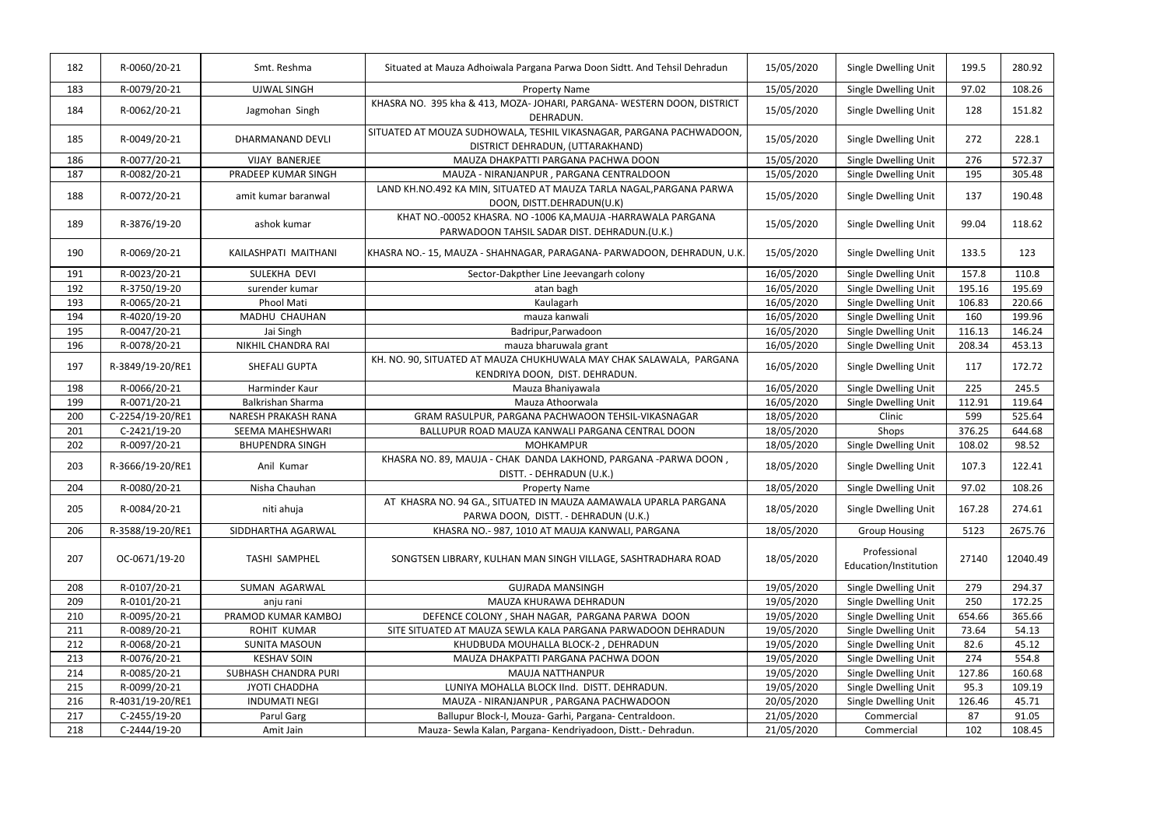| 182 | R-0060/20-21     | Smt. Reshma            | Situated at Mauza Adhoiwala Pargana Parwa Doon Sidtt. And Tehsil Dehradun                                     | 15/05/2020 | Single Dwelling Unit                  | 199.5  | 280.92   |
|-----|------------------|------------------------|---------------------------------------------------------------------------------------------------------------|------------|---------------------------------------|--------|----------|
| 183 | R-0079/20-21     | <b>UJWAL SINGH</b>     | <b>Property Name</b>                                                                                          | 15/05/2020 | Single Dwelling Unit                  | 97.02  | 108.26   |
| 184 | R-0062/20-21     | Jagmohan Singh         | KHASRA NO. 395 kha & 413, MOZA-JOHARI, PARGANA-WESTERN DOON, DISTRICT<br>DEHRADUN.                            | 15/05/2020 | Single Dwelling Unit                  | 128    | 151.82   |
| 185 | R-0049/20-21     | DHARMANAND DEVLI       | SITUATED AT MOUZA SUDHOWALA, TESHIL VIKASNAGAR, PARGANA PACHWADOON,<br>DISTRICT DEHRADUN, (UTTARAKHAND)       | 15/05/2020 | Single Dwelling Unit                  | 272    | 228.1    |
| 186 | R-0077/20-21     | VIJAY BANERJEE         | MAUZA DHAKPATTI PARGANA PACHWA DOON                                                                           | 15/05/2020 | Single Dwelling Unit                  | 276    | 572.37   |
| 187 | R-0082/20-21     | PRADEEP KUMAR SINGH    | MAUZA - NIRANJANPUR, PARGANA CENTRALDOON                                                                      | 15/05/2020 | Single Dwelling Unit                  | 195    | 305.48   |
| 188 | R-0072/20-21     | amit kumar baranwal    | LAND KH.NO.492 KA MIN, SITUATED AT MAUZA TARLA NAGAL, PARGANA PARWA<br>DOON, DISTT.DEHRADUN(U.K)              | 15/05/2020 | Single Dwelling Unit                  | 137    | 190.48   |
| 189 | R-3876/19-20     | ashok kumar            | KHAT NO.-00052 KHASRA. NO -1006 KA, MAUJA - HARRAWALA PARGANA<br>PARWADOON TAHSIL SADAR DIST. DEHRADUN.(U.K.) | 15/05/2020 | Single Dwelling Unit                  | 99.04  | 118.62   |
| 190 | R-0069/20-21     | KAILASHPATI MAITHANI   | KHASRA NO.- 15, MAUZA - SHAHNAGAR, PARAGANA- PARWADOON, DEHRADUN, U.K                                         | 15/05/2020 | Single Dwelling Unit                  | 133.5  | 123      |
| 191 | R-0023/20-21     | SULEKHA DEVI           | Sector-Dakpther Line Jeevangarh colony                                                                        | 16/05/2020 | Single Dwelling Unit                  | 157.8  | 110.8    |
| 192 | R-3750/19-20     | surender kumar         | atan bagh                                                                                                     | 16/05/2020 | Single Dwelling Unit                  | 195.16 | 195.69   |
| 193 | R-0065/20-21     | <b>Phool Mati</b>      | Kaulagarh                                                                                                     | 16/05/2020 | Single Dwelling Unit                  | 106.83 | 220.66   |
| 194 | R-4020/19-20     | MADHU CHAUHAN          | mauza kanwali                                                                                                 | 16/05/2020 | Single Dwelling Unit                  | 160    | 199.96   |
| 195 | R-0047/20-21     | Jai Singh              | Badripur, Parwadoon                                                                                           | 16/05/2020 | Single Dwelling Unit                  | 116.13 | 146.24   |
| 196 | R-0078/20-21     | NIKHIL CHANDRA RAI     | mauza bharuwala grant                                                                                         | 16/05/2020 | Single Dwelling Unit                  | 208.34 | 453.13   |
| 197 | R-3849/19-20/RE1 | SHEFALI GUPTA          | KH. NO. 90, SITUATED AT MAUZA CHUKHUWALA MAY CHAK SALAWALA, PARGANA<br>KENDRIYA DOON, DIST. DEHRADUN.         | 16/05/2020 | Single Dwelling Unit                  | 117    | 172.72   |
| 198 | R-0066/20-21     | Harminder Kaur         | Mauza Bhaniyawala                                                                                             | 16/05/2020 | Single Dwelling Unit                  | 225    | 245.5    |
| 199 | R-0071/20-21     | Balkrishan Sharma      | Mauza Athoorwala                                                                                              | 16/05/2020 | Single Dwelling Unit                  | 112.91 | 119.64   |
| 200 | C-2254/19-20/RE1 | NARESH PRAKASH RANA    | GRAM RASULPUR, PARGANA PACHWAOON TEHSIL-VIKASNAGAR                                                            | 18/05/2020 | Clinic                                | 599    | 525.64   |
| 201 | C-2421/19-20     | SEEMA MAHESHWARI       | BALLUPUR ROAD MAUZA KANWALI PARGANA CENTRAL DOON                                                              | 18/05/2020 | Shops                                 | 376.25 | 644.68   |
| 202 | R-0097/20-21     | <b>BHUPENDRA SINGH</b> | <b>MOHKAMPUR</b>                                                                                              | 18/05/2020 | Single Dwelling Unit                  | 108.02 | 98.52    |
| 203 | R-3666/19-20/RE1 | Anil Kumar             | KHASRA NO. 89, MAUJA - CHAK DANDA LAKHOND, PARGANA -PARWA DOON,<br>DISTT. - DEHRADUN (U.K.)                   | 18/05/2020 | Single Dwelling Unit                  | 107.3  | 122.41   |
| 204 | R-0080/20-21     | Nisha Chauhan          | <b>Property Name</b>                                                                                          | 18/05/2020 | Single Dwelling Unit                  | 97.02  | 108.26   |
| 205 | R-0084/20-21     | niti ahuja             | AT KHASRA NO. 94 GA., SITUATED IN MAUZA AAMAWALA UPARLA PARGANA<br>PARWA DOON, DISTT. - DEHRADUN (U.K.)       | 18/05/2020 | Single Dwelling Unit                  | 167.28 | 274.61   |
| 206 | R-3588/19-20/RE1 | SIDDHARTHA AGARWAL     | KHASRA NO.- 987, 1010 AT MAUJA KANWALI, PARGANA                                                               | 18/05/2020 | <b>Group Housing</b>                  | 5123   | 2675.76  |
| 207 | OC-0671/19-20    | <b>TASHI SAMPHEL</b>   | SONGTSEN LIBRARY, KULHAN MAN SINGH VILLAGE, SASHTRADHARA ROAD                                                 | 18/05/2020 | Professional<br>Education/Institution | 27140  | 12040.49 |
| 208 | R-0107/20-21     | SUMAN AGARWAL          | <b>GUJRADA MANSINGH</b>                                                                                       | 19/05/2020 | Single Dwelling Unit                  | 279    | 294.37   |
| 209 | R-0101/20-21     | anju rani              | MAUZA KHURAWA DEHRADUN                                                                                        | 19/05/2020 | Single Dwelling Unit                  | 250    | 172.25   |
| 210 | R-0095/20-21     | PRAMOD KUMAR KAMBOJ    | DEFENCE COLONY, SHAH NAGAR, PARGANA PARWA DOON                                                                | 19/05/2020 | Single Dwelling Unit                  | 654.66 | 365.66   |
| 211 | R-0089/20-21     | ROHIT KUMAR            | SITE SITUATED AT MAUZA SEWLA KALA PARGANA PARWADOON DEHRADUN                                                  | 19/05/2020 | Single Dwelling Unit                  | 73.64  | 54.13    |
| 212 | R-0068/20-21     | <b>SUNITA MASOUN</b>   | KHUDBUDA MOUHALLA BLOCK-2, DEHRADUN                                                                           | 19/05/2020 | Single Dwelling Unit                  | 82.6   | 45.12    |
| 213 | R-0076/20-21     | <b>KESHAV SOIN</b>     | MAUZA DHAKPATTI PARGANA PACHWA DOON                                                                           | 19/05/2020 | Single Dwelling Unit                  | 274    | 554.8    |
| 214 | R-0085/20-21     | SUBHASH CHANDRA PURI   | <b>MAUJA NATTHANPUR</b>                                                                                       | 19/05/2020 | Single Dwelling Unit                  | 127.86 | 160.68   |
| 215 | R-0099/20-21     | <b>JYOTI CHADDHA</b>   | LUNIYA MOHALLA BLOCK IInd. DISTT. DEHRADUN.                                                                   | 19/05/2020 | Single Dwelling Unit                  | 95.3   | 109.19   |
| 216 | R-4031/19-20/RE1 | <b>INDUMATI NEGI</b>   | MAUZA - NIRANJANPUR, PARGANA PACHWADOON                                                                       | 20/05/2020 | Single Dwelling Unit                  | 126.46 | 45.71    |
| 217 | C-2455/19-20     | Parul Garg             | Ballupur Block-I, Mouza- Garhi, Pargana- Centraldoon.                                                         | 21/05/2020 | Commercial                            | 87     | 91.05    |
| 218 | C-2444/19-20     | Amit Jain              | Mauza- Sewla Kalan, Pargana- Kendriyadoon, Distt.- Dehradun.                                                  | 21/05/2020 | Commercial                            | 102    | 108.45   |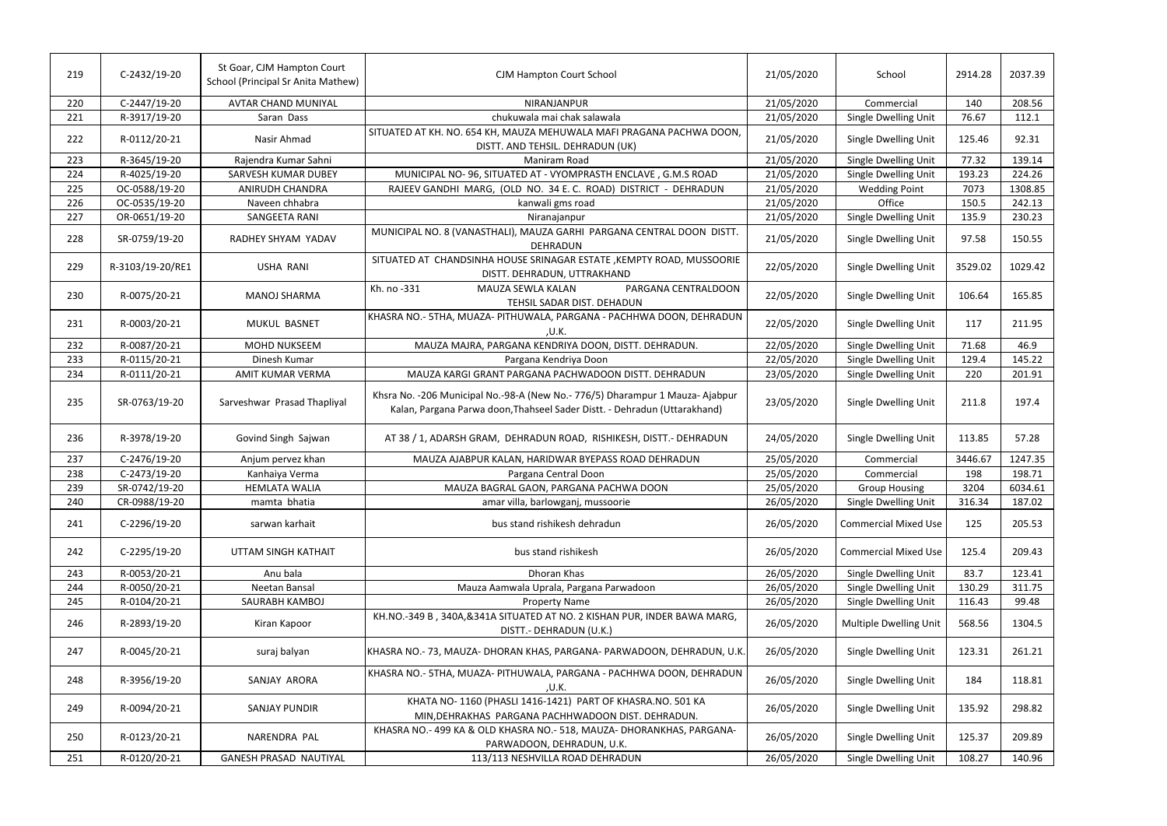| 219 | C-2432/19-20     | St Goar, CJM Hampton Court<br>School (Principal Sr Anita Mathew) | <b>CJM Hampton Court School</b>                                                                                                                           | 21/05/2020 | School                      | 2914.28 | 2037.39 |
|-----|------------------|------------------------------------------------------------------|-----------------------------------------------------------------------------------------------------------------------------------------------------------|------------|-----------------------------|---------|---------|
| 220 | C-2447/19-20     | <b>AVTAR CHAND MUNIYAL</b>                                       | NIRANJANPUR                                                                                                                                               | 21/05/2020 | Commercial                  | 140     | 208.56  |
| 221 | R-3917/19-20     | Saran Dass                                                       | chukuwala mai chak salawala                                                                                                                               | 21/05/2020 | Single Dwelling Unit        | 76.67   | 112.1   |
| 222 | R-0112/20-21     | Nasir Ahmad                                                      | SITUATED AT KH. NO. 654 KH, MAUZA MEHUWALA MAFI PRAGANA PACHWA DOON,<br>DISTT. AND TEHSIL. DEHRADUN (UK)                                                  | 21/05/2020 | Single Dwelling Unit        | 125.46  | 92.31   |
| 223 | R-3645/19-20     | Rajendra Kumar Sahni                                             | Maniram Road                                                                                                                                              | 21/05/2020 | Single Dwelling Unit        | 77.32   | 139.14  |
| 224 | R-4025/19-20     | SARVESH KUMAR DUBEY                                              | MUNICIPAL NO-96, SITUATED AT - VYOMPRASTH ENCLAVE, G.M.S ROAD                                                                                             | 21/05/2020 | Single Dwelling Unit        | 193.23  | 224.26  |
| 225 | OC-0588/19-20    | ANIRUDH CHANDRA                                                  | RAJEEV GANDHI MARG, (OLD NO. 34 E.C. ROAD) DISTRICT - DEHRADUN                                                                                            | 21/05/2020 | <b>Wedding Point</b>        | 7073    | 1308.85 |
| 226 | OC-0535/19-20    | Naveen chhabra                                                   | kanwali gms road                                                                                                                                          | 21/05/2020 | Office                      | 150.5   | 242.13  |
| 227 | OR-0651/19-20    | SANGEETA RANI                                                    | Niranajanpur                                                                                                                                              | 21/05/2020 | Single Dwelling Unit        | 135.9   | 230.23  |
| 228 | SR-0759/19-20    | RADHEY SHYAM YADAV                                               | MUNICIPAL NO. 8 (VANASTHALI), MAUZA GARHI PARGANA CENTRAL DOON DISTT.<br><b>DEHRADUN</b>                                                                  | 21/05/2020 | Single Dwelling Unit        | 97.58   | 150.55  |
| 229 | R-3103/19-20/RE1 | <b>USHA RANI</b>                                                 | SITUATED AT CHANDSINHA HOUSE SRINAGAR ESTATE, KEMPTY ROAD, MUSSOORIE<br>DISTT. DEHRADUN, UTTRAKHAND                                                       | 22/05/2020 | Single Dwelling Unit        | 3529.02 | 1029.42 |
| 230 | R-0075/20-21     | <b>MANOJ SHARMA</b>                                              | Kh. no -331<br>MAUZA SEWLA KALAN<br>PARGANA CENTRALDOON<br>TEHSIL SADAR DIST. DEHADUN                                                                     | 22/05/2020 | <b>Single Dwelling Unit</b> | 106.64  | 165.85  |
| 231 | R-0003/20-21     | MUKUL BASNET                                                     | KHASRA NO.- 5THA, MUAZA- PITHUWALA, PARGANA - PACHHWA DOON, DEHRADUN<br>,U.K.                                                                             | 22/05/2020 | Single Dwelling Unit        | 117     | 211.95  |
| 232 | R-0087/20-21     | <b>MOHD NUKSEEM</b>                                              | MAUZA MAJRA, PARGANA KENDRIYA DOON, DISTT. DEHRADUN.                                                                                                      | 22/05/2020 | Single Dwelling Unit        | 71.68   | 46.9    |
| 233 | R-0115/20-21     | Dinesh Kumar                                                     | Pargana Kendriya Doon                                                                                                                                     | 22/05/2020 | Single Dwelling Unit        | 129.4   | 145.22  |
| 234 | R-0111/20-21     | AMIT KUMAR VERMA                                                 | MAUZA KARGI GRANT PARGANA PACHWADOON DISTT. DEHRADUN                                                                                                      | 23/05/2020 | Single Dwelling Unit        | 220     | 201.91  |
| 235 | SR-0763/19-20    | Sarveshwar Prasad Thapliyal                                      | Khsra No. -206 Municipal No.-98-A (New No.- 776/5) Dharampur 1 Mauza-Ajabpur<br>Kalan, Pargana Parwa doon, Thahseel Sader Distt. - Dehradun (Uttarakhand) | 23/05/2020 | <b>Single Dwelling Unit</b> | 211.8   | 197.4   |
| 236 | R-3978/19-20     | Govind Singh Sajwan                                              | AT 38 / 1, ADARSH GRAM, DEHRADUN ROAD, RISHIKESH, DISTT.- DEHRADUN                                                                                        | 24/05/2020 | Single Dwelling Unit        | 113.85  | 57.28   |
| 237 | C-2476/19-20     | Anjum pervez khan                                                | MAUZA AJABPUR KALAN, HARIDWAR BYEPASS ROAD DEHRADUN                                                                                                       | 25/05/2020 | Commercial                  | 3446.67 | 1247.35 |
| 238 | C-2473/19-20     | Kanhaiya Verma                                                   | Pargana Central Doon                                                                                                                                      | 25/05/2020 | Commercial                  | 198     | 198.71  |
| 239 | SR-0742/19-20    | <b>HEMLATA WALIA</b>                                             | MAUZA BAGRAL GAON, PARGANA PACHWA DOON                                                                                                                    | 25/05/2020 | <b>Group Housing</b>        | 3204    | 6034.61 |
| 240 | CR-0988/19-20    | mamta bhatia                                                     | amar villa, barlowganj, mussoorie                                                                                                                         | 26/05/2020 | Single Dwelling Unit        | 316.34  | 187.02  |
| 241 | C-2296/19-20     | sarwan karhait                                                   | bus stand rishikesh dehradun                                                                                                                              | 26/05/2020 | <b>Commercial Mixed Use</b> | 125     | 205.53  |
| 242 | C-2295/19-20     | UTTAM SINGH KATHAIT                                              | bus stand rishikesh                                                                                                                                       | 26/05/2020 | <b>Commercial Mixed Use</b> | 125.4   | 209.43  |
| 243 | R-0053/20-21     | Anu bala                                                         | Dhoran Khas                                                                                                                                               | 26/05/2020 | Single Dwelling Unit        | 83.7    | 123.41  |
| 244 | R-0050/20-21     | Neetan Bansal                                                    | Mauza Aamwala Uprala, Pargana Parwadoon                                                                                                                   | 26/05/2020 | Single Dwelling Unit        | 130.29  | 311.75  |
| 245 | R-0104/20-21     | SAURABH KAMBOJ                                                   | <b>Property Name</b>                                                                                                                                      | 26/05/2020 | Single Dwelling Unit        | 116.43  | 99.48   |
| 246 | R-2893/19-20     | Kiran Kapoor                                                     | KH.NO.-349 B, 340A, & 341A SITUATED AT NO. 2 KISHAN PUR, INDER BAWA MARG,<br>DISTT.- DEHRADUN (U.K.)                                                      | 26/05/2020 | Multiple Dwelling Unit      | 568.56  | 1304.5  |
| 247 | R-0045/20-21     | suraj balyan                                                     | KHASRA NO.-73, MAUZA- DHORAN KHAS, PARGANA- PARWADOON, DEHRADUN, U.K.                                                                                     | 26/05/2020 | Single Dwelling Unit        | 123.31  | 261.21  |
| 248 | R-3956/19-20     | SANJAY ARORA                                                     | KHASRA NO.- 5THA, MUAZA- PITHUWALA, PARGANA - PACHHWA DOON, DEHRADUN<br>,U.K.                                                                             | 26/05/2020 | Single Dwelling Unit        | 184     | 118.81  |
| 249 | R-0094/20-21     | <b>SANJAY PUNDIR</b>                                             | KHATA NO-1160 (PHASLI 1416-1421) PART OF KHASRA.NO. 501 KA<br>MIN, DEHRAKHAS PARGANA PACHHWADOON DIST. DEHRADUN.                                          | 26/05/2020 | Single Dwelling Unit        | 135.92  | 298.82  |
| 250 | R-0123/20-21     | NARENDRA PAL                                                     | KHASRA NO.- 499 KA & OLD KHASRA NO.- 518, MAUZA- DHORANKHAS, PARGANA-<br>PARWADOON, DEHRADUN, U.K.                                                        | 26/05/2020 | Single Dwelling Unit        | 125.37  | 209.89  |
| 251 | R-0120/20-21     | GANESH PRASAD NAUTIYAL                                           | 113/113 NESHVILLA ROAD DEHRADUN                                                                                                                           | 26/05/2020 | Single Dwelling Unit        | 108.27  | 140.96  |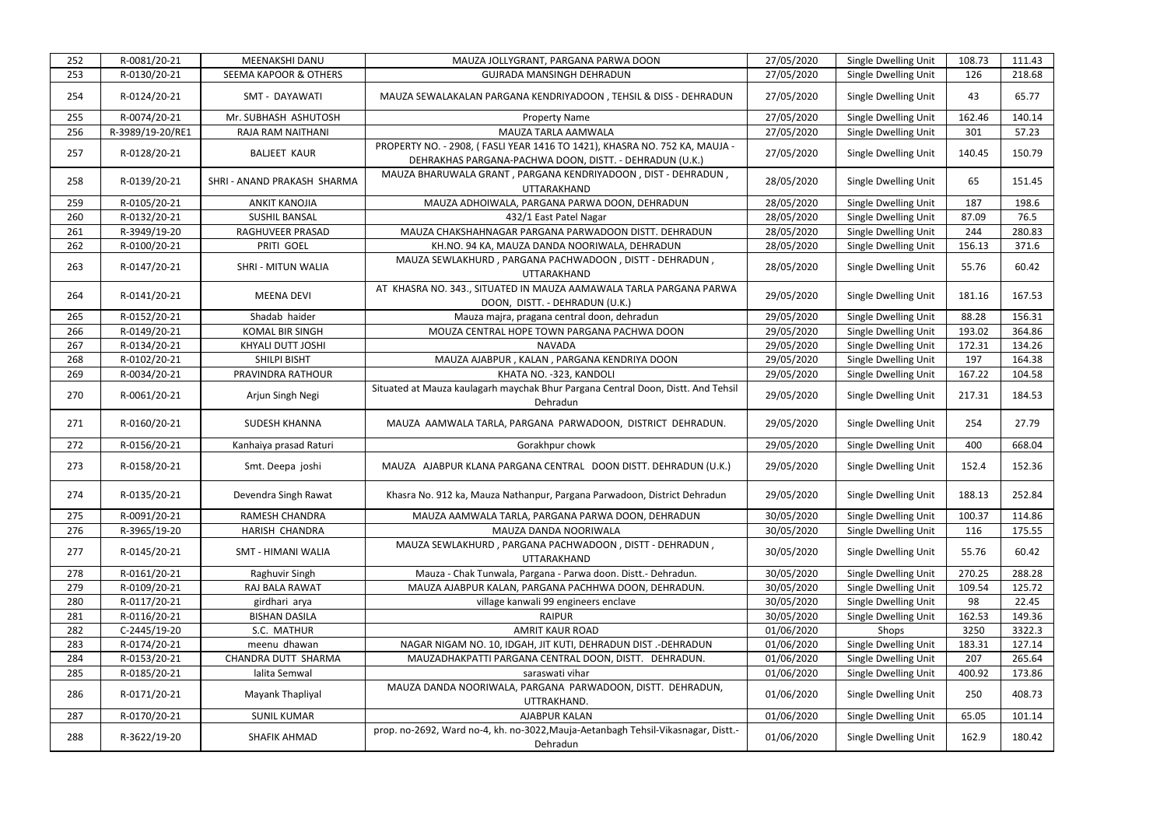| 252 | R-0081/20-21     | MEENAKSHI DANU                   | MAUZA JOLLYGRANT, PARGANA PARWA DOON                                                                                                  | 27/05/2020 | Single Dwelling Unit        | 108.73 | 111.43 |
|-----|------------------|----------------------------------|---------------------------------------------------------------------------------------------------------------------------------------|------------|-----------------------------|--------|--------|
| 253 | R-0130/20-21     | <b>SEEMA KAPOOR &amp; OTHERS</b> | <b>GUJRADA MANSINGH DEHRADUN</b>                                                                                                      | 27/05/2020 | <b>Single Dwelling Unit</b> | 126    | 218.68 |
| 254 | R-0124/20-21     | SMT - DAYAWATI                   | MAUZA SEWALAKALAN PARGANA KENDRIYADOON, TEHSIL & DISS - DEHRADUN                                                                      | 27/05/2020 | Single Dwelling Unit        | 43     | 65.77  |
| 255 | R-0074/20-21     | Mr. SUBHASH ASHUTOSH             | <b>Property Name</b>                                                                                                                  | 27/05/2020 | Single Dwelling Unit        | 162.46 | 140.14 |
| 256 | R-3989/19-20/RE1 | RAJA RAM NAITHANI                | MAUZA TARLA AAMWALA                                                                                                                   | 27/05/2020 | Single Dwelling Unit        | 301    | 57.23  |
| 257 | R-0128/20-21     | <b>BALJEET KAUR</b>              | PROPERTY NO. - 2908, (FASLI YEAR 1416 TO 1421), KHASRA NO. 752 KA, MAUJA -<br>DEHRAKHAS PARGANA-PACHWA DOON, DISTT. - DEHRADUN (U.K.) | 27/05/2020 | Single Dwelling Unit        | 140.45 | 150.79 |
| 258 | R-0139/20-21     | SHRI - ANAND PRAKASH SHARMA      | MAUZA BHARUWALA GRANT, PARGANA KENDRIYADOON, DIST - DEHRADUN,<br>UTTARAKHAND                                                          | 28/05/2020 | Single Dwelling Unit        | 65     | 151.45 |
| 259 | R-0105/20-21     | <b>ANKIT KANOJIA</b>             | MAUZA ADHOIWALA, PARGANA PARWA DOON, DEHRADUN                                                                                         | 28/05/2020 | Single Dwelling Unit        | 187    | 198.6  |
| 260 | R-0132/20-21     | <b>SUSHIL BANSAL</b>             | 432/1 East Patel Nagar                                                                                                                | 28/05/2020 | <b>Single Dwelling Unit</b> | 87.09  | 76.5   |
| 261 | R-3949/19-20     | RAGHUVEER PRASAD                 | MAUZA CHAKSHAHNAGAR PARGANA PARWADOON DISTT. DEHRADUN                                                                                 | 28/05/2020 | Single Dwelling Unit        | 244    | 280.83 |
| 262 | R-0100/20-21     | PRITI GOEL                       | KH.NO. 94 KA, MAUZA DANDA NOORIWALA, DEHRADUN                                                                                         | 28/05/2020 | Single Dwelling Unit        | 156.13 | 371.6  |
| 263 | R-0147/20-21     | <b>SHRI - MITUN WALIA</b>        | MAUZA SEWLAKHURD, PARGANA PACHWADOON, DISTT - DEHRADUN,<br>UTTARAKHAND                                                                | 28/05/2020 | <b>Single Dwelling Unit</b> | 55.76  | 60.42  |
| 264 | R-0141/20-21     | <b>MEENA DEVI</b>                | AT KHASRA NO. 343., SITUATED IN MAUZA AAMAWALA TARLA PARGANA PARWA<br>DOON, DISTT. - DEHRADUN (U.K.)                                  | 29/05/2020 | Single Dwelling Unit        | 181.16 | 167.53 |
| 265 | R-0152/20-21     | Shadab haider                    | Mauza majra, pragana central doon, dehradun                                                                                           | 29/05/2020 | Single Dwelling Unit        | 88.28  | 156.31 |
| 266 | R-0149/20-21     | <b>KOMAL BIR SINGH</b>           | MOUZA CENTRAL HOPE TOWN PARGANA PACHWA DOON                                                                                           | 29/05/2020 | <b>Single Dwelling Unit</b> | 193.02 | 364.86 |
| 267 | R-0134/20-21     | <b>KHYALI DUTT JOSHI</b>         | <b>NAVADA</b>                                                                                                                         | 29/05/2020 | <b>Single Dwelling Unit</b> | 172.31 | 134.26 |
| 268 | R-0102/20-21     | SHILPI BISHT                     | MAUZA AJABPUR, KALAN, PARGANA KENDRIYA DOON                                                                                           | 29/05/2020 | Single Dwelling Unit        | 197    | 164.38 |
| 269 | R-0034/20-21     | PRAVINDRA RATHOUR                | KHATA NO. - 323, KANDOLI                                                                                                              | 29/05/2020 | Single Dwelling Unit        | 167.22 | 104.58 |
| 270 | R-0061/20-21     | Arjun Singh Negi                 | Situated at Mauza kaulagarh maychak Bhur Pargana Central Doon, Distt. And Tehsil<br>Dehradun                                          | 29/05/2020 | <b>Single Dwelling Unit</b> | 217.31 | 184.53 |
| 271 | R-0160/20-21     | <b>SUDESH KHANNA</b>             | MAUZA AAMWALA TARLA, PARGANA PARWADOON, DISTRICT DEHRADUN.                                                                            | 29/05/2020 | Single Dwelling Unit        | 254    | 27.79  |
| 272 | R-0156/20-21     | Kanhaiya prasad Raturi           | Gorakhpur chowk                                                                                                                       | 29/05/2020 | Single Dwelling Unit        | 400    | 668.04 |
| 273 | R-0158/20-21     | Smt. Deepa joshi                 | MAUZA AJABPUR KLANA PARGANA CENTRAL DOON DISTT. DEHRADUN (U.K.)                                                                       | 29/05/2020 | Single Dwelling Unit        | 152.4  | 152.36 |
| 274 | R-0135/20-21     | Devendra Singh Rawat             | Khasra No. 912 ka, Mauza Nathanpur, Pargana Parwadoon, District Dehradun                                                              | 29/05/2020 | Single Dwelling Unit        | 188.13 | 252.84 |
| 275 | R-0091/20-21     | RAMESH CHANDRA                   | MAUZA AAMWALA TARLA, PARGANA PARWA DOON, DEHRADUN                                                                                     | 30/05/2020 | <b>Single Dwelling Unit</b> | 100.37 | 114.86 |
| 276 | R-3965/19-20     | HARISH CHANDRA                   | MAUZA DANDA NOORIWALA                                                                                                                 | 30/05/2020 | Single Dwelling Unit        | 116    | 175.55 |
| 277 | R-0145/20-21     | <b>SMT - HIMANI WALIA</b>        | MAUZA SEWLAKHURD, PARGANA PACHWADOON, DISTT - DEHRADUN,<br>UTTARAKHAND                                                                | 30/05/2020 | Single Dwelling Unit        | 55.76  | 60.42  |
| 278 | R-0161/20-21     | Raghuvir Singh                   | Mauza - Chak Tunwala, Pargana - Parwa doon. Distt.- Dehradun.                                                                         | 30/05/2020 | <b>Single Dwelling Unit</b> | 270.25 | 288.28 |
| 279 | R-0109/20-21     | RAJ BALA RAWAT                   | MAUZA AJABPUR KALAN, PARGANA PACHHWA DOON, DEHRADUN.                                                                                  | 30/05/2020 | <b>Single Dwelling Unit</b> | 109.54 | 125.72 |
| 280 | R-0117/20-21     | girdhari arya                    | village kanwali 99 engineers enclave                                                                                                  | 30/05/2020 | Single Dwelling Unit        | 98     | 22.45  |
| 281 | R-0116/20-21     | <b>BISHAN DASILA</b>             | <b>RAIPUR</b>                                                                                                                         | 30/05/2020 | Single Dwelling Unit        | 162.53 | 149.36 |
| 282 | C-2445/19-20     | S.C. MATHUR                      | <b>AMRIT KAUR ROAD</b>                                                                                                                | 01/06/2020 | Shops                       | 3250   | 3322.3 |
| 283 | R-0174/20-21     | meenu dhawan                     | NAGAR NIGAM NO. 10, IDGAH, JIT KUTI, DEHRADUN DIST.-DEHRADUN                                                                          | 01/06/2020 | Single Dwelling Unit        | 183.31 | 127.14 |
| 284 | R-0153/20-21     | CHANDRA DUTT SHARMA              | MAUZADHAKPATTI PARGANA CENTRAL DOON, DISTT. DEHRADUN.                                                                                 | 01/06/2020 | Single Dwelling Unit        | 207    | 265.64 |
| 285 | R-0185/20-21     | lalita Semwal                    | saraswati vihar                                                                                                                       | 01/06/2020 | Single Dwelling Unit        | 400.92 | 173.86 |
| 286 | R-0171/20-21     | Mayank Thapliyal                 | MAUZA DANDA NOORIWALA, PARGANA PARWADOON, DISTT. DEHRADUN,<br>UTTRAKHAND.                                                             | 01/06/2020 | Single Dwelling Unit        | 250    | 408.73 |
| 287 | R-0170/20-21     | <b>SUNIL KUMAR</b>               | AJABPUR KALAN                                                                                                                         | 01/06/2020 | Single Dwelling Unit        | 65.05  | 101.14 |
| 288 | R-3622/19-20     | SHAFIK AHMAD                     | prop. no-2692, Ward no-4, kh. no-3022, Mauja-Aetanbagh Tehsil-Vikasnagar, Distt.-<br>Dehradun                                         | 01/06/2020 | Single Dwelling Unit        | 162.9  | 180.42 |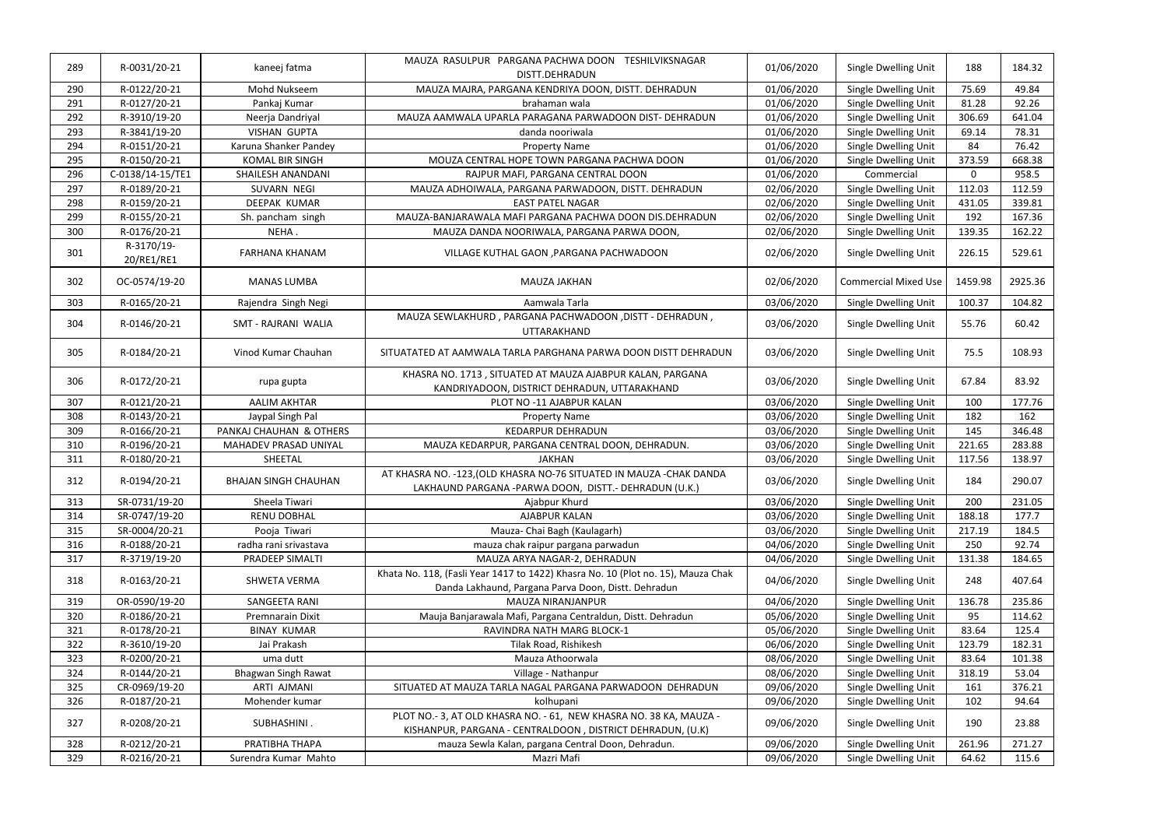| 289 | R-0031/20-21             | kaneej fatma                | MAUZA RASULPUR PARGANA PACHWA DOON TESHILVIKSNAGAR                                                                                      | 01/06/2020 | Single Dwelling Unit        | 188      | 184.32  |
|-----|--------------------------|-----------------------------|-----------------------------------------------------------------------------------------------------------------------------------------|------------|-----------------------------|----------|---------|
|     |                          |                             | DISTT.DEHRADUN                                                                                                                          |            |                             |          |         |
| 290 | R-0122/20-21             | Mohd Nukseem                | MAUZA MAJRA, PARGANA KENDRIYA DOON, DISTT. DEHRADUN                                                                                     | 01/06/2020 | Single Dwelling Unit        | 75.69    | 49.84   |
| 291 | R-0127/20-21             | Pankaj Kumar                | brahaman wala                                                                                                                           | 01/06/2020 | Single Dwelling Unit        | 81.28    | 92.26   |
| 292 | R-3910/19-20             | Neerja Dandriyal            | MAUZA AAMWALA UPARLA PARAGANA PARWADOON DIST- DEHRADUN                                                                                  | 01/06/2020 | Single Dwelling Unit        | 306.69   | 641.04  |
| 293 | R-3841/19-20             | <b>VISHAN GUPTA</b>         | danda nooriwala                                                                                                                         | 01/06/2020 | Single Dwelling Unit        | 69.14    | 78.31   |
| 294 | R-0151/20-21             | Karuna Shanker Pandey       | <b>Property Name</b>                                                                                                                    | 01/06/2020 | Single Dwelling Unit        | 84       | 76.42   |
| 295 | R-0150/20-21             | <b>KOMAL BIR SINGH</b>      | MOUZA CENTRAL HOPE TOWN PARGANA PACHWA DOON                                                                                             | 01/06/2020 | Single Dwelling Unit        | 373.59   | 668.38  |
| 296 | C-0138/14-15/TE1         | SHAILESH ANANDANI           | RAJPUR MAFI, PARGANA CENTRAL DOON                                                                                                       | 01/06/2020 | Commercial                  | $\Omega$ | 958.5   |
| 297 | R-0189/20-21             | SUVARN NEGI                 | MAUZA ADHOIWALA, PARGANA PARWADOON, DISTT. DEHRADUN                                                                                     | 02/06/2020 | Single Dwelling Unit        | 112.03   | 112.59  |
| 298 | R-0159/20-21             | DEEPAK KUMAR                | <b>EAST PATEL NAGAR</b>                                                                                                                 | 02/06/2020 | Single Dwelling Unit        | 431.05   | 339.81  |
| 299 | R-0155/20-21             | Sh. pancham singh           | MAUZA-BANJARAWALA MAFI PARGANA PACHWA DOON DIS.DEHRADUN                                                                                 | 02/06/2020 | Single Dwelling Unit        | 192      | 167.36  |
| 300 | R-0176/20-21             | NEHA.                       | MAUZA DANDA NOORIWALA, PARGANA PARWA DOON,                                                                                              | 02/06/2020 | Single Dwelling Unit        | 139.35   | 162.22  |
| 301 | R-3170/19-<br>20/RE1/RE1 | <b>FARHANA KHANAM</b>       | VILLAGE KUTHAL GAON , PARGANA PACHWADOON                                                                                                | 02/06/2020 | Single Dwelling Unit        | 226.15   | 529.61  |
| 302 | OC-0574/19-20            | <b>MANAS LUMBA</b>          | MAUZA JAKHAN                                                                                                                            | 02/06/2020 | <b>Commercial Mixed Use</b> | 1459.98  | 2925.36 |
| 303 | R-0165/20-21             | Rajendra Singh Negi         | Aamwala Tarla                                                                                                                           | 03/06/2020 | Single Dwelling Unit        | 100.37   | 104.82  |
| 304 | R-0146/20-21             | <b>SMT - RAJRANI WALIA</b>  | MAUZA SEWLAKHURD, PARGANA PACHWADOON, DISTT - DEHRADUN,<br>UTTARAKHAND                                                                  | 03/06/2020 | Single Dwelling Unit        | 55.76    | 60.42   |
| 305 | R-0184/20-21             | Vinod Kumar Chauhan         | SITUATATED AT AAMWALA TARLA PARGHANA PARWA DOON DISTT DEHRADUN                                                                          | 03/06/2020 | Single Dwelling Unit        | 75.5     | 108.93  |
| 306 | R-0172/20-21             | rupa gupta                  | KHASRA NO. 1713, SITUATED AT MAUZA AJABPUR KALAN, PARGANA<br>KANDRIYADOON, DISTRICT DEHRADUN, UTTARAKHAND                               | 03/06/2020 | Single Dwelling Unit        | 67.84    | 83.92   |
| 307 | R-0121/20-21             | <b>AALIM AKHTAR</b>         | PLOT NO -11 AJABPUR KALAN                                                                                                               | 03/06/2020 | Single Dwelling Unit        | 100      | 177.76  |
| 308 | R-0143/20-21             | Jaypal Singh Pal            | <b>Property Name</b>                                                                                                                    | 03/06/2020 | Single Dwelling Unit        | 182      | 162     |
| 309 | R-0166/20-21             | PANKAJ CHAUHAN & OTHERS     | <b>KEDARPUR DEHRADUN</b>                                                                                                                | 03/06/2020 | Single Dwelling Unit        | 145      | 346.48  |
| 310 | R-0196/20-21             | MAHADEV PRASAD UNIYAL       | MAUZA KEDARPUR, PARGANA CENTRAL DOON, DEHRADUN.                                                                                         | 03/06/2020 | Single Dwelling Unit        | 221.65   | 283.88  |
| 311 | R-0180/20-21             | SHEETAL                     | <b>JAKHAN</b>                                                                                                                           | 03/06/2020 | Single Dwelling Unit        | 117.56   | 138.97  |
| 312 | R-0194/20-21             | <b>BHAJAN SINGH CHAUHAN</b> | AT KHASRA NO. - 123, (OLD KHASRA NO-76 SITUATED IN MAUZA - CHAK DANDA<br>LAKHAUND PARGANA -PARWA DOON, DISTT.- DEHRADUN (U.K.)          | 03/06/2020 | Single Dwelling Unit        | 184      | 290.07  |
| 313 | SR-0731/19-20            | Sheela Tiwari               | Ajabpur Khurd                                                                                                                           | 03/06/2020 | Single Dwelling Unit        | 200      | 231.05  |
| 314 | SR-0747/19-20            | <b>RENU DOBHAL</b>          | AJABPUR KALAN                                                                                                                           | 03/06/2020 | Single Dwelling Unit        | 188.18   | 177.7   |
| 315 | SR-0004/20-21            | Pooja Tiwari                | Mauza- Chai Bagh (Kaulagarh)                                                                                                            | 03/06/2020 | Single Dwelling Unit        | 217.19   | 184.5   |
| 316 | R-0188/20-21             | radha rani srivastava       | mauza chak raipur pargana parwadun                                                                                                      | 04/06/2020 | Single Dwelling Unit        | 250      | 92.74   |
| 317 | R-3719/19-20             | PRADEEP SIMALTI             | MAUZA ARYA NAGAR-2, DEHRADUN                                                                                                            | 04/06/2020 | Single Dwelling Unit        | 131.38   | 184.65  |
| 318 | R-0163/20-21             | <b>SHWETA VERMA</b>         | Khata No. 118, (Fasli Year 1417 to 1422) Khasra No. 10 (Plot no. 15), Mauza Chak<br>Danda Lakhaund, Pargana Parva Doon, Distt. Dehradun | 04/06/2020 | Single Dwelling Unit        | 248      | 407.64  |
| 319 | OR-0590/19-20            | <b>SANGEETA RANI</b>        | MAUZA NIRANJANPUR                                                                                                                       | 04/06/2020 | Single Dwelling Unit        | 136.78   | 235.86  |
| 320 | R-0186/20-21             | Premnarain Dixit            | Mauja Banjarawala Mafi, Pargana Centraldun, Distt. Dehradun                                                                             | 05/06/2020 | Single Dwelling Unit        | 95       | 114.62  |
| 321 | R-0178/20-21             | <b>BINAY KUMAR</b>          | RAVINDRA NATH MARG BLOCK-1                                                                                                              | 05/06/2020 | Single Dwelling Unit        | 83.64    | 125.4   |
| 322 | R-3610/19-20             | Jai Prakash                 | Tilak Road, Rishikesh                                                                                                                   | 06/06/2020 | Single Dwelling Unit        | 123.79   | 182.31  |
| 323 | R-0200/20-21             | uma dutt                    | Mauza Athoorwala                                                                                                                        | 08/06/2020 | Single Dwelling Unit        | 83.64    | 101.38  |
| 324 | R-0144/20-21             | Bhagwan Singh Rawat         | Village - Nathanpur                                                                                                                     | 08/06/2020 | Single Dwelling Unit        | 318.19   | 53.04   |
| 325 | CR-0969/19-20            | ARTI AJMANI                 | SITUATED AT MAUZA TARLA NAGAL PARGANA PARWADOON DEHRADUN                                                                                | 09/06/2020 | Single Dwelling Unit        | 161      | 376.21  |
| 326 | R-0187/20-21             | Mohender kumar              | kolhupani                                                                                                                               | 09/06/2020 | Single Dwelling Unit        | 102      | 94.64   |
| 327 | R-0208/20-21             | SUBHASHINI.                 | PLOT NO.-3, AT OLD KHASRA NO. - 61, NEW KHASRA NO. 38 KA, MAUZA -<br>KISHANPUR, PARGANA - CENTRALDOON, DISTRICT DEHRADUN, (U.K)         | 09/06/2020 | Single Dwelling Unit        | 190      | 23.88   |
| 328 | R-0212/20-21             | PRATIBHA THAPA              | mauza Sewla Kalan, pargana Central Doon, Dehradun.                                                                                      | 09/06/2020 | Single Dwelling Unit        | 261.96   | 271.27  |
| 329 | R-0216/20-21             | Surendra Kumar Mahto        | Mazri Mafi                                                                                                                              | 09/06/2020 | Single Dwelling Unit        | 64.62    | 115.6   |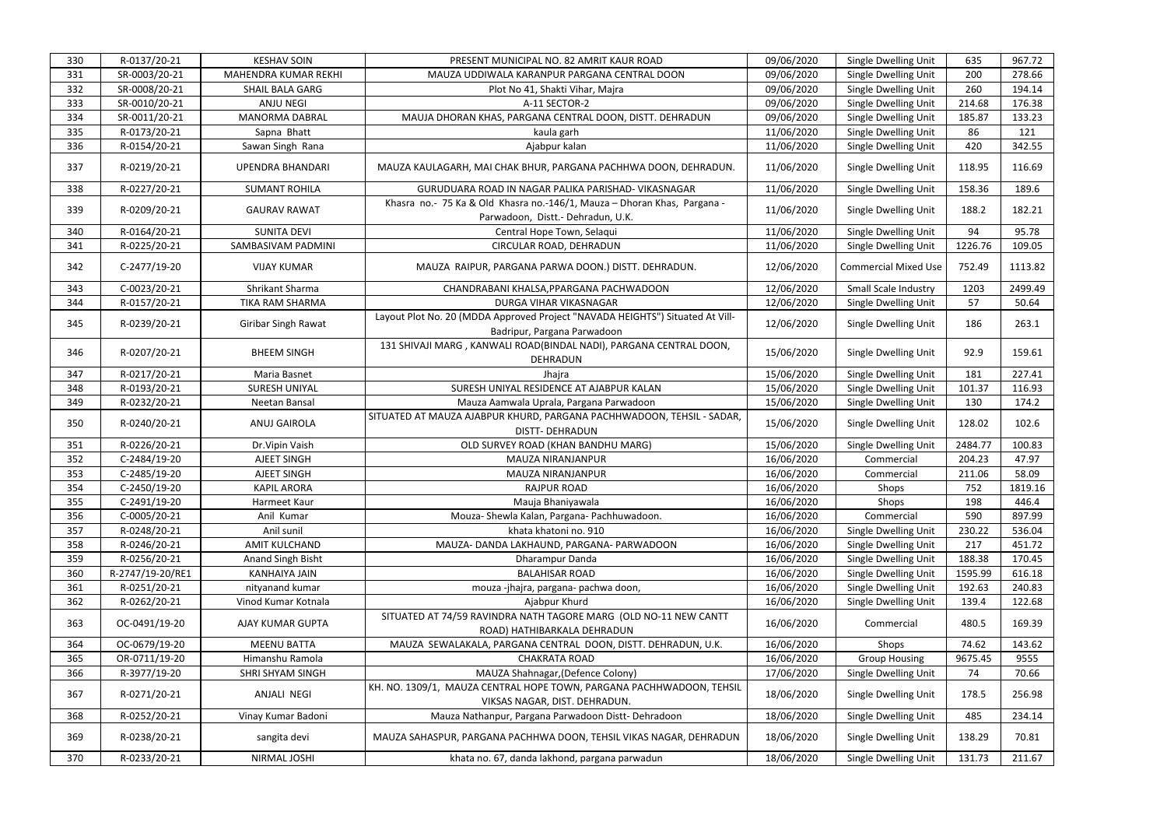| 330 | R-0137/20-21     | <b>KESHAV SOIN</b>         | PRESENT MUNICIPAL NO. 82 AMRIT KAUR ROAD                                                                      | 09/06/2020 | Single Dwelling Unit        | 635     | 967.72  |
|-----|------------------|----------------------------|---------------------------------------------------------------------------------------------------------------|------------|-----------------------------|---------|---------|
| 331 | SR-0003/20-21    | MAHENDRA KUMAR REKHI       | MAUZA UDDIWALA KARANPUR PARGANA CENTRAL DOON                                                                  | 09/06/2020 | Single Dwelling Unit        | 200     | 278.66  |
| 332 | SR-0008/20-21    | SHAIL BALA GARG            | Plot No 41, Shakti Vihar, Majra                                                                               | 09/06/2020 | Single Dwelling Unit        | 260     | 194.14  |
| 333 | SR-0010/20-21    | <b>ANJU NEGI</b>           | A-11 SECTOR-2                                                                                                 | 09/06/2020 | Single Dwelling Unit        | 214.68  | 176.38  |
| 334 | SR-0011/20-21    | <b>MANORMA DABRAL</b>      | MAUJA DHORAN KHAS, PARGANA CENTRAL DOON, DISTT. DEHRADUN                                                      | 09/06/2020 | Single Dwelling Unit        | 185.87  | 133.23  |
| 335 | R-0173/20-21     | Sapna Bhatt                | kaula garh                                                                                                    | 11/06/2020 | Single Dwelling Unit        | 86      | 121     |
| 336 | R-0154/20-21     | Sawan Singh Rana           | Ajabpur kalan                                                                                                 | 11/06/2020 | Single Dwelling Unit        | 420     | 342.55  |
| 337 | R-0219/20-21     | <b>UPENDRA BHANDARI</b>    | MAUZA KAULAGARH, MAI CHAK BHUR, PARGANA PACHHWA DOON, DEHRADUN.                                               | 11/06/2020 | Single Dwelling Unit        | 118.95  | 116.69  |
| 338 | R-0227/20-21     | <b>SUMANT ROHILA</b>       | GURUDUARA ROAD IN NAGAR PALIKA PARISHAD- VIKASNAGAR                                                           | 11/06/2020 | Single Dwelling Unit        | 158.36  | 189.6   |
| 339 | R-0209/20-21     | <b>GAURAV RAWAT</b>        | Khasra no.- 75 Ka & Old Khasra no.-146/1, Mauza - Dhoran Khas, Pargana -<br>Parwadoon, Distt.- Dehradun, U.K. | 11/06/2020 | Single Dwelling Unit        | 188.2   | 182.21  |
| 340 | R-0164/20-21     | <b>SUNITA DEVI</b>         | Central Hope Town, Selaqui                                                                                    | 11/06/2020 | Single Dwelling Unit        | 94      | 95.78   |
| 341 | R-0225/20-21     | SAMBASIVAM PADMINI         | CIRCULAR ROAD, DEHRADUN                                                                                       | 11/06/2020 | Single Dwelling Unit        | 1226.76 | 109.05  |
| 342 | C-2477/19-20     | <b>VIJAY KUMAR</b>         | MAUZA RAIPUR, PARGANA PARWA DOON.) DISTT. DEHRADUN.                                                           | 12/06/2020 | <b>Commercial Mixed Use</b> | 752.49  | 1113.82 |
| 343 | C-0023/20-21     | Shrikant Sharma            | CHANDRABANI KHALSA, PPARGANA PACHWADOON                                                                       | 12/06/2020 | Small Scale Industry        | 1203    | 2499.49 |
| 344 | R-0157/20-21     | <b>TIKA RAM SHARMA</b>     | DURGA VIHAR VIKASNAGAR                                                                                        | 12/06/2020 | Single Dwelling Unit        | 57      | 50.64   |
| 345 | R-0239/20-21     | <b>Giribar Singh Rawat</b> | Layout Plot No. 20 (MDDA Approved Project "NAVADA HEIGHTS") Situated At Vill-<br>Badripur, Pargana Parwadoon  | 12/06/2020 | Single Dwelling Unit        | 186     | 263.1   |
| 346 | R-0207/20-21     | <b>BHEEM SINGH</b>         | 131 SHIVAJI MARG, KANWALI ROAD(BINDAL NADI), PARGANA CENTRAL DOON,<br><b>DEHRADUN</b>                         | 15/06/2020 | Single Dwelling Unit        | 92.9    | 159.61  |
| 347 | R-0217/20-21     | Maria Basnet               | Jhajra                                                                                                        | 15/06/2020 | Single Dwelling Unit        | 181     | 227.41  |
| 348 | R-0193/20-21     | <b>SURESH UNIYAL</b>       | SURESH UNIYAL RESIDENCE AT AJABPUR KALAN                                                                      | 15/06/2020 | Single Dwelling Unit        | 101.37  | 116.93  |
| 349 | R-0232/20-21     | Neetan Bansal              | Mauza Aamwala Uprala, Pargana Parwadoon                                                                       | 15/06/2020 | Single Dwelling Unit        | 130     | 174.2   |
| 350 | R-0240/20-21     | <b>ANUJ GAIROLA</b>        | SITUATED AT MAUZA AJABPUR KHURD, PARGANA PACHHWADOON, TEHSIL - SADAR,<br><b>DISTT- DEHRADUN</b>               | 15/06/2020 | Single Dwelling Unit        | 128.02  | 102.6   |
| 351 | R-0226/20-21     | Dr. Vipin Vaish            | OLD SURVEY ROAD (KHAN BANDHU MARG)                                                                            | 15/06/2020 | Single Dwelling Unit        | 2484.77 | 100.83  |
| 352 | C-2484/19-20     | <b>AJEET SINGH</b>         | MAUZA NIRANJANPUR                                                                                             | 16/06/2020 | Commercial                  | 204.23  | 47.97   |
| 353 | C-2485/19-20     | AJEET SINGH                | MAUZA NIRANJANPUR                                                                                             | 16/06/2020 | Commercial                  | 211.06  | 58.09   |
| 354 | C-2450/19-20     | <b>KAPIL ARORA</b>         | <b>RAJPUR ROAD</b>                                                                                            | 16/06/2020 | Shops                       | 752     | 1819.16 |
| 355 | C-2491/19-20     | Harmeet Kaur               | Mauja Bhaniyawala                                                                                             | 16/06/2020 | Shops                       | 198     | 446.4   |
| 356 | C-0005/20-21     | Anil Kumar                 | Mouza- Shewla Kalan, Pargana- Pachhuwadoon.                                                                   | 16/06/2020 | Commercial                  | 590     | 897.99  |
| 357 | R-0248/20-21     | Anil sunil                 | khata khatoni no. 910                                                                                         | 16/06/2020 | Single Dwelling Unit        | 230.22  | 536.04  |
| 358 | R-0246/20-21     | AMIT KULCHAND              | MAUZA- DANDA LAKHAUND, PARGANA- PARWADOON                                                                     | 16/06/2020 | Single Dwelling Unit        | 217     | 451.72  |
| 359 | R-0256/20-21     | Anand Singh Bisht          | Dharampur Danda                                                                                               | 16/06/2020 | Single Dwelling Unit        | 188.38  | 170.45  |
| 360 | R-2747/19-20/RE1 | <b>KANHAIYA JAIN</b>       | <b>BALAHISAR ROAD</b>                                                                                         | 16/06/2020 | Single Dwelling Unit        | 1595.99 | 616.18  |
| 361 | R-0251/20-21     | nityanand kumar            | mouza -jhajra, pargana- pachwa doon,                                                                          | 16/06/2020 | Single Dwelling Unit        | 192.63  | 240.83  |
| 362 | R-0262/20-21     | Vinod Kumar Kotnala        | Ajabpur Khurd                                                                                                 | 16/06/2020 | Single Dwelling Unit        | 139.4   | 122.68  |
| 363 | OC-0491/19-20    | <b>AJAY KUMAR GUPTA</b>    | SITUATED AT 74/59 RAVINDRA NATH TAGORE MARG (OLD NO-11 NEW CANTT<br>ROAD) HATHIBARKALA DEHRADUN               | 16/06/2020 | Commercial                  | 480.5   | 169.39  |
| 364 | OC-0679/19-20    | <b>MEENU BATTA</b>         | MAUZA SEWALAKALA, PARGANA CENTRAL DOON, DISTT. DEHRADUN, U.K.                                                 | 16/06/2020 | Shops                       | 74.62   | 143.62  |
| 365 | OR-0711/19-20    | Himanshu Ramola            | <b>CHAKRATA ROAD</b>                                                                                          | 16/06/2020 | <b>Group Housing</b>        | 9675.45 | 9555    |
| 366 | R-3977/19-20     | SHRI SHYAM SINGH           | MAUZA Shahnagar, (Defence Colony)                                                                             | 17/06/2020 | Single Dwelling Unit        | 74      | 70.66   |
| 367 | R-0271/20-21     | <b>ANJALI NEGI</b>         | KH. NO. 1309/1, MAUZA CENTRAL HOPE TOWN, PARGANA PACHHWADOON, TEHSIL<br>VIKSAS NAGAR, DIST. DEHRADUN.         | 18/06/2020 | Single Dwelling Unit        | 178.5   | 256.98  |
| 368 | R-0252/20-21     | Vinay Kumar Badoni         | Mauza Nathanpur, Pargana Parwadoon Distt-Dehradoon                                                            | 18/06/2020 | Single Dwelling Unit        | 485     | 234.14  |
| 369 | R-0238/20-21     | sangita devi               | MAUZA SAHASPUR, PARGANA PACHHWA DOON, TEHSIL VIKAS NAGAR, DEHRADUN                                            | 18/06/2020 | Single Dwelling Unit        | 138.29  | 70.81   |
| 370 | R-0233/20-21     | NIRMAL JOSHI               | khata no. 67, danda lakhond, pargana parwadun                                                                 | 18/06/2020 | Single Dwelling Unit        | 131.73  | 211.67  |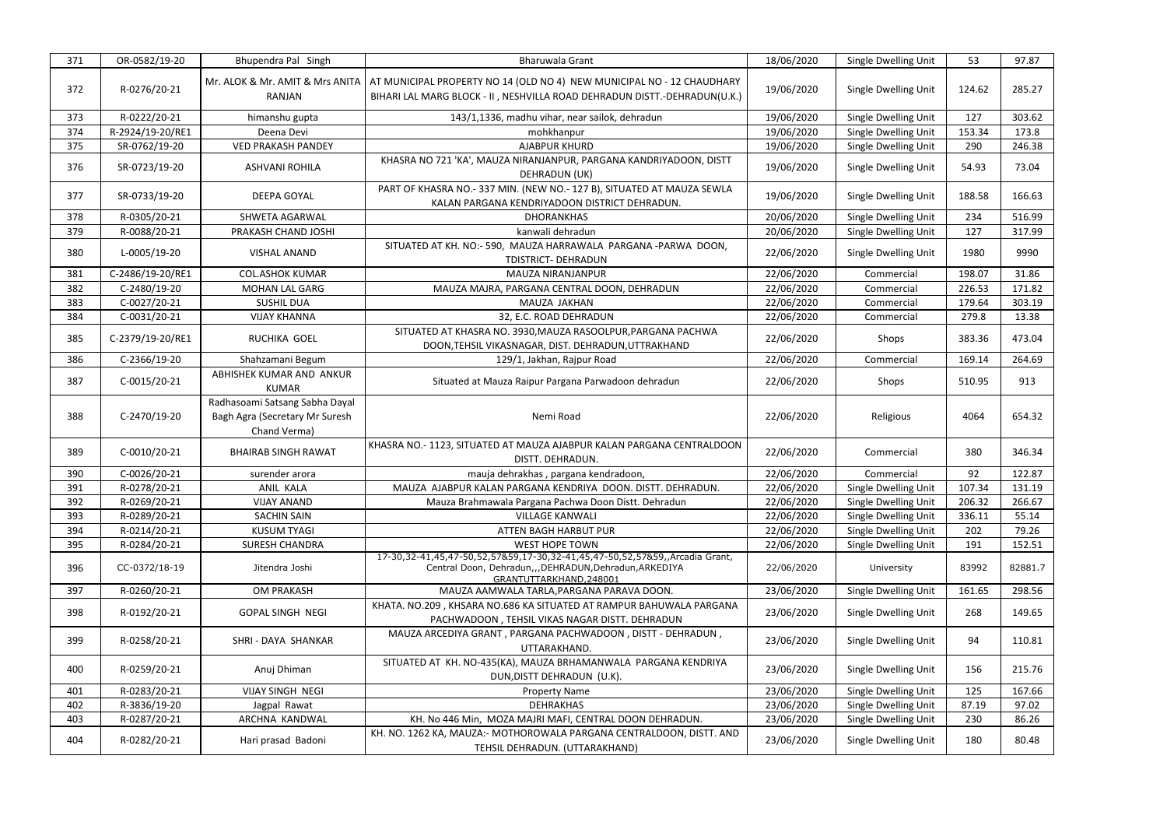| 371 | OR-0582/19-20    | Bhupendra Pal Singh                                                              | <b>Bharuwala Grant</b>                                                                                                                                                                | 18/06/2020 | Single Dwelling Unit | 53     | 97.87   |
|-----|------------------|----------------------------------------------------------------------------------|---------------------------------------------------------------------------------------------------------------------------------------------------------------------------------------|------------|----------------------|--------|---------|
| 372 | R-0276/20-21     | <b>RANJAN</b>                                                                    | Mr. ALOK & Mr. AMIT & Mrs ANITA   AT MUNICIPAL PROPERTY NO 14 (OLD NO 4) NEW MUNICIPAL NO - 12 CHAUDHARY<br>BIHARI LAL MARG BLOCK - II, NESHVILLA ROAD DEHRADUN DISTT.-DEHRADUN(U.K.) | 19/06/2020 | Single Dwelling Unit | 124.62 | 285.27  |
| 373 | R-0222/20-21     | himanshu gupta                                                                   | 143/1,1336, madhu vihar, near sailok, dehradun                                                                                                                                        | 19/06/2020 | Single Dwelling Unit | 127    | 303.62  |
| 374 | R-2924/19-20/RE1 | Deena Devi                                                                       | mohkhanpur                                                                                                                                                                            | 19/06/2020 | Single Dwelling Unit | 153.34 | 173.8   |
| 375 | SR-0762/19-20    | <b>VED PRAKASH PANDEY</b>                                                        | <b>AJABPUR KHURD</b>                                                                                                                                                                  | 19/06/2020 | Single Dwelling Unit | 290    | 246.38  |
| 376 | SR-0723/19-20    | <b>ASHVANI ROHILA</b>                                                            | KHASRA NO 721 'KA', MAUZA NIRANJANPUR, PARGANA KANDRIYADOON, DISTT<br>DEHRADUN (UK)                                                                                                   | 19/06/2020 | Single Dwelling Unit | 54.93  | 73.04   |
| 377 | SR-0733/19-20    | <b>DEEPA GOYAL</b>                                                               | PART OF KHASRA NO.-337 MIN. (NEW NO.-127 B), SITUATED AT MAUZA SEWLA<br>KALAN PARGANA KENDRIYADOON DISTRICT DEHRADUN.                                                                 | 19/06/2020 | Single Dwelling Unit | 188.58 | 166.63  |
| 378 | R-0305/20-21     | SHWETA AGARWAL                                                                   | <b>DHORANKHAS</b>                                                                                                                                                                     | 20/06/2020 | Single Dwelling Unit | 234    | 516.99  |
| 379 | R-0088/20-21     | PRAKASH CHAND JOSHI                                                              | kanwali dehradun                                                                                                                                                                      | 20/06/2020 | Single Dwelling Unit | 127    | 317.99  |
| 380 | L-0005/19-20     | <b>VISHAL ANAND</b>                                                              | SITUATED AT KH. NO:- 590, MAUZA HARRAWALA PARGANA -PARWA DOON,<br>TDISTRICT- DEHRADUN                                                                                                 | 22/06/2020 | Single Dwelling Unit | 1980   | 9990    |
| 381 | C-2486/19-20/RE1 | <b>COL.ASHOK KUMAR</b>                                                           | MAUZA NIRANJANPUR                                                                                                                                                                     | 22/06/2020 | Commercial           | 198.07 | 31.86   |
| 382 | C-2480/19-20     | <b>MOHAN LAL GARG</b>                                                            | MAUZA MAJRA, PARGANA CENTRAL DOON, DEHRADUN                                                                                                                                           | 22/06/2020 | Commercial           | 226.53 | 171.82  |
| 383 | C-0027/20-21     | <b>SUSHIL DUA</b>                                                                | MAUZA JAKHAN                                                                                                                                                                          | 22/06/2020 | Commercial           | 179.64 | 303.19  |
| 384 | C-0031/20-21     | <b>VIJAY KHANNA</b>                                                              | 32, E.C. ROAD DEHRADUN                                                                                                                                                                | 22/06/2020 | Commercial           | 279.8  | 13.38   |
| 385 | C-2379/19-20/RE1 | RUCHIKA GOEL                                                                     | SITUATED AT KHASRA NO. 3930, MAUZA RASOOLPUR, PARGANA PACHWA<br>DOON, TEHSIL VIKASNAGAR, DIST. DEHRADUN, UTTRAKHAND                                                                   | 22/06/2020 | Shops                | 383.36 | 473.04  |
| 386 | C-2366/19-20     | Shahzamani Begum                                                                 | 129/1, Jakhan, Rajpur Road                                                                                                                                                            | 22/06/2020 | Commercial           | 169.14 | 264.69  |
| 387 | C-0015/20-21     | ABHISHEK KUMAR AND ANKUR<br><b>KUMAR</b>                                         | Situated at Mauza Raipur Pargana Parwadoon dehradun                                                                                                                                   | 22/06/2020 | Shops                | 510.95 | 913     |
| 388 | C-2470/19-20     | Radhasoami Satsang Sabha Dayal<br>Bagh Agra (Secretary Mr Suresh<br>Chand Verma) | Nemi Road                                                                                                                                                                             | 22/06/2020 | Religious            | 4064   | 654.32  |
| 389 | C-0010/20-21     | <b>BHAIRAB SINGH RAWAT</b>                                                       | KHASRA NO.- 1123, SITUATED AT MAUZA AJABPUR KALAN PARGANA CENTRALDOON<br>DISTT. DEHRADUN.                                                                                             | 22/06/2020 | Commercial           | 380    | 346.34  |
| 390 | C-0026/20-21     | surender arora                                                                   | mauja dehrakhas, pargana kendradoon,                                                                                                                                                  | 22/06/2020 | Commercial           | 92     | 122.87  |
| 391 | R-0278/20-21     | ANIL KALA                                                                        | MAUZA AJABPUR KALAN PARGANA KENDRIYA DOON. DISTT. DEHRADUN.                                                                                                                           | 22/06/2020 | Single Dwelling Unit | 107.34 | 131.19  |
| 392 | R-0269/20-21     | <b>VIJAY ANAND</b>                                                               | Mauza Brahmawala Pargana Pachwa Doon Distt. Dehradun                                                                                                                                  | 22/06/2020 | Single Dwelling Unit | 206.32 | 266.67  |
| 393 | R-0289/20-21     | <b>SACHIN SAIN</b>                                                               | <b>VILLAGE KANWALI</b>                                                                                                                                                                | 22/06/2020 | Single Dwelling Unit | 336.11 | 55.14   |
| 394 | R-0214/20-21     | <b>KUSUM TYAGI</b>                                                               | ATTEN BAGH HARBUT PUR                                                                                                                                                                 | 22/06/2020 | Single Dwelling Unit | 202    | 79.26   |
| 395 | R-0284/20-21     | SURESH CHANDRA                                                                   | <b>WEST HOPE TOWN</b>                                                                                                                                                                 | 22/06/2020 | Single Dwelling Unit | 191    | 152.51  |
| 396 | CC-0372/18-19    | Jitendra Joshi                                                                   | 17-30,32-41,45,47-50,52,57&59,17-30,32-41,45,47-50,52,57&59,,Arcadia Grant,<br>Central Doon, Dehradun, , DEHRADUN, Dehradun, ARKEDIYA<br>GRANTUTTARKHAND, 248001                      | 22/06/2020 | University           | 83992  | 82881.7 |
| 397 | R-0260/20-21     | <b>OM PRAKASH</b>                                                                | MAUZA AAMWALA TARLA, PARGANA PARAVA DOON.                                                                                                                                             | 23/06/2020 | Single Dwelling Unit | 161.65 | 298.56  |
| 398 | R-0192/20-21     | <b>GOPAL SINGH NEGI</b>                                                          | KHATA. NO.209, KHSARA NO.686 KA SITUATED AT RAMPUR BAHUWALA PARGANA<br>PACHWADOON, TEHSIL VIKAS NAGAR DISTT. DEHRADUN                                                                 | 23/06/2020 | Single Dwelling Unit | 268    | 149.65  |
| 399 | R-0258/20-21     | SHRI - DAYA SHANKAR                                                              | MAUZA ARCEDIYA GRANT, PARGANA PACHWADOON, DISTT - DEHRADUN,<br>UTTARAKHAND.                                                                                                           | 23/06/2020 | Single Dwelling Unit | 94     | 110.81  |
| 400 | R-0259/20-21     | Anuj Dhiman                                                                      | SITUATED AT KH. NO-435(KA), MAUZA BRHAMANWALA PARGANA KENDRIYA<br>DUN, DISTT DEHRADUN (U.K).                                                                                          | 23/06/2020 | Single Dwelling Unit | 156    | 215.76  |
| 401 | R-0283/20-21     | <b>VIJAY SINGH NEGI</b>                                                          | <b>Property Name</b>                                                                                                                                                                  | 23/06/2020 | Single Dwelling Unit | 125    | 167.66  |
| 402 | R-3836/19-20     | Jagpal Rawat                                                                     | <b>DEHRAKHAS</b>                                                                                                                                                                      | 23/06/2020 | Single Dwelling Unit | 87.19  | 97.02   |
| 403 | R-0287/20-21     | ARCHNA KANDWAL                                                                   | KH. No 446 Min, MOZA MAJRI MAFI, CENTRAL DOON DEHRADUN.                                                                                                                               | 23/06/2020 | Single Dwelling Unit | 230    | 86.26   |
| 404 | R-0282/20-21     | Hari prasad Badoni                                                               | KH. NO. 1262 KA, MAUZA:- MOTHOROWALA PARGANA CENTRALDOON, DISTT. AND<br>TEHSIL DEHRADUN. (UTTARAKHAND)                                                                                | 23/06/2020 | Single Dwelling Unit | 180    | 80.48   |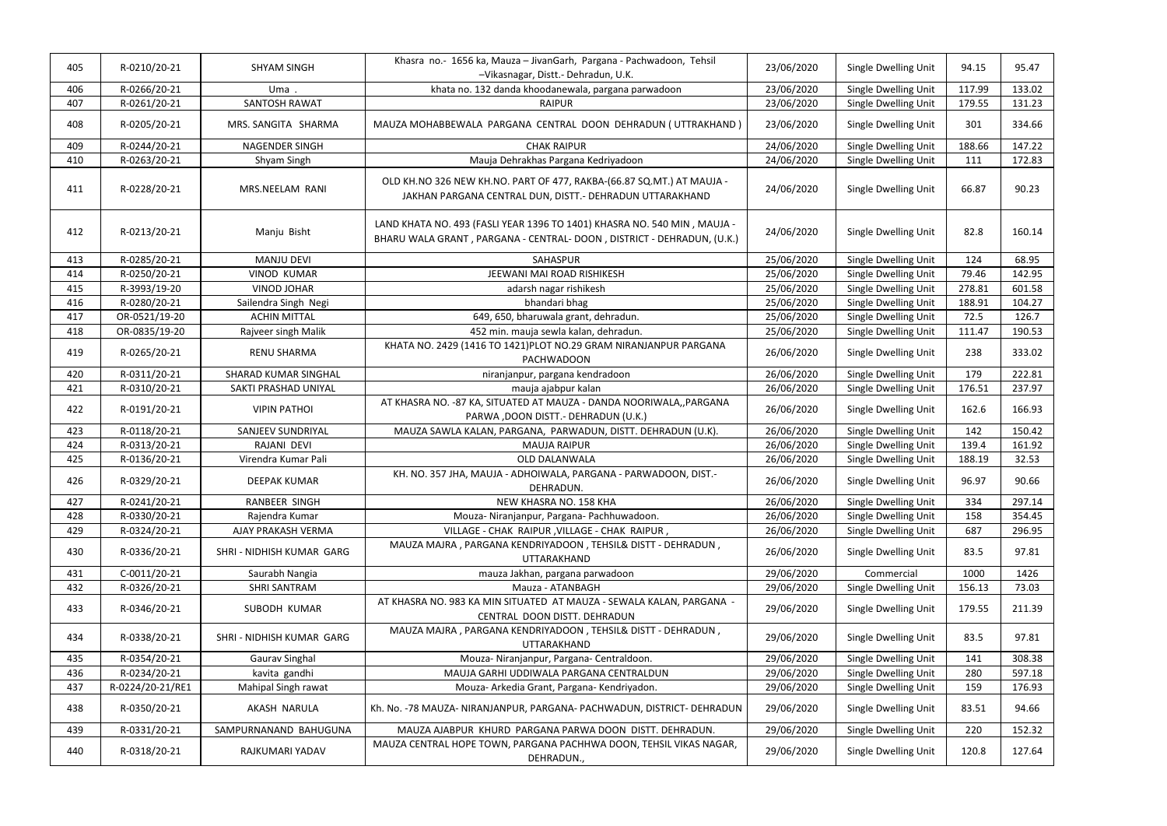| 405 | R-0210/20-21     | <b>SHYAM SINGH</b>        | Khasra no.- 1656 ka, Mauza - JivanGarh, Pargana - Pachwadoon, Tehsil<br>-Vikasnagar, Distt.- Dehradun, U.K.                                        | 23/06/2020 | Single Dwelling Unit | 94.15  | 95.47  |
|-----|------------------|---------------------------|----------------------------------------------------------------------------------------------------------------------------------------------------|------------|----------------------|--------|--------|
| 406 | R-0266/20-21     | Uma.                      | khata no. 132 danda khoodanewala, pargana parwadoon                                                                                                | 23/06/2020 | Single Dwelling Unit | 117.99 | 133.02 |
| 407 | R-0261/20-21     | <b>SANTOSH RAWAT</b>      | <b>RAIPUR</b>                                                                                                                                      | 23/06/2020 | Single Dwelling Unit | 179.55 | 131.23 |
| 408 | R-0205/20-21     | MRS. SANGITA SHARMA       | MAUZA MOHABBEWALA PARGANA CENTRAL DOON DEHRADUN ( UTTRAKHAND )                                                                                     | 23/06/2020 | Single Dwelling Unit | 301    | 334.66 |
| 409 | R-0244/20-21     | <b>NAGENDER SINGH</b>     | <b>CHAK RAIPUR</b>                                                                                                                                 | 24/06/2020 | Single Dwelling Unit | 188.66 | 147.22 |
| 410 | R-0263/20-21     | Shyam Singh               | Mauja Dehrakhas Pargana Kedriyadoon                                                                                                                | 24/06/2020 | Single Dwelling Unit | 111    | 172.83 |
| 411 | R-0228/20-21     | MRS.NEELAM RANI           | OLD KH.NO 326 NEW KH.NO. PART OF 477, RAKBA-(66.87 SQ.MT.) AT MAUJA -<br>JAKHAN PARGANA CENTRAL DUN, DISTT.- DEHRADUN UTTARAKHAND                  | 24/06/2020 | Single Dwelling Unit | 66.87  | 90.23  |
| 412 | R-0213/20-21     | Manju Bisht               | LAND KHATA NO. 493 (FASLI YEAR 1396 TO 1401) KHASRA NO. 540 MIN, MAUJA -<br>BHARU WALA GRANT, PARGANA - CENTRAL- DOON, DISTRICT - DEHRADUN, (U.K.) | 24/06/2020 | Single Dwelling Unit | 82.8   | 160.14 |
| 413 | R-0285/20-21     | <b>MANJU DEVI</b>         | SAHASPUR                                                                                                                                           | 25/06/2020 | Single Dwelling Unit | 124    | 68.95  |
| 414 | R-0250/20-21     | <b>VINOD KUMAR</b>        | JEEWANI MAI ROAD RISHIKESH                                                                                                                         | 25/06/2020 | Single Dwelling Unit | 79.46  | 142.95 |
| 415 | R-3993/19-20     | <b>VINOD JOHAR</b>        | adarsh nagar rishikesh                                                                                                                             | 25/06/2020 | Single Dwelling Unit | 278.81 | 601.58 |
| 416 | R-0280/20-21     | Sailendra Singh Negi      | bhandari bhag                                                                                                                                      | 25/06/2020 | Single Dwelling Unit | 188.91 | 104.27 |
| 417 | OR-0521/19-20    | <b>ACHIN MITTAL</b>       | 649, 650, bharuwala grant, dehradun.                                                                                                               | 25/06/2020 | Single Dwelling Unit | 72.5   | 126.7  |
| 418 | OR-0835/19-20    | Rajveer singh Malik       | 452 min. mauja sewla kalan, dehradun.                                                                                                              | 25/06/2020 | Single Dwelling Unit | 111.47 | 190.53 |
| 419 | R-0265/20-21     | <b>RENU SHARMA</b>        | KHATA NO. 2429 (1416 TO 1421) PLOT NO.29 GRAM NIRANJANPUR PARGANA<br><b>PACHWADOON</b>                                                             | 26/06/2020 | Single Dwelling Unit | 238    | 333.02 |
| 420 | R-0311/20-21     | SHARAD KUMAR SINGHAL      | niranjanpur, pargana kendradoon                                                                                                                    | 26/06/2020 | Single Dwelling Unit | 179    | 222.81 |
| 421 | R-0310/20-21     | SAKTI PRASHAD UNIYAL      | mauja ajabpur kalan                                                                                                                                | 26/06/2020 | Single Dwelling Unit | 176.51 | 237.97 |
| 422 | R-0191/20-21     | <b>VIPIN PATHOL</b>       | AT KHASRA NO. - 87 KA, SITUATED AT MAUZA - DANDA NOORIWALA,, PARGANA<br>PARWA ,DOON DISTT.- DEHRADUN (U.K.)                                        | 26/06/2020 | Single Dwelling Unit | 162.6  | 166.93 |
| 423 | R-0118/20-21     | SANJEEV SUNDRIYAL         | MAUZA SAWLA KALAN, PARGANA, PARWADUN, DISTT. DEHRADUN (U.K).                                                                                       | 26/06/2020 | Single Dwelling Unit | 142    | 150.42 |
| 424 | R-0313/20-21     | RAJANI DEVI               | <b>MAUJA RAIPUR</b>                                                                                                                                | 26/06/2020 | Single Dwelling Unit | 139.4  | 161.92 |
| 425 | R-0136/20-21     | Virendra Kumar Pali       | OLD DALANWALA                                                                                                                                      | 26/06/2020 | Single Dwelling Unit | 188.19 | 32.53  |
| 426 | R-0329/20-21     | <b>DEEPAK KUMAR</b>       | KH. NO. 357 JHA, MAUJA - ADHOIWALA, PARGANA - PARWADOON, DIST.-<br>DEHRADUN.                                                                       | 26/06/2020 | Single Dwelling Unit | 96.97  | 90.66  |
| 427 | R-0241/20-21     | <b>RANBEER SINGH</b>      | NEW KHASRA NO. 158 KHA                                                                                                                             | 26/06/2020 | Single Dwelling Unit | 334    | 297.14 |
| 428 | R-0330/20-21     | Rajendra Kumar            | Mouza- Niranjanpur, Pargana- Pachhuwadoon.                                                                                                         | 26/06/2020 | Single Dwelling Unit | 158    | 354.45 |
| 429 | R-0324/20-21     | AJAY PRAKASH VERMA        | VILLAGE - CHAK RAIPUR, VILLAGE - CHAK RAIPUR,                                                                                                      | 26/06/2020 | Single Dwelling Unit | 687    | 296.95 |
| 430 | R-0336/20-21     | SHRI - NIDHISH KUMAR GARG | MAUZA MAJRA, PARGANA KENDRIYADOON, TEHSIL& DISTT - DEHRADUN,<br>UTTARAKHAND                                                                        | 26/06/2020 | Single Dwelling Unit | 83.5   | 97.81  |
| 431 | C-0011/20-21     | Saurabh Nangia            | mauza Jakhan, pargana parwadoon                                                                                                                    | 29/06/2020 | Commercial           | 1000   | 1426   |
| 432 | R-0326/20-21     | SHRI SANTRAM              | Mauza - ATANBAGH                                                                                                                                   | 29/06/2020 | Single Dwelling Unit | 156.13 | 73.03  |
| 433 | R-0346/20-21     | SUBODH KUMAR              | AT KHASRA NO. 983 KA MIN SITUATED AT MAUZA - SEWALA KALAN, PARGANA -<br>CENTRAL DOON DISTT. DEHRADUN                                               | 29/06/2020 | Single Dwelling Unit | 179.55 | 211.39 |
| 434 | R-0338/20-21     | SHRI - NIDHISH KUMAR GARG | MAUZA MAJRA, PARGANA KENDRIYADOON, TEHSIL& DISTT - DEHRADUN,<br>UTTARAKHAND                                                                        | 29/06/2020 | Single Dwelling Unit | 83.5   | 97.81  |
| 435 | R-0354/20-21     | <b>Gaurav Singhal</b>     | Mouza-Niranjanpur, Pargana-Centraldoon.                                                                                                            | 29/06/2020 | Single Dwelling Unit | 141    | 308.38 |
| 436 | R-0234/20-21     | kavita gandhi             | MAUJA GARHI UDDIWALA PARGANA CENTRALDUN                                                                                                            | 29/06/2020 | Single Dwelling Unit | 280    | 597.18 |
| 437 | R-0224/20-21/RE1 | Mahipal Singh rawat       | Mouza- Arkedia Grant, Pargana- Kendriyadon.                                                                                                        | 29/06/2020 | Single Dwelling Unit | 159    | 176.93 |
| 438 | R-0350/20-21     | AKASH NARULA              | Kh. No. -78 MAUZA- NIRANJANPUR, PARGANA- PACHWADUN, DISTRICT- DEHRADUN                                                                             | 29/06/2020 | Single Dwelling Unit | 83.51  | 94.66  |
| 439 | R-0331/20-21     | SAMPURNANAND BAHUGUNA     | MAUZA AJABPUR KHURD PARGANA PARWA DOON DISTT. DEHRADUN.                                                                                            | 29/06/2020 | Single Dwelling Unit | 220    | 152.32 |
| 440 | R-0318/20-21     | RAJKUMARI YADAV           | MAUZA CENTRAL HOPE TOWN, PARGANA PACHHWA DOON, TEHSIL VIKAS NAGAR,<br>DEHRADUN.,                                                                   | 29/06/2020 | Single Dwelling Unit | 120.8  | 127.64 |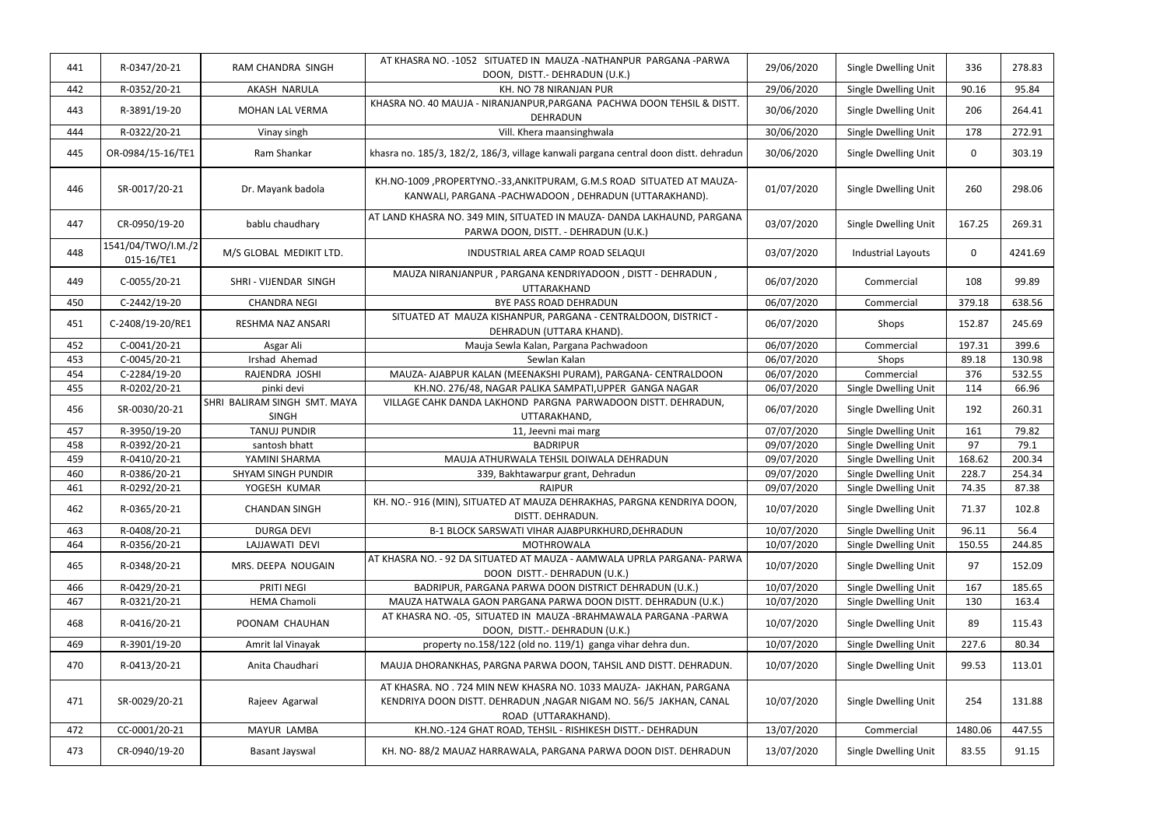| 441 | R-0347/20-21                     | RAM CHANDRA SINGH                            | AT KHASRA NO. - 1052 SITUATED IN MAUZA - NATHANPUR PARGANA - PARWA<br>DOON, DISTT.- DEHRADUN (U.K.)                                                             | 29/06/2020 | Single Dwelling Unit | 336         | 278.83  |
|-----|----------------------------------|----------------------------------------------|-----------------------------------------------------------------------------------------------------------------------------------------------------------------|------------|----------------------|-------------|---------|
| 442 | R-0352/20-21                     | AKASH NARULA                                 | KH. NO 78 NIRANJAN PUR                                                                                                                                          | 29/06/2020 | Single Dwelling Unit | 90.16       | 95.84   |
| 443 | R-3891/19-20                     | MOHAN LAL VERMA                              | KHASRA NO. 40 MAUJA - NIRANJANPUR, PARGANA PACHWA DOON TEHSIL & DISTT.<br><b>DEHRADUN</b>                                                                       | 30/06/2020 | Single Dwelling Unit | 206         | 264.41  |
| 444 | R-0322/20-21                     | Vinay singh                                  | Vill. Khera maansinghwala                                                                                                                                       | 30/06/2020 | Single Dwelling Unit | 178         | 272.91  |
| 445 | OR-0984/15-16/TE1                | Ram Shankar                                  | khasra no. 185/3, 182/2, 186/3, village kanwali pargana central doon distt. dehradun                                                                            | 30/06/2020 | Single Dwelling Unit | $\mathbf 0$ | 303.19  |
| 446 | SR-0017/20-21                    | Dr. Mayank badola                            | KH.NO-1009 , PROPERTYNO.-33, ANKITPURAM, G.M.S ROAD SITUATED AT MAUZA-<br>KANWALI, PARGANA -PACHWADOON, DEHRADUN (UTTARAKHAND).                                 | 01/07/2020 | Single Dwelling Unit | 260         | 298.06  |
| 447 | CR-0950/19-20                    | bablu chaudhary                              | AT LAND KHASRA NO. 349 MIN, SITUATED IN MAUZA- DANDA LAKHAUND, PARGANA<br>PARWA DOON, DISTT. - DEHRADUN (U.K.)                                                  | 03/07/2020 | Single Dwelling Unit | 167.25      | 269.31  |
| 448 | 1541/04/TWO/I.M./2<br>015-16/TE1 | M/S GLOBAL MEDIKIT LTD.                      | INDUSTRIAL AREA CAMP ROAD SELAQUI                                                                                                                               | 03/07/2020 | Industrial Layouts   | $\mathbf 0$ | 4241.69 |
| 449 | C-0055/20-21                     | SHRI - VIJENDAR SINGH                        | MAUZA NIRANJANPUR, PARGANA KENDRIYADOON, DISTT - DEHRADUN,<br>UTTARAKHAND                                                                                       | 06/07/2020 | Commercial           | 108         | 99.89   |
| 450 | C-2442/19-20                     | <b>CHANDRA NEGI</b>                          | BYE PASS ROAD DEHRADUN                                                                                                                                          | 06/07/2020 | Commercial           | 379.18      | 638.56  |
| 451 | C-2408/19-20/RE1                 | RESHMA NAZ ANSARI                            | SITUATED AT MAUZA KISHANPUR, PARGANA - CENTRALDOON, DISTRICT -<br>DEHRADUN (UTTARA KHAND).                                                                      | 06/07/2020 | Shops                | 152.87      | 245.69  |
| 452 | C-0041/20-21                     | Asgar Ali                                    | Mauja Sewla Kalan, Pargana Pachwadoon                                                                                                                           | 06/07/2020 | Commercial           | 197.31      | 399.6   |
| 453 | C-0045/20-21                     | Irshad Ahemad                                | Sewlan Kalan                                                                                                                                                    | 06/07/2020 | Shops                | 89.18       | 130.98  |
| 454 | C-2284/19-20                     | RAJENDRA JOSHI                               | MAUZA- AJABPUR KALAN (MEENAKSHI PURAM), PARGANA- CENTRALDOON                                                                                                    | 06/07/2020 | Commercial           | 376         | 532.55  |
| 455 | R-0202/20-21                     | pinki devi                                   | KH.NO. 276/48, NAGAR PALIKA SAMPATI, UPPER GANGA NAGAR                                                                                                          | 06/07/2020 | Single Dwelling Unit | 114         | 66.96   |
| 456 | SR-0030/20-21                    | SHRI BALIRAM SINGH SMT. MAYA<br><b>SINGH</b> | VILLAGE CAHK DANDA LAKHOND PARGNA PARWADOON DISTT. DEHRADUN,<br>UTTARAKHAND,                                                                                    | 06/07/2020 | Single Dwelling Unit | 192         | 260.31  |
| 457 | R-3950/19-20                     | <b>TANUJ PUNDIR</b>                          | 11, Jeevni mai marg                                                                                                                                             | 07/07/2020 | Single Dwelling Unit | 161         | 79.82   |
| 458 | R-0392/20-21                     | santosh bhatt                                | <b>BADRIPUR</b>                                                                                                                                                 | 09/07/2020 | Single Dwelling Unit | 97          | 79.1    |
| 459 | R-0410/20-21                     | YAMINI SHARMA                                | MAUJA ATHURWALA TEHSIL DOIWALA DEHRADUN                                                                                                                         | 09/07/2020 | Single Dwelling Unit | 168.62      | 200.34  |
| 460 | R-0386/20-21                     | <b>SHYAM SINGH PUNDIR</b>                    | 339, Bakhtawarpur grant, Dehradun                                                                                                                               | 09/07/2020 | Single Dwelling Unit | 228.7       | 254.34  |
| 461 | R-0292/20-21                     | YOGESH KUMAR                                 | <b>RAIPUR</b>                                                                                                                                                   | 09/07/2020 | Single Dwelling Unit | 74.35       | 87.38   |
| 462 | R-0365/20-21                     | <b>CHANDAN SINGH</b>                         | KH. NO.- 916 (MIN), SITUATED AT MAUZA DEHRAKHAS, PARGNA KENDRIYA DOON,<br>DISTT. DEHRADUN.                                                                      | 10/07/2020 | Single Dwelling Unit | 71.37       | 102.8   |
| 463 | R-0408/20-21                     | <b>DURGA DEVI</b>                            | B-1 BLOCK SARSWATI VIHAR AJABPURKHURD, DEHRADUN                                                                                                                 | 10/07/2020 | Single Dwelling Unit | 96.11       | 56.4    |
| 464 | R-0356/20-21                     | LAJJAWATI DEVI                               | <b>MOTHROWALA</b>                                                                                                                                               | 10/07/2020 | Single Dwelling Unit | 150.55      | 244.85  |
| 465 | R-0348/20-21                     | MRS. DEEPA NOUGAIN                           | AT KHASRA NO. - 92 DA SITUATED AT MAUZA - AAMWALA UPRLA PARGANA- PARWA<br>DOON DISTT.- DEHRADUN (U.K.)                                                          | 10/07/2020 | Single Dwelling Unit | 97          | 152.09  |
| 466 | R-0429/20-21                     | PRITI NEGI                                   | BADRIPUR, PARGANA PARWA DOON DISTRICT DEHRADUN (U.K.)                                                                                                           | 10/07/2020 | Single Dwelling Unit | 167         | 185.65  |
| 467 | R-0321/20-21                     | <b>HEMA Chamoli</b>                          | MAUZA HATWALA GAON PARGANA PARWA DOON DISTT. DEHRADUN (U.K.)                                                                                                    | 10/07/2020 | Single Dwelling Unit | 130         | 163.4   |
| 468 | R-0416/20-21                     | POONAM CHAUHAN                               | AT KHASRA NO. - 05, SITUATED IN MAUZA - BRAHMAWALA PARGANA - PARWA<br>DOON, DISTT.- DEHRADUN (U.K.)                                                             | 10/07/2020 | Single Dwelling Unit | 89          | 115.43  |
| 469 | R-3901/19-20                     | Amrit lal Vinayak                            | property no.158/122 (old no. 119/1) ganga vihar dehra dun.                                                                                                      | 10/07/2020 | Single Dwelling Unit | 227.6       | 80.34   |
| 470 | R-0413/20-21                     | Anita Chaudhari                              | MAUJA DHORANKHAS, PARGNA PARWA DOON, TAHSIL AND DISTT. DEHRADUN.                                                                                                | 10/07/2020 | Single Dwelling Unit | 99.53       | 113.01  |
| 471 | SR-0029/20-21                    | Rajeev Agarwal                               | AT KHASRA. NO . 724 MIN NEW KHASRA NO. 1033 MAUZA- JAKHAN, PARGANA<br>KENDRIYA DOON DISTT. DEHRADUN , NAGAR NIGAM NO. 56/5 JAKHAN, CANAL<br>ROAD (UTTARAKHAND). | 10/07/2020 | Single Dwelling Unit | 254         | 131.88  |
| 472 | CC-0001/20-21                    | MAYUR LAMBA                                  | KH.NO.-124 GHAT ROAD, TEHSIL - RISHIKESH DISTT.- DEHRADUN                                                                                                       | 13/07/2020 | Commercial           | 1480.06     | 447.55  |
| 473 | CR-0940/19-20                    | <b>Basant Jayswal</b>                        | KH. NO-88/2 MAUAZ HARRAWALA, PARGANA PARWA DOON DIST. DEHRADUN                                                                                                  | 13/07/2020 | Single Dwelling Unit | 83.55       | 91.15   |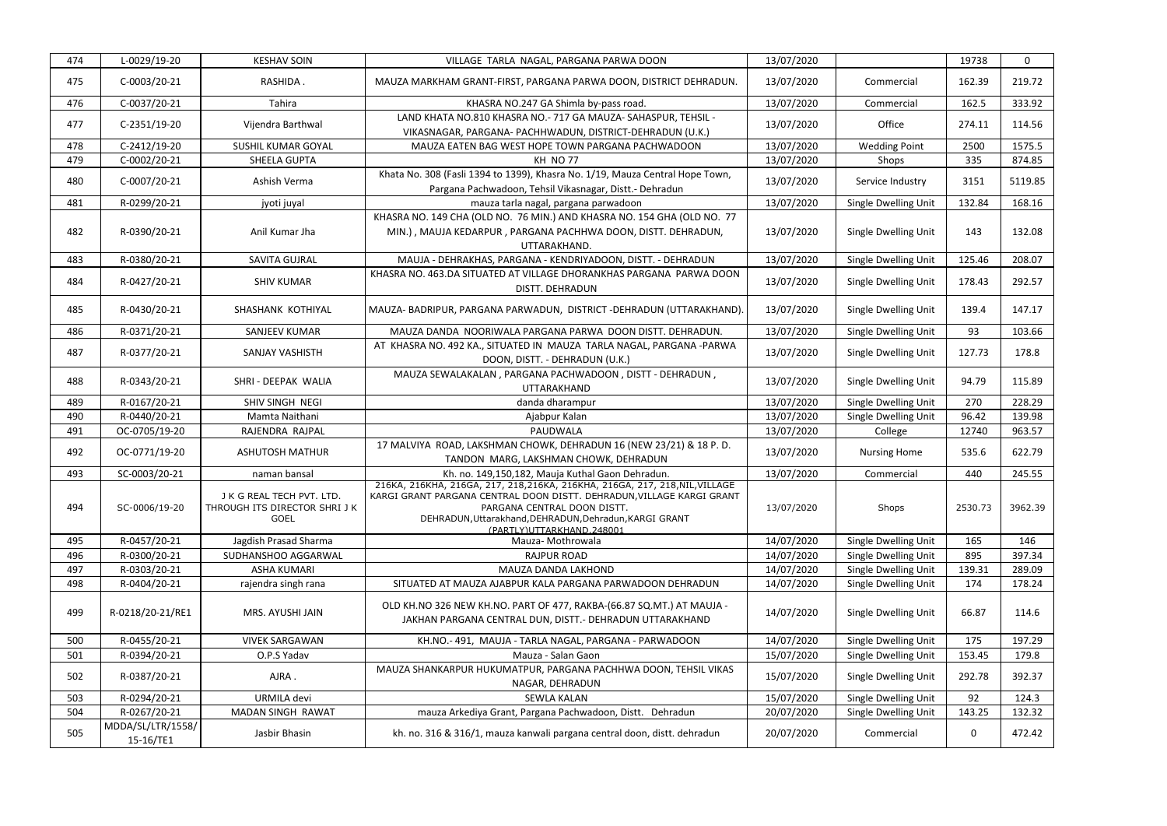| 474 | L-0029/19-20                   | <b>KESHAV SOIN</b>                                                        | VILLAGE TARLA NAGAL, PARGANA PARWA DOON                                                                                                                                                                                                                                     | 13/07/2020 |                             | 19738            | $\mathbf{0}$ |
|-----|--------------------------------|---------------------------------------------------------------------------|-----------------------------------------------------------------------------------------------------------------------------------------------------------------------------------------------------------------------------------------------------------------------------|------------|-----------------------------|------------------|--------------|
| 475 | C-0003/20-21                   | RASHIDA.                                                                  | MAUZA MARKHAM GRANT-FIRST, PARGANA PARWA DOON, DISTRICT DEHRADUN.                                                                                                                                                                                                           | 13/07/2020 | Commercial                  | 162.39           | 219.72       |
| 476 | C-0037/20-21                   | Tahira                                                                    | KHASRA NO.247 GA Shimla by-pass road.                                                                                                                                                                                                                                       | 13/07/2020 | Commercial                  | 162.5            | 333.92       |
| 477 | C-2351/19-20                   | Vijendra Barthwal                                                         | LAND KHATA NO.810 KHASRA NO.- 717 GA MAUZA-SAHASPUR, TEHSIL -<br>VIKASNAGAR, PARGANA- PACHHWADUN, DISTRICT-DEHRADUN (U.K.)                                                                                                                                                  | 13/07/2020 | Office                      | 274.11           | 114.56       |
| 478 | C-2412/19-20                   | SUSHIL KUMAR GOYAL                                                        | MAUZA EATEN BAG WEST HOPE TOWN PARGANA PACHWADOON                                                                                                                                                                                                                           | 13/07/2020 | <b>Wedding Point</b>        | 2500             | 1575.5       |
| 479 | C-0002/20-21                   | SHEELA GUPTA                                                              | KH NO 77                                                                                                                                                                                                                                                                    | 13/07/2020 | Shops                       | 335              | 874.85       |
| 480 | C-0007/20-21                   | Ashish Verma                                                              | Khata No. 308 (Fasli 1394 to 1399), Khasra No. 1/19, Mauza Central Hope Town,<br>Pargana Pachwadoon, Tehsil Vikasnagar, Distt.- Dehradun                                                                                                                                    | 13/07/2020 | Service Industry            | 3151             | 5119.85      |
| 481 | R-0299/20-21                   | jyoti juyal                                                               | mauza tarla nagal, pargana parwadoon                                                                                                                                                                                                                                        | 13/07/2020 | Single Dwelling Unit        | 132.84           | 168.16       |
| 482 | R-0390/20-21                   | Anil Kumar Jha                                                            | KHASRA NO. 149 CHA (OLD NO. 76 MIN.) AND KHASRA NO. 154 GHA (OLD NO. 77<br>MIN.), MAUJA KEDARPUR, PARGANA PACHHWA DOON, DISTT. DEHRADUN,<br>UTTARAKHAND.                                                                                                                    | 13/07/2020 | Single Dwelling Unit        | 143              | 132.08       |
| 483 | R-0380/20-21                   | <b>SAVITA GUJRAL</b>                                                      | MAUJA - DEHRAKHAS, PARGANA - KENDRIYADOON, DISTT. - DEHRADUN                                                                                                                                                                                                                | 13/07/2020 | Single Dwelling Unit        | 125.46           | 208.07       |
| 484 | R-0427/20-21                   | <b>SHIV KUMAR</b>                                                         | KHASRA NO. 463.DA SITUATED AT VILLAGE DHORANKHAS PARGANA PARWA DOON<br><b>DISTT. DEHRADUN</b>                                                                                                                                                                               | 13/07/2020 | <b>Single Dwelling Unit</b> | 178.43           | 292.57       |
| 485 | R-0430/20-21                   | SHASHANK KOTHIYAL                                                         | MAUZA-BADRIPUR, PARGANA PARWADUN, DISTRICT -DEHRADUN (UTTARAKHAND).                                                                                                                                                                                                         | 13/07/2020 | Single Dwelling Unit        | 139.4            | 147.17       |
| 486 | R-0371/20-21                   | SANJEEV KUMAR                                                             | MAUZA DANDA NOORIWALA PARGANA PARWA DOON DISTT. DEHRADUN.                                                                                                                                                                                                                   | 13/07/2020 | Single Dwelling Unit        | 93               | 103.66       |
| 487 | R-0377/20-21                   | SANJAY VASHISTH                                                           | AT KHASRA NO. 492 KA., SITUATED IN MAUZA TARLA NAGAL, PARGANA -PARWA<br>DOON, DISTT. - DEHRADUN (U.K.)                                                                                                                                                                      | 13/07/2020 | Single Dwelling Unit        | 127.73           | 178.8        |
| 488 | R-0343/20-21                   | SHRI - DEEPAK WALIA                                                       | MAUZA SEWALAKALAN, PARGANA PACHWADOON, DISTT - DEHRADUN,<br>UTTARAKHAND                                                                                                                                                                                                     | 13/07/2020 | Single Dwelling Unit        | 94.79            | 115.89       |
| 489 | R-0167/20-21                   | SHIV SINGH NEGI                                                           | danda dharampur                                                                                                                                                                                                                                                             | 13/07/2020 | Single Dwelling Unit        | 270              | 228.29       |
| 490 | R-0440/20-21                   | Mamta Naithani                                                            | Ajabpur Kalan                                                                                                                                                                                                                                                               | 13/07/2020 | Single Dwelling Unit        | 96.42            | 139.98       |
| 491 | OC-0705/19-20                  | RAJENDRA RAJPAL                                                           | PAUDWALA                                                                                                                                                                                                                                                                    | 13/07/2020 | College                     | 12740            | 963.57       |
| 492 | OC-0771/19-20                  | <b>ASHUTOSH MATHUR</b>                                                    | 17 MALVIYA ROAD, LAKSHMAN CHOWK, DEHRADUN 16 (NEW 23/21) & 18 P. D.<br>TANDON MARG, LAKSHMAN CHOWK, DEHRADUN                                                                                                                                                                | 13/07/2020 | <b>Nursing Home</b>         | 535.6            | 622.79       |
| 493 | SC-0003/20-21                  | naman bansal                                                              | Kh. no. 149,150,182, Mauja Kuthal Gaon Dehradun.                                                                                                                                                                                                                            | 13/07/2020 | Commercial                  | 440              | 245.55       |
| 494 | SC-0006/19-20                  | J K G REAL TECH PVT. LTD.<br>THROUGH ITS DIRECTOR SHRI J K<br><b>GOEL</b> | 216KA, 216KHA, 216GA, 217, 218, 216KA, 216KHA, 216GA, 217, 218, NIL, VILLAGE<br>KARGI GRANT PARGANA CENTRAL DOON DISTT. DEHRADUN, VILLAGE KARGI GRANT<br>PARGANA CENTRAL DOON DISTT.<br>DEHRADUN, Uttarakhand, DEHRADUN, Dehradun, KARGI GRANT<br>(PARTLY)UTTARKHAND.248001 | 13/07/2020 | Shops                       | 2530.73          | 3962.39      |
| 495 | R-0457/20-21                   | Jagdish Prasad Sharma                                                     | Mauza- Mothrowala                                                                                                                                                                                                                                                           | 14/07/2020 | Single Dwelling Unit        | 165              | 146          |
| 496 | R-0300/20-21                   | SUDHANSHOO AGGARWAL                                                       | <b>RAJPUR ROAD</b>                                                                                                                                                                                                                                                          | 14/07/2020 | Single Dwelling Unit        | 895              | 397.34       |
| 497 | R-0303/20-21                   | <b>ASHA KUMARI</b>                                                        | MAUZA DANDA LAKHOND                                                                                                                                                                                                                                                         | 14/07/2020 | <b>Single Dwelling Unit</b> | 139.31           | 289.09       |
| 498 | R-0404/20-21                   | rajendra singh rana                                                       | SITUATED AT MAUZA AJABPUR KALA PARGANA PARWADOON DEHRADUN                                                                                                                                                                                                                   | 14/07/2020 | Single Dwelling Unit        | 174              | 178.24       |
| 499 | R-0218/20-21/RE1               | MRS. AYUSHI JAIN                                                          | OLD KH.NO 326 NEW KH.NO. PART OF 477, RAKBA-(66.87 SQ.MT.) AT MAUJA -<br>JAKHAN PARGANA CENTRAL DUN, DISTT.- DEHRADUN UTTARAKHAND                                                                                                                                           | 14/07/2020 | Single Dwelling Unit        | 66.87            | 114.6        |
| 500 | R-0455/20-21                   | <b>VIVEK SARGAWAN</b>                                                     | KH.NO.- 491, MAUJA - TARLA NAGAL, PARGANA - PARWADOON                                                                                                                                                                                                                       | 14/07/2020 | Single Dwelling Unit        | 175              | 197.29       |
| 501 | R-0394/20-21                   | O.P.S Yadav                                                               | Mauza - Salan Gaon                                                                                                                                                                                                                                                          | 15/07/2020 | Single Dwelling Unit        | 153.45           | 179.8        |
| 502 | R-0387/20-21                   | AJRA.                                                                     | MAUZA SHANKARPUR HUKUMATPUR, PARGANA PACHHWA DOON, TEHSIL VIKAS<br>NAGAR, DEHRADUN                                                                                                                                                                                          | 15/07/2020 | Single Dwelling Unit        | 292.78           | 392.37       |
| 503 | R-0294/20-21                   | URMILA devi                                                               | <b>SEWLA KALAN</b>                                                                                                                                                                                                                                                          | 15/07/2020 | Single Dwelling Unit        | 92               | 124.3        |
| 504 | R-0267/20-21                   | MADAN SINGH RAWAT                                                         | mauza Arkediya Grant, Pargana Pachwadoon, Distt. Dehradun                                                                                                                                                                                                                   | 20/07/2020 | Single Dwelling Unit        | 143.25           | 132.32       |
| 505 | MDDA/SL/LTR/1558/<br>15-16/TE1 | Jasbir Bhasin                                                             | kh. no. 316 & 316/1, mauza kanwali pargana central doon, distt. dehradun                                                                                                                                                                                                    | 20/07/2020 | Commercial                  | $\boldsymbol{0}$ | 472.42       |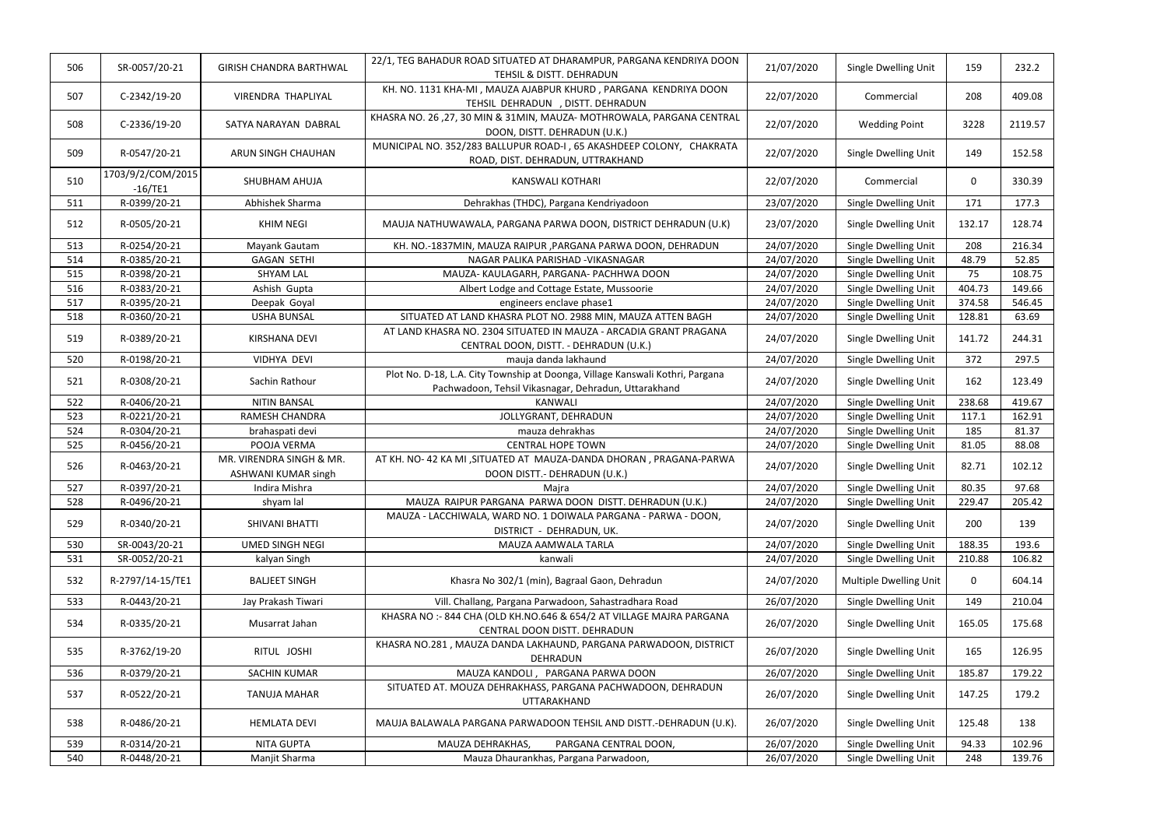| 506 | SR-0057/20-21                  | GIRISH CHANDRA BARTHWAL                                | 22/1, TEG BAHADUR ROAD SITUATED AT DHARAMPUR, PARGANA KENDRIYA DOON<br>TEHSIL & DISTT. DEHRADUN                                       | 21/07/2020 | Single Dwelling Unit          | 159          | 232.2   |
|-----|--------------------------------|--------------------------------------------------------|---------------------------------------------------------------------------------------------------------------------------------------|------------|-------------------------------|--------------|---------|
| 507 | C-2342/19-20                   | VIRENDRA THAPLIYAL                                     | KH. NO. 1131 KHA-MI, MAUZA AJABPUR KHURD, PARGANA KENDRIYA DOON<br>TEHSIL DEHRADUN , DISTT. DEHRADUN                                  | 22/07/2020 | Commercial                    | 208          | 409.08  |
| 508 | C-2336/19-20                   | SATYA NARAYAN DABRAL                                   | KHASRA NO. 26, 27, 30 MIN & 31MIN, MAUZA-MOTHROWALA, PARGANA CENTRAL<br>DOON, DISTT. DEHRADUN (U.K.)                                  | 22/07/2020 | <b>Wedding Point</b>          | 3228         | 2119.57 |
| 509 | R-0547/20-21                   | ARUN SINGH CHAUHAN                                     | MUNICIPAL NO. 352/283 BALLUPUR ROAD-I, 65 AKASHDEEP COLONY, CHAKRATA<br>ROAD, DIST. DEHRADUN, UTTRAKHAND                              | 22/07/2020 | Single Dwelling Unit          | 149          | 152.58  |
| 510 | 1703/9/2/COM/2015<br>$-16/TE1$ | SHUBHAM AHUJA                                          | <b>KANSWALI KOTHARI</b>                                                                                                               | 22/07/2020 | Commercial                    | $\mathbf{0}$ | 330.39  |
| 511 | R-0399/20-21                   | Abhishek Sharma                                        | Dehrakhas (THDC), Pargana Kendriyadoon                                                                                                | 23/07/2020 | Single Dwelling Unit          | 171          | 177.3   |
| 512 | R-0505/20-21                   | <b>KHIM NEGI</b>                                       | MAUJA NATHUWAWALA, PARGANA PARWA DOON, DISTRICT DEHRADUN (U.K)                                                                        | 23/07/2020 | Single Dwelling Unit          | 132.17       | 128.74  |
| 513 | R-0254/20-21                   | Mayank Gautam                                          | KH. NO.-1837MIN, MAUZA RAIPUR , PARGANA PARWA DOON, DEHRADUN                                                                          | 24/07/2020 | Single Dwelling Unit          | 208          | 216.34  |
| 514 | R-0385/20-21                   | <b>GAGAN SETHI</b>                                     | NAGAR PALIKA PARISHAD - VIKASNAGAR                                                                                                    | 24/07/2020 | Single Dwelling Unit          | 48.79        | 52.85   |
| 515 | R-0398/20-21                   | <b>SHYAM LAL</b>                                       | MAUZA-KAULAGARH, PARGANA- PACHHWA DOON                                                                                                | 24/07/2020 | Single Dwelling Unit          | 75           | 108.75  |
| 516 | R-0383/20-21                   | Ashish Gupta                                           | Albert Lodge and Cottage Estate, Mussoorie                                                                                            | 24/07/2020 | Single Dwelling Unit          | 404.73       | 149.66  |
| 517 | R-0395/20-21                   | Deepak Goyal                                           | engineers enclave phase1                                                                                                              | 24/07/2020 | Single Dwelling Unit          | 374.58       | 546.45  |
| 518 | R-0360/20-21                   | <b>USHA BUNSAL</b>                                     | SITUATED AT LAND KHASRA PLOT NO. 2988 MIN, MAUZA ATTEN BAGH                                                                           | 24/07/2020 | Single Dwelling Unit          | 128.81       | 63.69   |
| 519 | R-0389/20-21                   | <b>KIRSHANA DEVI</b>                                   | AT LAND KHASRA NO. 2304 SITUATED IN MAUZA - ARCADIA GRANT PRAGANA<br>CENTRAL DOON, DISTT. - DEHRADUN (U.K.)                           | 24/07/2020 | Single Dwelling Unit          | 141.72       | 244.31  |
| 520 | R-0198/20-21                   | <b>VIDHYA DEVI</b>                                     | mauja danda lakhaund                                                                                                                  | 24/07/2020 | Single Dwelling Unit          | 372          | 297.5   |
| 521 | R-0308/20-21                   | Sachin Rathour                                         | Plot No. D-18, L.A. City Township at Doonga, Village Kanswali Kothri, Pargana<br>Pachwadoon, Tehsil Vikasnagar, Dehradun, Uttarakhand | 24/07/2020 | Single Dwelling Unit          | 162          | 123.49  |
| 522 | R-0406/20-21                   | <b>NITIN BANSAL</b>                                    | <b>KANWALI</b>                                                                                                                        | 24/07/2020 | Single Dwelling Unit          | 238.68       | 419.67  |
| 523 | R-0221/20-21                   | <b>RAMESH CHANDRA</b>                                  | JOLLYGRANT, DEHRADUN                                                                                                                  | 24/07/2020 | Single Dwelling Unit          | 117.1        | 162.91  |
| 524 | R-0304/20-21                   | brahaspati devi                                        | mauza dehrakhas                                                                                                                       | 24/07/2020 | Single Dwelling Unit          | 185          | 81.37   |
| 525 | R-0456/20-21                   | POOJA VERMA                                            | <b>CENTRAL HOPE TOWN</b>                                                                                                              | 24/07/2020 | Single Dwelling Unit          | 81.05        | 88.08   |
| 526 | R-0463/20-21                   | MR. VIRENDRA SINGH & MR.<br><b>ASHWANI KUMAR singh</b> | AT KH. NO- 42 KA MI , SITUATED AT MAUZA-DANDA DHORAN, PRAGANA-PARWA<br>DOON DISTT.- DEHRADUN (U.K.)                                   | 24/07/2020 | Single Dwelling Unit          | 82.71        | 102.12  |
| 527 | R-0397/20-21                   | Indira Mishra                                          | Majra                                                                                                                                 | 24/07/2020 | Single Dwelling Unit          | 80.35        | 97.68   |
| 528 | R-0496/20-21                   | shyam lal                                              | MAUZA RAIPUR PARGANA PARWA DOON DISTT. DEHRADUN (U.K.)                                                                                | 24/07/2020 | Single Dwelling Unit          | 229.47       | 205.42  |
| 529 | R-0340/20-21                   | SHIVANI BHATTI                                         | MAUZA - LACCHIWALA, WARD NO. 1 DOIWALA PARGANA - PARWA - DOON,<br>DISTRICT - DEHRADUN, UK.                                            | 24/07/2020 | Single Dwelling Unit          | 200          | 139     |
| 530 | SR-0043/20-21                  | <b>UMED SINGH NEGI</b>                                 | MAUZA AAMWALA TARLA                                                                                                                   | 24/07/2020 | Single Dwelling Unit          | 188.35       | 193.6   |
| 531 | SR-0052/20-21                  | kalyan Singh                                           | kanwali                                                                                                                               | 24/07/2020 | Single Dwelling Unit          | 210.88       | 106.82  |
| 532 | R-2797/14-15/TE1               | <b>BALJEET SINGH</b>                                   | Khasra No 302/1 (min), Bagraal Gaon, Dehradun                                                                                         | 24/07/2020 | <b>Multiple Dwelling Unit</b> | $\mathbf{0}$ | 604.14  |
| 533 | R-0443/20-21                   | Jay Prakash Tiwari                                     | Vill. Challang, Pargana Parwadoon, Sahastradhara Road                                                                                 | 26/07/2020 | Single Dwelling Unit          | 149          | 210.04  |
| 534 | R-0335/20-21                   | Musarrat Jahan                                         | KHASRA NO:-844 CHA (OLD KH.NO.646 & 654/2 AT VILLAGE MAJRA PARGANA<br>CENTRAL DOON DISTT. DEHRADUN                                    | 26/07/2020 | Single Dwelling Unit          | 165.05       | 175.68  |
| 535 | R-3762/19-20                   | RITUL JOSHI                                            | KHASRA NO.281, MAUZA DANDA LAKHAUND, PARGANA PARWADOON, DISTRICT<br>DEHRADUN                                                          | 26/07/2020 | Single Dwelling Unit          | 165          | 126.95  |
| 536 | R-0379/20-21                   | <b>SACHIN KUMAR</b>                                    | MAUZA KANDOLI, PARGANA PARWA DOON                                                                                                     | 26/07/2020 | Single Dwelling Unit          | 185.87       | 179.22  |
| 537 | R-0522/20-21                   | <b>TANUJA MAHAR</b>                                    | SITUATED AT. MOUZA DEHRAKHASS, PARGANA PACHWADOON, DEHRADUN<br>UTTARAKHAND                                                            | 26/07/2020 | Single Dwelling Unit          | 147.25       | 179.2   |
| 538 | R-0486/20-21                   | <b>HEMLATA DEVI</b>                                    | MAUJA BALAWALA PARGANA PARWADOON TEHSIL AND DISTT.-DEHRADUN (U.K).                                                                    | 26/07/2020 | Single Dwelling Unit          | 125.48       | 138     |
| 539 | R-0314/20-21                   | <b>NITA GUPTA</b>                                      | MAUZA DEHRAKHAS,<br>PARGANA CENTRAL DOON,                                                                                             | 26/07/2020 | Single Dwelling Unit          | 94.33        | 102.96  |
| 540 | R-0448/20-21                   | Manjit Sharma                                          | Mauza Dhaurankhas, Pargana Parwadoon,                                                                                                 | 26/07/2020 | Single Dwelling Unit          | 248          | 139.76  |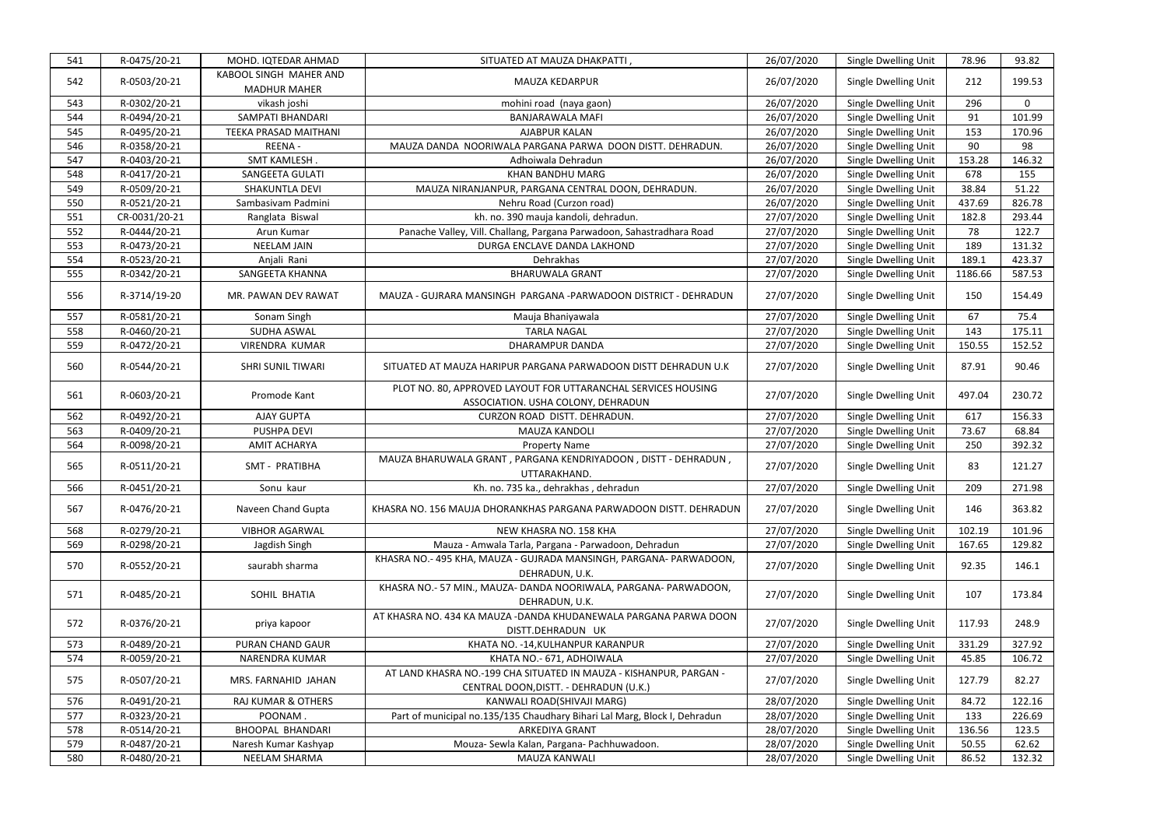| 541 | R-0475/20-21  | MOHD. IQTEDAR AHMAD                           | SITUATED AT MAUZA DHAKPATTI,                                                                                 | 26/07/2020 | Single Dwelling Unit        | 78.96   | 93.82    |
|-----|---------------|-----------------------------------------------|--------------------------------------------------------------------------------------------------------------|------------|-----------------------------|---------|----------|
| 542 | R-0503/20-21  | KABOOL SINGH MAHER AND<br><b>MADHUR MAHER</b> | MAUZA KEDARPUR                                                                                               | 26/07/2020 | Single Dwelling Unit        | 212     | 199.53   |
| 543 | R-0302/20-21  | vikash joshi                                  | mohini road (naya gaon)                                                                                      | 26/07/2020 | Single Dwelling Unit        | 296     | $\Omega$ |
| 544 | R-0494/20-21  | SAMPATI BHANDARI                              | <b>BANJARAWALA MAFI</b>                                                                                      | 26/07/2020 | Single Dwelling Unit        | 91      | 101.99   |
| 545 | R-0495/20-21  | TEEKA PRASAD MAITHANI                         | AJABPUR KALAN                                                                                                | 26/07/2020 | Single Dwelling Unit        | 153     | 170.96   |
| 546 | R-0358/20-21  | REENA -                                       | MAUZA DANDA NOORIWALA PARGANA PARWA DOON DISTT. DEHRADUN.                                                    | 26/07/2020 | Single Dwelling Unit        | 90      | 98       |
| 547 | R-0403/20-21  | SMT KAMLESH.                                  | Adhoiwala Dehradun                                                                                           | 26/07/2020 | Single Dwelling Unit        | 153.28  | 146.32   |
| 548 | R-0417/20-21  | SANGEETA GULATI                               | KHAN BANDHU MARG                                                                                             | 26/07/2020 | Single Dwelling Unit        | 678     | 155      |
| 549 | R-0509/20-21  | <b>SHAKUNTLA DEVI</b>                         | MAUZA NIRANJANPUR, PARGANA CENTRAL DOON, DEHRADUN.                                                           | 26/07/2020 | Single Dwelling Unit        | 38.84   | 51.22    |
| 550 | R-0521/20-21  | Sambasivam Padmini                            | Nehru Road (Curzon road)                                                                                     | 26/07/2020 | Single Dwelling Unit        | 437.69  | 826.78   |
| 551 | CR-0031/20-21 | Ranglata Biswal                               | kh. no. 390 mauja kandoli, dehradun.                                                                         | 27/07/2020 | Single Dwelling Unit        | 182.8   | 293.44   |
| 552 | R-0444/20-21  | Arun Kumar                                    | Panache Valley, Vill. Challang, Pargana Parwadoon, Sahastradhara Road                                        | 27/07/2020 | Single Dwelling Unit        | 78      | 122.7    |
| 553 | R-0473/20-21  | <b>NEELAM JAIN</b>                            | DURGA ENCLAVE DANDA LAKHOND                                                                                  | 27/07/2020 | Single Dwelling Unit        | 189     | 131.32   |
| 554 | R-0523/20-21  | Anjali Rani                                   | Dehrakhas                                                                                                    | 27/07/2020 | Single Dwelling Unit        | 189.1   | 423.37   |
| 555 | R-0342/20-21  | SANGEETA KHANNA                               | <b>BHARUWALA GRANT</b>                                                                                       | 27/07/2020 | Single Dwelling Unit        | 1186.66 | 587.53   |
| 556 | R-3714/19-20  | MR. PAWAN DEV RAWAT                           | MAUZA - GUJRARA MANSINGH PARGANA -PARWADOON DISTRICT - DEHRADUN                                              | 27/07/2020 | Single Dwelling Unit        | 150     | 154.49   |
| 557 | R-0581/20-21  | Sonam Singh                                   | Mauja Bhaniyawala                                                                                            | 27/07/2020 | Single Dwelling Unit        | 67      | 75.4     |
| 558 | R-0460/20-21  | <b>SUDHA ASWAL</b>                            | <b>TARLA NAGAL</b>                                                                                           | 27/07/2020 | Single Dwelling Unit        | 143     | 175.11   |
| 559 | R-0472/20-21  | VIRENDRA KUMAR                                | DHARAMPUR DANDA                                                                                              | 27/07/2020 | Single Dwelling Unit        | 150.55  | 152.52   |
| 560 | R-0544/20-21  | <b>SHRI SUNIL TIWARI</b>                      | SITUATED AT MAUZA HARIPUR PARGANA PARWADOON DISTT DEHRADUN U.K                                               | 27/07/2020 | Single Dwelling Unit        | 87.91   | 90.46    |
| 561 | R-0603/20-21  | Promode Kant                                  | PLOT NO. 80, APPROVED LAYOUT FOR UTTARANCHAL SERVICES HOUSING<br>ASSOCIATION. USHA COLONY, DEHRADUN          | 27/07/2020 | Single Dwelling Unit        | 497.04  | 230.72   |
| 562 | R-0492/20-21  | <b>AJAY GUPTA</b>                             | CURZON ROAD DISTT. DEHRADUN.                                                                                 | 27/07/2020 | Single Dwelling Unit        | 617     | 156.33   |
| 563 | R-0409/20-21  | PUSHPA DEVI                                   | MAUZA KANDOLI                                                                                                | 27/07/2020 | Single Dwelling Unit        | 73.67   | 68.84    |
| 564 | R-0098/20-21  | <b>AMIT ACHARYA</b>                           | <b>Property Name</b>                                                                                         | 27/07/2020 | Single Dwelling Unit        | 250     | 392.32   |
| 565 | R-0511/20-21  | SMT - PRATIBHA                                | MAUZA BHARUWALA GRANT, PARGANA KENDRIYADOON, DISTT - DEHRADUN,<br>UTTARAKHAND.                               | 27/07/2020 | Single Dwelling Unit        | 83      | 121.27   |
| 566 | R-0451/20-21  | Sonu kaur                                     | Kh. no. 735 ka., dehrakhas, dehradun                                                                         | 27/07/2020 | Single Dwelling Unit        | 209     | 271.98   |
| 567 | R-0476/20-21  | Naveen Chand Gupta                            | KHASRA NO. 156 MAUJA DHORANKHAS PARGANA PARWADOON DISTT. DEHRADUN                                            | 27/07/2020 | Single Dwelling Unit        | 146     | 363.82   |
| 568 | R-0279/20-21  | <b>VIBHOR AGARWAL</b>                         | NEW KHASRA NO. 158 KHA                                                                                       | 27/07/2020 |                             |         | 101.96   |
| 569 |               |                                               |                                                                                                              |            | <b>Single Dwelling Unit</b> | 102.19  |          |
| 570 | R-0298/20-21  | Jagdish Singh                                 | Mauza - Amwala Tarla, Pargana - Parwadoon, Dehradun                                                          | 27/07/2020 | Single Dwelling Unit        | 167.65  | 129.82   |
|     | R-0552/20-21  | saurabh sharma                                | KHASRA NO.- 495 KHA, MAUZA - GUJRADA MANSINGH, PARGANA- PARWADOON,<br>DEHRADUN, U.K.                         | 27/07/2020 | Single Dwelling Unit        | 92.35   | 146.1    |
| 571 | R-0485/20-21  | SOHIL BHATIA                                  | KHASRA NO.- 57 MIN., MAUZA- DANDA NOORIWALA, PARGANA- PARWADOON,<br>DEHRADUN, U.K.                           | 27/07/2020 | Single Dwelling Unit        | 107     | 173.84   |
| 572 | R-0376/20-21  | priya kapoor                                  | AT KHASRA NO. 434 KA MAUZA -DANDA KHUDANEWALA PARGANA PARWA DOON<br>DISTT.DEHRADUN UK                        | 27/07/2020 | Single Dwelling Unit        | 117.93  | 248.9    |
| 573 | R-0489/20-21  | PURAN CHAND GAUR                              | KHATA NO. - 14, KULHANPUR KARANPUR                                                                           | 27/07/2020 | Single Dwelling Unit        | 331.29  | 327.92   |
| 574 | R-0059/20-21  | NARENDRA KUMAR                                | KHATA NO.- 671, ADHOIWALA                                                                                    | 27/07/2020 | Single Dwelling Unit        | 45.85   | 106.72   |
| 575 | R-0507/20-21  | MRS. FARNAHID JAHAN                           | AT LAND KHASRA NO.-199 CHA SITUATED IN MAUZA - KISHANPUR, PARGAN -<br>CENTRAL DOON, DISTT. - DEHRADUN (U.K.) | 27/07/2020 | Single Dwelling Unit        | 127.79  | 82.27    |
| 576 | R-0491/20-21  | RAJ KUMAR & OTHERS                            | KANWALI ROAD(SHIVAJI MARG)                                                                                   | 28/07/2020 | <b>Single Dwelling Unit</b> | 84.72   | 122.16   |
| 577 | R-0323/20-21  | POONAM.                                       | Part of municipal no.135/135 Chaudhary Bihari Lal Marg, Block I, Dehradun                                    | 28/07/2020 | Single Dwelling Unit        | 133     | 226.69   |
| 578 | R-0514/20-21  | <b>BHOOPAL BHANDARI</b>                       | ARKEDIYA GRANT                                                                                               | 28/07/2020 | Single Dwelling Unit        | 136.56  | 123.5    |
| 579 | R-0487/20-21  | Naresh Kumar Kashyap                          | Mouza- Sewla Kalan, Pargana- Pachhuwadoon.                                                                   | 28/07/2020 | Single Dwelling Unit        | 50.55   | 62.62    |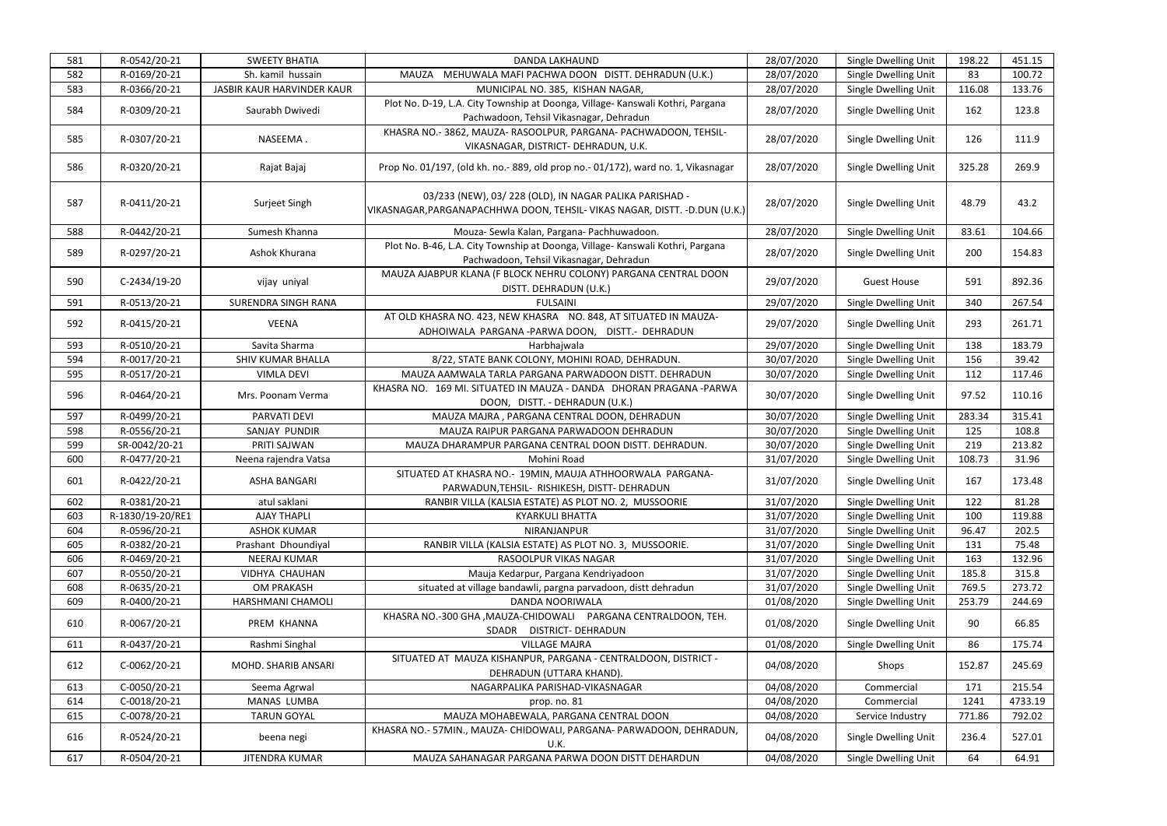| 581 | R-0542/20-21     | <b>SWEETY BHATIA</b>       | <b>DANDA LAKHAUND</b>                                                                                                                | 28/07/2020 | Single Dwelling Unit | 198.22 | 451.15  |
|-----|------------------|----------------------------|--------------------------------------------------------------------------------------------------------------------------------------|------------|----------------------|--------|---------|
| 582 | R-0169/20-21     | Sh. kamil hussain          | MAUZA MEHUWALA MAFI PACHWA DOON DISTT. DEHRADUN (U.K.)                                                                               | 28/07/2020 | Single Dwelling Unit | 83     | 100.72  |
| 583 | R-0366/20-21     | JASBIR KAUR HARVINDER KAUR | MUNICIPAL NO. 385, KISHAN NAGAR,                                                                                                     | 28/07/2020 | Single Dwelling Unit | 116.08 | 133.76  |
| 584 | R-0309/20-21     | Saurabh Dwivedi            | Plot No. D-19, L.A. City Township at Doonga, Village- Kanswali Kothri, Pargana<br>Pachwadoon, Tehsil Vikasnagar, Dehradun            | 28/07/2020 | Single Dwelling Unit | 162    | 123.8   |
| 585 | R-0307/20-21     | NASEEMA.                   | KHASRA NO.-3862, MAUZA-RASOOLPUR, PARGANA-PACHWADOON, TEHSIL-<br>VIKASNAGAR, DISTRICT- DEHRADUN, U.K.                                | 28/07/2020 | Single Dwelling Unit | 126    | 111.9   |
| 586 | R-0320/20-21     | Rajat Bajaj                | Prop No. 01/197, (old kh. no.-889, old prop no.-01/172), ward no. 1, Vikasnagar                                                      | 28/07/2020 | Single Dwelling Unit | 325.28 | 269.9   |
| 587 | R-0411/20-21     | Surjeet Singh              | 03/233 (NEW), 03/228 (OLD), IN NAGAR PALIKA PARISHAD -<br> VIKASNAGAR,PARGANAPACHHWA DOON, TEHSIL- VIKAS NAGAR, DISTT. -D.DUN (U.K.) | 28/07/2020 | Single Dwelling Unit | 48.79  | 43.2    |
| 588 | R-0442/20-21     | Sumesh Khanna              | Mouza- Sewla Kalan, Pargana- Pachhuwadoon.                                                                                           | 28/07/2020 | Single Dwelling Unit | 83.61  | 104.66  |
| 589 | R-0297/20-21     | Ashok Khurana              | Plot No. B-46, L.A. City Township at Doonga, Village- Kanswali Kothri, Pargana<br>Pachwadoon, Tehsil Vikasnagar, Dehradun            | 28/07/2020 | Single Dwelling Unit | 200    | 154.83  |
| 590 | C-2434/19-20     | vijay uniyal               | MAUZA AJABPUR KLANA (F BLOCK NEHRU COLONY) PARGANA CENTRAL DOON<br>DISTT. DEHRADUN (U.K.)                                            | 29/07/2020 | <b>Guest House</b>   | 591    | 892.36  |
| 591 | R-0513/20-21     | <b>SURENDRA SINGH RANA</b> | <b>FULSAINI</b>                                                                                                                      | 29/07/2020 | Single Dwelling Unit | 340    | 267.54  |
| 592 | R-0415/20-21     | <b>VEENA</b>               | AT OLD KHASRA NO. 423, NEW KHASRA NO. 848, AT SITUATED IN MAUZA-<br>ADHOIWALA PARGANA-PARWA DOON, DISTT.- DEHRADUN                   | 29/07/2020 | Single Dwelling Unit | 293    | 261.71  |
| 593 | R-0510/20-21     | Savita Sharma              | Harbhajwala                                                                                                                          | 29/07/2020 | Single Dwelling Unit | 138    | 183.79  |
| 594 | R-0017/20-21     | <b>SHIV KUMAR BHALLA</b>   | 8/22, STATE BANK COLONY, MOHINI ROAD, DEHRADUN.                                                                                      | 30/07/2020 | Single Dwelling Unit | 156    | 39.42   |
| 595 | R-0517/20-21     | <b>VIMLA DEVI</b>          | MAUZA AAMWALA TARLA PARGANA PARWADOON DISTT. DEHRADUN                                                                                | 30/07/2020 | Single Dwelling Unit | 112    | 117.46  |
| 596 | R-0464/20-21     | Mrs. Poonam Verma          | KHASRA NO. 169 MI. SITUATED IN MAUZA - DANDA DHORAN PRAGANA -PARWA<br>DOON, DISTT. - DEHRADUN (U.K.)                                 | 30/07/2020 | Single Dwelling Unit | 97.52  | 110.16  |
| 597 | R-0499/20-21     | PARVATI DEVI               | MAUZA MAJRA, PARGANA CENTRAL DOON, DEHRADUN                                                                                          | 30/07/2020 | Single Dwelling Unit | 283.34 | 315.41  |
| 598 | R-0556/20-21     | SANJAY PUNDIR              | MAUZA RAIPUR PARGANA PARWADOON DEHRADUN                                                                                              | 30/07/2020 | Single Dwelling Unit | 125    | 108.8   |
| 599 | SR-0042/20-21    | PRITI SAJWAN               | MAUZA DHARAMPUR PARGANA CENTRAL DOON DISTT. DEHRADUN.                                                                                | 30/07/2020 | Single Dwelling Unit | 219    | 213.82  |
| 600 | R-0477/20-21     | Neena rajendra Vatsa       | Mohini Road                                                                                                                          | 31/07/2020 | Single Dwelling Unit | 108.73 | 31.96   |
| 601 | R-0422/20-21     | <b>ASHA BANGARI</b>        | SITUATED AT KHASRA NO.- 19MIN, MAUJA ATHHOORWALA PARGANA-<br>PARWADUN, TEHSIL- RISHIKESH, DISTT- DEHRADUN                            | 31/07/2020 | Single Dwelling Unit | 167    | 173.48  |
| 602 | R-0381/20-21     | atul saklani               | RANBIR VILLA (KALSIA ESTATE) AS PLOT NO. 2, MUSSOORIE                                                                                | 31/07/2020 | Single Dwelling Unit | 122    | 81.28   |
| 603 | R-1830/19-20/RE1 | <b>AJAY THAPLI</b>         | <b>KYARKULI BHATTA</b>                                                                                                               | 31/07/2020 | Single Dwelling Unit | 100    | 119.88  |
| 604 | R-0596/20-21     | <b>ASHOK KUMAR</b>         | NIRANJANPUR                                                                                                                          | 31/07/2020 | Single Dwelling Unit | 96.47  | 202.5   |
| 605 | R-0382/20-21     | Prashant Dhoundiyal        | RANBIR VILLA (KALSIA ESTATE) AS PLOT NO. 3, MUSSOORIE.                                                                               | 31/07/2020 | Single Dwelling Unit | 131    | 75.48   |
| 606 | R-0469/20-21     | NEERAJ KUMAR               | RASOOLPUR VIKAS NAGAR                                                                                                                | 31/07/2020 | Single Dwelling Unit | 163    | 132.96  |
| 607 | R-0550/20-21     | VIDHYA CHAUHAN             | Mauja Kedarpur, Pargana Kendriyadoon                                                                                                 | 31/07/2020 | Single Dwelling Unit | 185.8  | 315.8   |
| 608 | R-0635/20-21     | <b>OM PRAKASH</b>          | situated at village bandawli, pargna parvadoon, distt dehradun                                                                       | 31/07/2020 | Single Dwelling Unit | 769.5  | 273.72  |
| 609 | R-0400/20-21     | HARSHMANI CHAMOLI          | <b>DANDA NOORIWALA</b>                                                                                                               | 01/08/2020 | Single Dwelling Unit | 253.79 | 244.69  |
| 610 | R-0067/20-21     | PREM KHANNA                | KHASRA NO.-300 GHA, MAUZA-CHIDOWALI PARGANA CENTRALDOON, TEH.<br>SDADR DISTRICT- DEHRADUN                                            | 01/08/2020 | Single Dwelling Unit | 90     | 66.85   |
| 611 | R-0437/20-21     | Rashmi Singhal             | <b>VILLAGE MAJRA</b>                                                                                                                 | 01/08/2020 | Single Dwelling Unit | 86     | 175.74  |
| 612 | C-0062/20-21     | MOHD. SHARIB ANSARI        | SITUATED AT MAUZA KISHANPUR, PARGANA - CENTRALDOON, DISTRICT -<br>DEHRADUN (UTTARA KHAND).                                           | 04/08/2020 | Shops                | 152.87 | 245.69  |
| 613 | C-0050/20-21     | Seema Agrwal               | NAGARPALIKA PARISHAD-VIKASNAGAR                                                                                                      | 04/08/2020 | Commercial           | 171    | 215.54  |
| 614 | C-0018/20-21     | MANAS LUMBA                | prop. no. 81                                                                                                                         | 04/08/2020 | Commercial           | 1241   | 4733.19 |
| 615 | C-0078/20-21     | <b>TARUN GOYAL</b>         | MAUZA MOHABEWALA, PARGANA CENTRAL DOON                                                                                               | 04/08/2020 | Service Industry     | 771.86 | 792.02  |
| 616 | R-0524/20-21     | beena negi                 | KHASRA NO.- 57MIN., MAUZA- CHIDOWALI, PARGANA- PARWADOON, DEHRADUN,<br>U.K.                                                          | 04/08/2020 | Single Dwelling Unit | 236.4  | 527.01  |
| 617 | R-0504/20-21     | <b>JITENDRA KUMAR</b>      | MAUZA SAHANAGAR PARGANA PARWA DOON DISTT DEHARDUN                                                                                    | 04/08/2020 | Single Dwelling Unit | 64     | 64.91   |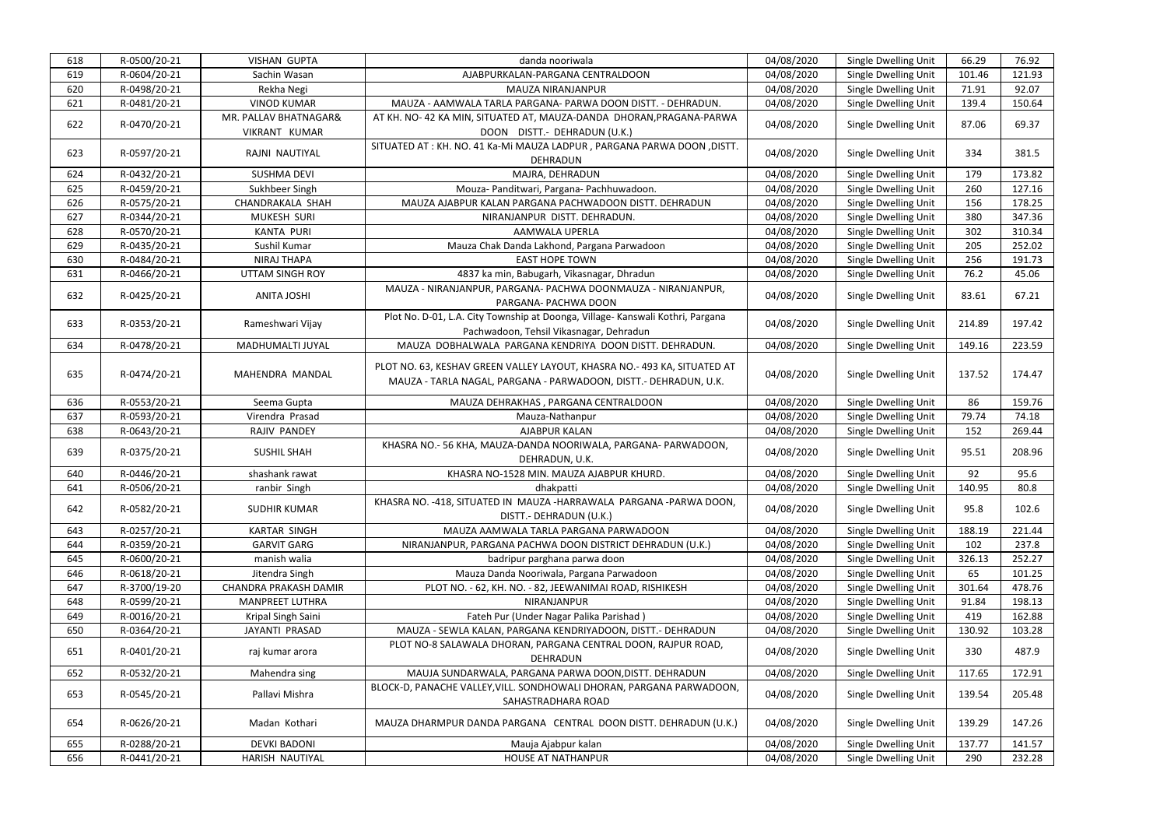| 618        | R-0500/20-21                 | <b>VISHAN GUPTA</b>                    | danda nooriwala                                                                                                                                  | 04/08/2020               | Single Dwelling Unit                         | 66.29         | 76.92           |
|------------|------------------------------|----------------------------------------|--------------------------------------------------------------------------------------------------------------------------------------------------|--------------------------|----------------------------------------------|---------------|-----------------|
| 619        | R-0604/20-21                 | Sachin Wasan                           | AJABPURKALAN-PARGANA CENTRALDOON                                                                                                                 | 04/08/2020               | Single Dwelling Unit                         | 101.46        | 121.93          |
| 620        | R-0498/20-21                 | Rekha Negi                             | MAUZA NIRANJANPUR                                                                                                                                | 04/08/2020               | Single Dwelling Unit                         | 71.91         | 92.07           |
| 621        | R-0481/20-21                 | <b>VINOD KUMAR</b>                     | MAUZA - AAMWALA TARLA PARGANA- PARWA DOON DISTT. - DEHRADUN.                                                                                     | 04/08/2020               | Single Dwelling Unit                         | 139.4         | 150.64          |
| 622        | R-0470/20-21                 | MR. PALLAV BHATNAGAR&<br>VIKRANT KUMAR | AT KH. NO- 42 KA MIN, SITUATED AT, MAUZA-DANDA DHORAN, PRAGANA-PARWA<br>DOON DISTT.- DEHRADUN (U.K.)                                             | 04/08/2020               | Single Dwelling Unit                         | 87.06         | 69.37           |
| 623        | R-0597/20-21                 | RAJNI NAUTIYAL                         | SITUATED AT: KH. NO. 41 Ka-Mi MAUZA LADPUR, PARGANA PARWA DOON, DISTT.<br>DEHRADUN                                                               | 04/08/2020               | Single Dwelling Unit                         | 334           | 381.5           |
| 624        | R-0432/20-21                 | <b>SUSHMA DEVI</b>                     | MAJRA, DEHRADUN                                                                                                                                  | 04/08/2020               | Single Dwelling Unit                         | 179           | 173.82          |
| 625        | R-0459/20-21                 | Sukhbeer Singh                         | Mouza- Panditwari, Pargana- Pachhuwadoon.                                                                                                        | 04/08/2020               | Single Dwelling Unit                         | 260           | 127.16          |
| 626        | R-0575/20-21                 | CHANDRAKALA SHAH                       | MAUZA AJABPUR KALAN PARGANA PACHWADOON DISTT. DEHRADUN                                                                                           | 04/08/2020               | Single Dwelling Unit                         | 156           | 178.25          |
| 627        | R-0344/20-21                 | <b>MUKESH SURI</b>                     | NIRANJANPUR DISTT. DEHRADUN.                                                                                                                     | 04/08/2020               | Single Dwelling Unit                         | 380           | 347.36          |
| 628        | R-0570/20-21                 | <b>KANTA PURI</b>                      | AAMWALA UPERLA                                                                                                                                   | 04/08/2020               | Single Dwelling Unit                         | 302           | 310.34          |
| 629        | R-0435/20-21                 | Sushil Kumar                           | Mauza Chak Danda Lakhond, Pargana Parwadoon                                                                                                      | 04/08/2020               | Single Dwelling Unit                         | 205           | 252.02          |
| 630        | R-0484/20-21                 | <b>NIRAJ THAPA</b>                     | <b>EAST HOPE TOWN</b>                                                                                                                            | 04/08/2020               | Single Dwelling Unit                         | 256           | 191.73          |
| 631        | R-0466/20-21                 | <b>UTTAM SINGH ROY</b>                 | 4837 ka min, Babugarh, Vikasnagar, Dhradun                                                                                                       | 04/08/2020               | Single Dwelling Unit                         | 76.2          | 45.06           |
|            |                              |                                        | MAUZA - NIRANJANPUR, PARGANA- PACHWA DOONMAUZA - NIRANJANPUR,                                                                                    |                          |                                              |               |                 |
| 632        | R-0425/20-21                 | <b>ANITA JOSHI</b>                     | PARGANA- PACHWA DOON                                                                                                                             | 04/08/2020               | Single Dwelling Unit                         | 83.61         | 67.21           |
| 633        | R-0353/20-21                 | Rameshwari Vijay                       | Plot No. D-01, L.A. City Township at Doonga, Village- Kanswali Kothri, Pargana<br>Pachwadoon, Tehsil Vikasnagar, Dehradun                        | 04/08/2020               | Single Dwelling Unit                         | 214.89        | 197.42          |
| 634        | R-0478/20-21                 | MADHUMALTI JUYAL                       | MAUZA DOBHALWALA PARGANA KENDRIYA DOON DISTT. DEHRADUN.                                                                                          | 04/08/2020               | Single Dwelling Unit                         | 149.16        | 223.59          |
| 635        | R-0474/20-21                 | MAHENDRA MANDAL                        | PLOT NO. 63, KESHAV GREEN VALLEY LAYOUT, KHASRA NO.- 493 KA, SITUATED AT<br>MAUZA - TARLA NAGAL, PARGANA - PARWADOON, DISTT. - DEHRADUN, U.K.    | 04/08/2020               | Single Dwelling Unit                         | 137.52        | 174.47          |
| 636        | R-0553/20-21                 | Seema Gupta                            | MAUZA DEHRAKHAS, PARGANA CENTRALDOON                                                                                                             | 04/08/2020               | Single Dwelling Unit                         | 86            | 159.76          |
| 637        | R-0593/20-21                 | Virendra Prasad                        | Mauza-Nathanpur                                                                                                                                  | 04/08/2020               | Single Dwelling Unit                         | 79.74         | 74.18           |
| 638        | R-0643/20-21                 | RAJIV PANDEY                           | AJABPUR KALAN                                                                                                                                    | 04/08/2020               | Single Dwelling Unit                         | 152           | 269.44          |
| 639        | R-0375/20-21                 | <b>SUSHIL SHAH</b>                     | KHASRA NO.- 56 KHA, MAUZA-DANDA NOORIWALA, PARGANA- PARWADOON,<br>DEHRADUN, U.K.                                                                 | 04/08/2020               | Single Dwelling Unit                         | 95.51         | 208.96          |
| 640        | R-0446/20-21                 | shashank rawat                         | KHASRA NO-1528 MIN. MAUZA AJABPUR KHURD.                                                                                                         | 04/08/2020               | Single Dwelling Unit                         | 92            | 95.6            |
| 641        | R-0506/20-21                 | ranbir Singh                           | dhakpatti                                                                                                                                        | 04/08/2020               | Single Dwelling Unit                         | 140.95        | 80.8            |
| 642        | R-0582/20-21                 | <b>SUDHIR KUMAR</b>                    | KHASRA NO. - 418, SITUATED IN MAUZA - HARRAWALA PARGANA - PARWA DOON,<br>DISTT.- DEHRADUN (U.K.)                                                 | 04/08/2020               | Single Dwelling Unit                         | 95.8          | 102.6           |
| 643        | R-0257/20-21                 | <b>KARTAR SINGH</b>                    | MAUZA AAMWALA TARLA PARGANA PARWADOON                                                                                                            | 04/08/2020               | Single Dwelling Unit                         | 188.19        | 221.44          |
| 644        | R-0359/20-21                 | <b>GARVIT GARG</b>                     | NIRANJANPUR, PARGANA PACHWA DOON DISTRICT DEHRADUN (U.K.)                                                                                        | 04/08/2020               | Single Dwelling Unit                         | 102           | 237.8           |
| 645        | R-0600/20-21                 | manish walia                           | badripur parghana parwa doon                                                                                                                     | 04/08/2020               | Single Dwelling Unit                         | 326.13        | 252.27          |
| 646        | R-0618/20-21                 | Jitendra Singh                         | Mauza Danda Nooriwala, Pargana Parwadoon                                                                                                         | 04/08/2020               | Single Dwelling Unit                         | 65            | 101.25          |
| 647        | R-3700/19-20                 | CHANDRA PRAKASH DAMIR                  | PLOT NO. - 62, KH. NO. - 82, JEEWANIMAI ROAD, RISHIKESH                                                                                          | 04/08/2020               | Single Dwelling Unit                         | 301.64        | 478.76          |
| 648        | R-0599/20-21                 | MANPREET LUTHRA                        | NIRANJANPUR                                                                                                                                      | 04/08/2020               | Single Dwelling Unit                         | 91.84         | 198.13          |
| 649        |                              |                                        |                                                                                                                                                  |                          |                                              |               |                 |
|            |                              |                                        |                                                                                                                                                  |                          |                                              |               |                 |
|            | R-0016/20-21                 | Kripal Singh Saini                     | Fateh Pur (Under Nagar Palika Parishad)                                                                                                          | 04/08/2020               | Single Dwelling Unit                         | 419           | 162.88          |
| 650<br>651 | R-0364/20-21<br>R-0401/20-21 | JAYANTI PRASAD<br>raj kumar arora      | MAUZA - SEWLA KALAN, PARGANA KENDRIYADOON, DISTT. - DEHRADUN<br>PLOT NO-8 SALAWALA DHORAN, PARGANA CENTRAL DOON, RAJPUR ROAD,<br><b>DEHRADUN</b> | 04/08/2020<br>04/08/2020 | Single Dwelling Unit<br>Single Dwelling Unit | 130.92<br>330 | 103.28<br>487.9 |
| 652        | R-0532/20-21                 | Mahendra sing                          | MAUJA SUNDARWALA, PARGANA PARWA DOON, DISTT. DEHRADUN                                                                                            | 04/08/2020               | Single Dwelling Unit                         | 117.65        | 172.91          |
| 653        | R-0545/20-21                 | Pallavi Mishra                         | BLOCK-D, PANACHE VALLEY, VILL. SONDHOWALI DHORAN, PARGANA PARWADOON,<br>SAHASTRADHARA ROAD                                                       | 04/08/2020               | Single Dwelling Unit                         | 139.54        | 205.48          |
| 654        | R-0626/20-21                 | Madan Kothari                          | MAUZA DHARMPUR DANDA PARGANA CENTRAL DOON DISTT. DEHRADUN (U.K.)                                                                                 | 04/08/2020               | Single Dwelling Unit                         | 139.29        | 147.26          |
| 655        | R-0288/20-21                 | <b>DEVKI BADONI</b>                    | Mauja Ajabpur kalan                                                                                                                              | 04/08/2020               | Single Dwelling Unit                         | 137.77        | 141.57          |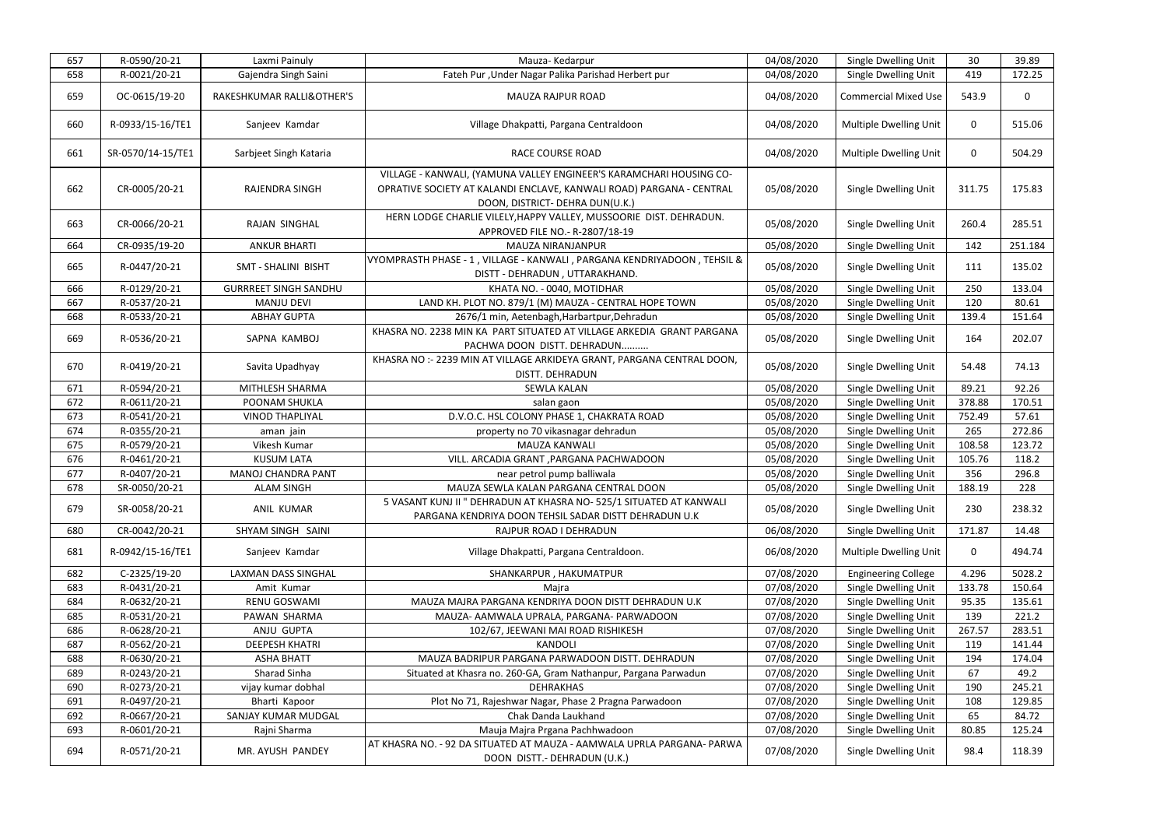| 657 | R-0590/20-21      | Laxmi Painuly                | Mauza-Kedarpur                                                                                                                                                                 | 04/08/2020 | Single Dwelling Unit        | 30           | 39.89        |
|-----|-------------------|------------------------------|--------------------------------------------------------------------------------------------------------------------------------------------------------------------------------|------------|-----------------------------|--------------|--------------|
| 658 | R-0021/20-21      | Gajendra Singh Saini         | Fateh Pur, Under Nagar Palika Parishad Herbert pur                                                                                                                             | 04/08/2020 | Single Dwelling Unit        | 419          | 172.25       |
| 659 | OC-0615/19-20     | RAKESHKUMAR RALLI&OTHER'S    | <b>MAUZA RAJPUR ROAD</b>                                                                                                                                                       | 04/08/2020 | <b>Commercial Mixed Use</b> | 543.9        | $\mathbf{0}$ |
| 660 | R-0933/15-16/TE1  | Sanjeev Kamdar               | Village Dhakpatti, Pargana Centraldoon                                                                                                                                         | 04/08/2020 | Multiple Dwelling Unit      | $\mathbf{0}$ | 515.06       |
| 661 | SR-0570/14-15/TE1 | Sarbjeet Singh Kataria       | <b>RACE COURSE ROAD</b>                                                                                                                                                        | 04/08/2020 | Multiple Dwelling Unit      | $\mathbf 0$  | 504.29       |
| 662 | CR-0005/20-21     | RAJENDRA SINGH               | VILLAGE - KANWALI, (YAMUNA VALLEY ENGINEER'S KARAMCHARI HOUSING CO-<br>OPRATIVE SOCIETY AT KALANDI ENCLAVE, KANWALI ROAD) PARGANA - CENTRAL<br>DOON, DISTRICT- DEHRA DUN(U.K.) | 05/08/2020 | Single Dwelling Unit        | 311.75       | 175.83       |
| 663 | CR-0066/20-21     | RAJAN SINGHAL                | HERN LODGE CHARLIE VILELY, HAPPY VALLEY, MUSSOORIE DIST. DEHRADUN.<br>APPROVED FILE NO.- R-2807/18-19                                                                          | 05/08/2020 | Single Dwelling Unit        | 260.4        | 285.51       |
| 664 | CR-0935/19-20     | <b>ANKUR BHARTI</b>          | MAUZA NIRANJANPUR                                                                                                                                                              | 05/08/2020 | Single Dwelling Unit        | 142          | 251.184      |
| 665 | R-0447/20-21      | <b>SMT - SHALINI BISHT</b>   | VYOMPRASTH PHASE - 1, VILLAGE - KANWALI, PARGANA KENDRIYADOON, TEHSIL &<br>DISTT - DEHRADUN, UTTARAKHAND.                                                                      | 05/08/2020 | Single Dwelling Unit        | 111          | 135.02       |
| 666 | R-0129/20-21      | <b>GURRREET SINGH SANDHU</b> | KHATA NO. - 0040, MOTIDHAR                                                                                                                                                     | 05/08/2020 | Single Dwelling Unit        | 250          | 133.04       |
| 667 | R-0537/20-21      | <b>MANJU DEVI</b>            | LAND KH. PLOT NO. 879/1 (M) MAUZA - CENTRAL HOPE TOWN                                                                                                                          | 05/08/2020 | Single Dwelling Unit        | 120          | 80.61        |
| 668 | R-0533/20-21      | <b>ABHAY GUPTA</b>           | 2676/1 min, Aetenbagh, Harbartpur, Dehradun                                                                                                                                    | 05/08/2020 | Single Dwelling Unit        | 139.4        | 151.64       |
| 669 | R-0536/20-21      | SAPNA KAMBOJ                 | KHASRA NO. 2238 MIN KA PART SITUATED AT VILLAGE ARKEDIA GRANT PARGANA<br>PACHWA DOON DISTT. DEHRADUN                                                                           | 05/08/2020 | Single Dwelling Unit        | 164          | 202.07       |
| 670 | R-0419/20-21      | Savita Upadhyay              | KHASRA NO:- 2239 MIN AT VILLAGE ARKIDEYA GRANT, PARGANA CENTRAL DOON,<br>DISTT. DEHRADUN                                                                                       | 05/08/2020 | Single Dwelling Unit        | 54.48        | 74.13        |
| 671 | R-0594/20-21      | MITHLESH SHARMA              | <b>SEWLA KALAN</b>                                                                                                                                                             | 05/08/2020 | Single Dwelling Unit        | 89.21        | 92.26        |
| 672 | R-0611/20-21      | POONAM SHUKLA                | salan gaon                                                                                                                                                                     | 05/08/2020 | Single Dwelling Unit        | 378.88       | 170.51       |
| 673 | R-0541/20-21      | <b>VINOD THAPLIYAL</b>       | D.V.O.C. HSL COLONY PHASE 1, CHAKRATA ROAD                                                                                                                                     | 05/08/2020 | Single Dwelling Unit        | 752.49       | 57.61        |
| 674 | R-0355/20-21      | aman jain                    | property no 70 vikasnagar dehradun                                                                                                                                             | 05/08/2020 | Single Dwelling Unit        | 265          | 272.86       |
| 675 | R-0579/20-21      | Vikesh Kumar                 | MAUZA KANWALI                                                                                                                                                                  | 05/08/2020 | Single Dwelling Unit        | 108.58       | 123.72       |
| 676 | R-0461/20-21      | <b>KUSUM LATA</b>            | VILL. ARCADIA GRANT , PARGANA PACHWADOON                                                                                                                                       | 05/08/2020 | Single Dwelling Unit        | 105.76       | 118.2        |
| 677 | R-0407/20-21      | MANOJ CHANDRA PANT           | near petrol pump balliwala                                                                                                                                                     | 05/08/2020 | Single Dwelling Unit        | 356          | 296.8        |
| 678 | SR-0050/20-21     | <b>ALAM SINGH</b>            | MAUZA SEWLA KALAN PARGANA CENTRAL DOON                                                                                                                                         | 05/08/2020 | Single Dwelling Unit        | 188.19       | 228          |
| 679 | SR-0058/20-21     | ANIL KUMAR                   | 5 VASANT KUNJ II " DEHRADUN AT KHASRA NO- 525/1 SITUATED AT KANWALI<br>PARGANA KENDRIYA DOON TEHSIL SADAR DISTT DEHRADUN U.K.                                                  | 05/08/2020 | Single Dwelling Unit        | 230          | 238.32       |
| 680 | CR-0042/20-21     | SHYAM SINGH SAINI            | RAJPUR ROAD I DEHRADUN                                                                                                                                                         | 06/08/2020 | Single Dwelling Unit        | 171.87       | 14.48        |
| 681 | R-0942/15-16/TE1  | Sanjeev Kamdar               | Village Dhakpatti, Pargana Centraldoon.                                                                                                                                        | 06/08/2020 | Multiple Dwelling Unit      | $\Omega$     | 494.74       |
| 682 | C-2325/19-20      | LAXMAN DASS SINGHAL          | SHANKARPUR, HAKUMATPUR                                                                                                                                                         | 07/08/2020 | <b>Engineering College</b>  | 4.296        | 5028.2       |
| 683 | R-0431/20-21      | Amit Kumar                   | Majra                                                                                                                                                                          | 07/08/2020 | Single Dwelling Unit        | 133.78       | 150.64       |
| 684 | R-0632/20-21      | RENU GOSWAMI                 | MAUZA MAJRA PARGANA KENDRIYA DOON DISTT DEHRADUN U.K                                                                                                                           | 07/08/2020 | Single Dwelling Unit        | 95.35        | 135.61       |
| 685 | R-0531/20-21      | PAWAN SHARMA                 | MAUZA- AAMWALA UPRALA, PARGANA- PARWADOON                                                                                                                                      | 07/08/2020 | Single Dwelling Unit        | 139          | 221.2        |
| 686 | R-0628/20-21      | ANJU GUPTA                   | 102/67, JEEWANI MAI ROAD RISHIKESH                                                                                                                                             | 07/08/2020 | Single Dwelling Unit        | 267.57       | 283.51       |
| 687 | R-0562/20-21      | <b>DEEPESH KHATRI</b>        | KANDOLI                                                                                                                                                                        | 07/08/2020 | Single Dwelling Unit        | 119          | 141.44       |
| 688 | R-0630/20-21      | <b>ASHA BHATT</b>            | MAUZA BADRIPUR PARGANA PARWADOON DISTT. DEHRADUN                                                                                                                               | 07/08/2020 | Single Dwelling Unit        | 194          | 174.04       |
| 689 | R-0243/20-21      | Sharad Sinha                 | Situated at Khasra no. 260-GA, Gram Nathanpur, Pargana Parwadun                                                                                                                | 07/08/2020 | Single Dwelling Unit        | 67           | 49.2         |
| 690 | R-0273/20-21      | vijay kumar dobhal           | <b>DEHRAKHAS</b>                                                                                                                                                               | 07/08/2020 | Single Dwelling Unit        | 190          | 245.21       |
| 691 | R-0497/20-21      | Bharti Kapoor                | Plot No 71, Rajeshwar Nagar, Phase 2 Pragna Parwadoon                                                                                                                          | 07/08/2020 | Single Dwelling Unit        | 108          | 129.85       |
| 692 | R-0667/20-21      | SANJAY KUMAR MUDGAL          | Chak Danda Laukhand                                                                                                                                                            | 07/08/2020 | Single Dwelling Unit        | 65           | 84.72        |
| 693 | R-0601/20-21      | Rajni Sharma                 | Mauja Majra Prgana Pachhwadoon                                                                                                                                                 | 07/08/2020 | Single Dwelling Unit        | 80.85        | 125.24       |
| 694 | R-0571/20-21      | MR. AYUSH PANDEY             | AT KHASRA NO. - 92 DA SITUATED AT MAUZA - AAMWALA UPRLA PARGANA- PARWA<br>DOON DISTT. - DEHRADUN (U.K.)                                                                        | 07/08/2020 | Single Dwelling Unit        | 98.4         | 118.39       |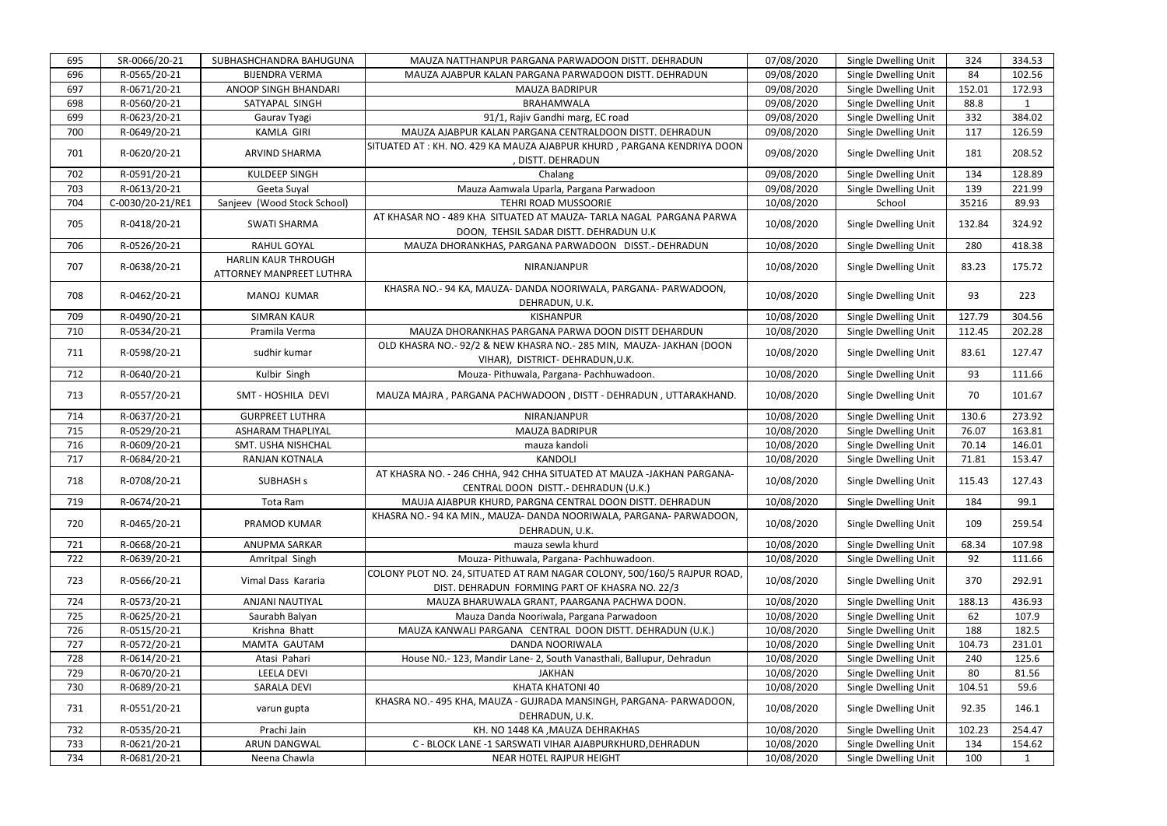| 695 | SR-0066/20-21    | SUBHASHCHANDRA BAHUGUNA                                | MAUZA NATTHANPUR PARGANA PARWADOON DISTT. DEHRADUN                                                                         | 07/08/2020 | Single Dwelling Unit        | 324    | 334.53       |
|-----|------------------|--------------------------------------------------------|----------------------------------------------------------------------------------------------------------------------------|------------|-----------------------------|--------|--------------|
| 696 | R-0565/20-21     | <b>BIJENDRA VERMA</b>                                  | MAUZA AJABPUR KALAN PARGANA PARWADOON DISTT. DEHRADUN                                                                      | 09/08/2020 | Single Dwelling Unit        | 84     | 102.56       |
| 697 | R-0671/20-21     | ANOOP SINGH BHANDARI                                   | <b>MAUZA BADRIPUR</b>                                                                                                      | 09/08/2020 | <b>Single Dwelling Unit</b> | 152.01 | 172.93       |
| 698 | R-0560/20-21     | SATYAPAL SINGH                                         | <b>BRAHAMWALA</b>                                                                                                          | 09/08/2020 | Single Dwelling Unit        | 88.8   | 1            |
| 699 | R-0623/20-21     | Gaurav Tyagi                                           | 91/1, Rajiv Gandhi marg, EC road                                                                                           | 09/08/2020 | Single Dwelling Unit        | 332    | 384.02       |
| 700 | R-0649/20-21     | <b>KAMLA GIRI</b>                                      | MAUZA AJABPUR KALAN PARGANA CENTRALDOON DISTT. DEHRADUN                                                                    | 09/08/2020 | Single Dwelling Unit        | 117    | 126.59       |
| 701 | R-0620/20-21     | <b>ARVIND SHARMA</b>                                   | SITUATED AT : KH. NO. 429 KA MAUZA AJABPUR KHURD , PARGANA KENDRIYA DOON<br>, DISTT. DEHRADUN                              | 09/08/2020 | Single Dwelling Unit        | 181    | 208.52       |
| 702 | R-0591/20-21     | <b>KULDEEP SINGH</b>                                   | Chalang                                                                                                                    | 09/08/2020 | Single Dwelling Unit        | 134    | 128.89       |
| 703 | R-0613/20-21     | Geeta Suyal                                            | Mauza Aamwala Uparla, Pargana Parwadoon                                                                                    | 09/08/2020 | Single Dwelling Unit        | 139    | 221.99       |
| 704 | C-0030/20-21/RE1 | Sanjeev (Wood Stock School)                            | TEHRI ROAD MUSSOORIE                                                                                                       | 10/08/2020 | School                      | 35216  | 89.93        |
| 705 | R-0418/20-21     | <b>SWATI SHARMA</b>                                    | AT KHASAR NO - 489 KHA SITUATED AT MAUZA- TARLA NAGAL PARGANA PARWA<br>DOON, TEHSIL SADAR DISTT. DEHRADUN U.K.             | 10/08/2020 | <b>Single Dwelling Unit</b> | 132.84 | 324.92       |
| 706 | R-0526/20-21     | <b>RAHUL GOYAL</b>                                     | MAUZA DHORANKHAS, PARGANA PARWADOON DISST.- DEHRADUN                                                                       | 10/08/2020 | Single Dwelling Unit        | 280    | 418.38       |
| 707 | R-0638/20-21     | <b>HARLIN KAUR THROUGH</b><br>ATTORNEY MANPREET LUTHRA | NIRANJANPUR                                                                                                                | 10/08/2020 | Single Dwelling Unit        | 83.23  | 175.72       |
| 708 | R-0462/20-21     | MANOJ KUMAR                                            | KHASRA NO.- 94 KA, MAUZA- DANDA NOORIWALA, PARGANA- PARWADOON,<br>DEHRADUN, U.K.                                           | 10/08/2020 | Single Dwelling Unit        | 93     | 223          |
| 709 | R-0490/20-21     | <b>SIMRAN KAUR</b>                                     | <b>KISHANPUR</b>                                                                                                           | 10/08/2020 | Single Dwelling Unit        | 127.79 | 304.56       |
| 710 | R-0534/20-21     | Pramila Verma                                          | MAUZA DHORANKHAS PARGANA PARWA DOON DISTT DEHARDUN                                                                         | 10/08/2020 | Single Dwelling Unit        | 112.45 | 202.28       |
| 711 | R-0598/20-21     | sudhir kumar                                           | OLD KHASRA NO.- 92/2 & NEW KHASRA NO.- 285 MIN, MAUZA-JAKHAN (DOON<br>VIHAR), DISTRICT- DEHRADUN, U.K.                     | 10/08/2020 | Single Dwelling Unit        | 83.61  | 127.47       |
| 712 | R-0640/20-21     | Kulbir Singh                                           | Mouza- Pithuwala, Pargana- Pachhuwadoon.                                                                                   | 10/08/2020 | Single Dwelling Unit        | 93     | 111.66       |
| 713 | R-0557/20-21     | SMT - HOSHILA DEVI                                     | MAUZA MAJRA, PARGANA PACHWADOON, DISTT - DEHRADUN, UTTARAKHAND.                                                            | 10/08/2020 | Single Dwelling Unit        | 70     | 101.67       |
| 714 | R-0637/20-21     | <b>GURPREET LUTHRA</b>                                 | NIRANJANPUR                                                                                                                | 10/08/2020 | Single Dwelling Unit        | 130.6  | 273.92       |
| 715 | R-0529/20-21     | <b>ASHARAM THAPLIYAL</b>                               | <b>MAUZA BADRIPUR</b>                                                                                                      | 10/08/2020 | Single Dwelling Unit        | 76.07  | 163.81       |
| 716 | R-0609/20-21     | SMT. USHA NISHCHAL                                     | mauza kandoli                                                                                                              | 10/08/2020 | Single Dwelling Unit        | 70.14  | 146.01       |
| 717 | R-0684/20-21     | RANJAN KOTNALA                                         | <b>KANDOLI</b>                                                                                                             | 10/08/2020 | Single Dwelling Unit        | 71.81  | 153.47       |
| 718 | R-0708/20-21     | <b>SUBHASH s</b>                                       | AT KHASRA NO. - 246 CHHA, 942 CHHA SITUATED AT MAUZA -JAKHAN PARGANA-<br>CENTRAL DOON DISTT. - DEHRADUN (U.K.)             | 10/08/2020 | Single Dwelling Unit        | 115.43 | 127.43       |
| 719 | R-0674/20-21     | Tota Ram                                               | MAUJA AJABPUR KHURD, PARGNA CENTRAL DOON DISTT. DEHRADUN                                                                   | 10/08/2020 | Single Dwelling Unit        | 184    | 99.1         |
| 720 | R-0465/20-21     | PRAMOD KUMAR                                           | KHASRA NO.- 94 KA MIN., MAUZA- DANDA NOORIWALA, PARGANA- PARWADOON,<br>DEHRADUN, U.K.                                      | 10/08/2020 | Single Dwelling Unit        | 109    | 259.54       |
| 721 | R-0668/20-21     | ANUPMA SARKAR                                          | mauza sewla khurd                                                                                                          | 10/08/2020 | Single Dwelling Unit        | 68.34  | 107.98       |
| 722 | R-0639/20-21     | Amritpal Singh                                         | Mouza- Pithuwala, Pargana- Pachhuwadoon.                                                                                   | 10/08/2020 | Single Dwelling Unit        | 92     | 111.66       |
| 723 | R-0566/20-21     | Vimal Dass Kararia                                     | COLONY PLOT NO. 24, SITUATED AT RAM NAGAR COLONY, 500/160/5 RAJPUR ROAD,<br>DIST. DEHRADUN FORMING PART OF KHASRA NO. 22/3 | 10/08/2020 | Single Dwelling Unit        | 370    | 292.91       |
| 724 | R-0573/20-21     | <b>ANJANI NAUTIYAL</b>                                 | MAUZA BHARUWALA GRANT, PAARGANA PACHWA DOON.                                                                               | 10/08/2020 | <b>Single Dwelling Unit</b> | 188.13 | 436.93       |
| 725 | R-0625/20-21     | Saurabh Balyan                                         | Mauza Danda Nooriwala, Pargana Parwadoon                                                                                   | 10/08/2020 | Single Dwelling Unit        | 62     | 107.9        |
| 726 | R-0515/20-21     | Krishna Bhatt                                          | MAUZA KANWALI PARGANA CENTRAL DOON DISTT. DEHRADUN (U.K.)                                                                  | 10/08/2020 | Single Dwelling Unit        | 188    | 182.5        |
| 727 | R-0572/20-21     | MAMTA GAUTAM                                           | DANDA NOORIWALA                                                                                                            | 10/08/2020 | Single Dwelling Unit        | 104.73 | 231.01       |
| 728 | R-0614/20-21     | Atasi Pahari                                           | House N0.- 123, Mandir Lane- 2, South Vanasthali, Ballupur, Dehradun                                                       | 10/08/2020 | Single Dwelling Unit        | 240    | 125.6        |
| 729 | R-0670/20-21     | <b>LEELA DEVI</b>                                      | <b>JAKHAN</b>                                                                                                              | 10/08/2020 | Single Dwelling Unit        | 80     | 81.56        |
| 730 | R-0689/20-21     | SARALA DEVI                                            | KHATA KHATONI 40                                                                                                           | 10/08/2020 | Single Dwelling Unit        | 104.51 | 59.6         |
| 731 | R-0551/20-21     | varun gupta                                            | KHASRA NO.- 495 KHA, MAUZA - GUJRADA MANSINGH, PARGANA- PARWADOON,<br>DEHRADUN, U.K.                                       | 10/08/2020 | Single Dwelling Unit        | 92.35  | 146.1        |
| 732 | R-0535/20-21     | Prachi Jain                                            | KH. NO 1448 KA, MAUZA DEHRAKHAS                                                                                            | 10/08/2020 | Single Dwelling Unit        | 102.23 | 254.47       |
| 733 | R-0621/20-21     | <b>ARUN DANGWAL</b>                                    | C - BLOCK LANE -1 SARSWATI VIHAR AJABPURKHURD, DEHRADUN                                                                    | 10/08/2020 | Single Dwelling Unit        | 134    | 154.62       |
| 734 | R-0681/20-21     | Neena Chawla                                           | NEAR HOTEL RAJPUR HEIGHT                                                                                                   | 10/08/2020 | Single Dwelling Unit        | 100    | $\mathbf{1}$ |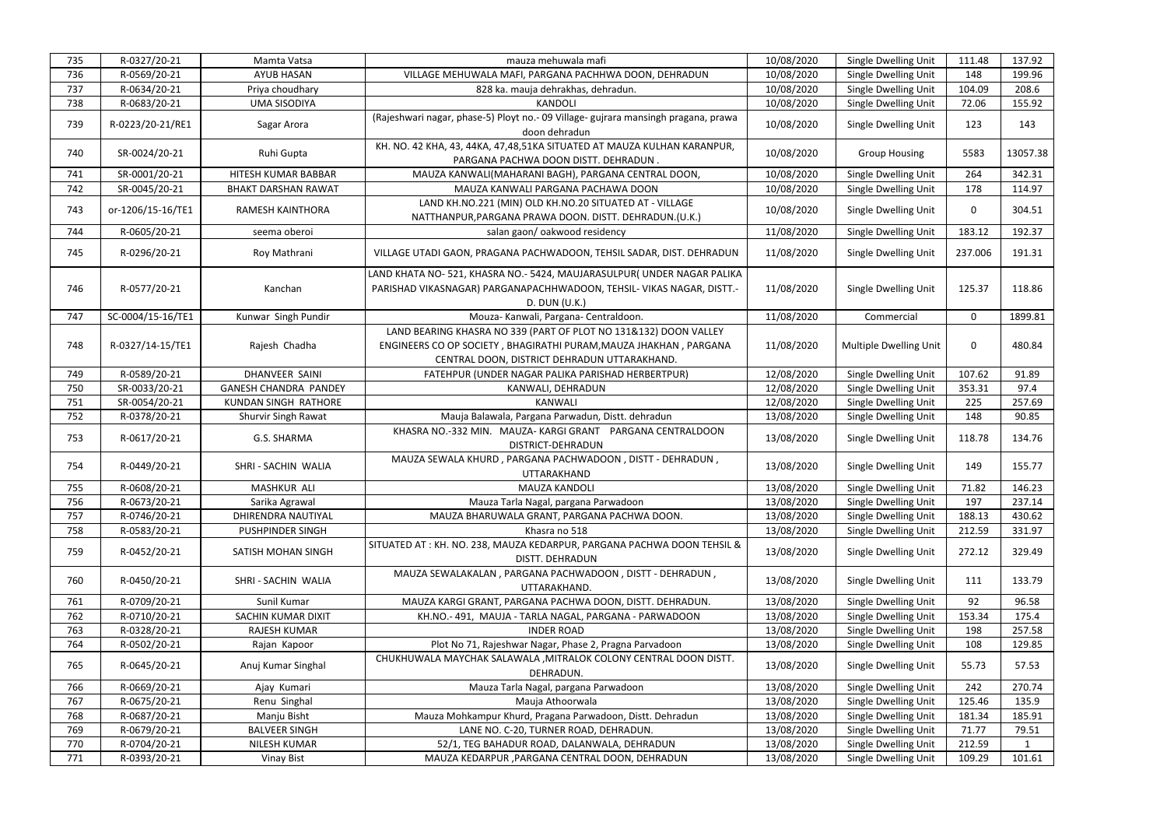| 735 | R-0327/20-21      | Mamta Vatsa                  | mauza mehuwala mafi                                                                                                                                                                   | 10/08/2020 | Single Dwelling Unit        | 111.48         | 137.92       |
|-----|-------------------|------------------------------|---------------------------------------------------------------------------------------------------------------------------------------------------------------------------------------|------------|-----------------------------|----------------|--------------|
| 736 | R-0569/20-21      | AYUB HASAN                   | VILLAGE MEHUWALA MAFI, PARGANA PACHHWA DOON, DEHRADUN                                                                                                                                 | 10/08/2020 | Single Dwelling Unit        | 148            | 199.96       |
| 737 | R-0634/20-21      | Priya choudhary              | 828 ka. mauja dehrakhas, dehradun.                                                                                                                                                    | 10/08/2020 | Single Dwelling Unit        | 104.09         | 208.6        |
| 738 | R-0683/20-21      | <b>UMA SISODIYA</b>          | <b>KANDOLI</b>                                                                                                                                                                        | 10/08/2020 | Single Dwelling Unit        | 72.06          | 155.92       |
| 739 | R-0223/20-21/RE1  | Sagar Arora                  | (Rajeshwari nagar, phase-5) Ployt no.- 09 Village- gujrara mansingh pragana, prawa<br>doon dehradun                                                                                   | 10/08/2020 | Single Dwelling Unit        | 123            | 143          |
| 740 | SR-0024/20-21     | Ruhi Gupta                   | KH. NO. 42 KHA, 43, 44KA, 47,48,51KA SITUATED AT MAUZA KULHAN KARANPUR,<br>PARGANA PACHWA DOON DISTT. DEHRADUN.                                                                       | 10/08/2020 | <b>Group Housing</b>        | 5583           | 13057.38     |
| 741 | SR-0001/20-21     | HITESH KUMAR BABBAR          | MAUZA KANWALI(MAHARANI BAGH), PARGANA CENTRAL DOON,                                                                                                                                   | 10/08/2020 | Single Dwelling Unit        | 264            | 342.31       |
| 742 | SR-0045/20-21     | <b>BHAKT DARSHAN RAWAT</b>   | MAUZA KANWALI PARGANA PACHAWA DOON                                                                                                                                                    | 10/08/2020 | Single Dwelling Unit        | 178            | 114.97       |
| 743 | or-1206/15-16/TE1 | <b>RAMESH KAINTHORA</b>      | LAND KH.NO.221 (MIN) OLD KH.NO.20 SITUATED AT - VILLAGE<br>NATTHANPUR, PARGANA PRAWA DOON. DISTT. DEHRADUN. (U.K.)                                                                    | 10/08/2020 | Single Dwelling Unit        | $\overline{0}$ | 304.51       |
| 744 | R-0605/20-21      | seema oberoi                 | salan gaon/ oakwood residency                                                                                                                                                         | 11/08/2020 | Single Dwelling Unit        | 183.12         | 192.37       |
| 745 | R-0296/20-21      | Roy Mathrani                 | VILLAGE UTADI GAON, PRAGANA PACHWADOON, TEHSIL SADAR, DIST. DEHRADUN                                                                                                                  | 11/08/2020 | Single Dwelling Unit        | 237.006        | 191.31       |
| 746 | R-0577/20-21      | Kanchan                      | LAND KHATA NO- 521, KHASRA NO.- 5424, MAUJARASULPUR( UNDER NAGAR PALIKA<br>PARISHAD VIKASNAGAR) PARGANAPACHHWADOON, TEHSIL- VIKAS NAGAR, DISTT.-<br>D. DUN (U.K.)                     | 11/08/2020 | Single Dwelling Unit        | 125.37         | 118.86       |
| 747 | SC-0004/15-16/TE1 | Kunwar Singh Pundir          | Mouza-Kanwali, Pargana-Centraldoon.                                                                                                                                                   | 11/08/2020 | Commercial                  | 0              | 1899.81      |
| 748 | R-0327/14-15/TE1  | Rajesh Chadha                | LAND BEARING KHASRA NO 339 (PART OF PLOT NO 131&132) DOON VALLEY<br>ENGINEERS CO OP SOCIETY, BHAGIRATHI PURAM, MAUZA JHAKHAN, PARGANA<br>CENTRAL DOON, DISTRICT DEHRADUN UTTARAKHAND. | 11/08/2020 | Multiple Dwelling Unit      | $\mathbf{0}$   | 480.84       |
| 749 | R-0589/20-21      | <b>DHANVEER SAINI</b>        | FATEHPUR (UNDER NAGAR PALIKA PARISHAD HERBERTPUR)                                                                                                                                     | 12/08/2020 | Single Dwelling Unit        | 107.62         | 91.89        |
| 750 | SR-0033/20-21     | <b>GANESH CHANDRA PANDEY</b> | KANWALI, DEHRADUN                                                                                                                                                                     | 12/08/2020 | <b>Single Dwelling Unit</b> | 353.31         | 97.4         |
| 751 | SR-0054/20-21     | KUNDAN SINGH RATHORE         | <b>KANWALI</b>                                                                                                                                                                        | 12/08/2020 | Single Dwelling Unit        | 225            | 257.69       |
| 752 | R-0378/20-21      | <b>Shurvir Singh Rawat</b>   | Mauja Balawala, Pargana Parwadun, Distt. dehradun                                                                                                                                     | 13/08/2020 | Single Dwelling Unit        | 148            | 90.85        |
| 753 | R-0617/20-21      | G.S. SHARMA                  | KHASRA NO.-332 MIN. MAUZA-KARGI GRANT PARGANA CENTRALDOON<br>DISTRICT-DEHRADUN                                                                                                        | 13/08/2020 | Single Dwelling Unit        | 118.78         | 134.76       |
| 754 | R-0449/20-21      | SHRI - SACHIN WALIA          | MAUZA SEWALA KHURD, PARGANA PACHWADOON, DISTT - DEHRADUN,<br>UTTARAKHAND                                                                                                              | 13/08/2020 | Single Dwelling Unit        | 149            | 155.77       |
| 755 | R-0608/20-21      | MASHKUR ALI                  | MAUZA KANDOLI                                                                                                                                                                         | 13/08/2020 | Single Dwelling Unit        | 71.82          | 146.23       |
| 756 | R-0673/20-21      | Sarika Agrawal               | Mauza Tarla Nagal, pargana Parwadoon                                                                                                                                                  | 13/08/2020 | Single Dwelling Unit        | 197            | 237.14       |
| 757 | R-0746/20-21      | <b>DHIRENDRA NAUTIYAL</b>    | MAUZA BHARUWALA GRANT, PARGANA PACHWA DOON.                                                                                                                                           | 13/08/2020 | Single Dwelling Unit        | 188.13         | 430.62       |
| 758 | R-0583/20-21      | PUSHPINDER SINGH             | Khasra no 518                                                                                                                                                                         | 13/08/2020 | Single Dwelling Unit        | 212.59         | 331.97       |
| 759 | R-0452/20-21      | SATISH MOHAN SINGH           | SITUATED AT: KH. NO. 238, MAUZA KEDARPUR, PARGANA PACHWA DOON TEHSIL &<br>DISTT. DEHRADUN                                                                                             | 13/08/2020 | Single Dwelling Unit        | 272.12         | 329.49       |
| 760 | R-0450/20-21      | SHRI - SACHIN WALIA          | MAUZA SEWALAKALAN, PARGANA PACHWADOON, DISTT - DEHRADUN,<br>UTTARAKHAND.                                                                                                              | 13/08/2020 | Single Dwelling Unit        | 111            | 133.79       |
| 761 |                   |                              |                                                                                                                                                                                       |            |                             |                |              |
| 762 | R-0709/20-21      | Sunil Kumar                  | MAUZA KARGI GRANT, PARGANA PACHWA DOON, DISTT. DEHRADUN.                                                                                                                              | 13/08/2020 | Single Dwelling Unit        | 92             | 96.58        |
|     | R-0710/20-21      | SACHIN KUMAR DIXIT           | KH.NO.- 491, MAUJA - TARLA NAGAL, PARGANA - PARWADOON                                                                                                                                 | 13/08/2020 | Single Dwelling Unit        | 153.34         | 175.4        |
| 763 | R-0328/20-21      | <b>RAJESH KUMAR</b>          | <b>INDER ROAD</b>                                                                                                                                                                     | 13/08/2020 | Single Dwelling Unit        | 198            | 257.58       |
| 764 | R-0502/20-21      | Rajan Kapoor                 | Plot No 71, Rajeshwar Nagar, Phase 2, Pragna Parvadoon                                                                                                                                | 13/08/2020 | Single Dwelling Unit        | 108            | 129.85       |
| 765 | R-0645/20-21      | Anuj Kumar Singhal           | CHUKHUWALA MAYCHAK SALAWALA, MITRALOK COLONY CENTRAL DOON DISTT.<br>DEHRADUN.                                                                                                         | 13/08/2020 | Single Dwelling Unit        | 55.73          | 57.53        |
| 766 | R-0669/20-21      | Ajay Kumari                  | Mauza Tarla Nagal, pargana Parwadoon                                                                                                                                                  | 13/08/2020 | Single Dwelling Unit        | 242            | 270.74       |
| 767 | R-0675/20-21      | Renu Singhal                 | Mauja Athoorwala                                                                                                                                                                      | 13/08/2020 | Single Dwelling Unit        | 125.46         | 135.9        |
| 768 | R-0687/20-21      | Manju Bisht                  | Mauza Mohkampur Khurd, Pragana Parwadoon, Distt. Dehradun                                                                                                                             | 13/08/2020 | Single Dwelling Unit        | 181.34         | 185.91       |
| 769 | R-0679/20-21      | <b>BALVEER SINGH</b>         | LANE NO. C-20, TURNER ROAD, DEHRADUN.                                                                                                                                                 | 13/08/2020 | Single Dwelling Unit        | 71.77          | 79.51        |
| 770 | R-0704/20-21      | NILESH KUMAR                 | 52/1, TEG BAHADUR ROAD, DALANWALA, DEHRADUN                                                                                                                                           | 13/08/2020 | Single Dwelling Unit        | 212.59         | $\mathbf{1}$ |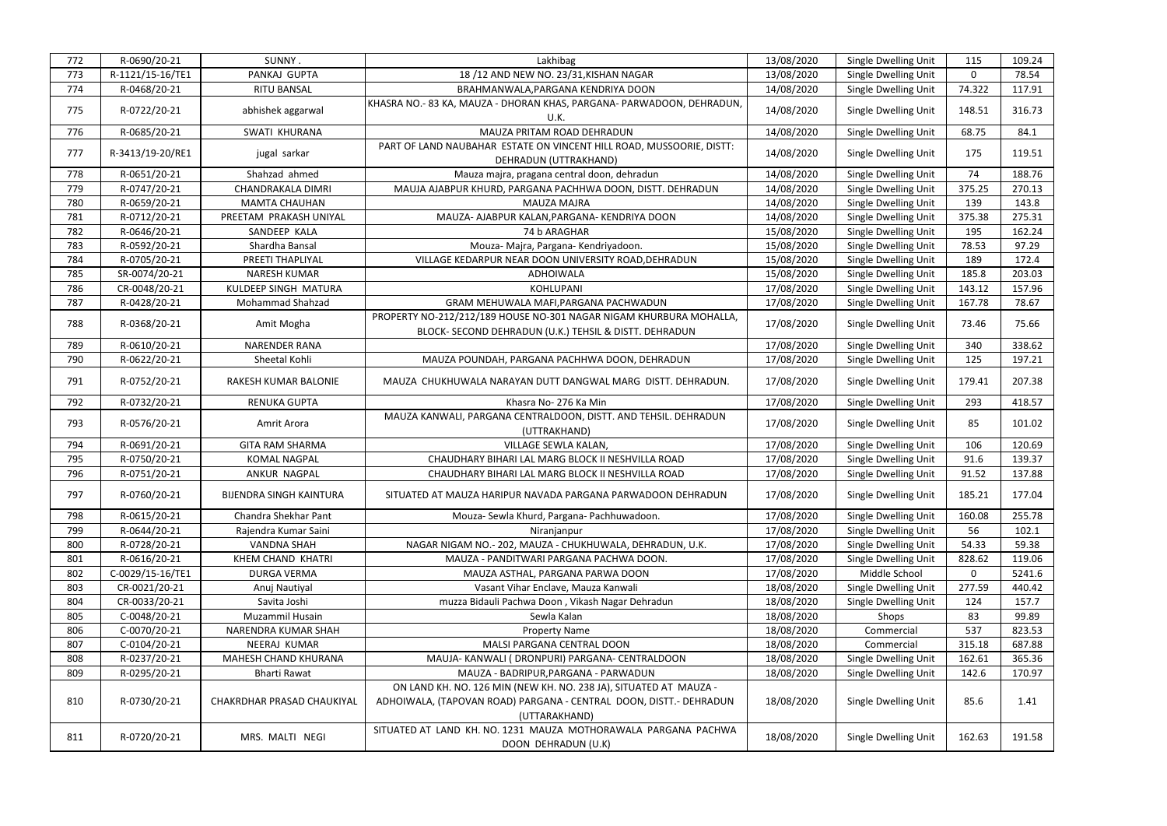| 772 | R-0690/20-21     | SUNNY.                         | Lakhibag                                                                                                                                                  | 13/08/2020 | Single Dwelling Unit | 115         | 109.24 |
|-----|------------------|--------------------------------|-----------------------------------------------------------------------------------------------------------------------------------------------------------|------------|----------------------|-------------|--------|
| 773 | R-1121/15-16/TE1 | PANKAJ GUPTA                   | 18 / 12 AND NEW NO. 23/31, KISHAN NAGAR                                                                                                                   | 13/08/2020 | Single Dwelling Unit | $\Omega$    | 78.54  |
| 774 | R-0468/20-21     | <b>RITU BANSAL</b>             | BRAHMANWALA, PARGANA KENDRIYA DOON                                                                                                                        | 14/08/2020 | Single Dwelling Unit | 74.322      | 117.91 |
| 775 | R-0722/20-21     | abhishek aggarwal              | KHASRA NO.-83 KA, MAUZA - DHORAN KHAS, PARGANA- PARWADOON, DEHRADUN,<br>U.K.                                                                              | 14/08/2020 | Single Dwelling Unit | 148.51      | 316.73 |
| 776 | R-0685/20-21     | SWATI KHURANA                  | MAUZA PRITAM ROAD DEHRADUN                                                                                                                                | 14/08/2020 | Single Dwelling Unit | 68.75       | 84.1   |
| 777 | R-3413/19-20/RE1 | jugal sarkar                   | PART OF LAND NAUBAHAR ESTATE ON VINCENT HILL ROAD, MUSSOORIE, DISTT:<br>DEHRADUN (UTTRAKHAND)                                                             | 14/08/2020 | Single Dwelling Unit | 175         | 119.51 |
| 778 | R-0651/20-21     | Shahzad ahmed                  | Mauza majra, pragana central doon, dehradun                                                                                                               | 14/08/2020 | Single Dwelling Unit | 74          | 188.76 |
| 779 | R-0747/20-21     | <b>CHANDRAKALA DIMRI</b>       | MAUJA AJABPUR KHURD, PARGANA PACHHWA DOON, DISTT. DEHRADUN                                                                                                | 14/08/2020 | Single Dwelling Unit | 375.25      | 270.13 |
| 780 | R-0659/20-21     | <b>MAMTA CHAUHAN</b>           | <b>MAUZA MAJRA</b>                                                                                                                                        | 14/08/2020 | Single Dwelling Unit | 139         | 143.8  |
| 781 | R-0712/20-21     | PREETAM PRAKASH UNIYAL         | MAUZA- AJABPUR KALAN, PARGANA- KENDRIYA DOON                                                                                                              | 14/08/2020 | Single Dwelling Unit | 375.38      | 275.31 |
| 782 | R-0646/20-21     | SANDEEP KALA                   | 74 b ARAGHAR                                                                                                                                              | 15/08/2020 | Single Dwelling Unit | 195         | 162.24 |
| 783 | R-0592/20-21     | Shardha Bansal                 | Mouza- Majra, Pargana- Kendriyadoon.                                                                                                                      | 15/08/2020 | Single Dwelling Unit | 78.53       | 97.29  |
| 784 | R-0705/20-21     | PREETI THAPLIYAL               | VILLAGE KEDARPUR NEAR DOON UNIVERSITY ROAD, DEHRADUN                                                                                                      | 15/08/2020 | Single Dwelling Unit | 189         | 172.4  |
| 785 | SR-0074/20-21    | <b>NARESH KUMAR</b>            | ADHOIWALA                                                                                                                                                 | 15/08/2020 | Single Dwelling Unit | 185.8       | 203.03 |
| 786 | CR-0048/20-21    | <b>KULDEEP SINGH MATURA</b>    | <b>KOHLUPANI</b>                                                                                                                                          | 17/08/2020 | Single Dwelling Unit | 143.12      | 157.96 |
| 787 | R-0428/20-21     | <b>Mohammad Shahzad</b>        | GRAM MEHUWALA MAFI, PARGANA PACHWADUN                                                                                                                     | 17/08/2020 | Single Dwelling Unit | 167.78      | 78.67  |
| 788 | R-0368/20-21     | Amit Mogha                     | PROPERTY NO-212/212/189 HOUSE NO-301 NAGAR NIGAM KHURBURA MOHALLA,<br>BLOCK- SECOND DEHRADUN (U.K.) TEHSIL & DISTT. DEHRADUN                              | 17/08/2020 | Single Dwelling Unit | 73.46       | 75.66  |
| 789 | R-0610/20-21     | <b>NARENDER RANA</b>           |                                                                                                                                                           | 17/08/2020 | Single Dwelling Unit | 340         | 338.62 |
| 790 | R-0622/20-21     | Sheetal Kohli                  | MAUZA POUNDAH, PARGANA PACHHWA DOON, DEHRADUN                                                                                                             | 17/08/2020 | Single Dwelling Unit | 125         | 197.21 |
| 791 | R-0752/20-21     | RAKESH KUMAR BALONIE           | MAUZA CHUKHUWALA NARAYAN DUTT DANGWAL MARG DISTT. DEHRADUN.                                                                                               | 17/08/2020 | Single Dwelling Unit | 179.41      | 207.38 |
| 792 | R-0732/20-21     | <b>RENUKA GUPTA</b>            | Khasra No-276 Ka Min                                                                                                                                      | 17/08/2020 | Single Dwelling Unit | 293         | 418.57 |
| 793 | R-0576/20-21     | Amrit Arora                    | MAUZA KANWALI, PARGANA CENTRALDOON, DISTT. AND TEHSIL. DEHRADUN<br>(UTTRAKHAND)                                                                           | 17/08/2020 | Single Dwelling Unit | 85          | 101.02 |
| 794 | R-0691/20-21     | <b>GITA RAM SHARMA</b>         | VILLAGE SEWLA KALAN,                                                                                                                                      | 17/08/2020 | Single Dwelling Unit | 106         | 120.69 |
| 795 | R-0750/20-21     | <b>KOMAL NAGPAL</b>            | CHAUDHARY BIHARI LAL MARG BLOCK II NESHVILLA ROAD                                                                                                         | 17/08/2020 | Single Dwelling Unit | 91.6        | 139.37 |
| 796 | R-0751/20-21     | ANKUR NAGPAL                   | CHAUDHARY BIHARI LAL MARG BLOCK II NESHVILLA ROAD                                                                                                         | 17/08/2020 | Single Dwelling Unit | 91.52       | 137.88 |
| 797 | R-0760/20-21     | <b>BIJENDRA SINGH KAINTURA</b> | SITUATED AT MAUZA HARIPUR NAVADA PARGANA PARWADOON DEHRADUN                                                                                               | 17/08/2020 | Single Dwelling Unit | 185.21      | 177.04 |
| 798 | R-0615/20-21     | Chandra Shekhar Pant           | Mouza- Sewla Khurd, Pargana- Pachhuwadoon.                                                                                                                | 17/08/2020 | Single Dwelling Unit | 160.08      | 255.78 |
| 799 | R-0644/20-21     | Rajendra Kumar Saini           | Niranjanpur                                                                                                                                               | 17/08/2020 | Single Dwelling Unit | 56          | 102.1  |
| 800 | R-0728/20-21     | <b>VANDNA SHAH</b>             | NAGAR NIGAM NO.- 202, MAUZA - CHUKHUWALA, DEHRADUN, U.K.                                                                                                  | 17/08/2020 | Single Dwelling Unit | 54.33       | 59.38  |
| 801 | R-0616/20-21     | KHEM CHAND KHATRI              | MAUZA - PANDITWARI PARGANA PACHWA DOON.                                                                                                                   | 17/08/2020 | Single Dwelling Unit | 828.62      | 119.06 |
| 802 | C-0029/15-16/TE1 | <b>DURGA VERMA</b>             | MAUZA ASTHAL, PARGANA PARWA DOON                                                                                                                          | 17/08/2020 | Middle School        | $\mathbf 0$ | 5241.6 |
| 803 | CR-0021/20-21    | Anuj Nautiyal                  | Vasant Vihar Enclave, Mauza Kanwali                                                                                                                       | 18/08/2020 | Single Dwelling Unit | 277.59      | 440.42 |
| 804 | CR-0033/20-21    | Savita Joshi                   | muzza Bidauli Pachwa Doon, Vikash Nagar Dehradun                                                                                                          | 18/08/2020 | Single Dwelling Unit | 124         | 157.7  |
| 805 | C-0048/20-21     | <b>Muzammil Husain</b>         | Sewla Kalan                                                                                                                                               | 18/08/2020 | Shops                | 83          | 99.89  |
| 806 | C-0070/20-21     | NARENDRA KUMAR SHAH            | <b>Property Name</b>                                                                                                                                      | 18/08/2020 | Commercial           | 537         | 823.53 |
| 807 | C-0104/20-21     | NEERAJ KUMAR                   | MALSI PARGANA CENTRAL DOON                                                                                                                                | 18/08/2020 | Commercial           | 315.18      | 687.88 |
| 808 | R-0237/20-21     | MAHESH CHAND KHURANA           | MAUJA-KANWALI (DRONPURI) PARGANA- CENTRALDOON                                                                                                             | 18/08/2020 | Single Dwelling Unit | 162.61      | 365.36 |
| 809 | R-0295/20-21     | <b>Bharti Rawat</b>            | MAUZA - BADRIPUR, PARGANA - PARWADUN                                                                                                                      | 18/08/2020 | Single Dwelling Unit | 142.6       | 170.97 |
| 810 | R-0730/20-21     | CHAKRDHAR PRASAD CHAUKIYAL     | ON LAND KH. NO. 126 MIN (NEW KH. NO. 238 JA), SITUATED AT MAUZA -<br>ADHOIWALA, (TAPOVAN ROAD) PARGANA - CENTRAL DOON, DISTT. - DEHRADUN<br>(UTTARAKHAND) | 18/08/2020 | Single Dwelling Unit | 85.6        | 1.41   |
| 811 | R-0720/20-21     | MRS. MALTI NEGI                | SITUATED AT LAND KH. NO. 1231 MAUZA MOTHORAWALA PARGANA PACHWA<br>DOON DEHRADUN (U.K)                                                                     | 18/08/2020 | Single Dwelling Unit | 162.63      | 191.58 |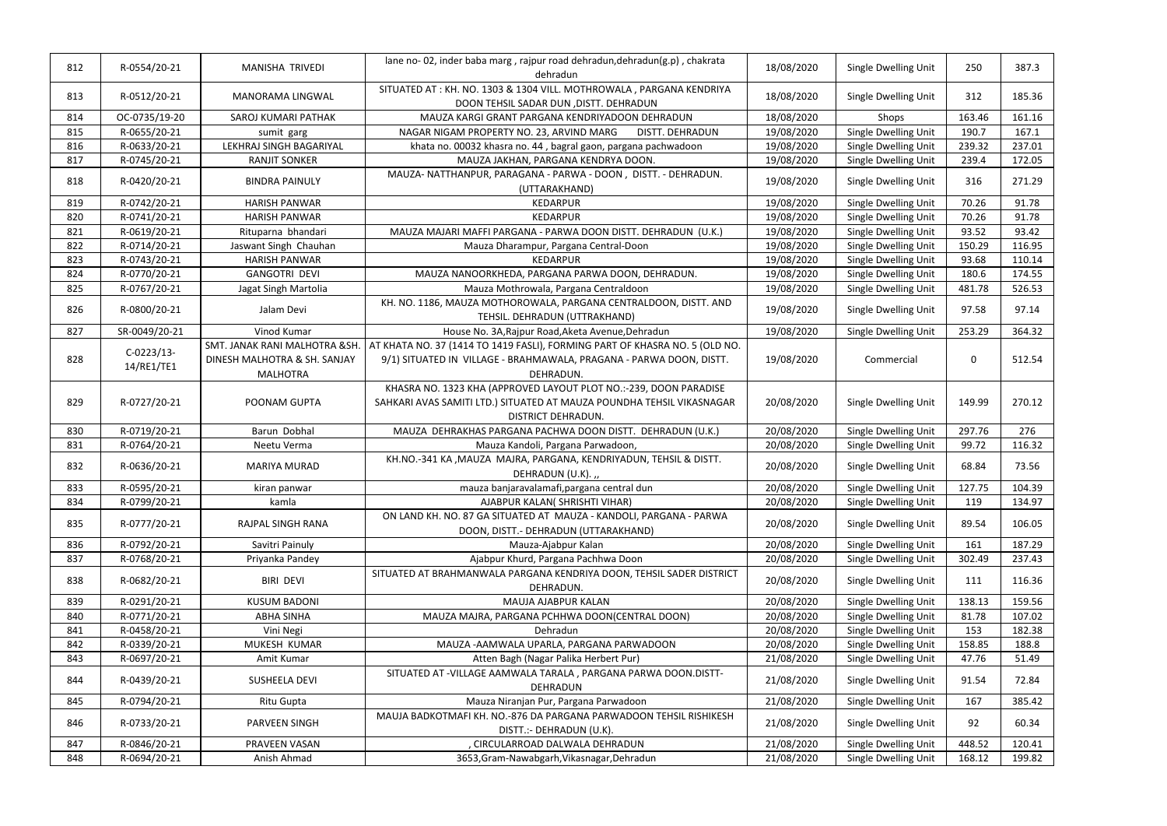| 812 | R-0554/20-21               | MANISHA TRIVEDI                                 | lane no-02, inder baba marg, rajpur road dehradun, dehradun(g.p), chakrata<br>dehradun                                                                                  | 18/08/2020 | Single Dwelling Unit | 250         | 387.3  |
|-----|----------------------------|-------------------------------------------------|-------------------------------------------------------------------------------------------------------------------------------------------------------------------------|------------|----------------------|-------------|--------|
| 813 | R-0512/20-21               | MANORAMA LINGWAL                                | SITUATED AT: KH. NO. 1303 & 1304 VILL. MOTHROWALA, PARGANA KENDRIYA<br>DOON TEHSIL SADAR DUN , DISTT. DEHRADUN                                                          | 18/08/2020 | Single Dwelling Unit | 312         | 185.36 |
| 814 | OC-0735/19-20              | SAROJ KUMARI PATHAK                             | MAUZA KARGI GRANT PARGANA KENDRIYADOON DEHRADUN                                                                                                                         | 18/08/2020 | Shops                | 163.46      | 161.16 |
| 815 | R-0655/20-21               | sumit garg                                      | NAGAR NIGAM PROPERTY NO. 23, ARVIND MARG<br>DISTT. DEHRADUN                                                                                                             | 19/08/2020 | Single Dwelling Unit | 190.7       | 167.1  |
| 816 | R-0633/20-21               | LEKHRAJ SINGH BAGARIYAL                         | khata no. 00032 khasra no. 44, bagral gaon, pargana pachwadoon                                                                                                          | 19/08/2020 | Single Dwelling Unit | 239.32      | 237.01 |
| 817 | R-0745/20-21               | <b>RANJIT SONKER</b>                            | MAUZA JAKHAN, PARGANA KENDRYA DOON.                                                                                                                                     | 19/08/2020 | Single Dwelling Unit | 239.4       | 172.05 |
| 818 | R-0420/20-21               | <b>BINDRA PAINULY</b>                           | MAUZA- NATTHANPUR, PARAGANA - PARWA - DOON, DISTT. - DEHRADUN.<br>(UTTARAKHAND)                                                                                         | 19/08/2020 | Single Dwelling Unit | 316         | 271.29 |
| 819 | R-0742/20-21               | <b>HARISH PANWAR</b>                            | <b>KEDARPUR</b>                                                                                                                                                         | 19/08/2020 | Single Dwelling Unit | 70.26       | 91.78  |
| 820 | R-0741/20-21               | <b>HARISH PANWAR</b>                            | <b>KEDARPUR</b>                                                                                                                                                         | 19/08/2020 | Single Dwelling Unit | 70.26       | 91.78  |
| 821 | R-0619/20-21               | Rituparna bhandari                              | MAUZA MAJARI MAFFI PARGANA - PARWA DOON DISTT. DEHRADUN (U.K.)                                                                                                          | 19/08/2020 | Single Dwelling Unit | 93.52       | 93.42  |
| 822 | R-0714/20-21               | Jaswant Singh Chauhan                           | Mauza Dharampur, Pargana Central-Doon                                                                                                                                   | 19/08/2020 | Single Dwelling Unit | 150.29      | 116.95 |
| 823 | R-0743/20-21               | <b>HARISH PANWAR</b>                            | <b>KEDARPUR</b>                                                                                                                                                         | 19/08/2020 | Single Dwelling Unit | 93.68       | 110.14 |
| 824 | R-0770/20-21               | <b>GANGOTRI DEVI</b>                            | MAUZA NANOORKHEDA, PARGANA PARWA DOON, DEHRADUN.                                                                                                                        | 19/08/2020 | Single Dwelling Unit | 180.6       | 174.55 |
| 825 | R-0767/20-21               | Jagat Singh Martolia                            | Mauza Mothrowala, Pargana Centraldoon                                                                                                                                   | 19/08/2020 | Single Dwelling Unit | 481.78      | 526.53 |
| 826 | R-0800/20-21               | Jalam Devi                                      | KH. NO. 1186, MAUZA MOTHOROWALA, PARGANA CENTRALDOON, DISTT. AND<br>TEHSIL. DEHRADUN (UTTRAKHAND)                                                                       | 19/08/2020 | Single Dwelling Unit | 97.58       | 97.14  |
| 827 | SR-0049/20-21              | Vinod Kumar                                     | House No. 3A, Rajpur Road, Aketa Avenue, Dehradun                                                                                                                       | 19/08/2020 | Single Dwelling Unit | 253.29      | 364.32 |
|     |                            | SMT. JANAK RANI MALHOTRA & SH.                  | AT KHATA NO. 37 (1414 TO 1419 FASLI), FORMING PART OF KHASRA NO. 5 (OLD NO.                                                                                             |            |                      |             |        |
| 828 | $C-0223/13-$<br>14/RE1/TE1 | DINESH MALHOTRA & SH. SANJAY<br><b>MALHOTRA</b> | 9/1) SITUATED IN VILLAGE - BRAHMAWALA, PRAGANA - PARWA DOON, DISTT.<br>DEHRADUN.                                                                                        | 19/08/2020 | Commercial           | $\mathbf 0$ | 512.54 |
| 829 | R-0727/20-21               | POONAM GUPTA                                    | KHASRA NO. 1323 KHA (APPROVED LAYOUT PLOT NO.:-239, DOON PARADISE<br>SAHKARI AVAS SAMITI LTD.) SITUATED AT MAUZA POUNDHA TEHSIL VIKASNAGAR<br><b>DISTRICT DEHRADUN.</b> | 20/08/2020 | Single Dwelling Unit | 149.99      | 270.12 |
| 830 | R-0719/20-21               | Barun Dobhal                                    | MAUZA DEHRAKHAS PARGANA PACHWA DOON DISTT. DEHRADUN (U.K.)                                                                                                              | 20/08/2020 | Single Dwelling Unit | 297.76      | 276    |
| 831 | R-0764/20-21               | Neetu Verma                                     | Mauza Kandoli, Pargana Parwadoon,                                                                                                                                       | 20/08/2020 | Single Dwelling Unit | 99.72       | 116.32 |
| 832 | R-0636/20-21               | <b>MARIYA MURAD</b>                             | KH.NO.-341 KA, MAUZA MAJRA, PARGANA, KENDRIYADUN, TEHSIL & DISTT.<br>DEHRADUN (U.K).,                                                                                   | 20/08/2020 | Single Dwelling Unit | 68.84       | 73.56  |
| 833 | R-0595/20-21               | kiran panwar                                    | mauza banjaravalamafi, pargana central dun                                                                                                                              | 20/08/2020 | Single Dwelling Unit | 127.75      | 104.39 |
| 834 | R-0799/20-21               | kamla                                           | AJABPUR KALAN( SHRISHTI VIHAR)                                                                                                                                          | 20/08/2020 | Single Dwelling Unit | 119         | 134.97 |
| 835 | R-0777/20-21               | RAJPAL SINGH RANA                               | ON LAND KH. NO. 87 GA SITUATED AT MAUZA - KANDOLI, PARGANA - PARWA<br>DOON, DISTT.- DEHRADUN (UTTARAKHAND)                                                              | 20/08/2020 | Single Dwelling Unit | 89.54       | 106.05 |
| 836 | R-0792/20-21               | Savitri Painuly                                 | Mauza-Ajabpur Kalan                                                                                                                                                     | 20/08/2020 | Single Dwelling Unit | 161         | 187.29 |
| 837 | R-0768/20-21               | Priyanka Pandey                                 | Ajabpur Khurd, Pargana Pachhwa Doon                                                                                                                                     | 20/08/2020 | Single Dwelling Unit | 302.49      | 237.43 |
| 838 | R-0682/20-21               | <b>BIRI DEVI</b>                                | SITUATED AT BRAHMANWALA PARGANA KENDRIYA DOON, TEHSIL SADER DISTRICT<br>DEHRADUN.                                                                                       | 20/08/2020 | Single Dwelling Unit | 111         | 116.36 |
| 839 | R-0291/20-21               | <b>KUSUM BADONI</b>                             | MAUJA AJABPUR KALAN                                                                                                                                                     | 20/08/2020 | Single Dwelling Unit | 138.13      | 159.56 |
| 840 | R-0771/20-21               | <b>ABHA SINHA</b>                               | MAUZA MAJRA, PARGANA PCHHWA DOON(CENTRAL DOON)                                                                                                                          | 20/08/2020 | Single Dwelling Unit | 81.78       | 107.02 |
| 841 | R-0458/20-21               | Vini Negi                                       | Dehradun                                                                                                                                                                | 20/08/2020 | Single Dwelling Unit | 153         | 182.38 |
| 842 | R-0339/20-21               | MUKESH KUMAR                                    | MAUZA -AAMWALA UPARLA, PARGANA PARWADOON                                                                                                                                | 20/08/2020 | Single Dwelling Unit | 158.85      | 188.8  |
| 843 | R-0697/20-21               | Amit Kumar                                      | Atten Bagh (Nagar Palika Herbert Pur)                                                                                                                                   | 21/08/2020 | Single Dwelling Unit | 47.76       | 51.49  |
| 844 | R-0439/20-21               | SUSHEELA DEVI                                   | SITUATED AT -VILLAGE AAMWALA TARALA, PARGANA PARWA DOON.DISTT-<br>DEHRADUN                                                                                              | 21/08/2020 | Single Dwelling Unit | 91.54       | 72.84  |
| 845 | R-0794/20-21               | Ritu Gupta                                      | Mauza Niranjan Pur, Pargana Parwadoon                                                                                                                                   | 21/08/2020 | Single Dwelling Unit | 167         | 385.42 |
| 846 | R-0733/20-21               | PARVEEN SINGH                                   | MAUJA BADKOTMAFI KH. NO.-876 DA PARGANA PARWADOON TEHSIL RISHIKESH<br>DISTT.:- DEHRADUN (U.K).                                                                          | 21/08/2020 | Single Dwelling Unit | 92          | 60.34  |
| 847 | R-0846/20-21               | PRAVEEN VASAN                                   | , CIRCULARROAD DALWALA DEHRADUN                                                                                                                                         | 21/08/2020 | Single Dwelling Unit | 448.52      | 120.41 |
| 848 | R-0694/20-21               | Anish Ahmad                                     | 3653, Gram-Nawabgarh, Vikasnagar, Dehradun                                                                                                                              | 21/08/2020 | Single Dwelling Unit | 168.12      | 199.82 |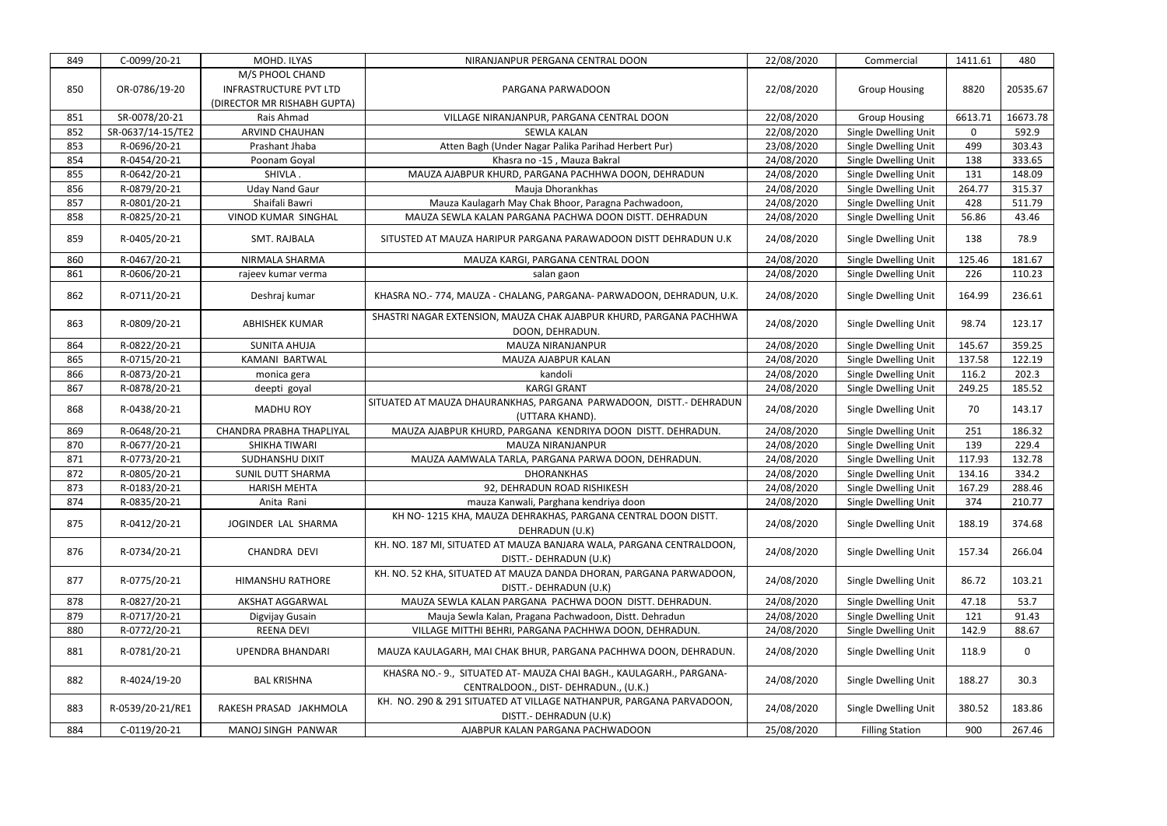| 849 | C-0099/20-21      | MOHD. ILYAS                   | NIRANJANPUR PERGANA CENTRAL DOON                                                                           | 22/08/2020 | Commercial             | 1411.61        | 480          |
|-----|-------------------|-------------------------------|------------------------------------------------------------------------------------------------------------|------------|------------------------|----------------|--------------|
|     |                   | M/S PHOOL CHAND               |                                                                                                            |            |                        |                |              |
| 850 | OR-0786/19-20     | <b>INFRASTRUCTURE PVT LTD</b> | PARGANA PARWADOON                                                                                          | 22/08/2020 | <b>Group Housing</b>   | 8820           | 20535.67     |
|     |                   | (DIRECTOR MR RISHABH GUPTA)   |                                                                                                            |            |                        |                |              |
| 851 | SR-0078/20-21     | Rais Ahmad                    | VILLAGE NIRANJANPUR, PARGANA CENTRAL DOON                                                                  | 22/08/2020 | <b>Group Housing</b>   | 6613.71        | 16673.78     |
| 852 | SR-0637/14-15/TE2 | ARVIND CHAUHAN                | <b>SEWLA KALAN</b>                                                                                         | 22/08/2020 | Single Dwelling Unit   | $\overline{0}$ | 592.9        |
| 853 | R-0696/20-21      | Prashant Jhaba                | Atten Bagh (Under Nagar Palika Parihad Herbert Pur)                                                        | 23/08/2020 | Single Dwelling Unit   | 499            | 303.43       |
| 854 | R-0454/20-21      | Poonam Goyal                  | Khasra no -15, Mauza Bakral                                                                                | 24/08/2020 | Single Dwelling Unit   | 138            | 333.65       |
| 855 | R-0642/20-21      | SHIVLA.                       | MAUZA AJABPUR KHURD, PARGANA PACHHWA DOON, DEHRADUN                                                        | 24/08/2020 | Single Dwelling Unit   | 131            | 148.09       |
| 856 | R-0879/20-21      | <b>Uday Nand Gaur</b>         | Mauja Dhorankhas                                                                                           | 24/08/2020 | Single Dwelling Unit   | 264.77         | 315.37       |
| 857 | R-0801/20-21      | Shaifali Bawri                | Mauza Kaulagarh May Chak Bhoor, Paragna Pachwadoon,                                                        | 24/08/2020 | Single Dwelling Unit   | 428            | 511.79       |
| 858 | R-0825/20-21      | VINOD KUMAR SINGHAL           | MAUZA SEWLA KALAN PARGANA PACHWA DOON DISTT. DEHRADUN                                                      | 24/08/2020 | Single Dwelling Unit   | 56.86          | 43.46        |
| 859 | R-0405/20-21      | SMT. RAJBALA                  | SITUSTED AT MAUZA HARIPUR PARGANA PARAWADOON DISTT DEHRADUN U.K                                            | 24/08/2020 | Single Dwelling Unit   | 138            | 78.9         |
| 860 | R-0467/20-21      | NIRMALA SHARMA                | MAUZA KARGI, PARGANA CENTRAL DOON                                                                          | 24/08/2020 | Single Dwelling Unit   | 125.46         | 181.67       |
| 861 | R-0606/20-21      | rajeev kumar verma            | salan gaon                                                                                                 | 24/08/2020 | Single Dwelling Unit   | 226            | 110.23       |
| 862 | R-0711/20-21      | Deshraj kumar                 | KHASRA NO.- 774, MAUZA - CHALANG, PARGANA- PARWADOON, DEHRADUN, U.K.                                       | 24/08/2020 | Single Dwelling Unit   | 164.99         | 236.61       |
| 863 | R-0809/20-21      | <b>ABHISHEK KUMAR</b>         | SHASTRI NAGAR EXTENSION, MAUZA CHAK AJABPUR KHURD, PARGANA PACHHWA<br>DOON, DEHRADUN.                      | 24/08/2020 | Single Dwelling Unit   | 98.74          | 123.17       |
| 864 | R-0822/20-21      | <b>SUNITA AHUJA</b>           | MAUZA NIRANJANPUR                                                                                          | 24/08/2020 | Single Dwelling Unit   | 145.67         | 359.25       |
| 865 | R-0715/20-21      | KAMANI BARTWAL                | MAUZA AJABPUR KALAN                                                                                        | 24/08/2020 | Single Dwelling Unit   | 137.58         | 122.19       |
| 866 | R-0873/20-21      | monica gera                   | kandoli                                                                                                    | 24/08/2020 | Single Dwelling Unit   | 116.2          | 202.3        |
| 867 | R-0878/20-21      | deepti goyal                  | <b>KARGI GRANT</b>                                                                                         | 24/08/2020 | Single Dwelling Unit   | 249.25         | 185.52       |
| 868 | R-0438/20-21      | <b>MADHU ROY</b>              | SITUATED AT MAUZA DHAURANKHAS, PARGANA PARWADOON, DISTT.- DEHRADUN<br>(UTTARA KHAND).                      | 24/08/2020 | Single Dwelling Unit   | 70             | 143.17       |
| 869 | R-0648/20-21      | CHANDRA PRABHA THAPLIYAL      | MAUZA AJABPUR KHURD, PARGANA KENDRIYA DOON DISTT. DEHRADUN.                                                | 24/08/2020 | Single Dwelling Unit   | 251            | 186.32       |
| 870 | R-0677/20-21      | SHIKHA TIWARI                 | MAUZA NIRANJANPUR                                                                                          | 24/08/2020 | Single Dwelling Unit   | 139            | 229.4        |
| 871 | R-0773/20-21      | SUDHANSHU DIXIT               | MAUZA AAMWALA TARLA, PARGANA PARWA DOON, DEHRADUN.                                                         | 24/08/2020 | Single Dwelling Unit   | 117.93         | 132.78       |
| 872 | R-0805/20-21      | SUNIL DUTT SHARMA             | <b>DHORANKHAS</b>                                                                                          | 24/08/2020 | Single Dwelling Unit   | 134.16         | 334.2        |
| 873 | R-0183/20-21      | <b>HARISH MEHTA</b>           | 92, DEHRADUN ROAD RISHIKESH                                                                                | 24/08/2020 | Single Dwelling Unit   | 167.29         | 288.46       |
| 874 | R-0835/20-21      | Anita Rani                    | mauza Kanwali, Parghana kendriya doon                                                                      | 24/08/2020 | Single Dwelling Unit   | 374            | 210.77       |
| 875 | R-0412/20-21      | JOGINDER LAL SHARMA           | KH NO-1215 KHA, MAUZA DEHRAKHAS, PARGANA CENTRAL DOON DISTT.<br>DEHRADUN (U.K)                             | 24/08/2020 | Single Dwelling Unit   | 188.19         | 374.68       |
| 876 | R-0734/20-21      | <b>CHANDRA DEVI</b>           | KH. NO. 187 MI, SITUATED AT MAUZA BANJARA WALA, PARGANA CENTRALDOON,<br>DISTT.- DEHRADUN (U.K)             | 24/08/2020 | Single Dwelling Unit   | 157.34         | 266.04       |
| 877 | R-0775/20-21      | HIMANSHU RATHORE              | KH. NO. 52 KHA, SITUATED AT MAUZA DANDA DHORAN, PARGANA PARWADOON,<br>DISTT.- DEHRADUN (U.K)               | 24/08/2020 | Single Dwelling Unit   | 86.72          | 103.21       |
| 878 | R-0827/20-21      | AKSHAT AGGARWAL               | MAUZA SEWLA KALAN PARGANA PACHWA DOON DISTT. DEHRADUN.                                                     | 24/08/2020 | Single Dwelling Unit   | 47.18          | 53.7         |
| 879 | R-0717/20-21      | Digvijay Gusain               | Mauja Sewla Kalan, Pragana Pachwadoon, Distt. Dehradun                                                     | 24/08/2020 | Single Dwelling Unit   | 121            | 91.43        |
| 880 | R-0772/20-21      | <b>REENA DEVI</b>             | VILLAGE MITTHI BEHRI, PARGANA PACHHWA DOON, DEHRADUN.                                                      | 24/08/2020 | Single Dwelling Unit   | 142.9          | 88.67        |
| 881 | R-0781/20-21      | UPENDRA BHANDARI              | MAUZA KAULAGARH, MAI CHAK BHUR, PARGANA PACHHWA DOON, DEHRADUN.                                            | 24/08/2020 | Single Dwelling Unit   | 118.9          | $\mathbf{0}$ |
| 882 | R-4024/19-20      | <b>BAL KRISHNA</b>            | KHASRA NO.-9., SITUATED AT-MAUZA CHAI BAGH., KAULAGARH., PARGANA-<br>CENTRALDOON., DIST- DEHRADUN., (U.K.) | 24/08/2020 | Single Dwelling Unit   | 188.27         | 30.3         |
| 883 | R-0539/20-21/RE1  | RAKESH PRASAD JAKHMOLA        | KH. NO. 290 & 291 SITUATED AT VILLAGE NATHANPUR, PARGANA PARVADOON,                                        | 24/08/2020 | Single Dwelling Unit   | 380.52         | 183.86       |
|     |                   |                               | DISTT.- DEHRADUN (U.K)                                                                                     |            |                        |                |              |
| 884 | C-0119/20-21      | MANOJ SINGH PANWAR            | AJABPUR KALAN PARGANA PACHWADOON                                                                           | 25/08/2020 | <b>Filling Station</b> | 900            | 267.46       |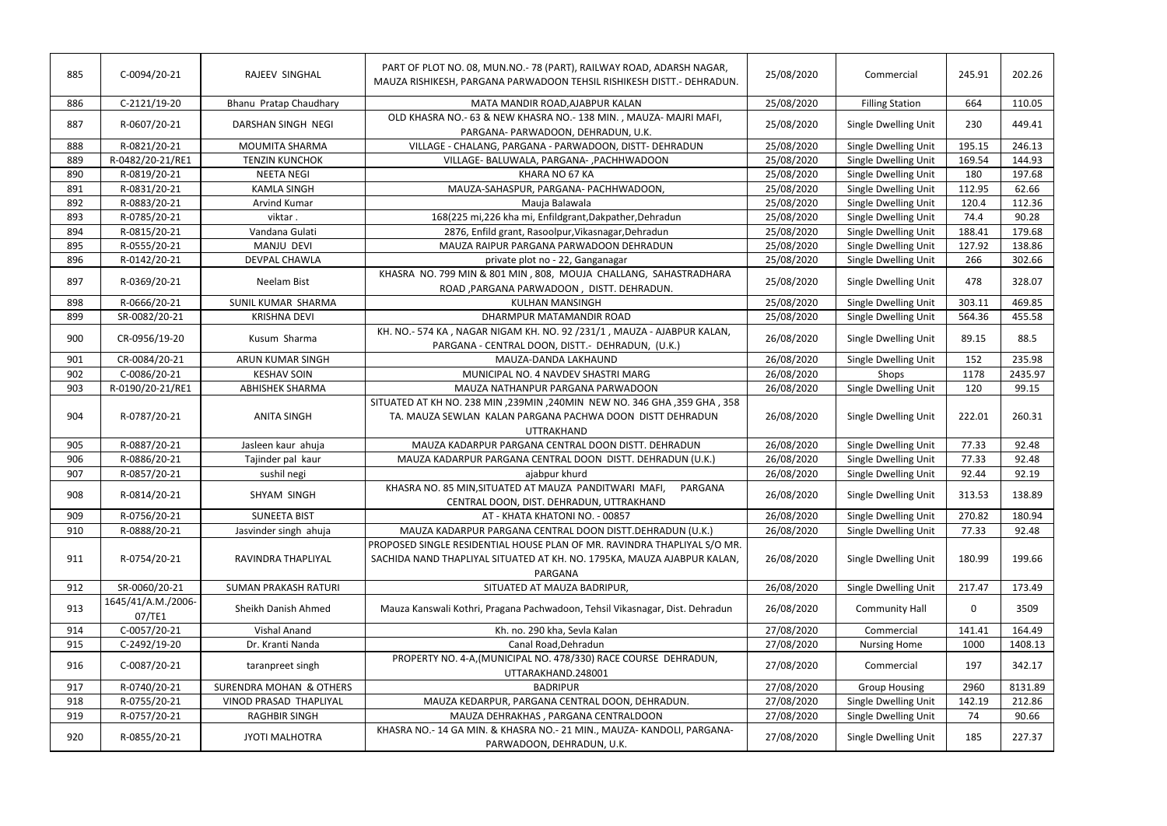| 885 | C-0094/20-21                 | RAJEEV SINGHAL                     | PART OF PLOT NO. 08, MUN.NO.-78 (PART), RAILWAY ROAD, ADARSH NAGAR,<br>MAUZA RISHIKESH, PARGANA PARWADOON TEHSIL RISHIKESH DISTT.- DEHRADUN.                   | 25/08/2020 | Commercial             | 245.91       | 202.26  |
|-----|------------------------------|------------------------------------|----------------------------------------------------------------------------------------------------------------------------------------------------------------|------------|------------------------|--------------|---------|
| 886 | C-2121/19-20                 | Bhanu Pratap Chaudhary             | MATA MANDIR ROAD, AJABPUR KALAN                                                                                                                                | 25/08/2020 | <b>Filling Station</b> | 664          | 110.05  |
| 887 | R-0607/20-21                 | DARSHAN SINGH NEGI                 | OLD KHASRA NO.- 63 & NEW KHASRA NO.- 138 MIN., MAUZA-MAJRI MAFI,<br>PARGANA- PARWADOON, DEHRADUN, U.K.                                                         | 25/08/2020 | Single Dwelling Unit   | 230          | 449.41  |
| 888 | R-0821/20-21                 | MOUMITA SHARMA                     | VILLAGE - CHALANG, PARGANA - PARWADOON, DISTT- DEHRADUN                                                                                                        | 25/08/2020 | Single Dwelling Unit   | 195.15       | 246.13  |
| 889 | R-0482/20-21/RE1             | <b>TENZIN KUNCHOK</b>              | VILLAGE- BALUWALA, PARGANA-, PACHHWADOON                                                                                                                       | 25/08/2020 | Single Dwelling Unit   | 169.54       | 144.93  |
| 890 | R-0819/20-21                 | <b>NEETA NEGI</b>                  | KHARA NO 67 KA                                                                                                                                                 | 25/08/2020 | Single Dwelling Unit   | 180          | 197.68  |
| 891 | R-0831/20-21                 | <b>KAMLA SINGH</b>                 | MAUZA-SAHASPUR, PARGANA- PACHHWADOON,                                                                                                                          | 25/08/2020 | Single Dwelling Unit   | 112.95       | 62.66   |
| 892 | R-0883/20-21                 | Arvind Kumar                       | Mauja Balawala                                                                                                                                                 | 25/08/2020 | Single Dwelling Unit   | 120.4        | 112.36  |
| 893 | R-0785/20-21                 | viktar.                            | 168(225 mi, 226 kha mi, Enfildgrant, Dakpather, Dehradun                                                                                                       | 25/08/2020 | Single Dwelling Unit   | 74.4         | 90.28   |
| 894 | R-0815/20-21                 | Vandana Gulati                     | 2876, Enfild grant, Rasoolpur, Vikasnagar, Dehradun                                                                                                            | 25/08/2020 | Single Dwelling Unit   | 188.41       | 179.68  |
| 895 | R-0555/20-21                 | MANJU DEVI                         | MAUZA RAIPUR PARGANA PARWADOON DEHRADUN                                                                                                                        | 25/08/2020 | Single Dwelling Unit   | 127.92       | 138.86  |
| 896 | R-0142/20-21                 | DEVPAL CHAWLA                      | private plot no - 22, Ganganagar                                                                                                                               | 25/08/2020 | Single Dwelling Unit   | 266          | 302.66  |
| 897 | R-0369/20-21                 | Neelam Bist                        | KHASRA NO. 799 MIN & 801 MIN, 808, MOUJA CHALLANG, SAHASTRADHARA<br>ROAD, PARGANA PARWADOON, DISTT. DEHRADUN.                                                  | 25/08/2020 | Single Dwelling Unit   | 478          | 328.07  |
| 898 | R-0666/20-21                 | SUNIL KUMAR SHARMA                 | <b>KULHAN MANSINGH</b>                                                                                                                                         | 25/08/2020 | Single Dwelling Unit   | 303.11       | 469.85  |
| 899 | SR-0082/20-21                | <b>KRISHNA DEVI</b>                | DHARMPUR MATAMANDIR ROAD                                                                                                                                       | 25/08/2020 | Single Dwelling Unit   | 564.36       | 455.58  |
| 900 | CR-0956/19-20                | Kusum Sharma                       | KH. NO.- 574 KA, NAGAR NIGAM KH. NO. 92 /231/1, MAUZA - AJABPUR KALAN,<br>PARGANA - CENTRAL DOON, DISTT. - DEHRADUN, (U.K.)                                    | 26/08/2020 | Single Dwelling Unit   | 89.15        | 88.5    |
| 901 | CR-0084/20-21                | ARUN KUMAR SINGH                   | MAUZA-DANDA LAKHAUND                                                                                                                                           | 26/08/2020 | Single Dwelling Unit   | 152          | 235.98  |
| 902 | C-0086/20-21                 | <b>KESHAV SOIN</b>                 | MUNICIPAL NO. 4 NAVDEV SHASTRI MARG                                                                                                                            | 26/08/2020 | Shops                  | 1178         | 2435.97 |
| 903 | R-0190/20-21/RE1             | <b>ABHISHEK SHARMA</b>             | MAUZA NATHANPUR PARGANA PARWADOON                                                                                                                              | 26/08/2020 | Single Dwelling Unit   | 120          | 99.15   |
| 904 | R-0787/20-21                 | <b>ANITA SINGH</b>                 | SITUATED AT KH NO. 238 MIN, 239MIN, 240MIN NEW NO. 346 GHA, 359 GHA, 358<br>TA. MAUZA SEWLAN KALAN PARGANA PACHWA DOON DISTT DEHRADUN<br><b>UTTRAKHAND</b>     | 26/08/2020 | Single Dwelling Unit   | 222.01       | 260.31  |
| 905 | R-0887/20-21                 | Jasleen kaur ahuja                 | MAUZA KADARPUR PARGANA CENTRAL DOON DISTT. DEHRADUN                                                                                                            | 26/08/2020 | Single Dwelling Unit   | 77.33        | 92.48   |
| 906 | R-0886/20-21                 | Tajinder pal kaur                  | MAUZA KADARPUR PARGANA CENTRAL DOON DISTT. DEHRADUN (U.K.)                                                                                                     | 26/08/2020 | Single Dwelling Unit   | 77.33        | 92.48   |
| 907 | R-0857/20-21                 | sushil negi                        | ajabpur khurd                                                                                                                                                  | 26/08/2020 | Single Dwelling Unit   | 92.44        | 92.19   |
| 908 | R-0814/20-21                 | SHYAM SINGH                        | KHASRA NO. 85 MIN, SITUATED AT MAUZA PANDITWARI MAFI,<br>PARGANA<br>CENTRAL DOON, DIST. DEHRADUN, UTTRAKHAND                                                   | 26/08/2020 | Single Dwelling Unit   | 313.53       | 138.89  |
| 909 | R-0756/20-21                 | <b>SUNEETA BIST</b>                | AT - KHATA KHATONI NO. - 00857                                                                                                                                 | 26/08/2020 | Single Dwelling Unit   | 270.82       | 180.94  |
| 910 | R-0888/20-21                 | Jasvinder singh ahuja              | MAUZA KADARPUR PARGANA CENTRAL DOON DISTT.DEHRADUN (U.K.)                                                                                                      | 26/08/2020 | Single Dwelling Unit   | 77.33        | 92.48   |
| 911 | R-0754/20-21                 | RAVINDRA THAPLIYAL                 | PROPOSED SINGLE RESIDENTIAL HOUSE PLAN OF MR. RAVINDRA THAPLIYAL S/O MR.<br>SACHIDA NAND THAPLIYAL SITUATED AT KH. NO. 1795KA, MAUZA AJABPUR KALAN,<br>PARGANA | 26/08/2020 | Single Dwelling Unit   | 180.99       | 199.66  |
| 912 | SR-0060/20-21                | <b>SUMAN PRAKASH RATURI</b>        | SITUATED AT MAUZA BADRIPUR,                                                                                                                                    | 26/08/2020 | Single Dwelling Unit   | 217.47       | 173.49  |
| 913 | 1645/41/A.M./2006-<br>07/TE1 | Sheikh Danish Ahmed                | Mauza Kanswali Kothri, Pragana Pachwadoon, Tehsil Vikasnagar, Dist. Dehradun                                                                                   | 26/08/2020 | <b>Community Hall</b>  | $\mathbf{0}$ | 3509    |
| 914 | C-0057/20-21                 | <b>Vishal Anand</b>                | Kh. no. 290 kha, Sevla Kalan                                                                                                                                   | 27/08/2020 | Commercial             | 141.41       | 164.49  |
| 915 | C-2492/19-20                 | Dr. Kranti Nanda                   | Canal Road, Dehradun                                                                                                                                           | 27/08/2020 | <b>Nursing Home</b>    | 1000         | 1408.13 |
| 916 | C-0087/20-21                 | taranpreet singh                   | PROPERTY NO. 4-A, (MUNICIPAL NO. 478/330) RACE COURSE DEHRADUN,<br>UTTARAKHAND.248001                                                                          | 27/08/2020 | Commercial             | 197          | 342.17  |
| 917 | R-0740/20-21                 | <b>SURENDRA MOHAN &amp; OTHERS</b> | <b>BADRIPUR</b>                                                                                                                                                | 27/08/2020 | <b>Group Housing</b>   | 2960         | 8131.89 |
| 918 | R-0755/20-21                 | VINOD PRASAD THAPLIYAL             | MAUZA KEDARPUR, PARGANA CENTRAL DOON, DEHRADUN.                                                                                                                | 27/08/2020 | Single Dwelling Unit   | 142.19       | 212.86  |
| 919 | R-0757/20-21                 | <b>RAGHBIR SINGH</b>               | MAUZA DEHRAKHAS, PARGANA CENTRALDOON                                                                                                                           | 27/08/2020 | Single Dwelling Unit   | 74           | 90.66   |
| 920 | R-0855/20-21                 | JYOTI MALHOTRA                     | KHASRA NO.- 14 GA MIN. & KHASRA NO.- 21 MIN., MAUZA-KANDOLI, PARGANA-<br>PARWADOON, DEHRADUN, U.K.                                                             | 27/08/2020 | Single Dwelling Unit   | 185          | 227.37  |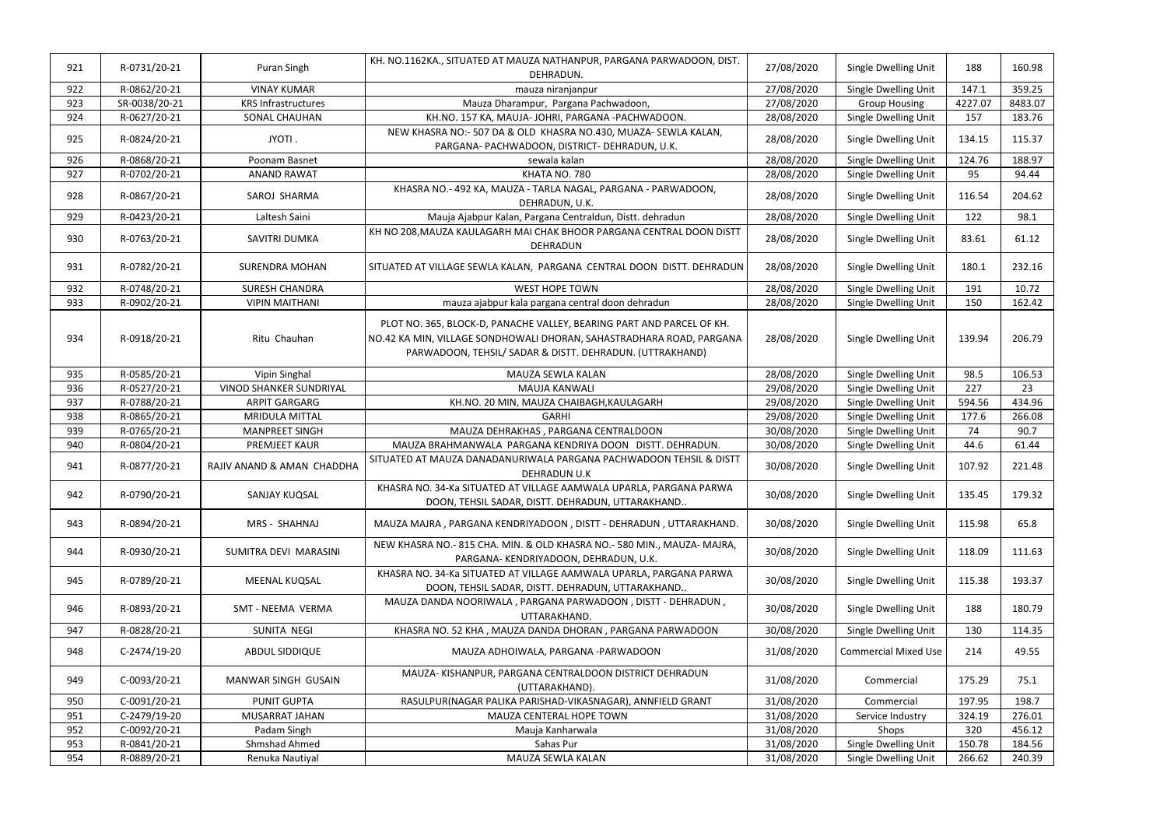| 921        | R-0731/20-21                 | Puran Singh                      | KH. NO.1162KA., SITUATED AT MAUZA NATHANPUR, PARGANA PARWADOON, DIST.<br>DEHRADUN.                                                                                                                        | 27/08/2020               | Single Dwelling Unit                         | 188              | 160.98           |
|------------|------------------------------|----------------------------------|-----------------------------------------------------------------------------------------------------------------------------------------------------------------------------------------------------------|--------------------------|----------------------------------------------|------------------|------------------|
| 922        | R-0862/20-21                 | <b>VINAY KUMAR</b>               | mauza niranjanpur                                                                                                                                                                                         | 27/08/2020               | Single Dwelling Unit                         | 147.1            | 359.25           |
| 923        | SR-0038/20-21                | <b>KRS Infrastructures</b>       | Mauza Dharampur, Pargana Pachwadoon,                                                                                                                                                                      | 27/08/2020               | <b>Group Housing</b>                         | 4227.07          | 8483.07          |
| 924        | R-0627/20-21                 | SONAL CHAUHAN                    | KH.NO. 157 KA, MAUJA- JOHRI, PARGANA -PACHWADOON.                                                                                                                                                         | 28/08/2020               | Single Dwelling Unit                         | 157              | 183.76           |
| 925        | R-0824/20-21                 | JYOTI.                           | NEW KHASRA NO:- 507 DA & OLD KHASRA NO.430, MUAZA- SEWLA KALAN,<br>PARGANA- PACHWADOON, DISTRICT- DEHRADUN, U.K.                                                                                          | 28/08/2020               | Single Dwelling Unit                         | 134.15           | 115.37           |
| 926        | R-0868/20-21                 | Poonam Basnet                    | sewala kalan                                                                                                                                                                                              | 28/08/2020               | <b>Single Dwelling Unit</b>                  | 124.76           | 188.97           |
| 927        | R-0702/20-21                 | <b>ANAND RAWAT</b>               | KHATA NO. 780                                                                                                                                                                                             | 28/08/2020               | Single Dwelling Unit                         | 95               | 94.44            |
| 928        | R-0867/20-21                 | SAROJ SHARMA                     | KHASRA NO.-492 KA, MAUZA - TARLA NAGAL, PARGANA - PARWADOON,<br>DEHRADUN, U.K.                                                                                                                            | 28/08/2020               | <b>Single Dwelling Unit</b>                  | 116.54           | 204.62           |
| 929        | R-0423/20-21                 | Laltesh Saini                    | Mauja Ajabpur Kalan, Pargana Centraldun, Distt. dehradun                                                                                                                                                  | 28/08/2020               | Single Dwelling Unit                         | 122              | 98.1             |
| 930        | R-0763/20-21                 | SAVITRI DUMKA                    | KH NO 208, MAUZA KAULAGARH MAI CHAK BHOOR PARGANA CENTRAL DOON DISTT<br><b>DEHRADUN</b>                                                                                                                   | 28/08/2020               | Single Dwelling Unit                         | 83.61            | 61.12            |
| 931        | R-0782/20-21                 | <b>SURENDRA MOHAN</b>            | SITUATED AT VILLAGE SEWLA KALAN, PARGANA CENTRAL DOON DISTT. DEHRADUN                                                                                                                                     | 28/08/2020               | <b>Single Dwelling Unit</b>                  | 180.1            | 232.16           |
| 932        | R-0748/20-21                 | <b>SURESH CHANDRA</b>            | <b>WEST HOPE TOWN</b>                                                                                                                                                                                     | 28/08/2020               | Single Dwelling Unit                         | 191              | 10.72            |
| 933        | R-0902/20-21                 | <b>VIPIN MAITHANI</b>            | mauza ajabpur kala pargana central doon dehradun                                                                                                                                                          | 28/08/2020               | Single Dwelling Unit                         | 150              | 162.42           |
| 934        | R-0918/20-21                 | Ritu Chauhan                     | PLOT NO. 365, BLOCK-D, PANACHE VALLEY, BEARING PART AND PARCEL OF KH.<br>NO.42 KA MIN, VILLAGE SONDHOWALI DHORAN, SAHASTRADHARA ROAD, PARGANA<br>PARWADOON, TEHSIL/ SADAR & DISTT. DEHRADUN. (UTTRAKHAND) | 28/08/2020               | Single Dwelling Unit                         | 139.94           | 206.79           |
| 935        | R-0585/20-21                 | Vipin Singhal                    | MAUZA SEWLA KALAN                                                                                                                                                                                         | 28/08/2020               | Single Dwelling Unit                         | 98.5             | 106.53           |
| 936        | R-0527/20-21                 | <b>VINOD SHANKER SUNDRIYAL</b>   | MAUJA KANWALI                                                                                                                                                                                             | 29/08/2020               | Single Dwelling Unit                         | 227              | 23               |
| 937        | R-0788/20-21                 | ARPIT GARGARG                    | KH.NO. 20 MIN, MAUZA CHAIBAGH, KAULAGARH                                                                                                                                                                  | 29/08/2020               | Single Dwelling Unit                         | 594.56           | 434.96           |
| 938        | R-0865/20-21                 | <b>MRIDULA MITTAL</b>            | <b>GARHI</b>                                                                                                                                                                                              | 29/08/2020               | Single Dwelling Unit                         | 177.6            | 266.08           |
| 939        | R-0765/20-21                 | <b>MANPREET SINGH</b>            | MAUZA DEHRAKHAS, PARGANA CENTRALDOON                                                                                                                                                                      | 30/08/2020               | Single Dwelling Unit                         | 74               | 90.7             |
| 940        | R-0804/20-21                 | PREMJEET KAUR                    | MAUZA BRAHMANWALA PARGANA KENDRIYA DOON DISTT. DEHRADUN.                                                                                                                                                  | 30/08/2020               | Single Dwelling Unit                         | 44.6             | 61.44            |
| 941        | R-0877/20-21                 | RAJIV ANAND & AMAN CHADDHA       | SITUATED AT MAUZA DANADANURIWALA PARGANA PACHWADOON TEHSIL & DISTT<br>DEHRADUN U.K                                                                                                                        | 30/08/2020               | Single Dwelling Unit                         | 107.92           | 221.48           |
| 942        | R-0790/20-21                 | SANJAY KUQSAL                    | KHASRA NO. 34-Ka SITUATED AT VILLAGE AAMWALA UPARLA, PARGANA PARWA<br>DOON, TEHSIL SADAR, DISTT. DEHRADUN, UTTARAKHAND                                                                                    | 30/08/2020               | Single Dwelling Unit                         | 135.45           | 179.32           |
| 943        | R-0894/20-21                 | MRS - SHAHNAJ                    | MAUZA MAJRA, PARGANA KENDRIYADOON, DISTT - DEHRADUN, UTTARAKHAND.                                                                                                                                         | 30/08/2020               | Single Dwelling Unit                         | 115.98           | 65.8             |
| 944        | R-0930/20-21                 | SUMITRA DEVI MARASINI            | NEW KHASRA NO.-815 CHA. MIN. & OLD KHASRA NO.-580 MIN., MAUZA-MAJRA,<br>PARGANA-KENDRIYADOON, DEHRADUN, U.K.                                                                                              | 30/08/2020               | Single Dwelling Unit                         | 118.09           | 111.63           |
| 945        | R-0789/20-21                 | MEENAL KUQSAL                    | KHASRA NO. 34-Ka SITUATED AT VILLAGE AAMWALA UPARLA, PARGANA PARWA<br>DOON, TEHSIL SADAR, DISTT. DEHRADUN, UTTARAKHAND                                                                                    | 30/08/2020               | Single Dwelling Unit                         | 115.38           | 193.37           |
| 946        | R-0893/20-21                 | SMT - NEEMA VERMA                | MAUZA DANDA NOORIWALA, PARGANA PARWADOON, DISTT - DEHRADUN,<br>UTTARAKHAND.                                                                                                                               | 30/08/2020               | Single Dwelling Unit                         | 188              | 180.79           |
| 947        | R-0828/20-21                 | SUNITA NEGI                      | KHASRA NO. 52 KHA, MAUZA DANDA DHORAN, PARGANA PARWADOON                                                                                                                                                  | 30/08/2020               | Single Dwelling Unit                         | 130              | 114.35           |
| 948        | C-2474/19-20                 | ABDUL SIDDIQUE                   | MAUZA ADHOIWALA, PARGANA -PARWADOON                                                                                                                                                                       | 31/08/2020               | <b>Commercial Mixed Use</b>                  | 214              | 49.55            |
| 949        | C-0093/20-21                 | MANWAR SINGH GUSAIN              | MAUZA-KISHANPUR, PARGANA CENTRALDOON DISTRICT DEHRADUN<br>(UTTARAKHAND).                                                                                                                                  | 31/08/2020               | Commercial                                   | 175.29           | 75.1             |
| 950        | C-0091/20-21                 | <b>PUNIT GUPTA</b>               | RASULPUR(NAGAR PALIKA PARISHAD-VIKASNAGAR), ANNFIELD GRANT                                                                                                                                                | 31/08/2020               | Commercial                                   | 197.95           | 198.7            |
| 951        |                              |                                  |                                                                                                                                                                                                           |                          |                                              |                  |                  |
|            | C-2479/19-20                 | MUSARRAT JAHAN                   | MAUZA CENTERAL HOPE TOWN                                                                                                                                                                                  | 31/08/2020               | Service Industry                             | 324.19           | 276.01           |
| 952        | C-0092/20-21                 | Padam Singh                      | Mauja Kanharwala                                                                                                                                                                                          | 31/08/2020               | Shops                                        | 320              | 456.12           |
| 953<br>954 | R-0841/20-21<br>R-0889/20-21 | Shmshad Ahmed<br>Renuka Nautiyal | Sahas Pur<br>MAUZA SEWLA KALAN                                                                                                                                                                            | 31/08/2020<br>31/08/2020 | Single Dwelling Unit<br>Single Dwelling Unit | 150.78<br>266.62 | 184.56<br>240.39 |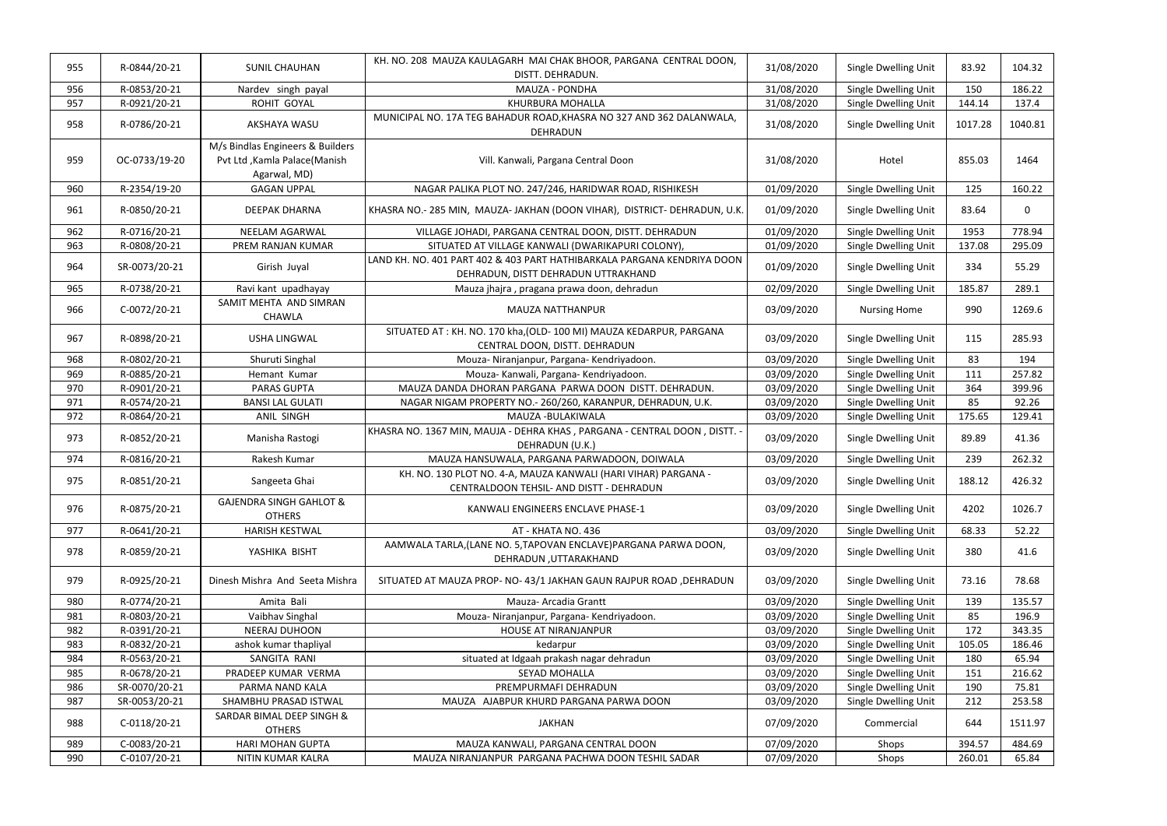| 955 | R-0844/20-21  | <b>SUNIL CHAUHAN</b>                                                               | KH. NO. 208 MAUZA KAULAGARH MAI CHAK BHOOR, PARGANA CENTRAL DOON,<br>DISTT. DEHRADUN.                          | 31/08/2020 | Single Dwelling Unit | 83.92   | 104.32       |
|-----|---------------|------------------------------------------------------------------------------------|----------------------------------------------------------------------------------------------------------------|------------|----------------------|---------|--------------|
| 956 | R-0853/20-21  | Nardev singh payal                                                                 | <b>MAUZA - PONDHA</b>                                                                                          | 31/08/2020 | Single Dwelling Unit | 150     | 186.22       |
| 957 | R-0921/20-21  | ROHIT GOYAL                                                                        | <b>KHURBURA MOHALLA</b>                                                                                        | 31/08/2020 | Single Dwelling Unit | 144.14  | 137.4        |
| 958 | R-0786/20-21  | AKSHAYA WASU                                                                       | MUNICIPAL NO. 17A TEG BAHADUR ROAD, KHASRA NO 327 AND 362 DALANWALA,<br><b>DEHRADUN</b>                        | 31/08/2020 | Single Dwelling Unit | 1017.28 | 1040.81      |
| 959 | OC-0733/19-20 | M/s Bindlas Engineers & Builders<br>Pvt Ltd , Kamla Palace (Manish<br>Agarwal, MD) | Vill. Kanwali, Pargana Central Doon                                                                            | 31/08/2020 | Hotel                | 855.03  | 1464         |
| 960 | R-2354/19-20  | <b>GAGAN UPPAL</b>                                                                 | NAGAR PALIKA PLOT NO. 247/246, HARIDWAR ROAD, RISHIKESH                                                        | 01/09/2020 | Single Dwelling Unit | 125     | 160.22       |
| 961 | R-0850/20-21  | <b>DEEPAK DHARNA</b>                                                               | KHASRA NO.- 285 MIN, MAUZA- JAKHAN (DOON VIHAR), DISTRICT- DEHRADUN, U.K.                                      | 01/09/2020 | Single Dwelling Unit | 83.64   | $\mathbf{0}$ |
| 962 | R-0716/20-21  | NEELAM AGARWAL                                                                     | VILLAGE JOHADI, PARGANA CENTRAL DOON, DISTT. DEHRADUN                                                          | 01/09/2020 | Single Dwelling Unit | 1953    | 778.94       |
| 963 | R-0808/20-21  | PREM RANJAN KUMAR                                                                  | SITUATED AT VILLAGE KANWALI (DWARIKAPURI COLONY),                                                              | 01/09/2020 | Single Dwelling Unit | 137.08  | 295.09       |
| 964 | SR-0073/20-21 | Girish Juyal                                                                       | LAND KH. NO. 401 PART 402 & 403 PART HATHIBARKALA PARGANA KENDRIYA DOON<br>DEHRADUN, DISTT DEHRADUN UTTRAKHAND | 01/09/2020 | Single Dwelling Unit | 334     | 55.29        |
| 965 | R-0738/20-21  | Ravi kant upadhayay                                                                | Mauza jhajra, pragana prawa doon, dehradun                                                                     | 02/09/2020 | Single Dwelling Unit | 185.87  | 289.1        |
| 966 | C-0072/20-21  | SAMIT MEHTA AND SIMRAN<br><b>CHAWLA</b>                                            | MAUZA NATTHANPUR                                                                                               | 03/09/2020 | <b>Nursing Home</b>  | 990     | 1269.6       |
| 967 | R-0898/20-21  | <b>USHA LINGWAL</b>                                                                | SITUATED AT: KH. NO. 170 kha, (OLD- 100 MI) MAUZA KEDARPUR, PARGANA<br>CENTRAL DOON, DISTT. DEHRADUN           | 03/09/2020 | Single Dwelling Unit | 115     | 285.93       |
| 968 | R-0802/20-21  | Shuruti Singhal                                                                    | Mouza- Niranjanpur, Pargana- Kendriyadoon.                                                                     | 03/09/2020 | Single Dwelling Unit | 83      | 194          |
| 969 | R-0885/20-21  | Hemant Kumar                                                                       | Mouza- Kanwali, Pargana- Kendriyadoon.                                                                         | 03/09/2020 | Single Dwelling Unit | 111     | 257.82       |
| 970 | R-0901/20-21  | <b>PARAS GUPTA</b>                                                                 | MAUZA DANDA DHORAN PARGANA PARWA DOON DISTT. DEHRADUN.                                                         | 03/09/2020 | Single Dwelling Unit | 364     | 399.96       |
| 971 | R-0574/20-21  | <b>BANSI LAL GULATI</b>                                                            | NAGAR NIGAM PROPERTY NO.- 260/260, KARANPUR, DEHRADUN, U.K.                                                    | 03/09/2020 | Single Dwelling Unit | 85      | 92.26        |
| 972 | R-0864/20-21  | ANIL SINGH                                                                         | MAUZA - BULAKIWALA                                                                                             | 03/09/2020 | Single Dwelling Unit | 175.65  | 129.41       |
|     |               |                                                                                    | KHASRA NO. 1367 MIN, MAUJA - DEHRA KHAS, PARGANA - CENTRAL DOON, DISTT. -                                      |            |                      |         |              |
| 973 | R-0852/20-21  | Manisha Rastogi                                                                    | DEHRADUN (U.K.)                                                                                                | 03/09/2020 | Single Dwelling Unit | 89.89   | 41.36        |
| 974 | R-0816/20-21  | Rakesh Kumar                                                                       | MAUZA HANSUWALA, PARGANA PARWADOON, DOIWALA                                                                    | 03/09/2020 | Single Dwelling Unit | 239     | 262.32       |
| 975 | R-0851/20-21  | Sangeeta Ghai                                                                      | KH. NO. 130 PLOT NO. 4-A, MAUZA KANWALI (HARI VIHAR) PARGANA -<br>CENTRALDOON TEHSIL- AND DISTT - DEHRADUN     | 03/09/2020 | Single Dwelling Unit | 188.12  | 426.32       |
| 976 | R-0875/20-21  | <b>GAJENDRA SINGH GAHLOT &amp;</b><br><b>OTHERS</b>                                | KANWALI ENGINEERS ENCLAVE PHASE-1                                                                              | 03/09/2020 | Single Dwelling Unit | 4202    | 1026.7       |
| 977 | R-0641/20-21  | <b>HARISH KESTWAL</b>                                                              | AT - KHATA NO. 436                                                                                             | 03/09/2020 | Single Dwelling Unit | 68.33   | 52.22        |
| 978 | R-0859/20-21  | YASHIKA BISHT                                                                      | AAMWALA TARLA, (LANE NO. 5, TAPOVAN ENCLAVE) PARGANA PARWA DOON,<br>DEHRADUN, UTTARAKHAND                      | 03/09/2020 | Single Dwelling Unit | 380     | 41.6         |
| 979 | R-0925/20-21  | Dinesh Mishra And Seeta Mishra                                                     | SITUATED AT MAUZA PROP- NO- 43/1 JAKHAN GAUN RAJPUR ROAD , DEHRADUN                                            | 03/09/2020 | Single Dwelling Unit | 73.16   | 78.68        |
| 980 | R-0774/20-21  | Amita Bali                                                                         | Mauza- Arcadia Grantt                                                                                          | 03/09/2020 | Single Dwelling Unit | 139     | 135.57       |
| 981 | R-0803/20-21  | Vaibhav Singhal                                                                    | Mouza- Niranjanpur, Pargana- Kendriyadoon.                                                                     | 03/09/2020 | Single Dwelling Unit | 85      | 196.9        |
| 982 | R-0391/20-21  | <b>NEERAJ DUHOON</b>                                                               | HOUSE AT NIRANJANPUR                                                                                           | 03/09/2020 | Single Dwelling Unit | 172     | 343.35       |
| 983 | R-0832/20-21  | ashok kumar thapliyal                                                              | kedarpur                                                                                                       | 03/09/2020 | Single Dwelling Unit | 105.05  | 186.46       |
| 984 | R-0563/20-21  | SANGITA RANI                                                                       | situated at Idgaah prakash nagar dehradun                                                                      | 03/09/2020 | Single Dwelling Unit | 180     | 65.94        |
| 985 | R-0678/20-21  | PRADEEP KUMAR VERMA                                                                | <b>SEYAD MOHALLA</b>                                                                                           | 03/09/2020 | Single Dwelling Unit | 151     | 216.62       |
| 986 | SR-0070/20-21 | PARMA NAND KALA                                                                    | PREMPURMAFI DEHRADUN                                                                                           | 03/09/2020 | Single Dwelling Unit | 190     | 75.81        |
| 987 | SR-0053/20-21 | SHAMBHU PRASAD ISTWAL                                                              | MAUZA AJABPUR KHURD PARGANA PARWA DOON                                                                         | 03/09/2020 | Single Dwelling Unit | 212     | 253.58       |
| 988 | C-0118/20-21  | SARDAR BIMAL DEEP SINGH &<br><b>OTHERS</b>                                         | <b>JAKHAN</b>                                                                                                  | 07/09/2020 | Commercial           | 644     | 1511.97      |
| 989 | C-0083/20-21  | HARI MOHAN GUPTA                                                                   | MAUZA KANWALI, PARGANA CENTRAL DOON                                                                            | 07/09/2020 | Shops                | 394.57  | 484.69       |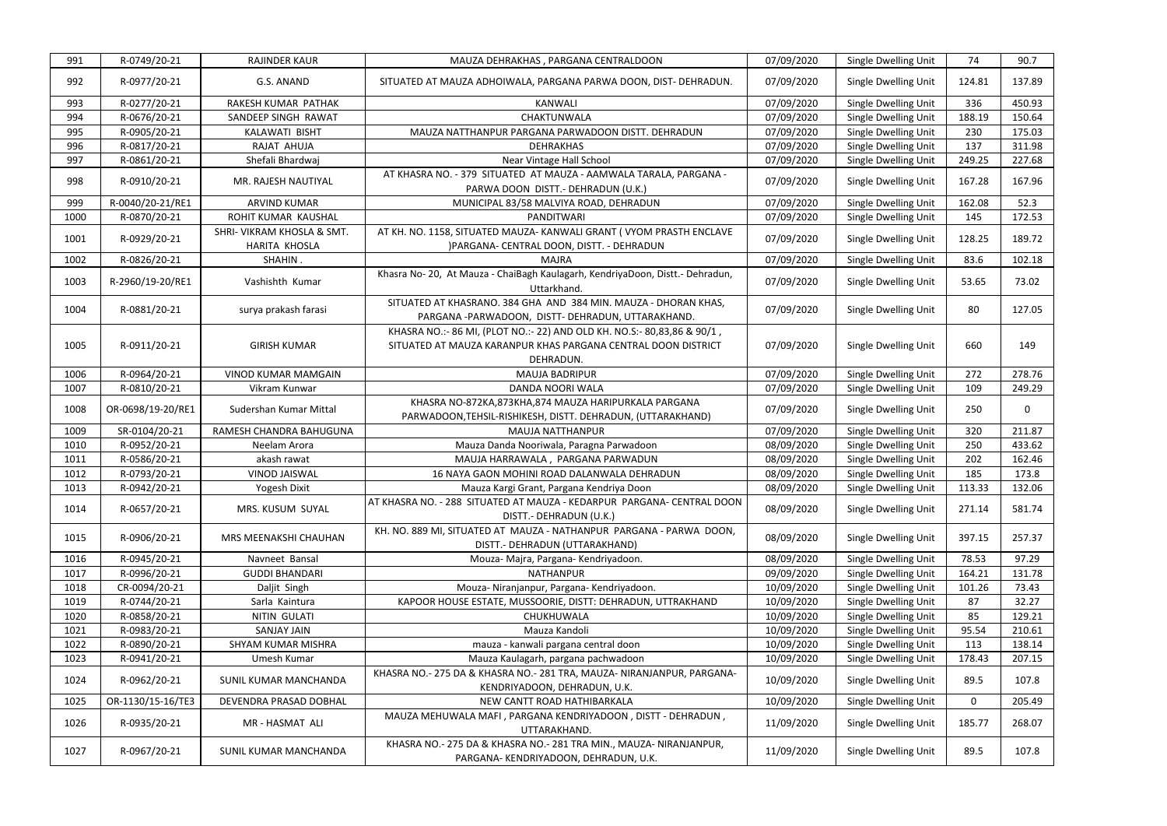| 991  | R-0749/20-21      | <b>RAJINDER KAUR</b>                        | MAUZA DEHRAKHAS, PARGANA CENTRALDOON                                                                                                                  | 07/09/2020 | Single Dwelling Unit        | 74     | 90.7         |
|------|-------------------|---------------------------------------------|-------------------------------------------------------------------------------------------------------------------------------------------------------|------------|-----------------------------|--------|--------------|
| 992  | R-0977/20-21      | G.S. ANAND                                  | SITUATED AT MAUZA ADHOIWALA, PARGANA PARWA DOON, DIST- DEHRADUN.                                                                                      | 07/09/2020 | Single Dwelling Unit        | 124.81 | 137.89       |
| 993  | R-0277/20-21      | RAKESH KUMAR PATHAK                         | <b>KANWALI</b>                                                                                                                                        | 07/09/2020 | Single Dwelling Unit        | 336    | 450.93       |
| 994  | R-0676/20-21      | SANDEEP SINGH RAWAT                         | CHAKTUNWALA                                                                                                                                           | 07/09/2020 | Single Dwelling Unit        | 188.19 | 150.64       |
| 995  | R-0905/20-21      | <b>KALAWATI BISHT</b>                       | MAUZA NATTHANPUR PARGANA PARWADOON DISTT. DEHRADUN                                                                                                    | 07/09/2020 | Single Dwelling Unit        | 230    | 175.03       |
| 996  | R-0817/20-21      | RAJAT AHUJA                                 | <b>DEHRAKHAS</b>                                                                                                                                      | 07/09/2020 | Single Dwelling Unit        | 137    | 311.98       |
| 997  | R-0861/20-21      | Shefali Bhardwaj                            | Near Vintage Hall School                                                                                                                              | 07/09/2020 | Single Dwelling Unit        | 249.25 | 227.68       |
| 998  | R-0910/20-21      | MR. RAJESH NAUTIYAL                         | AT KHASRA NO. - 379 SITUATED AT MAUZA - AAMWALA TARALA, PARGANA -<br>PARWA DOON DISTT.- DEHRADUN (U.K.)                                               | 07/09/2020 | Single Dwelling Unit        | 167.28 | 167.96       |
| 999  | R-0040/20-21/RE1  | <b>ARVIND KUMAR</b>                         | MUNICIPAL 83/58 MALVIYA ROAD, DEHRADUN                                                                                                                | 07/09/2020 | Single Dwelling Unit        | 162.08 | 52.3         |
| 1000 | R-0870/20-21      | ROHIT KUMAR KAUSHAL                         | PANDITWARI                                                                                                                                            | 07/09/2020 | Single Dwelling Unit        | 145    | 172.53       |
| 1001 | R-0929/20-21      | SHRI- VIKRAM KHOSLA & SMT.<br>HARITA KHOSLA | AT KH. NO. 1158, SITUATED MAUZA- KANWALI GRANT ( VYOM PRASTH ENCLAVE<br>)PARGANA- CENTRAL DOON, DISTT. - DEHRADUN                                     | 07/09/2020 | Single Dwelling Unit        | 128.25 | 189.72       |
| 1002 | R-0826/20-21      | SHAHIN.                                     | <b>MAJRA</b>                                                                                                                                          | 07/09/2020 | Single Dwelling Unit        | 83.6   | 102.18       |
| 1003 | R-2960/19-20/RE1  | Vashishth Kumar                             | Khasra No-20, At Mauza - ChaiBagh Kaulagarh, KendriyaDoon, Distt.- Dehradun,<br>Uttarkhand.                                                           | 07/09/2020 | Single Dwelling Unit        | 53.65  | 73.02        |
| 1004 | R-0881/20-21      | surya prakash farasi                        | SITUATED AT KHASRANO. 384 GHA AND 384 MIN. MAUZA - DHORAN KHAS,<br>PARGANA-PARWADOON, DISTT- DEHRADUN, UTTARAKHAND.                                   | 07/09/2020 | Single Dwelling Unit        | 80     | 127.05       |
| 1005 | R-0911/20-21      | <b>GIRISH KUMAR</b>                         | KHASRA NO.:- 86 MI, (PLOT NO.:- 22) AND OLD KH. NO.S:- 80,83,86 & 90/1,<br>SITUATED AT MAUZA KARANPUR KHAS PARGANA CENTRAL DOON DISTRICT<br>DEHRADUN. | 07/09/2020 | Single Dwelling Unit        | 660    | 149          |
| 1006 | R-0964/20-21      | <b>VINOD KUMAR MAMGAIN</b>                  | <b>MAUJA BADRIPUR</b>                                                                                                                                 | 07/09/2020 | Single Dwelling Unit        | 272    | 278.76       |
| 1007 | R-0810/20-21      | Vikram Kunwar                               | DANDA NOORI WALA                                                                                                                                      | 07/09/2020 | Single Dwelling Unit        | 109    | 249.29       |
| 1008 | OR-0698/19-20/RE1 | Sudershan Kumar Mittal                      | KHASRA NO-872KA, 873KHA, 874 MAUZA HARIPURKALA PARGANA<br>PARWADOON, TEHSIL-RISHIKESH, DISTT. DEHRADUN, (UTTARAKHAND)                                 | 07/09/2020 | Single Dwelling Unit        | 250    | $\mathbf{0}$ |
| 1009 | SR-0104/20-21     | RAMESH CHANDRA BAHUGUNA                     | <b>MAUJA NATTHANPUR</b>                                                                                                                               | 07/09/2020 | Single Dwelling Unit        | 320    | 211.87       |
| 1010 | R-0952/20-21      | Neelam Arora                                | Mauza Danda Nooriwala, Paragna Parwadoon                                                                                                              | 08/09/2020 | Single Dwelling Unit        | 250    | 433.62       |
| 1011 | R-0586/20-21      | akash rawat                                 | MAUJA HARRAWALA, PARGANA PARWADUN                                                                                                                     | 08/09/2020 | Single Dwelling Unit        | 202    | 162.46       |
| 1012 | R-0793/20-21      | <b>VINOD JAISWAL</b>                        | 16 NAYA GAON MOHINI ROAD DALANWALA DEHRADUN                                                                                                           | 08/09/2020 | Single Dwelling Unit        | 185    | 173.8        |
| 1013 | R-0942/20-21      | Yogesh Dixit                                | Mauza Kargi Grant, Pargana Kendriya Doon                                                                                                              | 08/09/2020 | Single Dwelling Unit        | 113.33 | 132.06       |
| 1014 | R-0657/20-21      | MRS. KUSUM SUYAL                            | AT KHASRA NO. - 288 SITUATED AT MAUZA - KEDARPUR PARGANA- CENTRAL DOON<br>DISTT.- DEHRADUN (U.K.)                                                     | 08/09/2020 | Single Dwelling Unit        | 271.14 | 581.74       |
| 1015 | R-0906/20-21      | MRS MEENAKSHI CHAUHAN                       | KH. NO. 889 MI, SITUATED AT MAUZA - NATHANPUR PARGANA - PARWA DOON,<br>DISTT.- DEHRADUN (UTTARAKHAND)                                                 | 08/09/2020 | Single Dwelling Unit        | 397.15 | 257.37       |
| 1016 | R-0945/20-21      | Navneet Bansal                              | Mouza- Majra, Pargana- Kendriyadoon.                                                                                                                  | 08/09/2020 | Single Dwelling Unit        | 78.53  | 97.29        |
| 1017 | R-0996/20-21      | <b>GUDDI BHANDARI</b>                       | <b>NATHANPUR</b>                                                                                                                                      | 09/09/2020 | Single Dwelling Unit        | 164.21 | 131.78       |
| 1018 | CR-0094/20-21     | Daljit Singh                                | Mouza- Niranjanpur, Pargana- Kendriyadoon.                                                                                                            | 10/09/2020 | <b>Single Dwelling Unit</b> | 101.26 | 73.43        |
| 1019 | R-0744/20-21      | Sarla Kaintura                              | KAPOOR HOUSE ESTATE, MUSSOORIE, DISTT: DEHRADUN, UTTRAKHAND                                                                                           | 10/09/2020 | Single Dwelling Unit        | 87     | 32.27        |
| 1020 | R-0858/20-21      | <b>NITIN GULATI</b>                         | CHUKHUWALA                                                                                                                                            | 10/09/2020 | Single Dwelling Unit        | 85     | 129.21       |
| 1021 | R-0983/20-21      | <b>SANJAY JAIN</b>                          | Mauza Kandoli                                                                                                                                         | 10/09/2020 | Single Dwelling Unit        | 95.54  | 210.61       |
| 1022 | R-0890/20-21      | <b>SHYAM KUMAR MISHRA</b>                   | mauza - kanwali pargana central doon                                                                                                                  | 10/09/2020 | Single Dwelling Unit        | 113    | 138.14       |
| 1023 | R-0941/20-21      | Umesh Kumar                                 | Mauza Kaulagarh, pargana pachwadoon                                                                                                                   | 10/09/2020 | Single Dwelling Unit        | 178.43 | 207.15       |
| 1024 | R-0962/20-21      | SUNIL KUMAR MANCHANDA                       | KHASRA NO.- 275 DA & KHASRA NO.- 281 TRA, MAUZA- NIRANJANPUR, PARGANA-<br>KENDRIYADOON, DEHRADUN, U.K.                                                | 10/09/2020 | Single Dwelling Unit        | 89.5   | 107.8        |
| 1025 | OR-1130/15-16/TE3 | DEVENDRA PRASAD DOBHAL                      | NEW CANTT ROAD HATHIBARKALA                                                                                                                           | 10/09/2020 | Single Dwelling Unit        | 0      | 205.49       |
| 1026 | R-0935/20-21      | MR-HASMAT ALI                               | MAUZA MEHUWALA MAFI, PARGANA KENDRIYADOON, DISTT - DEHRADUN,<br>UTTARAKHAND.                                                                          | 11/09/2020 | Single Dwelling Unit        | 185.77 | 268.07       |
| 1027 | R-0967/20-21      | SUNIL KUMAR MANCHANDA                       | KHASRA NO.- 275 DA & KHASRA NO.- 281 TRA MIN., MAUZA- NIRANJANPUR,<br>PARGANA-KENDRIYADOON, DEHRADUN, U.K.                                            | 11/09/2020 | Single Dwelling Unit        | 89.5   | 107.8        |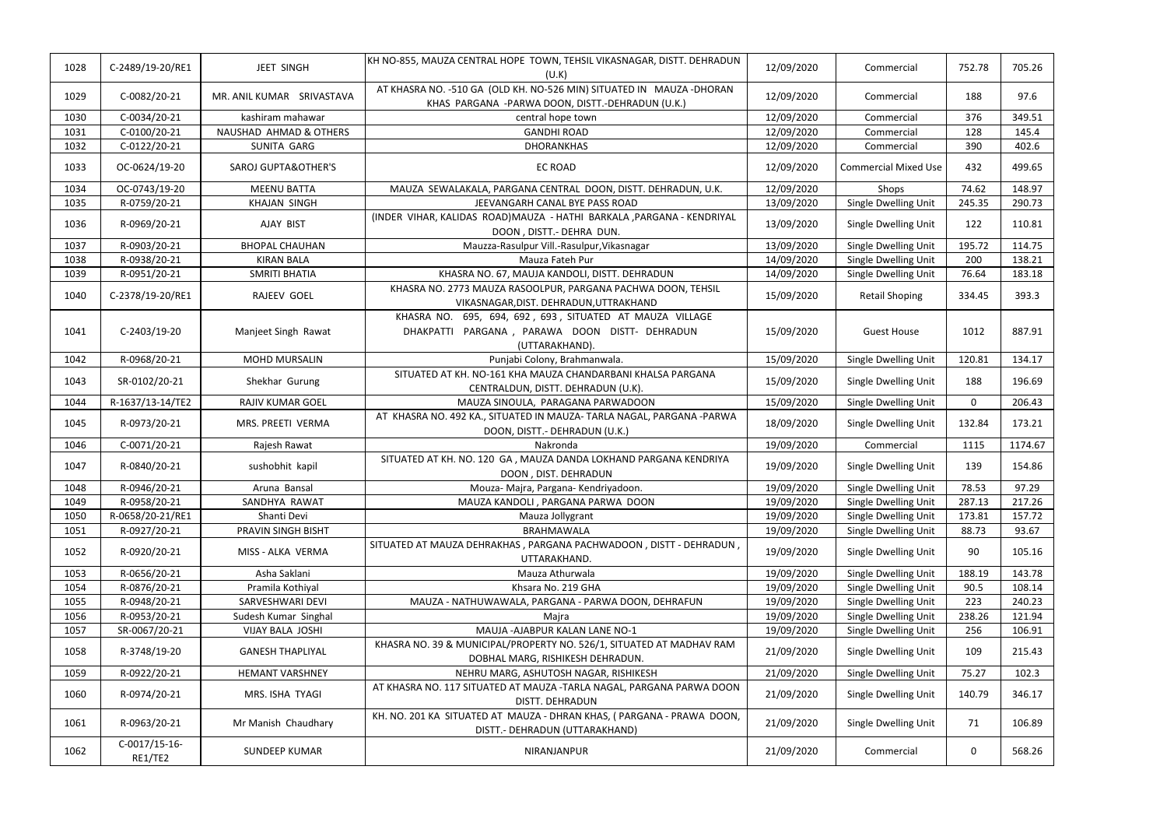| 1028 | C-2489/19-20/RE1         | JEET SINGH                        | KH NO-855, MAUZA CENTRAL HOPE TOWN, TEHSIL VIKASNAGAR, DISTT. DEHRADUN<br>(U.K)                                                 | 12/09/2020 | Commercial                  | 752.78       | 705.26  |
|------|--------------------------|-----------------------------------|---------------------------------------------------------------------------------------------------------------------------------|------------|-----------------------------|--------------|---------|
| 1029 | C-0082/20-21             | MR. ANIL KUMAR SRIVASTAVA         | AT KHASRA NO. - 510 GA (OLD KH. NO-526 MIN) SITUATED IN MAUZA - DHORAN<br>KHAS PARGANA -PARWA DOON, DISTT.-DEHRADUN (U.K.)      | 12/09/2020 | Commercial                  | 188          | 97.6    |
| 1030 | C-0034/20-21             | kashiram mahawar                  | central hope town                                                                                                               | 12/09/2020 | Commercial                  | 376          | 349.51  |
| 1031 | C-0100/20-21             | <b>NAUSHAD AHMAD &amp; OTHERS</b> | <b>GANDHI ROAD</b>                                                                                                              | 12/09/2020 | Commercial                  | 128          | 145.4   |
| 1032 | C-0122/20-21             | SUNITA GARG                       | <b>DHORANKHAS</b>                                                                                                               | 12/09/2020 | Commercial                  | 390          | 402.6   |
| 1033 | OC-0624/19-20            | <b>SAROJ GUPTA&amp;OTHER'S</b>    | <b>EC ROAD</b>                                                                                                                  | 12/09/2020 | <b>Commercial Mixed Use</b> | 432          | 499.65  |
| 1034 | OC-0743/19-20            | <b>MEENU BATTA</b>                | MAUZA SEWALAKALA, PARGANA CENTRAL DOON, DISTT. DEHRADUN, U.K.                                                                   | 12/09/2020 | Shops                       | 74.62        | 148.97  |
| 1035 | R-0759/20-21             | <b>KHAJAN SINGH</b>               | JEEVANGARH CANAL BYE PASS ROAD                                                                                                  | 13/09/2020 | Single Dwelling Unit        | 245.35       | 290.73  |
| 1036 | R-0969/20-21             | AJAY BIST                         | (INDER VIHAR, KALIDAS ROAD)MAUZA - HATHI BARKALA , PARGANA - KENDRIYAL<br>DOON, DISTT.- DEHRA DUN.                              | 13/09/2020 | Single Dwelling Unit        | 122          | 110.81  |
| 1037 | R-0903/20-21             | <b>BHOPAL CHAUHAN</b>             | Mauzza-Rasulpur Vill.-Rasulpur, Vikasnagar                                                                                      | 13/09/2020 | Single Dwelling Unit        | 195.72       | 114.75  |
| 1038 | R-0938/20-21             | <b>KIRAN BALA</b>                 | Mauza Fateh Pur                                                                                                                 | 14/09/2020 | Single Dwelling Unit        | 200          | 138.21  |
| 1039 | R-0951/20-21             | <b>SMRITI BHATIA</b>              | KHASRA NO. 67, MAUJA KANDOLI, DISTT. DEHRADUN                                                                                   | 14/09/2020 | Single Dwelling Unit        | 76.64        | 183.18  |
| 1040 | C-2378/19-20/RE1         | RAJEEV GOEL                       | KHASRA NO. 2773 MAUZA RASOOLPUR, PARGANA PACHWA DOON, TEHSIL<br>VIKASNAGAR, DIST. DEHRADUN, UTTRAKHAND                          | 15/09/2020 | <b>Retail Shoping</b>       | 334.45       | 393.3   |
| 1041 | C-2403/19-20             | Manjeet Singh Rawat               | 695, 694, 692, 693, SITUATED AT MAUZA VILLAGE<br>KHASRA NO.<br>DHAKPATTI PARGANA, PARAWA DOON DISTT- DEHRADUN<br>(UTTARAKHAND). | 15/09/2020 | <b>Guest House</b>          | 1012         | 887.91  |
| 1042 | R-0968/20-21             | <b>MOHD MURSALIN</b>              | Punjabi Colony, Brahmanwala.                                                                                                    | 15/09/2020 | Single Dwelling Unit        | 120.81       | 134.17  |
| 1043 | SR-0102/20-21            | Shekhar Gurung                    | SITUATED AT KH. NO-161 KHA MAUZA CHANDARBANI KHALSA PARGANA<br>CENTRALDUN, DISTT. DEHRADUN (U.K).                               | 15/09/2020 | Single Dwelling Unit        | 188          | 196.69  |
| 1044 | R-1637/13-14/TE2         | RAJIV KUMAR GOEL                  | MAUZA SINOULA, PARAGANA PARWADOON                                                                                               | 15/09/2020 | Single Dwelling Unit        | $\mathbf{0}$ | 206.43  |
| 1045 | R-0973/20-21             | MRS. PREETI VERMA                 | AT KHASRA NO. 492 KA., SITUATED IN MAUZA- TARLA NAGAL, PARGANA -PARWA<br>DOON, DISTT. - DEHRADUN (U.K.)                         | 18/09/2020 | Single Dwelling Unit        | 132.84       | 173.21  |
| 1046 | C-0071/20-21             | Rajesh Rawat                      | Nakronda                                                                                                                        | 19/09/2020 | Commercial                  | 1115         | 1174.67 |
| 1047 | R-0840/20-21             | sushobhit kapil                   | SITUATED AT KH. NO. 120 GA, MAUZA DANDA LOKHAND PARGANA KENDRIYA<br>DOON, DIST. DEHRADUN                                        | 19/09/2020 | Single Dwelling Unit        | 139          | 154.86  |
| 1048 | R-0946/20-21             | Aruna Bansal                      | Mouza- Majra, Pargana- Kendriyadoon.                                                                                            | 19/09/2020 | Single Dwelling Unit        | 78.53        | 97.29   |
| 1049 | R-0958/20-21             | SANDHYA RAWAT                     | MAUZA KANDOLI, PARGANA PARWA DOON                                                                                               | 19/09/2020 | Single Dwelling Unit        | 287.13       | 217.26  |
| 1050 | R-0658/20-21/RE1         | Shanti Devi                       | Mauza Jollygrant                                                                                                                | 19/09/2020 | Single Dwelling Unit        | 173.81       | 157.72  |
| 1051 | R-0927/20-21             | PRAVIN SINGH BISHT                | BRAHMAWALA                                                                                                                      | 19/09/2020 | Single Dwelling Unit        | 88.73        | 93.67   |
| 1052 | R-0920/20-21             | MISS - ALKA VERMA                 | SITUATED AT MAUZA DEHRAKHAS, PARGANA PACHWADOON, DISTT - DEHRADUN,<br>UTTARAKHAND.                                              | 19/09/2020 | Single Dwelling Unit        | 90           | 105.16  |
| 1053 | R-0656/20-21             | Asha Saklani                      | Mauza Athurwala                                                                                                                 | 19/09/2020 | Single Dwelling Unit        | 188.19       | 143.78  |
| 1054 | R-0876/20-21             | Pramila Kothiyal                  | Khsara No. 219 GHA                                                                                                              | 19/09/2020 | Single Dwelling Unit        | 90.5         | 108.14  |
| 1055 | R-0948/20-21             | SARVESHWARI DEVI                  | MAUZA - NATHUWAWALA, PARGANA - PARWA DOON, DEHRAFUN                                                                             | 19/09/2020 | Single Dwelling Unit        | 223          | 240.23  |
| 1056 | R-0953/20-21             | Sudesh Kumar Singhal              | Majra                                                                                                                           | 19/09/2020 | Single Dwelling Unit        | 238.26       | 121.94  |
| 1057 | SR-0067/20-21            | VIJAY BALA JOSHI                  | MAUJA - AJABPUR KALAN LANE NO-1                                                                                                 | 19/09/2020 | Single Dwelling Unit        | 256          | 106.91  |
| 1058 | R-3748/19-20             | <b>GANESH THAPLIYAL</b>           | KHASRA NO. 39 & MUNICIPAL/PROPERTY NO. 526/1, SITUATED AT MADHAV RAM<br>DOBHAL MARG, RISHIKESH DEHRADUN.                        | 21/09/2020 | Single Dwelling Unit        | 109          | 215.43  |
| 1059 | R-0922/20-21             | <b>HEMANT VARSHNEY</b>            | NEHRU MARG, ASHUTOSH NAGAR, RISHIKESH                                                                                           | 21/09/2020 | Single Dwelling Unit        | 75.27        | 102.3   |
| 1060 | R-0974/20-21             | MRS. ISHA TYAGI                   | AT KHASRA NO. 117 SITUATED AT MAUZA -TARLA NAGAL, PARGANA PARWA DOON<br>DISTT. DEHRADUN                                         | 21/09/2020 | Single Dwelling Unit        | 140.79       | 346.17  |
| 1061 | R-0963/20-21             | Mr Manish Chaudhary               | KH. NO. 201 KA SITUATED AT MAUZA - DHRAN KHAS, ( PARGANA - PRAWA DOON,<br>DISTT.- DEHRADUN (UTTARAKHAND)                        | 21/09/2020 | Single Dwelling Unit        | 71           | 106.89  |
| 1062 | C-0017/15-16-<br>RE1/TE2 | <b>SUNDEEP KUMAR</b>              | NIRANJANPUR                                                                                                                     | 21/09/2020 | Commercial                  | $\mathbf 0$  | 568.26  |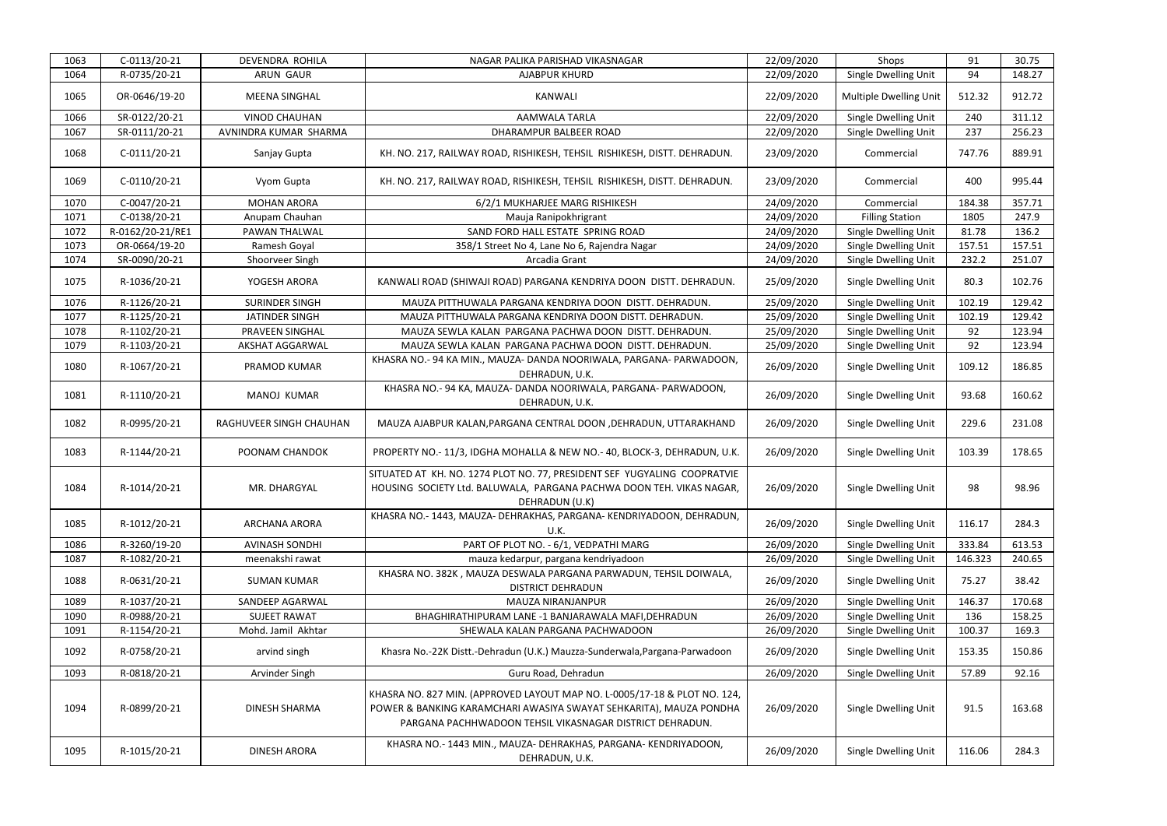| 1063 | C-0113/20-21     | DEVENDRA ROHILA         | NAGAR PALIKA PARISHAD VIKASNAGAR                                                                                                                                                                            | 22/09/2020 | Shops                       | 91      | 30.75  |
|------|------------------|-------------------------|-------------------------------------------------------------------------------------------------------------------------------------------------------------------------------------------------------------|------------|-----------------------------|---------|--------|
| 1064 | R-0735/20-21     | <b>ARUN GAUR</b>        | AJABPUR KHURD                                                                                                                                                                                               | 22/09/2020 | Single Dwelling Unit        | 94      | 148.27 |
| 1065 | OR-0646/19-20    | <b>MEENA SINGHAL</b>    | KANWALI                                                                                                                                                                                                     | 22/09/2020 | Multiple Dwelling Unit      | 512.32  | 912.72 |
| 1066 | SR-0122/20-21    | <b>VINOD CHAUHAN</b>    | AAMWALA TARLA                                                                                                                                                                                               | 22/09/2020 | Single Dwelling Unit        | 240     | 311.12 |
| 1067 | SR-0111/20-21    | AVNINDRA KUMAR SHARMA   | DHARAMPUR BALBEER ROAD                                                                                                                                                                                      | 22/09/2020 | Single Dwelling Unit        | 237     | 256.23 |
| 1068 | C-0111/20-21     | Sanjay Gupta            | KH. NO. 217, RAILWAY ROAD, RISHIKESH, TEHSIL RISHIKESH, DISTT. DEHRADUN.                                                                                                                                    | 23/09/2020 | Commercial                  | 747.76  | 889.91 |
| 1069 | C-0110/20-21     | Vyom Gupta              | KH. NO. 217, RAILWAY ROAD, RISHIKESH, TEHSIL RISHIKESH, DISTT. DEHRADUN.                                                                                                                                    | 23/09/2020 | Commercial                  | 400     | 995.44 |
| 1070 | C-0047/20-21     | <b>MOHAN ARORA</b>      | 6/2/1 MUKHARJEE MARG RISHIKESH                                                                                                                                                                              | 24/09/2020 | Commercial                  | 184.38  | 357.71 |
| 1071 | C-0138/20-21     | Anupam Chauhan          | Mauja Ranipokhrigrant                                                                                                                                                                                       | 24/09/2020 | <b>Filling Station</b>      | 1805    | 247.9  |
| 1072 | R-0162/20-21/RE1 | PAWAN THALWAL           | SAND FORD HALL ESTATE SPRING ROAD                                                                                                                                                                           | 24/09/2020 | Single Dwelling Unit        | 81.78   | 136.2  |
| 1073 | OR-0664/19-20    | Ramesh Goyal            | 358/1 Street No 4, Lane No 6, Rajendra Nagar                                                                                                                                                                | 24/09/2020 | Single Dwelling Unit        | 157.51  | 157.51 |
| 1074 | SR-0090/20-21    | Shoorveer Singh         | Arcadia Grant                                                                                                                                                                                               | 24/09/2020 | <b>Single Dwelling Unit</b> | 232.2   | 251.07 |
| 1075 | R-1036/20-21     | YOGESH ARORA            | KANWALI ROAD (SHIWAJI ROAD) PARGANA KENDRIYA DOON DISTT. DEHRADUN.                                                                                                                                          | 25/09/2020 | Single Dwelling Unit        | 80.3    | 102.76 |
| 1076 | R-1126/20-21     | <b>SURINDER SINGH</b>   | MAUZA PITTHUWALA PARGANA KENDRIYA DOON DISTT. DEHRADUN.                                                                                                                                                     | 25/09/2020 | Single Dwelling Unit        | 102.19  | 129.42 |
| 1077 | R-1125/20-21     | JATINDER SINGH          | MAUZA PITTHUWALA PARGANA KENDRIYA DOON DISTT. DEHRADUN.                                                                                                                                                     | 25/09/2020 | Single Dwelling Unit        | 102.19  | 129.42 |
| 1078 | R-1102/20-21     | PRAVEEN SINGHAL         | MAUZA SEWLA KALAN PARGANA PACHWA DOON DISTT. DEHRADUN.                                                                                                                                                      | 25/09/2020 | Single Dwelling Unit        | 92      | 123.94 |
| 1079 | R-1103/20-21     | AKSHAT AGGARWAL         | MAUZA SEWLA KALAN PARGANA PACHWA DOON DISTT. DEHRADUN.                                                                                                                                                      | 25/09/2020 | Single Dwelling Unit        | 92      | 123.94 |
| 1080 | R-1067/20-21     | PRAMOD KUMAR            | KHASRA NO.-94 KA MIN., MAUZA-DANDA NOORIWALA, PARGANA-PARWADOON,<br>DEHRADUN, U.K.                                                                                                                          | 26/09/2020 | Single Dwelling Unit        | 109.12  | 186.85 |
| 1081 | R-1110/20-21     | MANOJ KUMAR             | KHASRA NO.-94 KA, MAUZA-DANDA NOORIWALA, PARGANA-PARWADOON,<br>DEHRADUN, U.K.                                                                                                                               | 26/09/2020 | Single Dwelling Unit        | 93.68   | 160.62 |
| 1082 | R-0995/20-21     | RAGHUVEER SINGH CHAUHAN | MAUZA AJABPUR KALAN, PARGANA CENTRAL DOON, DEHRADUN, UTTARAKHAND                                                                                                                                            | 26/09/2020 | Single Dwelling Unit        | 229.6   | 231.08 |
| 1083 | R-1144/20-21     | POONAM CHANDOK          | PROPERTY NO.- 11/3, IDGHA MOHALLA & NEW NO.- 40, BLOCK-3, DEHRADUN, U.K.                                                                                                                                    | 26/09/2020 | Single Dwelling Unit        | 103.39  | 178.65 |
| 1084 | R-1014/20-21     | MR. DHARGYAL            | SITUATED AT KH. NO. 1274 PLOT NO. 77, PRESIDENT SEF YUGYALING COOPRATVIE<br>HOUSING SOCIETY Ltd. BALUWALA, PARGANA PACHWA DOON TEH. VIKAS NAGAR,<br>DEHRADUN (U.K)                                          | 26/09/2020 | Single Dwelling Unit        | 98      | 98.96  |
| 1085 | R-1012/20-21     | ARCHANA ARORA           | KHASRA NO.- 1443, MAUZA- DEHRAKHAS, PARGANA- KENDRIYADOON, DEHRADUN,<br>U.K.                                                                                                                                | 26/09/2020 | Single Dwelling Unit        | 116.17  | 284.3  |
| 1086 | R-3260/19-20     | <b>AVINASH SONDHI</b>   | PART OF PLOT NO. - 6/1, VEDPATHI MARG                                                                                                                                                                       | 26/09/2020 | Single Dwelling Unit        | 333.84  | 613.53 |
| 1087 | R-1082/20-21     | meenakshi rawat         | mauza kedarpur, pargana kendriyadoon                                                                                                                                                                        | 26/09/2020 | Single Dwelling Unit        | 146.323 | 240.65 |
| 1088 | R-0631/20-21     | <b>SUMAN KUMAR</b>      | KHASRA NO. 382K, MAUZA DESWALA PARGANA PARWADUN, TEHSIL DOIWALA,<br><b>DISTRICT DEHRADUN</b>                                                                                                                | 26/09/2020 | Single Dwelling Unit        | 75.27   | 38.42  |
| 1089 | R-1037/20-21     | SANDEEP AGARWAL         | MAUZA NIRANJANPUR                                                                                                                                                                                           | 26/09/2020 | Single Dwelling Unit        | 146.37  | 170.68 |
| 1090 | R-0988/20-21     | <b>SUJEET RAWAT</b>     | BHAGHIRATHIPURAM LANE -1 BANJARAWALA MAFI, DEHRADUN                                                                                                                                                         | 26/09/2020 | Single Dwelling Unit        | 136     | 158.25 |
| 1091 | R-1154/20-21     | Mohd. Jamil Akhtar      | SHEWALA KALAN PARGANA PACHWADOON                                                                                                                                                                            | 26/09/2020 | Single Dwelling Unit        | 100.37  | 169.3  |
| 1092 | R-0758/20-21     | arvind singh            | Khasra No.-22K Distt.-Dehradun (U.K.) Mauzza-Sunderwala, Pargana-Parwadoon                                                                                                                                  | 26/09/2020 | Single Dwelling Unit        | 153.35  | 150.86 |
| 1093 | R-0818/20-21     | Arvinder Singh          | Guru Road, Dehradun                                                                                                                                                                                         | 26/09/2020 | Single Dwelling Unit        | 57.89   | 92.16  |
| 1094 | R-0899/20-21     | DINESH SHARMA           | KHASRA NO. 827 MIN. (APPROVED LAYOUT MAP NO. L-0005/17-18 & PLOT NO. 124,<br>POWER & BANKING KARAMCHARI AWASIYA SWAYAT SEHKARITA), MAUZA PONDHA<br>PARGANA PACHHWADOON TEHSIL VIKASNAGAR DISTRICT DEHRADUN. | 26/09/2020 | Single Dwelling Unit        | 91.5    | 163.68 |
| 1095 | R-1015/20-21     | <b>DINESH ARORA</b>     | KHASRA NO.- 1443 MIN., MAUZA- DEHRAKHAS, PARGANA- KENDRIYADOON,<br>DEHRADUN, U.K.                                                                                                                           | 26/09/2020 | Single Dwelling Unit        | 116.06  | 284.3  |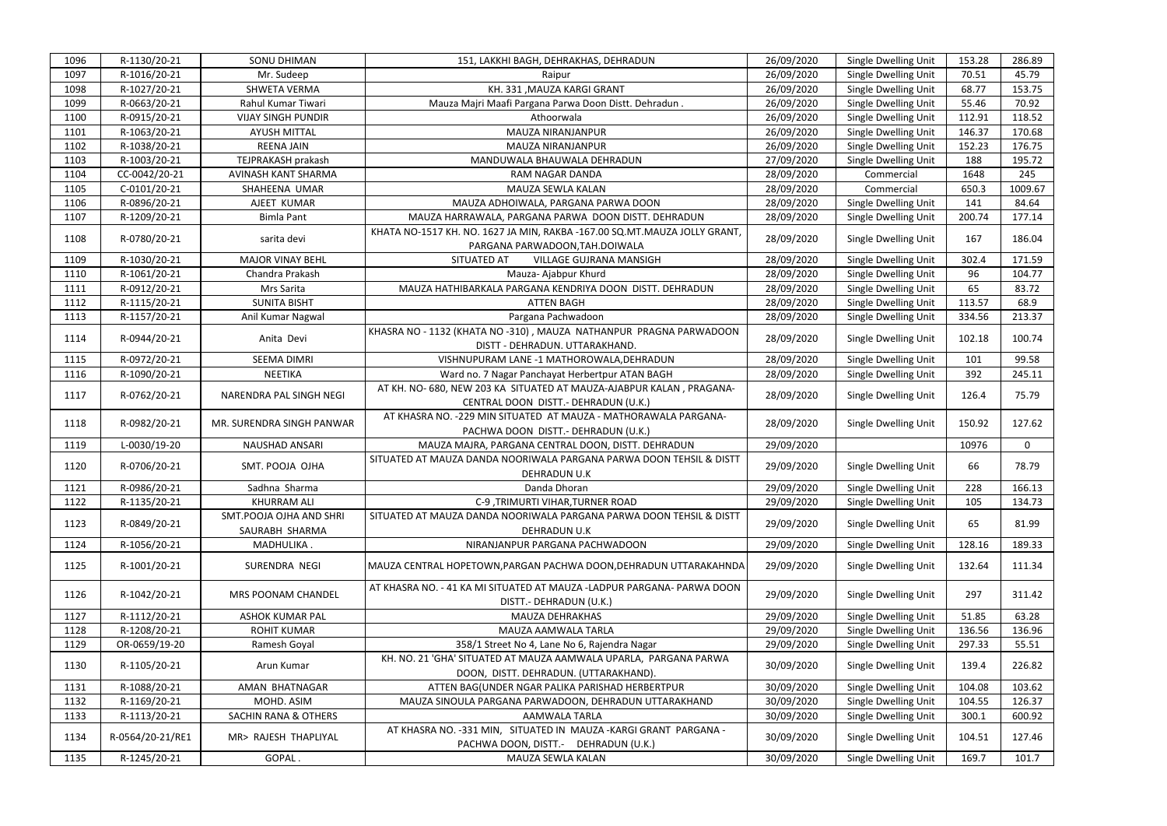| 1096 | R-1130/20-21     | SONU DHIMAN                               | 151, LAKKHI BAGH, DEHRAKHAS, DEHRADUN                                                                         | 26/09/2020 | Single Dwelling Unit | 153.28 | 286.89       |
|------|------------------|-------------------------------------------|---------------------------------------------------------------------------------------------------------------|------------|----------------------|--------|--------------|
| 1097 | R-1016/20-21     | Mr. Sudeep                                | Raipur                                                                                                        | 26/09/2020 | Single Dwelling Unit | 70.51  | 45.79        |
| 1098 | R-1027/20-21     | SHWETA VERMA                              | KH. 331, MAUZA KARGI GRANT                                                                                    | 26/09/2020 | Single Dwelling Unit | 68.77  | 153.75       |
| 1099 | R-0663/20-21     | Rahul Kumar Tiwari                        | Mauza Majri Maafi Pargana Parwa Doon Distt. Dehradun.                                                         | 26/09/2020 | Single Dwelling Unit | 55.46  | 70.92        |
| 1100 | R-0915/20-21     | <b>VIJAY SINGH PUNDIR</b>                 | Athoorwala                                                                                                    | 26/09/2020 | Single Dwelling Unit | 112.91 | 118.52       |
| 1101 | R-1063/20-21     | <b>AYUSH MITTAL</b>                       | MAUZA NIRANJANPUR                                                                                             | 26/09/2020 | Single Dwelling Unit | 146.37 | 170.68       |
| 1102 | R-1038/20-21     | <b>REENA JAIN</b>                         | MAUZA NIRANJANPUR                                                                                             | 26/09/2020 | Single Dwelling Unit | 152.23 | 176.75       |
| 1103 | R-1003/20-21     | TEJPRAKASH prakash                        | MANDUWALA BHAUWALA DEHRADUN                                                                                   | 27/09/2020 | Single Dwelling Unit | 188    | 195.72       |
| 1104 | CC-0042/20-21    | AVINASH KANT SHARMA                       | RAM NAGAR DANDA                                                                                               | 28/09/2020 | Commercial           | 1648   | 245          |
| 1105 | C-0101/20-21     | SHAHEENA UMAR                             | MAUZA SEWLA KALAN                                                                                             | 28/09/2020 | Commercial           | 650.3  | 1009.67      |
| 1106 | R-0896/20-21     | AJEET KUMAR                               | MAUZA ADHOIWALA, PARGANA PARWA DOON                                                                           | 28/09/2020 | Single Dwelling Unit | 141    | 84.64        |
| 1107 | R-1209/20-21     | <b>Bimla Pant</b>                         | MAUZA HARRAWALA, PARGANA PARWA DOON DISTT. DEHRADUN                                                           | 28/09/2020 | Single Dwelling Unit | 200.74 | 177.14       |
| 1108 | R-0780/20-21     | sarita devi                               | KHATA NO-1517 KH. NO. 1627 JA MIN, RAKBA -167.00 SQ.MT.MAUZA JOLLY GRANT,                                     | 28/09/2020 | Single Dwelling Unit | 167    | 186.04       |
|      |                  |                                           | PARGANA PARWADOON, TAH. DOIWALA                                                                               |            |                      |        |              |
| 1109 | R-1030/20-21     | <b>MAJOR VINAY BEHL</b>                   | <b>VILLAGE GUJRANA MANSIGH</b><br>SITUATED AT                                                                 | 28/09/2020 | Single Dwelling Unit | 302.4  | 171.59       |
| 1110 | R-1061/20-21     | Chandra Prakash                           | Mauza- Ajabpur Khurd                                                                                          | 28/09/2020 | Single Dwelling Unit | 96     | 104.77       |
| 1111 | R-0912/20-21     | Mrs Sarita                                | MAUZA HATHIBARKALA PARGANA KENDRIYA DOON DISTT. DEHRADUN                                                      | 28/09/2020 | Single Dwelling Unit | 65     | 83.72        |
| 1112 | R-1115/20-21     | <b>SUNITA BISHT</b>                       | <b>ATTEN BAGH</b>                                                                                             | 28/09/2020 | Single Dwelling Unit | 113.57 | 68.9         |
| 1113 | R-1157/20-21     | Anil Kumar Nagwal                         | Pargana Pachwadoon                                                                                            | 28/09/2020 | Single Dwelling Unit | 334.56 | 213.37       |
| 1114 | R-0944/20-21     | Anita Devi                                | KHASRA NO - 1132 (KHATA NO -310), MAUZA NATHANPUR PRAGNA PARWADOON                                            | 28/09/2020 | Single Dwelling Unit | 102.18 | 100.74       |
|      |                  |                                           | DISTT - DEHRADUN. UTTARAKHAND.                                                                                |            |                      |        |              |
| 1115 | R-0972/20-21     | SEEMA DIMRI                               | VISHNUPURAM LANE -1 MATHOROWALA, DEHRADUN                                                                     | 28/09/2020 | Single Dwelling Unit | 101    | 99.58        |
| 1116 | R-1090/20-21     | <b>NEETIKA</b>                            | Ward no. 7 Nagar Panchayat Herbertpur ATAN BAGH                                                               | 28/09/2020 | Single Dwelling Unit | 392    | 245.11       |
| 1117 | R-0762/20-21     | NARENDRA PAL SINGH NEGI                   | AT KH. NO- 680, NEW 203 KA SITUATED AT MAUZA-AJABPUR KALAN, PRAGANA-<br>CENTRAL DOON DISTT. - DEHRADUN (U.K.) | 28/09/2020 | Single Dwelling Unit | 126.4  | 75.79        |
| 1118 | R-0982/20-21     | MR. SURENDRA SINGH PANWAR                 | AT KHASRA NO. - 229 MIN SITUATED AT MAUZA - MATHORAWALA PARGANA-<br>PACHWA DOON DISTT.- DEHRADUN (U.K.)       | 28/09/2020 | Single Dwelling Unit | 150.92 | 127.62       |
| 1119 | L-0030/19-20     | NAUSHAD ANSARI                            | MAUZA MAJRA, PARGANA CENTRAL DOON, DISTT. DEHRADUN                                                            | 29/09/2020 |                      | 10976  | $\mathbf{0}$ |
| 1120 | R-0706/20-21     | SMT. POOJA OJHA                           | SITUATED AT MAUZA DANDA NOORIWALA PARGANA PARWA DOON TEHSIL & DISTT<br><b>DEHRADUN U.K</b>                    | 29/09/2020 | Single Dwelling Unit | 66     | 78.79        |
| 1121 | R-0986/20-21     | Sadhna Sharma                             | Danda Dhoran                                                                                                  | 29/09/2020 | Single Dwelling Unit | 228    | 166.13       |
| 1122 | R-1135/20-21     | <b>KHURRAM ALI</b>                        | C-9, TRIMURTI VIHAR, TURNER ROAD                                                                              | 29/09/2020 | Single Dwelling Unit | 105    | 134.73       |
| 1123 | R-0849/20-21     | SMT.POOJA OJHA AND SHRI<br>SAURABH SHARMA | SITUATED AT MAUZA DANDA NOORIWALA PARGANA PARWA DOON TEHSIL & DISTT<br>DEHRADUN U.K                           | 29/09/2020 | Single Dwelling Unit | 65     | 81.99        |
| 1124 | R-1056/20-21     | MADHULIKA.                                | NIRANJANPUR PARGANA PACHWADOON                                                                                | 29/09/2020 | Single Dwelling Unit | 128.16 | 189.33       |
| 1125 | R-1001/20-21     | SURENDRA NEGI                             | MAUZA CENTRAL HOPETOWN, PARGAN PACHWA DOON, DEHRADUN UTTARAKAHNDA                                             | 29/09/2020 | Single Dwelling Unit | 132.64 | 111.34       |
| 1126 | R-1042/20-21     | MRS POONAM CHANDEL                        | AT KHASRA NO. - 41 KA MI SITUATED AT MAUZA -LADPUR PARGANA- PARWA DOON<br>DISTT.- DEHRADUN (U.K.)             | 29/09/2020 | Single Dwelling Unit | 297    | 311.42       |
| 1127 | R-1112/20-21     | <b>ASHOK KUMAR PAL</b>                    | <b>MAUZA DEHRAKHAS</b>                                                                                        | 29/09/2020 | Single Dwelling Unit | 51.85  | 63.28        |
| 1128 | R-1208/20-21     | <b>ROHIT KUMAR</b>                        | MAUZA AAMWALA TARLA                                                                                           | 29/09/2020 | Single Dwelling Unit | 136.56 | 136.96       |
| 1129 | OR-0659/19-20    | Ramesh Goyal                              | 358/1 Street No 4, Lane No 6, Rajendra Nagar                                                                  | 29/09/2020 | Single Dwelling Unit | 297.33 | 55.51        |
| 1130 | R-1105/20-21     | Arun Kumar                                | KH. NO. 21 'GHA' SITUATED AT MAUZA AAMWALA UPARLA, PARGANA PARWA<br>DOON, DISTT. DEHRADUN. (UTTARAKHAND).     | 30/09/2020 | Single Dwelling Unit | 139.4  | 226.82       |
| 1131 | R-1088/20-21     | AMAN BHATNAGAR                            | ATTEN BAG(UNDER NGAR PALIKA PARISHAD HERBERTPUR                                                               | 30/09/2020 | Single Dwelling Unit | 104.08 | 103.62       |
| 1132 | R-1169/20-21     | MOHD. ASIM                                | MAUZA SINOULA PARGANA PARWADOON, DEHRADUN UTTARAKHAND                                                         | 30/09/2020 | Single Dwelling Unit | 104.55 | 126.37       |
| 1133 | R-1113/20-21     | <b>SACHIN RANA &amp; OTHERS</b>           | AAMWALA TARLA                                                                                                 | 30/09/2020 | Single Dwelling Unit | 300.1  | 600.92       |
| 1134 | R-0564/20-21/RE1 | MR> RAJESH THAPLIYAL                      | AT KHASRA NO. - 331 MIN, SITUATED IN MAUZA - KARGI GRANT PARGANA -<br>PACHWA DOON, DISTT.- DEHRADUN (U.K.)    | 30/09/2020 | Single Dwelling Unit | 104.51 | 127.46       |
| 1135 | R-1245/20-21     | GOPAL.                                    | MAUZA SEWLA KALAN                                                                                             | 30/09/2020 | Single Dwelling Unit | 169.7  | 101.7        |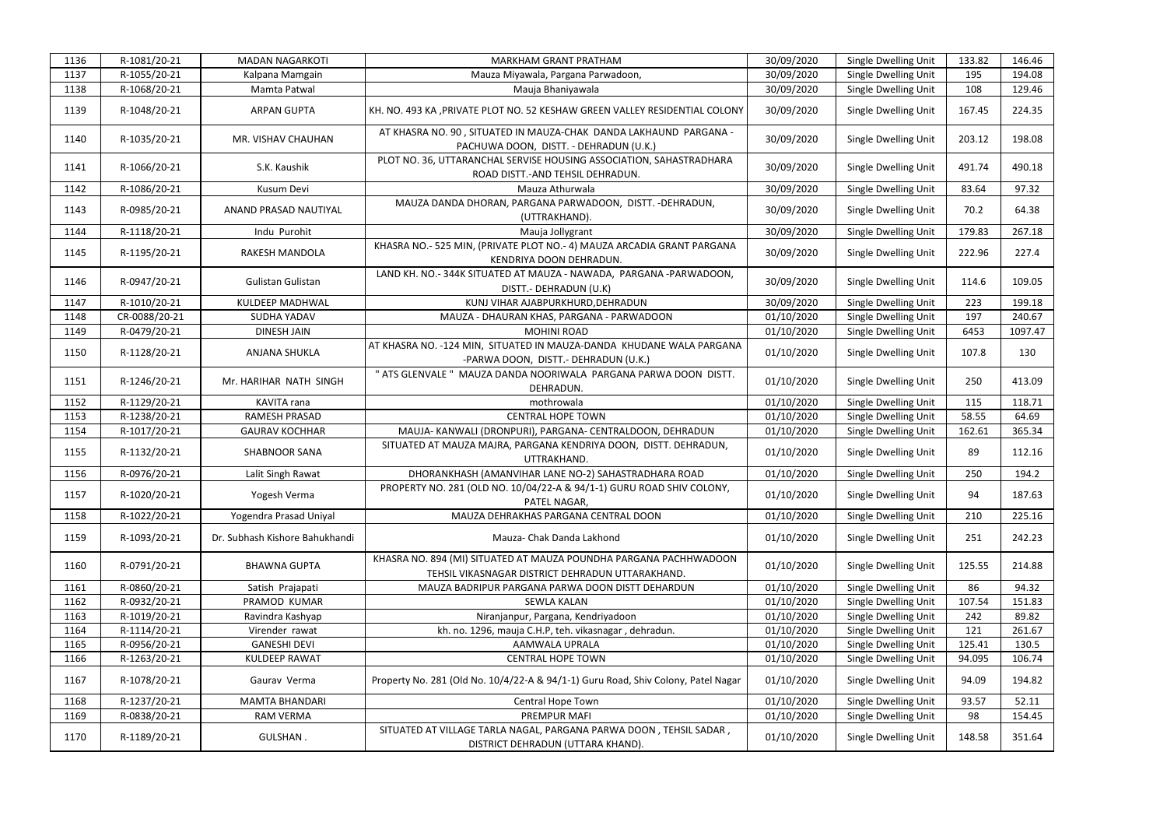| 1136 | R-1081/20-21  | <b>MADAN NAGARKOTI</b>         | MARKHAM GRANT PRATHAM                                                                                                 | 30/09/2020 | Single Dwelling Unit | 133.82 | 146.46  |
|------|---------------|--------------------------------|-----------------------------------------------------------------------------------------------------------------------|------------|----------------------|--------|---------|
| 1137 | R-1055/20-21  | Kalpana Mamgain                | Mauza Miyawala, Pargana Parwadoon,                                                                                    | 30/09/2020 | Single Dwelling Unit | 195    | 194.08  |
| 1138 | R-1068/20-21  | Mamta Patwal                   | Mauja Bhaniyawala                                                                                                     | 30/09/2020 | Single Dwelling Unit | 108    | 129.46  |
| 1139 | R-1048/20-21  | <b>ARPAN GUPTA</b>             | KH. NO. 493 KA, PRIVATE PLOT NO. 52 KESHAW GREEN VALLEY RESIDENTIAL COLONY                                            | 30/09/2020 | Single Dwelling Unit | 167.45 | 224.35  |
| 1140 | R-1035/20-21  | MR. VISHAV CHAUHAN             | AT KHASRA NO. 90, SITUATED IN MAUZA-CHAK DANDA LAKHAUND PARGANA -<br>PACHUWA DOON, DISTT. - DEHRADUN (U.K.)           | 30/09/2020 | Single Dwelling Unit | 203.12 | 198.08  |
| 1141 | R-1066/20-21  | S.K. Kaushik                   | PLOT NO. 36, UTTARANCHAL SERVISE HOUSING ASSOCIATION, SAHASTRADHARA<br>ROAD DISTT.-AND TEHSIL DEHRADUN.               | 30/09/2020 | Single Dwelling Unit | 491.74 | 490.18  |
| 1142 | R-1086/20-21  | Kusum Devi                     | Mauza Athurwala                                                                                                       | 30/09/2020 | Single Dwelling Unit | 83.64  | 97.32   |
| 1143 | R-0985/20-21  | ANAND PRASAD NAUTIYAL          | MAUZA DANDA DHORAN, PARGANA PARWADOON, DISTT. - DEHRADUN,<br>(UTTRAKHAND).                                            | 30/09/2020 | Single Dwelling Unit | 70.2   | 64.38   |
| 1144 | R-1118/20-21  | Indu Purohit                   | Mauja Jollygrant                                                                                                      | 30/09/2020 | Single Dwelling Unit | 179.83 | 267.18  |
| 1145 | R-1195/20-21  | RAKESH MANDOLA                 | KHASRA NO.- 525 MIN, (PRIVATE PLOT NO.- 4) MAUZA ARCADIA GRANT PARGANA<br>KENDRIYA DOON DEHRADUN.                     | 30/09/2020 | Single Dwelling Unit | 222.96 | 227.4   |
| 1146 | R-0947/20-21  | Gulistan Gulistan              | LAND KH. NO.-344K SITUATED AT MAUZA - NAWADA, PARGANA -PARWADOON,<br>DISTT.- DEHRADUN (U.K)                           | 30/09/2020 | Single Dwelling Unit | 114.6  | 109.05  |
| 1147 | R-1010/20-21  | <b>KULDEEP MADHWAL</b>         | KUNJ VIHAR AJABPURKHURD, DEHRADUN                                                                                     | 30/09/2020 | Single Dwelling Unit | 223    | 199.18  |
| 1148 | CR-0088/20-21 | <b>SUDHA YADAV</b>             | MAUZA - DHAURAN KHAS, PARGANA - PARWADOON                                                                             | 01/10/2020 | Single Dwelling Unit | 197    | 240.67  |
| 1149 | R-0479/20-21  | <b>DINESH JAIN</b>             | <b>MOHINI ROAD</b>                                                                                                    | 01/10/2020 | Single Dwelling Unit | 6453   | 1097.47 |
| 1150 | R-1128/20-21  | ANJANA SHUKLA                  | AT KHASRA NO. - 124 MIN, SITUATED IN MAUZA-DANDA KHUDANE WALA PARGANA<br>-PARWA DOON, DISTT.- DEHRADUN (U.K.)         | 01/10/2020 | Single Dwelling Unit | 107.8  | 130     |
| 1151 | R-1246/20-21  | Mr. HARIHAR NATH SINGH         | " ATS GLENVALE " MAUZA DANDA NOORIWALA PARGANA PARWA DOON DISTT.<br>DEHRADUN.                                         | 01/10/2020 | Single Dwelling Unit | 250    | 413.09  |
| 1152 | R-1129/20-21  | <b>KAVITA</b> rana             | mothrowala                                                                                                            | 01/10/2020 | Single Dwelling Unit | 115    | 118.71  |
| 1153 | R-1238/20-21  | RAMESH PRASAD                  | <b>CENTRAL HOPE TOWN</b>                                                                                              | 01/10/2020 | Single Dwelling Unit | 58.55  | 64.69   |
| 1154 | R-1017/20-21  | <b>GAURAV KOCHHAR</b>          | MAUJA- KANWALI (DRONPURI), PARGANA- CENTRALDOON, DEHRADUN                                                             | 01/10/2020 | Single Dwelling Unit | 162.61 | 365.34  |
| 1155 | R-1132/20-21  | <b>SHABNOOR SANA</b>           | SITUATED AT MAUZA MAJRA, PARGANA KENDRIYA DOON, DISTT. DEHRADUN,<br>UTTRAKHAND.                                       | 01/10/2020 | Single Dwelling Unit | 89     | 112.16  |
| 1156 | R-0976/20-21  | Lalit Singh Rawat              | DHORANKHASH (AMANVIHAR LANE NO-2) SAHASTRADHARA ROAD                                                                  | 01/10/2020 | Single Dwelling Unit | 250    | 194.2   |
| 1157 | R-1020/20-21  | Yogesh Verma                   | PROPERTY NO. 281 (OLD NO. 10/04/22-A & 94/1-1) GURU ROAD SHIV COLONY,<br>PATEL NAGAR,                                 | 01/10/2020 | Single Dwelling Unit | 94     | 187.63  |
| 1158 | R-1022/20-21  | Yogendra Prasad Uniyal         | MAUZA DEHRAKHAS PARGANA CENTRAL DOON                                                                                  | 01/10/2020 | Single Dwelling Unit | 210    | 225.16  |
| 1159 | R-1093/20-21  | Dr. Subhash Kishore Bahukhandi | Mauza- Chak Danda Lakhond                                                                                             | 01/10/2020 | Single Dwelling Unit | 251    | 242.23  |
| 1160 | R-0791/20-21  | <b>BHAWNA GUPTA</b>            | KHASRA NO. 894 (MI) SITUATED AT MAUZA POUNDHA PARGANA PACHHWADOON<br>TEHSIL VIKASNAGAR DISTRICT DEHRADUN UTTARAKHAND. | 01/10/2020 | Single Dwelling Unit | 125.55 | 214.88  |
| 1161 | R-0860/20-21  | Satish Prajapati               | MAUZA BADRIPUR PARGANA PARWA DOON DISTT DEHARDUN                                                                      | 01/10/2020 | Single Dwelling Unit | 86     | 94.32   |
| 1162 | R-0932/20-21  | PRAMOD KUMAR                   | <b>SEWLA KALAN</b>                                                                                                    | 01/10/2020 | Single Dwelling Unit | 107.54 | 151.83  |
| 1163 | R-1019/20-21  | Ravindra Kashyap               | Niranjanpur, Pargana, Kendriyadoon                                                                                    | 01/10/2020 | Single Dwelling Unit | 242    | 89.82   |
| 1164 | R-1114/20-21  | Virender rawat                 | kh. no. 1296, mauja C.H.P, teh. vikasnagar, dehradun.                                                                 | 01/10/2020 | Single Dwelling Unit | 121    | 261.67  |
| 1165 | R-0956/20-21  | <b>GANESHI DEVI</b>            | AAMWALA UPRALA                                                                                                        | 01/10/2020 | Single Dwelling Unit | 125.41 | 130.5   |
| 1166 | R-1263/20-21  | <b>KULDEEP RAWAT</b>           | <b>CENTRAL HOPE TOWN</b>                                                                                              | 01/10/2020 | Single Dwelling Unit | 94.095 | 106.74  |
| 1167 | R-1078/20-21  | Gaurav Verma                   | Property No. 281 (Old No. 10/4/22-A & 94/1-1) Guru Road, Shiv Colony, Patel Nagar                                     | 01/10/2020 | Single Dwelling Unit | 94.09  | 194.82  |
| 1168 | R-1237/20-21  | <b>MAMTA BHANDARI</b>          | Central Hope Town                                                                                                     | 01/10/2020 | Single Dwelling Unit | 93.57  | 52.11   |
| 1169 | R-0838/20-21  | RAM VERMA                      | <b>PREMPUR MAFI</b>                                                                                                   | 01/10/2020 | Single Dwelling Unit | 98     | 154.45  |
| 1170 | R-1189/20-21  | <b>GULSHAN.</b>                | SITUATED AT VILLAGE TARLA NAGAL, PARGANA PARWA DOON, TEHSIL SADAR,<br>DISTRICT DEHRADUN (UTTARA KHAND).               | 01/10/2020 | Single Dwelling Unit | 148.58 | 351.64  |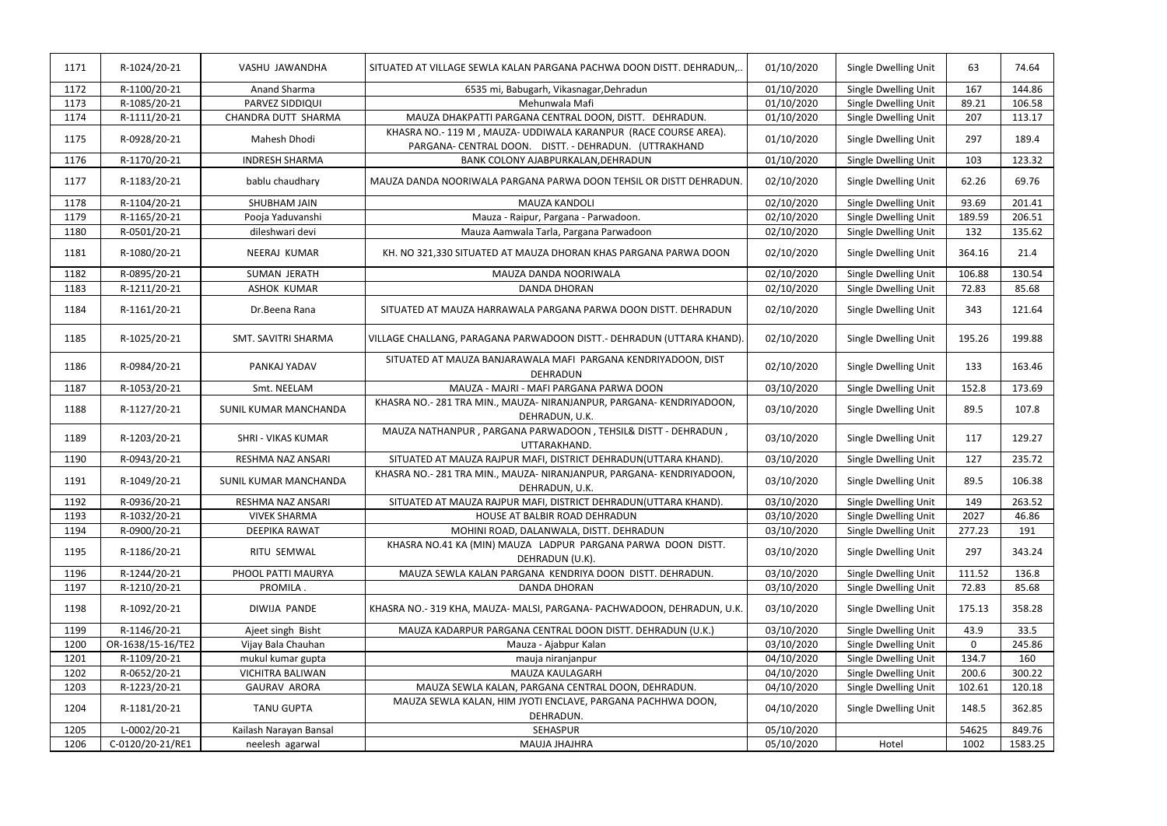| 1171 | R-1024/20-21      | VASHU JAWANDHA            | SITUATED AT VILLAGE SEWLA KALAN PARGANA PACHWA DOON DISTT. DEHRADUN,                                                     | 01/10/2020 | Single Dwelling Unit        | 63       | 74.64   |
|------|-------------------|---------------------------|--------------------------------------------------------------------------------------------------------------------------|------------|-----------------------------|----------|---------|
| 1172 | R-1100/20-21      | Anand Sharma              | 6535 mi, Babugarh, Vikasnagar, Dehradun                                                                                  | 01/10/2020 | Single Dwelling Unit        | 167      | 144.86  |
| 1173 | R-1085/20-21      | PARVEZ SIDDIQUI           | Mehunwala Mafi                                                                                                           | 01/10/2020 | Single Dwelling Unit        | 89.21    | 106.58  |
| 1174 | R-1111/20-21      | CHANDRA DUTT SHARMA       | MAUZA DHAKPATTI PARGANA CENTRAL DOON, DISTT. DEHRADUN.                                                                   | 01/10/2020 | Single Dwelling Unit        | 207      | 113.17  |
| 1175 | R-0928/20-21      | Mahesh Dhodi              | KHASRA NO.- 119 M, MAUZA- UDDIWALA KARANPUR (RACE COURSE AREA).<br>PARGANA- CENTRAL DOON. DISTT. - DEHRADUN. (UTTRAKHAND | 01/10/2020 | Single Dwelling Unit        | 297      | 189.4   |
| 1176 | R-1170/20-21      | <b>INDRESH SHARMA</b>     | BANK COLONY AJABPURKALAN, DEHRADUN                                                                                       | 01/10/2020 | Single Dwelling Unit        | 103      | 123.32  |
| 1177 | R-1183/20-21      | bablu chaudhary           | MAUZA DANDA NOORIWALA PARGANA PARWA DOON TEHSIL OR DISTT DEHRADUN.                                                       | 02/10/2020 | Single Dwelling Unit        | 62.26    | 69.76   |
| 1178 | R-1104/20-21      | SHUBHAM JAIN              | MAUZA KANDOLI                                                                                                            | 02/10/2020 | <b>Single Dwelling Unit</b> | 93.69    | 201.41  |
| 1179 | R-1165/20-21      | Pooja Yaduvanshi          | Mauza - Raipur, Pargana - Parwadoon.                                                                                     | 02/10/2020 | Single Dwelling Unit        | 189.59   | 206.51  |
| 1180 | R-0501/20-21      | dileshwari devi           | Mauza Aamwala Tarla, Pargana Parwadoon                                                                                   | 02/10/2020 | Single Dwelling Unit        | 132      | 135.62  |
| 1181 | R-1080/20-21      | NEERAJ KUMAR              | KH. NO 321,330 SITUATED AT MAUZA DHORAN KHAS PARGANA PARWA DOON                                                          | 02/10/2020 | Single Dwelling Unit        | 364.16   | 21.4    |
| 1182 | R-0895/20-21      | <b>SUMAN JERATH</b>       | MAUZA DANDA NOORIWALA                                                                                                    | 02/10/2020 | Single Dwelling Unit        | 106.88   | 130.54  |
| 1183 | R-1211/20-21      | <b>ASHOK KUMAR</b>        | DANDA DHORAN                                                                                                             | 02/10/2020 | Single Dwelling Unit        | 72.83    | 85.68   |
| 1184 | R-1161/20-21      | Dr.Beena Rana             | SITUATED AT MAUZA HARRAWALA PARGANA PARWA DOON DISTT. DEHRADUN                                                           | 02/10/2020 | Single Dwelling Unit        | 343      | 121.64  |
| 1185 | R-1025/20-21      | SMT. SAVITRI SHARMA       | VILLAGE CHALLANG, PARAGANA PARWADOON DISTT.- DEHRADUN (UTTARA KHAND).                                                    | 02/10/2020 | Single Dwelling Unit        | 195.26   | 199.88  |
| 1186 | R-0984/20-21      | PANKAJ YADAV              | SITUATED AT MAUZA BANJARAWALA MAFI PARGANA KENDRIYADOON, DIST<br><b>DEHRADUN</b>                                         | 02/10/2020 | Single Dwelling Unit        | 133      | 163.46  |
| 1187 | R-1053/20-21      | Smt. NEELAM               | MAUZA - MAJRI - MAFI PARGANA PARWA DOON                                                                                  | 03/10/2020 | Single Dwelling Unit        | 152.8    | 173.69  |
| 1188 | R-1127/20-21      | SUNIL KUMAR MANCHANDA     | KHASRA NO.- 281 TRA MIN., MAUZA- NIRANJANPUR, PARGANA- KENDRIYADOON,<br>DEHRADUN, U.K.                                   | 03/10/2020 | Single Dwelling Unit        | 89.5     | 107.8   |
| 1189 | R-1203/20-21      | <b>SHRI - VIKAS KUMAR</b> | MAUZA NATHANPUR, PARGANA PARWADOON, TEHSIL& DISTT - DEHRADUN,<br>UTTARAKHAND.                                            | 03/10/2020 | Single Dwelling Unit        | 117      | 129.27  |
| 1190 | R-0943/20-21      | RESHMA NAZ ANSARI         | SITUATED AT MAUZA RAJPUR MAFI, DISTRICT DEHRADUN(UTTARA KHAND).                                                          | 03/10/2020 | Single Dwelling Unit        | 127      | 235.72  |
| 1191 | R-1049/20-21      | SUNIL KUMAR MANCHANDA     | KHASRA NO.- 281 TRA MIN., MAUZA- NIRANJANPUR, PARGANA- KENDRIYADOON,<br>DEHRADUN, U.K.                                   | 03/10/2020 | Single Dwelling Unit        | 89.5     | 106.38  |
| 1192 | R-0936/20-21      | RESHMA NAZ ANSARI         | SITUATED AT MAUZA RAJPUR MAFI, DISTRICT DEHRADUN(UTTARA KHAND).                                                          | 03/10/2020 | Single Dwelling Unit        | 149      | 263.52  |
| 1193 | R-1032/20-21      | <b>VIVEK SHARMA</b>       | HOUSE AT BALBIR ROAD DEHRADUN                                                                                            | 03/10/2020 | Single Dwelling Unit        | 2027     | 46.86   |
| 1194 | R-0900/20-21      | DEEPIKA RAWAT             | MOHINI ROAD, DALANWALA, DISTT. DEHRADUN                                                                                  | 03/10/2020 | Single Dwelling Unit        | 277.23   | 191     |
| 1195 | R-1186/20-21      | RITU SEMWAL               | KHASRA NO.41 KA (MIN) MAUZA LADPUR PARGANA PARWA DOON DISTT.<br>DEHRADUN (U.K).                                          | 03/10/2020 | Single Dwelling Unit        | 297      | 343.24  |
| 1196 | R-1244/20-21      | PHOOL PATTI MAURYA        | MAUZA SEWLA KALAN PARGANA KENDRIYA DOON DISTT. DEHRADUN.                                                                 | 03/10/2020 | Single Dwelling Unit        | 111.52   | 136.8   |
| 1197 | R-1210/20-21      | PROMILA.                  | DANDA DHORAN                                                                                                             | 03/10/2020 | Single Dwelling Unit        | 72.83    | 85.68   |
| 1198 | R-1092/20-21      | DIWIJA PANDE              | KHASRA NO.-319 KHA, MAUZA-MALSI, PARGANA-PACHWADOON, DEHRADUN, U.K.                                                      | 03/10/2020 | Single Dwelling Unit        | 175.13   | 358.28  |
| 1199 | R-1146/20-21      | Ajeet singh Bisht         | MAUZA KADARPUR PARGANA CENTRAL DOON DISTT. DEHRADUN (U.K.)                                                               | 03/10/2020 | Single Dwelling Unit        | 43.9     | 33.5    |
| 1200 | OR-1638/15-16/TE2 | Vijay Bala Chauhan        | Mauza - Ajabpur Kalan                                                                                                    | 03/10/2020 | Single Dwelling Unit        | $\Omega$ | 245.86  |
| 1201 | R-1109/20-21      | mukul kumar gupta         | mauja niranjanpur                                                                                                        | 04/10/2020 | Single Dwelling Unit        | 134.7    | 160     |
| 1202 | R-0652/20-21      | <b>VICHITRA BALIWAN</b>   | MAUZA KAULAGARH                                                                                                          | 04/10/2020 | Single Dwelling Unit        | 200.6    | 300.22  |
| 1203 | R-1223/20-21      | <b>GAURAV ARORA</b>       | MAUZA SEWLA KALAN, PARGANA CENTRAL DOON, DEHRADUN.                                                                       | 04/10/2020 | Single Dwelling Unit        | 102.61   | 120.18  |
| 1204 | R-1181/20-21      | <b>TANU GUPTA</b>         | MAUZA SEWLA KALAN, HIM JYOTI ENCLAVE, PARGANA PACHHWA DOON,<br>DEHRADUN.                                                 | 04/10/2020 | Single Dwelling Unit        | 148.5    | 362.85  |
| 1205 | L-0002/20-21      | Kailash Narayan Bansal    | SEHASPUR                                                                                                                 | 05/10/2020 |                             | 54625    | 849.76  |
| 1206 | C-0120/20-21/RE1  | neelesh agarwal           | MAUJA JHAJHRA                                                                                                            | 05/10/2020 | Hotel                       | 1002     | 1583.25 |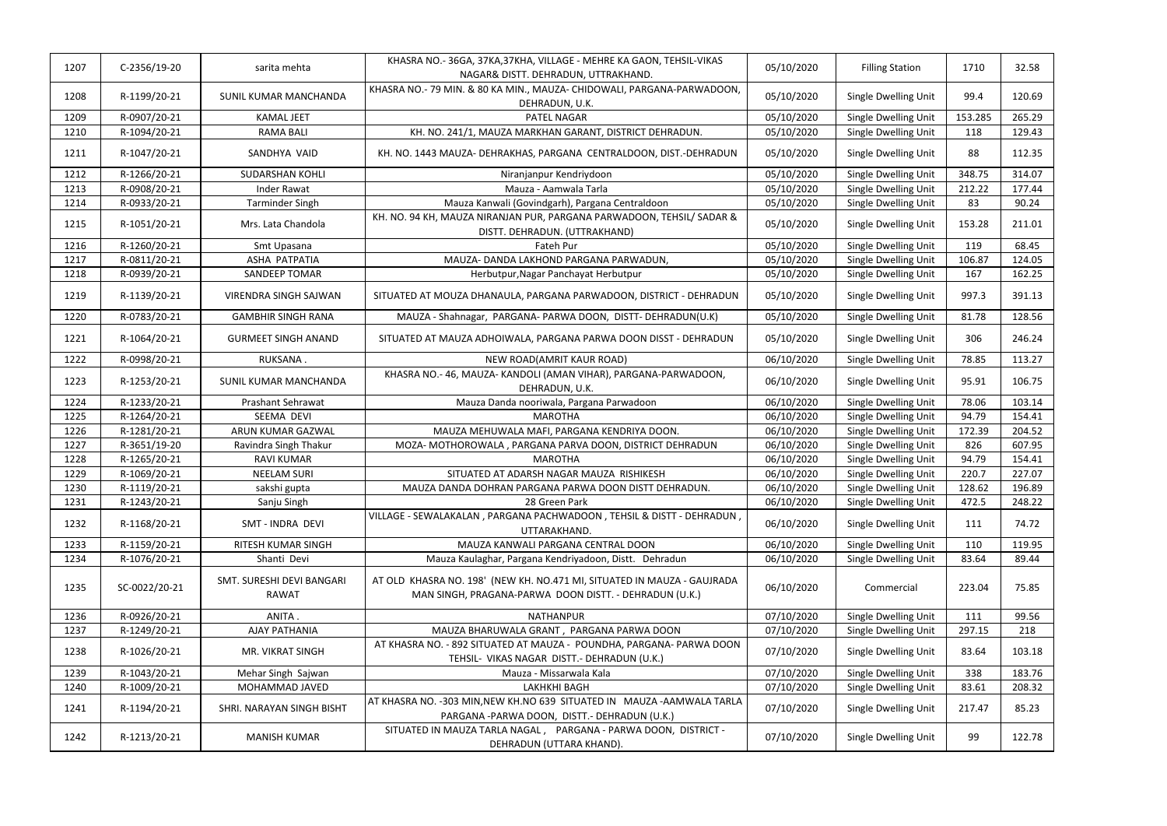| 1207 | C-2356/19-20  | sarita mehta                              | KHASRA NO.-36GA, 37KA, 37KHA, VILLAGE - MEHRE KA GAON, TEHSIL-VIKAS<br>NAGAR& DISTT. DEHRADUN, UTTRAKHAND.                        | 05/10/2020 | <b>Filling Station</b> | 1710    | 32.58  |
|------|---------------|-------------------------------------------|-----------------------------------------------------------------------------------------------------------------------------------|------------|------------------------|---------|--------|
| 1208 | R-1199/20-21  | SUNIL KUMAR MANCHANDA                     | KHASRA NO.- 79 MIN. & 80 KA MIN., MAUZA- CHIDOWALI, PARGANA-PARWADOON,<br>DEHRADUN, U.K.                                          | 05/10/2020 | Single Dwelling Unit   | 99.4    | 120.69 |
| 1209 | R-0907/20-21  | <b>KAMAL JEET</b>                         | PATEL NAGAR                                                                                                                       | 05/10/2020 | Single Dwelling Unit   | 153.285 | 265.29 |
| 1210 | R-1094/20-21  | <b>RAMA BALI</b>                          | KH. NO. 241/1, MAUZA MARKHAN GARANT, DISTRICT DEHRADUN.                                                                           | 05/10/2020 | Single Dwelling Unit   | 118     | 129.43 |
| 1211 | R-1047/20-21  | SANDHYA VAID                              | KH. NO. 1443 MAUZA- DEHRAKHAS, PARGANA CENTRALDOON, DIST.-DEHRADUN                                                                | 05/10/2020 | Single Dwelling Unit   | 88      | 112.35 |
| 1212 | R-1266/20-21  | <b>SUDARSHAN KOHLI</b>                    | Niranjanpur Kendriydoon                                                                                                           | 05/10/2020 | Single Dwelling Unit   | 348.75  | 314.07 |
| 1213 | R-0908/20-21  | <b>Inder Rawat</b>                        | Mauza - Aamwala Tarla                                                                                                             | 05/10/2020 | Single Dwelling Unit   | 212.22  | 177.44 |
| 1214 | R-0933/20-21  | <b>Tarminder Singh</b>                    | Mauza Kanwali (Govindgarh), Pargana Centraldoon                                                                                   | 05/10/2020 | Single Dwelling Unit   | 83      | 90.24  |
| 1215 | R-1051/20-21  | Mrs. Lata Chandola                        | KH. NO. 94 KH, MAUZA NIRANJAN PUR, PARGANA PARWADOON, TEHSIL/ SADAR &<br>DISTT. DEHRADUN. (UTTRAKHAND)                            | 05/10/2020 | Single Dwelling Unit   | 153.28  | 211.01 |
| 1216 | R-1260/20-21  | Smt Upasana                               | Fateh Pur                                                                                                                         | 05/10/2020 | Single Dwelling Unit   | 119     | 68.45  |
| 1217 | R-0811/20-21  | ASHA PATPATIA                             | MAUZA- DANDA LAKHOND PARGANA PARWADUN,                                                                                            | 05/10/2020 | Single Dwelling Unit   | 106.87  | 124.05 |
| 1218 | R-0939/20-21  | <b>SANDEEP TOMAR</b>                      | Herbutpur, Nagar Panchayat Herbutpur                                                                                              | 05/10/2020 | Single Dwelling Unit   | 167     | 162.25 |
| 1219 | R-1139/20-21  | <b>VIRENDRA SINGH SAJWAN</b>              | SITUATED AT MOUZA DHANAULA, PARGANA PARWADOON, DISTRICT - DEHRADUN                                                                | 05/10/2020 | Single Dwelling Unit   | 997.3   | 391.13 |
| 1220 | R-0783/20-21  | <b>GAMBHIR SINGH RANA</b>                 | MAUZA - Shahnagar, PARGANA- PARWA DOON, DISTT- DEHRADUN(U.K)                                                                      | 05/10/2020 | Single Dwelling Unit   | 81.78   | 128.56 |
| 1221 | R-1064/20-21  | <b>GURMEET SINGH ANAND</b>                | SITUATED AT MAUZA ADHOIWALA, PARGANA PARWA DOON DISST - DEHRADUN                                                                  | 05/10/2020 | Single Dwelling Unit   | 306     | 246.24 |
| 1222 | R-0998/20-21  | RUKSANA.                                  | NEW ROAD(AMRIT KAUR ROAD)                                                                                                         | 06/10/2020 | Single Dwelling Unit   | 78.85   | 113.27 |
| 1223 | R-1253/20-21  | SUNIL KUMAR MANCHANDA                     | KHASRA NO.-46, MAUZA-KANDOLI (AMAN VIHAR), PARGANA-PARWADOON,<br>DEHRADUN, U.K.                                                   | 06/10/2020 | Single Dwelling Unit   | 95.91   | 106.75 |
| 1224 | R-1233/20-21  | Prashant Sehrawat                         | Mauza Danda nooriwala, Pargana Parwadoon                                                                                          | 06/10/2020 | Single Dwelling Unit   | 78.06   | 103.14 |
| 1225 | R-1264/20-21  | SEEMA DEVI                                | <b>MAROTHA</b>                                                                                                                    | 06/10/2020 | Single Dwelling Unit   | 94.79   | 154.41 |
| 1226 | R-1281/20-21  | ARUN KUMAR GAZWAL                         | MAUZA MEHUWALA MAFI, PARGANA KENDRIYA DOON.                                                                                       | 06/10/2020 | Single Dwelling Unit   | 172.39  | 204.52 |
| 1227 | R-3651/19-20  | Ravindra Singh Thakur                     | MOZA- MOTHOROWALA, PARGANA PARVA DOON, DISTRICT DEHRADUN                                                                          | 06/10/2020 | Single Dwelling Unit   | 826     | 607.95 |
| 1228 | R-1265/20-21  | <b>RAVI KUMAR</b>                         | <b>MAROTHA</b>                                                                                                                    | 06/10/2020 | Single Dwelling Unit   | 94.79   | 154.41 |
| 1229 | R-1069/20-21  | <b>NEELAM SURI</b>                        | SITUATED AT ADARSH NAGAR MAUZA RISHIKESH                                                                                          | 06/10/2020 | Single Dwelling Unit   | 220.7   | 227.07 |
| 1230 | R-1119/20-21  | sakshi gupta                              | MAUZA DANDA DOHRAN PARGANA PARWA DOON DISTT DEHRADUN.                                                                             | 06/10/2020 | Single Dwelling Unit   | 128.62  | 196.89 |
| 1231 | R-1243/20-21  | Sanju Singh                               | 28 Green Park                                                                                                                     | 06/10/2020 | Single Dwelling Unit   | 472.5   | 248.22 |
| 1232 | R-1168/20-21  | SMT - INDRA DEVI                          | VILLAGE - SEWALAKALAN, PARGANA PACHWADOON, TEHSIL & DISTT - DEHRADUN,<br>UTTARAKHAND.                                             | 06/10/2020 | Single Dwelling Unit   | 111     | 74.72  |
| 1233 | R-1159/20-21  | <b>RITESH KUMAR SINGH</b>                 | MAUZA KANWALI PARGANA CENTRAL DOON                                                                                                | 06/10/2020 | Single Dwelling Unit   | 110     | 119.95 |
| 1234 | R-1076/20-21  | Shanti Devi                               | Mauza Kaulaghar, Pargana Kendriyadoon, Distt. Dehradun                                                                            | 06/10/2020 | Single Dwelling Unit   | 83.64   | 89.44  |
| 1235 | SC-0022/20-21 | SMT. SURESHI DEVI BANGARI<br><b>RAWAT</b> | AT OLD KHASRA NO. 198' (NEW KH. NO.471 MI, SITUATED IN MAUZA - GAUJRADA<br>MAN SINGH, PRAGANA-PARWA DOON DISTT. - DEHRADUN (U.K.) | 06/10/2020 | Commercial             | 223.04  | 75.85  |
| 1236 | R-0926/20-21  | ANITA.                                    | <b>NATHANPUR</b>                                                                                                                  | 07/10/2020 | Single Dwelling Unit   | 111     | 99.56  |
| 1237 | R-1249/20-21  | <b>AJAY PATHANIA</b>                      | MAUZA BHARUWALA GRANT, PARGANA PARWA DOON                                                                                         | 07/10/2020 | Single Dwelling Unit   | 297.15  | 218    |
| 1238 | R-1026/20-21  | MR. VIKRAT SINGH                          | AT KHASRA NO. - 892 SITUATED AT MAUZA - POUNDHA, PARGANA- PARWA DOON<br>TEHSIL- VIKAS NAGAR DISTT.- DEHRADUN (U.K.)               | 07/10/2020 | Single Dwelling Unit   | 83.64   | 103.18 |
| 1239 | R-1043/20-21  | Mehar Singh Sajwan                        | Mauza - Missarwala Kala                                                                                                           | 07/10/2020 | Single Dwelling Unit   | 338     | 183.76 |
| 1240 | R-1009/20-21  | MOHAMMAD JAVED                            | LAKHKHI BAGH                                                                                                                      | 07/10/2020 | Single Dwelling Unit   | 83.61   | 208.32 |
| 1241 | R-1194/20-21  | SHRI. NARAYAN SINGH BISHT                 | AT KHASRA NO. - 303 MIN, NEW KH. NO 639 SITUATED IN MAUZA - AAMWALA TARLA<br>PARGANA -PARWA DOON, DISTT.- DEHRADUN (U.K.)         | 07/10/2020 | Single Dwelling Unit   | 217.47  | 85.23  |
| 1242 | R-1213/20-21  | <b>MANISH KUMAR</b>                       | SITUATED IN MAUZA TARLA NAGAL, PARGANA - PARWA DOON, DISTRICT -<br>DEHRADUN (UTTARA KHAND).                                       | 07/10/2020 | Single Dwelling Unit   | 99      | 122.78 |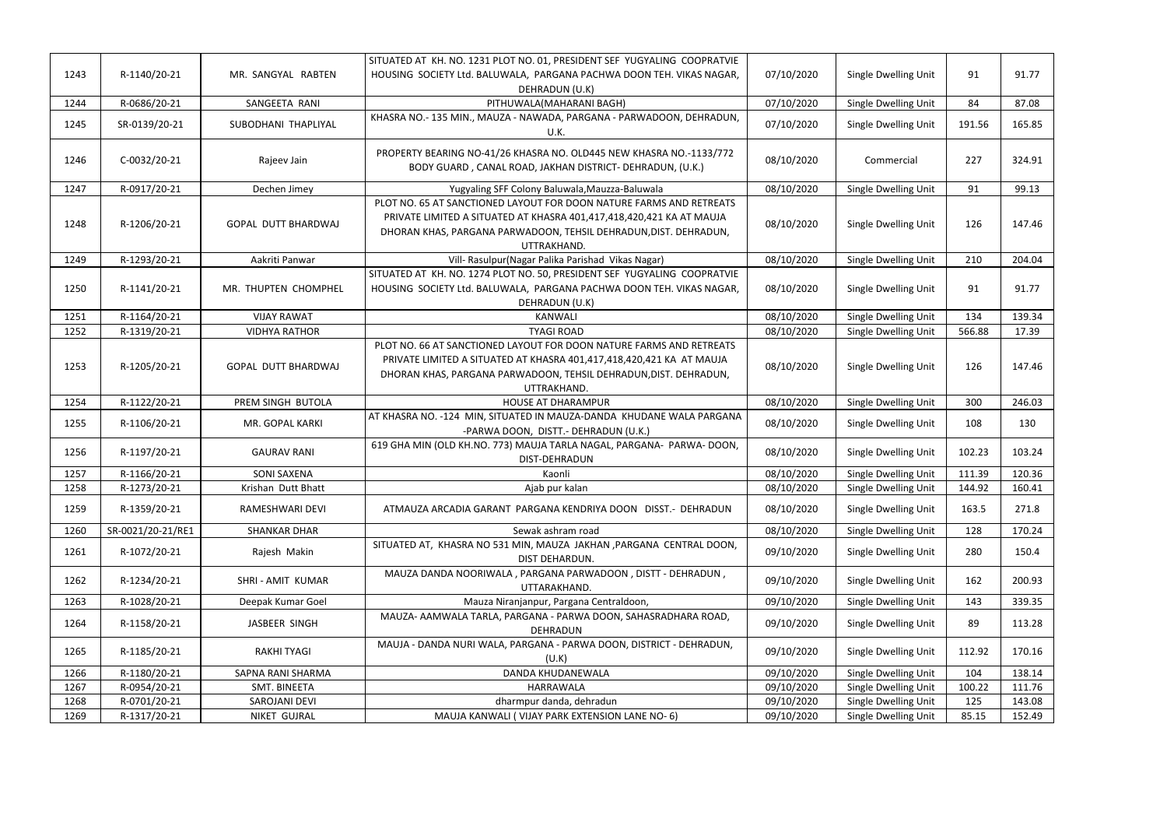|      |                   |                            | SITUATED AT KH. NO. 1231 PLOT NO. 01, PRESIDENT SEF YUGYALING COOPRATVIE                                                                                                                                                       |            |                      |        |        |
|------|-------------------|----------------------------|--------------------------------------------------------------------------------------------------------------------------------------------------------------------------------------------------------------------------------|------------|----------------------|--------|--------|
| 1243 | R-1140/20-21      | MR. SANGYAL RABTEN         | HOUSING SOCIETY Ltd. BALUWALA, PARGANA PACHWA DOON TEH. VIKAS NAGAR,                                                                                                                                                           | 07/10/2020 | Single Dwelling Unit | 91     | 91.77  |
|      |                   |                            | DEHRADUN (U.K)                                                                                                                                                                                                                 |            |                      |        |        |
| 1244 | R-0686/20-21      | SANGEETA RANI              | PITHUWALA (MAHARANI BAGH)                                                                                                                                                                                                      | 07/10/2020 | Single Dwelling Unit | 84     | 87.08  |
| 1245 | SR-0139/20-21     | SUBODHANI THAPLIYAL        | KHASRA NO.- 135 MIN., MAUZA - NAWADA, PARGANA - PARWADOON, DEHRADUN,<br>U.K.                                                                                                                                                   | 07/10/2020 | Single Dwelling Unit | 191.56 | 165.85 |
| 1246 | C-0032/20-21      | Rajeev Jain                | PROPERTY BEARING NO-41/26 KHASRA NO. OLD445 NEW KHASRA NO.-1133/772<br>BODY GUARD, CANAL ROAD, JAKHAN DISTRICT- DEHRADUN, (U.K.)                                                                                               | 08/10/2020 | Commercial           | 227    | 324.91 |
| 1247 | R-0917/20-21      | Dechen Jimey               | Yugyaling SFF Colony Baluwala, Mauzza-Baluwala                                                                                                                                                                                 | 08/10/2020 | Single Dwelling Unit | 91     | 99.13  |
| 1248 | R-1206/20-21      | <b>GOPAL DUTT BHARDWAJ</b> | PLOT NO. 65 AT SANCTIONED LAYOUT FOR DOON NATURE FARMS AND RETREATS<br>PRIVATE LIMITED A SITUATED AT KHASRA 401,417,418,420,421 KA AT MAUJA<br>DHORAN KHAS, PARGANA PARWADOON, TEHSIL DEHRADUN, DIST. DEHRADUN,<br>UTTRAKHAND. | 08/10/2020 | Single Dwelling Unit | 126    | 147.46 |
| 1249 | R-1293/20-21      | Aakriti Panwar             | Vill- Rasulpur (Nagar Palika Parishad Vikas Nagar)                                                                                                                                                                             | 08/10/2020 | Single Dwelling Unit | 210    | 204.04 |
| 1250 | R-1141/20-21      | MR. THUPTEN CHOMPHEL       | SITUATED AT KH. NO. 1274 PLOT NO. 50, PRESIDENT SEF YUGYALING COOPRATVIE<br>HOUSING SOCIETY Ltd. BALUWALA, PARGANA PACHWA DOON TEH. VIKAS NAGAR,<br>DEHRADUN (U.K)                                                             | 08/10/2020 | Single Dwelling Unit | 91     | 91.77  |
| 1251 | R-1164/20-21      | <b>VIJAY RAWAT</b>         | <b>KANWALI</b>                                                                                                                                                                                                                 | 08/10/2020 | Single Dwelling Unit | 134    | 139.34 |
| 1252 | R-1319/20-21      | <b>VIDHYA RATHOR</b>       | <b>TYAGI ROAD</b>                                                                                                                                                                                                              | 08/10/2020 | Single Dwelling Unit | 566.88 | 17.39  |
| 1253 | R-1205/20-21      | <b>GOPAL DUTT BHARDWAJ</b> | PLOT NO. 66 AT SANCTIONED LAYOUT FOR DOON NATURE FARMS AND RETREATS<br>PRIVATE LIMITED A SITUATED AT KHASRA 401,417,418,420,421 KA AT MAUJA<br>DHORAN KHAS, PARGANA PARWADOON, TEHSIL DEHRADUN, DIST. DEHRADUN,<br>UTTRAKHAND. | 08/10/2020 | Single Dwelling Unit | 126    | 147.46 |
| 1254 | R-1122/20-21      | PREM SINGH BUTOLA          | <b>HOUSE AT DHARAMPUR</b>                                                                                                                                                                                                      | 08/10/2020 | Single Dwelling Unit | 300    | 246.03 |
| 1255 | R-1106/20-21      | MR. GOPAL KARKI            | AT KHASRA NO. - 124 MIN, SITUATED IN MAUZA-DANDA KHUDANE WALA PARGANA<br>-PARWA DOON, DISTT.- DEHRADUN (U.K.)                                                                                                                  | 08/10/2020 | Single Dwelling Unit | 108    | 130    |
| 1256 | R-1197/20-21      | <b>GAURAV RANI</b>         | 619 GHA MIN (OLD KH.NO. 773) MAUJA TARLA NAGAL, PARGANA- PARWA- DOON,<br>DIST-DEHRADUN                                                                                                                                         | 08/10/2020 | Single Dwelling Unit | 102.23 | 103.24 |
| 1257 | R-1166/20-21      | <b>SONI SAXENA</b>         | Kaonli                                                                                                                                                                                                                         | 08/10/2020 | Single Dwelling Unit | 111.39 | 120.36 |
| 1258 | R-1273/20-21      | Krishan Dutt Bhatt         | Ajab pur kalan                                                                                                                                                                                                                 | 08/10/2020 | Single Dwelling Unit | 144.92 | 160.41 |
| 1259 | R-1359/20-21      | RAMESHWARI DEVI            | ATMAUZA ARCADIA GARANT PARGANA KENDRIYA DOON DISST.- DEHRADUN                                                                                                                                                                  | 08/10/2020 | Single Dwelling Unit | 163.5  | 271.8  |
| 1260 | SR-0021/20-21/RE1 | <b>SHANKAR DHAR</b>        | Sewak ashram road                                                                                                                                                                                                              | 08/10/2020 | Single Dwelling Unit | 128    | 170.24 |
| 1261 | R-1072/20-21      | Rajesh Makin               | SITUATED AT, KHASRA NO 531 MIN, MAUZA JAKHAN , PARGANA CENTRAL DOON,<br>DIST DEHARDUN.                                                                                                                                         | 09/10/2020 | Single Dwelling Unit | 280    | 150.4  |
| 1262 | R-1234/20-21      | SHRI - AMIT KUMAR          | MAUZA DANDA NOORIWALA, PARGANA PARWADOON, DISTT - DEHRADUN,<br>UTTARAKHAND.                                                                                                                                                    | 09/10/2020 | Single Dwelling Unit | 162    | 200.93 |
| 1263 | R-1028/20-21      | Deepak Kumar Goel          | Mauza Niranjanpur, Pargana Centraldoon,                                                                                                                                                                                        | 09/10/2020 | Single Dwelling Unit | 143    | 339.35 |
| 1264 | R-1158/20-21      | JASBEER SINGH              | MAUZA- AAMWALA TARLA, PARGANA - PARWA DOON, SAHASRADHARA ROAD,<br><b>DEHRADUN</b>                                                                                                                                              | 09/10/2020 | Single Dwelling Unit | 89     | 113.28 |
| 1265 | R-1185/20-21      | <b>RAKHI TYAGI</b>         | MAUJA - DANDA NURI WALA, PARGANA - PARWA DOON, DISTRICT - DEHRADUN,<br>(U.K)                                                                                                                                                   | 09/10/2020 | Single Dwelling Unit | 112.92 | 170.16 |
| 1266 | R-1180/20-21      | SAPNA RANI SHARMA          | DANDA KHUDANEWALA                                                                                                                                                                                                              | 09/10/2020 | Single Dwelling Unit | 104    | 138.14 |
| 1267 | R-0954/20-21      | SMT. BINEETA               | <b>HARRAWALA</b>                                                                                                                                                                                                               | 09/10/2020 | Single Dwelling Unit | 100.22 | 111.76 |
| 1268 | R-0701/20-21      | SAROJANI DEVI              | dharmpur danda, dehradun                                                                                                                                                                                                       | 09/10/2020 | Single Dwelling Unit | 125    | 143.08 |
| 1269 | R-1317/20-21      | NIKET GUJRAL               | MAUJA KANWALI (VIJAY PARK EXTENSION LANE NO-6)                                                                                                                                                                                 | 09/10/2020 | Single Dwelling Unit | 85.15  | 152.49 |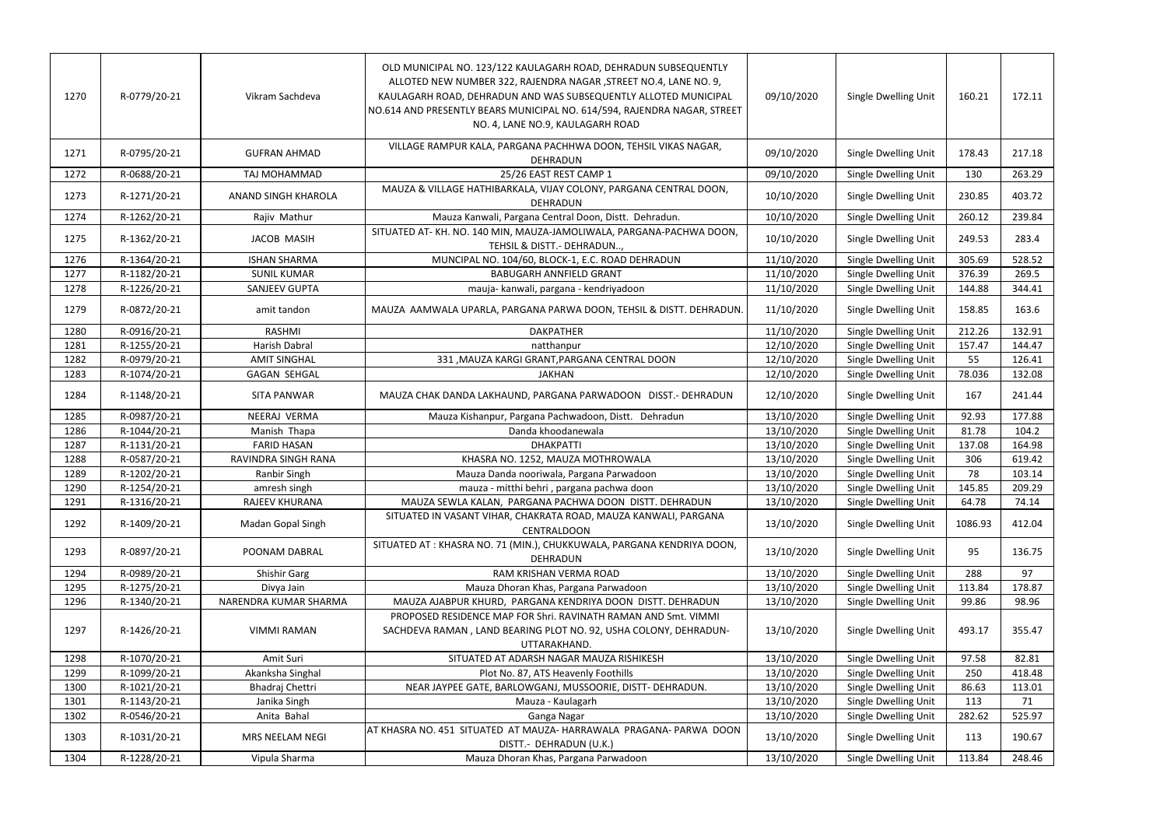| 1270 | R-0779/20-21 | Vikram Sachdeva       | OLD MUNICIPAL NO. 123/122 KAULAGARH ROAD, DEHRADUN SUBSEQUENTLY<br>ALLOTED NEW NUMBER 322, RAJENDRA NAGAR, STREET NO.4, LANE NO. 9,<br>KAULAGARH ROAD, DEHRADUN AND WAS SUBSEQUENTLY ALLOTED MUNICIPAL<br>NO.614 AND PRESENTLY BEARS MUNICIPAL NO. 614/594, RAJENDRA NAGAR, STREET<br>NO. 4, LANE NO.9, KAULAGARH ROAD | 09/10/2020 | Single Dwelling Unit        | 160.21  | 172.11 |
|------|--------------|-----------------------|------------------------------------------------------------------------------------------------------------------------------------------------------------------------------------------------------------------------------------------------------------------------------------------------------------------------|------------|-----------------------------|---------|--------|
| 1271 | R-0795/20-21 | <b>GUFRAN AHMAD</b>   | VILLAGE RAMPUR KALA, PARGANA PACHHWA DOON, TEHSIL VIKAS NAGAR,<br><b>DEHRADUN</b>                                                                                                                                                                                                                                      | 09/10/2020 | Single Dwelling Unit        | 178.43  | 217.18 |
| 1272 | R-0688/20-21 | TAJ MOHAMMAD          | 25/26 EAST REST CAMP 1                                                                                                                                                                                                                                                                                                 | 09/10/2020 | Single Dwelling Unit        | 130     | 263.29 |
| 1273 | R-1271/20-21 | ANAND SINGH KHAROLA   | MAUZA & VILLAGE HATHIBARKALA, VIJAY COLONY, PARGANA CENTRAL DOON,<br>DEHRADUN                                                                                                                                                                                                                                          | 10/10/2020 | Single Dwelling Unit        | 230.85  | 403.72 |
| 1274 | R-1262/20-21 | Rajiv Mathur          | Mauza Kanwali, Pargana Central Doon, Distt. Dehradun.                                                                                                                                                                                                                                                                  | 10/10/2020 | Single Dwelling Unit        | 260.12  | 239.84 |
| 1275 | R-1362/20-21 | JACOB MASIH           | SITUATED AT- KH. NO. 140 MIN, MAUZA-JAMOLIWALA, PARGANA-PACHWA DOON,<br>TEHSIL & DISTT.- DEHRADUN,                                                                                                                                                                                                                     | 10/10/2020 | Single Dwelling Unit        | 249.53  | 283.4  |
| 1276 | R-1364/20-21 | <b>ISHAN SHARMA</b>   | MUNCIPAL NO. 104/60, BLOCK-1, E.C. ROAD DEHRADUN                                                                                                                                                                                                                                                                       | 11/10/2020 | Single Dwelling Unit        | 305.69  | 528.52 |
| 1277 | R-1182/20-21 | <b>SUNIL KUMAR</b>    | <b>BABUGARH ANNFIELD GRANT</b>                                                                                                                                                                                                                                                                                         | 11/10/2020 | Single Dwelling Unit        | 376.39  | 269.5  |
| 1278 | R-1226/20-21 | <b>SANJEEV GUPTA</b>  | mauja- kanwali, pargana - kendriyadoon                                                                                                                                                                                                                                                                                 | 11/10/2020 | Single Dwelling Unit        | 144.88  | 344.41 |
| 1279 | R-0872/20-21 | amit tandon           | MAUZA AAMWALA UPARLA, PARGANA PARWA DOON, TEHSIL & DISTT. DEHRADUN.                                                                                                                                                                                                                                                    | 11/10/2020 | Single Dwelling Unit        | 158.85  | 163.6  |
| 1280 | R-0916/20-21 | <b>RASHMI</b>         | <b>DAKPATHER</b>                                                                                                                                                                                                                                                                                                       | 11/10/2020 | Single Dwelling Unit        | 212.26  | 132.91 |
| 1281 | R-1255/20-21 | Harish Dabral         | natthanpur                                                                                                                                                                                                                                                                                                             | 12/10/2020 | <b>Single Dwelling Unit</b> | 157.47  | 144.47 |
| 1282 | R-0979/20-21 | <b>AMIT SINGHAL</b>   | 331 , MAUZA KARGI GRANT, PARGANA CENTRAL DOON                                                                                                                                                                                                                                                                          | 12/10/2020 | Single Dwelling Unit        | 55      | 126.41 |
| 1283 | R-1074/20-21 | <b>GAGAN SEHGAL</b>   | <b>JAKHAN</b>                                                                                                                                                                                                                                                                                                          | 12/10/2020 | Single Dwelling Unit        | 78.036  | 132.08 |
| 1284 | R-1148/20-21 | <b>SITA PANWAR</b>    | MAUZA CHAK DANDA LAKHAUND, PARGANA PARWADOON DISST.- DEHRADUN                                                                                                                                                                                                                                                          | 12/10/2020 | Single Dwelling Unit        | 167     | 241.44 |
| 1285 | R-0987/20-21 | NEERAJ VERMA          | Mauza Kishanpur, Pargana Pachwadoon, Distt. Dehradun                                                                                                                                                                                                                                                                   | 13/10/2020 | Single Dwelling Unit        | 92.93   | 177.88 |
| 1286 | R-1044/20-21 | Manish Thapa          | Danda khoodanewala                                                                                                                                                                                                                                                                                                     | 13/10/2020 | Single Dwelling Unit        | 81.78   | 104.2  |
| 1287 | R-1131/20-21 | <b>FARID HASAN</b>    | <b>DHAKPATTI</b>                                                                                                                                                                                                                                                                                                       | 13/10/2020 | Single Dwelling Unit        | 137.08  | 164.98 |
| 1288 | R-0587/20-21 | RAVINDRA SINGH RANA   | KHASRA NO. 1252, MAUZA MOTHROWALA                                                                                                                                                                                                                                                                                      | 13/10/2020 | Single Dwelling Unit        | 306     | 619.42 |
| 1289 | R-1202/20-21 | Ranbir Singh          | Mauza Danda nooriwala, Pargana Parwadoon                                                                                                                                                                                                                                                                               | 13/10/2020 | Single Dwelling Unit        | 78      | 103.14 |
| 1290 | R-1254/20-21 | amresh singh          | mauza - mitthi behri, pargana pachwa doon                                                                                                                                                                                                                                                                              | 13/10/2020 | Single Dwelling Unit        | 145.85  | 209.29 |
| 1291 | R-1316/20-21 | RAJEEV KHURANA        | MAUZA SEWLA KALAN, PARGANA PACHWA DOON DISTT. DEHRADUN                                                                                                                                                                                                                                                                 | 13/10/2020 | Single Dwelling Unit        | 64.78   | 74.14  |
| 1292 | R-1409/20-21 | Madan Gopal Singh     | SITUATED IN VASANT VIHAR, CHAKRATA ROAD, MAUZA KANWALI, PARGANA<br><b>CENTRALDOON</b>                                                                                                                                                                                                                                  | 13/10/2020 | Single Dwelling Unit        | 1086.93 | 412.04 |
| 1293 | R-0897/20-21 | POONAM DABRAL         | SITUATED AT : KHASRA NO. 71 (MIN.), CHUKKUWALA, PARGANA KENDRIYA DOON,<br><b>DEHRADUN</b>                                                                                                                                                                                                                              | 13/10/2020 | Single Dwelling Unit        | 95      | 136.75 |
| 1294 | R-0989/20-21 | <b>Shishir Garg</b>   | RAM KRISHAN VERMA ROAD                                                                                                                                                                                                                                                                                                 | 13/10/2020 | Single Dwelling Unit        | 288     | 97     |
| 1295 | R-1275/20-21 | Divya Jain            | Mauza Dhoran Khas, Pargana Parwadoon                                                                                                                                                                                                                                                                                   | 13/10/2020 | Single Dwelling Unit        | 113.84  | 178.87 |
| 1296 | R-1340/20-21 | NARENDRA KUMAR SHARMA | MAUZA AJABPUR KHURD, PARGANA KENDRIYA DOON DISTT. DEHRADUN                                                                                                                                                                                                                                                             | 13/10/2020 | Single Dwelling Unit        | 99.86   | 98.96  |
| 1297 | R-1426/20-21 | <b>VIMMI RAMAN</b>    | PROPOSED RESIDENCE MAP FOR Shri. RAVINATH RAMAN AND Smt. VIMMI<br>SACHDEVA RAMAN, LAND BEARING PLOT NO. 92, USHA COLONY, DEHRADUN-<br>UTTARAKHAND.                                                                                                                                                                     | 13/10/2020 | Single Dwelling Unit        | 493.17  | 355.47 |
| 1298 | R-1070/20-21 | Amit Suri             | SITUATED AT ADARSH NAGAR MAUZA RISHIKESH                                                                                                                                                                                                                                                                               | 13/10/2020 | Single Dwelling Unit        | 97.58   | 82.81  |
| 1299 | R-1099/20-21 | Akanksha Singhal      | Plot No. 87, ATS Heavenly Foothills                                                                                                                                                                                                                                                                                    | 13/10/2020 | Single Dwelling Unit        | 250     | 418.48 |
| 1300 | R-1021/20-21 | Bhadraj Chettri       | NEAR JAYPEE GATE, BARLOWGANJ, MUSSOORIE, DISTT- DEHRADUN.                                                                                                                                                                                                                                                              | 13/10/2020 | Single Dwelling Unit        | 86.63   | 113.01 |
| 1301 | R-1143/20-21 | Janika Singh          | Mauza - Kaulagarh                                                                                                                                                                                                                                                                                                      | 13/10/2020 | Single Dwelling Unit        | 113     | 71     |
| 1302 | R-0546/20-21 | Anita Bahal           | Ganga Nagar                                                                                                                                                                                                                                                                                                            | 13/10/2020 | Single Dwelling Unit        | 282.62  | 525.97 |
| 1303 | R-1031/20-21 | MRS NEELAM NEGI       | AT KHASRA NO. 451 SITUATED AT MAUZA- HARRAWALA PRAGANA- PARWA DOON<br>DISTT.- DEHRADUN (U.K.)                                                                                                                                                                                                                          | 13/10/2020 | Single Dwelling Unit        | 113     | 190.67 |
| 1304 | R-1228/20-21 | Vipula Sharma         | Mauza Dhoran Khas, Pargana Parwadoon                                                                                                                                                                                                                                                                                   | 13/10/2020 | Single Dwelling Unit        | 113.84  | 248.46 |
|      |              |                       |                                                                                                                                                                                                                                                                                                                        |            |                             |         |        |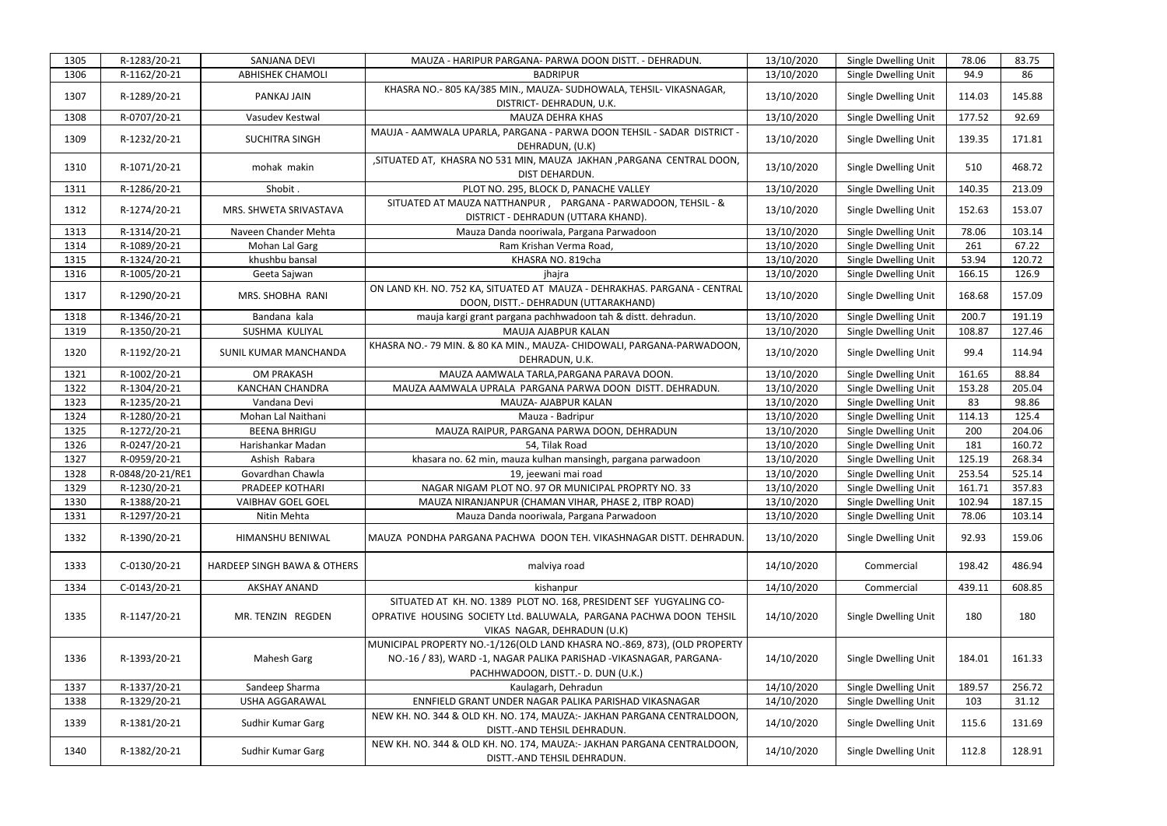|      | R-1283/20-21     |                                        |                                                                           |            |                      |        |        |
|------|------------------|----------------------------------------|---------------------------------------------------------------------------|------------|----------------------|--------|--------|
| 1305 |                  | <b>SANJANA DEVI</b>                    | MAUZA - HARIPUR PARGANA- PARWA DOON DISTT. - DEHRADUN.                    | 13/10/2020 | Single Dwelling Unit | 78.06  | 83.75  |
| 1306 | R-1162/20-21     | <b>ABHISHEK CHAMOLI</b>                | <b>BADRIPUR</b>                                                           | 13/10/2020 | Single Dwelling Unit | 94.9   | 86     |
| 1307 | R-1289/20-21     | PANKAJ JAIN                            | KHASRA NO.-805 KA/385 MIN., MAUZA-SUDHOWALA, TEHSIL-VIKASNAGAR,           | 13/10/2020 | Single Dwelling Unit | 114.03 | 145.88 |
|      |                  |                                        | DISTRICT- DEHRADUN, U.K.                                                  |            |                      |        |        |
| 1308 | R-0707/20-21     | Vasudev Kestwal                        | MAUZA DEHRA KHAS                                                          | 13/10/2020 | Single Dwelling Unit | 177.52 | 92.69  |
| 1309 | R-1232/20-21     | <b>SUCHITRA SINGH</b>                  | MAUJA - AAMWALA UPARLA, PARGANA - PARWA DOON TEHSIL - SADAR DISTRICT -    | 13/10/2020 | Single Dwelling Unit | 139.35 | 171.81 |
|      |                  |                                        | DEHRADUN, (U.K)                                                           |            |                      |        |        |
|      |                  | mohak makin                            | , SITUATED AT, KHASRA NO 531 MIN, MAUZA JAKHAN , PARGANA CENTRAL DOON,    | 13/10/2020 |                      | 510    | 468.72 |
| 1310 | R-1071/20-21     |                                        | DIST DEHARDUN.                                                            |            | Single Dwelling Unit |        |        |
| 1311 | R-1286/20-21     | Shobit.                                | PLOT NO. 295, BLOCK D, PANACHE VALLEY                                     | 13/10/2020 | Single Dwelling Unit | 140.35 | 213.09 |
|      |                  |                                        | SITUATED AT MAUZA NATTHANPUR, PARGANA - PARWADOON, TEHSIL - &             |            |                      |        |        |
| 1312 | R-1274/20-21     | MRS. SHWETA SRIVASTAVA                 | DISTRICT - DEHRADUN (UTTARA KHAND).                                       | 13/10/2020 | Single Dwelling Unit | 152.63 | 153.07 |
| 1313 | R-1314/20-21     | Naveen Chander Mehta                   | Mauza Danda nooriwala, Pargana Parwadoon                                  | 13/10/2020 | Single Dwelling Unit | 78.06  | 103.14 |
| 1314 | R-1089/20-21     | Mohan Lal Garg                         | Ram Krishan Verma Road,                                                   | 13/10/2020 | Single Dwelling Unit | 261    | 67.22  |
| 1315 | R-1324/20-21     | khushbu bansal                         | KHASRA NO. 819cha                                                         | 13/10/2020 | Single Dwelling Unit | 53.94  | 120.72 |
| 1316 | R-1005/20-21     | Geeta Sajwan                           | jhajra                                                                    | 13/10/2020 | Single Dwelling Unit | 166.15 | 126.9  |
|      |                  |                                        | ON LAND KH. NO. 752 KA, SITUATED AT MAUZA - DEHRAKHAS. PARGANA - CENTRAL  |            |                      |        |        |
| 1317 | R-1290/20-21     | MRS. SHOBHA RANI                       | DOON, DISTT.- DEHRADUN (UTTARAKHAND)                                      | 13/10/2020 | Single Dwelling Unit | 168.68 | 157.09 |
|      |                  |                                        |                                                                           |            |                      |        | 191.19 |
| 1318 | R-1346/20-21     | Bandana kala                           | mauja kargi grant pargana pachhwadoon tah & distt. dehradun.              | 13/10/2020 | Single Dwelling Unit | 200.7  |        |
| 1319 | R-1350/20-21     | SUSHMA KULIYAL                         | MAUJA AJABPUR KALAN                                                       | 13/10/2020 | Single Dwelling Unit | 108.87 | 127.46 |
| 1320 | R-1192/20-21     | SUNIL KUMAR MANCHANDA                  | KHASRA NO.- 79 MIN. & 80 KA MIN., MAUZA- CHIDOWALI, PARGANA-PARWADOON,    | 13/10/2020 | Single Dwelling Unit | 99.4   | 114.94 |
|      |                  |                                        | DEHRADUN, U.K.                                                            |            |                      |        |        |
| 1321 | R-1002/20-21     | <b>OM PRAKASH</b>                      | MAUZA AAMWALA TARLA, PARGANA PARAVA DOON.                                 | 13/10/2020 | Single Dwelling Unit | 161.65 | 88.84  |
| 1322 | R-1304/20-21     | <b>KANCHAN CHANDRA</b>                 | MAUZA AAMWALA UPRALA PARGANA PARWA DOON DISTT. DEHRADUN.                  | 13/10/2020 | Single Dwelling Unit | 153.28 | 205.04 |
| 1323 | R-1235/20-21     | Vandana Devi                           | MAUZA- AJABPUR KALAN                                                      | 13/10/2020 | Single Dwelling Unit | 83     | 98.86  |
| 1324 | R-1280/20-21     | Mohan Lal Naithani                     | Mauza - Badripur                                                          | 13/10/2020 | Single Dwelling Unit | 114.13 | 125.4  |
| 1325 | R-1272/20-21     | <b>BEENA BHRIGU</b>                    | MAUZA RAIPUR, PARGANA PARWA DOON, DEHRADUN                                | 13/10/2020 | Single Dwelling Unit | 200    | 204.06 |
| 1326 | R-0247/20-21     | Harishankar Madan                      | 54, Tilak Road                                                            | 13/10/2020 | Single Dwelling Unit | 181    | 160.72 |
| 1327 | R-0959/20-21     | Ashish Rabara                          | khasara no. 62 min, mauza kulhan mansingh, pargana parwadoon              | 13/10/2020 | Single Dwelling Unit | 125.19 | 268.34 |
| 1328 | R-0848/20-21/RE1 | Govardhan Chawla                       | 19, jeewani mai road                                                      | 13/10/2020 | Single Dwelling Unit | 253.54 | 525.14 |
| 1329 | R-1230/20-21     | PRADEEP KOTHARI                        | NAGAR NIGAM PLOT NO. 97 OR MUNICIPAL PROPRTY NO. 33                       | 13/10/2020 | Single Dwelling Unit | 161.71 | 357.83 |
| 1330 | R-1388/20-21     | <b>VAIBHAV GOEL GOEL</b>               | MAUZA NIRANJANPUR (CHAMAN VIHAR, PHASE 2, ITBP ROAD)                      | 13/10/2020 | Single Dwelling Unit | 102.94 | 187.15 |
| 1331 | R-1297/20-21     | Nitin Mehta                            | Mauza Danda nooriwala, Pargana Parwadoon                                  | 13/10/2020 | Single Dwelling Unit | 78.06  | 103.14 |
|      |                  |                                        |                                                                           |            |                      |        |        |
| 1332 | R-1390/20-21     | HIMANSHU BENIWAL                       | MAUZA PONDHA PARGANA PACHWA DOON TEH. VIKASHNAGAR DISTT. DEHRADUN.        | 13/10/2020 | Single Dwelling Unit | 92.93  | 159.06 |
|      |                  |                                        |                                                                           |            |                      |        |        |
| 1333 | C-0130/20-21     | <b>HARDEEP SINGH BAWA &amp; OTHERS</b> | malviya road                                                              | 14/10/2020 | Commercial           | 198.42 | 486.94 |
| 1334 | C-0143/20-21     | <b>AKSHAY ANAND</b>                    | kishanpur                                                                 | 14/10/2020 | Commercial           | 439.11 | 608.85 |
|      |                  |                                        | SITUATED AT KH. NO. 1389 PLOT NO. 168, PRESIDENT SEF YUGYALING CO-        |            |                      |        |        |
|      | R-1147/20-21     |                                        |                                                                           |            |                      |        |        |
| 1335 |                  | MR. TENZIN REGDEN                      | OPRATIVE HOUSING SOCIETY Ltd. BALUWALA, PARGANA PACHWA DOON TEHSIL        | 14/10/2020 | Single Dwelling Unit | 180    | 180    |
|      |                  |                                        | VIKAS NAGAR, DEHRADUN (U.K)                                               |            |                      |        |        |
|      |                  |                                        | MUNICIPAL PROPERTY NO.-1/126(OLD LAND KHASRA NO.-869, 873), (OLD PROPERTY |            |                      |        |        |
| 1336 | R-1393/20-21     | Mahesh Garg                            | NO.-16 / 83), WARD -1, NAGAR PALIKA PARISHAD -VIKASNAGAR, PARGANA-        | 14/10/2020 | Single Dwelling Unit | 184.01 | 161.33 |
|      |                  |                                        | PACHHWADOON, DISTT. - D. DUN (U.K.)                                       |            |                      |        |        |
| 1337 | R-1337/20-21     | Sandeep Sharma                         | Kaulagarh, Dehradun                                                       | 14/10/2020 | Single Dwelling Unit | 189.57 | 256.72 |
| 1338 | R-1329/20-21     | USHA AGGARAWAL                         | ENNFIELD GRANT UNDER NAGAR PALIKA PARISHAD VIKASNAGAR                     | 14/10/2020 | Single Dwelling Unit | 103    | 31.12  |
| 1339 | R-1381/20-21     | Sudhir Kumar Garg                      | NEW KH. NO. 344 & OLD KH. NO. 174, MAUZA:- JAKHAN PARGANA CENTRALDOON,    | 14/10/2020 | Single Dwelling Unit | 115.6  | 131.69 |
|      |                  |                                        | DISTT.-AND TEHSIL DEHRADUN.                                               |            |                      |        |        |
| 1340 | R-1382/20-21     | Sudhir Kumar Garg                      | NEW KH. NO. 344 & OLD KH. NO. 174, MAUZA:- JAKHAN PARGANA CENTRALDOON,    | 14/10/2020 | Single Dwelling Unit | 112.8  | 128.91 |
|      |                  |                                        | DISTT.-AND TEHSIL DEHRADUN.                                               |            |                      |        |        |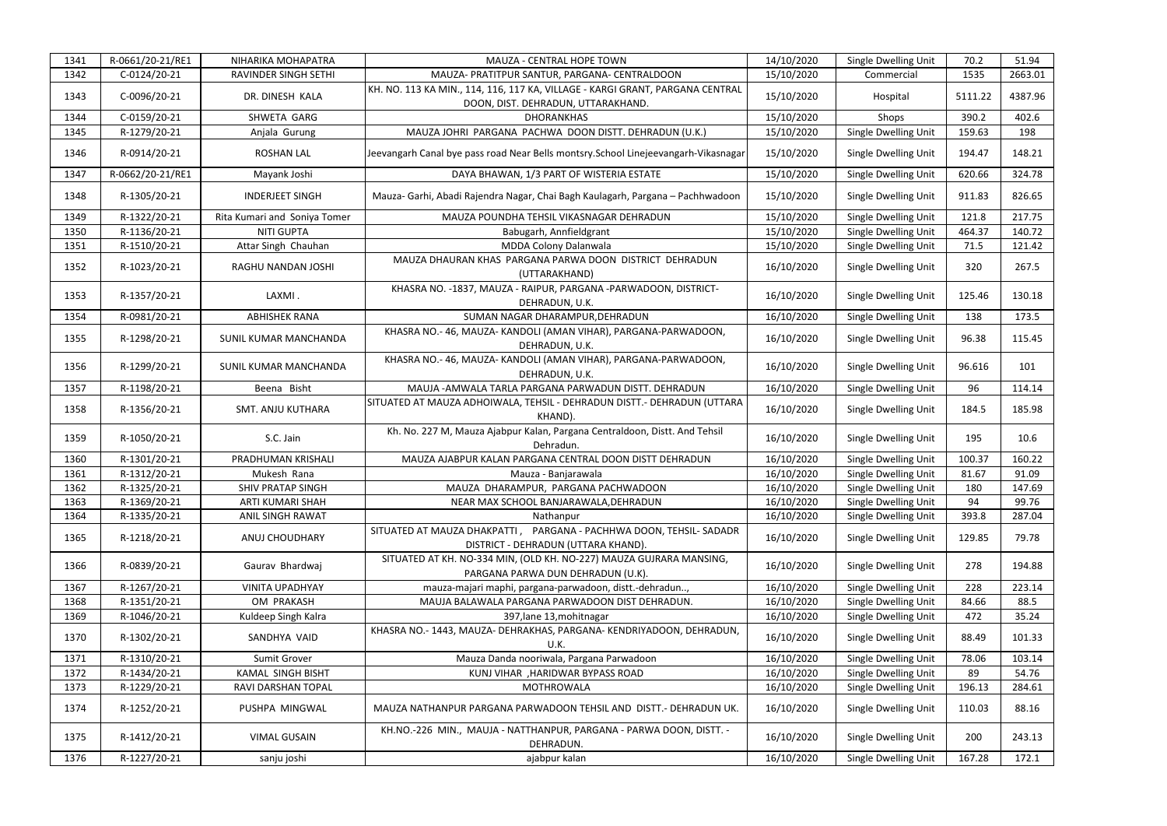| 1341 | R-0661/20-21/RE1 | NIHARIKA MOHAPATRA           | MAUZA - CENTRAL HOPE TOWN                                                                                           | 14/10/2020 | Single Dwelling Unit | 70.2    | 51.94   |
|------|------------------|------------------------------|---------------------------------------------------------------------------------------------------------------------|------------|----------------------|---------|---------|
| 1342 | C-0124/20-21     | <b>RAVINDER SINGH SETHI</b>  | MAUZA- PRATITPUR SANTUR, PARGANA- CENTRALDOON                                                                       | 15/10/2020 | Commercial           | 1535    | 2663.01 |
| 1343 | C-0096/20-21     | DR. DINESH KALA              | KH. NO. 113 KA MIN., 114, 116, 117 KA, VILLAGE - KARGI GRANT, PARGANA CENTRAL<br>DOON, DIST. DEHRADUN, UTTARAKHAND. | 15/10/2020 | Hospital             | 5111.22 | 4387.96 |
| 1344 | C-0159/20-21     | SHWETA GARG                  | <b>DHORANKHAS</b>                                                                                                   | 15/10/2020 | Shops                | 390.2   | 402.6   |
| 1345 | R-1279/20-21     | Anjala Gurung                | MAUZA JOHRI PARGANA PACHWA DOON DISTT. DEHRADUN (U.K.)                                                              | 15/10/2020 | Single Dwelling Unit | 159.63  | 198     |
| 1346 | R-0914/20-21     | <b>ROSHAN LAL</b>            | Jeevangarh Canal bye pass road Near Bells montsry. School Linejeevangarh-Vikasnagar                                 | 15/10/2020 | Single Dwelling Unit | 194.47  | 148.21  |
| 1347 | R-0662/20-21/RE1 | Mayank Joshi                 | DAYA BHAWAN, 1/3 PART OF WISTERIA ESTATE                                                                            | 15/10/2020 | Single Dwelling Unit | 620.66  | 324.78  |
| 1348 | R-1305/20-21     | <b>INDERJEET SINGH</b>       | Mauza- Garhi, Abadi Rajendra Nagar, Chai Bagh Kaulagarh, Pargana - Pachhwadoon                                      | 15/10/2020 | Single Dwelling Unit | 911.83  | 826.65  |
| 1349 | R-1322/20-21     | Rita Kumari and Soniya Tomer | MAUZA POUNDHA TEHSIL VIKASNAGAR DEHRADUN                                                                            | 15/10/2020 | Single Dwelling Unit | 121.8   | 217.75  |
| 1350 | R-1136/20-21     | <b>NITI GUPTA</b>            | Babugarh, Annfieldgrant                                                                                             | 15/10/2020 | Single Dwelling Unit | 464.37  | 140.72  |
| 1351 | R-1510/20-21     | Attar Singh Chauhan          | <b>MDDA Colony Dalanwala</b>                                                                                        | 15/10/2020 | Single Dwelling Unit | 71.5    | 121.42  |
| 1352 | R-1023/20-21     | RAGHU NANDAN JOSHI           | MAUZA DHAURAN KHAS PARGANA PARWA DOON DISTRICT DEHRADUN<br>(UTTARAKHAND)                                            | 16/10/2020 | Single Dwelling Unit | 320     | 267.5   |
| 1353 | R-1357/20-21     | LAXMI.                       | KHASRA NO. - 1837, MAUZA - RAIPUR, PARGANA - PARWADOON, DISTRICT-<br>DEHRADUN, U.K.                                 | 16/10/2020 | Single Dwelling Unit | 125.46  | 130.18  |
| 1354 | R-0981/20-21     | <b>ABHISHEK RANA</b>         | SUMAN NAGAR DHARAMPUR, DEHRADUN                                                                                     | 16/10/2020 | Single Dwelling Unit | 138     | 173.5   |
| 1355 | R-1298/20-21     | SUNIL KUMAR MANCHANDA        | KHASRA NO.-46, MAUZA-KANDOLI (AMAN VIHAR), PARGANA-PARWADOON,<br>DEHRADUN, U.K.                                     | 16/10/2020 | Single Dwelling Unit | 96.38   | 115.45  |
| 1356 | R-1299/20-21     | SUNIL KUMAR MANCHANDA        | KHASRA NO.-46, MAUZA-KANDOLI (AMAN VIHAR), PARGANA-PARWADOON,<br>DEHRADUN, U.K.                                     | 16/10/2020 | Single Dwelling Unit | 96.616  | 101     |
| 1357 | R-1198/20-21     | Beena Bisht                  | MAUJA - AMWALA TARLA PARGANA PARWADUN DISTT. DEHRADUN                                                               | 16/10/2020 | Single Dwelling Unit | 96      | 114.14  |
| 1358 | R-1356/20-21     | SMT. ANJU KUTHARA            | SITUATED AT MAUZA ADHOIWALA, TEHSIL - DEHRADUN DISTT.- DEHRADUN (UTTARA<br>KHAND).                                  | 16/10/2020 | Single Dwelling Unit | 184.5   | 185.98  |
| 1359 | R-1050/20-21     | S.C. Jain                    | Kh. No. 227 M, Mauza Ajabpur Kalan, Pargana Centraldoon, Distt. And Tehsil<br>Dehradun.                             | 16/10/2020 | Single Dwelling Unit | 195     | 10.6    |
| 1360 | R-1301/20-21     | PRADHUMAN KRISHALI           | MAUZA AJABPUR KALAN PARGANA CENTRAL DOON DISTT DEHRADUN                                                             | 16/10/2020 | Single Dwelling Unit | 100.37  | 160.22  |
| 1361 | R-1312/20-21     | Mukesh Rana                  | Mauza - Banjarawala                                                                                                 | 16/10/2020 | Single Dwelling Unit | 81.67   | 91.09   |
| 1362 | R-1325/20-21     | SHIV PRATAP SINGH            | MAUZA DHARAMPUR, PARGANA PACHWADOON                                                                                 | 16/10/2020 | Single Dwelling Unit | 180     | 147.69  |
| 1363 | R-1369/20-21     | ARTI KUMARI SHAH             | NEAR MAX SCHOOL BANJARAWALA, DEHRADUN                                                                               | 16/10/2020 | Single Dwelling Unit | 94      | 99.76   |
| 1364 | R-1335/20-21     | <b>ANIL SINGH RAWAT</b>      | Nathanpur                                                                                                           | 16/10/2020 | Single Dwelling Unit | 393.8   | 287.04  |
| 1365 | R-1218/20-21     | ANUJ CHOUDHARY               | SITUATED AT MAUZA DHAKPATTI, PARGANA - PACHHWA DOON, TEHSIL- SADADR<br>DISTRICT - DEHRADUN (UTTARA KHAND).          | 16/10/2020 | Single Dwelling Unit | 129.85  | 79.78   |
| 1366 | R-0839/20-21     | Gaurav Bhardwaj              | SITUATED AT KH. NO-334 MIN, (OLD KH. NO-227) MAUZA GUJRARA MANSING,<br>PARGANA PARWA DUN DEHRADUN (U.K).            | 16/10/2020 | Single Dwelling Unit | 278     | 194.88  |
| 1367 | R-1267/20-21     | <b>VINITA UPADHYAY</b>       | mauza-majari maphi, pargana-parwadoon, distt.-dehradun,                                                             | 16/10/2020 | Single Dwelling Unit | 228     | 223.14  |
| 1368 | R-1351/20-21     | OM PRAKASH                   | MAUJA BALAWALA PARGANA PARWADOON DIST DEHRADUN.                                                                     | 16/10/2020 | Single Dwelling Unit | 84.66   | 88.5    |
| 1369 | R-1046/20-21     | Kuldeep Singh Kalra          | 397, lane 13, mohit nagar                                                                                           | 16/10/2020 | Single Dwelling Unit | 472     | 35.24   |
| 1370 | R-1302/20-21     | SANDHYA VAID                 | KHASRA NO.- 1443, MAUZA- DEHRAKHAS, PARGANA- KENDRIYADOON, DEHRADUN,<br>U.K.                                        | 16/10/2020 | Single Dwelling Unit | 88.49   | 101.33  |
| 1371 | R-1310/20-21     | Sumit Grover                 | Mauza Danda nooriwala, Pargana Parwadoon                                                                            | 16/10/2020 | Single Dwelling Unit | 78.06   | 103.14  |
| 1372 | R-1434/20-21     | <b>KAMAL SINGH BISHT</b>     | KUNJ VIHAR , HARIDWAR BYPASS ROAD                                                                                   | 16/10/2020 | Single Dwelling Unit | 89      | 54.76   |
| 1373 | R-1229/20-21     | RAVI DARSHAN TOPAL           | <b>MOTHROWALA</b>                                                                                                   | 16/10/2020 | Single Dwelling Unit | 196.13  | 284.61  |
| 1374 | R-1252/20-21     | PUSHPA MINGWAL               | MAUZA NATHANPUR PARGANA PARWADOON TEHSIL AND DISTT.- DEHRADUN UK.                                                   | 16/10/2020 | Single Dwelling Unit | 110.03  | 88.16   |
| 1375 | R-1412/20-21     | <b>VIMAL GUSAIN</b>          | KH.NO.-226 MIN., MAUJA - NATTHANPUR, PARGANA - PARWA DOON, DISTT. -<br>DEHRADUN.                                    | 16/10/2020 | Single Dwelling Unit | 200     | 243.13  |
| 1376 | R-1227/20-21     | sanju joshi                  | ajabpur kalan                                                                                                       | 16/10/2020 | Single Dwelling Unit | 167.28  | 172.1   |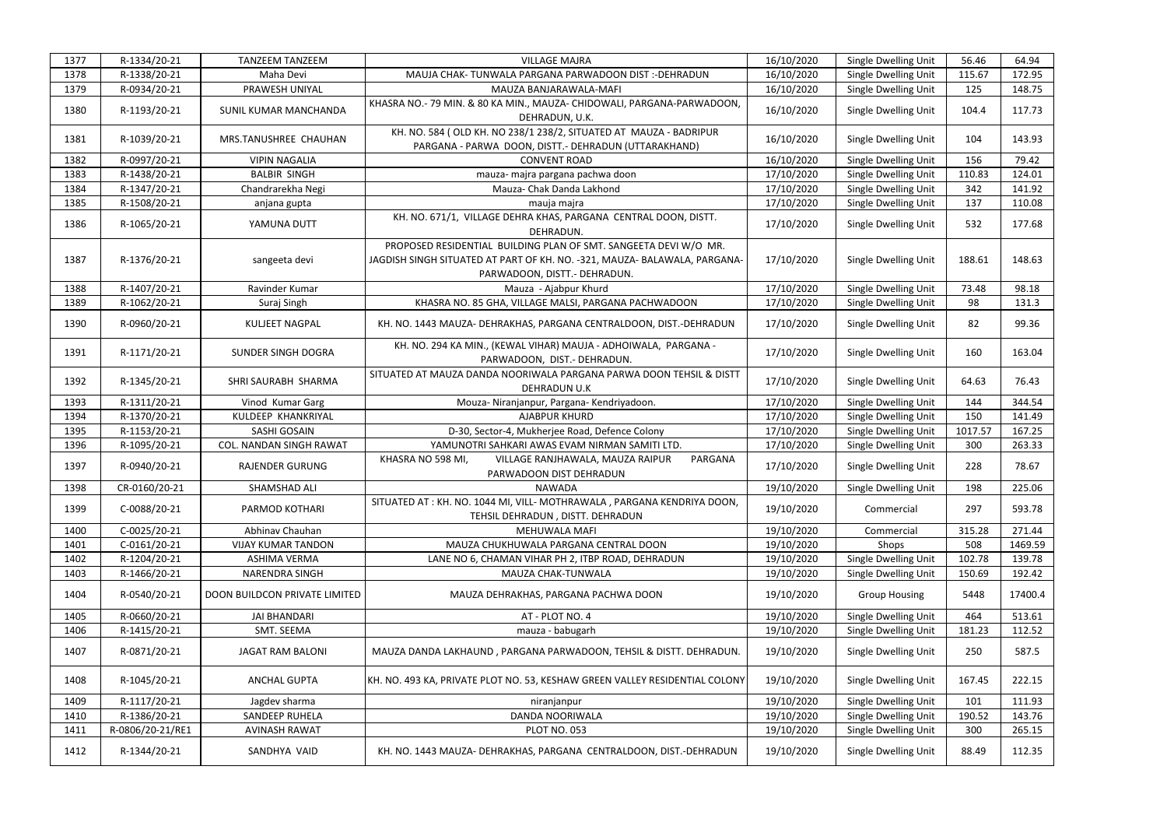| 1377 | R-1334/20-21     | <b>TANZEEM TANZEEM</b>        | <b>VILLAGE MAJRA</b>                                                         | 16/10/2020 | Single Dwelling Unit        | 56.46   | 64.94   |
|------|------------------|-------------------------------|------------------------------------------------------------------------------|------------|-----------------------------|---------|---------|
| 1378 | R-1338/20-21     | Maha Devi                     | MAUJA CHAK-TUNWALA PARGANA PARWADOON DIST :- DEHRADUN                        | 16/10/2020 | Single Dwelling Unit        | 115.67  | 172.95  |
| 1379 | R-0934/20-21     | PRAWESH UNIYAL                | MAUZA BANJARAWALA-MAFI                                                       | 16/10/2020 | Single Dwelling Unit        | 125     | 148.75  |
| 1380 | R-1193/20-21     | SUNIL KUMAR MANCHANDA         | KHASRA NO.-79 MIN. & 80 KA MIN., MAUZA- CHIDOWALI, PARGANA-PARWADOON,        | 16/10/2020 | Single Dwelling Unit        | 104.4   | 117.73  |
|      |                  |                               | DEHRADUN, U.K.                                                               |            |                             |         |         |
| 1381 | R-1039/20-21     | MRS.TANUSHREE CHAUHAN         | KH. NO. 584 (OLD KH. NO 238/1 238/2, SITUATED AT MAUZA - BADRIPUR            | 16/10/2020 | Single Dwelling Unit        | 104     | 143.93  |
|      |                  |                               | PARGANA - PARWA DOON, DISTT.- DEHRADUN (UTTARAKHAND)                         |            |                             |         |         |
| 1382 | R-0997/20-21     | <b>VIPIN NAGALIA</b>          | <b>CONVENT ROAD</b>                                                          | 16/10/2020 | Single Dwelling Unit        | 156     | 79.42   |
| 1383 | R-1438/20-21     | <b>BALBIR SINGH</b>           | mauza- majra pargana pachwa doon                                             | 17/10/2020 | <b>Single Dwelling Unit</b> | 110.83  | 124.01  |
| 1384 | R-1347/20-21     | Chandrarekha Negi             | Mauza- Chak Danda Lakhond                                                    | 17/10/2020 | Single Dwelling Unit        | 342     | 141.92  |
| 1385 | R-1508/20-21     | anjana gupta                  | mauja majra                                                                  | 17/10/2020 | Single Dwelling Unit        | 137     | 110.08  |
| 1386 | R-1065/20-21     | YAMUNA DUTT                   | KH. NO. 671/1, VILLAGE DEHRA KHAS, PARGANA CENTRAL DOON, DISTT.<br>DEHRADUN. | 17/10/2020 | Single Dwelling Unit        | 532     | 177.68  |
|      |                  |                               | PROPOSED RESIDENTIAL BUILDING PLAN OF SMT. SANGEETA DEVI W/O MR.             |            |                             |         |         |
| 1387 | R-1376/20-21     | sangeeta devi                 | JAGDISH SINGH SITUATED AT PART OF KH. NO. -321, MAUZA- BALAWALA, PARGANA-    | 17/10/2020 | Single Dwelling Unit        | 188.61  | 148.63  |
|      |                  |                               | PARWADOON, DISTT.- DEHRADUN.                                                 |            |                             |         |         |
| 1388 | R-1407/20-21     | Ravinder Kumar                | Mauza - Ajabpur Khurd                                                        | 17/10/2020 | Single Dwelling Unit        | 73.48   | 98.18   |
| 1389 | R-1062/20-21     | Suraj Singh                   | KHASRA NO. 85 GHA, VILLAGE MALSI, PARGANA PACHWADOON                         | 17/10/2020 | Single Dwelling Unit        | 98      | 131.3   |
| 1390 | R-0960/20-21     | <b>KULJEET NAGPAL</b>         | KH. NO. 1443 MAUZA- DEHRAKHAS, PARGANA CENTRALDOON, DIST.-DEHRADUN           | 17/10/2020 | Single Dwelling Unit        | 82      | 99.36   |
|      |                  |                               | KH. NO. 294 KA MIN., (KEWAL VIHAR) MAUJA - ADHOIWALA, PARGANA -              |            |                             |         |         |
| 1391 | R-1171/20-21     | <b>SUNDER SINGH DOGRA</b>     | PARWADOON, DIST.- DEHRADUN.                                                  | 17/10/2020 | Single Dwelling Unit        | 160     | 163.04  |
|      |                  |                               | SITUATED AT MAUZA DANDA NOORIWALA PARGANA PARWA DOON TEHSIL & DISTT          |            |                             |         |         |
| 1392 | R-1345/20-21     | SHRI SAURABH SHARMA           | <b>DEHRADUN U.K</b>                                                          | 17/10/2020 | Single Dwelling Unit        | 64.63   | 76.43   |
| 1393 | R-1311/20-21     | Vinod Kumar Garg              | Mouza- Niranjanpur, Pargana- Kendriyadoon.                                   | 17/10/2020 | Single Dwelling Unit        | 144     | 344.54  |
| 1394 | R-1370/20-21     | KULDEEP KHANKRIYAL            | AJABPUR KHURD                                                                | 17/10/2020 | Single Dwelling Unit        | 150     | 141.49  |
| 1395 | R-1153/20-21     | SASHI GOSAIN                  | D-30, Sector-4, Mukherjee Road, Defence Colony                               | 17/10/2020 | Single Dwelling Unit        | 1017.57 | 167.25  |
| 1396 | R-1095/20-21     | COL. NANDAN SINGH RAWAT       | YAMUNOTRI SAHKARI AWAS EVAM NIRMAN SAMITI LTD.                               | 17/10/2020 | Single Dwelling Unit        | 300     | 263.33  |
|      |                  |                               | VILLAGE RANJHAWALA, MAUZA RAIPUR<br>PARGANA<br>KHASRA NO 598 MI,             |            |                             |         |         |
| 1397 | R-0940/20-21     | <b>RAJENDER GURUNG</b>        | PARWADOON DIST DEHRADUN                                                      | 17/10/2020 | Single Dwelling Unit        | 228     | 78.67   |
| 1398 | CR-0160/20-21    | SHAMSHAD ALI                  | NAWADA                                                                       | 19/10/2020 | Single Dwelling Unit        | 198     | 225.06  |
|      |                  |                               | SITUATED AT: KH. NO. 1044 MI, VILL- MOTHRAWALA, PARGANA KENDRIYA DOON,       |            |                             |         |         |
| 1399 | C-0088/20-21     | PARMOD KOTHARI                | TEHSIL DEHRADUN, DISTT. DEHRADUN                                             | 19/10/2020 | Commercial                  | 297     | 593.78  |
| 1400 | C-0025/20-21     | Abhinav Chauhan               | MEHUWALA MAFI                                                                | 19/10/2020 | Commercial                  | 315.28  | 271.44  |
| 1401 | C-0161/20-21     | <b>VIJAY KUMAR TANDON</b>     | MAUZA CHUKHUWALA PARGANA CENTRAL DOON                                        | 19/10/2020 | Shops                       | 508     | 1469.59 |
| 1402 | R-1204/20-21     | <b>ASHIMA VERMA</b>           | LANE NO 6, CHAMAN VIHAR PH 2, ITBP ROAD, DEHRADUN                            | 19/10/2020 | Single Dwelling Unit        | 102.78  | 139.78  |
| 1403 | R-1466/20-21     | <b>NARENDRA SINGH</b>         | MAUZA CHAK-TUNWALA                                                           | 19/10/2020 | Single Dwelling Unit        | 150.69  | 192.42  |
| 1404 | R-0540/20-21     | DOON BUILDCON PRIVATE LIMITED | MAUZA DEHRAKHAS, PARGANA PACHWA DOON                                         | 19/10/2020 | <b>Group Housing</b>        | 5448    | 17400.4 |
| 1405 | R-0660/20-21     | <b>JAI BHANDARI</b>           | AT - PLOT NO. 4                                                              | 19/10/2020 | Single Dwelling Unit        | 464     | 513.61  |
| 1406 | R-1415/20-21     | SMT. SEEMA                    | mauza - babugarh                                                             | 19/10/2020 | Single Dwelling Unit        | 181.23  | 112.52  |
|      |                  |                               |                                                                              |            |                             |         |         |
| 1407 | R-0871/20-21     | <b>JAGAT RAM BALONI</b>       | MAUZA DANDA LAKHAUND, PARGANA PARWADOON, TEHSIL & DISTT. DEHRADUN.           | 19/10/2020 | Single Dwelling Unit        | 250     | 587.5   |
| 1408 | R-1045/20-21     | <b>ANCHAL GUPTA</b>           | KH. NO. 493 KA, PRIVATE PLOT NO. 53, KESHAW GREEN VALLEY RESIDENTIAL COLONY  | 19/10/2020 | Single Dwelling Unit        | 167.45  | 222.15  |
| 1409 | R-1117/20-21     | Jagdev sharma                 | niranjanpur                                                                  | 19/10/2020 | Single Dwelling Unit        | 101     | 111.93  |
| 1410 | R-1386/20-21     | SANDEEP RUHELA                | DANDA NOORIWALA                                                              | 19/10/2020 | Single Dwelling Unit        | 190.52  | 143.76  |
| 1411 | R-0806/20-21/RE1 | <b>AVINASH RAWAT</b>          | <b>PLOT NO. 053</b>                                                          | 19/10/2020 | Single Dwelling Unit        | 300     | 265.15  |
| 1412 | R-1344/20-21     | SANDHYA VAID                  | KH. NO. 1443 MAUZA- DEHRAKHAS, PARGANA CENTRALDOON, DIST.-DEHRADUN           | 19/10/2020 | Single Dwelling Unit        | 88.49   | 112.35  |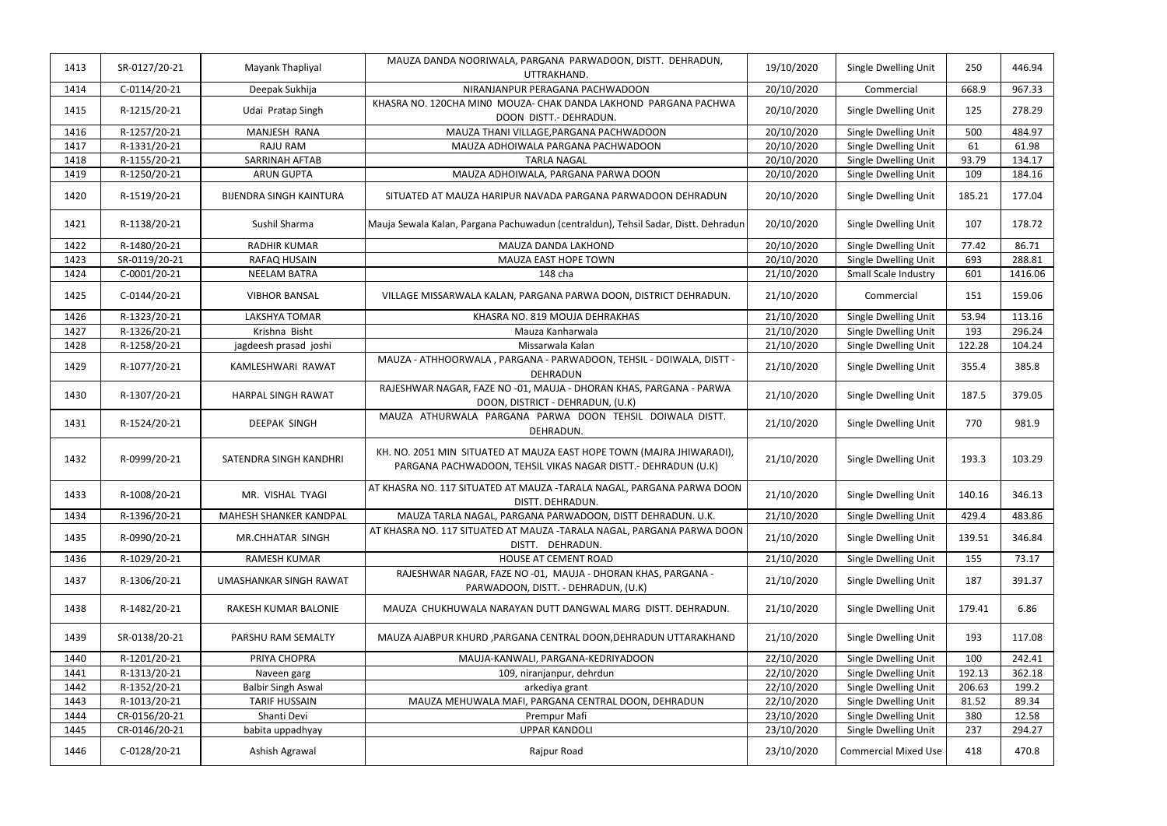| 1413 | SR-0127/20-21 | Mayank Thapliyal               | MAUZA DANDA NOORIWALA, PARGANA PARWADOON, DISTT. DEHRADUN,<br>UTTRAKHAND.                                                             | 19/10/2020 | Single Dwelling Unit        | 250    | 446.94  |
|------|---------------|--------------------------------|---------------------------------------------------------------------------------------------------------------------------------------|------------|-----------------------------|--------|---------|
| 1414 | C-0114/20-21  | Deepak Sukhija                 | NIRANJANPUR PERAGANA PACHWADOON                                                                                                       | 20/10/2020 | Commercial                  | 668.9  | 967.33  |
| 1415 | R-1215/20-21  | Udai Pratap Singh              | KHASRA NO. 120CHA MINO MOUZA- CHAK DANDA LAKHOND PARGANA PACHWA<br>DOON DISTT.- DEHRADUN.                                             | 20/10/2020 | Single Dwelling Unit        | 125    | 278.29  |
| 1416 | R-1257/20-21  | MANJESH RANA                   | MAUZA THANI VILLAGE, PARGANA PACHWADOON                                                                                               | 20/10/2020 | Single Dwelling Unit        | 500    | 484.97  |
| 1417 | R-1331/20-21  | <b>RAJU RAM</b>                | MAUZA ADHOIWALA PARGANA PACHWADOON                                                                                                    | 20/10/2020 | Single Dwelling Unit        | 61     | 61.98   |
| 1418 | R-1155/20-21  | SARRINAH AFTAB                 | <b>TARLA NAGAL</b>                                                                                                                    | 20/10/2020 | Single Dwelling Unit        | 93.79  | 134.17  |
| 1419 | R-1250/20-21  | <b>ARUN GUPTA</b>              | MAUZA ADHOIWALA, PARGANA PARWA DOON                                                                                                   | 20/10/2020 | Single Dwelling Unit        | 109    | 184.16  |
| 1420 | R-1519/20-21  | <b>BIJENDRA SINGH KAINTURA</b> | SITUATED AT MAUZA HARIPUR NAVADA PARGANA PARWADOON DEHRADUN                                                                           | 20/10/2020 | Single Dwelling Unit        | 185.21 | 177.04  |
| 1421 | R-1138/20-21  | Sushil Sharma                  | Mauja Sewala Kalan, Pargana Pachuwadun (centraldun), Tehsil Sadar, Distt. Dehradun                                                    | 20/10/2020 | Single Dwelling Unit        | 107    | 178.72  |
| 1422 | R-1480/20-21  | <b>RADHIR KUMAR</b>            | MAUZA DANDA LAKHOND                                                                                                                   | 20/10/2020 | Single Dwelling Unit        | 77.42  | 86.71   |
| 1423 | SR-0119/20-21 | RAFAQ HUSAIN                   | MAUZA EAST HOPE TOWN                                                                                                                  | 20/10/2020 | Single Dwelling Unit        | 693    | 288.81  |
| 1424 | C-0001/20-21  | <b>NEELAM BATRA</b>            | 148 cha                                                                                                                               | 21/10/2020 | Small Scale Industry        | 601    | 1416.06 |
| 1425 | C-0144/20-21  | <b>VIBHOR BANSAL</b>           | VILLAGE MISSARWALA KALAN, PARGANA PARWA DOON, DISTRICT DEHRADUN.                                                                      | 21/10/2020 | Commercial                  | 151    | 159.06  |
| 1426 | R-1323/20-21  | <b>LAKSHYA TOMAR</b>           | KHASRA NO. 819 MOUJA DEHRAKHAS                                                                                                        | 21/10/2020 | Single Dwelling Unit        | 53.94  | 113.16  |
| 1427 | R-1326/20-21  | Krishna Bisht                  | Mauza Kanharwala                                                                                                                      | 21/10/2020 | Single Dwelling Unit        | 193    | 296.24  |
| 1428 | R-1258/20-21  | jagdeesh prasad joshi          | Missarwala Kalan                                                                                                                      | 21/10/2020 | Single Dwelling Unit        | 122.28 | 104.24  |
| 1429 | R-1077/20-21  | KAMLESHWARI RAWAT              | MAUZA - ATHHOORWALA, PARGANA - PARWADOON, TEHSIL - DOIWALA, DISTT -<br><b>DEHRADUN</b>                                                | 21/10/2020 | Single Dwelling Unit        | 355.4  | 385.8   |
| 1430 | R-1307/20-21  | HARPAL SINGH RAWAT             | RAJESHWAR NAGAR, FAZE NO -01, MAUJA - DHORAN KHAS, PARGANA - PARWA<br>DOON, DISTRICT - DEHRADUN, (U.K)                                | 21/10/2020 | Single Dwelling Unit        | 187.5  | 379.05  |
| 1431 | R-1524/20-21  | DEEPAK SINGH                   | MAUZA ATHURWALA PARGANA PARWA DOON TEHSIL DOIWALA DISTT.<br>DEHRADUN.                                                                 | 21/10/2020 | Single Dwelling Unit        | 770    | 981.9   |
| 1432 | R-0999/20-21  | SATENDRA SINGH KANDHRI         | KH. NO. 2051 MIN SITUATED AT MAUZA EAST HOPE TOWN (MAJRA JHIWARADI),<br>PARGANA PACHWADOON, TEHSIL VIKAS NAGAR DISTT.- DEHRADUN (U.K) | 21/10/2020 | Single Dwelling Unit        | 193.3  | 103.29  |
| 1433 | R-1008/20-21  | MR. VISHAL TYAGI               | AT KHASRA NO. 117 SITUATED AT MAUZA -TARALA NAGAL, PARGANA PARWA DOON<br>DISTT. DEHRADUN.                                             | 21/10/2020 | Single Dwelling Unit        | 140.16 | 346.13  |
| 1434 | R-1396/20-21  | MAHESH SHANKER KANDPAL         | MAUZA TARLA NAGAL, PARGANA PARWADOON, DISTT DEHRADUN. U.K.                                                                            | 21/10/2020 | Single Dwelling Unit        | 429.4  | 483.86  |
| 1435 | R-0990/20-21  | MR.CHHATAR SINGH               | AT KHASRA NO. 117 SITUATED AT MAUZA -TARALA NAGAL, PARGANA PARWA DOON<br>DISTT. DEHRADUN.                                             | 21/10/2020 | Single Dwelling Unit        | 139.51 | 346.84  |
| 1436 | R-1029/20-21  | <b>RAMESH KUMAR</b>            | HOUSE AT CEMENT ROAD                                                                                                                  | 21/10/2020 | Single Dwelling Unit        | 155    | 73.17   |
| 1437 | R-1306/20-21  | UMASHANKAR SINGH RAWAT         | RAJESHWAR NAGAR, FAZE NO -01, MAUJA - DHORAN KHAS, PARGANA -<br>PARWADOON, DISTT. - DEHRADUN, (U.K)                                   | 21/10/2020 | Single Dwelling Unit        | 187    | 391.37  |
| 1438 | R-1482/20-21  | RAKESH KUMAR BALONIE           | MAUZA CHUKHUWALA NARAYAN DUTT DANGWAL MARG DISTT. DEHRADUN.                                                                           | 21/10/2020 | Single Dwelling Unit        | 179.41 | 6.86    |
| 1439 | SR-0138/20-21 | PARSHU RAM SEMALTY             | MAUZA AJABPUR KHURD , PARGANA CENTRAL DOON, DEHRADUN UTTARAKHAND                                                                      | 21/10/2020 | Single Dwelling Unit        | 193    | 117.08  |
| 1440 | R-1201/20-21  | PRIYA CHOPRA                   | MAUJA-KANWALI, PARGANA-KEDRIYADOON                                                                                                    | 22/10/2020 | Single Dwelling Unit        | 100    | 242.41  |
| 1441 | R-1313/20-21  | Naveen garg                    | 109, niranjanpur, dehrdun                                                                                                             | 22/10/2020 | Single Dwelling Unit        | 192.13 | 362.18  |
| 1442 | R-1352/20-21  | <b>Balbir Singh Aswal</b>      | arkediya grant                                                                                                                        | 22/10/2020 | Single Dwelling Unit        | 206.63 | 199.2   |
| 1443 | R-1013/20-21  | <b>TARIF HUSSAIN</b>           | MAUZA MEHUWALA MAFI, PARGANA CENTRAL DOON, DEHRADUN                                                                                   | 22/10/2020 | Single Dwelling Unit        | 81.52  | 89.34   |
| 1444 | CR-0156/20-21 | Shanti Devi                    | Prempur Mafi                                                                                                                          | 23/10/2020 | Single Dwelling Unit        | 380    | 12.58   |
| 1445 | CR-0146/20-21 | babita uppadhyay               | <b>UPPAR KANDOLI</b>                                                                                                                  | 23/10/2020 | Single Dwelling Unit        | 237    | 294.27  |
| 1446 | C-0128/20-21  | Ashish Agrawal                 | Rajpur Road                                                                                                                           | 23/10/2020 | <b>Commercial Mixed Use</b> | 418    | 470.8   |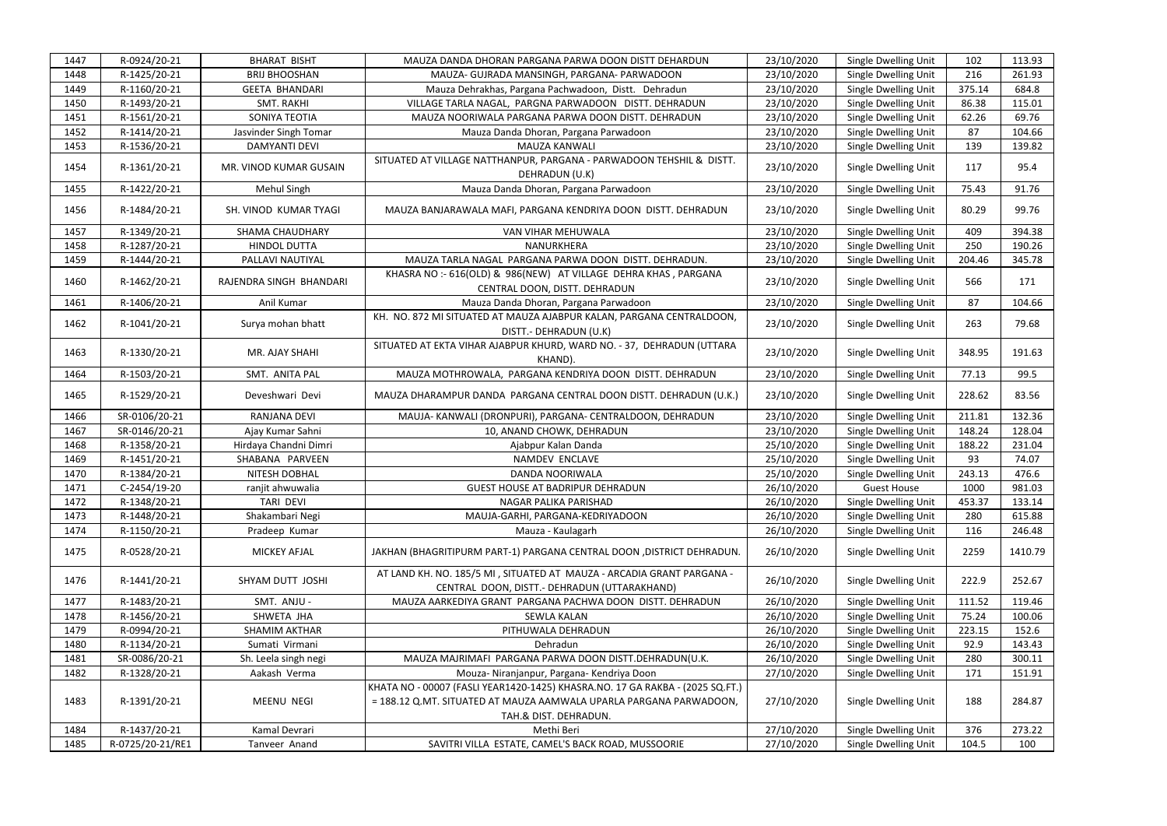| 1447 | R-0924/20-21     | <b>BHARAT BISHT</b>     | MAUZA DANDA DHORAN PARGANA PARWA DOON DISTT DEHARDUN                                                                  | 23/10/2020 | Single Dwelling Unit | 102    | 113.93  |
|------|------------------|-------------------------|-----------------------------------------------------------------------------------------------------------------------|------------|----------------------|--------|---------|
| 1448 | R-1425/20-21     | <b>BRIJ BHOOSHAN</b>    | MAUZA- GUJRADA MANSINGH, PARGANA- PARWADOON                                                                           | 23/10/2020 | Single Dwelling Unit | 216    | 261.93  |
| 1449 | R-1160/20-21     | <b>GEETA BHANDARI</b>   | Mauza Dehrakhas, Pargana Pachwadoon, Distt. Dehradun                                                                  | 23/10/2020 | Single Dwelling Unit | 375.14 | 684.8   |
| 1450 | R-1493/20-21     | <b>SMT. RAKHI</b>       | VILLAGE TARLA NAGAL, PARGNA PARWADOON DISTT. DEHRADUN                                                                 | 23/10/2020 | Single Dwelling Unit | 86.38  | 115.01  |
| 1451 | R-1561/20-21     | SONIYA TEOTIA           | MAUZA NOORIWALA PARGANA PARWA DOON DISTT. DEHRADUN                                                                    | 23/10/2020 | Single Dwelling Unit | 62.26  | 69.76   |
| 1452 | R-1414/20-21     | Jasvinder Singh Tomar   | Mauza Danda Dhoran, Pargana Parwadoon                                                                                 | 23/10/2020 | Single Dwelling Unit | 87     | 104.66  |
| 1453 | R-1536/20-21     | <b>DAMYANTI DEVI</b>    | MAUZA KANWALI                                                                                                         | 23/10/2020 | Single Dwelling Unit | 139    | 139.82  |
| 1454 | R-1361/20-21     | MR. VINOD KUMAR GUSAIN  | SITUATED AT VILLAGE NATTHANPUR, PARGANA - PARWADOON TEHSHIL & DISTT.<br>DEHRADUN (U.K)                                | 23/10/2020 | Single Dwelling Unit | 117    | 95.4    |
| 1455 | R-1422/20-21     | <b>Mehul Singh</b>      | Mauza Danda Dhoran, Pargana Parwadoon                                                                                 | 23/10/2020 | Single Dwelling Unit | 75.43  | 91.76   |
| 1456 | R-1484/20-21     | SH. VINOD KUMAR TYAGI   | MAUZA BANJARAWALA MAFI, PARGANA KENDRIYA DOON DISTT. DEHRADUN                                                         | 23/10/2020 | Single Dwelling Unit | 80.29  | 99.76   |
| 1457 | R-1349/20-21     | SHAMA CHAUDHARY         | VAN VIHAR MEHUWALA                                                                                                    | 23/10/2020 | Single Dwelling Unit | 409    | 394.38  |
| 1458 | R-1287/20-21     | <b>HINDOL DUTTA</b>     | NANURKHERA                                                                                                            | 23/10/2020 | Single Dwelling Unit | 250    | 190.26  |
| 1459 | R-1444/20-21     | PALLAVI NAUTIYAL        | MAUZA TARLA NAGAL PARGANA PARWA DOON DISTT. DEHRADUN.                                                                 | 23/10/2020 | Single Dwelling Unit | 204.46 | 345.78  |
| 1460 | R-1462/20-21     | RAJENDRA SINGH BHANDARI | KHASRA NO: - 616(OLD) & 986(NEW) AT VILLAGE DEHRA KHAS, PARGANA<br>CENTRAL DOON, DISTT. DEHRADUN                      | 23/10/2020 | Single Dwelling Unit | 566    | 171     |
| 1461 | R-1406/20-21     | Anil Kumar              | Mauza Danda Dhoran, Pargana Parwadoon                                                                                 | 23/10/2020 | Single Dwelling Unit | 87     | 104.66  |
| 1462 | R-1041/20-21     | Surya mohan bhatt       | KH. NO. 872 MI SITUATED AT MAUZA AJABPUR KALAN, PARGANA CENTRALDOON,<br>DISTT.- DEHRADUN (U.K)                        | 23/10/2020 | Single Dwelling Unit | 263    | 79.68   |
| 1463 | R-1330/20-21     | MR. AJAY SHAHI          | SITUATED AT EKTA VIHAR AJABPUR KHURD, WARD NO. - 37, DEHRADUN (UTTARA<br>KHAND).                                      | 23/10/2020 | Single Dwelling Unit | 348.95 | 191.63  |
| 1464 | R-1503/20-21     | SMT. ANITA PAL          | MAUZA MOTHROWALA, PARGANA KENDRIYA DOON DISTT. DEHRADUN                                                               | 23/10/2020 | Single Dwelling Unit | 77.13  | 99.5    |
| 1465 | R-1529/20-21     | Deveshwari Devi         | MAUZA DHARAMPUR DANDA PARGANA CENTRAL DOON DISTT. DEHRADUN (U.K.)                                                     | 23/10/2020 | Single Dwelling Unit | 228.62 | 83.56   |
| 1466 | SR-0106/20-21    | RANJANA DEVI            | MAUJA-KANWALI (DRONPURI), PARGANA- CENTRALDOON, DEHRADUN                                                              | 23/10/2020 | Single Dwelling Unit | 211.81 | 132.36  |
| 1467 | SR-0146/20-21    | Ajay Kumar Sahni        | 10, ANAND CHOWK, DEHRADUN                                                                                             | 23/10/2020 | Single Dwelling Unit | 148.24 | 128.04  |
| 1468 | R-1358/20-21     | Hirdaya Chandni Dimri   | Ajabpur Kalan Danda                                                                                                   | 25/10/2020 | Single Dwelling Unit | 188.22 | 231.04  |
| 1469 | R-1451/20-21     | SHABANA PARVEEN         | NAMDEV ENCLAVE                                                                                                        | 25/10/2020 | Single Dwelling Unit | 93     | 74.07   |
| 1470 | R-1384/20-21     | NITESH DOBHAL           | DANDA NOORIWALA                                                                                                       | 25/10/2020 | Single Dwelling Unit | 243.13 | 476.6   |
| 1471 | C-2454/19-20     | ranjit ahwuwalia        | <b>GUEST HOUSE AT BADRIPUR DEHRADUN</b>                                                                               | 26/10/2020 | <b>Guest House</b>   | 1000   | 981.03  |
| 1472 | R-1348/20-21     | <b>TARI DEVI</b>        | NAGAR PALIKA PARISHAD                                                                                                 | 26/10/2020 | Single Dwelling Unit | 453.37 | 133.14  |
| 1473 | R-1448/20-21     | Shakambari Negi         | MAUJA-GARHI, PARGANA-KEDRIYADOON                                                                                      | 26/10/2020 | Single Dwelling Unit | 280    | 615.88  |
| 1474 | R-1150/20-21     | Pradeep Kumar           | Mauza - Kaulagarh                                                                                                     | 26/10/2020 | Single Dwelling Unit | 116    | 246.48  |
| 1475 | R-0528/20-21     | <b>MICKEY AFJAL</b>     | JAKHAN (BHAGRITIPURM PART-1) PARGANA CENTRAL DOON ,DISTRICT DEHRADUN.                                                 | 26/10/2020 | Single Dwelling Unit | 2259   | 1410.79 |
| 1476 | R-1441/20-21     | SHYAM DUTT JOSHI        | AT LAND KH. NO. 185/5 MI, SITUATED AT MAUZA - ARCADIA GRANT PARGANA -<br>CENTRAL DOON, DISTT.- DEHRADUN (UTTARAKHAND) | 26/10/2020 | Single Dwelling Unit | 222.9  | 252.67  |
| 1477 | R-1483/20-21     | SMT. ANJU -             | MAUZA AARKEDIYA GRANT PARGANA PACHWA DOON DISTT. DEHRADUN                                                             | 26/10/2020 | Single Dwelling Unit | 111.52 | 119.46  |
| 1478 | R-1456/20-21     | SHWETA JHA              | SEWLA KALAN                                                                                                           | 26/10/2020 | Single Dwelling Unit | 75.24  | 100.06  |
| 1479 | R-0994/20-21     | <b>SHAMIM AKTHAR</b>    | PITHUWALA DEHRADUN                                                                                                    | 26/10/2020 | Single Dwelling Unit | 223.15 | 152.6   |
| 1480 | R-1134/20-21     | Sumati Virmani          | Dehradun                                                                                                              | 26/10/2020 | Single Dwelling Unit | 92.9   | 143.43  |
| 1481 | SR-0086/20-21    | Sh. Leela singh negi    | MAUZA MAJRIMAFI PARGANA PARWA DOON DISTT.DEHRADUN(U.K.                                                                | 26/10/2020 | Single Dwelling Unit | 280    | 300.11  |
| 1482 | R-1328/20-21     | Aakash Verma            | Mouza- Niranjanpur, Pargana- Kendriya Doon                                                                            | 27/10/2020 | Single Dwelling Unit | 171    | 151.91  |
|      |                  |                         | KHATA NO - 00007 (FASLI YEAR1420-1425) KHASRA.NO. 17 GA RAKBA - (2025 SQ.FT.)                                         |            |                      |        |         |
| 1483 | R-1391/20-21     | <b>MEENU NEGI</b>       | = 188.12 Q.MT. SITUATED AT MAUZA AAMWALA UPARLA PARGANA PARWADOON,                                                    | 27/10/2020 | Single Dwelling Unit | 188    | 284.87  |
|      |                  |                         | TAH.& DIST. DEHRADUN.                                                                                                 |            |                      |        |         |
| 1484 | R-1437/20-21     | Kamal Devrari           | Methi Beri                                                                                                            | 27/10/2020 | Single Dwelling Unit | 376    | 273.22  |
| 1485 | R-0725/20-21/RE1 | Tanveer Anand           | SAVITRI VILLA ESTATE, CAMEL'S BACK ROAD, MUSSOORIE                                                                    | 27/10/2020 | Single Dwelling Unit | 104.5  | 100     |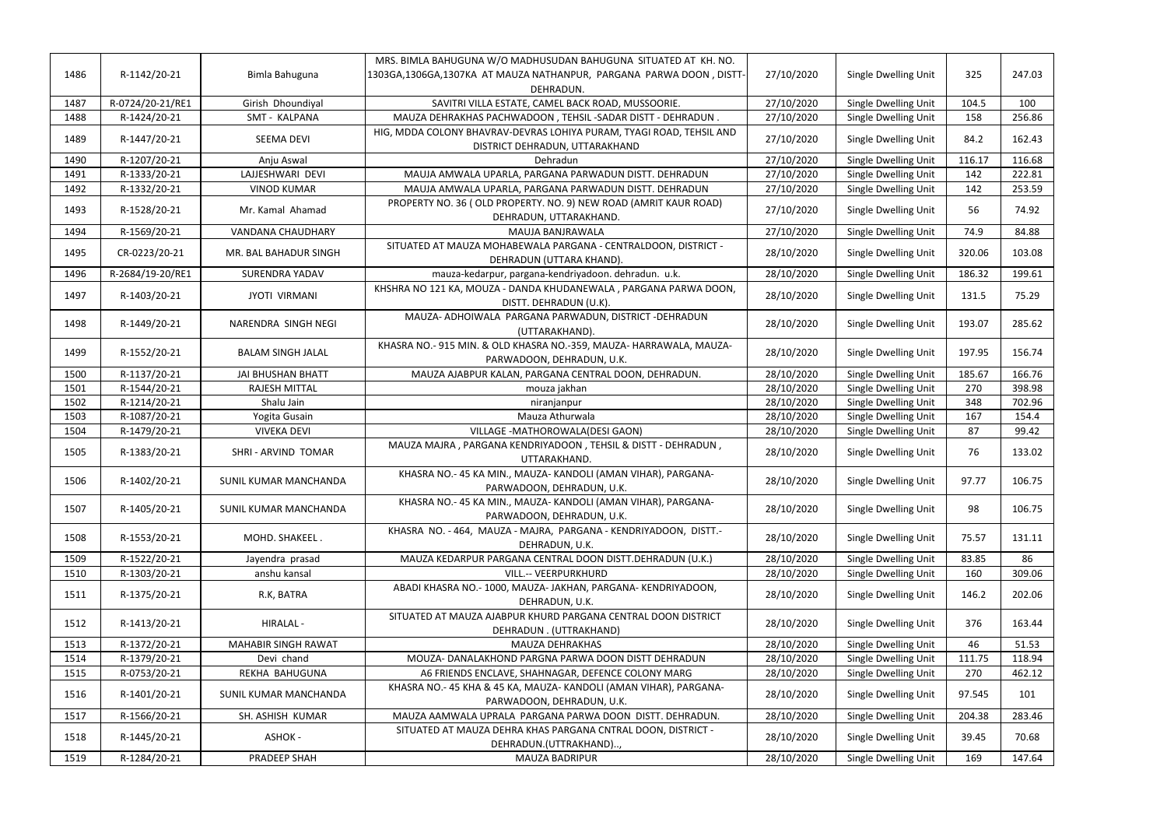|      |                  |                            | MRS. BIMLA BAHUGUNA W/O MADHUSUDAN BAHUGUNA SITUATED AT KH. NO.      |            |                             |        |        |
|------|------------------|----------------------------|----------------------------------------------------------------------|------------|-----------------------------|--------|--------|
| 1486 | R-1142/20-21     | Bimla Bahuguna             | 1303GA,1306GA,1307KA AT MAUZA NATHANPUR, PARGANA PARWA DOON , DISTT- | 27/10/2020 | Single Dwelling Unit        | 325    | 247.03 |
|      |                  |                            | DEHRADUN.                                                            |            |                             |        |        |
| 1487 | R-0724/20-21/RE1 | Girish Dhoundiyal          | SAVITRI VILLA ESTATE, CAMEL BACK ROAD, MUSSOORIE.                    | 27/10/2020 | Single Dwelling Unit        | 104.5  | 100    |
| 1488 | R-1424/20-21     | SMT - KALPANA              | MAUZA DEHRAKHAS PACHWADOON, TEHSIL -SADAR DISTT - DEHRADUN.          | 27/10/2020 | Single Dwelling Unit        | 158    | 256.86 |
|      |                  |                            | HIG, MDDA COLONY BHAVRAV-DEVRAS LOHIYA PURAM, TYAGI ROAD, TEHSIL AND |            |                             |        |        |
| 1489 | R-1447/20-21     | <b>SEEMA DEVI</b>          | DISTRICT DEHRADUN, UTTARAKHAND                                       | 27/10/2020 | Single Dwelling Unit        | 84.2   | 162.43 |
| 1490 | R-1207/20-21     | Anju Aswal                 | Dehradun                                                             | 27/10/2020 | <b>Single Dwelling Unit</b> | 116.17 | 116.68 |
| 1491 | R-1333/20-21     | LAJJESHWARI DEVI           | MAUJA AMWALA UPARLA, PARGANA PARWADUN DISTT. DEHRADUN                | 27/10/2020 | Single Dwelling Unit        | 142    | 222.81 |
|      |                  | <b>VINOD KUMAR</b>         | MAUJA AMWALA UPARLA, PARGANA PARWADUN DISTT. DEHRADUN                |            |                             |        |        |
| 1492 | R-1332/20-21     |                            |                                                                      | 27/10/2020 | Single Dwelling Unit        | 142    | 253.59 |
| 1493 | R-1528/20-21     | Mr. Kamal Ahamad           | PROPERTY NO. 36 (OLD PROPERTY. NO. 9) NEW ROAD (AMRIT KAUR ROAD)     | 27/10/2020 | Single Dwelling Unit        | 56     | 74.92  |
|      |                  |                            | DEHRADUN, UTTARAKHAND.                                               |            |                             |        |        |
| 1494 | R-1569/20-21     | VANDANA CHAUDHARY          | MAUJA BANJRAWALA                                                     | 27/10/2020 | Single Dwelling Unit        | 74.9   | 84.88  |
| 1495 | CR-0223/20-21    | MR. BAL BAHADUR SINGH      | SITUATED AT MAUZA MOHABEWALA PARGANA - CENTRALDOON, DISTRICT -       | 28/10/2020 | Single Dwelling Unit        | 320.06 | 103.08 |
|      |                  |                            | DEHRADUN (UTTARA KHAND).                                             |            |                             |        |        |
| 1496 | R-2684/19-20/RE1 | <b>SURENDRA YADAV</b>      | mauza-kedarpur, pargana-kendriyadoon. dehradun. u.k.                 | 28/10/2020 | Single Dwelling Unit        | 186.32 | 199.61 |
| 1497 | R-1403/20-21     | <b>JYOTI VIRMANI</b>       | KHSHRA NO 121 KA, MOUZA - DANDA KHUDANEWALA, PARGANA PARWA DOON,     | 28/10/2020 | Single Dwelling Unit        | 131.5  | 75.29  |
|      |                  |                            | DISTT. DEHRADUN (U.K).                                               |            |                             |        |        |
| 1498 | R-1449/20-21     | NARENDRA SINGH NEGI        | MAUZA- ADHOIWALA PARGANA PARWADUN, DISTRICT -DEHRADUN                | 28/10/2020 | Single Dwelling Unit        | 193.07 | 285.62 |
|      |                  |                            | (UTTARAKHAND).                                                       |            |                             |        |        |
| 1499 | R-1552/20-21     | <b>BALAM SINGH JALAL</b>   | KHASRA NO.- 915 MIN. & OLD KHASRA NO.-359, MAUZA- HARRAWALA, MAUZA-  | 28/10/2020 | Single Dwelling Unit        | 197.95 | 156.74 |
|      |                  |                            | PARWADOON, DEHRADUN, U.K.                                            |            |                             |        |        |
| 1500 | R-1137/20-21     | <b>JAI BHUSHAN BHATT</b>   | MAUZA AJABPUR KALAN, PARGANA CENTRAL DOON, DEHRADUN.                 | 28/10/2020 | Single Dwelling Unit        | 185.67 | 166.76 |
| 1501 | R-1544/20-21     | <b>RAJESH MITTAL</b>       | mouza jakhan                                                         | 28/10/2020 | Single Dwelling Unit        | 270    | 398.98 |
| 1502 | R-1214/20-21     | Shalu Jain                 | niranjanpur                                                          | 28/10/2020 | Single Dwelling Unit        | 348    | 702.96 |
| 1503 | R-1087/20-21     | Yogita Gusain              | Mauza Athurwala                                                      | 28/10/2020 | Single Dwelling Unit        | 167    | 154.4  |
| 1504 | R-1479/20-21     | <b>VIVEKA DEVI</b>         | VILLAGE - MATHOROWALA (DESI GAON)                                    | 28/10/2020 | Single Dwelling Unit        | 87     | 99.42  |
|      |                  |                            | MAUZA MAJRA, PARGANA KENDRIYADOON, TEHSIL & DISTT - DEHRADUN,        |            |                             |        |        |
| 1505 | R-1383/20-21     | SHRI - ARVIND TOMAR        | UTTARAKHAND.                                                         | 28/10/2020 | Single Dwelling Unit        | 76     | 133.02 |
|      |                  |                            | KHASRA NO.- 45 KA MIN., MAUZA-KANDOLI (AMAN VIHAR), PARGANA-         |            |                             |        |        |
| 1506 | R-1402/20-21     | SUNIL KUMAR MANCHANDA      | PARWADOON, DEHRADUN, U.K.                                            | 28/10/2020 | Single Dwelling Unit        | 97.77  | 106.75 |
|      |                  |                            | KHASRA NO.-45 KA MIN., MAUZA-KANDOLI (AMAN VIHAR), PARGANA-          |            |                             |        |        |
| 1507 | R-1405/20-21     | SUNIL KUMAR MANCHANDA      | PARWADOON, DEHRADUN, U.K.                                            | 28/10/2020 | Single Dwelling Unit        | 98     | 106.75 |
|      |                  |                            | KHASRA NO. - 464, MAUZA - MAJRA, PARGANA - KENDRIYADOON, DISTT.-     |            |                             |        |        |
| 1508 | R-1553/20-21     | MOHD. SHAKEEL.             | DEHRADUN, U.K.                                                       | 28/10/2020 | Single Dwelling Unit        | 75.57  | 131.11 |
| 1509 | R-1522/20-21     | Jayendra prasad            | MAUZA KEDARPUR PARGANA CENTRAL DOON DISTT.DEHRADUN (U.K.)            | 28/10/2020 | Single Dwelling Unit        | 83.85  | 86     |
| 1510 | R-1303/20-21     | anshu kansal               | VILL.-- VEERPURKHURD                                                 | 28/10/2020 | Single Dwelling Unit        | 160    | 309.06 |
|      |                  |                            | ABADI KHASRA NO.- 1000, MAUZA- JAKHAN, PARGANA- KENDRIYADOON,        |            |                             |        |        |
| 1511 | R-1375/20-21     | R.K, BATRA                 | DEHRADUN, U.K.                                                       | 28/10/2020 | Single Dwelling Unit        | 146.2  | 202.06 |
|      |                  |                            | SITUATED AT MAUZA AJABPUR KHURD PARGANA CENTRAL DOON DISTRICT        |            |                             |        |        |
| 1512 | R-1413/20-21     | HIRALAL -                  |                                                                      | 28/10/2020 | Single Dwelling Unit        | 376    | 163.44 |
|      |                  | <b>MAHABIR SINGH RAWAT</b> | DEHRADUN . (UTTRAKHAND)                                              |            |                             |        |        |
| 1513 | R-1372/20-21     |                            | MAUZA DEHRAKHAS                                                      | 28/10/2020 | Single Dwelling Unit        | 46     | 51.53  |
| 1514 | R-1379/20-21     | Devi chand                 | MOUZA- DANALAKHOND PARGNA PARWA DOON DISTT DEHRADUN                  | 28/10/2020 | Single Dwelling Unit        | 111.75 | 118.94 |
| 1515 | R-0753/20-21     | REKHA BAHUGUNA             | A6 FRIENDS ENCLAVE, SHAHNAGAR, DEFENCE COLONY MARG                   | 28/10/2020 | Single Dwelling Unit        | 270    | 462.12 |
| 1516 | R-1401/20-21     | SUNIL KUMAR MANCHANDA      | KHASRA NO.-45 KHA & 45 KA, MAUZA-KANDOLI (AMAN VIHAR), PARGANA-      | 28/10/2020 | Single Dwelling Unit        | 97.545 | 101    |
|      |                  |                            | PARWADOON, DEHRADUN, U.K.                                            |            |                             |        |        |
| 1517 | R-1566/20-21     | SH. ASHISH KUMAR           | MAUZA AAMWALA UPRALA PARGANA PARWA DOON DISTT. DEHRADUN.             | 28/10/2020 | Single Dwelling Unit        | 204.38 | 283.46 |
| 1518 | R-1445/20-21     | ASHOK -                    | SITUATED AT MAUZA DEHRA KHAS PARGANA CNTRAL DOON, DISTRICT -         | 28/10/2020 | Single Dwelling Unit        | 39.45  | 70.68  |
|      |                  |                            | DEHRADUN.(UTTRAKHAND),                                               |            |                             |        |        |
| 1519 | R-1284/20-21     | PRADEEP SHAH               | MAUZA BADRIPUR                                                       | 28/10/2020 | Single Dwelling Unit        | 169    | 147.64 |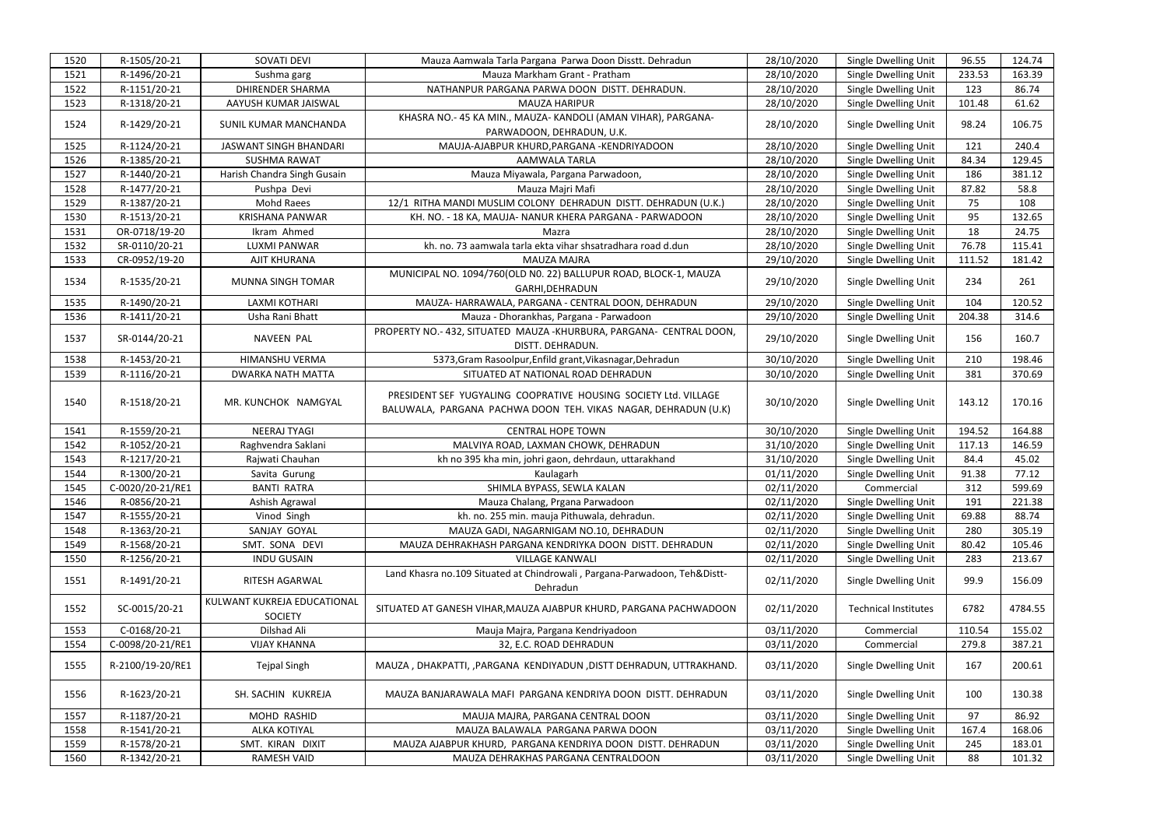| 1520 | R-1505/20-21     | <b>SOVATI DEVI</b>                            | Mauza Aamwala Tarla Pargana Parwa Doon Disstt. Dehradun                                                                           | 28/10/2020 | Single Dwelling Unit        | 96.55  | 124.74  |
|------|------------------|-----------------------------------------------|-----------------------------------------------------------------------------------------------------------------------------------|------------|-----------------------------|--------|---------|
| 1521 | R-1496/20-21     | Sushma garg                                   | Mauza Markham Grant - Pratham                                                                                                     | 28/10/2020 | Single Dwelling Unit        | 233.53 | 163.39  |
| 1522 | R-1151/20-21     | <b>DHIRENDER SHARMA</b>                       | NATHANPUR PARGANA PARWA DOON DISTT. DEHRADUN.                                                                                     | 28/10/2020 | Single Dwelling Unit        | 123    | 86.74   |
| 1523 | R-1318/20-21     | AAYUSH KUMAR JAISWAL                          | <b>MAUZA HARIPUR</b>                                                                                                              | 28/10/2020 | Single Dwelling Unit        | 101.48 | 61.62   |
| 1524 | R-1429/20-21     | SUNIL KUMAR MANCHANDA                         | KHASRA NO.- 45 KA MIN., MAUZA-KANDOLI (AMAN VIHAR), PARGANA-<br>PARWADOON, DEHRADUN, U.K.                                         | 28/10/2020 | Single Dwelling Unit        | 98.24  | 106.75  |
| 1525 | R-1124/20-21     | <b>JASWANT SINGH BHANDARI</b>                 | MAUJA-AJABPUR KHURD, PARGANA - KENDRIYADOON                                                                                       | 28/10/2020 | Single Dwelling Unit        | 121    | 240.4   |
| 1526 | R-1385/20-21     | <b>SUSHMA RAWAT</b>                           | AAMWALA TARLA                                                                                                                     | 28/10/2020 | Single Dwelling Unit        | 84.34  | 129.45  |
| 1527 | R-1440/20-21     | Harish Chandra Singh Gusain                   | Mauza Miyawala, Pargana Parwadoon,                                                                                                | 28/10/2020 | Single Dwelling Unit        | 186    | 381.12  |
| 1528 | R-1477/20-21     | Pushpa Devi                                   | Mauza Majri Mafi                                                                                                                  | 28/10/2020 | Single Dwelling Unit        | 87.82  | 58.8    |
| 1529 | R-1387/20-21     | <b>Mohd Raees</b>                             | 12/1 RITHA MANDI MUSLIM COLONY DEHRADUN DISTT. DEHRADUN (U.K.)                                                                    | 28/10/2020 | Single Dwelling Unit        | 75     | 108     |
| 1530 | R-1513/20-21     | <b>KRISHANA PANWAR</b>                        | KH. NO. - 18 KA, MAUJA- NANUR KHERA PARGANA - PARWADOON                                                                           | 28/10/2020 | Single Dwelling Unit        | 95     | 132.65  |
| 1531 | OR-0718/19-20    | Ikram Ahmed                                   | Mazra                                                                                                                             | 28/10/2020 | Single Dwelling Unit        | 18     | 24.75   |
| 1532 | SR-0110/20-21    | <b>LUXMI PANWAR</b>                           | kh. no. 73 aamwala tarla ekta vihar shsatradhara road d.dun                                                                       | 28/10/2020 | Single Dwelling Unit        | 76.78  | 115.41  |
| 1533 | CR-0952/19-20    | AJIT KHURANA                                  | <b>MAUZA MAJRA</b>                                                                                                                | 29/10/2020 | Single Dwelling Unit        | 111.52 | 181.42  |
| 1534 | R-1535/20-21     | MUNNA SINGH TOMAR                             | MUNICIPAL NO. 1094/760(OLD NO. 22) BALLUPUR ROAD, BLOCK-1, MAUZA<br>GARHI, DEHRADUN                                               | 29/10/2020 | Single Dwelling Unit        | 234    | 261     |
| 1535 | R-1490/20-21     | <b>LAXMI KOTHARI</b>                          | MAUZA- HARRAWALA, PARGANA - CENTRAL DOON, DEHRADUN                                                                                | 29/10/2020 | Single Dwelling Unit        | 104    | 120.52  |
| 1536 | R-1411/20-21     | Usha Rani Bhatt                               | Mauza - Dhorankhas, Pargana - Parwadoon                                                                                           | 29/10/2020 | Single Dwelling Unit        | 204.38 | 314.6   |
| 1537 | SR-0144/20-21    | NAVEEN PAL                                    | PROPERTY NO.- 432, SITUATED MAUZA-KHURBURA, PARGANA- CENTRAL DOON,<br>DISTT. DEHRADUN.                                            | 29/10/2020 | Single Dwelling Unit        | 156    | 160.7   |
| 1538 | R-1453/20-21     | HIMANSHU VERMA                                | 5373, Gram Rasoolpur, Enfild grant, Vikasnagar, Dehradun                                                                          | 30/10/2020 | Single Dwelling Unit        | 210    | 198.46  |
| 1539 | R-1116/20-21     | <b>DWARKA NATH MATTA</b>                      | SITUATED AT NATIONAL ROAD DEHRADUN                                                                                                | 30/10/2020 | Single Dwelling Unit        | 381    | 370.69  |
| 1540 | R-1518/20-21     | MR. KUNCHOK NAMGYAL                           | PRESIDENT SEF YUGYALING COOPRATIVE HOUSING SOCIETY Ltd. VILLAGE<br>BALUWALA, PARGANA PACHWA DOON TEH. VIKAS NAGAR, DEHRADUN (U.K) | 30/10/2020 | Single Dwelling Unit        | 143.12 | 170.16  |
| 1541 | R-1559/20-21     | <b>NEERAJ TYAGI</b>                           | <b>CENTRAL HOPE TOWN</b>                                                                                                          | 30/10/2020 | Single Dwelling Unit        | 194.52 | 164.88  |
| 1542 | R-1052/20-21     | Raghvendra Saklani                            | MALVIYA ROAD, LAXMAN CHOWK, DEHRADUN                                                                                              | 31/10/2020 | Single Dwelling Unit        | 117.13 | 146.59  |
| 1543 | R-1217/20-21     | Rajwati Chauhan                               | kh no 395 kha min, johri gaon, dehrdaun, uttarakhand                                                                              | 31/10/2020 | Single Dwelling Unit        | 84.4   | 45.02   |
| 1544 | R-1300/20-21     | Savita Gurung                                 | Kaulagarh                                                                                                                         | 01/11/2020 | Single Dwelling Unit        | 91.38  | 77.12   |
| 1545 | C-0020/20-21/RE1 | <b>BANTI RATRA</b>                            | SHIMLA BYPASS, SEWLA KALAN                                                                                                        | 02/11/2020 | Commercial                  | 312    | 599.69  |
| 1546 | R-0856/20-21     | Ashish Agrawal                                | Mauza Chalang, Prgana Parwadoon                                                                                                   | 02/11/2020 | Single Dwelling Unit        | 191    | 221.38  |
| 1547 | R-1555/20-21     | Vinod Singh                                   | kh. no. 255 min. mauja Pithuwala, dehradun.                                                                                       | 02/11/2020 | Single Dwelling Unit        | 69.88  | 88.74   |
| 1548 | R-1363/20-21     | SANJAY GOYAL                                  | MAUZA GADI, NAGARNIGAM NO.10, DEHRADUN                                                                                            | 02/11/2020 | Single Dwelling Unit        | 280    | 305.19  |
| 1549 | R-1568/20-21     | SMT. SONA DEVI                                | MAUZA DEHRAKHASH PARGANA KENDRIYKA DOON DISTT. DEHRADUN                                                                           | 02/11/2020 | Single Dwelling Unit        | 80.42  | 105.46  |
| 1550 | R-1256/20-21     | <b>INDU GUSAIN</b>                            | <b>VILLAGE KANWALI</b>                                                                                                            | 02/11/2020 | Single Dwelling Unit        | 283    | 213.67  |
| 1551 | R-1491/20-21     | RITESH AGARWAL                                | Land Khasra no.109 Situated at Chindrowali, Pargana-Parwadoon, Teh&Distt-<br>Dehradun                                             | 02/11/2020 | Single Dwelling Unit        | 99.9   | 156.09  |
| 1552 | SC-0015/20-21    | KULWANT KUKREJA EDUCATIONAL<br><b>SOCIETY</b> | SITUATED AT GANESH VIHAR, MAUZA AJABPUR KHURD, PARGANA PACHWADOON                                                                 | 02/11/2020 | <b>Technical Institutes</b> | 6782   | 4784.55 |
| 1553 | C-0168/20-21     | Dilshad Ali                                   | Mauja Majra, Pargana Kendriyadoon                                                                                                 | 03/11/2020 | Commercial                  | 110.54 | 155.02  |
| 1554 | C-0098/20-21/RE1 | <b>VIJAY KHANNA</b>                           | 32, E.C. ROAD DEHRADUN                                                                                                            | 03/11/2020 | Commercial                  | 279.8  | 387.21  |
| 1555 | R-2100/19-20/RE1 | <b>Tejpal Singh</b>                           | MAUZA, DHAKPATTI, , PARGANA KENDIYADUN, DISTT DEHRADUN, UTTRAKHAND.                                                               | 03/11/2020 | Single Dwelling Unit        | 167    | 200.61  |
| 1556 | R-1623/20-21     | SH. SACHIN KUKREJA                            | MAUZA BANJARAWALA MAFI PARGANA KENDRIYA DOON DISTT. DEHRADUN                                                                      | 03/11/2020 | Single Dwelling Unit        | 100    | 130.38  |
| 1557 | R-1187/20-21     | MOHD RASHID                                   | MAUJA MAJRA, PARGANA CENTRAL DOON                                                                                                 | 03/11/2020 | Single Dwelling Unit        | 97     | 86.92   |
| 1558 | R-1541/20-21     | <b>ALKA KOTIYAL</b>                           | MAUZA BALAWALA PARGANA PARWA DOON                                                                                                 | 03/11/2020 | Single Dwelling Unit        | 167.4  | 168.06  |
| 1559 | R-1578/20-21     | SMT. KIRAN DIXIT                              | MAUZA AJABPUR KHURD, PARGANA KENDRIYA DOON DISTT. DEHRADUN                                                                        | 03/11/2020 | Single Dwelling Unit        | 245    | 183.01  |
| 1560 | R-1342/20-21     | <b>RAMESH VAID</b>                            | MAUZA DEHRAKHAS PARGANA CENTRALDOON                                                                                               | 03/11/2020 | Single Dwelling Unit        | 88     | 101.32  |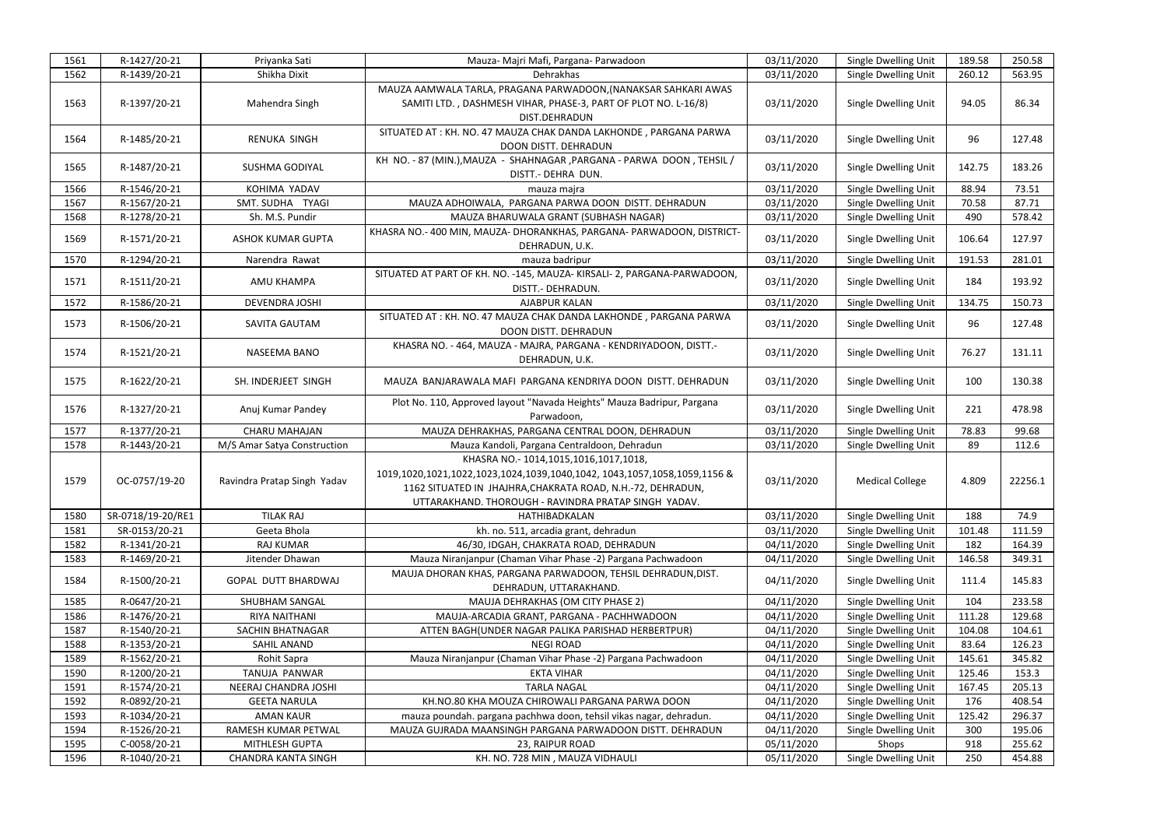| 1561 | R-1427/20-21      | Priyanka Sati               | Mauza- Majri Mafi, Pargana- Parwadoon                                    | 03/11/2020 | Single Dwelling Unit   | 189.58 | 250.58  |
|------|-------------------|-----------------------------|--------------------------------------------------------------------------|------------|------------------------|--------|---------|
| 1562 | R-1439/20-21      | Shikha Dixit                | Dehrakhas                                                                | 03/11/2020 | Single Dwelling Unit   | 260.12 | 563.95  |
|      |                   |                             | MAUZA AAMWALA TARLA, PRAGANA PARWADOON, (NANAKSAR SAHKARI AWAS           |            |                        |        |         |
| 1563 | R-1397/20-21      | Mahendra Singh              | SAMITI LTD., DASHMESH VIHAR, PHASE-3, PART OF PLOT NO. L-16/8)           | 03/11/2020 | Single Dwelling Unit   | 94.05  | 86.34   |
|      |                   |                             | DIST.DEHRADUN                                                            |            |                        |        |         |
| 1564 | R-1485/20-21      | RENUKA SINGH                | SITUATED AT : KH. NO. 47 MAUZA CHAK DANDA LAKHONDE, PARGANA PARWA        | 03/11/2020 | Single Dwelling Unit   | 96     | 127.48  |
|      |                   |                             | DOON DISTT. DEHRADUN                                                     |            |                        |        |         |
|      |                   |                             | KH NO. - 87 (MIN.), MAUZA - SHAHNAGAR, PARGANA - PARWA DOON, TEHSIL /    |            |                        |        |         |
| 1565 | R-1487/20-21      | SUSHMA GODIYAL              | DISTT.- DEHRA DUN.                                                       | 03/11/2020 | Single Dwelling Unit   | 142.75 | 183.26  |
| 1566 | R-1546/20-21      | KOHIMA YADAV                | mauza majra                                                              | 03/11/2020 | Single Dwelling Unit   | 88.94  | 73.51   |
| 1567 | R-1567/20-21      | SMT. SUDHA TYAGI            | MAUZA ADHOIWALA, PARGANA PARWA DOON DISTT. DEHRADUN                      | 03/11/2020 | Single Dwelling Unit   | 70.58  | 87.71   |
| 1568 | R-1278/20-21      | Sh. M.S. Pundir             | MAUZA BHARUWALA GRANT (SUBHASH NAGAR)                                    | 03/11/2020 | Single Dwelling Unit   | 490    | 578.42  |
|      |                   |                             | KHASRA NO.- 400 MIN, MAUZA- DHORANKHAS, PARGANA- PARWADOON, DISTRICT-    |            |                        |        |         |
| 1569 | R-1571/20-21      | <b>ASHOK KUMAR GUPTA</b>    | DEHRADUN, U.K.                                                           | 03/11/2020 | Single Dwelling Unit   | 106.64 | 127.97  |
| 1570 | R-1294/20-21      | Narendra Rawat              | mauza badripur                                                           | 03/11/2020 | Single Dwelling Unit   | 191.53 | 281.01  |
|      |                   |                             | SITUATED AT PART OF KH. NO. - 145, MAUZA- KIRSALI- 2, PARGANA-PARWADOON, |            |                        |        |         |
| 1571 | R-1511/20-21      | AMU KHAMPA                  | DISTT.- DEHRADUN.                                                        | 03/11/2020 | Single Dwelling Unit   | 184    | 193.92  |
| 1572 | R-1586/20-21      | <b>DEVENDRA JOSHI</b>       | AJABPUR KALAN                                                            | 03/11/2020 | Single Dwelling Unit   | 134.75 | 150.73  |
|      |                   |                             | SITUATED AT : KH. NO. 47 MAUZA CHAK DANDA LAKHONDE, PARGANA PARWA        |            |                        |        |         |
| 1573 | R-1506/20-21      | SAVITA GAUTAM               | DOON DISTT. DEHRADUN                                                     | 03/11/2020 | Single Dwelling Unit   | 96     | 127.48  |
|      |                   |                             |                                                                          |            |                        |        |         |
| 1574 | R-1521/20-21      | NASEEMA BANO                | KHASRA NO. - 464, MAUZA - MAJRA, PARGANA - KENDRIYADOON, DISTT.-         | 03/11/2020 | Single Dwelling Unit   | 76.27  | 131.11  |
|      |                   |                             | DEHRADUN, U.K.                                                           |            |                        |        |         |
| 1575 | R-1622/20-21      | SH. INDERJEET SINGH         | MAUZA BANJARAWALA MAFI PARGANA KENDRIYA DOON DISTT. DEHRADUN             | 03/11/2020 | Single Dwelling Unit   | 100    | 130.38  |
|      |                   |                             |                                                                          |            |                        |        |         |
| 1576 | R-1327/20-21      | Anuj Kumar Pandey           | Plot No. 110, Approved layout "Navada Heights" Mauza Badripur, Pargana   | 03/11/2020 | Single Dwelling Unit   | 221    | 478.98  |
|      |                   |                             | Parwadoon,                                                               |            |                        |        |         |
| 1577 | R-1377/20-21      | <b>CHARU MAHAJAN</b>        | MAUZA DEHRAKHAS, PARGANA CENTRAL DOON, DEHRADUN                          | 03/11/2020 | Single Dwelling Unit   | 78.83  | 99.68   |
| 1578 | R-1443/20-21      | M/S Amar Satya Construction | Mauza Kandoli, Pargana Centraldoon, Dehradun                             | 03/11/2020 | Single Dwelling Unit   | 89     | 112.6   |
|      |                   |                             | KHASRA NO.- 1014,1015,1016,1017,1018,                                    |            |                        |        |         |
| 1579 | OC-0757/19-20     | Ravindra Pratap Singh Yadav | 1019,1020,1021,1022,1023,1024,1039,1040,1042, 1043,1057,1058,1059,1156 & | 03/11/2020 | <b>Medical College</b> | 4.809  | 22256.1 |
|      |                   |                             | 1162 SITUATED IN JHAJHRA, CHAKRATA ROAD, N.H.-72, DEHRADUN,              |            |                        |        |         |
|      |                   |                             | UTTARAKHAND. THOROUGH - RAVINDRA PRATAP SINGH YADAV.                     |            |                        |        |         |
| 1580 | SR-0718/19-20/RE1 | <b>TILAK RAJ</b>            | HATHIBADKALAN                                                            | 03/11/2020 | Single Dwelling Unit   | 188    | 74.9    |
| 1581 | SR-0153/20-21     | Geeta Bhola                 | kh. no. 511, arcadia grant, dehradun                                     | 03/11/2020 | Single Dwelling Unit   | 101.48 | 111.59  |
| 1582 | R-1341/20-21      | <b>RAJ KUMAR</b>            | 46/30, IDGAH, CHAKRATA ROAD, DEHRADUN                                    | 04/11/2020 | Single Dwelling Unit   | 182    | 164.39  |
| 1583 | R-1469/20-21      | Jitender Dhawan             | Mauza Niranjanpur (Chaman Vihar Phase -2) Pargana Pachwadoon             | 04/11/2020 | Single Dwelling Unit   | 146.58 | 349.31  |
|      |                   |                             | MAUJA DHORAN KHAS, PARGANA PARWADOON, TEHSIL DEHRADUN, DIST.             |            |                        |        |         |
| 1584 | R-1500/20-21      | <b>GOPAL DUTT BHARDWAJ</b>  | DEHRADUN, UTTARAKHAND.                                                   | 04/11/2020 | Single Dwelling Unit   | 111.4  | 145.83  |
| 1585 | R-0647/20-21      | SHUBHAM SANGAL              | MAUJA DEHRAKHAS (OM CITY PHASE 2)                                        | 04/11/2020 | Single Dwelling Unit   | 104    | 233.58  |
| 1586 | R-1476/20-21      | RIYA NAITHANI               | MAUJA-ARCADIA GRANT, PARGANA - PACHHWADOON                               | 04/11/2020 | Single Dwelling Unit   | 111.28 | 129.68  |
| 1587 | R-1540/20-21      | SACHIN BHATNAGAR            | ATTEN BAGH(UNDER NAGAR PALIKA PARISHAD HERBERTPUR)                       | 04/11/2020 | Single Dwelling Unit   | 104.08 | 104.61  |
| 1588 | R-1353/20-21      | SAHIL ANAND                 | <b>NEGI ROAD</b>                                                         | 04/11/2020 | Single Dwelling Unit   | 83.64  | 126.23  |
| 1589 | R-1562/20-21      | Rohit Sapra                 | Mauza Niranjanpur (Chaman Vihar Phase -2) Pargana Pachwadoon             | 04/11/2020 | Single Dwelling Unit   | 145.61 | 345.82  |
| 1590 | R-1200/20-21      | TANUJA PANWAR               | <b>EKTA VIHAR</b>                                                        | 04/11/2020 | Single Dwelling Unit   | 125.46 | 153.3   |
|      |                   |                             | <b>TARLA NAGAL</b>                                                       |            |                        |        |         |
| 1591 | R-1574/20-21      | NEERAJ CHANDRA JOSHI        |                                                                          | 04/11/2020 | Single Dwelling Unit   | 167.45 | 205.13  |
| 1592 | R-0892/20-21      | <b>GEETA NARULA</b>         | KH.NO.80 KHA MOUZA CHIROWALI PARGANA PARWA DOON                          | 04/11/2020 | Single Dwelling Unit   | 176    | 408.54  |
| 1593 | R-1034/20-21      | <b>AMAN KAUR</b>            | mauza poundah. pargana pachhwa doon, tehsil vikas nagar, dehradun.       | 04/11/2020 | Single Dwelling Unit   | 125.42 | 296.37  |
| 1594 | R-1526/20-21      | RAMESH KUMAR PETWAL         | MAUZA GUJRADA MAANSINGH PARGANA PARWADOON DISTT. DEHRADUN                | 04/11/2020 | Single Dwelling Unit   | 300    | 195.06  |
| 1595 | C-0058/20-21      | MITHLESH GUPTA              | 23, RAIPUR ROAD                                                          | 05/11/2020 | Shops                  | 918    | 255.62  |
| 1596 | R-1040/20-21      | <b>CHANDRA KANTA SINGH</b>  | KH. NO. 728 MIN, MAUZA VIDHAULI                                          | 05/11/2020 | Single Dwelling Unit   | 250    | 454.88  |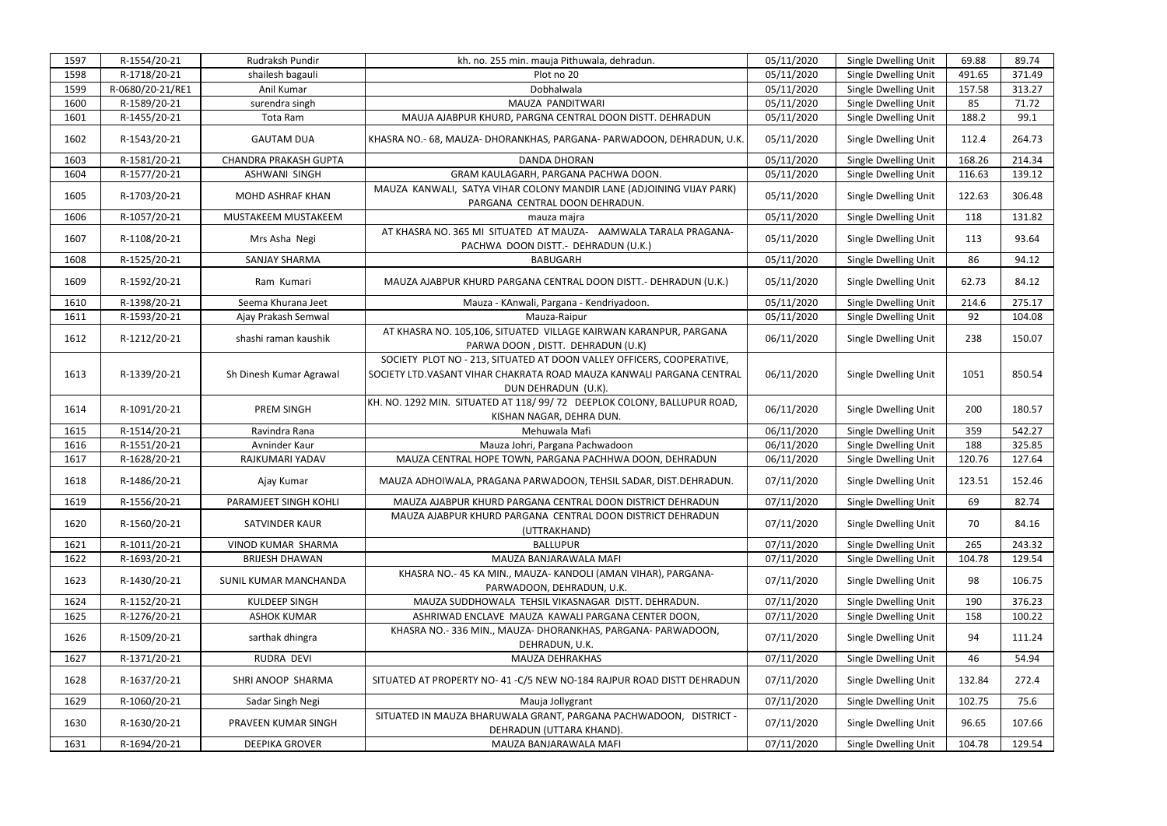| 1597 | R-1554/20-21     | Rudraksh Pundir              | kh. no. 255 min. mauja Pithuwala, dehradun.                                                                                                                          | 05/11/2020 | Single Dwelling Unit | 69.88  | 89.74  |
|------|------------------|------------------------------|----------------------------------------------------------------------------------------------------------------------------------------------------------------------|------------|----------------------|--------|--------|
| 1598 | R-1718/20-21     | shailesh bagauli             | Plot no 20                                                                                                                                                           | 05/11/2020 | Single Dwelling Unit | 491.65 | 371.49 |
| 1599 | R-0680/20-21/RE1 | Anil Kumar                   | Dobhalwala                                                                                                                                                           | 05/11/2020 | Single Dwelling Unit | 157.58 | 313.27 |
| 1600 | R-1589/20-21     | surendra singh               | MAUZA PANDITWARI                                                                                                                                                     | 05/11/2020 | Single Dwelling Unit | 85     | 71.72  |
| 1601 | R-1455/20-21     | Tota Ram                     | MAUJA AJABPUR KHURD, PARGNA CENTRAL DOON DISTT. DEHRADUN                                                                                                             | 05/11/2020 | Single Dwelling Unit | 188.2  | 99.1   |
| 1602 | R-1543/20-21     | <b>GAUTAM DUA</b>            | KHASRA NO.- 68, MAUZA- DHORANKHAS, PARGANA- PARWADOON, DEHRADUN, U.K.                                                                                                | 05/11/2020 | Single Dwelling Unit | 112.4  | 264.73 |
| 1603 | R-1581/20-21     | <b>CHANDRA PRAKASH GUPTA</b> | <b>DANDA DHORAN</b>                                                                                                                                                  | 05/11/2020 | Single Dwelling Unit | 168.26 | 214.34 |
| 1604 | R-1577/20-21     | <b>ASHWANI SINGH</b>         | GRAM KAULAGARH, PARGANA PACHWA DOON.                                                                                                                                 | 05/11/2020 | Single Dwelling Unit | 116.63 | 139.12 |
| 1605 | R-1703/20-21     | <b>MOHD ASHRAF KHAN</b>      | MAUZA KANWALI, SATYA VIHAR COLONY MANDIR LANE (ADJOINING VIJAY PARK)<br>PARGANA CENTRAL DOON DEHRADUN.                                                               | 05/11/2020 | Single Dwelling Unit | 122.63 | 306.48 |
| 1606 | R-1057/20-21     | MUSTAKEEM MUSTAKEEM          | mauza majra                                                                                                                                                          | 05/11/2020 | Single Dwelling Unit | 118    | 131.82 |
| 1607 | R-1108/20-21     | Mrs Asha Negi                | AT KHASRA NO. 365 MI SITUATED AT MAUZA- AAMWALA TARALA PRAGANA-<br>PACHWA DOON DISTT.- DEHRADUN (U.K.)                                                               | 05/11/2020 | Single Dwelling Unit | 113    | 93.64  |
| 1608 | R-1525/20-21     | <b>SANJAY SHARMA</b>         | <b>BABUGARH</b>                                                                                                                                                      | 05/11/2020 | Single Dwelling Unit | 86     | 94.12  |
| 1609 | R-1592/20-21     | Ram Kumari                   | MAUZA AJABPUR KHURD PARGANA CENTRAL DOON DISTT.- DEHRADUN (U.K.)                                                                                                     | 05/11/2020 | Single Dwelling Unit | 62.73  | 84.12  |
| 1610 | R-1398/20-21     | Seema Khurana Jeet           | Mauza - KAnwali, Pargana - Kendriyadoon.                                                                                                                             | 05/11/2020 | Single Dwelling Unit | 214.6  | 275.17 |
| 1611 | R-1593/20-21     | Ajay Prakash Semwal          | Mauza-Raipur                                                                                                                                                         | 05/11/2020 | Single Dwelling Unit | 92     | 104.08 |
| 1612 | R-1212/20-21     | shashi raman kaushik         | AT KHASRA NO. 105,106, SITUATED VILLAGE KAIRWAN KARANPUR, PARGANA<br>PARWA DOON, DISTT. DEHRADUN (U.K)                                                               | 06/11/2020 | Single Dwelling Unit | 238    | 150.07 |
| 1613 | R-1339/20-21     | Sh Dinesh Kumar Agrawal      | SOCIETY PLOT NO - 213, SITUATED AT DOON VALLEY OFFICERS, COOPERATIVE,<br>SOCIETY LTD.VASANT VIHAR CHAKRATA ROAD MAUZA KANWALI PARGANA CENTRAL<br>DUN DEHRADUN (U.K). | 06/11/2020 | Single Dwelling Unit | 1051   | 850.54 |
| 1614 | R-1091/20-21     | <b>PREM SINGH</b>            | KH. NO. 1292 MIN. SITUATED AT 118/99/72 DEEPLOK COLONY, BALLUPUR ROAD,<br>KISHAN NAGAR, DEHRA DUN.                                                                   | 06/11/2020 | Single Dwelling Unit | 200    | 180.57 |
| 1615 | R-1514/20-21     | Ravindra Rana                | Mehuwala Mafi                                                                                                                                                        | 06/11/2020 | Single Dwelling Unit | 359    | 542.27 |
| 1616 | R-1551/20-21     | Avninder Kaur                | Mauza Johri, Pargana Pachwadoon                                                                                                                                      | 06/11/2020 | Single Dwelling Unit | 188    | 325.85 |
| 1617 | R-1628/20-21     | RAJKUMARI YADAV              | MAUZA CENTRAL HOPE TOWN, PARGANA PACHHWA DOON, DEHRADUN                                                                                                              | 06/11/2020 | Single Dwelling Unit | 120.76 | 127.64 |
| 1618 | R-1486/20-21     | Ajay Kumar                   | MAUZA ADHOIWALA, PRAGANA PARWADOON, TEHSIL SADAR, DIST.DEHRADUN.                                                                                                     | 07/11/2020 | Single Dwelling Unit | 123.51 | 152.46 |
| 1619 | R-1556/20-21     | PARAMJEET SINGH KOHLI        | MAUZA AJABPUR KHURD PARGANA CENTRAL DOON DISTRICT DEHRADUN                                                                                                           | 07/11/2020 | Single Dwelling Unit | 69     | 82.74  |
| 1620 | R-1560/20-21     | SATVINDER KAUR               | MAUZA AJABPUR KHURD PARGANA CENTRAL DOON DISTRICT DEHRADUN<br>(UTTRAKHAND)                                                                                           | 07/11/2020 | Single Dwelling Unit | 70     | 84.16  |
| 1621 | R-1011/20-21     | VINOD KUMAR SHARMA           | <b>BALLUPUR</b>                                                                                                                                                      | 07/11/2020 | Single Dwelling Unit | 265    | 243.32 |
| 1622 | R-1693/20-21     | <b>BRIJESH DHAWAN</b>        | MAUZA BANJARAWALA MAFI                                                                                                                                               | 07/11/2020 | Single Dwelling Unit | 104.78 | 129.54 |
| 1623 | R-1430/20-21     | SUNIL KUMAR MANCHANDA        | KHASRA NO.- 45 KA MIN., MAUZA-KANDOLI (AMAN VIHAR), PARGANA-<br>PARWADOON, DEHRADUN, U.K.                                                                            | 07/11/2020 | Single Dwelling Unit | 98     | 106.75 |
| 1624 | R-1152/20-21     | <b>KULDEEP SINGH</b>         | MAUZA SUDDHOWALA TEHSIL VIKASNAGAR DISTT. DEHRADUN.                                                                                                                  | 07/11/2020 | Single Dwelling Unit | 190    | 376.23 |
| 1625 | R-1276/20-21     | <b>ASHOK KUMAR</b>           | ASHRIWAD ENCLAVE MAUZA KAWALI PARGANA CENTER DOON,                                                                                                                   | 07/11/2020 | Single Dwelling Unit | 158    | 100.22 |
| 1626 | R-1509/20-21     | sarthak dhingra              | KHASRA NO.-336 MIN., MAUZA-DHORANKHAS, PARGANA-PARWADOON,<br>DEHRADUN, U.K.                                                                                          | 07/11/2020 | Single Dwelling Unit | 94     | 111.24 |
| 1627 | R-1371/20-21     | RUDRA DEVI                   | MAUZA DEHRAKHAS                                                                                                                                                      | 07/11/2020 | Single Dwelling Unit | 46     | 54.94  |
| 1628 | R-1637/20-21     | SHRI ANOOP SHARMA            | SITUATED AT PROPERTY NO- 41 -C/5 NEW NO-184 RAJPUR ROAD DISTT DEHRADUN                                                                                               | 07/11/2020 | Single Dwelling Unit | 132.84 | 272.4  |
| 1629 | R-1060/20-21     | Sadar Singh Negi             | Mauja Jollygrant                                                                                                                                                     | 07/11/2020 | Single Dwelling Unit | 102.75 | 75.6   |
| 1630 | R-1630/20-21     | PRAVEEN KUMAR SINGH          | SITUATED IN MAUZA BHARUWALA GRANT, PARGANA PACHWADOON, DISTRICT -<br>DEHRADUN (UTTARA KHAND).                                                                        | 07/11/2020 | Single Dwelling Unit | 96.65  | 107.66 |
| 1631 | R-1694/20-21     | <b>DEEPIKA GROVER</b>        | MAUZA BANJARAWALA MAFI                                                                                                                                               | 07/11/2020 | Single Dwelling Unit | 104.78 | 129.54 |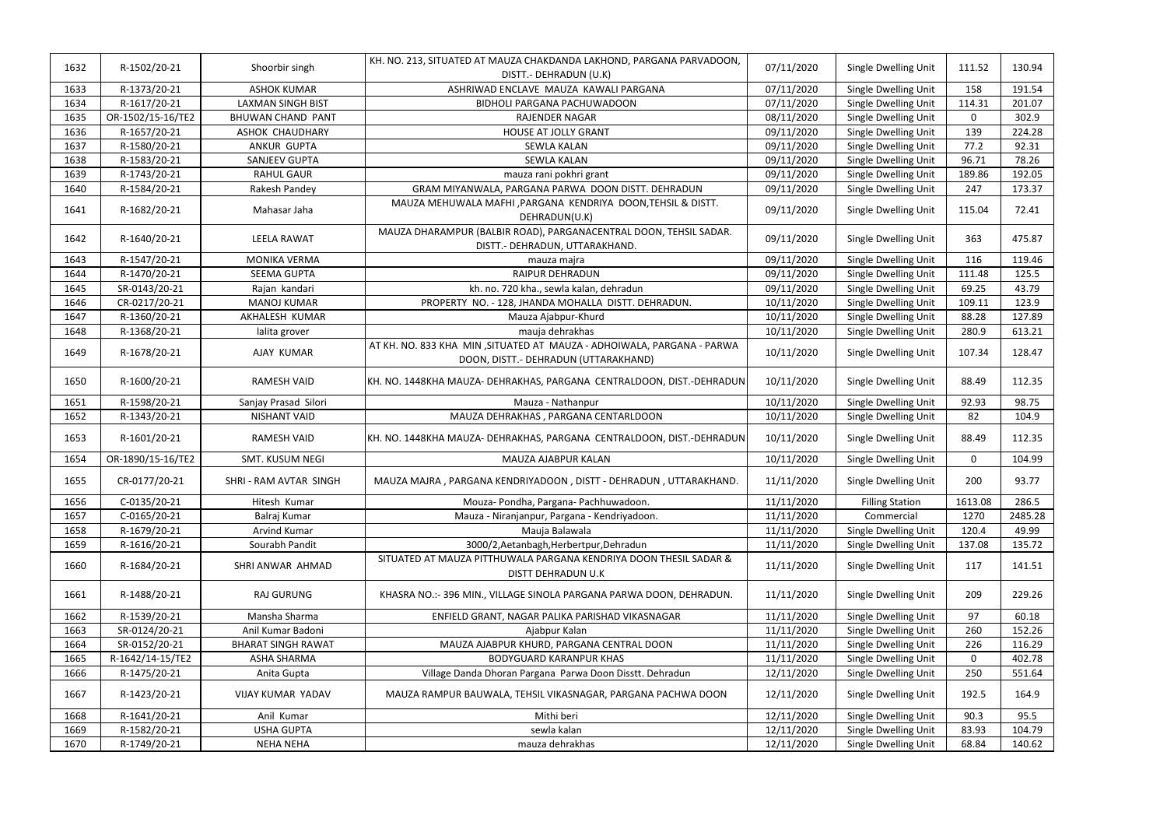| 1632 | R-1502/20-21      | Shoorbir singh            | KH. NO. 213, SITUATED AT MAUZA CHAKDANDA LAKHOND, PARGANA PARVADOON,                                           | 07/11/2020 | Single Dwelling Unit   | 111.52   | 130.94  |
|------|-------------------|---------------------------|----------------------------------------------------------------------------------------------------------------|------------|------------------------|----------|---------|
|      |                   |                           | DISTT.- DEHRADUN (U.K)                                                                                         |            |                        |          |         |
| 1633 | R-1373/20-21      | <b>ASHOK KUMAR</b>        | ASHRIWAD ENCLAVE MAUZA KAWALI PARGANA                                                                          | 07/11/2020 | Single Dwelling Unit   | 158      | 191.54  |
| 1634 | R-1617/20-21      | <b>LAXMAN SINGH BIST</b>  | BIDHOLI PARGANA PACHUWADOON                                                                                    | 07/11/2020 | Single Dwelling Unit   | 114.31   | 201.07  |
| 1635 | OR-1502/15-16/TE2 | BHUWAN CHAND PANT         | <b>RAJENDER NAGAR</b>                                                                                          | 08/11/2020 | Single Dwelling Unit   | $\Omega$ | 302.9   |
| 1636 | R-1657/20-21      | ASHOK CHAUDHARY           | <b>HOUSE AT JOLLY GRANT</b>                                                                                    | 09/11/2020 | Single Dwelling Unit   | 139      | 224.28  |
| 1637 | R-1580/20-21      | ANKUR GUPTA               | <b>SEWLA KALAN</b>                                                                                             | 09/11/2020 | Single Dwelling Unit   | 77.2     | 92.31   |
| 1638 | R-1583/20-21      | <b>SANJEEV GUPTA</b>      | <b>SEWLA KALAN</b>                                                                                             | 09/11/2020 | Single Dwelling Unit   | 96.71    | 78.26   |
| 1639 | R-1743/20-21      | <b>RAHUL GAUR</b>         | mauza rani pokhri grant                                                                                        | 09/11/2020 | Single Dwelling Unit   | 189.86   | 192.05  |
| 1640 | R-1584/20-21      | Rakesh Pandey             | GRAM MIYANWALA, PARGANA PARWA DOON DISTT. DEHRADUN                                                             | 09/11/2020 | Single Dwelling Unit   | 247      | 173.37  |
| 1641 | R-1682/20-21      | Mahasar Jaha              | MAUZA MEHUWALA MAFHI, PARGANA KENDRIYA DOON, TEHSIL & DISTT.<br>DEHRADUN(U.K)                                  | 09/11/2020 | Single Dwelling Unit   | 115.04   | 72.41   |
| 1642 | R-1640/20-21      | <b>LEELA RAWAT</b>        | MAUZA DHARAMPUR (BALBIR ROAD), PARGANACENTRAL DOON, TEHSIL SADAR.<br>DISTT.- DEHRADUN, UTTARAKHAND.            | 09/11/2020 | Single Dwelling Unit   | 363      | 475.87  |
| 1643 | R-1547/20-21      | <b>MONIKA VERMA</b>       | mauza majra                                                                                                    | 09/11/2020 | Single Dwelling Unit   | 116      | 119.46  |
| 1644 | R-1470/20-21      | <b>SEEMA GUPTA</b>        | <b>RAIPUR DEHRADUN</b>                                                                                         | 09/11/2020 | Single Dwelling Unit   | 111.48   | 125.5   |
| 1645 | SR-0143/20-21     | Rajan kandari             | kh. no. 720 kha., sewla kalan, dehradun                                                                        | 09/11/2020 | Single Dwelling Unit   | 69.25    | 43.79   |
| 1646 | CR-0217/20-21     | <b>MANOJ KUMAR</b>        | PROPERTY NO. - 128, JHANDA MOHALLA DISTT. DEHRADUN.                                                            | 10/11/2020 | Single Dwelling Unit   | 109.11   | 123.9   |
| 1647 | R-1360/20-21      | AKHALESH KUMAR            | Mauza Ajabpur-Khurd                                                                                            | 10/11/2020 | Single Dwelling Unit   | 88.28    | 127.89  |
| 1648 | R-1368/20-21      | lalita grover             | mauja dehrakhas                                                                                                | 10/11/2020 | Single Dwelling Unit   | 280.9    | 613.21  |
| 1649 | R-1678/20-21      | AJAY KUMAR                | AT KH. NO. 833 KHA MIN, SITUATED AT MAUZA - ADHOIWALA, PARGANA - PARWA<br>DOON, DISTT.- DEHRADUN (UTTARAKHAND) | 10/11/2020 | Single Dwelling Unit   | 107.34   | 128.47  |
| 1650 | R-1600/20-21      | <b>RAMESH VAID</b>        | KH. NO. 1448KHA MAUZA- DEHRAKHAS, PARGANA CENTRALDOON, DIST.-DEHRADUN                                          | 10/11/2020 | Single Dwelling Unit   | 88.49    | 112.35  |
| 1651 | R-1598/20-21      | Sanjay Prasad Silori      | Mauza - Nathanpur                                                                                              | 10/11/2020 | Single Dwelling Unit   | 92.93    | 98.75   |
| 1652 | R-1343/20-21      | <b>NISHANT VAID</b>       | MAUZA DEHRAKHAS, PARGANA CENTARLDOON                                                                           | 10/11/2020 | Single Dwelling Unit   | 82       | 104.9   |
| 1653 | R-1601/20-21      | <b>RAMESH VAID</b>        | KH. NO. 1448KHA MAUZA- DEHRAKHAS, PARGANA CENTRALDOON, DIST.-DEHRADUN                                          | 10/11/2020 | Single Dwelling Unit   | 88.49    | 112.35  |
| 1654 | OR-1890/15-16/TE2 | SMT. KUSUM NEGI           | MAUZA AJABPUR KALAN                                                                                            | 10/11/2020 | Single Dwelling Unit   | $\Omega$ | 104.99  |
| 1655 | CR-0177/20-21     | SHRI - RAM AVTAR SINGH    | MAUZA MAJRA, PARGANA KENDRIYADOON, DISTT - DEHRADUN, UTTARAKHAND.                                              | 11/11/2020 | Single Dwelling Unit   | 200      | 93.77   |
| 1656 | C-0135/20-21      | Hitesh Kumar              | Mouza- Pondha, Pargana- Pachhuwadoon.                                                                          | 11/11/2020 | <b>Filling Station</b> | 1613.08  | 286.5   |
| 1657 | C-0165/20-21      | Balraj Kumar              | Mauza - Niranjanpur, Pargana - Kendriyadoon.                                                                   | 11/11/2020 | Commercial             | 1270     | 2485.28 |
| 1658 | R-1679/20-21      | Arvind Kumar              | Mauja Balawala                                                                                                 | 11/11/2020 | Single Dwelling Unit   | 120.4    | 49.99   |
| 1659 | R-1616/20-21      | Sourabh Pandit            | 3000/2, Aetanbagh, Herbertpur, Dehradun                                                                        | 11/11/2020 | Single Dwelling Unit   | 137.08   | 135.72  |
| 1660 | R-1684/20-21      | SHRI ANWAR AHMAD          | SITUATED AT MAUZA PITTHUWALA PARGANA KENDRIYA DOON THESIL SADAR &<br><b>DISTT DEHRADUN U.K</b>                 | 11/11/2020 | Single Dwelling Unit   | 117      | 141.51  |
| 1661 | R-1488/20-21      | <b>RAJ GURUNG</b>         | KHASRA NO.:- 396 MIN., VILLAGE SINOLA PARGANA PARWA DOON, DEHRADUN.                                            | 11/11/2020 | Single Dwelling Unit   | 209      | 229.26  |
| 1662 | R-1539/20-21      | Mansha Sharma             | ENFIELD GRANT, NAGAR PALIKA PARISHAD VIKASNAGAR                                                                | 11/11/2020 | Single Dwelling Unit   | 97       | 60.18   |
| 1663 | SR-0124/20-21     | Anil Kumar Badoni         | Ajabpur Kalan                                                                                                  | 11/11/2020 | Single Dwelling Unit   | 260      | 152.26  |
| 1664 | SR-0152/20-21     | <b>BHARAT SINGH RAWAT</b> | MAUZA AJABPUR KHURD, PARGANA CENTRAL DOON                                                                      | 11/11/2020 | Single Dwelling Unit   | 226      | 116.29  |
| 1665 | R-1642/14-15/TE2  | ASHA SHARMA               | <b>BODYGUARD KARANPUR KHAS</b>                                                                                 | 11/11/2020 | Single Dwelling Unit   | $\Omega$ | 402.78  |
| 1666 | R-1475/20-21      | Anita Gupta               | Village Danda Dhoran Pargana Parwa Doon Disstt. Dehradun                                                       | 12/11/2020 | Single Dwelling Unit   | 250      | 551.64  |
| 1667 | R-1423/20-21      | VIJAY KUMAR YADAV         | MAUZA RAMPUR BAUWALA, TEHSIL VIKASNAGAR, PARGANA PACHWA DOON                                                   | 12/11/2020 | Single Dwelling Unit   | 192.5    | 164.9   |
| 1668 | R-1641/20-21      | Anil Kumar                | Mithi beri                                                                                                     | 12/11/2020 | Single Dwelling Unit   | 90.3     | 95.5    |
| 1669 | R-1582/20-21      | <b>USHA GUPTA</b>         | sewla kalan                                                                                                    | 12/11/2020 | Single Dwelling Unit   | 83.93    | 104.79  |
| 1670 | R-1749/20-21      | <b>NEHA NEHA</b>          | mauza dehrakhas                                                                                                | 12/11/2020 | Single Dwelling Unit   | 68.84    | 140.62  |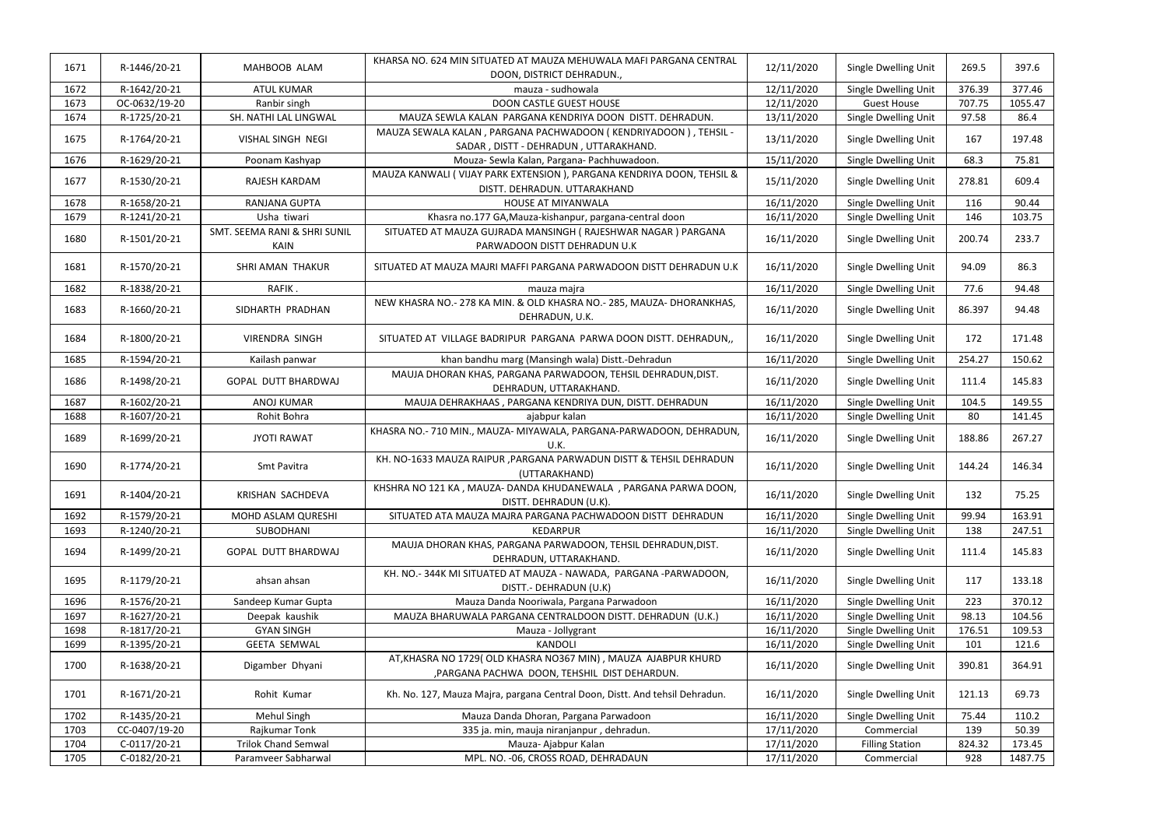| 1671 | R-1446/20-21  | MAHBOOB ALAM                 | KHARSA NO. 624 MIN SITUATED AT MAUZA MEHUWALA MAFI PARGANA CENTRAL                                             | 12/11/2020 | Single Dwelling Unit        | 269.5  | 397.6   |
|------|---------------|------------------------------|----------------------------------------------------------------------------------------------------------------|------------|-----------------------------|--------|---------|
|      |               |                              | DOON, DISTRICT DEHRADUN.,                                                                                      |            |                             |        |         |
| 1672 | R-1642/20-21  | <b>ATUL KUMAR</b>            | mauza - sudhowala                                                                                              | 12/11/2020 | Single Dwelling Unit        | 376.39 | 377.46  |
| 1673 | OC-0632/19-20 | Ranbir singh                 | <b>DOON CASTLE GUEST HOUSE</b>                                                                                 | 12/11/2020 | <b>Guest House</b>          | 707.75 | 1055.47 |
| 1674 | R-1725/20-21  | SH. NATHI LAL LINGWAL        | MAUZA SEWLA KALAN PARGANA KENDRIYA DOON DISTT. DEHRADUN.                                                       | 13/11/2020 | <b>Single Dwelling Unit</b> | 97.58  | 86.4    |
| 1675 | R-1764/20-21  | VISHAL SINGH NEGI            | MAUZA SEWALA KALAN, PARGANA PACHWADOON (KENDRIYADOON), TEHSIL -<br>SADAR, DISTT - DEHRADUN, UTTARAKHAND.       | 13/11/2020 | Single Dwelling Unit        | 167    | 197.48  |
| 1676 | R-1629/20-21  | Poonam Kashyap               | Mouza- Sewla Kalan, Pargana- Pachhuwadoon.                                                                     | 15/11/2020 | Single Dwelling Unit        | 68.3   | 75.81   |
| 1677 | R-1530/20-21  | RAJESH KARDAM                | MAUZA KANWALI (VIJAY PARK EXTENSION), PARGANA KENDRIYA DOON, TEHSIL &<br>DISTT. DEHRADUN. UTTARAKHAND          | 15/11/2020 | Single Dwelling Unit        | 278.81 | 609.4   |
| 1678 | R-1658/20-21  | RANJANA GUPTA                | HOUSE AT MIYANWALA                                                                                             | 16/11/2020 | Single Dwelling Unit        | 116    | 90.44   |
| 1679 | R-1241/20-21  | Usha tiwari                  | Khasra no.177 GA, Mauza-kishanpur, pargana-central doon                                                        | 16/11/2020 | Single Dwelling Unit        | 146    | 103.75  |
| 1680 | R-1501/20-21  | SMT. SEEMA RANI & SHRI SUNIL | SITUATED AT MAUZA GUJRADA MANSINGH (RAJESHWAR NAGAR) PARGANA                                                   | 16/11/2020 | Single Dwelling Unit        | 200.74 | 233.7   |
|      |               | <b>KAIN</b>                  | PARWADOON DISTT DEHRADUN U.K                                                                                   |            |                             |        |         |
| 1681 | R-1570/20-21  | SHRI AMAN THAKUR             | SITUATED AT MAUZA MAJRI MAFFI PARGANA PARWADOON DISTT DEHRADUN U.K                                             | 16/11/2020 | Single Dwelling Unit        | 94.09  | 86.3    |
| 1682 | R-1838/20-21  | RAFIK.                       | mauza majra                                                                                                    | 16/11/2020 | Single Dwelling Unit        | 77.6   | 94.48   |
| 1683 | R-1660/20-21  | SIDHARTH PRADHAN             | NEW KHASRA NO.- 278 KA MIN. & OLD KHASRA NO.- 285, MAUZA- DHORANKHAS,<br>DEHRADUN, U.K.                        | 16/11/2020 | Single Dwelling Unit        | 86.397 | 94.48   |
| 1684 | R-1800/20-21  | <b>VIRENDRA SINGH</b>        | SITUATED AT VILLAGE BADRIPUR PARGANA PARWA DOON DISTT. DEHRADUN,,                                              | 16/11/2020 | Single Dwelling Unit        | 172    | 171.48  |
| 1685 | R-1594/20-21  | Kailash panwar               | khan bandhu marg (Mansingh wala) Distt.-Dehradun                                                               | 16/11/2020 | Single Dwelling Unit        | 254.27 | 150.62  |
| 1686 | R-1498/20-21  | <b>GOPAL DUTT BHARDWAJ</b>   | MAUJA DHORAN KHAS, PARGANA PARWADOON, TEHSIL DEHRADUN, DIST.<br>DEHRADUN, UTTARAKHAND.                         | 16/11/2020 | Single Dwelling Unit        | 111.4  | 145.83  |
| 1687 | R-1602/20-21  | <b>ANOJ KUMAR</b>            | MAUJA DEHRAKHAAS, PARGANA KENDRIYA DUN, DISTT. DEHRADUN                                                        | 16/11/2020 | Single Dwelling Unit        | 104.5  | 149.55  |
| 1688 | R-1607/20-21  | Rohit Bohra                  | ajabpur kalan                                                                                                  | 16/11/2020 | Single Dwelling Unit        | 80     | 141.45  |
| 1689 | R-1699/20-21  | <b>JYOTI RAWAT</b>           | KHASRA NO.- 710 MIN., MAUZA- MIYAWALA, PARGANA-PARWADOON, DEHRADUN,<br>U.K.                                    | 16/11/2020 | Single Dwelling Unit        | 188.86 | 267.27  |
| 1690 | R-1774/20-21  | Smt Pavitra                  | KH. NO-1633 MAUZA RAIPUR , PARGANA PARWADUN DISTT & TEHSIL DEHRADUN<br>(UTTARAKHAND)                           | 16/11/2020 | Single Dwelling Unit        | 144.24 | 146.34  |
| 1691 | R-1404/20-21  | KRISHAN SACHDEVA             | KHSHRA NO 121 KA, MAUZA-DANDA KHUDANEWALA, PARGANA PARWA DOON,<br>DISTT. DEHRADUN (U.K).                       | 16/11/2020 | Single Dwelling Unit        | 132    | 75.25   |
| 1692 | R-1579/20-21  | MOHD ASLAM QURESHI           | SITUATED ATA MAUZA MAJRA PARGANA PACHWADOON DISTT DEHRADUN                                                     | 16/11/2020 | Single Dwelling Unit        | 99.94  | 163.91  |
| 1693 | R-1240/20-21  | <b>SUBODHANI</b>             | KEDARPUR                                                                                                       | 16/11/2020 | Single Dwelling Unit        | 138    | 247.51  |
| 1694 | R-1499/20-21  | <b>GOPAL DUTT BHARDWAJ</b>   | MAUJA DHORAN KHAS, PARGANA PARWADOON, TEHSIL DEHRADUN, DIST.<br>DEHRADUN, UTTARAKHAND.                         | 16/11/2020 | Single Dwelling Unit        | 111.4  | 145.83  |
| 1695 | R-1179/20-21  | ahsan ahsan                  | KH. NO.-344K MI SITUATED AT MAUZA - NAWADA, PARGANA -PARWADOON,<br>DISTT.- DEHRADUN (U.K)                      | 16/11/2020 | Single Dwelling Unit        | 117    | 133.18  |
| 1696 | R-1576/20-21  | Sandeep Kumar Gupta          | Mauza Danda Nooriwala, Pargana Parwadoon                                                                       | 16/11/2020 | Single Dwelling Unit        | 223    | 370.12  |
| 1697 | R-1627/20-21  | Deepak kaushik               | MAUZA BHARUWALA PARGANA CENTRALDOON DISTT. DEHRADUN (U.K.)                                                     | 16/11/2020 | Single Dwelling Unit        | 98.13  | 104.56  |
| 1698 | R-1817/20-21  | <b>GYAN SINGH</b>            | Mauza - Jollygrant                                                                                             | 16/11/2020 | Single Dwelling Unit        | 176.51 | 109.53  |
| 1699 | R-1395/20-21  | <b>GEETA SEMWAL</b>          | <b>KANDOLI</b>                                                                                                 | 16/11/2020 | Single Dwelling Unit        | 101    | 121.6   |
| 1700 | R-1638/20-21  | Digamber Dhyani              | AT, KHASRA NO 1729(OLD KHASRA NO367 MIN), MAUZA AJABPUR KHURD<br>, PARGANA PACHWA DOON, TEHSHIL DIST DEHARDUN. | 16/11/2020 | Single Dwelling Unit        | 390.81 | 364.91  |
| 1701 | R-1671/20-21  | Rohit Kumar                  | Kh. No. 127, Mauza Majra, pargana Central Doon, Distt. And tehsil Dehradun.                                    | 16/11/2020 | Single Dwelling Unit        | 121.13 | 69.73   |
| 1702 | R-1435/20-21  | <b>Mehul Singh</b>           | Mauza Danda Dhoran, Pargana Parwadoon                                                                          | 16/11/2020 | Single Dwelling Unit        | 75.44  | 110.2   |
| 1703 | CC-0407/19-20 | Rajkumar Tonk                | 335 ja. min, mauja niranjanpur, dehradun.                                                                      | 17/11/2020 | Commercial                  | 139    | 50.39   |
| 1704 | C-0117/20-21  | <b>Trilok Chand Semwal</b>   | Mauza- Ajabpur Kalan                                                                                           | 17/11/2020 | <b>Filling Station</b>      | 824.32 | 173.45  |
| 1705 | C-0182/20-21  | Paramveer Sabharwal          | MPL. NO. - 06, CROSS ROAD, DEHRADAUN                                                                           | 17/11/2020 | Commercial                  | 928    | 1487.75 |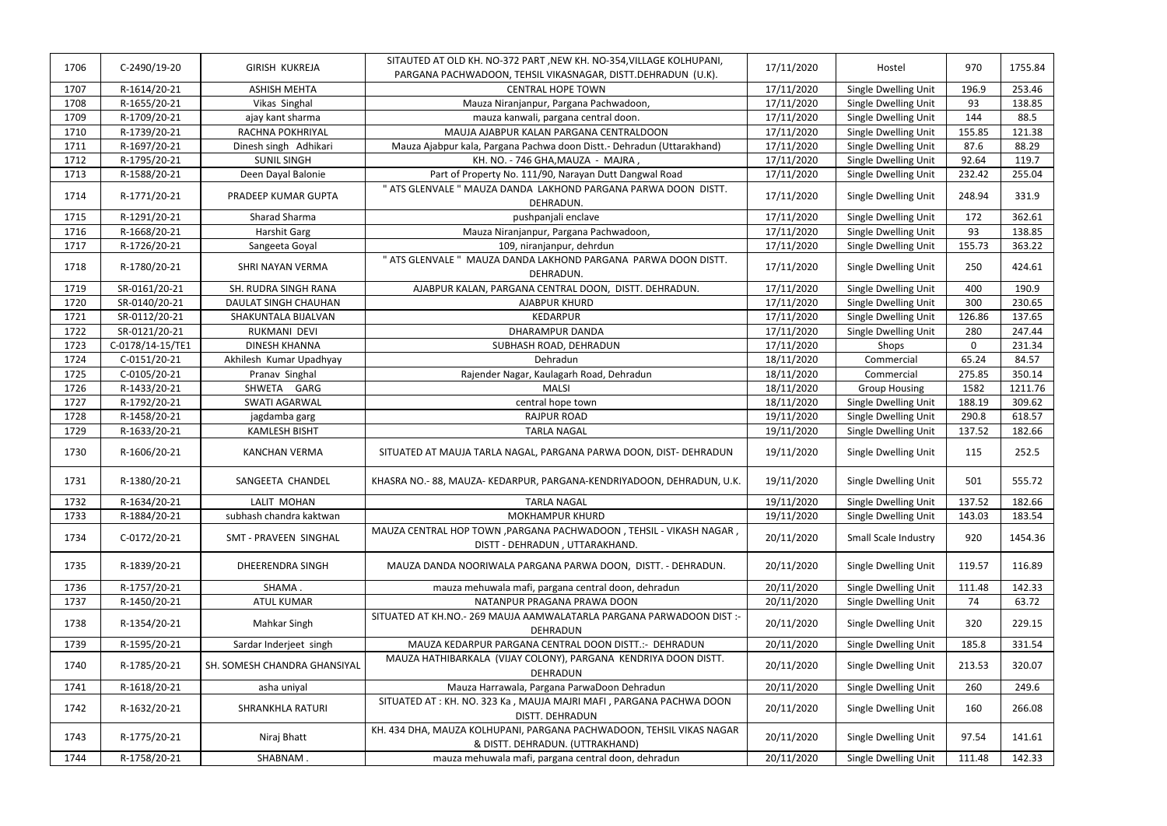| 1706 | C-2490/19-20     | <b>GIRISH KUKREJA</b>        | SITAUTED AT OLD KH. NO-372 PART, NEW KH. NO-354, VILLAGE KOLHUPANI,<br>PARGANA PACHWADOON, TEHSIL VIKASNAGAR, DISTT.DEHRADUN (U.K). | 17/11/2020 | Hostel                      | 970      | 1755.84 |
|------|------------------|------------------------------|-------------------------------------------------------------------------------------------------------------------------------------|------------|-----------------------------|----------|---------|
| 1707 | R-1614/20-21     | <b>ASHISH MEHTA</b>          | <b>CENTRAL HOPE TOWN</b>                                                                                                            | 17/11/2020 | Single Dwelling Unit        | 196.9    | 253.46  |
| 1708 | R-1655/20-21     | Vikas Singhal                | Mauza Niranjanpur, Pargana Pachwadoon,                                                                                              | 17/11/2020 | Single Dwelling Unit        | 93       | 138.85  |
| 1709 | R-1709/20-21     | ajay kant sharma             | mauza kanwali, pargana central doon.                                                                                                | 17/11/2020 | Single Dwelling Unit        | 144      | 88.5    |
| 1710 | R-1739/20-21     | RACHNA POKHRIYAL             | MAUJA AJABPUR KALAN PARGANA CENTRALDOON                                                                                             | 17/11/2020 | <b>Single Dwelling Unit</b> | 155.85   | 121.38  |
| 1711 | R-1697/20-21     | Dinesh singh Adhikari        | Mauza Ajabpur kala, Pargana Pachwa doon Distt.- Dehradun (Uttarakhand)                                                              | 17/11/2020 | Single Dwelling Unit        | 87.6     | 88.29   |
| 1712 | R-1795/20-21     | <b>SUNIL SINGH</b>           | KH. NO. - 746 GHA, MAUZA - MAJRA,                                                                                                   | 17/11/2020 | Single Dwelling Unit        | 92.64    | 119.7   |
|      |                  |                              | Part of Property No. 111/90, Narayan Dutt Dangwal Road                                                                              |            |                             |          |         |
| 1713 | R-1588/20-21     | Deen Dayal Balonie           |                                                                                                                                     | 17/11/2020 | Single Dwelling Unit        | 232.42   | 255.04  |
| 1714 | R-1771/20-21     | PRADEEP KUMAR GUPTA          | " ATS GLENVALE " MAUZA DANDA LAKHOND PARGANA PARWA DOON DISTT.<br>DEHRADUN.                                                         | 17/11/2020 | <b>Single Dwelling Unit</b> | 248.94   | 331.9   |
| 1715 | R-1291/20-21     | <b>Sharad Sharma</b>         | pushpanjali enclave                                                                                                                 | 17/11/2020 | Single Dwelling Unit        | 172      | 362.61  |
| 1716 | R-1668/20-21     | <b>Harshit Garg</b>          | Mauza Niranjanpur, Pargana Pachwadoon,                                                                                              | 17/11/2020 | Single Dwelling Unit        | 93       | 138.85  |
| 1717 | R-1726/20-21     | Sangeeta Goyal               | 109, niranjanpur, dehrdun                                                                                                           | 17/11/2020 | Single Dwelling Unit        | 155.73   | 363.22  |
|      |                  |                              | " ATS GLENVALE " MAUZA DANDA LAKHOND PARGANA PARWA DOON DISTT.                                                                      |            |                             |          |         |
| 1718 | R-1780/20-21     | SHRI NAYAN VERMA             | DEHRADUN.                                                                                                                           | 17/11/2020 | Single Dwelling Unit        | 250      | 424.61  |
| 1719 | SR-0161/20-21    | SH. RUDRA SINGH RANA         | AJABPUR KALAN, PARGANA CENTRAL DOON, DISTT. DEHRADUN.                                                                               | 17/11/2020 | Single Dwelling Unit        | 400      | 190.9   |
| 1720 | SR-0140/20-21    | DAULAT SINGH CHAUHAN         | <b>AJABPUR KHURD</b>                                                                                                                | 17/11/2020 | Single Dwelling Unit        | 300      | 230.65  |
| 1721 | SR-0112/20-21    | SHAKUNTALA BIJALVAN          | <b>KEDARPUR</b>                                                                                                                     | 17/11/2020 | Single Dwelling Unit        | 126.86   | 137.65  |
| 1722 | SR-0121/20-21    | RUKMANI DEVI                 | <b>DHARAMPUR DANDA</b>                                                                                                              | 17/11/2020 | Single Dwelling Unit        | 280      | 247.44  |
| 1723 | C-0178/14-15/TE1 | <b>DINESH KHANNA</b>         | SUBHASH ROAD, DEHRADUN                                                                                                              | 17/11/2020 | Shops                       | $\Omega$ | 231.34  |
| 1724 | C-0151/20-21     | Akhilesh Kumar Upadhyay      | Dehradun                                                                                                                            | 18/11/2020 | Commercial                  | 65.24    | 84.57   |
| 1725 | C-0105/20-21     | Pranav Singhal               | Rajender Nagar, Kaulagarh Road, Dehradun                                                                                            | 18/11/2020 | Commercial                  | 275.85   | 350.14  |
| 1726 | R-1433/20-21     | SHWETA GARG                  | <b>MALSI</b>                                                                                                                        | 18/11/2020 | <b>Group Housing</b>        | 1582     | 1211.76 |
| 1727 | R-1792/20-21     | <b>SWATI AGARWAL</b>         | central hope town                                                                                                                   | 18/11/2020 | <b>Single Dwelling Unit</b> | 188.19   | 309.62  |
| 1728 | R-1458/20-21     | jagdamba garg                | <b>RAJPUR ROAD</b>                                                                                                                  | 19/11/2020 | Single Dwelling Unit        | 290.8    | 618.57  |
| 1729 | R-1633/20-21     | <b>KAMLESH BISHT</b>         | <b>TARLA NAGAL</b>                                                                                                                  | 19/11/2020 | Single Dwelling Unit        | 137.52   | 182.66  |
| 1730 | R-1606/20-21     | <b>KANCHAN VERMA</b>         | SITUATED AT MAUJA TARLA NAGAL, PARGANA PARWA DOON, DIST- DEHRADUN                                                                   | 19/11/2020 | Single Dwelling Unit        | 115      | 252.5   |
| 1731 | R-1380/20-21     | SANGEETA CHANDEL             | KHASRA NO.-88, MAUZA-KEDARPUR, PARGANA-KENDRIYADOON, DEHRADUN, U.K.                                                                 | 19/11/2020 | Single Dwelling Unit        | 501      | 555.72  |
| 1732 | R-1634/20-21     | LALIT MOHAN                  | <b>TARLA NAGAL</b>                                                                                                                  | 19/11/2020 | Single Dwelling Unit        | 137.52   | 182.66  |
| 1733 | R-1884/20-21     | subhash chandra kaktwan      | <b>MOKHAMPUR KHURD</b>                                                                                                              | 19/11/2020 | Single Dwelling Unit        | 143.03   | 183.54  |
| 1734 | C-0172/20-21     | SMT - PRAVEEN SINGHAL        | MAUZA CENTRAL HOP TOWN , PARGANA PACHWADOON, TEHSIL - VIKASH NAGAR,<br>DISTT - DEHRADUN, UTTARAKHAND.                               | 20/11/2020 | <b>Small Scale Industry</b> | 920      | 1454.36 |
| 1735 | R-1839/20-21     | <b>DHEERENDRA SINGH</b>      | MAUZA DANDA NOORIWALA PARGANA PARWA DOON, DISTT. - DEHRADUN.                                                                        | 20/11/2020 | Single Dwelling Unit        | 119.57   | 116.89  |
| 1736 | R-1757/20-21     | SHAMA.                       | mauza mehuwala mafi, pargana central doon, dehradun                                                                                 | 20/11/2020 | Single Dwelling Unit        | 111.48   | 142.33  |
| 1737 | R-1450/20-21     | <b>ATUL KUMAR</b>            | NATANPUR PRAGANA PRAWA DOON                                                                                                         | 20/11/2020 | Single Dwelling Unit        | 74       | 63.72   |
| 1738 | R-1354/20-21     | Mahkar Singh                 | SITUATED AT KH.NO.- 269 MAUJA AAMWALATARLA PARGANA PARWADOON DIST :-<br><b>DEHRADUN</b>                                             | 20/11/2020 | Single Dwelling Unit        | 320      | 229.15  |
| 1739 | R-1595/20-21     | Sardar Inderjeet singh       | MAUZA KEDARPUR PARGANA CENTRAL DOON DISTT.:- DEHRADUN                                                                               | 20/11/2020 | Single Dwelling Unit        | 185.8    | 331.54  |
| 1740 | R-1785/20-21     | SH. SOMESH CHANDRA GHANSIYAL | MAUZA HATHIBARKALA (VIJAY COLONY), PARGANA KENDRIYA DOON DISTT.<br>DEHRADUN                                                         | 20/11/2020 | Single Dwelling Unit        | 213.53   | 320.07  |
| 1741 | R-1618/20-21     | asha uniyal                  | Mauza Harrawala, Pargana ParwaDoon Dehradun                                                                                         | 20/11/2020 | Single Dwelling Unit        | 260      | 249.6   |
| 1742 | R-1632/20-21     | <b>SHRANKHLA RATURI</b>      | SITUATED AT: KH. NO. 323 Ka, MAUJA MAJRI MAFI, PARGANA PACHWA DOON<br>DISTT. DEHRADUN                                               | 20/11/2020 | Single Dwelling Unit        | 160      | 266.08  |
| 1743 | R-1775/20-21     | Niraj Bhatt                  | KH. 434 DHA, MAUZA KOLHUPANI, PARGANA PACHWADOON, TEHSIL VIKAS NAGAR<br>& DISTT. DEHRADUN. (UTTRAKHAND)                             | 20/11/2020 | Single Dwelling Unit        | 97.54    | 141.61  |
| 1744 | R-1758/20-21     | SHABNAM.                     | mauza mehuwala mafi, pargana central doon, dehradun                                                                                 | 20/11/2020 | Single Dwelling Unit        | 111.48   | 142.33  |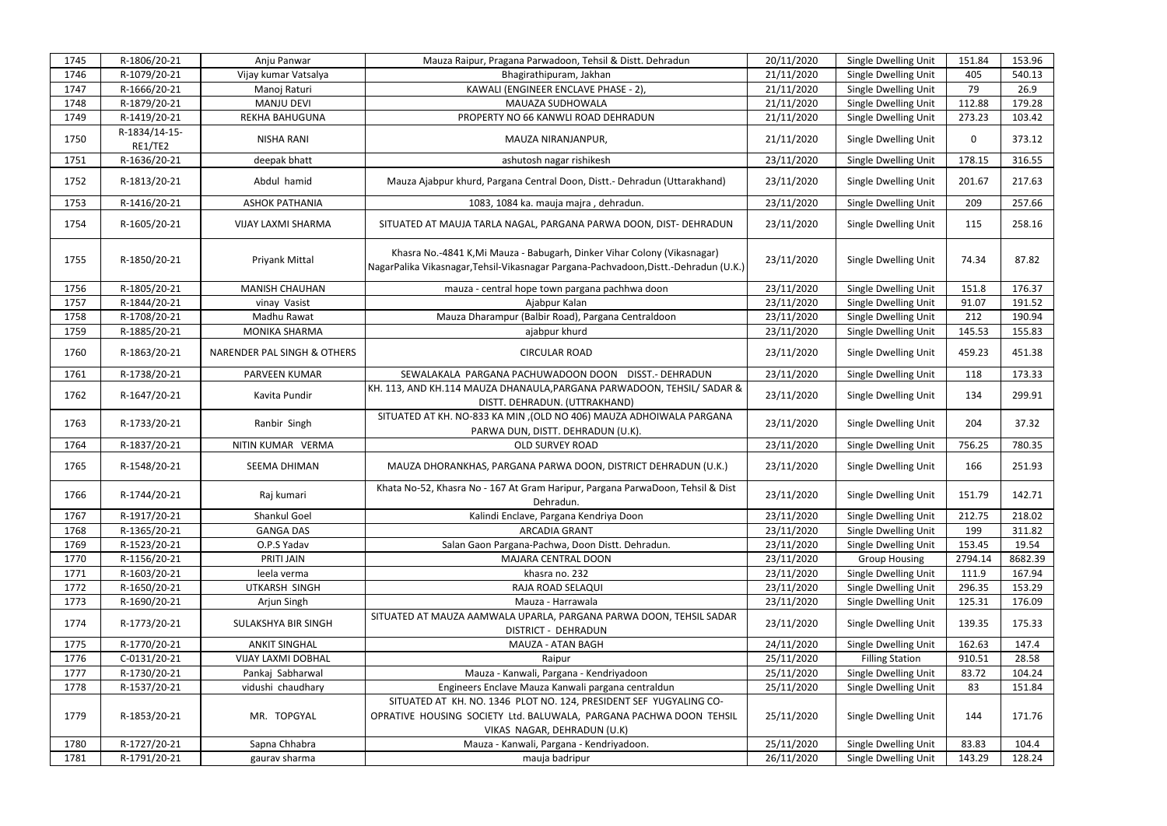| 1745 | R-1806/20-21             | Anju Panwar                            | Mauza Raipur, Pragana Parwadoon, Tehsil & Distt. Dehradun                                                                                                               | 20/11/2020 | Single Dwelling Unit   | 151.84      | 153.96  |
|------|--------------------------|----------------------------------------|-------------------------------------------------------------------------------------------------------------------------------------------------------------------------|------------|------------------------|-------------|---------|
| 1746 | R-1079/20-21             | Vijay kumar Vatsalya                   | Bhagirathipuram, Jakhan                                                                                                                                                 | 21/11/2020 | Single Dwelling Unit   | 405         | 540.13  |
| 1747 | R-1666/20-21             | Manoj Raturi                           | KAWALI (ENGINEER ENCLAVE PHASE - 2),                                                                                                                                    | 21/11/2020 | Single Dwelling Unit   | 79          | 26.9    |
| 1748 | R-1879/20-21             | <b>MANJU DEVI</b>                      | MAUAZA SUDHOWALA                                                                                                                                                        | 21/11/2020 | Single Dwelling Unit   | 112.88      | 179.28  |
| 1749 | R-1419/20-21             | REKHA BAHUGUNA                         | PROPERTY NO 66 KANWLI ROAD DEHRADUN                                                                                                                                     | 21/11/2020 | Single Dwelling Unit   | 273.23      | 103.42  |
| 1750 | R-1834/14-15-<br>RE1/TE2 | <b>NISHA RANI</b>                      | MAUZA NIRANJANPUR,                                                                                                                                                      | 21/11/2020 | Single Dwelling Unit   | $\mathbf 0$ | 373.12  |
| 1751 | R-1636/20-21             | deepak bhatt                           | ashutosh nagar rishikesh                                                                                                                                                | 23/11/2020 | Single Dwelling Unit   | 178.15      | 316.55  |
| 1752 | R-1813/20-21             | Abdul hamid                            | Mauza Ajabpur khurd, Pargana Central Doon, Distt.- Dehradun (Uttarakhand)                                                                                               | 23/11/2020 | Single Dwelling Unit   | 201.67      | 217.63  |
| 1753 | R-1416/20-21             | <b>ASHOK PATHANIA</b>                  | 1083, 1084 ka. mauja majra, dehradun.                                                                                                                                   | 23/11/2020 | Single Dwelling Unit   | 209         | 257.66  |
| 1754 | R-1605/20-21             | VIJAY LAXMI SHARMA                     | SITUATED AT MAUJA TARLA NAGAL, PARGANA PARWA DOON, DIST- DEHRADUN                                                                                                       | 23/11/2020 | Single Dwelling Unit   | 115         | 258.16  |
| 1755 | R-1850/20-21             | Priyank Mittal                         | Khasra No.-4841 K, Mi Mauza - Babugarh, Dinker Vihar Colony (Vikasnagar)<br>NagarPalika Vikasnagar, Tehsil-Vikasnagar Pargana-Pachvadoon, Distt.-Dehradun (U.K.)        | 23/11/2020 | Single Dwelling Unit   | 74.34       | 87.82   |
| 1756 | R-1805/20-21             | <b>MANISH CHAUHAN</b>                  | mauza - central hope town pargana pachhwa doon                                                                                                                          | 23/11/2020 | Single Dwelling Unit   | 151.8       | 176.37  |
| 1757 | R-1844/20-21             | vinay Vasist                           | Ajabpur Kalan                                                                                                                                                           | 23/11/2020 | Single Dwelling Unit   | 91.07       | 191.52  |
| 1758 | R-1708/20-21             | Madhu Rawat                            | Mauza Dharampur (Balbir Road), Pargana Centraldoon                                                                                                                      | 23/11/2020 | Single Dwelling Unit   | 212         | 190.94  |
| 1759 | R-1885/20-21             | <b>MONIKA SHARMA</b>                   | ajabpur khurd                                                                                                                                                           | 23/11/2020 | Single Dwelling Unit   | 145.53      | 155.83  |
| 1760 | R-1863/20-21             | <b>NARENDER PAL SINGH &amp; OTHERS</b> | <b>CIRCULAR ROAD</b>                                                                                                                                                    | 23/11/2020 | Single Dwelling Unit   | 459.23      | 451.38  |
| 1761 | R-1738/20-21             | PARVEEN KUMAR                          | SEWALAKALA PARGANA PACHUWADOON DOON DISST.- DEHRADUN                                                                                                                    | 23/11/2020 | Single Dwelling Unit   | 118         | 173.33  |
| 1762 | R-1647/20-21             | Kavita Pundir                          | KH. 113, AND KH.114 MAUZA DHANAULA, PARGANA PARWADOON, TEHSIL/ SADAR &<br>DISTT. DEHRADUN. (UTTRAKHAND)                                                                 | 23/11/2020 | Single Dwelling Unit   | 134         | 299.91  |
| 1763 | R-1733/20-21             | Ranbir Singh                           | SITUATED AT KH. NO-833 KA MIN ,(OLD NO 406) MAUZA ADHOIWALA PARGANA<br>PARWA DUN, DISTT. DEHRADUN (U.K).                                                                | 23/11/2020 | Single Dwelling Unit   | 204         | 37.32   |
| 1764 | R-1837/20-21             | NITIN KUMAR VERMA                      | <b>OLD SURVEY ROAD</b>                                                                                                                                                  | 23/11/2020 | Single Dwelling Unit   | 756.25      | 780.35  |
| 1765 | R-1548/20-21             | SEEMA DHIMAN                           | MAUZA DHORANKHAS, PARGANA PARWA DOON, DISTRICT DEHRADUN (U.K.)                                                                                                          | 23/11/2020 | Single Dwelling Unit   | 166         | 251.93  |
| 1766 | R-1744/20-21             | Raj kumari                             | Khata No-52, Khasra No - 167 At Gram Haripur, Pargana ParwaDoon, Tehsil & Dist<br>Dehradun.                                                                             | 23/11/2020 | Single Dwelling Unit   | 151.79      | 142.71  |
| 1767 | R-1917/20-21             | Shankul Goel                           | Kalindi Enclave, Pargana Kendriya Doon                                                                                                                                  | 23/11/2020 | Single Dwelling Unit   | 212.75      | 218.02  |
| 1768 | R-1365/20-21             | <b>GANGA DAS</b>                       | ARCADIA GRANT                                                                                                                                                           | 23/11/2020 | Single Dwelling Unit   | 199         | 311.82  |
| 1769 | R-1523/20-21             | O.P.S Yadav                            | Salan Gaon Pargana-Pachwa, Doon Distt. Dehradun.                                                                                                                        | 23/11/2020 | Single Dwelling Unit   | 153.45      | 19.54   |
| 1770 | R-1156/20-21             | PRITI JAIN                             | MAJARA CENTRAL DOON                                                                                                                                                     | 23/11/2020 | <b>Group Housing</b>   | 2794.14     | 8682.39 |
| 1771 | R-1603/20-21             | leela verma                            | khasra no. 232                                                                                                                                                          | 23/11/2020 | Single Dwelling Unit   | 111.9       | 167.94  |
| 1772 | R-1650/20-21             | UTKARSH SINGH                          | RAJA ROAD SELAQUI                                                                                                                                                       | 23/11/2020 | Single Dwelling Unit   | 296.35      | 153.29  |
| 1773 | R-1690/20-21             | Arjun Singh                            | Mauza - Harrawala                                                                                                                                                       | 23/11/2020 | Single Dwelling Unit   | 125.31      | 176.09  |
| 1774 | R-1773/20-21             | SULAKSHYA BIR SINGH                    | SITUATED AT MAUZA AAMWALA UPARLA, PARGANA PARWA DOON, TEHSIL SADAR<br>DISTRICT - DEHRADUN                                                                               | 23/11/2020 | Single Dwelling Unit   | 139.35      | 175.33  |
| 1775 | R-1770/20-21             | <b>ANKIT SINGHAL</b>                   | MAUZA - ATAN BAGH                                                                                                                                                       | 24/11/2020 | Single Dwelling Unit   | 162.63      | 147.4   |
| 1776 | C-0131/20-21             | VIJAY LAXMI DOBHAL                     | Raipur                                                                                                                                                                  | 25/11/2020 | <b>Filling Station</b> | 910.51      | 28.58   |
| 1777 | R-1730/20-21             | Pankaj Sabharwal                       | Mauza - Kanwali, Pargana - Kendriyadoon                                                                                                                                 | 25/11/2020 | Single Dwelling Unit   | 83.72       | 104.24  |
| 1778 | R-1537/20-21             | vidushi chaudhary                      | Engineers Enclave Mauza Kanwali pargana centraldun                                                                                                                      | 25/11/2020 | Single Dwelling Unit   | 83          | 151.84  |
| 1779 | R-1853/20-21             | MR. TOPGYAL                            | SITUATED AT KH. NO. 1346 PLOT NO. 124, PRESIDENT SEF YUGYALING CO-<br>OPRATIVE HOUSING SOCIETY Ltd. BALUWALA, PARGANA PACHWA DOON TEHSIL<br>VIKAS NAGAR, DEHRADUN (U.K) | 25/11/2020 | Single Dwelling Unit   | 144         | 171.76  |
| 1780 | R-1727/20-21             | Sapna Chhabra                          | Mauza - Kanwali, Pargana - Kendriyadoon.                                                                                                                                | 25/11/2020 | Single Dwelling Unit   | 83.83       | 104.4   |
| 1781 | R-1791/20-21             | gaurav sharma                          | mauja badripur                                                                                                                                                          | 26/11/2020 | Single Dwelling Unit   | 143.29      | 128.24  |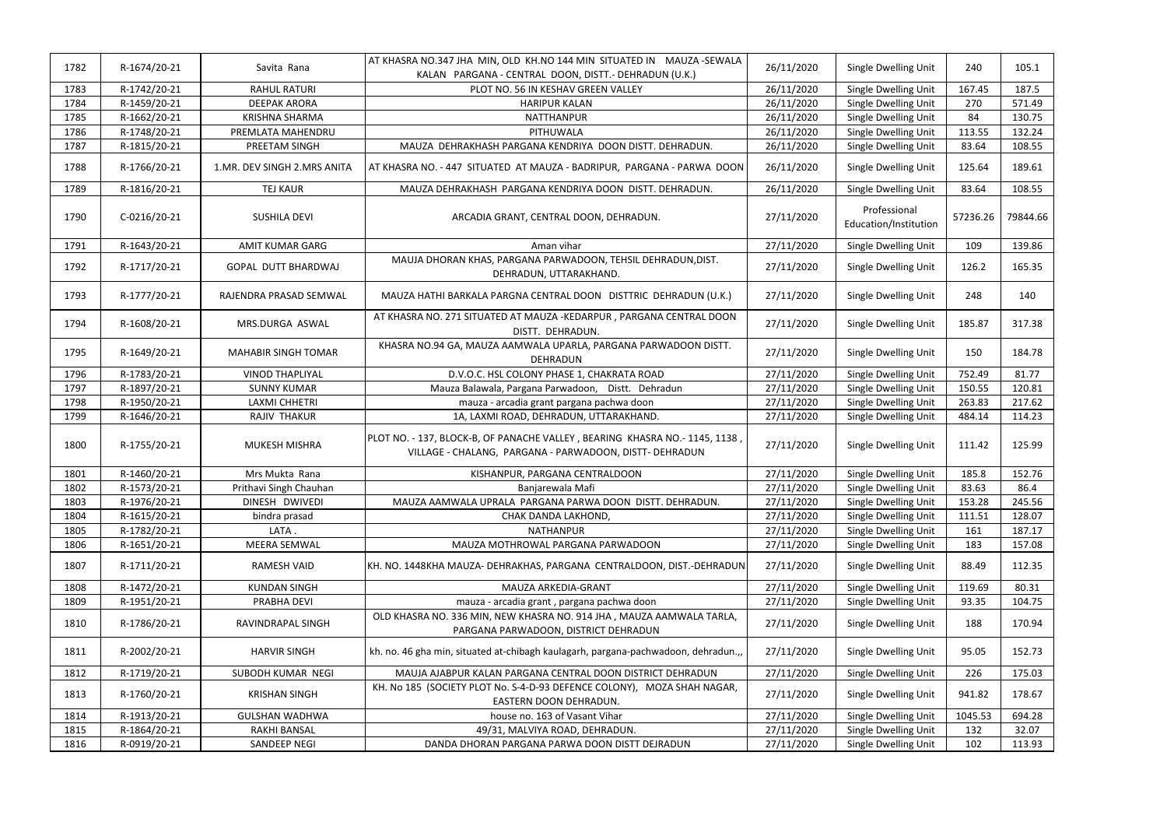|      |              |                             | AT KHASRA NO.347 JHA MIN, OLD KH.NO 144 MIN SITUATED IN MAUZA -SEWALA                                                                  |            |                                       |          |          |
|------|--------------|-----------------------------|----------------------------------------------------------------------------------------------------------------------------------------|------------|---------------------------------------|----------|----------|
| 1782 | R-1674/20-21 | Savita Rana                 | KALAN PARGANA - CENTRAL DOON, DISTT. - DEHRADUN (U.K.)                                                                                 | 26/11/2020 | Single Dwelling Unit                  | 240      | 105.1    |
| 1783 | R-1742/20-21 | <b>RAHUL RATURI</b>         | PLOT NO. 56 IN KESHAV GREEN VALLEY                                                                                                     | 26/11/2020 | Single Dwelling Unit                  | 167.45   | 187.5    |
| 1784 | R-1459/20-21 | <b>DEEPAK ARORA</b>         | <b>HARIPUR KALAN</b>                                                                                                                   | 26/11/2020 | Single Dwelling Unit                  | 270      | 571.49   |
| 1785 | R-1662/20-21 | <b>KRISHNA SHARMA</b>       | <b>NATTHANPUR</b>                                                                                                                      | 26/11/2020 | Single Dwelling Unit                  | 84       | 130.75   |
| 1786 | R-1748/20-21 | PREMLATA MAHENDRU           | PITHUWALA                                                                                                                              | 26/11/2020 | Single Dwelling Unit                  | 113.55   | 132.24   |
| 1787 | R-1815/20-21 | PREETAM SINGH               | MAUZA DEHRAKHASH PARGANA KENDRIYA DOON DISTT. DEHRADUN.                                                                                | 26/11/2020 | Single Dwelling Unit                  | 83.64    | 108.55   |
| 1788 | R-1766/20-21 | 1.MR. DEV SINGH 2.MRS ANITA | AT KHASRA NO. - 447 SITUATED AT MAUZA - BADRIPUR, PARGANA - PARWA DOON                                                                 | 26/11/2020 | Single Dwelling Unit                  | 125.64   | 189.61   |
| 1789 | R-1816/20-21 | <b>TEJ KAUR</b>             | MAUZA DEHRAKHASH PARGANA KENDRIYA DOON DISTT. DEHRADUN.                                                                                | 26/11/2020 | Single Dwelling Unit                  | 83.64    | 108.55   |
| 1790 | C-0216/20-21 | <b>SUSHILA DEVI</b>         | ARCADIA GRANT, CENTRAL DOON, DEHRADUN.                                                                                                 | 27/11/2020 | Professional<br>Education/Institution | 57236.26 | 79844.66 |
| 1791 | R-1643/20-21 | <b>AMIT KUMAR GARG</b>      | Aman vihar                                                                                                                             | 27/11/2020 | Single Dwelling Unit                  | 109      | 139.86   |
| 1792 | R-1717/20-21 | <b>GOPAL DUTT BHARDWAJ</b>  | MAUJA DHORAN KHAS, PARGANA PARWADOON, TEHSIL DEHRADUN, DIST.<br>DEHRADUN, UTTARAKHAND.                                                 | 27/11/2020 | Single Dwelling Unit                  | 126.2    | 165.35   |
| 1793 | R-1777/20-21 | RAJENDRA PRASAD SEMWAL      | MAUZA HATHI BARKALA PARGNA CENTRAL DOON DISTTRIC DEHRADUN (U.K.)                                                                       | 27/11/2020 | Single Dwelling Unit                  | 248      | 140      |
| 1794 | R-1608/20-21 | MRS.DURGA ASWAL             | AT KHASRA NO. 271 SITUATED AT MAUZA -KEDARPUR, PARGANA CENTRAL DOON<br>DISTT. DEHRADUN.                                                | 27/11/2020 | Single Dwelling Unit                  | 185.87   | 317.38   |
| 1795 | R-1649/20-21 | <b>MAHABIR SINGH TOMAR</b>  | KHASRA NO.94 GA, MAUZA AAMWALA UPARLA, PARGANA PARWADOON DISTT.<br>DEHRADUN                                                            | 27/11/2020 | Single Dwelling Unit                  | 150      | 184.78   |
| 1796 | R-1783/20-21 | <b>VINOD THAPLIYAL</b>      | D.V.O.C. HSL COLONY PHASE 1, CHAKRATA ROAD                                                                                             | 27/11/2020 | Single Dwelling Unit                  | 752.49   | 81.77    |
| 1797 | R-1897/20-21 | <b>SUNNY KUMAR</b>          | Mauza Balawala, Pargana Parwadoon, Distt. Dehradun                                                                                     | 27/11/2020 | Single Dwelling Unit                  | 150.55   | 120.81   |
| 1798 | R-1950/20-21 | <b>LAXMI CHHETRI</b>        | mauza - arcadia grant pargana pachwa doon                                                                                              | 27/11/2020 | Single Dwelling Unit                  | 263.83   | 217.62   |
| 1799 | R-1646/20-21 | RAJIV THAKUR                | 1A, LAXMI ROAD, DEHRADUN, UTTARAKHAND.                                                                                                 | 27/11/2020 | Single Dwelling Unit                  | 484.14   | 114.23   |
| 1800 | R-1755/20-21 | <b>MUKESH MISHRA</b>        | PLOT NO. - 137, BLOCK-B, OF PANACHE VALLEY, BEARING KHASRA NO.- 1145, 1138,<br>VILLAGE - CHALANG, PARGANA - PARWADOON, DISTT- DEHRADUN | 27/11/2020 | Single Dwelling Unit                  | 111.42   | 125.99   |
| 1801 | R-1460/20-21 | Mrs Mukta Rana              | KISHANPUR, PARGANA CENTRALDOON                                                                                                         | 27/11/2020 | Single Dwelling Unit                  | 185.8    | 152.76   |
| 1802 | R-1573/20-21 | Prithavi Singh Chauhan      | Banjarewala Mafi                                                                                                                       | 27/11/2020 | Single Dwelling Unit                  | 83.63    | 86.4     |
| 1803 | R-1976/20-21 | DINESH DWIVEDI              | MAUZA AAMWALA UPRALA PARGANA PARWA DOON DISTT. DEHRADUN.                                                                               | 27/11/2020 | Single Dwelling Unit                  | 153.28   | 245.56   |
| 1804 | R-1615/20-21 | bindra prasad               | CHAK DANDA LAKHOND,                                                                                                                    | 27/11/2020 | Single Dwelling Unit                  | 111.51   | 128.07   |
| 1805 | R-1782/20-21 | LATA.                       | <b>NATHANPUR</b>                                                                                                                       | 27/11/2020 | Single Dwelling Unit                  | 161      | 187.17   |
| 1806 | R-1651/20-21 | MEERA SEMWAL                | MAUZA MOTHROWAL PARGANA PARWADOON                                                                                                      | 27/11/2020 | Single Dwelling Unit                  | 183      | 157.08   |
| 1807 | R-1711/20-21 | <b>RAMESH VAID</b>          | KH. NO. 1448KHA MAUZA- DEHRAKHAS, PARGANA CENTRALDOON, DIST.-DEHRADUN                                                                  | 27/11/2020 | Single Dwelling Unit                  | 88.49    | 112.35   |
| 1808 | R-1472/20-21 | <b>KUNDAN SINGH</b>         | MAUZA ARKEDIA-GRANT                                                                                                                    | 27/11/2020 | Single Dwelling Unit                  | 119.69   | 80.31    |
| 1809 | R-1951/20-21 | PRABHA DEVI                 | mauza - arcadia grant, pargana pachwa doon                                                                                             | 27/11/2020 | Single Dwelling Unit                  | 93.35    | 104.75   |
| 1810 | R-1786/20-21 | RAVINDRAPAL SINGH           | OLD KHASRA NO. 336 MIN, NEW KHASRA NO. 914 JHA, MAUZA AAMWALA TARLA,<br>PARGANA PARWADOON, DISTRICT DEHRADUN                           | 27/11/2020 | Single Dwelling Unit                  | 188      | 170.94   |
| 1811 | R-2002/20-21 | <b>HARVIR SINGH</b>         | kh. no. 46 gha min, situated at-chibagh kaulagarh, pargana-pachwadoon, dehradun.,,                                                     | 27/11/2020 | Single Dwelling Unit                  | 95.05    | 152.73   |
| 1812 | R-1719/20-21 | SUBODH KUMAR NEGI           | MAUJA AJABPUR KALAN PARGANA CENTRAL DOON DISTRICT DEHRADUN                                                                             | 27/11/2020 | Single Dwelling Unit                  | 226      | 175.03   |
| 1813 | R-1760/20-21 | <b>KRISHAN SINGH</b>        | KH. No 185 (SOCIETY PLOT No. S-4-D-93 DEFENCE COLONY), MOZA SHAH NAGAR,<br>EASTERN DOON DEHRADUN.                                      | 27/11/2020 | Single Dwelling Unit                  | 941.82   | 178.67   |
| 1814 | R-1913/20-21 | <b>GULSHAN WADHWA</b>       | house no. 163 of Vasant Vihar                                                                                                          | 27/11/2020 | Single Dwelling Unit                  | 1045.53  | 694.28   |
| 1815 | R-1864/20-21 | RAKHI BANSAL                | 49/31, MALVIYA ROAD, DEHRADUN.                                                                                                         | 27/11/2020 | Single Dwelling Unit                  | 132      | 32.07    |
| 1816 | R-0919/20-21 | SANDEEP NEGI                | DANDA DHORAN PARGANA PARWA DOON DISTT DEJRADUN                                                                                         | 27/11/2020 | Single Dwelling Unit                  | 102      | 113.93   |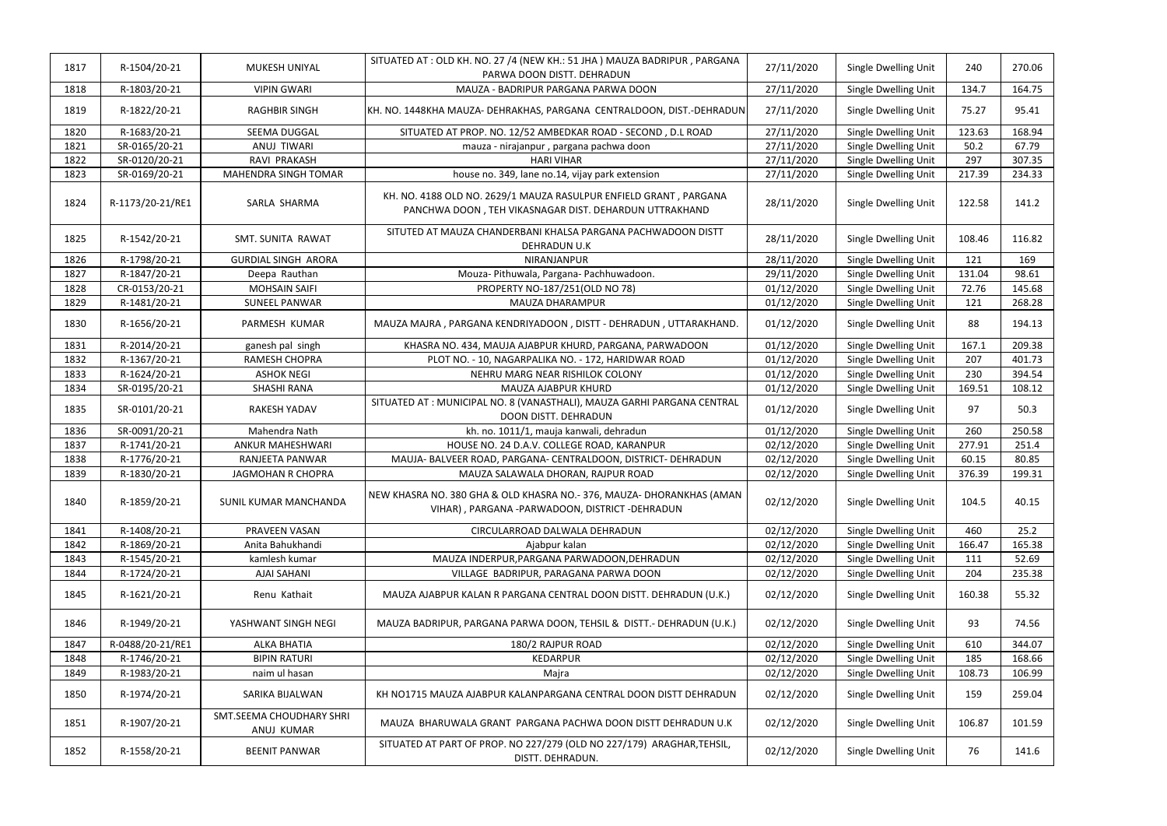| 1817 | R-1504/20-21     | MUKESH UNIYAL                          | SITUATED AT : OLD KH. NO. 27 /4 (NEW KH.: 51 JHA ) MAUZA BADRIPUR, PARGANA<br>PARWA DOON DISTT. DEHRADUN                    | 27/11/2020 | Single Dwelling Unit | 240    | 270.06 |
|------|------------------|----------------------------------------|-----------------------------------------------------------------------------------------------------------------------------|------------|----------------------|--------|--------|
| 1818 | R-1803/20-21     | <b>VIPIN GWARI</b>                     | MAUZA - BADRIPUR PARGANA PARWA DOON                                                                                         | 27/11/2020 | Single Dwelling Unit | 134.7  | 164.75 |
| 1819 | R-1822/20-21     | <b>RAGHBIR SINGH</b>                   | KH. NO. 1448KHA MAUZA- DEHRAKHAS, PARGANA CENTRALDOON, DIST.-DEHRADUN                                                       | 27/11/2020 | Single Dwelling Unit | 75.27  | 95.41  |
| 1820 | R-1683/20-21     | SEEMA DUGGAL                           | SITUATED AT PROP. NO. 12/52 AMBEDKAR ROAD - SECOND, D.L ROAD                                                                | 27/11/2020 | Single Dwelling Unit | 123.63 | 168.94 |
| 1821 | SR-0165/20-21    | ANUJ TIWARI                            | mauza - nirajanpur, pargana pachwa doon                                                                                     | 27/11/2020 | Single Dwelling Unit | 50.2   | 67.79  |
| 1822 | SR-0120/20-21    | RAVI PRAKASH                           | <b>HARI VIHAR</b>                                                                                                           | 27/11/2020 | Single Dwelling Unit | 297    | 307.35 |
| 1823 | SR-0169/20-21    | <b>MAHENDRA SINGH TOMAR</b>            | house no. 349, lane no.14, vijay park extension                                                                             | 27/11/2020 | Single Dwelling Unit | 217.39 | 234.33 |
| 1824 | R-1173/20-21/RE1 | SARLA SHARMA                           | KH. NO. 4188 OLD NO. 2629/1 MAUZA RASULPUR ENFIELD GRANT, PARGANA<br>PANCHWA DOON, TEH VIKASNAGAR DIST. DEHARDUN UTTRAKHAND | 28/11/2020 | Single Dwelling Unit | 122.58 | 141.2  |
| 1825 | R-1542/20-21     | SMT. SUNITA RAWAT                      | SITUTED AT MAUZA CHANDERBANI KHALSA PARGANA PACHWADOON DISTT<br><b>DEHRADUN U.K</b>                                         | 28/11/2020 | Single Dwelling Unit | 108.46 | 116.82 |
| 1826 | R-1798/20-21     | <b>GURDIAL SINGH ARORA</b>             | NIRANJANPUR                                                                                                                 | 28/11/2020 | Single Dwelling Unit | 121    | 169    |
| 1827 | R-1847/20-21     | Deepa Rauthan                          | Mouza- Pithuwala, Pargana- Pachhuwadoon.                                                                                    | 29/11/2020 | Single Dwelling Unit | 131.04 | 98.61  |
| 1828 | CR-0153/20-21    | <b>MOHSAIN SAIFI</b>                   | PROPERTY NO-187/251(OLD NO 78)                                                                                              | 01/12/2020 | Single Dwelling Unit | 72.76  | 145.68 |
| 1829 | R-1481/20-21     | <b>SUNEEL PANWAR</b>                   | MAUZA DHARAMPUR                                                                                                             | 01/12/2020 | Single Dwelling Unit | 121    | 268.28 |
| 1830 | R-1656/20-21     | PARMESH KUMAR                          | MAUZA MAJRA, PARGANA KENDRIYADOON, DISTT - DEHRADUN, UTTARAKHAND.                                                           | 01/12/2020 | Single Dwelling Unit | 88     | 194.13 |
| 1831 | R-2014/20-21     | ganesh pal singh                       | KHASRA NO. 434, MAUJA AJABPUR KHURD, PARGANA, PARWADOON                                                                     | 01/12/2020 | Single Dwelling Unit | 167.1  | 209.38 |
| 1832 | R-1367/20-21     | RAMESH CHOPRA                          | PLOT NO. - 10, NAGARPALIKA NO. - 172, HARIDWAR ROAD                                                                         | 01/12/2020 | Single Dwelling Unit | 207    | 401.73 |
| 1833 | R-1624/20-21     | <b>ASHOK NEGI</b>                      | NEHRU MARG NEAR RISHILOK COLONY                                                                                             | 01/12/2020 | Single Dwelling Unit | 230    | 394.54 |
| 1834 | SR-0195/20-21    | <b>SHASHI RANA</b>                     | MAUZA AJABPUR KHURD                                                                                                         | 01/12/2020 | Single Dwelling Unit | 169.51 | 108.12 |
| 1835 | SR-0101/20-21    | <b>RAKESH YADAV</b>                    | SITUATED AT : MUNICIPAL NO. 8 (VANASTHALI), MAUZA GARHI PARGANA CENTRAL<br>DOON DISTT. DEHRADUN                             | 01/12/2020 | Single Dwelling Unit | 97     | 50.3   |
| 1836 | SR-0091/20-21    | Mahendra Nath                          | kh. no. 1011/1, mauja kanwali, dehradun                                                                                     | 01/12/2020 | Single Dwelling Unit | 260    | 250.58 |
| 1837 | R-1741/20-21     | <b>ANKUR MAHESHWARI</b>                | HOUSE NO. 24 D.A.V. COLLEGE ROAD, KARANPUR                                                                                  | 02/12/2020 | Single Dwelling Unit | 277.91 | 251.4  |
| 1838 | R-1776/20-21     | RANJEETA PANWAR                        | MAUJA- BALVEER ROAD, PARGANA- CENTRALDOON, DISTRICT- DEHRADUN                                                               | 02/12/2020 | Single Dwelling Unit | 60.15  | 80.85  |
| 1839 | R-1830/20-21     | JAGMOHAN R CHOPRA                      | MAUZA SALAWALA DHORAN, RAJPUR ROAD                                                                                          | 02/12/2020 | Single Dwelling Unit | 376.39 | 199.31 |
| 1840 | R-1859/20-21     | SUNIL KUMAR MANCHANDA                  | NEW KHASRA NO. 380 GHA & OLD KHASRA NO.- 376, MAUZA- DHORANKHAS (AMAN)<br>VIHAR), PARGANA-PARWADOON, DISTRICT-DEHRADUN      | 02/12/2020 | Single Dwelling Unit | 104.5  | 40.15  |
| 1841 | R-1408/20-21     | PRAVEEN VASAN                          | CIRCULARROAD DALWALA DEHRADUN                                                                                               | 02/12/2020 | Single Dwelling Unit | 460    | 25.2   |
| 1842 | R-1869/20-21     | Anita Bahukhandi                       | Ajabpur kalan                                                                                                               | 02/12/2020 | Single Dwelling Unit | 166.47 | 165.38 |
| 1843 | R-1545/20-21     | kamlesh kumar                          | MAUZA INDERPUR, PARGANA PARWADOON, DEHRADUN                                                                                 | 02/12/2020 | Single Dwelling Unit | 111    | 52.69  |
| 1844 | R-1724/20-21     | <b>AJAI SAHANI</b>                     | VILLAGE BADRIPUR, PARAGANA PARWA DOON                                                                                       | 02/12/2020 | Single Dwelling Unit | 204    | 235.38 |
| 1845 | R-1621/20-21     | Renu Kathait                           | MAUZA AJABPUR KALAN R PARGANA CENTRAL DOON DISTT. DEHRADUN (U.K.)                                                           | 02/12/2020 | Single Dwelling Unit | 160.38 | 55.32  |
| 1846 | R-1949/20-21     | YASHWANT SINGH NEGI                    | MAUZA BADRIPUR, PARGANA PARWA DOON, TEHSIL & DISTT.- DEHRADUN (U.K.)                                                        | 02/12/2020 | Single Dwelling Unit | 93     | 74.56  |
| 1847 | R-0488/20-21/RE1 | <b>ALKA BHATIA</b>                     | 180/2 RAJPUR ROAD                                                                                                           | 02/12/2020 | Single Dwelling Unit | 610    | 344.07 |
| 1848 | R-1746/20-21     | <b>BIPIN RATURI</b>                    | <b>KEDARPUR</b>                                                                                                             | 02/12/2020 | Single Dwelling Unit | 185    | 168.66 |
| 1849 | R-1983/20-21     | naim ul hasan                          | Majra                                                                                                                       | 02/12/2020 | Single Dwelling Unit | 108.73 | 106.99 |
| 1850 | R-1974/20-21     | SARIKA BIJALWAN                        | KH NO1715 MAUZA AJABPUR KALANPARGANA CENTRAL DOON DISTT DEHRADUN                                                            | 02/12/2020 | Single Dwelling Unit | 159    | 259.04 |
| 1851 | R-1907/20-21     | SMT.SEEMA CHOUDHARY SHRI<br>ANUJ KUMAR | MAUZA BHARUWALA GRANT PARGANA PACHWA DOON DISTT DEHRADUN U.K                                                                | 02/12/2020 | Single Dwelling Unit | 106.87 | 101.59 |
| 1852 | R-1558/20-21     | <b>BEENIT PANWAR</b>                   | SITUATED AT PART OF PROP. NO 227/279 (OLD NO 227/179) ARAGHAR, TEHSIL,<br>DISTT. DEHRADUN.                                  | 02/12/2020 | Single Dwelling Unit | 76     | 141.6  |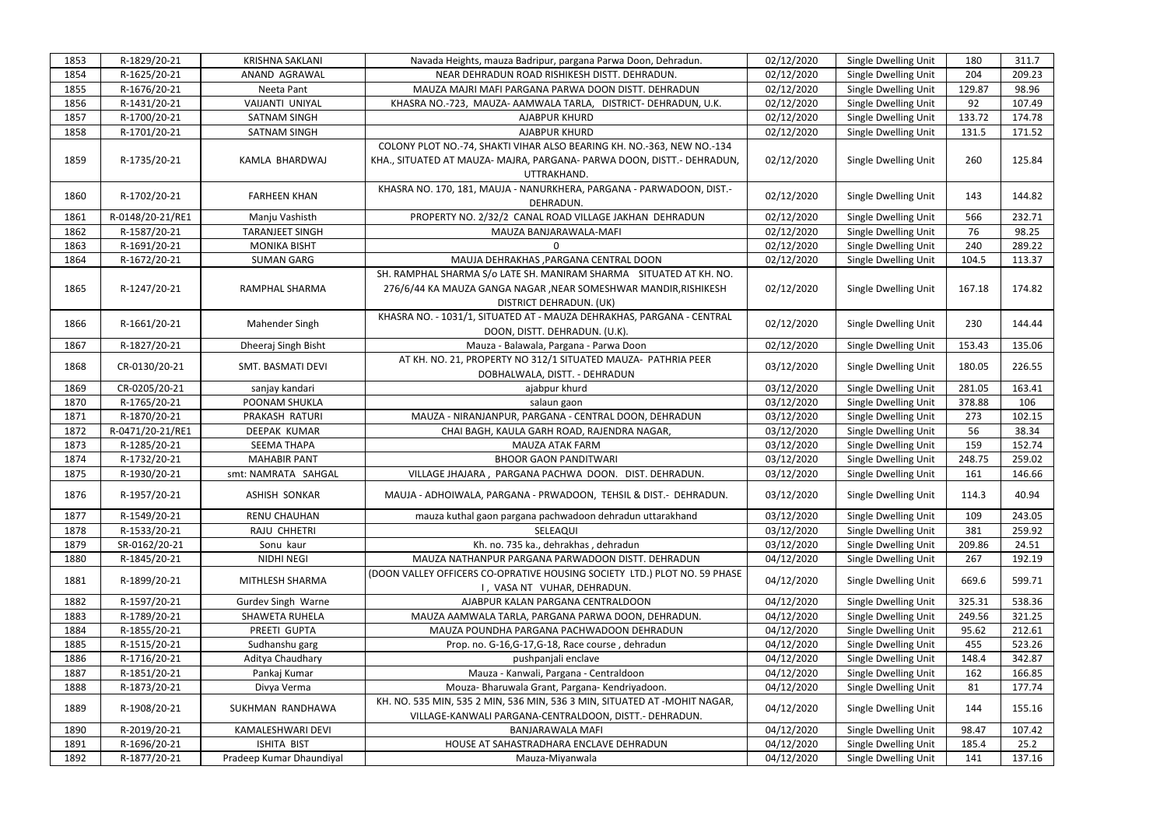| 1853 | R-1829/20-21     | <b>KRISHNA SAKLANI</b>    | Navada Heights, mauza Badripur, pargana Parwa Doon, Dehradun.                                                                                                    | 02/12/2020 | Single Dwelling Unit | 180    | 311.7  |
|------|------------------|---------------------------|------------------------------------------------------------------------------------------------------------------------------------------------------------------|------------|----------------------|--------|--------|
| 1854 | R-1625/20-21     | ANAND AGRAWAL             | NEAR DEHRADUN ROAD RISHIKESH DISTT. DEHRADUN.                                                                                                                    | 02/12/2020 | Single Dwelling Unit | 204    | 209.23 |
| 1855 | R-1676/20-21     | Neeta Pant                | MAUZA MAJRI MAFI PARGANA PARWA DOON DISTT. DEHRADUN                                                                                                              | 02/12/2020 | Single Dwelling Unit | 129.87 | 98.96  |
| 1856 | R-1431/20-21     | VAIJANTI UNIYAL           | KHASRA NO.-723, MAUZA-AAMWALA TARLA, DISTRICT- DEHRADUN, U.K.                                                                                                    | 02/12/2020 | Single Dwelling Unit | 92     | 107.49 |
| 1857 | R-1700/20-21     | <b>SATNAM SINGH</b>       | AJABPUR KHURD                                                                                                                                                    | 02/12/2020 | Single Dwelling Unit | 133.72 | 174.78 |
| 1858 | R-1701/20-21     | <b>SATNAM SINGH</b>       | <b>AJABPUR KHURD</b>                                                                                                                                             | 02/12/2020 | Single Dwelling Unit | 131.5  | 171.52 |
| 1859 | R-1735/20-21     | KAMLA BHARDWAJ            | COLONY PLOT NO.-74, SHAKTI VIHAR ALSO BEARING KH. NO.-363, NEW NO.-134<br>KHA., SITUATED AT MAUZA- MAJRA, PARGANA- PARWA DOON, DISTT.- DEHRADUN,<br>UTTRAKHAND.  | 02/12/2020 | Single Dwelling Unit | 260    | 125.84 |
| 1860 | R-1702/20-21     | <b>FARHEEN KHAN</b>       | KHASRA NO. 170, 181, MAUJA - NANURKHERA, PARGANA - PARWADOON, DIST.-<br>DEHRADUN.                                                                                | 02/12/2020 | Single Dwelling Unit | 143    | 144.82 |
| 1861 | R-0148/20-21/RE1 | Manju Vashisth            | PROPERTY NO. 2/32/2 CANAL ROAD VILLAGE JAKHAN DEHRADUN                                                                                                           | 02/12/2020 | Single Dwelling Unit | 566    | 232.71 |
| 1862 | R-1587/20-21     | <b>TARANJEET SINGH</b>    | MAUZA BANJARAWALA-MAFI                                                                                                                                           | 02/12/2020 | Single Dwelling Unit | 76     | 98.25  |
| 1863 | R-1691/20-21     | <b>MONIKA BISHT</b>       |                                                                                                                                                                  | 02/12/2020 | Single Dwelling Unit | 240    | 289.22 |
| 1864 | R-1672/20-21     | <b>SUMAN GARG</b>         | MAUJA DEHRAKHAS , PARGANA CENTRAL DOON                                                                                                                           | 02/12/2020 | Single Dwelling Unit | 104.5  | 113.37 |
| 1865 | R-1247/20-21     | RAMPHAL SHARMA            | SH. RAMPHAL SHARMA S/o LATE SH. MANIRAM SHARMA SITUATED AT KH. NO.<br>276/6/44 KA MAUZA GANGA NAGAR, NEAR SOMESHWAR MANDIR, RISHIKESH<br>DISTRICT DEHRADUN. (UK) | 02/12/2020 | Single Dwelling Unit | 167.18 | 174.82 |
| 1866 | R-1661/20-21     | <b>Mahender Singh</b>     | KHASRA NO. - 1031/1, SITUATED AT - MAUZA DEHRAKHAS, PARGANA - CENTRAL<br>DOON, DISTT. DEHRADUN. (U.K).                                                           | 02/12/2020 | Single Dwelling Unit | 230    | 144.44 |
| 1867 | R-1827/20-21     | Dheeraj Singh Bisht       | Mauza - Balawala, Pargana - Parwa Doon                                                                                                                           | 02/12/2020 | Single Dwelling Unit | 153.43 | 135.06 |
| 1868 | CR-0130/20-21    | SMT. BASMATI DEVI         | AT KH. NO. 21, PROPERTY NO 312/1 SITUATED MAUZA- PATHRIA PEER<br>DOBHALWALA, DISTT. - DEHRADUN                                                                   | 03/12/2020 | Single Dwelling Unit | 180.05 | 226.55 |
| 1869 | CR-0205/20-21    | sanjay kandari            | ajabpur khurd                                                                                                                                                    | 03/12/2020 | Single Dwelling Unit | 281.05 | 163.41 |
| 1870 | R-1765/20-21     | POONAM SHUKLA             | salaun gaon                                                                                                                                                      | 03/12/2020 | Single Dwelling Unit | 378.88 | 106    |
| 1871 | R-1870/20-21     | PRAKASH RATURI            | MAUZA - NIRANJANPUR, PARGANA - CENTRAL DOON, DEHRADUN                                                                                                            | 03/12/2020 | Single Dwelling Unit | 273    | 102.15 |
| 1872 | R-0471/20-21/RE1 | DEEPAK KUMAR              | CHAI BAGH, KAULA GARH ROAD, RAJENDRA NAGAR,                                                                                                                      | 03/12/2020 | Single Dwelling Unit | 56     | 38.34  |
| 1873 | R-1285/20-21     | <b>SEEMA THAPA</b>        | MAUZA ATAK FARM                                                                                                                                                  | 03/12/2020 | Single Dwelling Unit | 159    | 152.74 |
| 1874 | R-1732/20-21     | <b>MAHABIR PANT</b>       | <b>BHOOR GAON PANDITWARI</b>                                                                                                                                     | 03/12/2020 | Single Dwelling Unit | 248.75 | 259.02 |
| 1875 | R-1930/20-21     | smt: NAMRATA SAHGAL       | VILLAGE JHAJARA, PARGANA PACHWA DOON. DIST. DEHRADUN.                                                                                                            | 03/12/2020 | Single Dwelling Unit | 161    | 146.66 |
| 1876 | R-1957/20-21     | ASHISH SONKAR             | MAUJA - ADHOIWALA, PARGANA - PRWADOON, TEHSIL & DIST. - DEHRADUN.                                                                                                | 03/12/2020 | Single Dwelling Unit | 114.3  | 40.94  |
| 1877 | R-1549/20-21     | RENU CHAUHAN              | mauza kuthal gaon pargana pachwadoon dehradun uttarakhand                                                                                                        | 03/12/2020 | Single Dwelling Unit | 109    | 243.05 |
| 1878 | R-1533/20-21     | RAJU CHHETRI              | SELEAQUI                                                                                                                                                         | 03/12/2020 | Single Dwelling Unit | 381    | 259.92 |
| 1879 | SR-0162/20-21    | Sonu kaur                 | Kh. no. 735 ka., dehrakhas, dehradun                                                                                                                             | 03/12/2020 | Single Dwelling Unit | 209.86 | 24.51  |
| 1880 | R-1845/20-21     | NIDHI NEGI                | MAUZA NATHANPUR PARGANA PARWADOON DISTT. DEHRADUN                                                                                                                | 04/12/2020 | Single Dwelling Unit | 267    | 192.19 |
| 1881 | R-1899/20-21     | MITHLESH SHARMA           | (DOON VALLEY OFFICERS CO-OPRATIVE HOUSING SOCIETY LTD.) PLOT NO. 59 PHASE<br>I, VASA NT VUHAR, DEHRADUN.                                                         | 04/12/2020 | Single Dwelling Unit | 669.6  | 599.71 |
| 1882 | R-1597/20-21     | <b>Gurdev Singh Warne</b> | AJABPUR KALAN PARGANA CENTRALDOON                                                                                                                                | 04/12/2020 | Single Dwelling Unit | 325.31 | 538.36 |
| 1883 | R-1789/20-21     | <b>SHAWETA RUHELA</b>     | MAUZA AAMWALA TARLA, PARGANA PARWA DOON, DEHRADUN.                                                                                                               | 04/12/2020 | Single Dwelling Unit | 249.56 | 321.25 |
| 1884 | R-1855/20-21     | PREETI GUPTA              | MAUZA POUNDHA PARGANA PACHWADOON DEHRADUN                                                                                                                        | 04/12/2020 | Single Dwelling Unit | 95.62  | 212.61 |
| 1885 | R-1515/20-21     | Sudhanshu garg            | Prop. no. G-16,G-17,G-18, Race course, dehradun                                                                                                                  | 04/12/2020 | Single Dwelling Unit | 455    | 523.26 |
| 1886 | R-1716/20-21     | Aditya Chaudhary          | pushpanjali enclave                                                                                                                                              | 04/12/2020 | Single Dwelling Unit | 148.4  | 342.87 |
| 1887 | R-1851/20-21     | Pankaj Kumar              | Mauza - Kanwali, Pargana - Centraldoon                                                                                                                           | 04/12/2020 | Single Dwelling Unit | 162    | 166.85 |
| 1888 | R-1873/20-21     | Divya Verma               | Mouza- Bharuwala Grant, Pargana- Kendriyadoon.                                                                                                                   | 04/12/2020 | Single Dwelling Unit | 81     | 177.74 |
| 1889 | R-1908/20-21     | SUKHMAN RANDHAWA          | KH. NO. 535 MIN, 535 2 MIN, 536 MIN, 536 3 MIN, SITUATED AT -MOHIT NAGAR,<br>VILLAGE-KANWALI PARGANA-CENTRALDOON, DISTT.- DEHRADUN.                              | 04/12/2020 | Single Dwelling Unit | 144    | 155.16 |
| 1890 | R-2019/20-21     | KAMALESHWARI DEVI         | <b>BANJARAWALA MAFI</b>                                                                                                                                          | 04/12/2020 | Single Dwelling Unit | 98.47  | 107.42 |
| 1891 | R-1696/20-21     | <b>ISHITA BIST</b>        | HOUSE AT SAHASTRADHARA ENCLAVE DEHRADUN                                                                                                                          | 04/12/2020 | Single Dwelling Unit | 185.4  | 25.2   |
| 1892 | R-1877/20-21     | Pradeep Kumar Dhaundiyal  | Mauza-Miyanwala                                                                                                                                                  | 04/12/2020 | Single Dwelling Unit | 141    | 137.16 |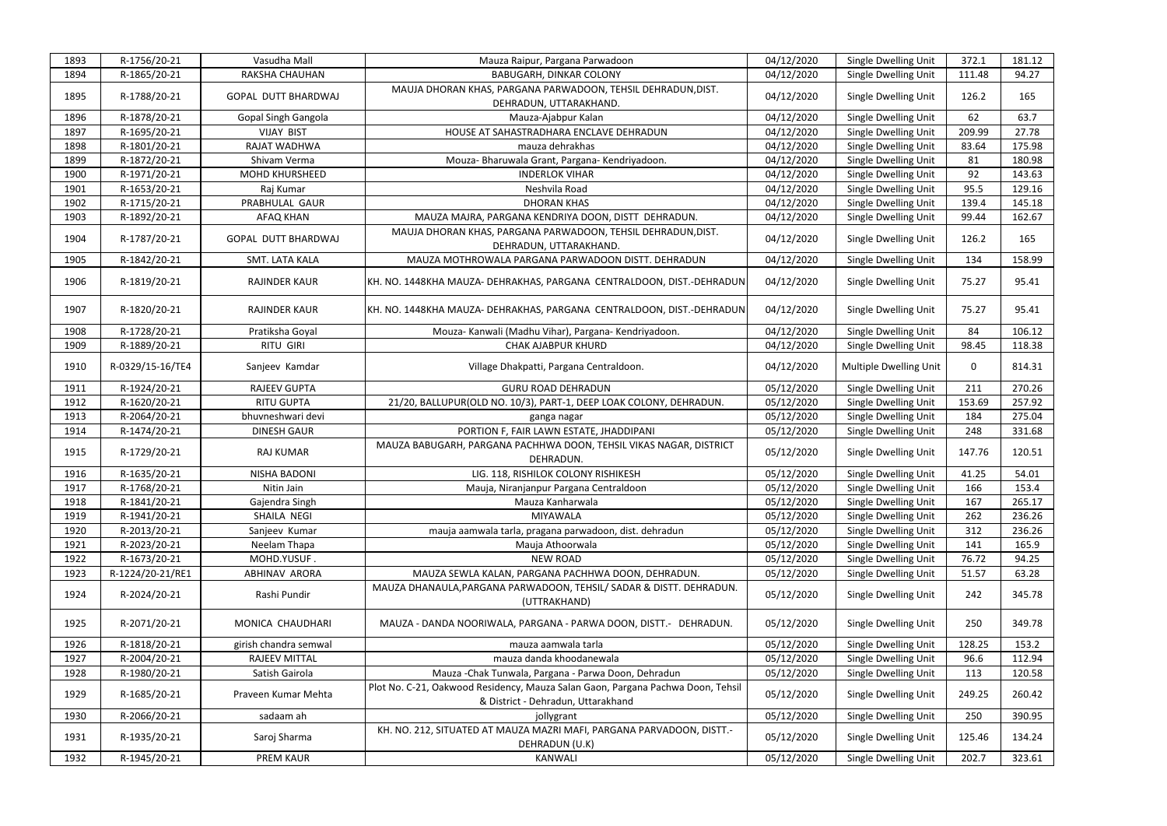| 1893 | R-1756/20-21     | Vasudha Mall               | Mauza Raipur, Pargana Parwadoon                                                                                       | 04/12/2020 | Single Dwelling Unit        | 372.1        | 181.12 |
|------|------------------|----------------------------|-----------------------------------------------------------------------------------------------------------------------|------------|-----------------------------|--------------|--------|
| 1894 | R-1865/20-21     | RAKSHA CHAUHAN             | <b>BABUGARH, DINKAR COLONY</b>                                                                                        | 04/12/2020 | Single Dwelling Unit        | 111.48       | 94.27  |
| 1895 | R-1788/20-21     | <b>GOPAL DUTT BHARDWAJ</b> | MAUJA DHORAN KHAS, PARGANA PARWADOON, TEHSIL DEHRADUN, DIST.<br>DEHRADUN, UTTARAKHAND.                                | 04/12/2020 | Single Dwelling Unit        | 126.2        | 165    |
| 1896 | R-1878/20-21     | Gopal Singh Gangola        | Mauza-Ajabpur Kalan                                                                                                   | 04/12/2020 | Single Dwelling Unit        | 62           | 63.7   |
| 1897 | R-1695/20-21     | <b>VIJAY BIST</b>          | HOUSE AT SAHASTRADHARA ENCLAVE DEHRADUN                                                                               | 04/12/2020 | Single Dwelling Unit        | 209.99       | 27.78  |
| 1898 | R-1801/20-21     | RAJAT WADHWA               | mauza dehrakhas                                                                                                       | 04/12/2020 | Single Dwelling Unit        | 83.64        | 175.98 |
| 1899 | R-1872/20-21     | Shivam Verma               | Mouza- Bharuwala Grant, Pargana- Kendriyadoon.                                                                        | 04/12/2020 | Single Dwelling Unit        | 81           | 180.98 |
| 1900 | R-1971/20-21     | <b>MOHD KHURSHEED</b>      | <b>INDERLOK VIHAR</b>                                                                                                 | 04/12/2020 | Single Dwelling Unit        | 92           | 143.63 |
| 1901 | R-1653/20-21     | Raj Kumar                  | Neshvila Road                                                                                                         | 04/12/2020 | Single Dwelling Unit        | 95.5         | 129.16 |
| 1902 | R-1715/20-21     | PRABHULAL GAUR             | <b>DHORAN KHAS</b>                                                                                                    | 04/12/2020 | Single Dwelling Unit        | 139.4        | 145.18 |
| 1903 | R-1892/20-21     | AFAQ KHAN                  | MAUZA MAJRA, PARGANA KENDRIYA DOON, DISTT DEHRADUN.                                                                   | 04/12/2020 | Single Dwelling Unit        | 99.44        | 162.67 |
| 1904 | R-1787/20-21     | <b>GOPAL DUTT BHARDWAJ</b> | MAUJA DHORAN KHAS, PARGANA PARWADOON, TEHSIL DEHRADUN, DIST.<br>DEHRADUN, UTTARAKHAND.                                | 04/12/2020 | Single Dwelling Unit        | 126.2        | 165    |
| 1905 | R-1842/20-21     | SMT. LATA KALA             | MAUZA MOTHROWALA PARGANA PARWADOON DISTT. DEHRADUN                                                                    | 04/12/2020 | Single Dwelling Unit        | 134          | 158.99 |
| 1906 | R-1819/20-21     | <b>RAJINDER KAUR</b>       | KH. NO. 1448KHA MAUZA- DEHRAKHAS, PARGANA  CENTRALDOON, DIST.-DEHRADUN                                                | 04/12/2020 | Single Dwelling Unit        | 75.27        | 95.41  |
| 1907 | R-1820/20-21     | <b>RAJINDER KAUR</b>       | KH. NO. 1448KHA MAUZA- DEHRAKHAS, PARGANA CENTRALDOON, DIST.-DEHRADUN                                                 | 04/12/2020 | Single Dwelling Unit        | 75.27        | 95.41  |
| 1908 | R-1728/20-21     | Pratiksha Goyal            | Mouza- Kanwali (Madhu Vihar), Pargana- Kendriyadoon.                                                                  | 04/12/2020 | Single Dwelling Unit        | 84           | 106.12 |
| 1909 | R-1889/20-21     | <b>RITU GIRI</b>           | <b>CHAK AJABPUR KHURD</b>                                                                                             | 04/12/2020 | Single Dwelling Unit        | 98.45        | 118.38 |
| 1910 | R-0329/15-16/TE4 | Sanjeev Kamdar             | Village Dhakpatti, Pargana Centraldoon.                                                                               | 04/12/2020 | Multiple Dwelling Unit      | $\mathbf{0}$ | 814.31 |
| 1911 | R-1924/20-21     | <b>RAJEEV GUPTA</b>        | <b>GURU ROAD DEHRADUN</b>                                                                                             | 05/12/2020 | Single Dwelling Unit        | 211          | 270.26 |
| 1912 | R-1620/20-21     | <b>RITU GUPTA</b>          | 21/20, BALLUPUR(OLD NO. 10/3), PART-1, DEEP LOAK COLONY, DEHRADUN.                                                    | 05/12/2020 | Single Dwelling Unit        | 153.69       | 257.92 |
| 1913 | R-2064/20-21     | bhuvneshwari devi          | ganga nagar                                                                                                           | 05/12/2020 | Single Dwelling Unit        | 184          | 275.04 |
| 1914 | R-1474/20-21     | <b>DINESH GAUR</b>         | PORTION F, FAIR LAWN ESTATE, JHADDIPANI                                                                               | 05/12/2020 | Single Dwelling Unit        | 248          | 331.68 |
| 1915 | R-1729/20-21     | <b>RAJ KUMAR</b>           | MAUZA BABUGARH, PARGANA PACHHWA DOON, TEHSIL VIKAS NAGAR, DISTRICT<br>DEHRADUN.                                       | 05/12/2020 | <b>Single Dwelling Unit</b> | 147.76       | 120.51 |
| 1916 | R-1635/20-21     | <b>NISHA BADONI</b>        | LIG. 118, RISHILOK COLONY RISHIKESH                                                                                   | 05/12/2020 | Single Dwelling Unit        | 41.25        | 54.01  |
| 1917 | R-1768/20-21     | Nitin Jain                 | Mauja, Niranjanpur Pargana Centraldoon                                                                                | 05/12/2020 | Single Dwelling Unit        | 166          | 153.4  |
| 1918 | R-1841/20-21     | Gajendra Singh             | Mauza Kanharwala                                                                                                      | 05/12/2020 | Single Dwelling Unit        | 167          | 265.17 |
| 1919 | R-1941/20-21     | SHAILA NEGI                | MIYAWALA                                                                                                              | 05/12/2020 | Single Dwelling Unit        | 262          | 236.26 |
| 1920 | R-2013/20-21     | Sanjeev Kumar              | mauja aamwala tarla, pragana parwadoon, dist. dehradun                                                                | 05/12/2020 | Single Dwelling Unit        | 312          | 236.26 |
| 1921 | R-2023/20-21     | Neelam Thapa               | Mauja Athoorwala                                                                                                      | 05/12/2020 | Single Dwelling Unit        | 141          | 165.9  |
| 1922 | R-1673/20-21     | MOHD.YUSUF.                | <b>NEW ROAD</b>                                                                                                       | 05/12/2020 | Single Dwelling Unit        | 76.72        | 94.25  |
| 1923 | R-1224/20-21/RE1 | <b>ABHINAV ARORA</b>       | MAUZA SEWLA KALAN, PARGANA PACHHWA DOON, DEHRADUN.                                                                    | 05/12/2020 | Single Dwelling Unit        | 51.57        | 63.28  |
| 1924 | R-2024/20-21     | Rashi Pundir               | MAUZA DHANAULA, PARGANA PARWADOON, TEHSIL/ SADAR & DISTT. DEHRADUN.<br>(UTTRAKHAND)                                   | 05/12/2020 | Single Dwelling Unit        | 242          | 345.78 |
| 1925 | R-2071/20-21     | MONICA CHAUDHARI           | MAUZA - DANDA NOORIWALA, PARGANA - PARWA DOON, DISTT.- DEHRADUN.                                                      | 05/12/2020 | Single Dwelling Unit        | 250          | 349.78 |
| 1926 | R-1818/20-21     | girish chandra semwal      | mauza aamwala tarla                                                                                                   | 05/12/2020 | Single Dwelling Unit        | 128.25       | 153.2  |
| 1927 | R-2004/20-21     | RAJEEV MITTAL              | mauza danda khoodanewala                                                                                              | 05/12/2020 | Single Dwelling Unit        | 96.6         | 112.94 |
| 1928 | R-1980/20-21     | Satish Gairola             | Mauza - Chak Tunwala, Pargana - Parwa Doon, Dehradun                                                                  | 05/12/2020 | Single Dwelling Unit        | 113          | 120.58 |
| 1929 | R-1685/20-21     | Praveen Kumar Mehta        | Plot No. C-21, Oakwood Residency, Mauza Salan Gaon, Pargana Pachwa Doon, Tehsil<br>& District - Dehradun, Uttarakhand | 05/12/2020 | Single Dwelling Unit        | 249.25       | 260.42 |
| 1930 | R-2066/20-21     | sadaam ah                  | jollygrant                                                                                                            | 05/12/2020 | Single Dwelling Unit        | 250          | 390.95 |
| 1931 | R-1935/20-21     | Saroj Sharma               | KH. NO. 212, SITUATED AT MAUZA MAZRI MAFI, PARGANA PARVADOON, DISTT.-<br>DEHRADUN (U.K)                               | 05/12/2020 | Single Dwelling Unit        | 125.46       | 134.24 |
| 1932 | R-1945/20-21     | PREM KAUR                  | KANWALI                                                                                                               | 05/12/2020 | Single Dwelling Unit        | 202.7        | 323.61 |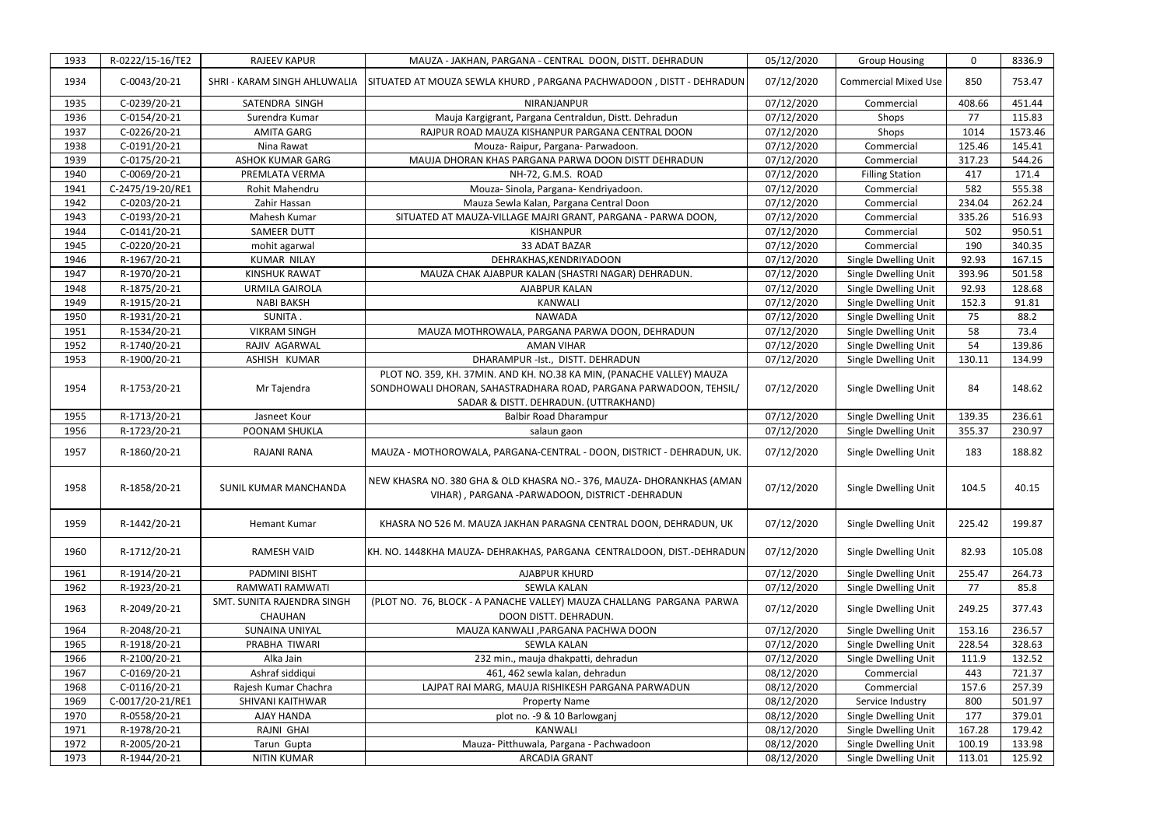| 1933 | R-0222/15-16/TE2 | <b>RAJEEV KAPUR</b>                          | MAUZA - JAKHAN, PARGANA - CENTRAL DOON, DISTT. DEHRADUN                                                                                                                             | 05/12/2020 | <b>Group Housing</b>        | $\Omega$ | 8336.9  |
|------|------------------|----------------------------------------------|-------------------------------------------------------------------------------------------------------------------------------------------------------------------------------------|------------|-----------------------------|----------|---------|
| 1934 | C-0043/20-21     |                                              | SHRI - KARAM SINGH AHLUWALIA   SITUATED AT MOUZA SEWLA KHURD, PARGANA PACHWADOON, DISTT - DEHRADUN                                                                                  | 07/12/2020 | <b>Commercial Mixed Use</b> | 850      | 753.47  |
| 1935 | C-0239/20-21     | SATENDRA SINGH                               | NIRANJANPUR                                                                                                                                                                         | 07/12/2020 | Commercial                  | 408.66   | 451.44  |
| 1936 | C-0154/20-21     | Surendra Kumar                               | Mauja Kargigrant, Pargana Centraldun, Distt. Dehradun                                                                                                                               | 07/12/2020 | Shops                       | 77       | 115.83  |
| 1937 | C-0226/20-21     | <b>AMITA GARG</b>                            | RAJPUR ROAD MAUZA KISHANPUR PARGANA CENTRAL DOON                                                                                                                                    | 07/12/2020 | Shops                       | 1014     | 1573.46 |
| 1938 | C-0191/20-21     | Nina Rawat                                   | Mouza-Raipur, Pargana-Parwadoon.                                                                                                                                                    | 07/12/2020 | Commercial                  | 125.46   | 145.41  |
| 1939 | C-0175/20-21     | <b>ASHOK KUMAR GARG</b>                      | MAUJA DHORAN KHAS PARGANA PARWA DOON DISTT DEHRADUN                                                                                                                                 | 07/12/2020 | Commercial                  | 317.23   | 544.26  |
| 1940 | C-0069/20-21     | PREMLATA VERMA                               | NH-72, G.M.S. ROAD                                                                                                                                                                  | 07/12/2020 | <b>Filling Station</b>      | 417      | 171.4   |
| 1941 | C-2475/19-20/RE1 | Rohit Mahendru                               | Mouza-Sinola, Pargana-Kendriyadoon.                                                                                                                                                 | 07/12/2020 | Commercial                  | 582      | 555.38  |
| 1942 | C-0203/20-21     | Zahir Hassan                                 | Mauza Sewla Kalan, Pargana Central Doon                                                                                                                                             | 07/12/2020 | Commercial                  | 234.04   | 262.24  |
| 1943 | C-0193/20-21     | Mahesh Kumar                                 | SITUATED AT MAUZA-VILLAGE MAJRI GRANT, PARGANA - PARWA DOON,                                                                                                                        | 07/12/2020 | Commercial                  | 335.26   | 516.93  |
| 1944 | C-0141/20-21     | <b>SAMEER DUTT</b>                           | KISHANPUR                                                                                                                                                                           | 07/12/2020 | Commercial                  | 502      | 950.51  |
| 1945 | C-0220/20-21     | mohit agarwal                                | 33 ADAT BAZAR                                                                                                                                                                       | 07/12/2020 | Commercial                  | 190      | 340.35  |
| 1946 | R-1967/20-21     | <b>KUMAR NILAY</b>                           | DEHRAKHAS, KENDRIYADOON                                                                                                                                                             | 07/12/2020 | Single Dwelling Unit        | 92.93    | 167.15  |
| 1947 | R-1970/20-21     | <b>KINSHUK RAWAT</b>                         | MAUZA CHAK AJABPUR KALAN (SHASTRI NAGAR) DEHRADUN.                                                                                                                                  | 07/12/2020 | Single Dwelling Unit        | 393.96   | 501.58  |
| 1948 | R-1875/20-21     | <b>URMILA GAIROLA</b>                        | AJABPUR KALAN                                                                                                                                                                       | 07/12/2020 | Single Dwelling Unit        | 92.93    | 128.68  |
| 1949 | R-1915/20-21     | <b>NABI BAKSH</b>                            | KANWALI                                                                                                                                                                             | 07/12/2020 | Single Dwelling Unit        | 152.3    | 91.81   |
| 1950 | R-1931/20-21     | SUNITA.                                      | <b>NAWADA</b>                                                                                                                                                                       | 07/12/2020 | Single Dwelling Unit        | 75       | 88.2    |
| 1951 | R-1534/20-21     | <b>VIKRAM SINGH</b>                          | MAUZA MOTHROWALA, PARGANA PARWA DOON, DEHRADUN                                                                                                                                      | 07/12/2020 | Single Dwelling Unit        | 58       | 73.4    |
| 1952 | R-1740/20-21     | RAJIV AGARWAL                                | <b>AMAN VIHAR</b>                                                                                                                                                                   | 07/12/2020 | Single Dwelling Unit        | 54       | 139.86  |
| 1953 | R-1900/20-21     | ASHISH KUMAR                                 | DHARAMPUR - Ist., DISTT. DEHRADUN                                                                                                                                                   | 07/12/2020 | Single Dwelling Unit        | 130.11   | 134.99  |
| 1954 | R-1753/20-21     | Mr Tajendra                                  | PLOT NO. 359, KH. 37MIN. AND KH. NO.38 KA MIN, (PANACHE VALLEY) MAUZA<br>SONDHOWALI DHORAN, SAHASTRADHARA ROAD, PARGANA PARWADOON, TEHSIL/<br>SADAR & DISTT. DEHRADUN. (UTTRAKHAND) | 07/12/2020 | Single Dwelling Unit        | 84       | 148.62  |
| 1955 | R-1713/20-21     | Jasneet Kour                                 | <b>Balbir Road Dharampur</b>                                                                                                                                                        | 07/12/2020 | Single Dwelling Unit        | 139.35   | 236.61  |
| 1956 | R-1723/20-21     | POONAM SHUKLA                                | salaun gaon                                                                                                                                                                         | 07/12/2020 | Single Dwelling Unit        | 355.37   | 230.97  |
| 1957 | R-1860/20-21     | <b>RAJANI RANA</b>                           | MAUZA - MOTHOROWALA, PARGANA-CENTRAL - DOON, DISTRICT - DEHRADUN, UK.                                                                                                               | 07/12/2020 | Single Dwelling Unit        | 183      | 188.82  |
| 1958 | R-1858/20-21     | SUNIL KUMAR MANCHANDA                        | NEW KHASRA NO. 380 GHA & OLD KHASRA NO.-376, MAUZA-DHORANKHAS (AMAN<br>VIHAR), PARGANA-PARWADOON, DISTRICT-DEHRADUN                                                                 | 07/12/2020 | Single Dwelling Unit        | 104.5    | 40.15   |
| 1959 | R-1442/20-21     | Hemant Kumar                                 | KHASRA NO 526 M. MAUZA JAKHAN PARAGNA CENTRAL DOON, DEHRADUN, UK                                                                                                                    | 07/12/2020 | Single Dwelling Unit        | 225.42   | 199.87  |
| 1960 | R-1712/20-21     | <b>RAMESH VAID</b>                           | KH. NO. 1448KHA MAUZA- DEHRAKHAS, PARGANA CENTRALDOON, DIST.-DEHRADUN                                                                                                               | 07/12/2020 | Single Dwelling Unit        | 82.93    | 105.08  |
| 1961 | R-1914/20-21     | PADMINI BISHT                                | AJABPUR KHURD                                                                                                                                                                       | 07/12/2020 | Single Dwelling Unit        | 255.47   | 264.73  |
| 1962 | R-1923/20-21     | RAMWATI RAMWATI                              | <b>SEWLA KALAN</b>                                                                                                                                                                  | 07/12/2020 | Single Dwelling Unit        | 77       | 85.8    |
| 1963 | R-2049/20-21     | SMT. SUNITA RAJENDRA SINGH<br><b>CHAUHAN</b> | (PLOT NO. 76, BLOCK - A PANACHE VALLEY) MAUZA CHALLANG PARGANA PARWA<br>DOON DISTT. DEHRADUN.                                                                                       | 07/12/2020 | Single Dwelling Unit        | 249.25   | 377.43  |
| 1964 | R-2048/20-21     | <b>SUNAINA UNIYAL</b>                        | MAUZA KANWALI , PARGANA PACHWA DOON                                                                                                                                                 | 07/12/2020 | Single Dwelling Unit        | 153.16   | 236.57  |
| 1965 | R-1918/20-21     | PRABHA TIWARI                                | SEWLA KALAN                                                                                                                                                                         | 07/12/2020 | Single Dwelling Unit        | 228.54   | 328.63  |
| 1966 | R-2100/20-21     | Alka Jain                                    | 232 min., mauja dhakpatti, dehradun                                                                                                                                                 | 07/12/2020 | Single Dwelling Unit        | 111.9    | 132.52  |
| 1967 | C-0169/20-21     | Ashraf siddiqui                              | 461, 462 sewla kalan, dehradun                                                                                                                                                      | 08/12/2020 | Commercial                  | 443      | 721.37  |
| 1968 | C-0116/20-21     | Rajesh Kumar Chachra                         | LAJPAT RAI MARG, MAUJA RISHIKESH PARGANA PARWADUN                                                                                                                                   | 08/12/2020 | Commercial                  | 157.6    | 257.39  |
| 1969 | C-0017/20-21/RE1 | SHIVANI KAITHWAR                             | <b>Property Name</b>                                                                                                                                                                | 08/12/2020 | Service Industry            | 800      | 501.97  |
| 1970 | R-0558/20-21     | AJAY HANDA                                   | plot no. - 9 & 10 Barlowganj                                                                                                                                                        | 08/12/2020 | Single Dwelling Unit        | 177      | 379.01  |
| 1971 | R-1978/20-21     | RAJNI GHAI                                   | <b>KANWALI</b>                                                                                                                                                                      | 08/12/2020 | Single Dwelling Unit        | 167.28   | 179.42  |
| 1972 | R-2005/20-21     | Tarun Gupta                                  | Mauza- Pitthuwala, Pargana - Pachwadoon                                                                                                                                             | 08/12/2020 | Single Dwelling Unit        | 100.19   | 133.98  |
| 1973 | R-1944/20-21     | <b>NITIN KUMAR</b>                           | ARCADIA GRANT                                                                                                                                                                       | 08/12/2020 | Single Dwelling Unit        | 113.01   | 125.92  |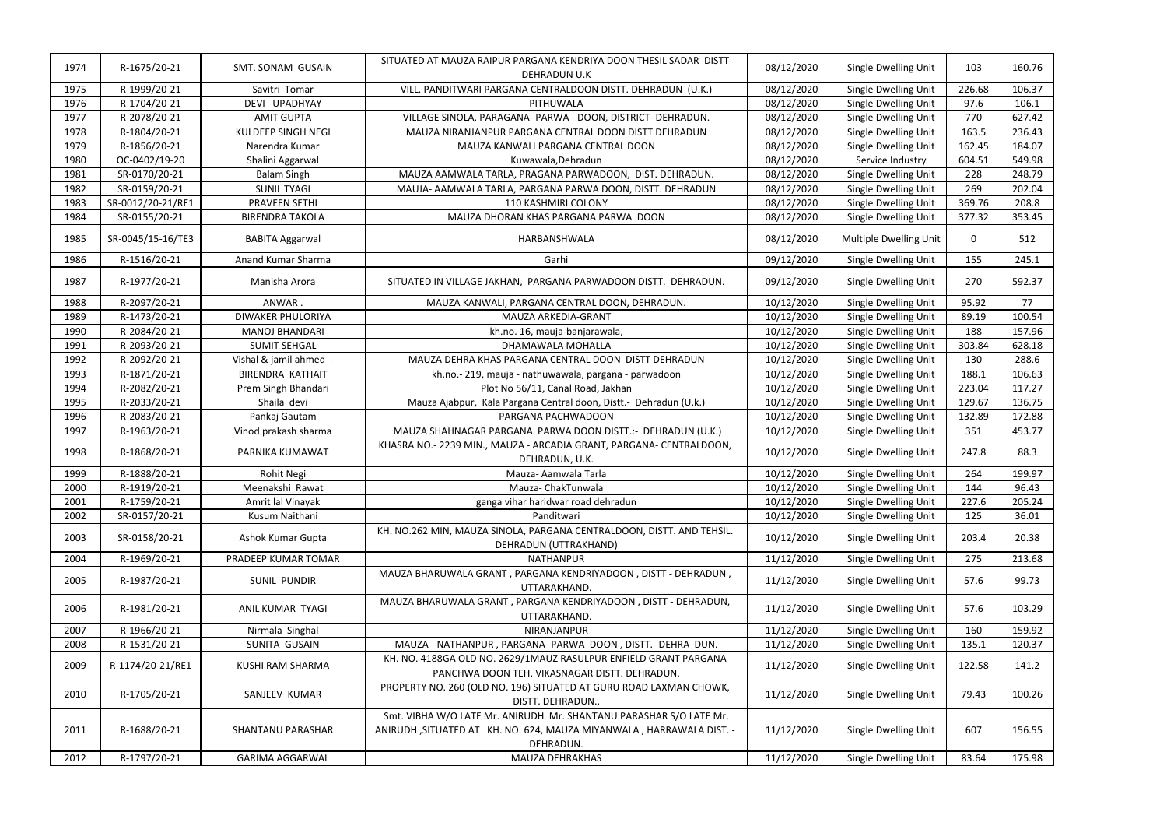| 1974 | R-1675/20-21      | SMT. SONAM GUSAIN         | SITUATED AT MAUZA RAIPUR PARGANA KENDRIYA DOON THESIL SADAR DISTT                                                                                       | 08/12/2020 | Single Dwelling Unit   | 103      | 160.76 |
|------|-------------------|---------------------------|---------------------------------------------------------------------------------------------------------------------------------------------------------|------------|------------------------|----------|--------|
|      |                   |                           | <b>DEHRADUN U.K</b>                                                                                                                                     |            |                        |          |        |
| 1975 | R-1999/20-21      | Savitri Tomar             | VILL. PANDITWARI PARGANA CENTRALDOON DISTT. DEHRADUN (U.K.)                                                                                             | 08/12/2020 | Single Dwelling Unit   | 226.68   | 106.37 |
| 1976 | R-1704/20-21      | DEVI UPADHYAY             | PITHUWALA                                                                                                                                               | 08/12/2020 | Single Dwelling Unit   | 97.6     | 106.1  |
| 1977 | R-2078/20-21      | <b>AMIT GUPTA</b>         | VILLAGE SINOLA, PARAGANA- PARWA - DOON, DISTRICT- DEHRADUN.                                                                                             | 08/12/2020 | Single Dwelling Unit   | 770      | 627.42 |
| 1978 | R-1804/20-21      | <b>KULDEEP SINGH NEGI</b> | MAUZA NIRANJANPUR PARGANA CENTRAL DOON DISTT DEHRADUN                                                                                                   | 08/12/2020 | Single Dwelling Unit   | 163.5    | 236.43 |
| 1979 | R-1856/20-21      | Narendra Kumar            | MAUZA KANWALI PARGANA CENTRAL DOON                                                                                                                      | 08/12/2020 | Single Dwelling Unit   | 162.45   | 184.07 |
| 1980 | OC-0402/19-20     | Shalini Aggarwal          | Kuwawala, Dehradun                                                                                                                                      | 08/12/2020 | Service Industry       | 604.51   | 549.98 |
| 1981 | SR-0170/20-21     | <b>Balam Singh</b>        | MAUZA AAMWALA TARLA, PRAGANA PARWADOON, DIST. DEHRADUN.                                                                                                 | 08/12/2020 | Single Dwelling Unit   | 228      | 248.79 |
| 1982 | SR-0159/20-21     | <b>SUNIL TYAGI</b>        | MAUJA- AAMWALA TARLA, PARGANA PARWA DOON, DISTT. DEHRADUN                                                                                               | 08/12/2020 | Single Dwelling Unit   | 269      | 202.04 |
| 1983 | SR-0012/20-21/RE1 | PRAVEEN SETHI             | 110 KASHMIRI COLONY                                                                                                                                     | 08/12/2020 | Single Dwelling Unit   | 369.76   | 208.8  |
| 1984 | SR-0155/20-21     | <b>BIRENDRA TAKOLA</b>    | MAUZA DHORAN KHAS PARGANA PARWA DOON                                                                                                                    | 08/12/2020 | Single Dwelling Unit   | 377.32   | 353.45 |
| 1985 | SR-0045/15-16/TE3 | <b>BABITA Aggarwal</b>    | HARBANSHWALA                                                                                                                                            | 08/12/2020 | Multiple Dwelling Unit | $\Omega$ | 512    |
| 1986 | R-1516/20-21      | Anand Kumar Sharma        | Garhi                                                                                                                                                   | 09/12/2020 | Single Dwelling Unit   | 155      | 245.1  |
| 1987 | R-1977/20-21      | Manisha Arora             | SITUATED IN VILLAGE JAKHAN, PARGANA PARWADOON DISTT. DEHRADUN.                                                                                          | 09/12/2020 | Single Dwelling Unit   | 270      | 592.37 |
| 1988 | R-2097/20-21      | ANWAR.                    | MAUZA KANWALI, PARGANA CENTRAL DOON, DEHRADUN.                                                                                                          | 10/12/2020 | Single Dwelling Unit   | 95.92    | 77     |
| 1989 | R-1473/20-21      | <b>DIWAKER PHULORIYA</b>  | MAUZA ARKEDIA-GRANT                                                                                                                                     | 10/12/2020 | Single Dwelling Unit   | 89.19    | 100.54 |
| 1990 | R-2084/20-21      | <b>MANOJ BHANDARI</b>     | kh.no. 16, mauja-banjarawala,                                                                                                                           | 10/12/2020 | Single Dwelling Unit   | 188      | 157.96 |
| 1991 | R-2093/20-21      | <b>SUMIT SEHGAL</b>       | DHAMAWALA MOHALLA                                                                                                                                       | 10/12/2020 | Single Dwelling Unit   | 303.84   | 628.18 |
| 1992 | R-2092/20-21      | Vishal & jamil ahmed -    | MAUZA DEHRA KHAS PARGANA CENTRAL DOON DISTT DEHRADUN                                                                                                    | 10/12/2020 | Single Dwelling Unit   | 130      | 288.6  |
| 1993 | R-1871/20-21      | <b>BIRENDRA KATHAIT</b>   | kh.no.- 219, mauja - nathuwawala, pargana - parwadoon                                                                                                   | 10/12/2020 | Single Dwelling Unit   | 188.1    | 106.63 |
| 1994 | R-2082/20-21      | Prem Singh Bhandari       | Plot No 56/11, Canal Road, Jakhan                                                                                                                       | 10/12/2020 | Single Dwelling Unit   | 223.04   | 117.27 |
| 1995 | R-2033/20-21      | Shaila devi               | Mauza Ajabpur, Kala Pargana Central doon, Distt.- Dehradun (U.k.)                                                                                       | 10/12/2020 | Single Dwelling Unit   | 129.67   | 136.75 |
| 1996 | R-2083/20-21      | Pankaj Gautam             | PARGANA PACHWADOON                                                                                                                                      | 10/12/2020 | Single Dwelling Unit   | 132.89   | 172.88 |
| 1997 | R-1963/20-21      | Vinod prakash sharma      | MAUZA SHAHNAGAR PARGANA PARWA DOON DISTT.:- DEHRADUN (U.K.)                                                                                             | 10/12/2020 | Single Dwelling Unit   | 351      | 453.77 |
| 1998 | R-1868/20-21      | PARNIKA KUMAWAT           | KHASRA NO.- 2239 MIN., MAUZA - ARCADIA GRANT, PARGANA- CENTRALDOON,<br>DEHRADUN, U.K.                                                                   | 10/12/2020 | Single Dwelling Unit   | 247.8    | 88.3   |
| 1999 | R-1888/20-21      | <b>Rohit Negi</b>         | Mauza- Aamwala Tarla                                                                                                                                    | 10/12/2020 | Single Dwelling Unit   | 264      | 199.97 |
| 2000 | R-1919/20-21      | Meenakshi Rawat           | Mauza-ChakTunwala                                                                                                                                       | 10/12/2020 | Single Dwelling Unit   | 144      | 96.43  |
| 2001 | R-1759/20-21      | Amrit lal Vinayak         | ganga vihar haridwar road dehradun                                                                                                                      | 10/12/2020 | Single Dwelling Unit   | 227.6    | 205.24 |
| 2002 | SR-0157/20-21     | Kusum Naithani            | Panditwari                                                                                                                                              | 10/12/2020 | Single Dwelling Unit   | 125      | 36.01  |
| 2003 | SR-0158/20-21     | Ashok Kumar Gupta         | KH. NO.262 MIN, MAUZA SINOLA, PARGANA CENTRALDOON, DISTT. AND TEHSIL.<br>DEHRADUN (UTTRAKHAND)                                                          | 10/12/2020 | Single Dwelling Unit   | 203.4    | 20.38  |
| 2004 | R-1969/20-21      | PRADEEP KUMAR TOMAR       | <b>NATHANPUR</b>                                                                                                                                        | 11/12/2020 | Single Dwelling Unit   | 275      | 213.68 |
| 2005 | R-1987/20-21      | SUNIL PUNDIR              | MAUZA BHARUWALA GRANT, PARGANA KENDRIYADOON, DISTT - DEHRADUN,<br>UTTARAKHAND.                                                                          | 11/12/2020 | Single Dwelling Unit   | 57.6     | 99.73  |
| 2006 | R-1981/20-21      | ANIL KUMAR TYAGI          | MAUZA BHARUWALA GRANT, PARGANA KENDRIYADOON, DISTT - DEHRADUN,<br>UTTARAKHAND.                                                                          | 11/12/2020 | Single Dwelling Unit   | 57.6     | 103.29 |
| 2007 | R-1966/20-21      | Nirmala Singhal           | NIRANJANPUR                                                                                                                                             | 11/12/2020 | Single Dwelling Unit   | 160      | 159.92 |
| 2008 | R-1531/20-21      | SUNITA GUSAIN             | MAUZA - NATHANPUR, PARGANA- PARWA DOON, DISTT. - DEHRA DUN.                                                                                             | 11/12/2020 | Single Dwelling Unit   | 135.1    | 120.37 |
| 2009 | R-1174/20-21/RE1  | KUSHI RAM SHARMA          | KH. NO. 4188GA OLD NO. 2629/1MAUZ RASULPUR ENFIELD GRANT PARGANA<br>PANCHWA DOON TEH. VIKASNAGAR DISTT. DEHRADUN.                                       | 11/12/2020 | Single Dwelling Unit   | 122.58   | 141.2  |
| 2010 | R-1705/20-21      | SANJEEV KUMAR             | PROPERTY NO. 260 (OLD NO. 196) SITUATED AT GURU ROAD LAXMAN CHOWK,<br>DISTT. DEHRADUN.,                                                                 | 11/12/2020 | Single Dwelling Unit   | 79.43    | 100.26 |
| 2011 | R-1688/20-21      | SHANTANU PARASHAR         | Smt. VIBHA W/O LATE Mr. ANIRUDH Mr. SHANTANU PARASHAR S/O LATE Mr.<br>ANIRUDH, SITUATED AT KH. NO. 624, MAUZA MIYANWALA, HARRAWALA DIST. -<br>DEHRADUN. | 11/12/2020 | Single Dwelling Unit   | 607      | 156.55 |
| 2012 | R-1797/20-21      | <b>GARIMA AGGARWAL</b>    | MAUZA DEHRAKHAS                                                                                                                                         | 11/12/2020 | Single Dwelling Unit   | 83.64    | 175.98 |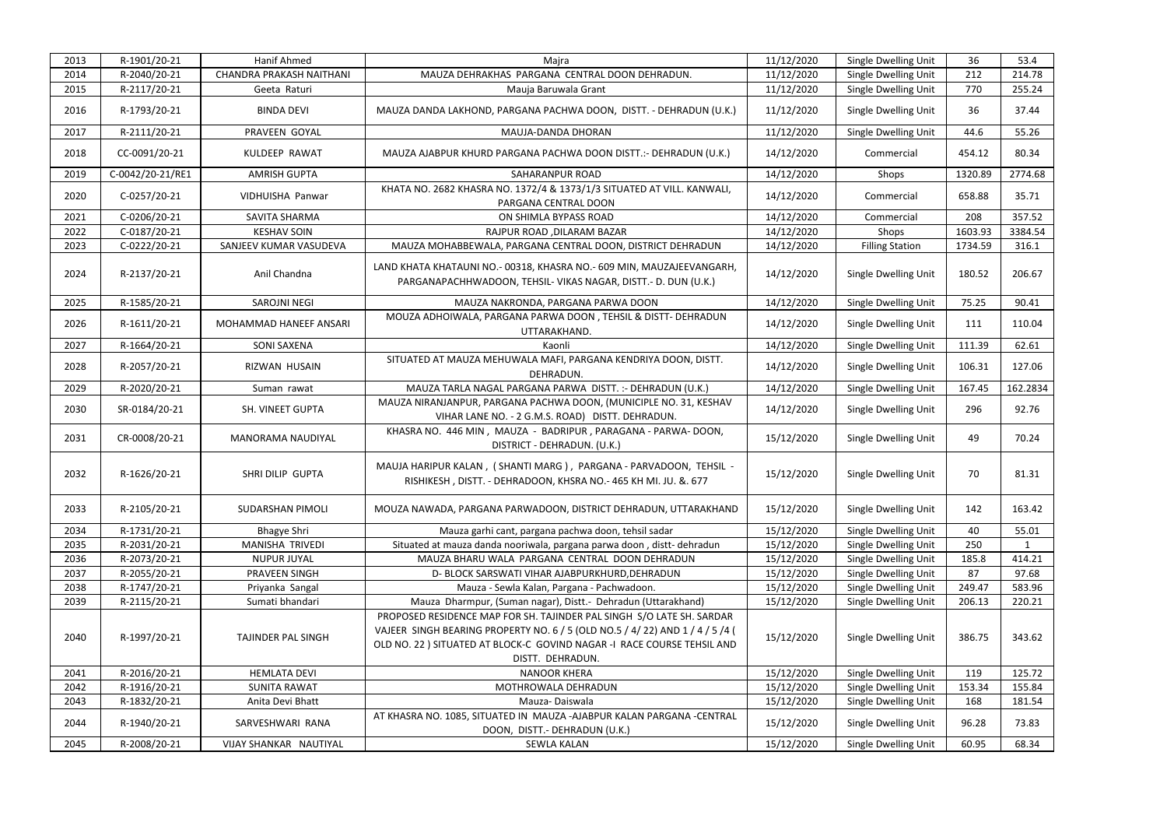| 2013 | R-1901/20-21     | <b>Hanif Ahmed</b>              | Majra                                                                                                                                                                                                                                                 | 11/12/2020 | Single Dwelling Unit   | 36      | 53.4     |
|------|------------------|---------------------------------|-------------------------------------------------------------------------------------------------------------------------------------------------------------------------------------------------------------------------------------------------------|------------|------------------------|---------|----------|
| 2014 | R-2040/20-21     | <b>CHANDRA PRAKASH NAITHANI</b> | MAUZA DEHRAKHAS PARGANA CENTRAL DOON DEHRADUN.                                                                                                                                                                                                        | 11/12/2020 | Single Dwelling Unit   | 212     | 214.78   |
| 2015 | R-2117/20-21     | Geeta Raturi                    | Mauja Baruwala Grant                                                                                                                                                                                                                                  | 11/12/2020 | Single Dwelling Unit   | 770     | 255.24   |
| 2016 | R-1793/20-21     | <b>BINDA DEVI</b>               | MAUZA DANDA LAKHOND, PARGANA PACHWA DOON, DISTT. - DEHRADUN (U.K.)                                                                                                                                                                                    | 11/12/2020 | Single Dwelling Unit   | 36      | 37.44    |
| 2017 | R-2111/20-21     | PRAVEEN GOYAL                   | MAUJA-DANDA DHORAN                                                                                                                                                                                                                                    | 11/12/2020 | Single Dwelling Unit   | 44.6    | 55.26    |
| 2018 | CC-0091/20-21    | KULDEEP RAWAT                   | MAUZA AJABPUR KHURD PARGANA PACHWA DOON DISTT.:- DEHRADUN (U.K.)                                                                                                                                                                                      | 14/12/2020 | Commercial             | 454.12  | 80.34    |
| 2019 | C-0042/20-21/RE1 | <b>AMRISH GUPTA</b>             | SAHARANPUR ROAD                                                                                                                                                                                                                                       | 14/12/2020 | Shops                  | 1320.89 | 2774.68  |
| 2020 | C-0257/20-21     | VIDHUISHA Panwar                | KHATA NO. 2682 KHASRA NO. 1372/4 & 1373/1/3 SITUATED AT VILL. KANWALI,<br>PARGANA CENTRAL DOON                                                                                                                                                        | 14/12/2020 | Commercial             | 658.88  | 35.71    |
| 2021 | C-0206/20-21     | SAVITA SHARMA                   | ON SHIMLA BYPASS ROAD                                                                                                                                                                                                                                 | 14/12/2020 | Commercial             | 208     | 357.52   |
| 2022 | C-0187/20-21     | <b>KESHAV SOIN</b>              | RAJPUR ROAD, DILARAM BAZAR                                                                                                                                                                                                                            | 14/12/2020 | Shops                  | 1603.93 | 3384.54  |
| 2023 | C-0222/20-21     | SANJEEV KUMAR VASUDEVA          | MAUZA MOHABBEWALA, PARGANA CENTRAL DOON, DISTRICT DEHRADUN                                                                                                                                                                                            | 14/12/2020 | <b>Filling Station</b> | 1734.59 | 316.1    |
| 2024 | R-2137/20-21     | Anil Chandna                    | LAND KHATA KHATAUNI NO.- 00318, KHASRA NO.- 609 MIN, MAUZAJEEVANGARH,<br>PARGANAPACHHWADOON, TEHSIL- VIKAS NAGAR, DISTT.- D. DUN (U.K.)                                                                                                               | 14/12/2020 | Single Dwelling Unit   | 180.52  | 206.67   |
| 2025 | R-1585/20-21     | <b>SAROJNI NEGI</b>             | MAUZA NAKRONDA, PARGANA PARWA DOON                                                                                                                                                                                                                    | 14/12/2020 | Single Dwelling Unit   | 75.25   | 90.41    |
| 2026 | R-1611/20-21     | MOHAMMAD HANEEF ANSARI          | MOUZA ADHOIWALA, PARGANA PARWA DOON , TEHSIL & DISTT- DEHRADUN<br>UTTARAKHAND.                                                                                                                                                                        | 14/12/2020 | Single Dwelling Unit   | 111     | 110.04   |
| 2027 | R-1664/20-21     | <b>SONI SAXENA</b>              | Kaonli                                                                                                                                                                                                                                                | 14/12/2020 | Single Dwelling Unit   | 111.39  | 62.61    |
| 2028 | R-2057/20-21     | RIZWAN HUSAIN                   | SITUATED AT MAUZA MEHUWALA MAFI, PARGANA KENDRIYA DOON, DISTT.<br>DEHRADUN.                                                                                                                                                                           | 14/12/2020 | Single Dwelling Unit   | 106.31  | 127.06   |
| 2029 | R-2020/20-21     | Suman rawat                     | MAUZA TARLA NAGAL PARGANA PARWA DISTT. :- DEHRADUN (U.K.)                                                                                                                                                                                             | 14/12/2020 | Single Dwelling Unit   | 167.45  | 162.2834 |
| 2030 | SR-0184/20-21    | SH. VINEET GUPTA                | MAUZA NIRANJANPUR, PARGANA PACHWA DOON, (MUNICIPLE NO. 31, KESHAV<br>VIHAR LANE NO. - 2 G.M.S. ROAD) DISTT. DEHRADUN.                                                                                                                                 | 14/12/2020 | Single Dwelling Unit   | 296     | 92.76    |
| 2031 | CR-0008/20-21    | MANORAMA NAUDIYAL               | KHASRA NO. 446 MIN, MAUZA - BADRIPUR, PARAGANA - PARWA-DOON,<br>DISTRICT - DEHRADUN. (U.K.)                                                                                                                                                           | 15/12/2020 | Single Dwelling Unit   | 49      | 70.24    |
| 2032 | R-1626/20-21     | SHRI DILIP GUPTA                | MAUJA HARIPUR KALAN, (SHANTI MARG), PARGANA - PARVADOON, TEHSIL -<br>RISHIKESH, DISTT. - DEHRADOON, KHSRA NO.- 465 KH MI. JU. &. 677                                                                                                                  | 15/12/2020 | Single Dwelling Unit   | 70      | 81.31    |
| 2033 | R-2105/20-21     | SUDARSHAN PIMOLI                | MOUZA NAWADA, PARGANA PARWADOON, DISTRICT DEHRADUN, UTTARAKHAND                                                                                                                                                                                       | 15/12/2020 | Single Dwelling Unit   | 142     | 163.42   |
| 2034 | R-1731/20-21     | <b>Bhagye Shri</b>              | Mauza garhi cant, pargana pachwa doon, tehsil sadar                                                                                                                                                                                                   | 15/12/2020 | Single Dwelling Unit   | 40      | 55.01    |
| 2035 | R-2031/20-21     | MANISHA TRIVEDI                 | Situated at mauza danda nooriwala, pargana parwa doon, distt-dehradun                                                                                                                                                                                 | 15/12/2020 | Single Dwelling Unit   | 250     |          |
| 2036 | R-2073/20-21     | NUPUR JUYAL                     | MAUZA BHARU WALA PARGANA CENTRAL DOON DEHRADUN                                                                                                                                                                                                        | 15/12/2020 | Single Dwelling Unit   | 185.8   | 414.21   |
| 2037 | R-2055/20-21     | PRAVEEN SINGH                   | D- BLOCK SARSWATI VIHAR AJABPURKHURD, DEHRADUN                                                                                                                                                                                                        | 15/12/2020 | Single Dwelling Unit   | 87      | 97.68    |
| 2038 | R-1747/20-21     | Priyanka Sangal                 | Mauza - Sewla Kalan, Pargana - Pachwadoon.                                                                                                                                                                                                            | 15/12/2020 | Single Dwelling Unit   | 249.47  | 583.96   |
| 2039 | R-2115/20-21     | Sumati bhandari                 | Mauza Dharmpur, (Suman nagar), Distt.- Dehradun (Uttarakhand)                                                                                                                                                                                         | 15/12/2020 | Single Dwelling Unit   | 206.13  | 220.21   |
| 2040 | R-1997/20-21     | <b>TAJINDER PAL SINGH</b>       | PROPOSED RESIDENCE MAP FOR SH. TAJINDER PAL SINGH S/O LATE SH. SARDAR<br>VAJEER SINGH BEARING PROPERTY NO. 6 / 5 (OLD NO.5 / 4/ 22) AND 1 / 4 / 5 /4 (<br>OLD NO. 22 ) SITUATED AT BLOCK-C GOVIND NAGAR -I RACE COURSE TEHSIL AND<br>DISTT. DEHRADUN. | 15/12/2020 | Single Dwelling Unit   | 386.75  | 343.62   |
| 2041 | R-2016/20-21     | <b>HEMLATA DEVI</b>             | <b>NANOOR KHERA</b>                                                                                                                                                                                                                                   | 15/12/2020 | Single Dwelling Unit   | 119     | 125.72   |
| 2042 | R-1916/20-21     | <b>SUNITA RAWAT</b>             | MOTHROWALA DEHRADUN                                                                                                                                                                                                                                   | 15/12/2020 | Single Dwelling Unit   | 153.34  | 155.84   |
| 2043 | R-1832/20-21     | Anita Devi Bhatt                | Mauza-Daiswala                                                                                                                                                                                                                                        | 15/12/2020 | Single Dwelling Unit   | 168     | 181.54   |
| 2044 | R-1940/20-21     | SARVESHWARI RANA                | AT KHASRA NO. 1085, SITUATED IN MAUZA -AJABPUR KALAN PARGANA -CENTRAL<br>DOON, DISTT. - DEHRADUN (U.K.)                                                                                                                                               | 15/12/2020 | Single Dwelling Unit   | 96.28   | 73.83    |
| 2045 | R-2008/20-21     | VIJAY SHANKAR NAUTIYAL          | SEWLA KALAN                                                                                                                                                                                                                                           | 15/12/2020 | Single Dwelling Unit   | 60.95   | 68.34    |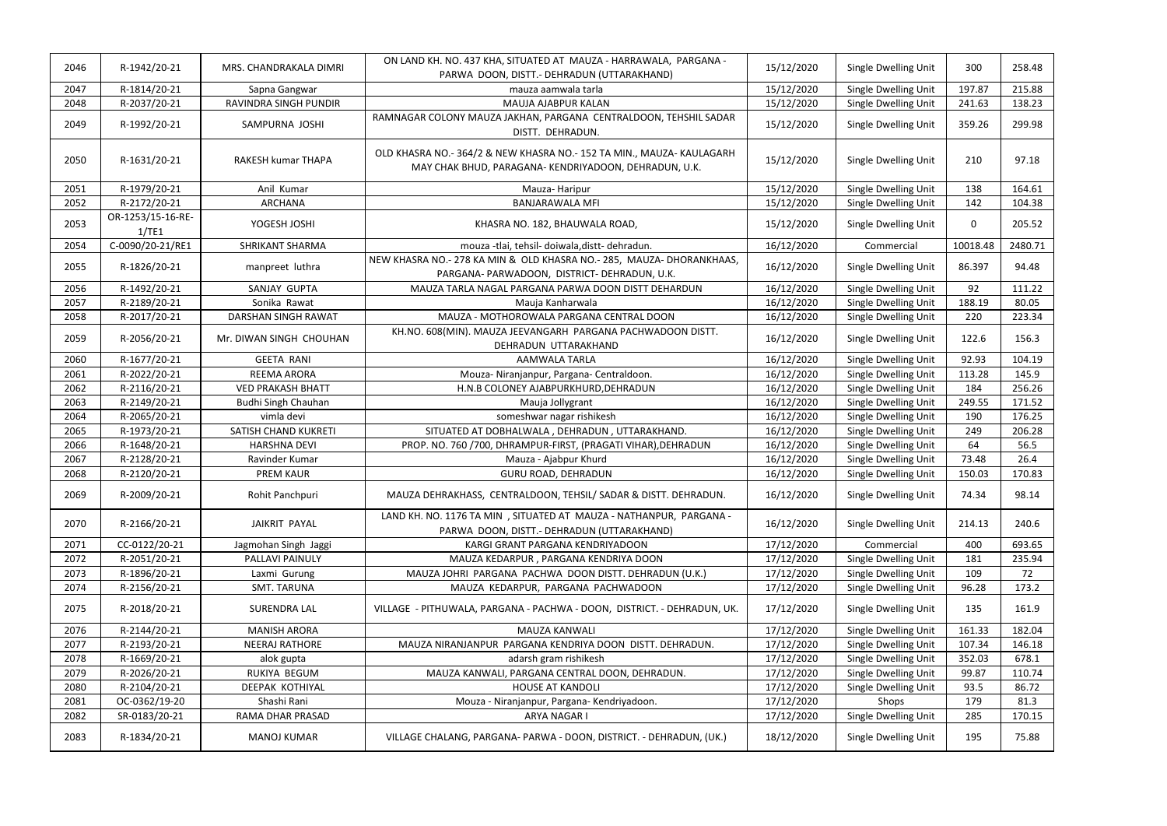| 2046 | R-1942/20-21               | MRS. CHANDRAKALA DIMRI     | ON LAND KH. NO. 437 KHA, SITUATED AT MAUZA - HARRAWALA, PARGANA -<br>PARWA DOON, DISTT.- DEHRADUN (UTTARAKHAND)              | 15/12/2020 | Single Dwelling Unit | 300          | 258.48  |
|------|----------------------------|----------------------------|------------------------------------------------------------------------------------------------------------------------------|------------|----------------------|--------------|---------|
| 2047 | R-1814/20-21               | Sapna Gangwar              | mauza aamwala tarla                                                                                                          | 15/12/2020 | Single Dwelling Unit | 197.87       | 215.88  |
| 2048 | R-2037/20-21               | RAVINDRA SINGH PUNDIR      | MAUJA AJABPUR KALAN                                                                                                          | 15/12/2020 | Single Dwelling Unit | 241.63       | 138.23  |
| 2049 | R-1992/20-21               | SAMPURNA JOSHI             | RAMNAGAR COLONY MAUZA JAKHAN, PARGANA CENTRALDOON, TEHSHIL SADAR<br>DISTT. DEHRADUN.                                         | 15/12/2020 | Single Dwelling Unit | 359.26       | 299.98  |
| 2050 | R-1631/20-21               | RAKESH kumar THAPA         | OLD KHASRA NO.- 364/2 & NEW KHASRA NO.- 152 TA MIN., MAUZA-KAULAGARH<br>MAY CHAK BHUD, PARAGANA-KENDRIYADOON, DEHRADUN, U.K. | 15/12/2020 | Single Dwelling Unit | 210          | 97.18   |
| 2051 | R-1979/20-21               | Anil Kumar                 | Mauza-Haripur                                                                                                                | 15/12/2020 | Single Dwelling Unit | 138          | 164.61  |
| 2052 | R-2172/20-21               | <b>ARCHANA</b>             | <b>BANJARAWALA MFI</b>                                                                                                       | 15/12/2020 | Single Dwelling Unit | 142          | 104.38  |
| 2053 | OR-1253/15-16-RE-<br>1/TE1 | YOGESH JOSHI               | KHASRA NO. 182, BHAUWALA ROAD,                                                                                               | 15/12/2020 | Single Dwelling Unit | $\mathbf{0}$ | 205.52  |
| 2054 | C-0090/20-21/RE1           | SHRIKANT SHARMA            | mouza -tlai, tehsil- doiwala, distt- dehradun.                                                                               | 16/12/2020 | Commercial           | 10018.48     | 2480.71 |
| 2055 | R-1826/20-21               | manpreet luthra            | NEW KHASRA NO.- 278 KA MIN & OLD KHASRA NO.- 285, MAUZA- DHORANKHAAS,<br>PARGANA- PARWADOON, DISTRICT- DEHRADUN, U.K.        | 16/12/2020 | Single Dwelling Unit | 86.397       | 94.48   |
| 2056 | R-1492/20-21               | SANJAY GUPTA               | MAUZA TARLA NAGAL PARGANA PARWA DOON DISTT DEHARDUN                                                                          | 16/12/2020 | Single Dwelling Unit | 92           | 111.22  |
| 2057 | R-2189/20-21               | Sonika Rawat               | Mauja Kanharwala                                                                                                             | 16/12/2020 | Single Dwelling Unit | 188.19       | 80.05   |
| 2058 | R-2017/20-21               | DARSHAN SINGH RAWAT        | MAUZA - MOTHOROWALA PARGANA CENTRAL DOON                                                                                     | 16/12/2020 | Single Dwelling Unit | 220          | 223.34  |
| 2059 | R-2056/20-21               | Mr. DIWAN SINGH CHOUHAN    | KH.NO. 608(MIN). MAUZA JEEVANGARH PARGANA PACHWADOON DISTT.<br>DEHRADUN UTTARAKHAND                                          | 16/12/2020 | Single Dwelling Unit | 122.6        | 156.3   |
| 2060 | R-1677/20-21               | <b>GEETA RANI</b>          | AAMWALA TARLA                                                                                                                | 16/12/2020 | Single Dwelling Unit | 92.93        | 104.19  |
| 2061 | R-2022/20-21               | <b>REEMA ARORA</b>         | Mouza-Niranjanpur, Pargana-Centraldoon.                                                                                      | 16/12/2020 | Single Dwelling Unit | 113.28       | 145.9   |
| 2062 | R-2116/20-21               | <b>VED PRAKASH BHATT</b>   | H.N.B COLONEY AJABPURKHURD, DEHRADUN                                                                                         | 16/12/2020 | Single Dwelling Unit | 184          | 256.26  |
| 2063 | R-2149/20-21               | <b>Budhi Singh Chauhan</b> | Mauja Jollygrant                                                                                                             | 16/12/2020 | Single Dwelling Unit | 249.55       | 171.52  |
| 2064 | R-2065/20-21               | vimla devi                 | someshwar nagar rishikesh                                                                                                    | 16/12/2020 | Single Dwelling Unit | 190          | 176.25  |
| 2065 | R-1973/20-21               | SATISH CHAND KUKRETI       | SITUATED AT DOBHALWALA, DEHRADUN, UTTARAKHAND.                                                                               | 16/12/2020 | Single Dwelling Unit | 249          | 206.28  |
| 2066 | R-1648/20-21               | <b>HARSHNA DEVI</b>        | PROP. NO. 760 / 700, DHRAMPUR-FIRST, (PRAGATI VIHAR), DEHRADUN                                                               | 16/12/2020 | Single Dwelling Unit | 64           | 56.5    |
| 2067 | R-2128/20-21               | Ravinder Kumar             | Mauza - Ajabpur Khurd                                                                                                        | 16/12/2020 | Single Dwelling Unit | 73.48        | 26.4    |
| 2068 | R-2120/20-21               | <b>PREM KAUR</b>           | <b>GURU ROAD, DEHRADUN</b>                                                                                                   | 16/12/2020 | Single Dwelling Unit | 150.03       | 170.83  |
| 2069 | R-2009/20-21               | Rohit Panchpuri            | MAUZA DEHRAKHASS, CENTRALDOON, TEHSIL/ SADAR & DISTT. DEHRADUN.                                                              | 16/12/2020 | Single Dwelling Unit | 74.34        | 98.14   |
| 2070 | R-2166/20-21               | JAIKRIT PAYAL              | LAND KH. NO. 1176 TA MIN, SITUATED AT MAUZA - NATHANPUR, PARGANA -<br>PARWA DOON, DISTT.- DEHRADUN (UTTARAKHAND)             | 16/12/2020 | Single Dwelling Unit | 214.13       | 240.6   |
| 2071 | CC-0122/20-21              | Jagmohan Singh Jaggi       | KARGI GRANT PARGANA KENDRIYADOON                                                                                             | 17/12/2020 | Commercial           | 400          | 693.65  |
| 2072 | R-2051/20-21               | PALLAVI PAINULY            | MAUZA KEDARPUR, PARGANA KENDRIYA DOON                                                                                        | 17/12/2020 | Single Dwelling Unit | 181          | 235.94  |
| 2073 | R-1896/20-21               | Laxmi Gurung               | MAUZA JOHRI PARGANA PACHWA DOON DISTT. DEHRADUN (U.K.)                                                                       | 17/12/2020 | Single Dwelling Unit | 109          | 72      |
| 2074 | R-2156/20-21               | <b>SMT. TARUNA</b>         | MAUZA KEDARPUR, PARGANA PACHWADOON                                                                                           | 17/12/2020 | Single Dwelling Unit | 96.28        | 173.2   |
| 2075 | R-2018/20-21               | SURENDRA LAL               | VILLAGE - PITHUWALA, PARGANA - PACHWA - DOON, DISTRICT. - DEHRADUN, UK.                                                      | 17/12/2020 | Single Dwelling Unit | 135          | 161.9   |
| 2076 | R-2144/20-21               | <b>MANISH ARORA</b>        | MAUZA KANWALI                                                                                                                | 17/12/2020 | Single Dwelling Unit | 161.33       | 182.04  |
| 2077 | R-2193/20-21               | <b>NEERAJ RATHORE</b>      | MAUZA NIRANJANPUR PARGANA KENDRIYA DOON DISTT. DEHRADUN.                                                                     | 17/12/2020 | Single Dwelling Unit | 107.34       | 146.18  |
| 2078 | R-1669/20-21               | alok gupta                 | adarsh gram rishikesh                                                                                                        | 17/12/2020 | Single Dwelling Unit | 352.03       | 678.1   |
| 2079 | R-2026/20-21               | RUKIYA BEGUM               | MAUZA KANWALI, PARGANA CENTRAL DOON, DEHRADUN.                                                                               | 17/12/2020 | Single Dwelling Unit | 99.87        | 110.74  |
| 2080 | R-2104/20-21               | DEEPAK KOTHIYAL            | <b>HOUSE AT KANDOLI</b>                                                                                                      | 17/12/2020 | Single Dwelling Unit | 93.5         | 86.72   |
| 2081 | OC-0362/19-20              | Shashi Rani                | Mouza - Niranjanpur, Pargana- Kendriyadoon.                                                                                  | 17/12/2020 | Shops                | 179          | 81.3    |
| 2082 | SR-0183/20-21              | RAMA DHAR PRASAD           | ARYA NAGAR I                                                                                                                 | 17/12/2020 | Single Dwelling Unit | 285          | 170.15  |
| 2083 | R-1834/20-21               | <b>MANOJ KUMAR</b>         | VILLAGE CHALANG, PARGANA- PARWA - DOON, DISTRICT. - DEHRADUN, (UK.)                                                          | 18/12/2020 | Single Dwelling Unit | 195          | 75.88   |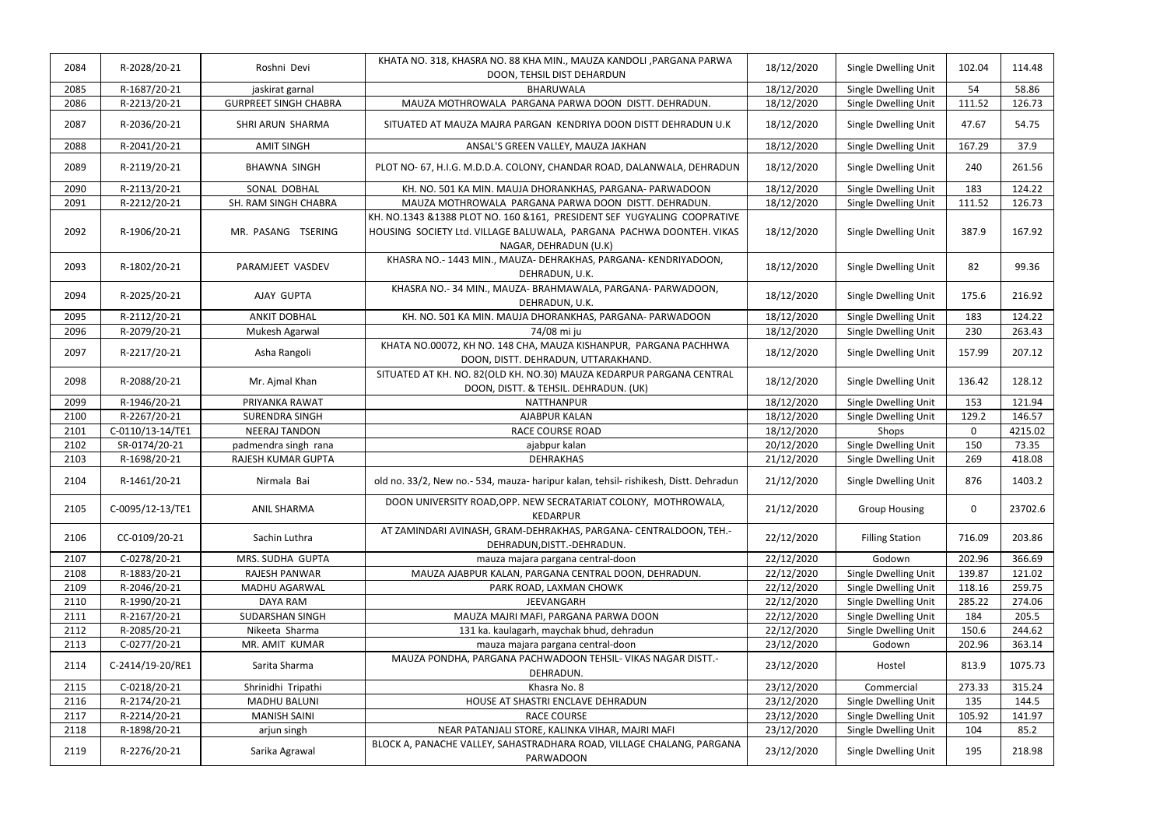|      |                  |                              | KHATA NO. 318, KHASRA NO. 88 KHA MIN., MAUZA KANDOLI , PARGANA PARWA                                                                                                     |            |                        |             |         |
|------|------------------|------------------------------|--------------------------------------------------------------------------------------------------------------------------------------------------------------------------|------------|------------------------|-------------|---------|
| 2084 | R-2028/20-21     | Roshni Devi                  | DOON, TEHSIL DIST DEHARDUN                                                                                                                                               | 18/12/2020 | Single Dwelling Unit   | 102.04      | 114.48  |
| 2085 | R-1687/20-21     | jaskirat garnal              | <b>BHARUWALA</b>                                                                                                                                                         | 18/12/2020 | Single Dwelling Unit   | 54          | 58.86   |
| 2086 | R-2213/20-21     | <b>GURPREET SINGH CHABRA</b> | MAUZA MOTHROWALA PARGANA PARWA DOON DISTT. DEHRADUN.                                                                                                                     | 18/12/2020 | Single Dwelling Unit   | 111.52      | 126.73  |
| 2087 | R-2036/20-21     | SHRI ARUN SHARMA             | SITUATED AT MAUZA MAJRA PARGAN KENDRIYA DOON DISTT DEHRADUN U.K                                                                                                          | 18/12/2020 | Single Dwelling Unit   | 47.67       | 54.75   |
| 2088 | R-2041/20-21     | <b>AMIT SINGH</b>            | ANSAL'S GREEN VALLEY, MAUZA JAKHAN                                                                                                                                       | 18/12/2020 | Single Dwelling Unit   | 167.29      | 37.9    |
| 2089 | R-2119/20-21     | <b>BHAWNA SINGH</b>          | PLOT NO- 67, H.I.G. M.D.D.A. COLONY, CHANDAR ROAD, DALANWALA, DEHRADUN                                                                                                   | 18/12/2020 | Single Dwelling Unit   | 240         | 261.56  |
| 2090 | R-2113/20-21     | SONAL DOBHAL                 | KH. NO. 501 KA MIN. MAUJA DHORANKHAS, PARGANA- PARWADOON                                                                                                                 | 18/12/2020 | Single Dwelling Unit   | 183         | 124.22  |
| 2091 | R-2212/20-21     | SH. RAM SINGH CHABRA         | MAUZA MOTHROWALA PARGANA PARWA DOON DISTT. DEHRADUN.                                                                                                                     | 18/12/2020 | Single Dwelling Unit   | 111.52      | 126.73  |
| 2092 | R-1906/20-21     | MR. PASANG TSERING           | KH. NO.1343 &1388 PLOT NO. 160 &161, PRESIDENT SEF YUGYALING COOPRATIVE<br>HOUSING SOCIETY Ltd. VILLAGE BALUWALA, PARGANA PACHWA DOONTEH. VIKAS<br>NAGAR, DEHRADUN (U.K) | 18/12/2020 | Single Dwelling Unit   | 387.9       | 167.92  |
| 2093 | R-1802/20-21     | PARAMJEET VASDEV             | KHASRA NO.- 1443 MIN., MAUZA- DEHRAKHAS, PARGANA- KENDRIYADOON,<br>DEHRADUN, U.K.                                                                                        | 18/12/2020 | Single Dwelling Unit   | 82          | 99.36   |
| 2094 | R-2025/20-21     | AJAY GUPTA                   | KHASRA NO.-34 MIN., MAUZA-BRAHMAWALA, PARGANA-PARWADOON,<br>DEHRADUN, U.K.                                                                                               | 18/12/2020 | Single Dwelling Unit   | 175.6       | 216.92  |
| 2095 | R-2112/20-21     | <b>ANKIT DOBHAL</b>          | KH. NO. 501 KA MIN. MAUJA DHORANKHAS, PARGANA- PARWADOON                                                                                                                 | 18/12/2020 | Single Dwelling Unit   | 183         | 124.22  |
| 2096 | R-2079/20-21     | Mukesh Agarwal               | 74/08 mi ju                                                                                                                                                              | 18/12/2020 | Single Dwelling Unit   | 230         | 263.43  |
| 2097 | R-2217/20-21     | Asha Rangoli                 | KHATA NO.00072, KH NO. 148 CHA, MAUZA KISHANPUR, PARGANA PACHHWA<br>DOON, DISTT. DEHRADUN, UTTARAKHAND.                                                                  | 18/12/2020 | Single Dwelling Unit   | 157.99      | 207.12  |
| 2098 | R-2088/20-21     | Mr. Ajmal Khan               | SITUATED AT KH. NO. 82(OLD KH. NO.30) MAUZA KEDARPUR PARGANA CENTRAL<br>DOON, DISTT. & TEHSIL. DEHRADUN. (UK)                                                            | 18/12/2020 | Single Dwelling Unit   | 136.42      | 128.12  |
| 2099 | R-1946/20-21     | PRIYANKA RAWAT               | <b>NATTHANPUR</b>                                                                                                                                                        | 18/12/2020 | Single Dwelling Unit   | 153         | 121.94  |
| 2100 | R-2267/20-21     | <b>SURENDRA SINGH</b>        | AJABPUR KALAN                                                                                                                                                            | 18/12/2020 | Single Dwelling Unit   | 129.2       | 146.57  |
| 2101 | C-0110/13-14/TE1 | <b>NEERAJ TANDON</b>         | <b>RACE COURSE ROAD</b>                                                                                                                                                  | 18/12/2020 | Shops                  | $\Omega$    | 4215.02 |
| 2102 | SR-0174/20-21    | padmendra singh rana         | ajabpur kalan                                                                                                                                                            | 20/12/2020 | Single Dwelling Unit   | 150         | 73.35   |
| 2103 | R-1698/20-21     | RAJESH KUMAR GUPTA           | <b>DEHRAKHAS</b>                                                                                                                                                         | 21/12/2020 | Single Dwelling Unit   | 269         | 418.08  |
| 2104 | R-1461/20-21     | Nirmala Bai                  | old no. 33/2, New no.- 534, mauza- haripur kalan, tehsil- rishikesh, Distt. Dehradun                                                                                     | 21/12/2020 | Single Dwelling Unit   | 876         | 1403.2  |
| 2105 | C-0095/12-13/TE1 | <b>ANIL SHARMA</b>           | DOON UNIVERSITY ROAD, OPP. NEW SECRATARIAT COLONY, MOTHROWALA,<br><b>KEDARPUR</b>                                                                                        | 21/12/2020 | <b>Group Housing</b>   | $\mathbf 0$ | 23702.6 |
| 2106 | CC-0109/20-21    | Sachin Luthra                | AT ZAMINDARI AVINASH, GRAM-DEHRAKHAS, PARGANA- CENTRALDOON, TEH.-<br>DEHRADUN, DISTT. - DEHRADUN.                                                                        | 22/12/2020 | <b>Filling Station</b> | 716.09      | 203.86  |
| 2107 | C-0278/20-21     | MRS. SUDHA GUPTA             | mauza majara pargana central-doon                                                                                                                                        | 22/12/2020 | Godown                 | 202.96      | 366.69  |
| 2108 | R-1883/20-21     | RAJESH PANWAR                | MAUZA AJABPUR KALAN, PARGANA CENTRAL DOON, DEHRADUN.                                                                                                                     | 22/12/2020 | Single Dwelling Unit   | 139.87      | 121.02  |
| 2109 | R-2046/20-21     | MADHU AGARWAL                | PARK ROAD, LAXMAN CHOWK                                                                                                                                                  | 22/12/2020 | Single Dwelling Unit   | 118.16      | 259.75  |
| 2110 | R-1990/20-21     | DAYA RAM                     | JEEVANGARH                                                                                                                                                               | 22/12/2020 | Single Dwelling Unit   | 285.22      | 274.06  |
| 2111 | R-2167/20-21     | <b>SUDARSHAN SINGH</b>       | MAUZA MAJRI MAFI, PARGANA PARWA DOON                                                                                                                                     | 22/12/2020 | Single Dwelling Unit   | 184         | 205.5   |
| 2112 | R-2085/20-21     | Nikeeta Sharma               | 131 ka. kaulagarh, maychak bhud, dehradun                                                                                                                                | 22/12/2020 | Single Dwelling Unit   | 150.6       | 244.62  |
| 2113 | C-0277/20-21     | MR. AMIT KUMAR               | mauza majara pargana central-doon                                                                                                                                        | 23/12/2020 | Godown                 | 202.96      | 363.14  |
| 2114 | C-2414/19-20/RE1 | Sarita Sharma                | MAUZA PONDHA, PARGANA PACHWADOON TEHSIL- VIKAS NAGAR DISTT.-<br>DEHRADUN.                                                                                                | 23/12/2020 | Hostel                 | 813.9       | 1075.73 |
| 2115 | C-0218/20-21     | Shrinidhi Tripathi           | Khasra No. 8                                                                                                                                                             | 23/12/2020 | Commercial             | 273.33      | 315.24  |
| 2116 | R-2174/20-21     | <b>MADHU BALUNI</b>          | HOUSE AT SHASTRI ENCLAVE DEHRADUN                                                                                                                                        | 23/12/2020 | Single Dwelling Unit   | 135         | 144.5   |
| 2117 | R-2214/20-21     | <b>MANISH SAINI</b>          | <b>RACE COURSE</b>                                                                                                                                                       | 23/12/2020 | Single Dwelling Unit   | 105.92      | 141.97  |
| 2118 |                  |                              |                                                                                                                                                                          |            |                        |             |         |
|      | R-1898/20-21     | arjun singh                  | NEAR PATANJALI STORE, KALINKA VIHAR, MAJRI MAFI                                                                                                                          | 23/12/2020 | Single Dwelling Unit   | 104         | 85.2    |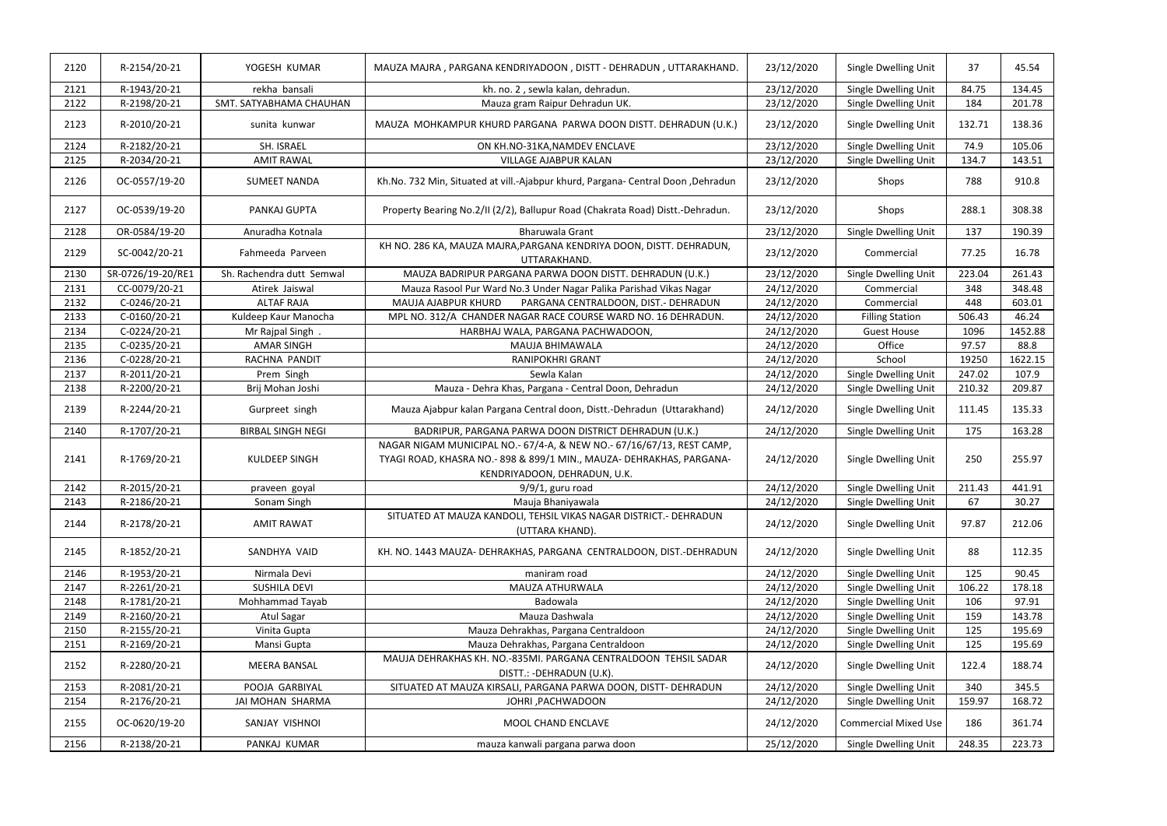| 2120 | R-2154/20-21      | YOGESH KUMAR              | MAUZA MAJRA, PARGANA KENDRIYADOON, DISTT - DEHRADUN, UTTARAKHAND.                                                                                                            | 23/12/2020 | Single Dwelling Unit        | 37     | 45.54   |
|------|-------------------|---------------------------|------------------------------------------------------------------------------------------------------------------------------------------------------------------------------|------------|-----------------------------|--------|---------|
| 2121 | R-1943/20-21      | rekha bansali             | kh. no. 2, sewla kalan, dehradun.                                                                                                                                            | 23/12/2020 | Single Dwelling Unit        | 84.75  | 134.45  |
| 2122 | R-2198/20-21      | SMT. SATYABHAMA CHAUHAN   | Mauza gram Raipur Dehradun UK.                                                                                                                                               | 23/12/2020 | Single Dwelling Unit        | 184    | 201.78  |
| 2123 | R-2010/20-21      | sunita kunwar             | MAUZA MOHKAMPUR KHURD PARGANA PARWA DOON DISTT. DEHRADUN (U.K.)                                                                                                              | 23/12/2020 | Single Dwelling Unit        | 132.71 | 138.36  |
| 2124 | R-2182/20-21      | SH. ISRAEL                | ON KH.NO-31KA, NAMDEV ENCLAVE                                                                                                                                                | 23/12/2020 | Single Dwelling Unit        | 74.9   | 105.06  |
| 2125 | R-2034/20-21      | <b>AMIT RAWAL</b>         | <b>VILLAGE AJABPUR KALAN</b>                                                                                                                                                 | 23/12/2020 | Single Dwelling Unit        | 134.7  | 143.51  |
| 2126 | OC-0557/19-20     | <b>SUMEET NANDA</b>       | Kh.No. 732 Min, Situated at vill.-Ajabpur khurd, Pargana- Central Doon ,Dehradun                                                                                             | 23/12/2020 | Shops                       | 788    | 910.8   |
| 2127 | OC-0539/19-20     | PANKAJ GUPTA              | Property Bearing No.2/II (2/2), Ballupur Road (Chakrata Road) Distt.-Dehradun.                                                                                               | 23/12/2020 | Shops                       | 288.1  | 308.38  |
| 2128 | OR-0584/19-20     | Anuradha Kotnala          | <b>Bharuwala Grant</b>                                                                                                                                                       | 23/12/2020 | Single Dwelling Unit        | 137    | 190.39  |
| 2129 | SC-0042/20-21     | Fahmeeda Parveen          | KH NO. 286 KA, MAUZA MAJRA, PARGANA KENDRIYA DOON, DISTT. DEHRADUN,<br>UTTARAKHAND.                                                                                          | 23/12/2020 | Commercial                  | 77.25  | 16.78   |
| 2130 | SR-0726/19-20/RE1 | Sh. Rachendra dutt Semwal | MAUZA BADRIPUR PARGANA PARWA DOON DISTT. DEHRADUN (U.K.)                                                                                                                     | 23/12/2020 | Single Dwelling Unit        | 223.04 | 261.43  |
| 2131 | CC-0079/20-21     | Atirek Jaiswal            | Mauza Rasool Pur Ward No.3 Under Nagar Palika Parishad Vikas Nagar                                                                                                           | 24/12/2020 | Commercial                  | 348    | 348.48  |
| 2132 | C-0246/20-21      | <b>ALTAF RAJA</b>         | MAUJA AJABPUR KHURD<br>PARGANA CENTRALDOON, DIST.- DEHRADUN                                                                                                                  | 24/12/2020 | Commercial                  | 448    | 603.01  |
| 2133 | C-0160/20-21      | Kuldeep Kaur Manocha      | MPL NO. 312/A CHANDER NAGAR RACE COURSE WARD NO. 16 DEHRADUN.                                                                                                                | 24/12/2020 | <b>Filling Station</b>      | 506.43 | 46.24   |
| 2134 | C-0224/20-21      | Mr Rajpal Singh.          | HARBHAJ WALA, PARGANA PACHWADOON,                                                                                                                                            | 24/12/2020 | <b>Guest House</b>          | 1096   | 1452.88 |
| 2135 | C-0235/20-21      | <b>AMAR SINGH</b>         | MAUJA BHIMAWALA                                                                                                                                                              | 24/12/2020 | Office                      | 97.57  | 88.8    |
| 2136 | C-0228/20-21      | RACHNA PANDIT             | <b>RANIPOKHRI GRANT</b>                                                                                                                                                      | 24/12/2020 | School                      | 19250  | 1622.15 |
| 2137 | R-2011/20-21      | Prem Singh                | Sewla Kalan                                                                                                                                                                  | 24/12/2020 | Single Dwelling Unit        | 247.02 | 107.9   |
| 2138 | R-2200/20-21      | Brij Mohan Joshi          | Mauza - Dehra Khas, Pargana - Central Doon, Dehradun                                                                                                                         | 24/12/2020 | Single Dwelling Unit        | 210.32 | 209.87  |
| 2139 | R-2244/20-21      | Gurpreet singh            | Mauza Ajabpur kalan Pargana Central doon, Distt.-Dehradun (Uttarakhand)                                                                                                      | 24/12/2020 | Single Dwelling Unit        | 111.45 | 135.33  |
| 2140 | R-1707/20-21      | <b>BIRBAL SINGH NEGI</b>  | BADRIPUR, PARGANA PARWA DOON DISTRICT DEHRADUN (U.K.)                                                                                                                        | 24/12/2020 | Single Dwelling Unit        | 175    | 163.28  |
| 2141 | R-1769/20-21      | <b>KULDEEP SINGH</b>      | NAGAR NIGAM MUNICIPAL NO.- 67/4-A, & NEW NO.- 67/16/67/13, REST CAMP,<br>TYAGI ROAD, KHASRA NO.-898 & 899/1 MIN., MAUZA- DEHRAKHAS, PARGANA-<br>KENDRIYADOON, DEHRADUN, U.K. | 24/12/2020 | Single Dwelling Unit        | 250    | 255.97  |
| 2142 | R-2015/20-21      | praveen goyal             | $9/9/1$ , guru road                                                                                                                                                          | 24/12/2020 | Single Dwelling Unit        | 211.43 | 441.91  |
| 2143 | R-2186/20-21      | Sonam Singh               | Mauja Bhaniyawala                                                                                                                                                            | 24/12/2020 | Single Dwelling Unit        | 67     | 30.27   |
| 2144 | R-2178/20-21      | <b>AMIT RAWAT</b>         | SITUATED AT MAUZA KANDOLI, TEHSIL VIKAS NAGAR DISTRICT.- DEHRADUN<br>(UTTARA KHAND).                                                                                         | 24/12/2020 | Single Dwelling Unit        | 97.87  | 212.06  |
| 2145 | R-1852/20-21      | SANDHYA VAID              | KH. NO. 1443 MAUZA- DEHRAKHAS, PARGANA CENTRALDOON, DIST.-DEHRADUN                                                                                                           | 24/12/2020 | Single Dwelling Unit        | 88     | 112.35  |
| 2146 | R-1953/20-21      | Nirmala Devi              | maniram road                                                                                                                                                                 | 24/12/2020 | Single Dwelling Unit        | 125    | 90.45   |
| 2147 | R-2261/20-21      | <b>SUSHILA DEVI</b>       | MAUZA ATHURWALA                                                                                                                                                              | 24/12/2020 | Single Dwelling Unit        | 106.22 | 178.18  |
| 2148 | R-1781/20-21      | Mohhammad Tayab           | Badowala                                                                                                                                                                     | 24/12/2020 | Single Dwelling Unit        | 106    | 97.91   |
| 2149 | R-2160/20-21      | Atul Sagar                | Mauza Dashwala                                                                                                                                                               | 24/12/2020 | Single Dwelling Unit        | 159    | 143.78  |
| 2150 | R-2155/20-21      | Vinita Gupta              | Mauza Dehrakhas, Pargana Centraldoon                                                                                                                                         | 24/12/2020 | Single Dwelling Unit        | 125    | 195.69  |
| 2151 | R-2169/20-21      | Mansi Gupta               | Mauza Dehrakhas, Pargana Centraldoon                                                                                                                                         | 24/12/2020 | Single Dwelling Unit        | 125    | 195.69  |
| 2152 | R-2280/20-21      | MEERA BANSAL              | MAUJA DEHRAKHAS KH. NO.-835MI. PARGANA CENTRALDOON TEHSIL SADAR<br>DISTT.: - DEHRADUN (U.K).                                                                                 | 24/12/2020 | Single Dwelling Unit        | 122.4  | 188.74  |
| 2153 | R-2081/20-21      | POOJA GARBIYAL            | SITUATED AT MAUZA KIRSALI, PARGANA PARWA DOON, DISTT- DEHRADUN                                                                                                               | 24/12/2020 | Single Dwelling Unit        | 340    | 345.5   |
| 2154 | R-2176/20-21      | JAI MOHAN SHARMA          | JOHRI, PACHWADOON                                                                                                                                                            | 24/12/2020 | Single Dwelling Unit        | 159.97 | 168.72  |
| 2155 | OC-0620/19-20     | SANJAY VISHNOI            | MOOL CHAND ENCLAVE                                                                                                                                                           | 24/12/2020 | <b>Commercial Mixed Use</b> | 186    | 361.74  |
| 2156 | R-2138/20-21      | PANKAJ KUMAR              | mauza kanwali pargana parwa doon                                                                                                                                             | 25/12/2020 | Single Dwelling Unit        | 248.35 | 223.73  |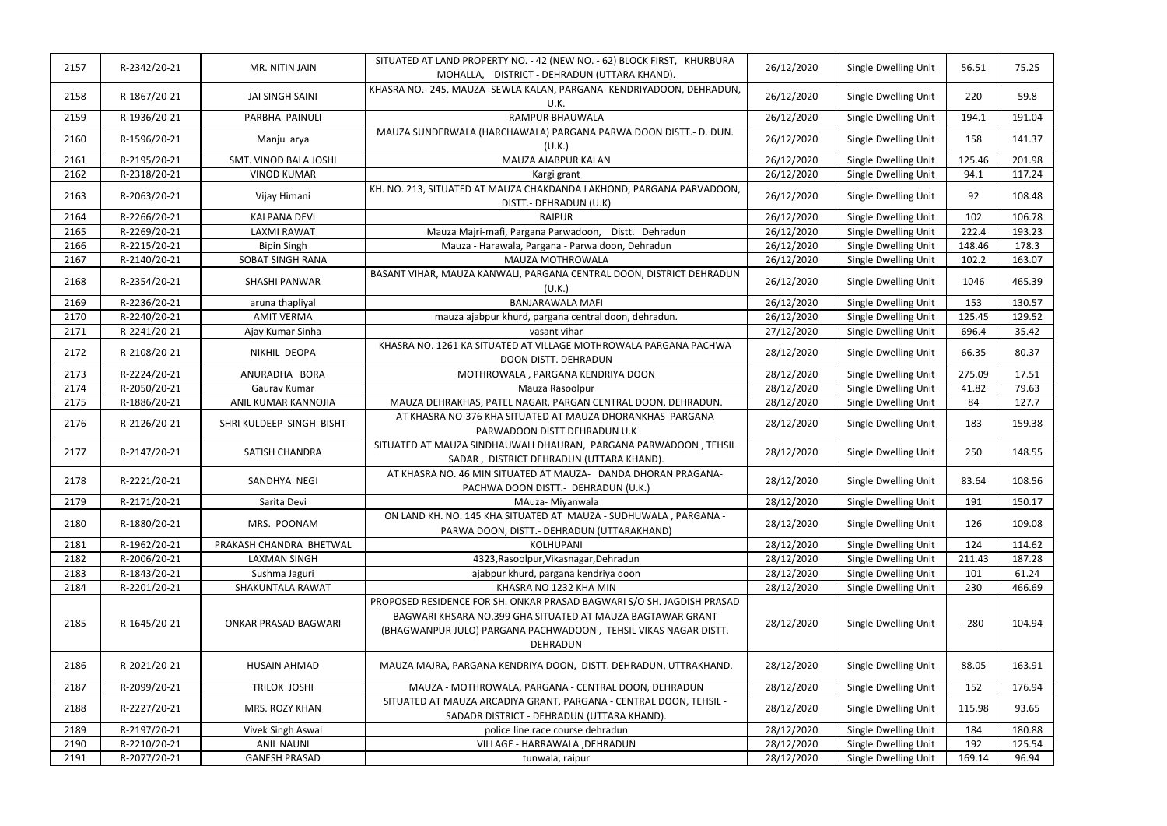| 2157 | R-2342/20-21 | MR. NITIN JAIN              | SITUATED AT LAND PROPERTY NO. - 42 (NEW NO. - 62) BLOCK FIRST, KHURBURA<br>MOHALLA, DISTRICT - DEHRADUN (UTTARA KHAND).                                                                                             | 26/12/2020 | Single Dwelling Unit | 56.51  | 75.25  |
|------|--------------|-----------------------------|---------------------------------------------------------------------------------------------------------------------------------------------------------------------------------------------------------------------|------------|----------------------|--------|--------|
| 2158 | R-1867/20-21 | JAI SINGH SAINI             | KHASRA NO.- 245, MAUZA- SEWLA KALAN, PARGANA- KENDRIYADOON, DEHRADUN,<br>U.K.                                                                                                                                       | 26/12/2020 | Single Dwelling Unit | 220    | 59.8   |
| 2159 | R-1936/20-21 | PARBHA PAINULI              | <b>RAMPUR BHAUWALA</b>                                                                                                                                                                                              | 26/12/2020 | Single Dwelling Unit | 194.1  | 191.04 |
| 2160 | R-1596/20-21 | Manju arya                  | MAUZA SUNDERWALA (HARCHAWALA) PARGANA PARWA DOON DISTT.- D. DUN.<br>(U.K.)                                                                                                                                          | 26/12/2020 | Single Dwelling Unit | 158    | 141.37 |
| 2161 | R-2195/20-21 | SMT. VINOD BALA JOSHI       | MAUZA AJABPUR KALAN                                                                                                                                                                                                 | 26/12/2020 | Single Dwelling Unit | 125.46 | 201.98 |
| 2162 | R-2318/20-21 | <b>VINOD KUMAR</b>          | Kargi grant                                                                                                                                                                                                         | 26/12/2020 | Single Dwelling Unit | 94.1   | 117.24 |
|      |              |                             | KH. NO. 213, SITUATED AT MAUZA CHAKDANDA LAKHOND, PARGANA PARVADOON,                                                                                                                                                |            |                      |        |        |
| 2163 | R-2063/20-21 | Vijay Himani                | DISTT.- DEHRADUN (U.K)                                                                                                                                                                                              | 26/12/2020 | Single Dwelling Unit | 92     | 108.48 |
| 2164 | R-2266/20-21 | <b>KALPANA DEVI</b>         | <b>RAIPUR</b>                                                                                                                                                                                                       | 26/12/2020 | Single Dwelling Unit | 102    | 106.78 |
| 2165 | R-2269/20-21 | <b>LAXMI RAWAT</b>          | Mauza Majri-mafi, Pargana Parwadoon, Distt. Dehradun                                                                                                                                                                | 26/12/2020 | Single Dwelling Unit | 222.4  | 193.23 |
| 2166 | R-2215/20-21 | <b>Bipin Singh</b>          | Mauza - Harawala, Pargana - Parwa doon, Dehradun                                                                                                                                                                    | 26/12/2020 | Single Dwelling Unit | 148.46 | 178.3  |
| 2167 | R-2140/20-21 | <b>SOBAT SINGH RANA</b>     | MAUZA MOTHROWALA                                                                                                                                                                                                    | 26/12/2020 | Single Dwelling Unit | 102.2  | 163.07 |
| 2168 | R-2354/20-21 | <b>SHASHI PANWAR</b>        | BASANT VIHAR, MAUZA KANWALI, PARGANA CENTRAL DOON, DISTRICT DEHRADUN<br>(U.K.)                                                                                                                                      | 26/12/2020 | Single Dwelling Unit | 1046   | 465.39 |
| 2169 | R-2236/20-21 | aruna thapliyal             | <b>BANJARAWALA MAFI</b>                                                                                                                                                                                             | 26/12/2020 | Single Dwelling Unit | 153    | 130.57 |
| 2170 | R-2240/20-21 | <b>AMIT VERMA</b>           | mauza ajabpur khurd, pargana central doon, dehradun.                                                                                                                                                                | 26/12/2020 | Single Dwelling Unit | 125.45 | 129.52 |
| 2171 | R-2241/20-21 | Ajay Kumar Sinha            | vasant vihar                                                                                                                                                                                                        | 27/12/2020 | Single Dwelling Unit | 696.4  | 35.42  |
| 2172 | R-2108/20-21 | NIKHIL DEOPA                | KHASRA NO. 1261 KA SITUATED AT VILLAGE MOTHROWALA PARGANA PACHWA<br>DOON DISTT. DEHRADUN                                                                                                                            | 28/12/2020 | Single Dwelling Unit | 66.35  | 80.37  |
| 2173 | R-2224/20-21 | ANURADHA BORA               | MOTHROWALA, PARGANA KENDRIYA DOON                                                                                                                                                                                   | 28/12/2020 | Single Dwelling Unit | 275.09 | 17.51  |
| 2174 | R-2050/20-21 | Gaurav Kumar                | Mauza Rasoolpur                                                                                                                                                                                                     | 28/12/2020 | Single Dwelling Unit | 41.82  | 79.63  |
| 2175 | R-1886/20-21 | ANIL KUMAR KANNOJIA         | MAUZA DEHRAKHAS, PATEL NAGAR, PARGAN CENTRAL DOON, DEHRADUN.                                                                                                                                                        | 28/12/2020 | Single Dwelling Unit | 84     | 127.7  |
| 2176 | R-2126/20-21 | SHRI KULDEEP SINGH BISHT    | AT KHASRA NO-376 KHA SITUATED AT MAUZA DHORANKHAS PARGANA<br>PARWADOON DISTT DEHRADUN U.K                                                                                                                           | 28/12/2020 | Single Dwelling Unit | 183    | 159.38 |
| 2177 | R-2147/20-21 | SATISH CHANDRA              | SITUATED AT MAUZA SINDHAUWALI DHAURAN, PARGANA PARWADOON, TEHSIL<br>SADAR, DISTRICT DEHRADUN (UTTARA KHAND).                                                                                                        | 28/12/2020 | Single Dwelling Unit | 250    | 148.55 |
| 2178 | R-2221/20-21 | SANDHYA NEGI                | AT KHASRA NO. 46 MIN SITUATED AT MAUZA- DANDA DHORAN PRAGANA-<br>PACHWA DOON DISTT.- DEHRADUN (U.K.)                                                                                                                | 28/12/2020 | Single Dwelling Unit | 83.64  | 108.56 |
| 2179 | R-2171/20-21 | Sarita Devi                 | MAuza- Miyanwala                                                                                                                                                                                                    | 28/12/2020 | Single Dwelling Unit | 191    | 150.17 |
| 2180 | R-1880/20-21 | MRS. POONAM                 | ON LAND KH. NO. 145 KHA SITUATED AT MAUZA - SUDHUWALA, PARGANA -<br>PARWA DOON, DISTT.- DEHRADUN (UTTARAKHAND)                                                                                                      | 28/12/2020 | Single Dwelling Unit | 126    | 109.08 |
| 2181 | R-1962/20-21 | PRAKASH CHANDRA BHETWAL     | KOLHUPANI                                                                                                                                                                                                           | 28/12/2020 | Single Dwelling Unit | 124    | 114.62 |
| 2182 | R-2006/20-21 | <b>LAXMAN SINGH</b>         | 4323, Rasoolpur, Vikasnagar, Dehradun                                                                                                                                                                               | 28/12/2020 | Single Dwelling Unit | 211.43 | 187.28 |
| 2183 | R-1843/20-21 | Sushma Jaguri               | ajabpur khurd, pargana kendriya doon                                                                                                                                                                                | 28/12/2020 | Single Dwelling Unit | 101    | 61.24  |
| 2184 | R-2201/20-21 | SHAKUNTALA RAWAT            | KHASRA NO 1232 KHA MIN                                                                                                                                                                                              | 28/12/2020 | Single Dwelling Unit | 230    | 466.69 |
| 2185 | R-1645/20-21 | <b>ONKAR PRASAD BAGWARI</b> | PROPOSED RESIDENCE FOR SH. ONKAR PRASAD BAGWARI S/O SH. JAGDISH PRASAD<br>BAGWARI KHSARA NO.399 GHA SITUATED AT MAUZA BAGTAWAR GRANT<br>(BHAGWANPUR JULO) PARGANA PACHWADOON, TEHSIL VIKAS NAGAR DISTT.<br>DEHRADUN | 28/12/2020 | Single Dwelling Unit | $-280$ | 104.94 |
| 2186 | R-2021/20-21 | HUSAIN AHMAD                | MAUZA MAJRA, PARGANA KENDRIYA DOON, DISTT. DEHRADUN, UTTRAKHAND.                                                                                                                                                    | 28/12/2020 | Single Dwelling Unit | 88.05  | 163.91 |
| 2187 | R-2099/20-21 | TRILOK JOSHI                | MAUZA - MOTHROWALA, PARGANA - CENTRAL DOON, DEHRADUN                                                                                                                                                                | 28/12/2020 | Single Dwelling Unit | 152    | 176.94 |
| 2188 | R-2227/20-21 | MRS. ROZY KHAN              | SITUATED AT MAUZA ARCADIYA GRANT, PARGANA - CENTRAL DOON, TEHSIL -<br>SADADR DISTRICT - DEHRADUN (UTTARA KHAND).                                                                                                    | 28/12/2020 | Single Dwelling Unit | 115.98 | 93.65  |
| 2189 | R-2197/20-21 | Vivek Singh Aswal           | police line race course dehradun                                                                                                                                                                                    | 28/12/2020 | Single Dwelling Unit | 184    | 180.88 |
| 2190 | R-2210/20-21 | <b>ANIL NAUNI</b>           | VILLAGE - HARRAWALA, DEHRADUN                                                                                                                                                                                       | 28/12/2020 | Single Dwelling Unit | 192    | 125.54 |
| 2191 | R-2077/20-21 | <b>GANESH PRASAD</b>        | tunwala, raipur                                                                                                                                                                                                     | 28/12/2020 | Single Dwelling Unit | 169.14 | 96.94  |
|      |              |                             |                                                                                                                                                                                                                     |            |                      |        |        |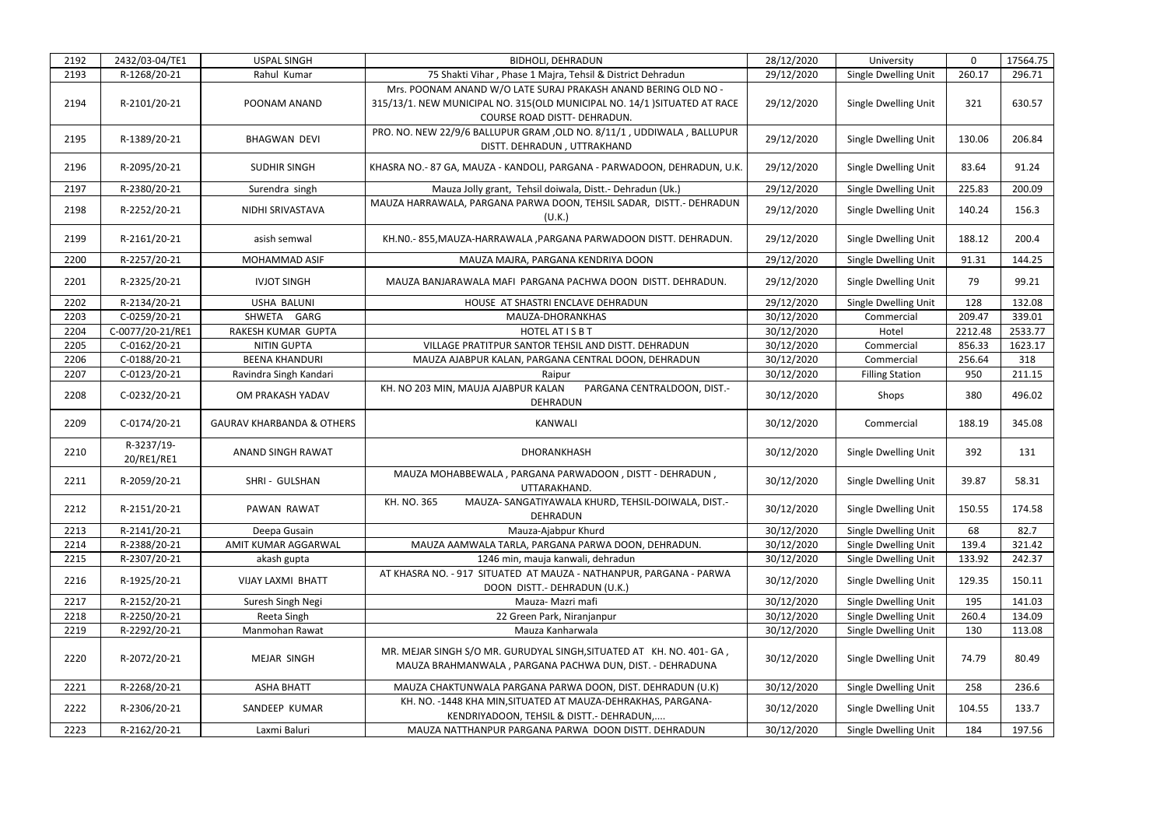| 2192 | 2432/03-04/TE1   | <b>USPAL SINGH</b>                   | <b>BIDHOLI, DEHRADUN</b>                                                 | 28/12/2020 | University                  | $\Omega$ | 17564.75 |
|------|------------------|--------------------------------------|--------------------------------------------------------------------------|------------|-----------------------------|----------|----------|
| 2193 | R-1268/20-21     | Rahul Kumar                          | 75 Shakti Vihar, Phase 1 Majra, Tehsil & District Dehradun               | 29/12/2020 | Single Dwelling Unit        | 260.17   | 296.71   |
|      |                  |                                      | Mrs. POONAM ANAND W/O LATE SURAJ PRAKASH ANAND BERING OLD NO -           |            |                             |          |          |
| 2194 | R-2101/20-21     | POONAM ANAND                         | 315/13/1. NEW MUNICIPAL NO. 315(OLD MUNICIPAL NO. 14/1 )SITUATED AT RACE | 29/12/2020 | Single Dwelling Unit        | 321      | 630.57   |
|      |                  |                                      | COURSE ROAD DISTT- DEHRADUN.                                             |            |                             |          |          |
|      |                  |                                      | PRO. NO. NEW 22/9/6 BALLUPUR GRAM , OLD NO. 8/11/1, UDDIWALA, BALLUPUR   |            |                             |          |          |
| 2195 | R-1389/20-21     | <b>BHAGWAN DEVI</b>                  | DISTT. DEHRADUN, UTTRAKHAND                                              | 29/12/2020 | Single Dwelling Unit        | 130.06   | 206.84   |
|      |                  |                                      |                                                                          |            |                             |          |          |
| 2196 | R-2095/20-21     | <b>SUDHIR SINGH</b>                  | KHASRA NO.-87 GA, MAUZA - KANDOLI, PARGANA - PARWADOON, DEHRADUN, U.K.   | 29/12/2020 | Single Dwelling Unit        | 83.64    | 91.24    |
| 2197 | R-2380/20-21     | Surendra singh                       | Mauza Jolly grant, Tehsil doiwala, Distt.- Dehradun (Uk.)                | 29/12/2020 | <b>Single Dwelling Unit</b> | 225.83   | 200.09   |
|      |                  |                                      | MAUZA HARRAWALA, PARGANA PARWA DOON, TEHSIL SADAR, DISTT.- DEHRADUN      |            |                             |          |          |
| 2198 | R-2252/20-21     | NIDHI SRIVASTAVA                     | (U.K.)                                                                   | 29/12/2020 | Single Dwelling Unit        | 140.24   | 156.3    |
|      |                  |                                      |                                                                          |            |                             |          |          |
| 2199 | R-2161/20-21     | asish semwal                         | KH.NO.-855, MAUZA-HARRAWALA, PARGANA PARWADOON DISTT. DEHRADUN.          | 29/12/2020 | Single Dwelling Unit        | 188.12   | 200.4    |
| 2200 | R-2257/20-21     | MOHAMMAD ASIF                        | MAUZA MAJRA, PARGANA KENDRIYA DOON                                       | 29/12/2020 | Single Dwelling Unit        | 91.31    | 144.25   |
| 2201 | R-2325/20-21     | <b>IVJOT SINGH</b>                   | MAUZA BANJARAWALA MAFI PARGANA PACHWA DOON DISTT. DEHRADUN.              | 29/12/2020 | Single Dwelling Unit        | 79       | 99.21    |
|      |                  |                                      |                                                                          |            |                             |          |          |
| 2202 | R-2134/20-21     | <b>USHA BALUNI</b>                   | HOUSE AT SHASTRI ENCLAVE DEHRADUN                                        | 29/12/2020 | Single Dwelling Unit        | 128      | 132.08   |
| 2203 | C-0259/20-21     | SHWETA GARG                          | MAUZA-DHORANKHAS                                                         | 30/12/2020 | Commercial                  | 209.47   | 339.01   |
| 2204 | C-0077/20-21/RE1 | RAKESH KUMAR GUPTA                   | <b>HOTEL AT IS B T</b>                                                   | 30/12/2020 | Hotel                       | 2212.48  | 2533.77  |
| 2205 | C-0162/20-21     | <b>NITIN GUPTA</b>                   | VILLAGE PRATITPUR SANTOR TEHSIL AND DISTT. DEHRADUN                      | 30/12/2020 | Commercial                  | 856.33   | 1623.17  |
| 2206 | C-0188/20-21     | <b>BEENA KHANDURI</b>                | MAUZA AJABPUR KALAN, PARGANA CENTRAL DOON, DEHRADUN                      | 30/12/2020 | Commercial                  | 256.64   | 318      |
| 2207 | C-0123/20-21     | Ravindra Singh Kandari               | Raipur                                                                   | 30/12/2020 | <b>Filling Station</b>      | 950      | 211.15   |
| 2208 | C-0232/20-21     | OM PRAKASH YADAV                     | PARGANA CENTRALDOON, DIST.-<br>KH. NO 203 MIN, MAUJA AJABPUR KALAN       | 30/12/2020 | Shops                       | 380      | 496.02   |
|      |                  |                                      | DEHRADUN                                                                 |            |                             |          |          |
| 2209 | C-0174/20-21     | <b>GAURAV KHARBANDA &amp; OTHERS</b> | <b>KANWALI</b>                                                           | 30/12/2020 | Commercial                  | 188.19   | 345.08   |
|      |                  |                                      |                                                                          |            |                             |          |          |
| 2210 | R-3237/19-       | <b>ANAND SINGH RAWAT</b>             | DHORANKHASH                                                              | 30/12/2020 | Single Dwelling Unit        | 392      | 131      |
|      | 20/RE1/RE1       |                                      |                                                                          |            |                             |          |          |
| 2211 | R-2059/20-21     | SHRI - GULSHAN                       | MAUZA MOHABBEWALA, PARGANA PARWADOON, DISTT - DEHRADUN,                  | 30/12/2020 | Single Dwelling Unit        | 39.87    | 58.31    |
|      |                  |                                      | UTTARAKHAND.                                                             |            |                             |          |          |
| 2212 | R-2151/20-21     | PAWAN RAWAT                          | KH. NO. 365<br>MAUZA- SANGATIYAWALA KHURD, TEHSIL-DOIWALA, DIST.-        | 30/12/2020 | Single Dwelling Unit        | 150.55   | 174.58   |
|      |                  |                                      | <b>DEHRADUN</b>                                                          |            |                             |          |          |
| 2213 | R-2141/20-21     | Deepa Gusain                         | Mauza-Ajabpur Khurd                                                      | 30/12/2020 | Single Dwelling Unit        | 68       | 82.7     |
| 2214 | R-2388/20-21     | AMIT KUMAR AGGARWAL                  | MAUZA AAMWALA TARLA, PARGANA PARWA DOON, DEHRADUN.                       | 30/12/2020 | Single Dwelling Unit        | 139.4    | 321.42   |
| 2215 | R-2307/20-21     | akash gupta                          | 1246 min, mauja kanwali, dehradun                                        | 30/12/2020 | Single Dwelling Unit        | 133.92   | 242.37   |
| 2216 | R-1925/20-21     | <b>VIJAY LAXMI BHATT</b>             | AT KHASRA NO. - 917 SITUATED AT MAUZA - NATHANPUR, PARGANA - PARWA       | 30/12/2020 | Single Dwelling Unit        | 129.35   | 150.11   |
|      |                  |                                      | DOON DISTT.- DEHRADUN (U.K.)                                             |            |                             |          |          |
| 2217 | R-2152/20-21     | Suresh Singh Negi                    | Mauza- Mazri mafi                                                        | 30/12/2020 | Single Dwelling Unit        | 195      | 141.03   |
| 2218 | R-2250/20-21     | Reeta Singh                          | 22 Green Park, Niranjanpur                                               | 30/12/2020 | Single Dwelling Unit        | 260.4    | 134.09   |
| 2219 | R-2292/20-21     | Manmohan Rawat                       | Mauza Kanharwala                                                         | 30/12/2020 | Single Dwelling Unit        | 130      | 113.08   |
|      |                  |                                      | MR. MEJAR SINGH S/O MR. GURUDYAL SINGH, SITUATED AT KH. NO. 401- GA,     |            |                             |          |          |
| 2220 | R-2072/20-21     | MEJAR SINGH                          | MAUZA BRAHMANWALA, PARGANA PACHWA DUN, DIST. - DEHRADUNA                 | 30/12/2020 | Single Dwelling Unit        | 74.79    | 80.49    |
|      |                  |                                      |                                                                          |            |                             |          |          |
| 2221 | R-2268/20-21     | <b>ASHA BHATT</b>                    | MAUZA CHAKTUNWALA PARGANA PARWA DOON, DIST. DEHRADUN (U.K)               | 30/12/2020 | Single Dwelling Unit        | 258      | 236.6    |
| 2222 | R-2306/20-21     | SANDEEP KUMAR                        | KH. NO. - 1448 KHA MIN, SITUATED AT MAUZA-DEHRAKHAS, PARGANA-            | 30/12/2020 | Single Dwelling Unit        | 104.55   | 133.7    |
|      |                  |                                      | KENDRIYADOON, TEHSIL & DISTT.- DEHRADUN,                                 |            |                             |          |          |
| 2223 | R-2162/20-21     | Laxmi Baluri                         | MAUZA NATTHANPUR PARGANA PARWA DOON DISTT. DEHRADUN                      | 30/12/2020 | Single Dwelling Unit        | 184      | 197.56   |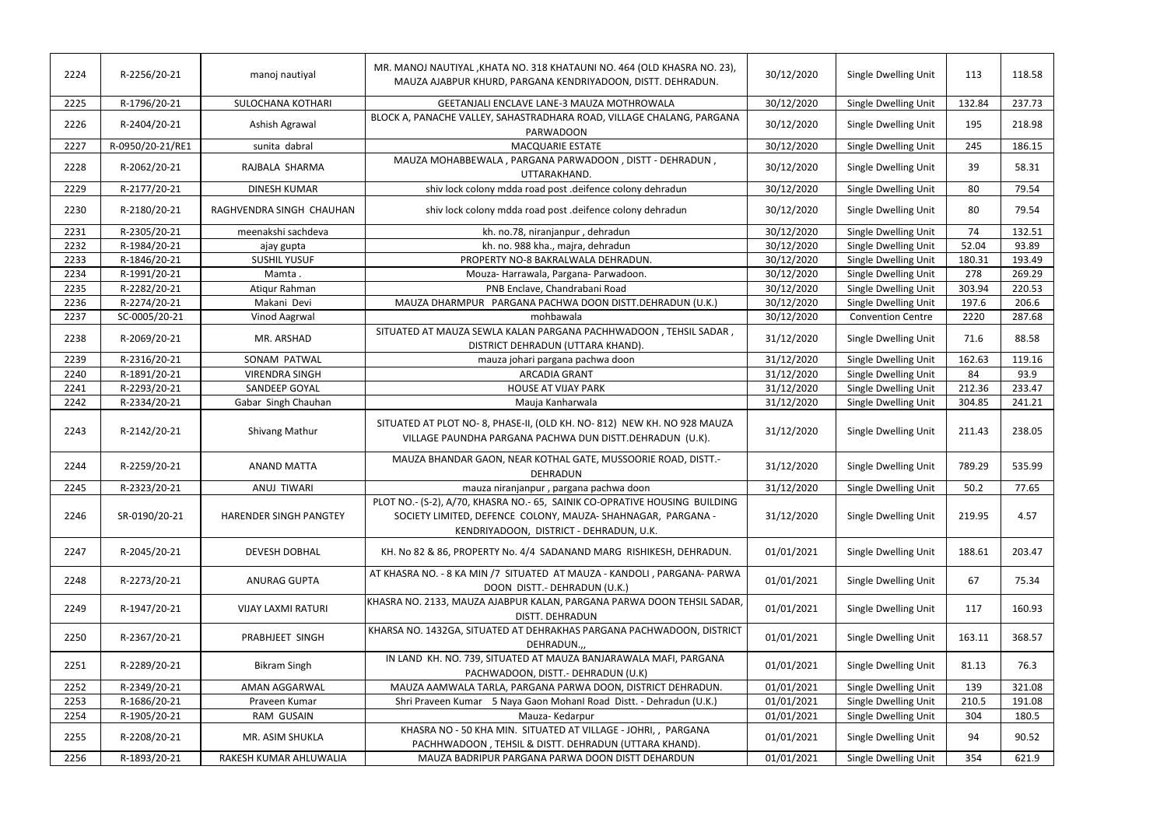| 2224 | R-2256/20-21     | manoj nautiyal            | MR. MANOJ NAUTIYAL , KHATA NO. 318 KHATAUNI NO. 464 (OLD KHASRA NO. 23),<br>MAUZA AJABPUR KHURD, PARGANA KENDRIYADOON, DISTT. DEHRADUN.                                               | 30/12/2020 | Single Dwelling Unit     | 113    | 118.58 |
|------|------------------|---------------------------|---------------------------------------------------------------------------------------------------------------------------------------------------------------------------------------|------------|--------------------------|--------|--------|
| 2225 | R-1796/20-21     | <b>SULOCHANA KOTHARI</b>  | GEETANJALI ENCLAVE LANE-3 MAUZA MOTHROWALA                                                                                                                                            | 30/12/2020 | Single Dwelling Unit     | 132.84 | 237.73 |
| 2226 | R-2404/20-21     | Ashish Agrawal            | BLOCK A, PANACHE VALLEY, SAHASTRADHARA ROAD, VILLAGE CHALANG, PARGANA<br><b>PARWADOON</b>                                                                                             | 30/12/2020 | Single Dwelling Unit     | 195    | 218.98 |
| 2227 | R-0950/20-21/RE1 | sunita dabral             | <b>MACQUARIE ESTATE</b>                                                                                                                                                               | 30/12/2020 | Single Dwelling Unit     | 245    | 186.15 |
| 2228 | R-2062/20-21     | RAJBALA SHARMA            | MAUZA MOHABBEWALA, PARGANA PARWADOON, DISTT - DEHRADUN,<br>UTTARAKHAND.                                                                                                               | 30/12/2020 | Single Dwelling Unit     | 39     | 58.31  |
| 2229 | R-2177/20-21     | <b>DINESH KUMAR</b>       | shiv lock colony mdda road post .deifence colony dehradun                                                                                                                             | 30/12/2020 | Single Dwelling Unit     | 80     | 79.54  |
| 2230 | R-2180/20-21     | RAGHVENDRA SINGH CHAUHAN  | shiv lock colony mdda road post .deifence colony dehradun                                                                                                                             | 30/12/2020 | Single Dwelling Unit     | 80     | 79.54  |
| 2231 | R-2305/20-21     | meenakshi sachdeva        | kh. no.78, niranjanpur, dehradun                                                                                                                                                      | 30/12/2020 | Single Dwelling Unit     | 74     | 132.51 |
| 2232 | R-1984/20-21     | ajay gupta                | kh. no. 988 kha., majra, dehradun                                                                                                                                                     | 30/12/2020 | Single Dwelling Unit     | 52.04  | 93.89  |
| 2233 | R-1846/20-21     | <b>SUSHIL YUSUF</b>       | PROPERTY NO-8 BAKRALWALA DEHRADUN.                                                                                                                                                    | 30/12/2020 | Single Dwelling Unit     | 180.31 | 193.49 |
| 2234 | R-1991/20-21     | Mamta.                    | Mouza-Harrawala, Pargana-Parwadoon.                                                                                                                                                   | 30/12/2020 | Single Dwelling Unit     | 278    | 269.29 |
| 2235 | R-2282/20-21     | Atiqur Rahman             | PNB Enclave, Chandrabani Road                                                                                                                                                         | 30/12/2020 | Single Dwelling Unit     | 303.94 | 220.53 |
| 2236 | R-2274/20-21     | Makani Devi               | MAUZA DHARMPUR PARGANA PACHWA DOON DISTT.DEHRADUN (U.K.)                                                                                                                              | 30/12/2020 | Single Dwelling Unit     | 197.6  | 206.6  |
| 2237 | SC-0005/20-21    | Vinod Aagrwal             | mohbawala                                                                                                                                                                             | 30/12/2020 | <b>Convention Centre</b> | 2220   | 287.68 |
| 2238 | R-2069/20-21     | MR. ARSHAD                | SITUATED AT MAUZA SEWLA KALAN PARGANA PACHHWADOON, TEHSIL SADAR,<br>DISTRICT DEHRADUN (UTTARA KHAND).                                                                                 | 31/12/2020 | Single Dwelling Unit     | 71.6   | 88.58  |
| 2239 | R-2316/20-21     | SONAM PATWAL              | mauza johari pargana pachwa doon                                                                                                                                                      | 31/12/2020 | Single Dwelling Unit     | 162.63 | 119.16 |
| 2240 | R-1891/20-21     | <b>VIRENDRA SINGH</b>     | <b>ARCADIA GRANT</b>                                                                                                                                                                  | 31/12/2020 | Single Dwelling Unit     | 84     | 93.9   |
| 2241 | R-2293/20-21     | SANDEEP GOYAL             | <b>HOUSE AT VIJAY PARK</b>                                                                                                                                                            | 31/12/2020 | Single Dwelling Unit     | 212.36 | 233.47 |
| 2242 | R-2334/20-21     | Gabar Singh Chauhan       | Mauja Kanharwala                                                                                                                                                                      | 31/12/2020 | Single Dwelling Unit     | 304.85 | 241.21 |
| 2243 | R-2142/20-21     | <b>Shivang Mathur</b>     | SITUATED AT PLOT NO- 8, PHASE-II, (OLD KH. NO- 812) NEW KH. NO 928 MAUZA<br>VILLAGE PAUNDHA PARGANA PACHWA DUN DISTT.DEHRADUN (U.K).                                                  | 31/12/2020 | Single Dwelling Unit     | 211.43 | 238.05 |
| 2244 | R-2259/20-21     | <b>ANAND MATTA</b>        | MAUZA BHANDAR GAON, NEAR KOTHAL GATE, MUSSOORIE ROAD, DISTT.-<br>DEHRADUN                                                                                                             | 31/12/2020 | Single Dwelling Unit     | 789.29 | 535.99 |
| 2245 | R-2323/20-21     | ANUJ TIWARI               | mauza niranjanpur, pargana pachwa doon                                                                                                                                                | 31/12/2020 | Single Dwelling Unit     | 50.2   | 77.65  |
| 2246 | SR-0190/20-21    | HARENDER SINGH PANGTEY    | PLOT NO.- (S-2), A/70, KHASRA NO.- 65, SAINIK CO-OPRATIVE HOUSING BUILDING<br>SOCIETY LIMITED, DEFENCE COLONY, MAUZA- SHAHNAGAR, PARGANA -<br>KENDRIYADOON, DISTRICT - DEHRADUN, U.K. | 31/12/2020 | Single Dwelling Unit     | 219.95 | 4.57   |
| 2247 | R-2045/20-21     | <b>DEVESH DOBHAL</b>      | KH. No 82 & 86, PROPERTY No. 4/4 SADANAND MARG RISHIKESH, DEHRADUN.                                                                                                                   | 01/01/2021 | Single Dwelling Unit     | 188.61 | 203.47 |
| 2248 | R-2273/20-21     | ANURAG GUPTA              | AT KHASRA NO. - 8 KA MIN /7 SITUATED AT MAUZA - KANDOLI, PARGANA- PARWA<br>DOON DISTT. - DEHRADUN (U.K.)                                                                              | 01/01/2021 | Single Dwelling Unit     | 67     | 75.34  |
| 2249 | R-1947/20-21     | <b>VIJAY LAXMI RATURI</b> | KHASRA NO. 2133, MAUZA AJABPUR KALAN, PARGANA PARWA DOON TEHSIL SADAR,<br>DISTT. DEHRADUN                                                                                             | 01/01/2021 | Single Dwelling Unit     | 117    | 160.93 |
| 2250 | R-2367/20-21     | PRABHJEET SINGH           | KHARSA NO. 1432GA, SITUATED AT DEHRAKHAS PARGANA PACHWADOON, DISTRICT<br>DEHRADUN.,,                                                                                                  | 01/01/2021 | Single Dwelling Unit     | 163.11 | 368.57 |
| 2251 | R-2289/20-21     | <b>Bikram Singh</b>       | IN LAND KH. NO. 739, SITUATED AT MAUZA BANJARAWALA MAFI, PARGANA<br>PACHWADOON, DISTT.- DEHRADUN (U.K)                                                                                | 01/01/2021 | Single Dwelling Unit     | 81.13  | 76.3   |
| 2252 | R-2349/20-21     | AMAN AGGARWAL             | MAUZA AAMWALA TARLA, PARGANA PARWA DOON, DISTRICT DEHRADUN.                                                                                                                           | 01/01/2021 | Single Dwelling Unit     | 139    | 321.08 |
| 2253 | R-1686/20-21     | Praveen Kumar             | Shri Praveen Kumar 5 Naya Gaon Mohanl Road Distt. - Dehradun (U.K.)                                                                                                                   | 01/01/2021 | Single Dwelling Unit     | 210.5  | 191.08 |
| 2254 | R-1905/20-21     | RAM GUSAIN                | Mauza-Kedarpur                                                                                                                                                                        | 01/01/2021 | Single Dwelling Unit     | 304    | 180.5  |
| 2255 | R-2208/20-21     | MR. ASIM SHUKLA           | KHASRA NO - 50 KHA MIN. SITUATED AT VILLAGE - JOHRI, , PARGANA<br>PACHHWADOON, TEHSIL & DISTT. DEHRADUN (UTTARA KHAND).                                                               | 01/01/2021 | Single Dwelling Unit     | 94     | 90.52  |
| 2256 | R-1893/20-21     | RAKESH KUMAR AHLUWALIA    | MAUZA BADRIPUR PARGANA PARWA DOON DISTT DEHARDUN                                                                                                                                      | 01/01/2021 | Single Dwelling Unit     | 354    | 621.9  |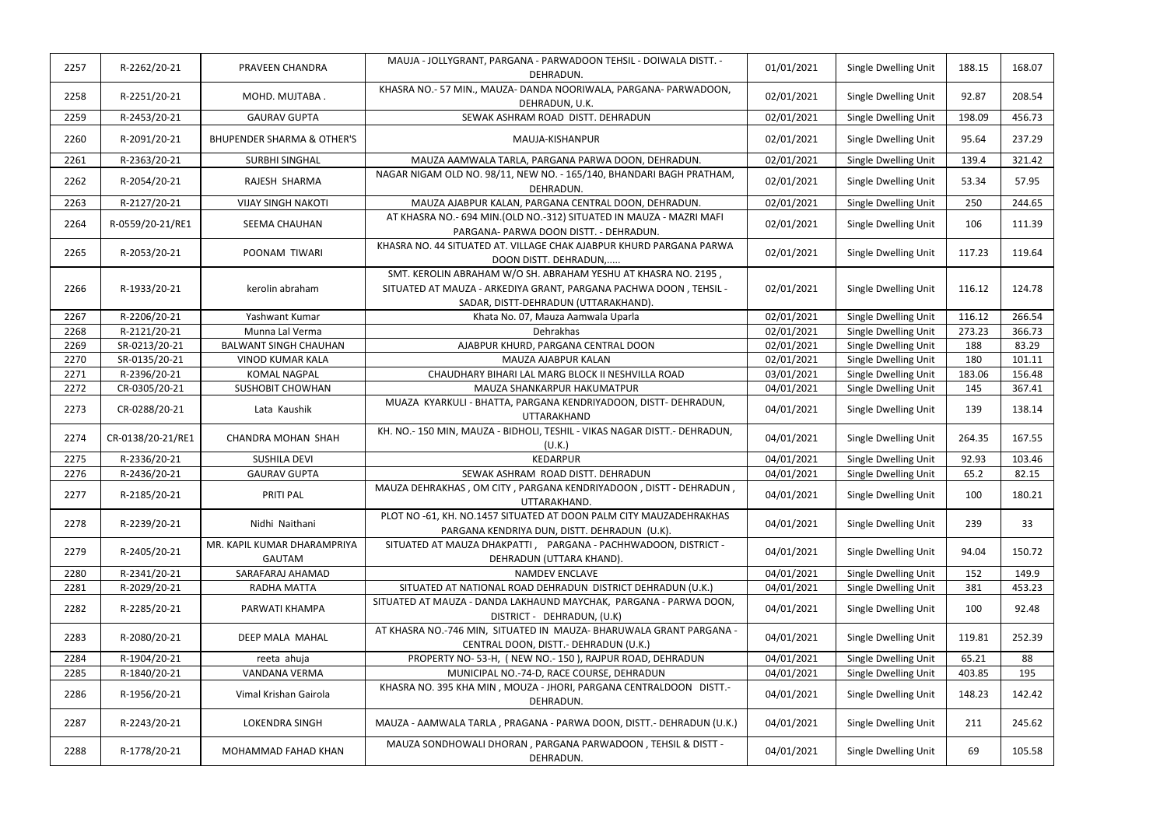| 2257 | R-2262/20-21      | PRAVEEN CHANDRA                              | MAUJA - JOLLYGRANT, PARGANA - PARWADOON TEHSIL - DOIWALA DISTT. -                                                                                                           | 01/01/2021 | Single Dwelling Unit        | 188.15 | 168.07 |
|------|-------------------|----------------------------------------------|-----------------------------------------------------------------------------------------------------------------------------------------------------------------------------|------------|-----------------------------|--------|--------|
|      |                   |                                              | DEHRADUN.                                                                                                                                                                   |            |                             |        |        |
| 2258 | R-2251/20-21      | MOHD. MUJTABA.                               | KHASRA NO.- 57 MIN., MAUZA- DANDA NOORIWALA, PARGANA- PARWADOON,<br>DEHRADUN, U.K.                                                                                          | 02/01/2021 | Single Dwelling Unit        | 92.87  | 208.54 |
| 2259 | R-2453/20-21      | <b>GAURAV GUPTA</b>                          | SEWAK ASHRAM ROAD DISTT. DEHRADUN                                                                                                                                           | 02/01/2021 | Single Dwelling Unit        | 198.09 | 456.73 |
| 2260 | R-2091/20-21      | <b>BHUPENDER SHARMA &amp; OTHER'S</b>        | MAUJA-KISHANPUR                                                                                                                                                             | 02/01/2021 | Single Dwelling Unit        | 95.64  | 237.29 |
| 2261 | R-2363/20-21      | <b>SURBHI SINGHAL</b>                        | MAUZA AAMWALA TARLA, PARGANA PARWA DOON, DEHRADUN.                                                                                                                          | 02/01/2021 | Single Dwelling Unit        | 139.4  | 321.42 |
| 2262 | R-2054/20-21      | RAJESH SHARMA                                | NAGAR NIGAM OLD NO. 98/11, NEW NO. - 165/140, BHANDARI BAGH PRATHAM,<br>DEHRADUN.                                                                                           | 02/01/2021 | Single Dwelling Unit        | 53.34  | 57.95  |
| 2263 | R-2127/20-21      | <b>VIJAY SINGH NAKOTI</b>                    | MAUZA AJABPUR KALAN, PARGANA CENTRAL DOON, DEHRADUN.                                                                                                                        | 02/01/2021 | Single Dwelling Unit        | 250    | 244.65 |
| 2264 | R-0559/20-21/RE1  | SEEMA CHAUHAN                                | AT KHASRA NO.- 694 MIN. (OLD NO.-312) SITUATED IN MAUZA - MAZRI MAFI<br>PARGANA- PARWA DOON DISTT. - DEHRADUN.                                                              | 02/01/2021 | Single Dwelling Unit        | 106    | 111.39 |
| 2265 | R-2053/20-21      | POONAM TIWARI                                | KHASRA NO. 44 SITUATED AT. VILLAGE CHAK AJABPUR KHURD PARGANA PARWA<br>DOON DISTT. DEHRADUN,                                                                                | 02/01/2021 | Single Dwelling Unit        | 117.23 | 119.64 |
| 2266 | R-1933/20-21      | kerolin abraham                              | SMT. KEROLIN ABRAHAM W/O SH. ABRAHAM YESHU AT KHASRA NO. 2195,<br>SITUATED AT MAUZA - ARKEDIYA GRANT, PARGANA PACHWA DOON, TEHSIL -<br>SADAR, DISTT-DEHRADUN (UTTARAKHAND). | 02/01/2021 | Single Dwelling Unit        | 116.12 | 124.78 |
| 2267 | R-2206/20-21      | Yashwant Kumar                               | Khata No. 07, Mauza Aamwala Uparla                                                                                                                                          | 02/01/2021 | Single Dwelling Unit        | 116.12 | 266.54 |
| 2268 | R-2121/20-21      | Munna Lal Verma                              | Dehrakhas                                                                                                                                                                   | 02/01/2021 | <b>Single Dwelling Unit</b> | 273.23 | 366.73 |
| 2269 | SR-0213/20-21     | <b>BALWANT SINGH CHAUHAN</b>                 | AJABPUR KHURD, PARGANA CENTRAL DOON                                                                                                                                         | 02/01/2021 | Single Dwelling Unit        | 188    | 83.29  |
| 2270 | SR-0135/20-21     | <b>VINOD KUMAR KALA</b>                      | MAUZA AJABPUR KALAN                                                                                                                                                         | 02/01/2021 | Single Dwelling Unit        | 180    | 101.11 |
| 2271 | R-2396/20-21      | <b>KOMAL NAGPAL</b>                          | CHAUDHARY BIHARI LAL MARG BLOCK II NESHVILLA ROAD                                                                                                                           | 03/01/2021 | Single Dwelling Unit        | 183.06 | 156.48 |
| 2272 | CR-0305/20-21     | <b>SUSHOBIT CHOWHAN</b>                      | MAUZA SHANKARPUR HAKUMATPUR                                                                                                                                                 | 04/01/2021 | Single Dwelling Unit        | 145    | 367.41 |
| 2273 | CR-0288/20-21     | Lata Kaushik                                 | MUAZA KYARKULI - BHATTA, PARGANA KENDRIYADOON, DISTT- DEHRADUN,<br>UTTARAKHAND                                                                                              | 04/01/2021 | Single Dwelling Unit        | 139    | 138.14 |
| 2274 | CR-0138/20-21/RE1 | <b>CHANDRA MOHAN SHAH</b>                    | KH. NO.- 150 MIN, MAUZA - BIDHOLI, TESHIL - VIKAS NAGAR DISTT.- DEHRADUN,<br>(U.K.)                                                                                         | 04/01/2021 | Single Dwelling Unit        | 264.35 | 167.55 |
| 2275 | R-2336/20-21      | <b>SUSHILA DEVI</b>                          | <b>KEDARPUR</b>                                                                                                                                                             | 04/01/2021 | Single Dwelling Unit        | 92.93  | 103.46 |
| 2276 | R-2436/20-21      | <b>GAURAV GUPTA</b>                          | SEWAK ASHRAM ROAD DISTT. DEHRADUN                                                                                                                                           | 04/01/2021 | Single Dwelling Unit        | 65.2   | 82.15  |
| 2277 | R-2185/20-21      | PRITI PAL                                    | MAUZA DEHRAKHAS, OM CITY, PARGANA KENDRIYADOON, DISTT - DEHRADUN,<br>UTTARAKHAND.                                                                                           | 04/01/2021 | Single Dwelling Unit        | 100    | 180.21 |
| 2278 | R-2239/20-21      | Nidhi Naithani                               | PLOT NO -61, KH. NO.1457 SITUATED AT DOON PALM CITY MAUZADEHRAKHAS<br>PARGANA KENDRIYA DUN, DISTT. DEHRADUN (U.K).                                                          | 04/01/2021 | Single Dwelling Unit        | 239    | 33     |
| 2279 | R-2405/20-21      | MR. KAPIL KUMAR DHARAMPRIYA<br><b>GAUTAM</b> | SITUATED AT MAUZA DHAKPATTI, PARGANA - PACHHWADOON, DISTRICT -<br>DEHRADUN (UTTARA KHAND).                                                                                  | 04/01/2021 | Single Dwelling Unit        | 94.04  | 150.72 |
| 2280 | R-2341/20-21      | SARAFARAJ AHAMAD                             | <b>NAMDEV ENCLAVE</b>                                                                                                                                                       | 04/01/2021 | Single Dwelling Unit        | 152    | 149.9  |
| 2281 | R-2029/20-21      | RADHA MATTA                                  | SITUATED AT NATIONAL ROAD DEHRADUN DISTRICT DEHRADUN (U.K.)                                                                                                                 | 04/01/2021 | Single Dwelling Unit        | 381    | 453.23 |
| 2282 | R-2285/20-21      | PARWATI KHAMPA                               | SITUATED AT MAUZA - DANDA LAKHAUND MAYCHAK, PARGANA - PARWA DOON,<br>DISTRICT - DEHRADUN, (U.K)                                                                             | 04/01/2021 | Single Dwelling Unit        | 100    | 92.48  |
| 2283 | R-2080/20-21      | DEEP MALA MAHAL                              | AT KHASRA NO.-746 MIN, SITUATED IN MAUZA- BHARUWALA GRANT PARGANA -<br>CENTRAL DOON, DISTT. - DEHRADUN (U.K.)                                                               | 04/01/2021 | Single Dwelling Unit        | 119.81 | 252.39 |
| 2284 | R-1904/20-21      | reeta ahuja                                  | PROPERTY NO-53-H, (NEW NO.-150), RAJPUR ROAD, DEHRADUN                                                                                                                      | 04/01/2021 | Single Dwelling Unit        | 65.21  | 88     |
| 2285 | R-1840/20-21      | VANDANA VERMA                                | MUNICIPAL NO.-74-D, RACE COURSE, DEHRADUN                                                                                                                                   | 04/01/2021 | Single Dwelling Unit        | 403.85 | 195    |
| 2286 | R-1956/20-21      | Vimal Krishan Gairola                        | KHASRA NO. 395 KHA MIN, MOUZA - JHORI, PARGANA CENTRALDOON DISTT.-<br>DEHRADUN.                                                                                             | 04/01/2021 | Single Dwelling Unit        | 148.23 | 142.42 |
| 2287 | R-2243/20-21      | <b>LOKENDRA SINGH</b>                        | MAUZA - AAMWALA TARLA, PRAGANA - PARWA DOON, DISTT. - DEHRADUN (U.K.)                                                                                                       | 04/01/2021 | Single Dwelling Unit        | 211    | 245.62 |
| 2288 | R-1778/20-21      | MOHAMMAD FAHAD KHAN                          | MAUZA SONDHOWALI DHORAN, PARGANA PARWADOON, TEHSIL & DISTT -<br>DEHRADUN.                                                                                                   | 04/01/2021 | Single Dwelling Unit        | 69     | 105.58 |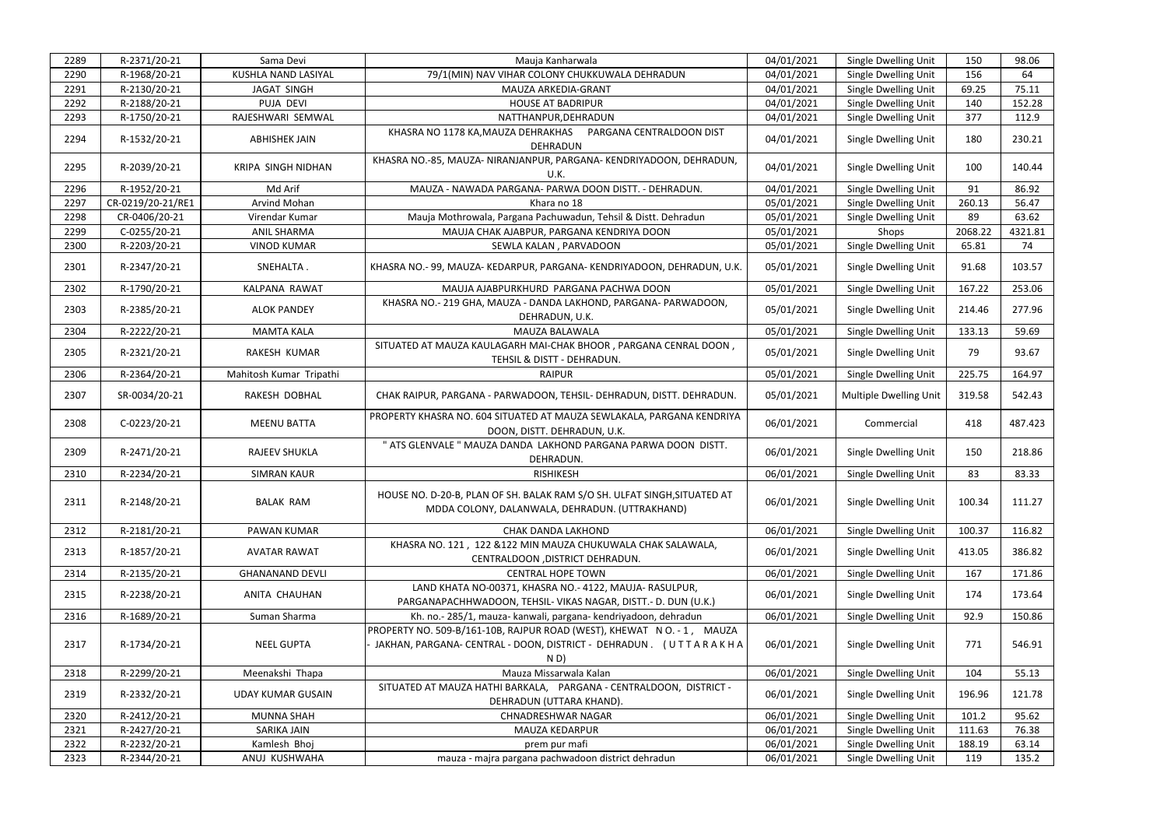| 2289 | R-2371/20-21      | Sama Devi                 | Mauja Kanharwala                                                                                                                                    | 04/01/2021 | Single Dwelling Unit          | 150     | 98.06   |
|------|-------------------|---------------------------|-----------------------------------------------------------------------------------------------------------------------------------------------------|------------|-------------------------------|---------|---------|
| 2290 | R-1968/20-21      | KUSHLA NAND LASIYAL       | 79/1(MIN) NAV VIHAR COLONY CHUKKUWALA DEHRADUN                                                                                                      | 04/01/2021 | Single Dwelling Unit          | 156     | 64      |
| 2291 | R-2130/20-21      | JAGAT SINGH               | MAUZA ARKEDIA-GRANT                                                                                                                                 | 04/01/2021 | Single Dwelling Unit          | 69.25   | 75.11   |
| 2292 | R-2188/20-21      | PUJA DEVI                 | <b>HOUSE AT BADRIPUR</b>                                                                                                                            | 04/01/2021 | Single Dwelling Unit          | 140     | 152.28  |
| 2293 | R-1750/20-21      | RAJESHWARI SEMWAL         | NATTHANPUR, DEHRADUN                                                                                                                                | 04/01/2021 | Single Dwelling Unit          | 377     | 112.9   |
| 2294 | R-1532/20-21      | <b>ABHISHEK JAIN</b>      | KHASRA NO 1178 KA, MAUZA DEHRAKHAS<br>PARGANA CENTRALDOON DIST<br><b>DEHRADUN</b>                                                                   | 04/01/2021 | Single Dwelling Unit          | 180     | 230.21  |
| 2295 | R-2039/20-21      | <b>KRIPA SINGH NIDHAN</b> | KHASRA NO.-85, MAUZA- NIRANJANPUR, PARGANA- KENDRIYADOON, DEHRADUN,<br>U.K.                                                                         | 04/01/2021 | Single Dwelling Unit          | 100     | 140.44  |
| 2296 | R-1952/20-21      | Md Arif                   | MAUZA - NAWADA PARGANA- PARWA DOON DISTT. - DEHRADUN.                                                                                               | 04/01/2021 | Single Dwelling Unit          | 91      | 86.92   |
| 2297 | CR-0219/20-21/RE1 | <b>Arvind Mohan</b>       | Khara no 18                                                                                                                                         | 05/01/2021 | Single Dwelling Unit          | 260.13  | 56.47   |
| 2298 | CR-0406/20-21     | Virendar Kumar            | Mauja Mothrowala, Pargana Pachuwadun, Tehsil & Distt. Dehradun                                                                                      | 05/01/2021 | Single Dwelling Unit          | 89      | 63.62   |
| 2299 | C-0255/20-21      | <b>ANIL SHARMA</b>        | MAUJA CHAK AJABPUR, PARGANA KENDRIYA DOON                                                                                                           | 05/01/2021 | Shops                         | 2068.22 | 4321.81 |
| 2300 | R-2203/20-21      | <b>VINOD KUMAR</b>        | SEWLA KALAN, PARVADOON                                                                                                                              | 05/01/2021 | Single Dwelling Unit          | 65.81   | 74      |
| 2301 | R-2347/20-21      | SNEHALTA.                 | KHASRA NO.- 99, MAUZA- KEDARPUR, PARGANA- KENDRIYADOON, DEHRADUN, U.K.                                                                              | 05/01/2021 | Single Dwelling Unit          | 91.68   | 103.57  |
| 2302 | R-1790/20-21      | KALPANA RAWAT             | MAUJA AJABPURKHURD PARGANA PACHWA DOON                                                                                                              | 05/01/2021 | Single Dwelling Unit          | 167.22  | 253.06  |
| 2303 | R-2385/20-21      | <b>ALOK PANDEY</b>        | KHASRA NO.- 219 GHA, MAUZA - DANDA LAKHOND, PARGANA- PARWADOON,<br>DEHRADUN, U.K.                                                                   | 05/01/2021 | Single Dwelling Unit          | 214.46  | 277.96  |
| 2304 | R-2222/20-21      | <b>MAMTA KALA</b>         | MAUZA BALAWALA                                                                                                                                      | 05/01/2021 | Single Dwelling Unit          | 133.13  | 59.69   |
| 2305 | R-2321/20-21      | RAKESH KUMAR              | SITUATED AT MAUZA KAULAGARH MAI-CHAK BHOOR, PARGANA CENRAL DOON,<br>TEHSIL & DISTT - DEHRADUN.                                                      | 05/01/2021 | Single Dwelling Unit          | 79      | 93.67   |
| 2306 | R-2364/20-21      | Mahitosh Kumar Tripathi   | <b>RAIPUR</b>                                                                                                                                       | 05/01/2021 | Single Dwelling Unit          | 225.75  | 164.97  |
| 2307 | SR-0034/20-21     | RAKESH DOBHAL             | CHAK RAIPUR, PARGANA - PARWADOON, TEHSIL- DEHRADUN, DISTT. DEHRADUN.                                                                                | 05/01/2021 | <b>Multiple Dwelling Unit</b> | 319.58  | 542.43  |
| 2308 | C-0223/20-21      | <b>MEENU BATTA</b>        | PROPERTY KHASRA NO. 604 SITUATED AT MAUZA SEWLAKALA, PARGANA KENDRIYA<br>DOON, DISTT. DEHRADUN, U.K.                                                | 06/01/2021 | Commercial                    | 418     | 487.423 |
| 2309 | R-2471/20-21      | <b>RAJEEV SHUKLA</b>      | " ATS GLENVALE " MAUZA DANDA LAKHOND PARGANA PARWA DOON DISTT.<br>DEHRADUN.                                                                         | 06/01/2021 | Single Dwelling Unit          | 150     | 218.86  |
| 2310 | R-2234/20-21      | <b>SIMRAN KAUR</b>        | <b>RISHIKESH</b>                                                                                                                                    | 06/01/2021 | Single Dwelling Unit          | 83      | 83.33   |
| 2311 | R-2148/20-21      | <b>BALAK RAM</b>          | HOUSE NO. D-20-B, PLAN OF SH. BALAK RAM S/O SH. ULFAT SINGH, SITUATED AT<br>MDDA COLONY, DALANWALA, DEHRADUN. (UTTRAKHAND)                          | 06/01/2021 | Single Dwelling Unit          | 100.34  | 111.27  |
| 2312 | R-2181/20-21      | PAWAN KUMAR               | <b>CHAK DANDA LAKHOND</b>                                                                                                                           | 06/01/2021 | Single Dwelling Unit          | 100.37  | 116.82  |
| 2313 | R-1857/20-21      | <b>AVATAR RAWAT</b>       | KHASRA NO. 121, 122 & 122 MIN MAUZA CHUKUWALA CHAK SALAWALA,<br>CENTRALDOON , DISTRICT DEHRADUN.                                                    | 06/01/2021 | Single Dwelling Unit          | 413.05  | 386.82  |
| 2314 | R-2135/20-21      | <b>GHANANAND DEVLI</b>    | <b>CENTRAL HOPE TOWN</b>                                                                                                                            | 06/01/2021 | Single Dwelling Unit          | 167     | 171.86  |
| 2315 | R-2238/20-21      | ANITA CHAUHAN             | LAND KHATA NO-00371, KHASRA NO.- 4122, MAUJA- RASULPUR,<br>PARGANAPACHHWADOON, TEHSIL- VIKAS NAGAR, DISTT.- D. DUN (U.K.)                           | 06/01/2021 | Single Dwelling Unit          | 174     | 173.64  |
| 2316 | R-1689/20-21      | Suman Sharma              | Kh. no.- 285/1, mauza- kanwali, pargana- kendriyadoon, dehradun                                                                                     | 06/01/2021 | Single Dwelling Unit          | 92.9    | 150.86  |
| 2317 | R-1734/20-21      | <b>NEEL GUPTA</b>         | PROPERTY NO. 509-B/161-10B, RAJPUR ROAD (WEST), KHEWAT NO. - 1, MAUZA<br>JAKHAN, PARGANA- CENTRAL - DOON, DISTRICT - DEHRADUN. (UTTARAKHA<br>$N$ D) | 06/01/2021 | Single Dwelling Unit          | 771     | 546.91  |
| 2318 | R-2299/20-21      | Meenakshi Thapa           | Mauza Missarwala Kalan                                                                                                                              | 06/01/2021 | Single Dwelling Unit          | 104     | 55.13   |
| 2319 | R-2332/20-21      | <b>UDAY KUMAR GUSAIN</b>  | SITUATED AT MAUZA HATHI BARKALA, PARGANA - CENTRALDOON, DISTRICT -<br>DEHRADUN (UTTARA KHAND).                                                      | 06/01/2021 | Single Dwelling Unit          | 196.96  | 121.78  |
| 2320 | R-2412/20-21      | <b>MUNNA SHAH</b>         | <b>CHNADRESHWAR NAGAR</b>                                                                                                                           | 06/01/2021 | Single Dwelling Unit          | 101.2   | 95.62   |
| 2321 | R-2427/20-21      | SARIKA JAIN               | MAUZA KEDARPUR                                                                                                                                      | 06/01/2021 | Single Dwelling Unit          | 111.63  | 76.38   |
| 2322 | R-2232/20-21      | Kamlesh Bhoj              | prem pur mafi                                                                                                                                       | 06/01/2021 | Single Dwelling Unit          | 188.19  | 63.14   |
| 2323 | R-2344/20-21      | ANUJ KUSHWAHA             | mauza - majra pargana pachwadoon district dehradun                                                                                                  | 06/01/2021 | Single Dwelling Unit          | 119     | 135.2   |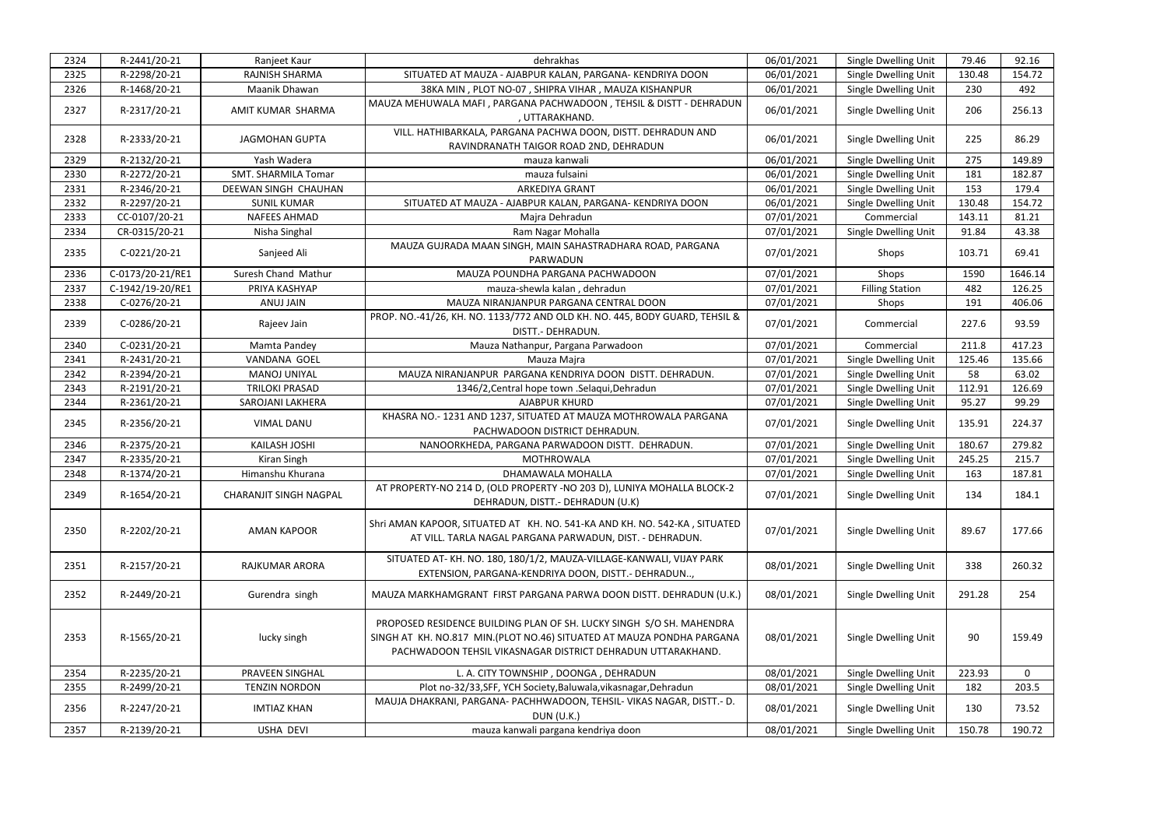| 2324 | R-2441/20-21     | Ranjeet Kaur                  | dehrakhas                                                                                                                                                                                                     | 06/01/2021 | Single Dwelling Unit        | 79.46  | 92.16    |
|------|------------------|-------------------------------|---------------------------------------------------------------------------------------------------------------------------------------------------------------------------------------------------------------|------------|-----------------------------|--------|----------|
| 2325 | R-2298/20-21     | RAJNISH SHARMA                | SITUATED AT MAUZA - AJABPUR KALAN, PARGANA-KENDRIYA DOON                                                                                                                                                      | 06/01/2021 | <b>Single Dwelling Unit</b> | 130.48 | 154.72   |
| 2326 | R-1468/20-21     | Maanik Dhawan                 | 38KA MIN, PLOT NO-07, SHIPRA VIHAR, MAUZA KISHANPUR                                                                                                                                                           | 06/01/2021 | Single Dwelling Unit        | 230    | 492      |
| 2327 | R-2317/20-21     | AMIT KUMAR SHARMA             | MAUZA MEHUWALA MAFI, PARGANA PACHWADOON, TEHSIL & DISTT - DEHRADUN                                                                                                                                            | 06/01/2021 | Single Dwelling Unit        | 206    | 256.13   |
|      |                  |                               | , UTTARAKHAND.                                                                                                                                                                                                |            |                             |        |          |
| 2328 | R-2333/20-21     | <b>JAGMOHAN GUPTA</b>         | VILL. HATHIBARKALA, PARGANA PACHWA DOON, DISTT. DEHRADUN AND<br>RAVINDRANATH TAIGOR ROAD 2ND, DEHRADUN                                                                                                        | 06/01/2021 | Single Dwelling Unit        | 225    | 86.29    |
| 2329 | R-2132/20-21     | Yash Wadera                   | mauza kanwali                                                                                                                                                                                                 | 06/01/2021 | Single Dwelling Unit        | 275    | 149.89   |
| 2330 | R-2272/20-21     | SMT. SHARMILA Tomar           | mauza fulsaini                                                                                                                                                                                                | 06/01/2021 | Single Dwelling Unit        | 181    | 182.87   |
| 2331 | R-2346/20-21     | DEEWAN SINGH CHAUHAN          | ARKEDIYA GRANT                                                                                                                                                                                                | 06/01/2021 | Single Dwelling Unit        | 153    | 179.4    |
| 2332 | R-2297/20-21     | <b>SUNIL KUMAR</b>            | SITUATED AT MAUZA - AJABPUR KALAN, PARGANA-KENDRIYA DOON                                                                                                                                                      | 06/01/2021 | Single Dwelling Unit        | 130.48 | 154.72   |
| 2333 | CC-0107/20-21    | <b>NAFEES AHMAD</b>           | Majra Dehradun                                                                                                                                                                                                | 07/01/2021 | Commercial                  | 143.11 | 81.21    |
| 2334 | CR-0315/20-21    | Nisha Singhal                 | Ram Nagar Mohalla                                                                                                                                                                                             | 07/01/2021 | Single Dwelling Unit        | 91.84  | 43.38    |
|      |                  |                               | MAUZA GUJRADA MAAN SINGH, MAIN SAHASTRADHARA ROAD, PARGANA                                                                                                                                                    |            |                             |        |          |
| 2335 | C-0221/20-21     | Sanjeed Ali                   | PARWADUN                                                                                                                                                                                                      | 07/01/2021 | Shops                       | 103.71 | 69.41    |
| 2336 | C-0173/20-21/RE1 | Suresh Chand Mathur           | MAUZA POUNDHA PARGANA PACHWADOON                                                                                                                                                                              | 07/01/2021 | Shops                       | 1590   | 1646.14  |
| 2337 | C-1942/19-20/RE1 | PRIYA KASHYAP                 | mauza-shewla kalan, dehradun                                                                                                                                                                                  | 07/01/2021 | <b>Filling Station</b>      | 482    | 126.25   |
| 2338 | C-0276/20-21     | ANUJ JAIN                     | MAUZA NIRANJANPUR PARGANA CENTRAL DOON                                                                                                                                                                        | 07/01/2021 | Shops                       | 191    | 406.06   |
| 2339 | C-0286/20-21     | Rajeev Jain                   | PROP. NO.-41/26, KH. NO. 1133/772 AND OLD KH. NO. 445, BODY GUARD, TEHSIL &<br>DISTT.- DEHRADUN.                                                                                                              | 07/01/2021 | Commercial                  | 227.6  | 93.59    |
| 2340 | C-0231/20-21     | Mamta Pandey                  | Mauza Nathanpur, Pargana Parwadoon                                                                                                                                                                            | 07/01/2021 | Commercial                  | 211.8  | 417.23   |
| 2341 | R-2431/20-21     | VANDANA GOEL                  | Mauza Majra                                                                                                                                                                                                   | 07/01/2021 | Single Dwelling Unit        | 125.46 | 135.66   |
| 2342 | R-2394/20-21     | <b>MANOJ UNIYAL</b>           | MAUZA NIRANJANPUR PARGANA KENDRIYA DOON DISTT. DEHRADUN.                                                                                                                                                      | 07/01/2021 | Single Dwelling Unit        | 58     | 63.02    |
| 2343 | R-2191/20-21     | <b>TRILOKI PRASAD</b>         | 1346/2, Central hope town . Selaqui, Dehradun                                                                                                                                                                 | 07/01/2021 | Single Dwelling Unit        | 112.91 | 126.69   |
| 2344 | R-2361/20-21     | SAROJANI LAKHERA              | <b>AJABPUR KHURD</b>                                                                                                                                                                                          | 07/01/2021 | Single Dwelling Unit        | 95.27  | 99.29    |
| 2345 | R-2356/20-21     | <b>VIMAL DANU</b>             | KHASRA NO.- 1231 AND 1237, SITUATED AT MAUZA MOTHROWALA PARGANA<br>PACHWADOON DISTRICT DEHRADUN.                                                                                                              | 07/01/2021 | Single Dwelling Unit        | 135.91 | 224.37   |
| 2346 | R-2375/20-21     | <b>KAILASH JOSHI</b>          | NANOORKHEDA, PARGANA PARWADOON DISTT. DEHRADUN.                                                                                                                                                               | 07/01/2021 | Single Dwelling Unit        | 180.67 | 279.82   |
| 2347 | R-2335/20-21     | Kiran Singh                   | <b>MOTHROWALA</b>                                                                                                                                                                                             | 07/01/2021 | Single Dwelling Unit        | 245.25 | 215.7    |
| 2348 | R-1374/20-21     | Himanshu Khurana              | DHAMAWALA MOHALLA                                                                                                                                                                                             | 07/01/2021 | Single Dwelling Unit        | 163    | 187.81   |
| 2349 | R-1654/20-21     | <b>CHARANJIT SINGH NAGPAL</b> | AT PROPERTY-NO 214 D, (OLD PROPERTY -NO 203 D), LUNIYA MOHALLA BLOCK-2<br>DEHRADUN, DISTT.- DEHRADUN (U.K)                                                                                                    | 07/01/2021 | Single Dwelling Unit        | 134    | 184.1    |
| 2350 | R-2202/20-21     | <b>AMAN KAPOOR</b>            | Shri AMAN KAPOOR, SITUATED AT KH. NO. 541-KA AND KH. NO. 542-KA, SITUATED<br>AT VILL. TARLA NAGAL PARGANA PARWADUN, DIST. - DEHRADUN.                                                                         | 07/01/2021 | Single Dwelling Unit        | 89.67  | 177.66   |
| 2351 | R-2157/20-21     | RAJKUMAR ARORA                | SITUATED AT- KH. NO. 180, 180/1/2, MAUZA-VILLAGE-KANWALI, VIJAY PARK<br>EXTENSION, PARGANA-KENDRIYA DOON, DISTT.- DEHRADUN,                                                                                   | 08/01/2021 | Single Dwelling Unit        | 338    | 260.32   |
| 2352 | R-2449/20-21     | Gurendra singh                | MAUZA MARKHAMGRANT FIRST PARGANA PARWA DOON DISTT. DEHRADUN (U.K.)                                                                                                                                            | 08/01/2021 | Single Dwelling Unit        | 291.28 | 254      |
| 2353 | R-1565/20-21     | lucky singh                   | PROPOSED RESIDENCE BUILDING PLAN OF SH. LUCKY SINGH S/O SH. MAHENDRA<br>SINGH AT KH. NO.817 MIN. (PLOT NO.46) SITUATED AT MAUZA PONDHA PARGANA<br>PACHWADOON TEHSIL VIKASNAGAR DISTRICT DEHRADUN UTTARAKHAND. | 08/01/2021 | Single Dwelling Unit        | 90     | 159.49   |
| 2354 | R-2235/20-21     | PRAVEEN SINGHAL               | L. A. CITY TOWNSHIP, DOONGA, DEHRADUN                                                                                                                                                                         | 08/01/2021 | Single Dwelling Unit        | 223.93 | $\Omega$ |
| 2355 | R-2499/20-21     | <b>TENZIN NORDON</b>          | Plot no-32/33, SFF, YCH Society, Baluwala, vikasnagar, Dehradun                                                                                                                                               | 08/01/2021 | Single Dwelling Unit        | 182    | 203.5    |
| 2356 | R-2247/20-21     | <b>IMTIAZ KHAN</b>            | MAUJA DHAKRANI, PARGANA- PACHHWADOON, TEHSIL- VIKAS NAGAR, DISTT.- D.<br><b>DUN (U.K.)</b>                                                                                                                    | 08/01/2021 | Single Dwelling Unit        | 130    | 73.52    |
| 2357 | R-2139/20-21     | <b>USHA DEVI</b>              | mauza kanwali pargana kendriya doon                                                                                                                                                                           | 08/01/2021 | Single Dwelling Unit        | 150.78 | 190.72   |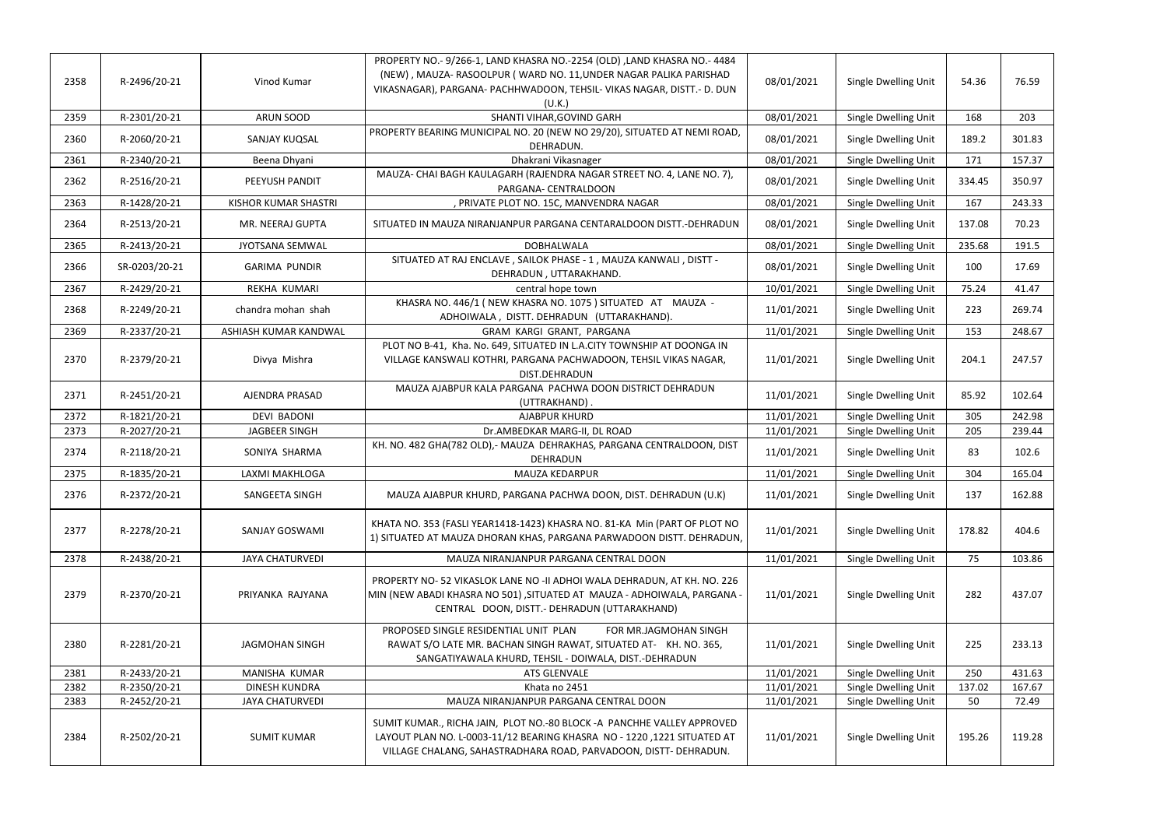| 2358 | R-2496/20-21  | Vinod Kumar                 | PROPERTY NO.- 9/266-1, LAND KHASRA NO.-2254 (OLD), LAND KHASRA NO.- 4484<br>(NEW), MAUZA-RASOOLPUR (WARD NO. 11, UNDER NAGAR PALIKA PARISHAD<br>VIKASNAGAR), PARGANA- PACHHWADOON, TEHSIL- VIKAS NAGAR, DISTT.- D. DUN<br>(U.K.) | 08/01/2021 | Single Dwelling Unit | 54.36  | 76.59  |
|------|---------------|-----------------------------|----------------------------------------------------------------------------------------------------------------------------------------------------------------------------------------------------------------------------------|------------|----------------------|--------|--------|
| 2359 | R-2301/20-21  | ARUN SOOD                   | SHANTI VIHAR, GOVIND GARH                                                                                                                                                                                                        | 08/01/2021 | Single Dwelling Unit | 168    | 203    |
| 2360 | R-2060/20-21  | SANJAY KUQSAL               | PROPERTY BEARING MUNICIPAL NO. 20 (NEW NO 29/20), SITUATED AT NEMI ROAD,<br>DEHRADUN.                                                                                                                                            | 08/01/2021 | Single Dwelling Unit | 189.2  | 301.83 |
| 2361 | R-2340/20-21  | Beena Dhyani                | Dhakrani Vikasnager                                                                                                                                                                                                              | 08/01/2021 | Single Dwelling Unit | 171    | 157.37 |
| 2362 | R-2516/20-21  | PEEYUSH PANDIT              | MAUZA- CHAI BAGH KAULAGARH (RAJENDRA NAGAR STREET NO. 4, LANE NO. 7),<br>PARGANA- CENTRALDOON                                                                                                                                    | 08/01/2021 | Single Dwelling Unit | 334.45 | 350.97 |
| 2363 | R-1428/20-21  | <b>KISHOR KUMAR SHASTRI</b> | , PRIVATE PLOT NO. 15C, MANVENDRA NAGAR                                                                                                                                                                                          | 08/01/2021 | Single Dwelling Unit | 167    | 243.33 |
| 2364 | R-2513/20-21  | MR. NEERAJ GUPTA            | SITUATED IN MAUZA NIRANJANPUR PARGANA CENTARALDOON DISTT.-DEHRADUN                                                                                                                                                               | 08/01/2021 | Single Dwelling Unit | 137.08 | 70.23  |
| 2365 | R-2413/20-21  | JYOTSANA SEMWAL             | <b>DOBHALWALA</b>                                                                                                                                                                                                                | 08/01/2021 | Single Dwelling Unit | 235.68 | 191.5  |
| 2366 | SR-0203/20-21 | <b>GARIMA PUNDIR</b>        | SITUATED AT RAJ ENCLAVE, SAILOK PHASE - 1, MAUZA KANWALI, DISTT -<br>DEHRADUN, UTTARAKHAND.                                                                                                                                      | 08/01/2021 | Single Dwelling Unit | 100    | 17.69  |
| 2367 | R-2429/20-21  | REKHA KUMARI                | central hope town                                                                                                                                                                                                                | 10/01/2021 | Single Dwelling Unit | 75.24  | 41.47  |
| 2368 | R-2249/20-21  | chandra mohan shah          | KHASRA NO. 446/1 (NEW KHASRA NO. 1075) SITUATED AT MAUZA -<br>ADHOIWALA, DISTT. DEHRADUN (UTTARAKHAND).                                                                                                                          | 11/01/2021 | Single Dwelling Unit | 223    | 269.74 |
| 2369 | R-2337/20-21  | ASHIASH KUMAR KANDWAL       | GRAM KARGI GRANT, PARGANA                                                                                                                                                                                                        | 11/01/2021 | Single Dwelling Unit | 153    | 248.67 |
| 2370 | R-2379/20-21  | Divya Mishra                | PLOT NO B-41, Kha. No. 649, SITUATED IN L.A.CITY TOWNSHIP AT DOONGA IN<br>VILLAGE KANSWALI KOTHRI, PARGANA PACHWADOON, TEHSIL VIKAS NAGAR,<br>DIST.DEHRADUN                                                                      | 11/01/2021 | Single Dwelling Unit | 204.1  | 247.57 |
| 2371 | R-2451/20-21  | AJENDRA PRASAD              | MAUZA AJABPUR KALA PARGANA PACHWA DOON DISTRICT DEHRADUN<br>(UTTRAKHAND).                                                                                                                                                        | 11/01/2021 | Single Dwelling Unit | 85.92  | 102.64 |
| 2372 | R-1821/20-21  | <b>DEVI BADONI</b>          | <b>AJABPUR KHURD</b>                                                                                                                                                                                                             | 11/01/2021 | Single Dwelling Unit | 305    | 242.98 |
| 2373 | R-2027/20-21  | <b>JAGBEER SINGH</b>        | Dr.AMBEDKAR MARG-II, DL ROAD                                                                                                                                                                                                     | 11/01/2021 | Single Dwelling Unit | 205    | 239.44 |
| 2374 | R-2118/20-21  | SONIYA SHARMA               | KH. NO. 482 GHA(782 OLD),- MAUZA DEHRAKHAS, PARGANA CENTRALDOON, DIST<br><b>DEHRADUN</b>                                                                                                                                         | 11/01/2021 | Single Dwelling Unit | 83     | 102.6  |
| 2375 | R-1835/20-21  | LAXMI MAKHLOGA              | MAUZA KEDARPUR                                                                                                                                                                                                                   | 11/01/2021 | Single Dwelling Unit | 304    | 165.04 |
| 2376 | R-2372/20-21  | SANGEETA SINGH              | MAUZA AJABPUR KHURD, PARGANA PACHWA DOON, DIST. DEHRADUN (U.K)                                                                                                                                                                   | 11/01/2021 | Single Dwelling Unit | 137    | 162.88 |
| 2377 | R-2278/20-21  | SANJAY GOSWAMI              | KHATA NO. 353 (FASLI YEAR1418-1423) KHASRA NO. 81-KA Min (PART OF PLOT NO<br>1) SITUATED AT MAUZA DHORAN KHAS, PARGANA PARWADOON DISTT. DEHRADUN,                                                                                | 11/01/2021 | Single Dwelling Unit | 178.82 | 404.6  |
| 2378 | R-2438/20-21  | <b>JAYA CHATURVEDI</b>      | MAUZA NIRANJANPUR PARGANA CENTRAL DOON                                                                                                                                                                                           | 11/01/2021 | Single Dwelling Unit | 75     | 103.86 |
| 2379 | R-2370/20-21  | PRIYANKA RAJYANA            | PROPERTY NO- 52 VIKASLOK LANE NO -II ADHOI WALA DEHRADUN, AT KH. NO. 226<br>MIN (NEW ABADI KHASRA NO 501) , SITUATED AT MAUZA - ADHOIWALA, PARGANA -<br>CENTRAL DOON, DISTT.- DEHRADUN (UTTARAKHAND)                             | 11/01/2021 | Single Dwelling Unit | 282    | 437.07 |
| 2380 | R-2281/20-21  | <b>JAGMOHAN SINGH</b>       | PROPOSED SINGLE RESIDENTIAL UNIT PLAN<br>FOR MR.JAGMOHAN SINGH<br>RAWAT S/O LATE MR. BACHAN SINGH RAWAT, SITUATED AT- KH. NO. 365,<br>SANGATIYAWALA KHURD, TEHSIL - DOIWALA, DIST.-DEHRADUN                                      | 11/01/2021 | Single Dwelling Unit | 225    | 233.13 |
| 2381 | R-2433/20-21  | MANISHA KUMAR               | <b>ATS GLENVALE</b>                                                                                                                                                                                                              | 11/01/2021 | Single Dwelling Unit | 250    | 431.63 |
| 2382 | R-2350/20-21  | <b>DINESH KUNDRA</b>        | Khata no 2451                                                                                                                                                                                                                    | 11/01/2021 | Single Dwelling Unit | 137.02 | 167.67 |
| 2383 | R-2452/20-21  | <b>JAYA CHATURVEDI</b>      | MAUZA NIRANJANPUR PARGANA CENTRAL DOON                                                                                                                                                                                           | 11/01/2021 | Single Dwelling Unit | 50     | 72.49  |
| 2384 | R-2502/20-21  | <b>SUMIT KUMAR</b>          | SUMIT KUMAR., RICHA JAIN, PLOT NO.-80 BLOCK -A PANCHHE VALLEY APPROVED<br>LAYOUT PLAN NO. L-0003-11/12 BEARING KHASRA NO - 1220 ,1221 SITUATED AT<br>VILLAGE CHALANG, SAHASTRADHARA ROAD, PARVADOON, DISTT- DEHRADUN.            | 11/01/2021 | Single Dwelling Unit | 195.26 | 119.28 |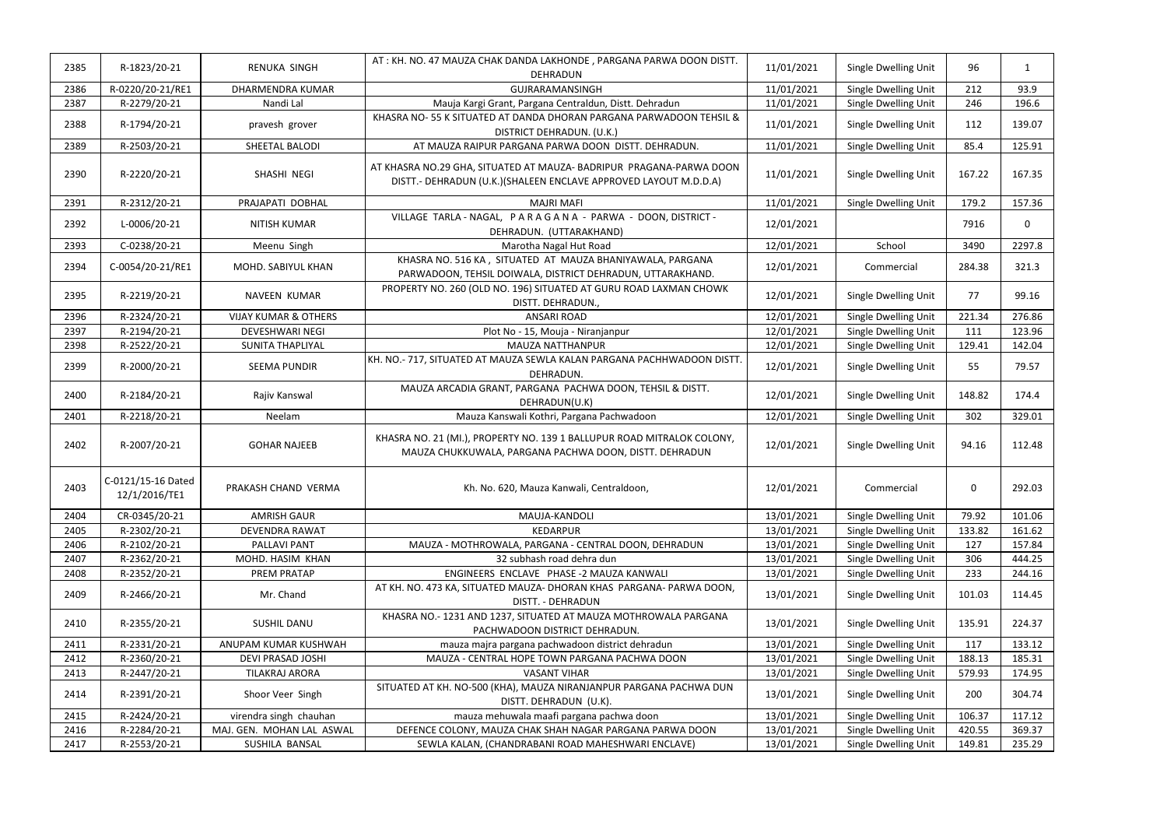| 2385 |                                     |                                 | AT: KH. NO. 47 MAUZA CHAK DANDA LAKHONDE, PARGANA PARWA DOON DISTT.                                                                      |            |                      | 96       | 1            |
|------|-------------------------------------|---------------------------------|------------------------------------------------------------------------------------------------------------------------------------------|------------|----------------------|----------|--------------|
|      | R-1823/20-21                        | RENUKA SINGH                    | DEHRADUN                                                                                                                                 | 11/01/2021 | Single Dwelling Unit |          |              |
| 2386 | R-0220/20-21/RE1                    | DHARMENDRA KUMAR                | GUJRARAMANSINGH                                                                                                                          | 11/01/2021 | Single Dwelling Unit | 212      | 93.9         |
| 2387 | R-2279/20-21                        | Nandi Lal                       | Mauja Kargi Grant, Pargana Centraldun, Distt. Dehradun                                                                                   | 11/01/2021 | Single Dwelling Unit | 246      | 196.6        |
| 2388 | R-1794/20-21                        | pravesh grover                  | KHASRA NO-55 K SITUATED AT DANDA DHORAN PARGANA PARWADOON TEHSIL &<br>DISTRICT DEHRADUN. (U.K.)                                          | 11/01/2021 | Single Dwelling Unit | 112      | 139.07       |
| 2389 | R-2503/20-21                        | SHEETAL BALODI                  | AT MAUZA RAIPUR PARGANA PARWA DOON DISTT. DEHRADUN.                                                                                      | 11/01/2021 | Single Dwelling Unit | 85.4     | 125.91       |
| 2390 | R-2220/20-21                        | SHASHI NEGI                     | AT KHASRA NO.29 GHA, SITUATED AT MAUZA- BADRIPUR PRAGANA-PARWA DOON<br>DISTT.- DEHRADUN (U.K.) (SHALEEN ENCLAVE APPROVED LAYOUT M.D.D.A) | 11/01/2021 | Single Dwelling Unit | 167.22   | 167.35       |
| 2391 | R-2312/20-21                        | PRAJAPATI DOBHAL                | <b>MAJRI MAFI</b>                                                                                                                        | 11/01/2021 | Single Dwelling Unit | 179.2    | 157.36       |
| 2392 | L-0006/20-21                        | NITISH KUMAR                    | VILLAGE TARLA - NAGAL, PARAGANA - PARWA - DOON, DISTRICT -<br>DEHRADUN. (UTTARAKHAND)                                                    | 12/01/2021 |                      | 7916     | $\mathbf{0}$ |
| 2393 | C-0238/20-21                        | Meenu Singh                     | Marotha Nagal Hut Road                                                                                                                   | 12/01/2021 | School               | 3490     | 2297.8       |
| 2394 | C-0054/20-21/RE1                    | MOHD. SABIYUL KHAN              | KHASRA NO. 516 KA, SITUATED AT MAUZA BHANIYAWALA, PARGANA<br>PARWADOON, TEHSIL DOIWALA, DISTRICT DEHRADUN, UTTARAKHAND.                  | 12/01/2021 | Commercial           | 284.38   | 321.3        |
| 2395 | R-2219/20-21                        | NAVEEN KUMAR                    | PROPERTY NO. 260 (OLD NO. 196) SITUATED AT GURU ROAD LAXMAN CHOWK<br>DISTT. DEHRADUN.,                                                   | 12/01/2021 | Single Dwelling Unit | 77       | 99.16        |
| 2396 | R-2324/20-21                        | <b>VIJAY KUMAR &amp; OTHERS</b> | <b>ANSARI ROAD</b>                                                                                                                       | 12/01/2021 | Single Dwelling Unit | 221.34   | 276.86       |
| 2397 | R-2194/20-21                        | <b>DEVESHWARI NEGI</b>          | Plot No - 15, Mouja - Niranjanpur                                                                                                        | 12/01/2021 | Single Dwelling Unit | 111      | 123.96       |
| 2398 | R-2522/20-21                        | <b>SUNITA THAPLIYAL</b>         | <b>MAUZA NATTHANPUR</b>                                                                                                                  | 12/01/2021 | Single Dwelling Unit | 129.41   | 142.04       |
| 2399 | R-2000/20-21                        | <b>SEEMA PUNDIR</b>             | KH. NO.- 717, SITUATED AT MAUZA SEWLA KALAN PARGANA PACHHWADOON DISTT.<br>DEHRADUN.                                                      | 12/01/2021 | Single Dwelling Unit | 55       | 79.57        |
| 2400 | R-2184/20-21                        | Rajiv Kanswal                   | MAUZA ARCADIA GRANT, PARGANA PACHWA DOON, TEHSIL & DISTT.<br>DEHRADUN(U.K)                                                               | 12/01/2021 | Single Dwelling Unit | 148.82   | 174.4        |
| 2401 | R-2218/20-21                        | Neelam                          | Mauza Kanswali Kothri, Pargana Pachwadoon                                                                                                | 12/01/2021 | Single Dwelling Unit | 302      | 329.01       |
| 2402 | R-2007/20-21                        | <b>GOHAR NAJEEB</b>             | KHASRA NO. 21 (MI.), PROPERTY NO. 139 1 BALLUPUR ROAD MITRALOK COLONY,<br>MAUZA CHUKKUWALA, PARGANA PACHWA DOON, DISTT. DEHRADUN         | 12/01/2021 | Single Dwelling Unit | 94.16    | 112.48       |
| 2403 | C-0121/15-16 Dated<br>12/1/2016/TE1 | PRAKASH CHAND VERMA             | Kh. No. 620, Mauza Kanwali, Centraldoon,                                                                                                 | 12/01/2021 | Commercial           | $\Omega$ | 292.03       |
| 2404 | CR-0345/20-21                       | <b>AMRISH GAUR</b>              | MAUJA-KANDOLI                                                                                                                            | 13/01/2021 | Single Dwelling Unit | 79.92    | 101.06       |
| 2405 | R-2302/20-21                        | <b>DEVENDRA RAWAT</b>           | <b>KEDARPUR</b>                                                                                                                          | 13/01/2021 | Single Dwelling Unit | 133.82   | 161.62       |
| 2406 | R-2102/20-21                        | PALLAVI PANT                    | MAUZA - MOTHROWALA, PARGANA - CENTRAL DOON, DEHRADUN                                                                                     | 13/01/2021 | Single Dwelling Unit | 127      | 157.84       |
| 2407 | R-2362/20-21                        | MOHD. HASIM KHAN                | 32 subhash road dehra dun                                                                                                                | 13/01/2021 | Single Dwelling Unit | 306      | 444.25       |
| 2408 | R-2352/20-21                        | PREM PRATAP                     | ENGINEERS ENCLAVE PHASE -2 MAUZA KANWALI                                                                                                 | 13/01/2021 | Single Dwelling Unit | 233      | 244.16       |
| 2409 | R-2466/20-21                        | Mr. Chand                       | AT KH. NO. 473 KA, SITUATED MAUZA- DHORAN KHAS PARGANA- PARWA DOON,<br>DISTT. - DEHRADUN                                                 | 13/01/2021 | Single Dwelling Unit | 101.03   | 114.45       |
| 2410 | R-2355/20-21                        | <b>SUSHIL DANU</b>              | KHASRA NO.- 1231 AND 1237, SITUATED AT MAUZA MOTHROWALA PARGANA<br>PACHWADOON DISTRICT DEHRADUN.                                         | 13/01/2021 | Single Dwelling Unit | 135.91   | 224.37       |
| 2411 | R-2331/20-21                        | ANUPAM KUMAR KUSHWAH            | mauza majra pargana pachwadoon district dehradun                                                                                         | 13/01/2021 | Single Dwelling Unit | 117      | 133.12       |
| 2412 | R-2360/20-21                        | DEVI PRASAD JOSHI               | MAUZA - CENTRAL HOPE TOWN PARGANA PACHWA DOON                                                                                            | 13/01/2021 | Single Dwelling Unit | 188.13   | 185.31       |
| 2413 | R-2447/20-21                        | <b>TILAKRAJ ARORA</b>           | <b>VASANT VIHAR</b>                                                                                                                      | 13/01/2021 | Single Dwelling Unit | 579.93   | 174.95       |
| 2414 | R-2391/20-21                        | Shoor Veer Singh                | SITUATED AT KH. NO-500 (KHA), MAUZA NIRANJANPUR PARGANA PACHWA DUN<br>DISTT. DEHRADUN (U.K).                                             | 13/01/2021 | Single Dwelling Unit | 200      | 304.74       |
| 2415 | R-2424/20-21                        | virendra singh chauhan          | mauza mehuwala maafi pargana pachwa doon                                                                                                 | 13/01/2021 | Single Dwelling Unit | 106.37   | 117.12       |
| 2416 | R-2284/20-21                        | MAJ. GEN. MOHAN LAL ASWAL       | DEFENCE COLONY, MAUZA CHAK SHAH NAGAR PARGANA PARWA DOON                                                                                 | 13/01/2021 | Single Dwelling Unit | 420.55   | 369.37       |
| 2417 | R-2553/20-21                        | SUSHILA BANSAL                  | SEWLA KALAN, (CHANDRABANI ROAD MAHESHWARI ENCLAVE)                                                                                       | 13/01/2021 | Single Dwelling Unit | 149.81   | 235.29       |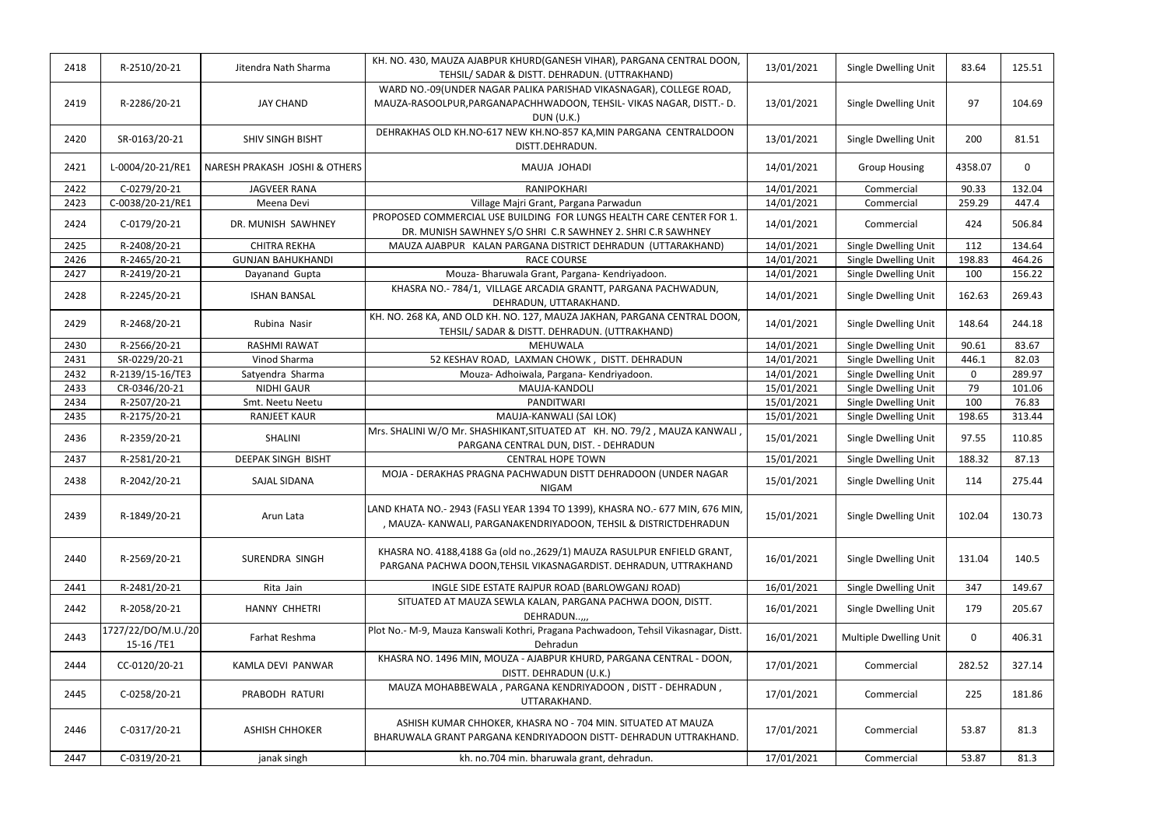| 2418 | R-2510/20-21                    | Jitendra Nath Sharma          | KH. NO. 430, MAUZA AJABPUR KHURD(GANESH VIHAR), PARGANA CENTRAL DOON,<br>TEHSIL/ SADAR & DISTT. DEHRADUN. (UTTRAKHAND)                                           | 13/01/2021 | Single Dwelling Unit        | 83.64       | 125.51      |
|------|---------------------------------|-------------------------------|------------------------------------------------------------------------------------------------------------------------------------------------------------------|------------|-----------------------------|-------------|-------------|
| 2419 | R-2286/20-21                    | <b>JAY CHAND</b>              | WARD NO.-09(UNDER NAGAR PALIKA PARISHAD VIKASNAGAR), COLLEGE ROAD,<br>MAUZA-RASOOLPUR, PARGANAPACHHWADOON, TEHSIL- VIKAS NAGAR, DISTT. - D.<br><b>DUN (U.K.)</b> | 13/01/2021 | Single Dwelling Unit        | 97          | 104.69      |
| 2420 | SR-0163/20-21                   | <b>SHIV SINGH BISHT</b>       | DEHRAKHAS OLD KH.NO-617 NEW KH.NO-857 KA, MIN PARGANA CENTRALDOON<br>DISTT.DEHRADUN.                                                                             | 13/01/2021 | Single Dwelling Unit        | 200         | 81.51       |
| 2421 | L-0004/20-21/RE1                | NARESH PRAKASH JOSHI & OTHERS | MAUJA JOHADI                                                                                                                                                     | 14/01/2021 | <b>Group Housing</b>        | 4358.07     | $\mathbf 0$ |
| 2422 | C-0279/20-21                    | <b>JAGVEER RANA</b>           | RANIPOKHARI                                                                                                                                                      | 14/01/2021 | Commercial                  | 90.33       | 132.04      |
| 2423 | C-0038/20-21/RE1                | Meena Devi                    | Village Majri Grant, Pargana Parwadun                                                                                                                            | 14/01/2021 | Commercial                  | 259.29      | 447.4       |
| 2424 | C-0179/20-21                    | DR. MUNISH SAWHNEY            | PROPOSED COMMERCIAL USE BUILDING FOR LUNGS HEALTH CARE CENTER FOR 1.<br>DR. MUNISH SAWHNEY S/O SHRI C.R SAWHNEY 2. SHRI C.R SAWHNEY                              | 14/01/2021 | Commercial                  | 424         | 506.84      |
| 2425 | R-2408/20-21                    | <b>CHITRA REKHA</b>           | MAUZA AJABPUR KALAN PARGANA DISTRICT DEHRADUN (UTTARAKHAND)                                                                                                      | 14/01/2021 | Single Dwelling Unit        | 112         | 134.64      |
| 2426 | R-2465/20-21                    | <b>GUNJAN BAHUKHANDI</b>      | <b>RACE COURSE</b>                                                                                                                                               | 14/01/2021 | <b>Single Dwelling Unit</b> | 198.83      | 464.26      |
| 2427 | R-2419/20-21                    | Dayanand Gupta                | Mouza- Bharuwala Grant, Pargana- Kendriyadoon.                                                                                                                   | 14/01/2021 | Single Dwelling Unit        | 100         | 156.22      |
| 2428 | R-2245/20-21                    | <b>ISHAN BANSAL</b>           | KHASRA NO.- 784/1, VILLAGE ARCADIA GRANTT, PARGANA PACHWADUN,<br>DEHRADUN, UTTARAKHAND.                                                                          | 14/01/2021 | Single Dwelling Unit        | 162.63      | 269.43      |
| 2429 | R-2468/20-21                    | Rubina Nasir                  | KH. NO. 268 KA, AND OLD KH. NO. 127, MAUZA JAKHAN, PARGANA CENTRAL DOON,<br>TEHSIL/ SADAR & DISTT. DEHRADUN. (UTTRAKHAND)                                        | 14/01/2021 | Single Dwelling Unit        | 148.64      | 244.18      |
| 2430 | R-2566/20-21                    | <b>RASHMI RAWAT</b>           | <b>MEHUWALA</b>                                                                                                                                                  | 14/01/2021 | Single Dwelling Unit        | 90.61       | 83.67       |
| 2431 | SR-0229/20-21                   | Vinod Sharma                  | 52 KESHAV ROAD, LAXMAN CHOWK, DISTT. DEHRADUN                                                                                                                    | 14/01/2021 | Single Dwelling Unit        | 446.1       | 82.03       |
| 2432 | R-2139/15-16/TE3                | Satyendra Sharma              | Mouza- Adhoiwala, Pargana- Kendriyadoon.                                                                                                                         | 14/01/2021 | Single Dwelling Unit        | $\Omega$    | 289.97      |
| 2433 | CR-0346/20-21                   | <b>NIDHI GAUR</b>             | MAUJA-KANDOLI                                                                                                                                                    | 15/01/2021 | Single Dwelling Unit        | 79          | 101.06      |
| 2434 | R-2507/20-21                    | Smt. Neetu Neetu              | PANDITWARI                                                                                                                                                       | 15/01/2021 | Single Dwelling Unit        | 100         | 76.83       |
| 2435 | R-2175/20-21                    | <b>RANJEET KAUR</b>           | MAUJA-KANWALI (SAI LOK)                                                                                                                                          | 15/01/2021 | Single Dwelling Unit        | 198.65      | 313.44      |
| 2436 | R-2359/20-21                    | SHALINI                       | Mrs. SHALINI W/O Mr. SHASHIKANT, SITUATED AT KH. NO. 79/2, MAUZA KANWALI,<br>PARGANA CENTRAL DUN, DIST. - DEHRADUN                                               | 15/01/2021 | Single Dwelling Unit        | 97.55       | 110.85      |
| 2437 | R-2581/20-21                    | DEEPAK SINGH BISHT            | <b>CENTRAL HOPE TOWN</b>                                                                                                                                         | 15/01/2021 | Single Dwelling Unit        | 188.32      | 87.13       |
| 2438 | R-2042/20-21                    | SAJAL SIDANA                  | MOJA - DERAKHAS PRAGNA PACHWADUN DISTT DEHRADOON (UNDER NAGAR<br>NIGAM                                                                                           | 15/01/2021 | Single Dwelling Unit        | 114         | 275.44      |
| 2439 | R-1849/20-21                    | Arun Lata                     | LAND KHATA NO.- 2943 (FASLI YEAR 1394 TO 1399), KHASRA NO.- 677 MIN, 676 MIN,<br>, MAUZA-KANWALI, PARGANAKENDRIYADOON, TEHSIL & DISTRICTDEHRADUN                 | 15/01/2021 | Single Dwelling Unit        | 102.04      | 130.73      |
| 2440 | R-2569/20-21                    | SURENDRA SINGH                | KHASRA NO. 4188,4188 Ga (old no.,2629/1) MAUZA RASULPUR ENFIELD GRANT,<br>PARGANA PACHWA DOON, TEHSIL VIKASNAGARDIST. DEHRADUN, UTTRAKHAND                       | 16/01/2021 | Single Dwelling Unit        | 131.04      | 140.5       |
| 2441 | R-2481/20-21                    | Rita Jain                     | INGLE SIDE ESTATE RAJPUR ROAD (BARLOWGANJ ROAD)                                                                                                                  | 16/01/2021 | Single Dwelling Unit        | 347         | 149.67      |
| 2442 | R-2058/20-21                    | HANNY CHHETRI                 | SITUATED AT MAUZA SEWLA KALAN, PARGANA PACHWA DOON, DISTT.<br>DEHRADUN,,,                                                                                        | 16/01/2021 | Single Dwelling Unit        | 179         | 205.67      |
| 2443 | 1727/22/DO/M.U./20<br>15-16/TE1 | Farhat Reshma                 | Plot No.- M-9, Mauza Kanswali Kothri, Pragana Pachwadoon, Tehsil Vikasnagar, Distt.<br>Dehradun                                                                  | 16/01/2021 | Multiple Dwelling Unit      | $\mathbf 0$ | 406.31      |
| 2444 | CC-0120/20-21                   | KAMLA DEVI PANWAR             | KHASRA NO. 1496 MIN, MOUZA - AJABPUR KHURD, PARGANA CENTRAL - DOON,<br>DISTT. DEHRADUN (U.K.)                                                                    | 17/01/2021 | Commercial                  | 282.52      | 327.14      |
| 2445 | C-0258/20-21                    | PRABODH RATURI                | MAUZA MOHABBEWALA, PARGANA KENDRIYADOON, DISTT - DEHRADUN,<br>UTTARAKHAND.                                                                                       | 17/01/2021 | Commercial                  | 225         | 181.86      |
| 2446 | C-0317/20-21                    | <b>ASHISH CHHOKER</b>         | ASHISH KUMAR CHHOKER, KHASRA NO - 704 MIN. SITUATED AT MAUZA<br>BHARUWALA GRANT PARGANA KENDRIYADOON DISTT- DEHRADUN UTTRAKHAND.                                 | 17/01/2021 | Commercial                  | 53.87       | 81.3        |
| 2447 | C-0319/20-21                    | janak singh                   | kh. no.704 min. bharuwala grant, dehradun.                                                                                                                       | 17/01/2021 | Commercial                  | 53.87       | 81.3        |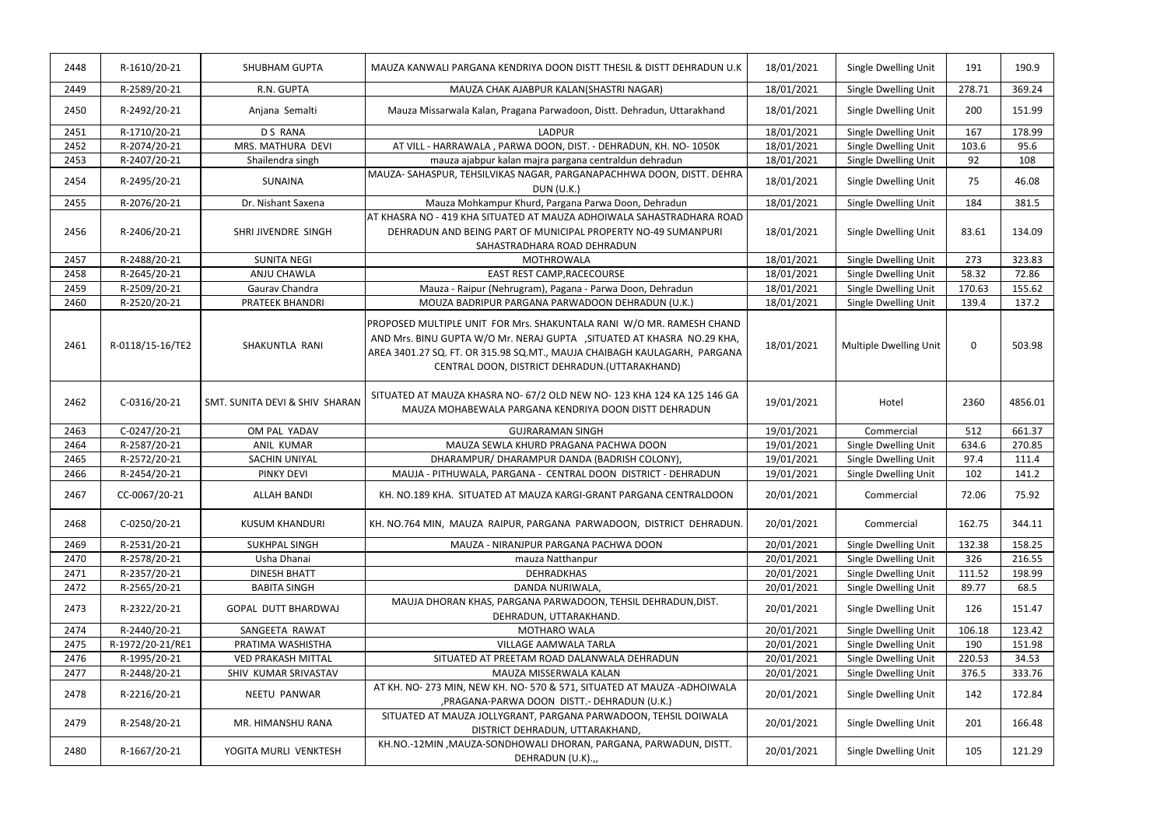| 2448 | R-1610/20-21     | SHUBHAM GUPTA                  | MAUZA KANWALI PARGANA KENDRIYA DOON DISTT THESIL & DISTT DEHRADUN U.K                                                                                                                                                                                                        | 18/01/2021 | Single Dwelling Unit   | 191         | 190.9   |
|------|------------------|--------------------------------|------------------------------------------------------------------------------------------------------------------------------------------------------------------------------------------------------------------------------------------------------------------------------|------------|------------------------|-------------|---------|
| 2449 | R-2589/20-21     | R.N. GUPTA                     | MAUZA CHAK AJABPUR KALAN(SHASTRI NAGAR)                                                                                                                                                                                                                                      | 18/01/2021 | Single Dwelling Unit   | 278.71      | 369.24  |
| 2450 | R-2492/20-21     | Anjana Semalti                 | Mauza Missarwala Kalan, Pragana Parwadoon, Distt. Dehradun, Uttarakhand                                                                                                                                                                                                      | 18/01/2021 | Single Dwelling Unit   | 200         | 151.99  |
| 2451 | R-1710/20-21     | <b>DS RANA</b>                 | <b>LADPUR</b>                                                                                                                                                                                                                                                                | 18/01/2021 | Single Dwelling Unit   | 167         | 178.99  |
| 2452 | R-2074/20-21     | MRS. MATHURA DEVI              | AT VILL - HARRAWALA, PARWA DOON, DIST. - DEHRADUN, KH. NO-1050K                                                                                                                                                                                                              | 18/01/2021 | Single Dwelling Unit   | 103.6       | 95.6    |
| 2453 | R-2407/20-21     | Shailendra singh               | mauza ajabpur kalan majra pargana centraldun dehradun                                                                                                                                                                                                                        | 18/01/2021 | Single Dwelling Unit   | 92          | 108     |
| 2454 | R-2495/20-21     | SUNAINA                        | MAUZA-SAHASPUR, TEHSILVIKAS NAGAR, PARGANAPACHHWA DOON, DISTT. DEHRA<br><b>DUN (U.K.)</b>                                                                                                                                                                                    | 18/01/2021 | Single Dwelling Unit   | 75          | 46.08   |
| 2455 | R-2076/20-21     | Dr. Nishant Saxena             | Mauza Mohkampur Khurd, Pargana Parwa Doon, Dehradun                                                                                                                                                                                                                          | 18/01/2021 | Single Dwelling Unit   | 184         | 381.5   |
| 2456 | R-2406/20-21     | SHRI JIVENDRE SINGH            | AT KHASRA NO - 419 KHA SITUATED AT MAUZA ADHOIWALA SAHASTRADHARA ROAD<br>DEHRADUN AND BEING PART OF MUNICIPAL PROPERTY NO-49 SUMANPURI<br>SAHASTRADHARA ROAD DEHRADUN                                                                                                        | 18/01/2021 | Single Dwelling Unit   | 83.61       | 134.09  |
| 2457 | R-2488/20-21     | <b>SUNITA NEGI</b>             | <b>MOTHROWALA</b>                                                                                                                                                                                                                                                            | 18/01/2021 | Single Dwelling Unit   | 273         | 323.83  |
| 2458 | R-2645/20-21     | <b>ANJU CHAWLA</b>             | EAST REST CAMP, RACECOURSE                                                                                                                                                                                                                                                   | 18/01/2021 | Single Dwelling Unit   | 58.32       | 72.86   |
| 2459 | R-2509/20-21     | Gaurav Chandra                 | Mauza - Raipur (Nehrugram), Pagana - Parwa Doon, Dehradun                                                                                                                                                                                                                    | 18/01/2021 | Single Dwelling Unit   | 170.63      | 155.62  |
| 2460 | R-2520/20-21     | <b>PRATEEK BHANDRI</b>         | MOUZA BADRIPUR PARGANA PARWADOON DEHRADUN (U.K.)                                                                                                                                                                                                                             | 18/01/2021 | Single Dwelling Unit   | 139.4       | 137.2   |
| 2461 | R-0118/15-16/TE2 | SHAKUNTLA RANI                 | PROPOSED MULTIPLE UNIT FOR Mrs. SHAKUNTALA RANI W/O MR. RAMESH CHAND<br>AND Mrs. BINU GUPTA W/O Mr. NERAJ GUPTA , SITUATED AT KHASRA NO.29 KHA,<br>AREA 3401.27 SQ. FT. OR 315.98 SQ.MT., MAUJA CHAIBAGH KAULAGARH, PARGANA<br>CENTRAL DOON, DISTRICT DEHRADUN.(UTTARAKHAND) | 18/01/2021 | Multiple Dwelling Unit | $\mathbf 0$ | 503.98  |
| 2462 | C-0316/20-21     | SMT. SUNITA DEVI & SHIV SHARAN | SITUATED AT MAUZA KHASRA NO- 67/2 OLD NEW NO- 123 KHA 124 KA 125 146 GA<br>MAUZA MOHABEWALA PARGANA KENDRIYA DOON DISTT DEHRADUN                                                                                                                                             | 19/01/2021 | Hotel                  | 2360        | 4856.01 |
| 2463 | C-0247/20-21     | OM PAL YADAV                   | <b>GUJRARAMAN SINGH</b>                                                                                                                                                                                                                                                      | 19/01/2021 | Commercial             | 512         | 661.37  |
| 2464 | R-2587/20-21     | ANIL KUMAR                     | MAUZA SEWLA KHURD PRAGANA PACHWA DOON                                                                                                                                                                                                                                        | 19/01/2021 | Single Dwelling Unit   | 634.6       | 270.85  |
| 2465 | R-2572/20-21     | <b>SACHIN UNIYAL</b>           | DHARAMPUR/DHARAMPUR DANDA (BADRISH COLONY),                                                                                                                                                                                                                                  | 19/01/2021 | Single Dwelling Unit   | 97.4        | 111.4   |
| 2466 | R-2454/20-21     | <b>PINKY DEVI</b>              | MAUJA - PITHUWALA, PARGANA - CENTRAL DOON DISTRICT - DEHRADUN                                                                                                                                                                                                                | 19/01/2021 | Single Dwelling Unit   | 102         | 141.2   |
| 2467 | CC-0067/20-21    | <b>ALLAH BANDI</b>             | KH. NO.189 KHA. SITUATED AT MAUZA KARGI-GRANT PARGANA CENTRALDOON                                                                                                                                                                                                            | 20/01/2021 | Commercial             | 72.06       | 75.92   |
| 2468 | C-0250/20-21     | <b>KUSUM KHANDURI</b>          | KH. NO.764 MIN, MAUZA RAIPUR, PARGANA PARWADOON, DISTRICT DEHRADUN.                                                                                                                                                                                                          | 20/01/2021 | Commercial             | 162.75      | 344.11  |
| 2469 | R-2531/20-21     | <b>SUKHPAL SINGH</b>           | MAUZA - NIRANJPUR PARGANA PACHWA DOON                                                                                                                                                                                                                                        | 20/01/2021 | Single Dwelling Unit   | 132.38      | 158.25  |
| 2470 | R-2578/20-21     | Usha Dhanai                    | mauza Natthanpur                                                                                                                                                                                                                                                             | 20/01/2021 | Single Dwelling Unit   | 326         | 216.55  |
| 2471 | R-2357/20-21     | <b>DINESH BHATT</b>            | <b>DEHRADKHAS</b>                                                                                                                                                                                                                                                            | 20/01/2021 | Single Dwelling Unit   | 111.52      | 198.99  |
| 2472 | R-2565/20-21     | <b>BABITA SINGH</b>            | DANDA NURIWALA,                                                                                                                                                                                                                                                              | 20/01/2021 | Single Dwelling Unit   | 89.77       | 68.5    |
| 2473 | R-2322/20-21     | <b>GOPAL DUTT BHARDWAJ</b>     | MAUJA DHORAN KHAS, PARGANA PARWADOON, TEHSIL DEHRADUN, DIST.<br>DEHRADUN, UTTARAKHAND.                                                                                                                                                                                       | 20/01/2021 | Single Dwelling Unit   | 126         | 151.47  |
| 2474 | R-2440/20-21     | SANGEETA RAWAT                 | <b>MOTHARO WALA</b>                                                                                                                                                                                                                                                          | 20/01/2021 | Single Dwelling Unit   | 106.18      | 123.42  |
| 2475 | R-1972/20-21/RE1 | PRATIMA WASHISTHA              | <b>VILLAGE AAMWALA TARLA</b>                                                                                                                                                                                                                                                 | 20/01/2021 | Single Dwelling Unit   | 190         | 151.98  |
| 2476 | R-1995/20-21     | <b>VED PRAKASH MITTAL</b>      | SITUATED AT PREETAM ROAD DALANWALA DEHRADUN                                                                                                                                                                                                                                  | 20/01/2021 | Single Dwelling Unit   | 220.53      | 34.53   |
| 2477 | R-2448/20-21     | SHIV KUMAR SRIVASTAV           | MAUZA MISSERWALA KALAN                                                                                                                                                                                                                                                       | 20/01/2021 | Single Dwelling Unit   | 376.5       | 333.76  |
| 2478 | R-2216/20-21     | NEETU PANWAR                   | AT KH. NO- 273 MIN, NEW KH. NO- 570 & 571, SITUATED AT MAUZA -ADHOIWALA<br>, PRAGANA-PARWA DOON DISTT.- DEHRADUN (U.K.)                                                                                                                                                      | 20/01/2021 | Single Dwelling Unit   | 142         | 172.84  |
| 2479 | R-2548/20-21     | MR. HIMANSHU RANA              | SITUATED AT MAUZA JOLLYGRANT, PARGANA PARWADOON, TEHSIL DOIWALA<br>DISTRICT DEHRADUN, UTTARAKHAND,                                                                                                                                                                           | 20/01/2021 | Single Dwelling Unit   | 201         | 166.48  |
| 2480 | R-1667/20-21     | YOGITA MURLI VENKTESH          | KH.NO.-12MIN, MAUZA-SONDHOWALI DHORAN, PARGANA, PARWADUN, DISTT.<br>DEHRADUN (U.K).,,                                                                                                                                                                                        | 20/01/2021 | Single Dwelling Unit   | 105         | 121.29  |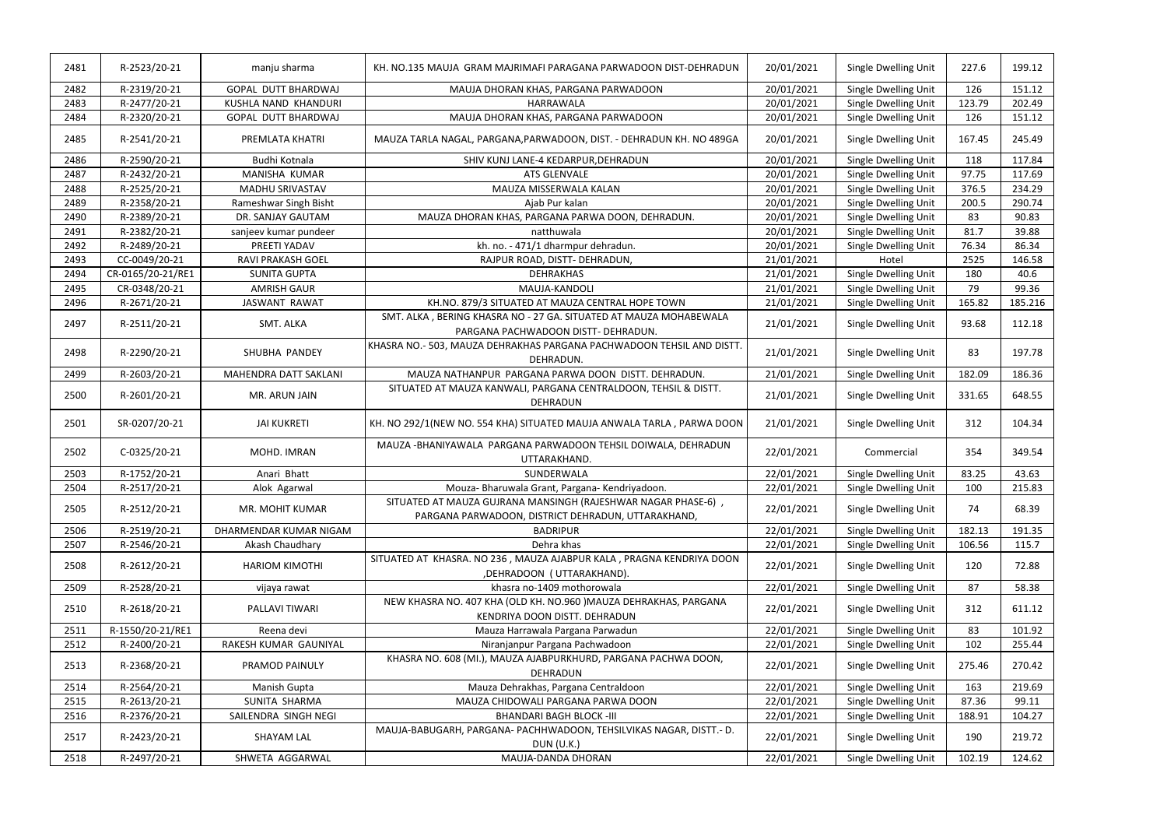| R-2319/20-21<br><b>GOPAL DUTT BHARDWAJ</b><br>2482<br>MAUJA DHORAN KHAS, PARGANA PARWADOON<br>20/01/2021<br>Single Dwelling Unit<br>20/01/2021<br>2483<br>R-2477/20-21<br>KUSHLA NAND KHANDURI<br><b>HARRAWALA</b><br>Single Dwelling Unit | 126<br>123.79 | 151.12  |
|--------------------------------------------------------------------------------------------------------------------------------------------------------------------------------------------------------------------------------------------|---------------|---------|
|                                                                                                                                                                                                                                            |               |         |
|                                                                                                                                                                                                                                            |               | 202.49  |
| R-2320/20-21<br>20/01/2021<br>Single Dwelling Unit<br>2484<br><b>GOPAL DUTT BHARDWAJ</b><br>MAUJA DHORAN KHAS, PARGANA PARWADOON                                                                                                           | 126           | 151.12  |
| 2485<br>R-2541/20-21<br>PREMLATA KHATRI<br>MAUZA TARLA NAGAL, PARGANA, PARWADOON, DIST. - DEHRADUN KH. NO 489GA<br>20/01/2021<br>Single Dwelling Unit                                                                                      | 167.45        | 245.49  |
| R-2590/20-21<br>SHIV KUNJ LANE-4 KEDARPUR, DEHRADUN<br>20/01/2021<br>Single Dwelling Unit<br>2486<br>Budhi Kotnala                                                                                                                         | 118           | 117.84  |
| MANISHA KUMAR<br>ATS GLENVALE<br>2487<br>R-2432/20-21<br>20/01/2021<br>Single Dwelling Unit                                                                                                                                                | 97.75         | 117.69  |
| 2488<br>R-2525/20-21<br>20/01/2021<br>MADHU SRIVASTAV<br>MAUZA MISSERWALA KALAN<br>Single Dwelling Unit                                                                                                                                    | 376.5         | 234.29  |
| 20/01/2021<br>2489<br>R-2358/20-21<br>Rameshwar Singh Bisht<br>Ajab Pur kalan<br>Single Dwelling Unit                                                                                                                                      | 200.5         | 290.74  |
| MAUZA DHORAN KHAS, PARGANA PARWA DOON, DEHRADUN.<br>20/01/2021<br>2490<br>R-2389/20-21<br>DR. SANJAY GAUTAM<br>Single Dwelling Unit                                                                                                        | 83            | 90.83   |
| R-2382/20-21<br>20/01/2021<br>Single Dwelling Unit<br>2491<br>sanjeev kumar pundeer<br>natthuwala                                                                                                                                          | 81.7          | 39.88   |
| kh. no. - 471/1 dharmpur dehradun.<br>20/01/2021<br>2492<br>R-2489/20-21<br>PREETI YADAV<br>Single Dwelling Unit                                                                                                                           | 76.34         | 86.34   |
| 2493<br>CC-0049/20-21<br>RAVI PRAKASH GOEL<br>RAJPUR ROAD, DISTT- DEHRADUN,<br>21/01/2021<br>Hotel                                                                                                                                         | 2525          | 146.58  |
| 2494<br>CR-0165/20-21/RE1<br><b>DEHRAKHAS</b><br>21/01/2021<br>Single Dwelling Unit<br><b>SUNITA GUPTA</b>                                                                                                                                 | 180           | 40.6    |
| 2495<br>CR-0348/20-21<br>21/01/2021<br><b>AMRISH GAUR</b><br>MAUJA-KANDOLI<br>Single Dwelling Unit                                                                                                                                         | 79            | 99.36   |
| R-2671/20-21<br>2496<br>JASWANT RAWAT<br>KH.NO. 879/3 SITUATED AT MAUZA CENTRAL HOPE TOWN<br>21/01/2021<br>Single Dwelling Unit                                                                                                            | 165.82        | 185.216 |
| SMT. ALKA, BERING KHASRA NO - 27 GA. SITUATED AT MAUZA MOHABEWALA                                                                                                                                                                          |               |         |
| 21/01/2021<br>Single Dwelling Unit<br>2497<br>R-2511/20-21<br>SMT. ALKA<br>PARGANA PACHWADOON DISTT- DEHRADUN.                                                                                                                             | 93.68         | 112.18  |
|                                                                                                                                                                                                                                            |               |         |
| KHASRA NO.- 503, MAUZA DEHRAKHAS PARGANA PACHWADOON TEHSIL AND DISTT.<br>2498<br>R-2290/20-21<br>21/01/2021<br>Single Dwelling Unit<br>SHUBHA PANDEY<br>DEHRADUN.                                                                          | 83            | 197.78  |
|                                                                                                                                                                                                                                            |               |         |
| 21/01/2021<br>2499<br>R-2603/20-21<br>MAUZA NATHANPUR PARGANA PARWA DOON DISTT. DEHRADUN.<br>Single Dwelling Unit<br><b>MAHENDRA DATT SAKLANI</b>                                                                                          | 182.09        | 186.36  |
| SITUATED AT MAUZA KANWALI, PARGANA CENTRALDOON, TEHSIL & DISTT.<br>2500<br>R-2601/20-21<br>MR. ARUN JAIN<br>21/01/2021<br>Single Dwelling Unit<br>DEHRADUN                                                                                 | 331.65        | 648.55  |
| 2501<br>SR-0207/20-21<br>KH. NO 292/1(NEW NO. 554 KHA) SITUATED MAUJA ANWALA TARLA, PARWA DOON<br>21/01/2021<br>Single Dwelling Unit<br><b>JAI KUKRETI</b>                                                                                 | 312           | 104.34  |
| MAUZA - BHANIYAWALA PARGANA PARWADOON TEHSIL DOIWALA, DEHRADUN<br>22/01/2021<br>2502<br>C-0325/20-21<br>MOHD. IMRAN<br>Commercial<br>UTTARAKHAND.                                                                                          | 354           | 349.54  |
| R-1752/20-21<br>22/01/2021<br>2503<br>Anari Bhatt<br>SUNDERWALA<br>Single Dwelling Unit                                                                                                                                                    | 83.25         | 43.63   |
| R-2517/20-21<br>22/01/2021<br>2504<br>Single Dwelling Unit<br>Alok Agarwal<br>Mouza- Bharuwala Grant, Pargana- Kendriyadoon.                                                                                                               | 100           | 215.83  |
| SITUATED AT MAUZA GUJRANA MANSINGH (RAJESHWAR NAGAR PHASE-6),<br>22/01/2021<br>2505<br>R-2512/20-21<br>MR. MOHIT KUMAR<br>Single Dwelling Unit<br>PARGANA PARWADOON, DISTRICT DEHRADUN, UTTARAKHAND,                                       | 74            | 68.39   |
| R-2519/20-21<br>DHARMENDAR KUMAR NIGAM<br>22/01/2021<br>Single Dwelling Unit<br>2506<br><b>BADRIPUR</b>                                                                                                                                    | 182.13        | 191.35  |
| 2507<br>R-2546/20-21<br>Akash Chaudhary<br>Dehra khas<br>22/01/2021<br>Single Dwelling Unit                                                                                                                                                | 106.56        | 115.7   |
| SITUATED AT KHASRA. NO 236, MAUZA AJABPUR KALA, PRAGNA KENDRIYA DOON<br>2508<br>R-2612/20-21<br><b>HARIOM KIMOTHI</b><br>22/01/2021<br>Single Dwelling Unit<br>, DEHRADOON ( UTTARAKHAND).                                                 | 120           | 72.88   |
| 2509<br>R-2528/20-21<br>khasra no-1409 mothorowala<br>22/01/2021<br>Single Dwelling Unit<br>vijaya rawat                                                                                                                                   | 87            | 58.38   |
| NEW KHASRA NO. 407 KHA (OLD KH. NO.960 )MAUZA DEHRAKHAS, PARGANA<br>R-2618/20-21<br>PALLAVI TIWARI<br>22/01/2021<br>Single Dwelling Unit<br>2510<br>KENDRIYA DOON DISTT. DEHRADUN                                                          | 312           | 611.12  |
| R-1550/20-21/RE1<br>22/01/2021<br>Reena devi<br>Mauza Harrawala Pargana Parwadun<br>Single Dwelling Unit<br>2511                                                                                                                           | 83            | 101.92  |
| 22/01/2021<br>2512<br>R-2400/20-21<br>RAKESH KUMAR GAUNIYAL<br>Niranjanpur Pargana Pachwadoon<br>Single Dwelling Unit                                                                                                                      | 102           | 255.44  |
| KHASRA NO. 608 (MI.), MAUZA AJABPURKHURD, PARGANA PACHWA DOON,<br>R-2368/20-21<br>22/01/2021<br>Single Dwelling Unit<br>2513<br>PRAMOD PAINULY<br><b>DEHRADUN</b>                                                                          | 275.46        | 270.42  |
| R-2564/20-21<br>Mauza Dehrakhas, Pargana Centraldoon<br>22/01/2021<br>2514<br>Manish Gupta<br>Single Dwelling Unit                                                                                                                         | 163           | 219.69  |
| R-2613/20-21<br>SUNITA SHARMA<br>MAUZA CHIDOWALI PARGANA PARWA DOON<br>22/01/2021<br>Single Dwelling Unit<br>2515                                                                                                                          | 87.36         | 99.11   |
| SAILENDRA SINGH NEGI<br><b>BHANDARI BAGH BLOCK -III</b><br>2516<br>R-2376/20-21<br>22/01/2021<br>Single Dwelling Unit                                                                                                                      | 188.91        | 104.27  |
| MAUJA-BABUGARH, PARGANA- PACHHWADOON, TEHSILVIKAS NAGAR, DISTT.- D.<br>2517<br>R-2423/20-21<br><b>SHAYAM LAL</b><br>22/01/2021<br>Single Dwelling Unit<br><b>DUN (U.K.)</b>                                                                | 190           | 219.72  |
| Single Dwelling Unit<br>R-2497/20-21<br>SHWETA AGGARWAL<br>MAUJA-DANDA DHORAN<br>22/01/2021<br>2518                                                                                                                                        | 102.19        | 124.62  |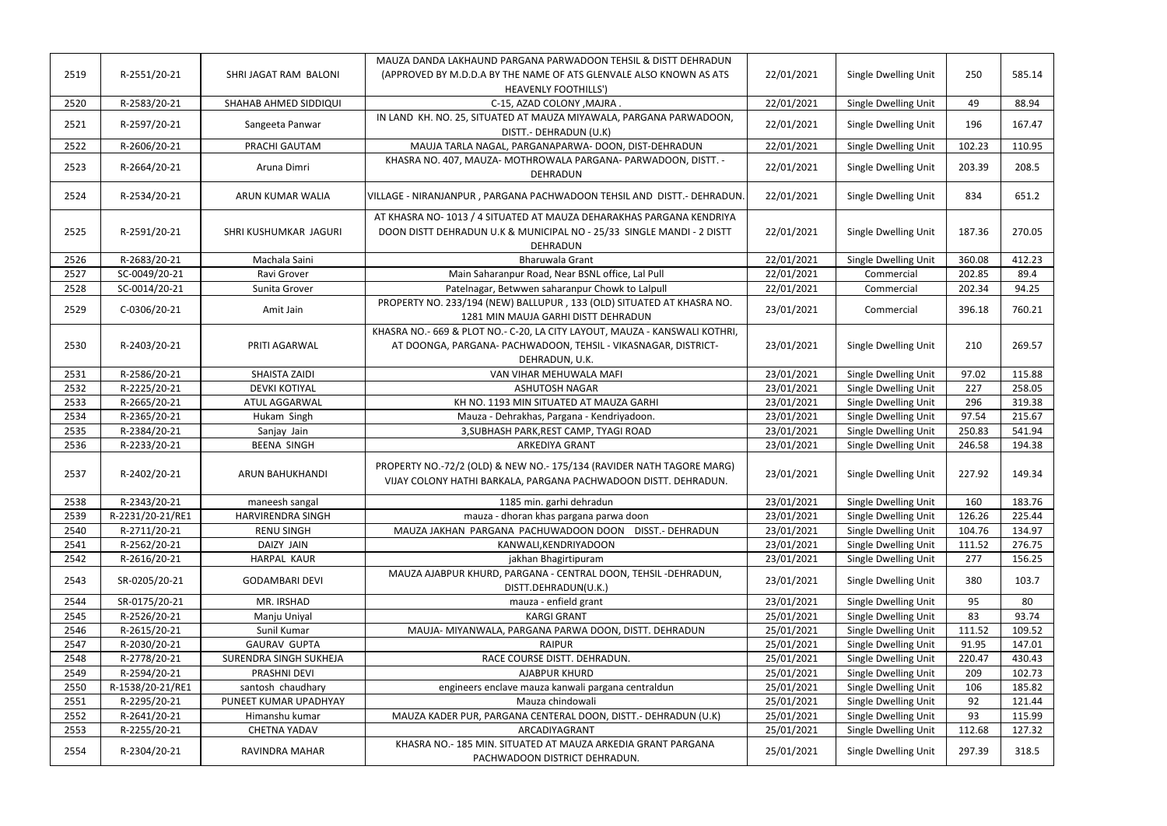|      |                  |                          | MAUZA DANDA LAKHAUND PARGANA PARWADOON TEHSIL & DISTT DEHRADUN                                                                                                  |            |                             |        |        |
|------|------------------|--------------------------|-----------------------------------------------------------------------------------------------------------------------------------------------------------------|------------|-----------------------------|--------|--------|
| 2519 | R-2551/20-21     | SHRI JAGAT RAM BALONI    | (APPROVED BY M.D.D.A BY THE NAME OF ATS GLENVALE ALSO KNOWN AS ATS                                                                                              | 22/01/2021 | Single Dwelling Unit        | 250    | 585.14 |
|      |                  |                          | <b>HEAVENLY FOOTHILLS')</b>                                                                                                                                     |            |                             |        |        |
| 2520 | R-2583/20-21     | SHAHAB AHMED SIDDIQUI    | C-15, AZAD COLONY , MAJRA.                                                                                                                                      | 22/01/2021 | Single Dwelling Unit        | 49     | 88.94  |
| 2521 | R-2597/20-21     | Sangeeta Panwar          | IN LAND KH. NO. 25, SITUATED AT MAUZA MIYAWALA, PARGANA PARWADOON,<br>DISTT.- DEHRADUN (U.K)                                                                    | 22/01/2021 | Single Dwelling Unit        | 196    | 167.47 |
| 2522 | R-2606/20-21     | PRACHI GAUTAM            | MAUJA TARLA NAGAL, PARGANAPARWA- DOON, DIST-DEHRADUN                                                                                                            | 22/01/2021 | Single Dwelling Unit        | 102.23 | 110.95 |
| 2523 | R-2664/20-21     | Aruna Dimri              | KHASRA NO. 407, MAUZA- MOTHROWALA PARGANA- PARWADOON, DISTT. -<br>DEHRADUN                                                                                      | 22/01/2021 | Single Dwelling Unit        | 203.39 | 208.5  |
| 2524 | R-2534/20-21     | ARUN KUMAR WALIA         | VILLAGE - NIRANJANPUR , PARGANA PACHWADOON TEHSIL AND DISTT.- DEHRADUN.                                                                                         | 22/01/2021 | Single Dwelling Unit        | 834    | 651.2  |
| 2525 | R-2591/20-21     | SHRI KUSHUMKAR JAGURI    | AT KHASRA NO-1013 / 4 SITUATED AT MAUZA DEHARAKHAS PARGANA KENDRIYA<br>DOON DISTT DEHRADUN U.K & MUNICIPAL NO - 25/33 SINGLE MANDI - 2 DISTT<br><b>DEHRADUN</b> | 22/01/2021 | Single Dwelling Unit        | 187.36 | 270.05 |
| 2526 | R-2683/20-21     | Machala Saini            | <b>Bharuwala Grant</b>                                                                                                                                          | 22/01/2021 | <b>Single Dwelling Unit</b> | 360.08 | 412.23 |
| 2527 | SC-0049/20-21    | Ravi Grover              | Main Saharanpur Road, Near BSNL office, Lal Pull                                                                                                                | 22/01/2021 | Commercial                  | 202.85 | 89.4   |
| 2528 | SC-0014/20-21    | Sunita Grover            | Patelnagar, Betwwen saharanpur Chowk to Lalpull                                                                                                                 | 22/01/2021 | Commercial                  | 202.34 | 94.25  |
| 2529 | C-0306/20-21     | Amit Jain                | PROPERTY NO. 233/194 (NEW) BALLUPUR, 133 (OLD) SITUATED AT KHASRA NO.<br>1281 MIN MAUJA GARHI DISTT DEHRADUN                                                    | 23/01/2021 | Commercial                  | 396.18 | 760.21 |
| 2530 | R-2403/20-21     | PRITI AGARWAL            | KHASRA NO.- 669 & PLOT NO.- C-20, LA CITY LAYOUT, MAUZA - KANSWALI KOTHRI,<br>AT DOONGA, PARGANA- PACHWADOON, TEHSIL - VIKASNAGAR, DISTRICT-<br>DEHRADUN, U.K.  | 23/01/2021 | Single Dwelling Unit        | 210    | 269.57 |
| 2531 | R-2586/20-21     | SHAISTA ZAIDI            | VAN VIHAR MEHUWALA MAFI                                                                                                                                         | 23/01/2021 | Single Dwelling Unit        | 97.02  | 115.88 |
| 2532 | R-2225/20-21     | <b>DEVKI KOTIYAL</b>     | <b>ASHUTOSH NAGAR</b>                                                                                                                                           | 23/01/2021 | Single Dwelling Unit        | 227    | 258.05 |
| 2533 | R-2665/20-21     | <b>ATUL AGGARWAL</b>     | KH NO. 1193 MIN SITUATED AT MAUZA GARHI                                                                                                                         | 23/01/2021 | Single Dwelling Unit        | 296    | 319.38 |
| 2534 | R-2365/20-21     | Hukam Singh              | Mauza - Dehrakhas, Pargana - Kendriyadoon.                                                                                                                      | 23/01/2021 | Single Dwelling Unit        | 97.54  | 215.67 |
| 2535 | R-2384/20-21     | Sanjay Jain              | 3, SUBHASH PARK, REST CAMP, TYAGI ROAD                                                                                                                          | 23/01/2021 | <b>Single Dwelling Unit</b> | 250.83 | 541.94 |
| 2536 | R-2233/20-21     | <b>BEENA SINGH</b>       | <b>ARKEDIYA GRANT</b>                                                                                                                                           | 23/01/2021 | Single Dwelling Unit        | 246.58 | 194.38 |
| 2537 | R-2402/20-21     | ARUN BAHUKHANDI          | PROPERTY NO.-72/2 (OLD) & NEW NO.- 175/134 (RAVIDER NATH TAGORE MARG)<br>VIJAY COLONY HATHI BARKALA, PARGANA PACHWADOON DISTT. DEHRADUN.                        | 23/01/2021 | Single Dwelling Unit        | 227.92 | 149.34 |
| 2538 | R-2343/20-21     | maneesh sangal           | 1185 min. garhi dehradun                                                                                                                                        | 23/01/2021 | Single Dwelling Unit        | 160    | 183.76 |
| 2539 | R-2231/20-21/RE1 | <b>HARVIRENDRA SINGH</b> | mauza - dhoran khas pargana parwa doon                                                                                                                          | 23/01/2021 | Single Dwelling Unit        | 126.26 | 225.44 |
| 2540 | R-2711/20-21     | <b>RENU SINGH</b>        | MAUZA JAKHAN PARGANA PACHUWADOON DOON DISST.- DEHRADUN                                                                                                          | 23/01/2021 | Single Dwelling Unit        | 104.76 | 134.97 |
| 2541 | R-2562/20-21     | DAIZY JAIN               | KANWALI, KENDRIYADOON                                                                                                                                           | 23/01/2021 | Single Dwelling Unit        | 111.52 | 276.75 |
| 2542 | R-2616/20-21     | HARPAL KAUR              | jakhan Bhagirtipuram                                                                                                                                            | 23/01/2021 | Single Dwelling Unit        | 277    | 156.25 |
| 2543 | SR-0205/20-21    | <b>GODAMBARI DEVI</b>    | MAUZA AJABPUR KHURD, PARGANA - CENTRAL DOON, TEHSIL -DEHRADUN,<br>DISTT.DEHRADUN(U.K.)                                                                          | 23/01/2021 | Single Dwelling Unit        | 380    | 103.7  |
| 2544 | SR-0175/20-21    | MR. IRSHAD               | mauza - enfield grant                                                                                                                                           | 23/01/2021 | Single Dwelling Unit        | 95     | 80     |
| 2545 | R-2526/20-21     | Manju Uniyal             | <b>KARGI GRANT</b>                                                                                                                                              | 25/01/2021 | Single Dwelling Unit        | 83     | 93.74  |
| 2546 | R-2615/20-21     | Sunil Kumar              | MAUJA- MIYANWALA, PARGANA PARWA DOON, DISTT. DEHRADUN                                                                                                           | 25/01/2021 | Single Dwelling Unit        | 111.52 | 109.52 |
| 2547 | R-2030/20-21     | <b>GAURAV GUPTA</b>      | <b>RAIPUR</b>                                                                                                                                                   | 25/01/2021 | Single Dwelling Unit        | 91.95  | 147.01 |
| 2548 | R-2778/20-21     | SURENDRA SINGH SUKHEJA   | RACE COURSE DISTT. DEHRADUN.                                                                                                                                    | 25/01/2021 | Single Dwelling Unit        | 220.47 | 430.43 |
| 2549 | R-2594/20-21     | PRASHNI DEVI             | <b>AJABPUR KHURD</b>                                                                                                                                            | 25/01/2021 | Single Dwelling Unit        | 209    | 102.73 |
| 2550 | R-1538/20-21/RE1 | santosh chaudhary        | engineers enclave mauza kanwali pargana centraldun                                                                                                              | 25/01/2021 | Single Dwelling Unit        | 106    | 185.82 |
| 2551 | R-2295/20-21     | PUNEET KUMAR UPADHYAY    | Mauza chindowali                                                                                                                                                | 25/01/2021 | Single Dwelling Unit        | 92     | 121.44 |
| 2552 | R-2641/20-21     | Himanshu kumar           | MAUZA KADER PUR, PARGANA CENTERAL DOON, DISTT.- DEHRADUN (U.K)                                                                                                  | 25/01/2021 | Single Dwelling Unit        | 93     | 115.99 |
| 2553 | R-2255/20-21     | <b>CHETNA YADAV</b>      | ARCADIYAGRANT                                                                                                                                                   | 25/01/2021 | Single Dwelling Unit        | 112.68 | 127.32 |
| 2554 | R-2304/20-21     | RAVINDRA MAHAR           | KHASRA NO.- 185 MIN. SITUATED AT MAUZA ARKEDIA GRANT PARGANA<br>PACHWADOON DISTRICT DEHRADUN.                                                                   | 25/01/2021 | Single Dwelling Unit        | 297.39 | 318.5  |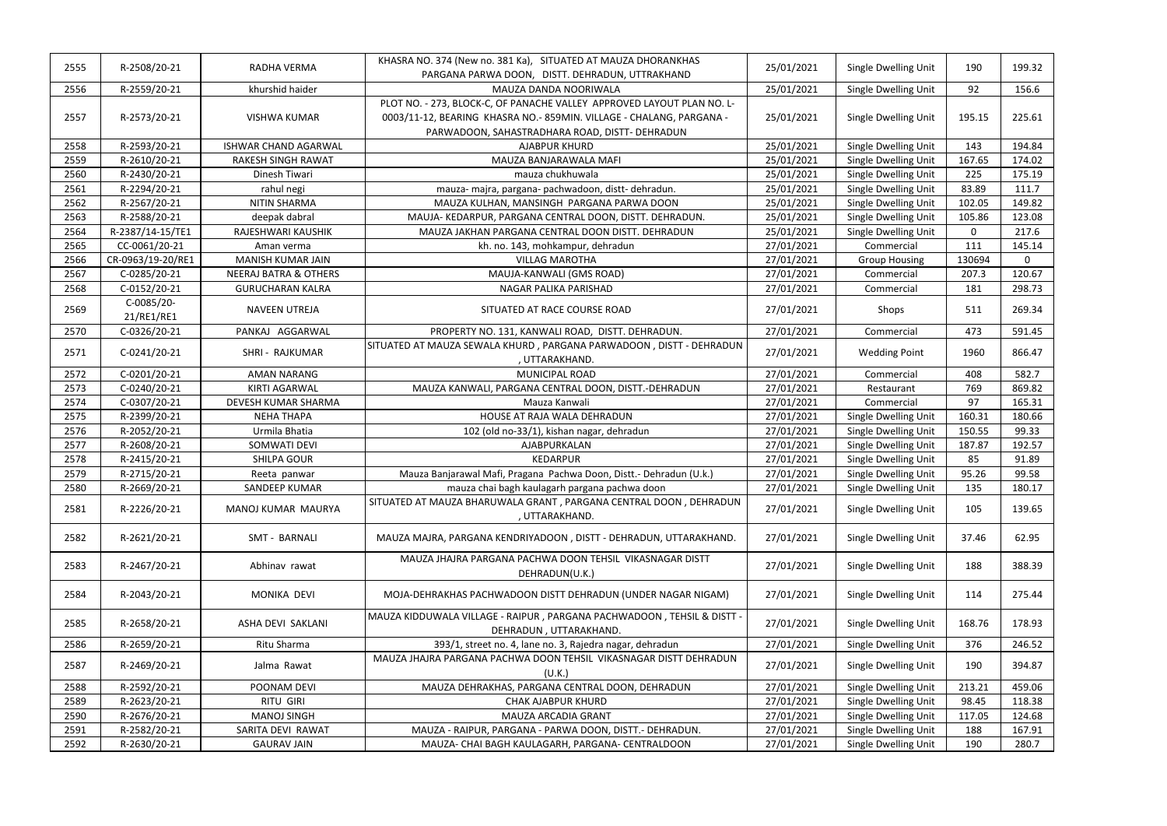| 2555 | R-2508/20-21      | RADHA VERMA                      | KHASRA NO. 374 (New no. 381 Ka), SITUATED AT MAUZA DHORANKHAS<br>PARGANA PARWA DOON, DISTT. DEHRADUN, UTTRAKHAND | 25/01/2021 | Single Dwelling Unit | 190            | 199.32         |
|------|-------------------|----------------------------------|------------------------------------------------------------------------------------------------------------------|------------|----------------------|----------------|----------------|
| 2556 | R-2559/20-21      | khurshid haider                  | MAUZA DANDA NOORIWALA                                                                                            | 25/01/2021 | Single Dwelling Unit | 92             | 156.6          |
|      |                   |                                  | PLOT NO. - 273, BLOCK-C, OF PANACHE VALLEY APPROVED LAYOUT PLAN NO. L-                                           |            |                      |                |                |
| 2557 | R-2573/20-21      | <b>VISHWA KUMAR</b>              | 0003/11-12, BEARING KHASRA NO.-859MIN. VILLAGE - CHALANG, PARGANA -                                              | 25/01/2021 | Single Dwelling Unit | 195.15         | 225.61         |
|      |                   |                                  | PARWADOON, SAHASTRADHARA ROAD, DISTT- DEHRADUN                                                                   |            |                      |                |                |
| 2558 | R-2593/20-21      | <b>ISHWAR CHAND AGARWAL</b>      | <b>AJABPUR KHURD</b>                                                                                             | 25/01/2021 | Single Dwelling Unit | 143            | 194.84         |
| 2559 | R-2610/20-21      | RAKESH SINGH RAWAT               | MAUZA BANJARAWALA MAFI                                                                                           | 25/01/2021 | Single Dwelling Unit | 167.65         | 174.02         |
| 2560 | R-2430/20-21      | Dinesh Tiwari                    | mauza chukhuwala                                                                                                 | 25/01/2021 | Single Dwelling Unit | 225            | 175.19         |
| 2561 | R-2294/20-21      | rahul negi                       | mauza- majra, pargana- pachwadoon, distt- dehradun.                                                              | 25/01/2021 | Single Dwelling Unit | 83.89          | 111.7          |
| 2562 | R-2567/20-21      | <b>NITIN SHARMA</b>              | MAUZA KULHAN, MANSINGH PARGANA PARWA DOON                                                                        | 25/01/2021 | Single Dwelling Unit | 102.05         | 149.82         |
| 2563 | R-2588/20-21      | deepak dabral                    | MAUJA-KEDARPUR, PARGANA CENTRAL DOON, DISTT. DEHRADUN.                                                           | 25/01/2021 | Single Dwelling Unit | 105.86         | 123.08         |
| 2564 | R-2387/14-15/TE1  | RAJESHWARI KAUSHIK               | MAUZA JAKHAN PARGANA CENTRAL DOON DISTT. DEHRADUN                                                                | 25/01/2021 | Single Dwelling Unit | $\overline{0}$ | 217.6          |
| 2565 | CC-0061/20-21     | Aman verma                       | kh. no. 143, mohkampur, dehradun                                                                                 | 27/01/2021 | Commercial           | 111            | 145.14         |
| 2566 | CR-0963/19-20/RE1 | MANISH KUMAR JAIN                | <b>VILLAG MAROTHA</b>                                                                                            | 27/01/2021 | <b>Group Housing</b> | 130694         | $\overline{0}$ |
| 2567 | C-0285/20-21      | <b>NEERAJ BATRA &amp; OTHERS</b> | MAUJA-KANWALI (GMS ROAD)                                                                                         | 27/01/2021 | Commercial           | 207.3          | 120.67         |
| 2568 | C-0152/20-21      | <b>GURUCHARAN KALRA</b>          | NAGAR PALIKA PARISHAD                                                                                            | 27/01/2021 | Commercial           | 181            | 298.73         |
|      | C-0085/20-        |                                  |                                                                                                                  |            |                      |                |                |
| 2569 | 21/RE1/RE1        | <b>NAVEEN UTREJA</b>             | SITUATED AT RACE COURSE ROAD                                                                                     | 27/01/2021 | Shops                | 511            | 269.34         |
| 2570 | C-0326/20-21      | PANKAJ AGGARWAL                  | PROPERTY NO. 131, KANWALI ROAD, DISTT. DEHRADUN.                                                                 | 27/01/2021 | Commercial           | 473            | 591.45         |
| 2571 | C-0241/20-21      | SHRI - RAJKUMAR                  | SITUATED AT MAUZA SEWALA KHURD , PARGANA PARWADOON , DISTT - DEHRADUN<br>, UTTARAKHAND.                          | 27/01/2021 | <b>Wedding Point</b> | 1960           | 866.47         |
| 2572 | C-0201/20-21      | <b>AMAN NARANG</b>               | MUNICIPAL ROAD                                                                                                   | 27/01/2021 | Commercial           | 408            | 582.7          |
| 2573 | C-0240/20-21      | <b>KIRTI AGARWAL</b>             | MAUZA KANWALI, PARGANA CENTRAL DOON, DISTT.-DEHRADUN                                                             | 27/01/2021 | Restaurant           | 769            | 869.82         |
| 2574 | C-0307/20-21      | DEVESH KUMAR SHARMA              | Mauza Kanwali                                                                                                    | 27/01/2021 | Commercial           | 97             | 165.31         |
| 2575 | R-2399/20-21      | <b>NEHA THAPA</b>                | HOUSE AT RAJA WALA DEHRADUN                                                                                      | 27/01/2021 | Single Dwelling Unit | 160.31         | 180.66         |
| 2576 | R-2052/20-21      | Urmila Bhatia                    | 102 (old no-33/1), kishan nagar, dehradun                                                                        | 27/01/2021 | Single Dwelling Unit | 150.55         | 99.33          |
| 2577 | R-2608/20-21      | <b>SOMWATI DEVI</b>              | AJABPURKALAN                                                                                                     | 27/01/2021 | Single Dwelling Unit | 187.87         | 192.57         |
| 2578 | R-2415/20-21      | <b>SHILPA GOUR</b>               | <b>KEDARPUR</b>                                                                                                  | 27/01/2021 | Single Dwelling Unit | 85             | 91.89          |
| 2579 | R-2715/20-21      | Reeta panwar                     | Mauza Banjarawal Mafi, Pragana Pachwa Doon, Distt.- Dehradun (U.k.)                                              | 27/01/2021 | Single Dwelling Unit | 95.26          | 99.58          |
| 2580 | R-2669/20-21      | SANDEEP KUMAR                    | mauza chai bagh kaulagarh pargana pachwa doon                                                                    | 27/01/2021 | Single Dwelling Unit | 135            | 180.17         |
| 2581 | R-2226/20-21      | MANOJ KUMAR MAURYA               | SITUATED AT MAUZA BHARUWALA GRANT, PARGANA CENTRAL DOON, DEHRADUN<br>, UTTARAKHAND.                              | 27/01/2021 | Single Dwelling Unit | 105            | 139.65         |
| 2582 | R-2621/20-21      | SMT - BARNALI                    | MAUZA MAJRA, PARGANA KENDRIYADOON, DISTT - DEHRADUN, UTTARAKHAND.                                                | 27/01/2021 | Single Dwelling Unit | 37.46          | 62.95          |
| 2583 | R-2467/20-21      | Abhinav rawat                    | MAUZA JHAJRA PARGANA PACHWA DOON TEHSIL VIKASNAGAR DISTT<br>DEHRADUN(U.K.)                                       | 27/01/2021 | Single Dwelling Unit | 188            | 388.39         |
| 2584 | R-2043/20-21      | MONIKA DEVI                      | MOJA-DEHRAKHAS PACHWADOON DISTT DEHRADUN (UNDER NAGAR NIGAM)                                                     | 27/01/2021 | Single Dwelling Unit | 114            | 275.44         |
| 2585 | R-2658/20-21      | ASHA DEVI SAKLANI                | MAUZA KIDDUWALA VILLAGE - RAIPUR, PARGANA PACHWADOON, TEHSIL & DISTT -<br>DEHRADUN, UTTARAKHAND.                 | 27/01/2021 | Single Dwelling Unit | 168.76         | 178.93         |
| 2586 | R-2659/20-21      | Ritu Sharma                      | 393/1, street no. 4, lane no. 3, Rajedra nagar, dehradun                                                         | 27/01/2021 | Single Dwelling Unit | 376            | 246.52         |
| 2587 | R-2469/20-21      | Jalma Rawat                      | MAUZA JHAJRA PARGANA PACHWA DOON TEHSIL VIKASNAGAR DISTT DEHRADUN<br>(U.K.)                                      | 27/01/2021 | Single Dwelling Unit | 190            | 394.87         |
| 2588 | R-2592/20-21      | POONAM DEVI                      | MAUZA DEHRAKHAS, PARGANA CENTRAL DOON, DEHRADUN                                                                  | 27/01/2021 | Single Dwelling Unit | 213.21         | 459.06         |
| 2589 | R-2623/20-21      | <b>RITU GIRI</b>                 | <b>CHAK AJABPUR KHURD</b>                                                                                        | 27/01/2021 | Single Dwelling Unit | 98.45          | 118.38         |
| 2590 | R-2676/20-21      | <b>MANOJ SINGH</b>               | MAUZA ARCADIA GRANT                                                                                              | 27/01/2021 | Single Dwelling Unit | 117.05         | 124.68         |
| 2591 | R-2582/20-21      | SARITA DEVI RAWAT                | MAUZA - RAIPUR, PARGANA - PARWA DOON, DISTT. - DEHRADUN.                                                         | 27/01/2021 | Single Dwelling Unit | 188            | 167.91         |
| 2592 | R-2630/20-21      | <b>GAURAV JAIN</b>               | MAUZA- CHAI BAGH KAULAGARH, PARGANA- CENTRALDOON                                                                 | 27/01/2021 | Single Dwelling Unit | 190            | 280.7          |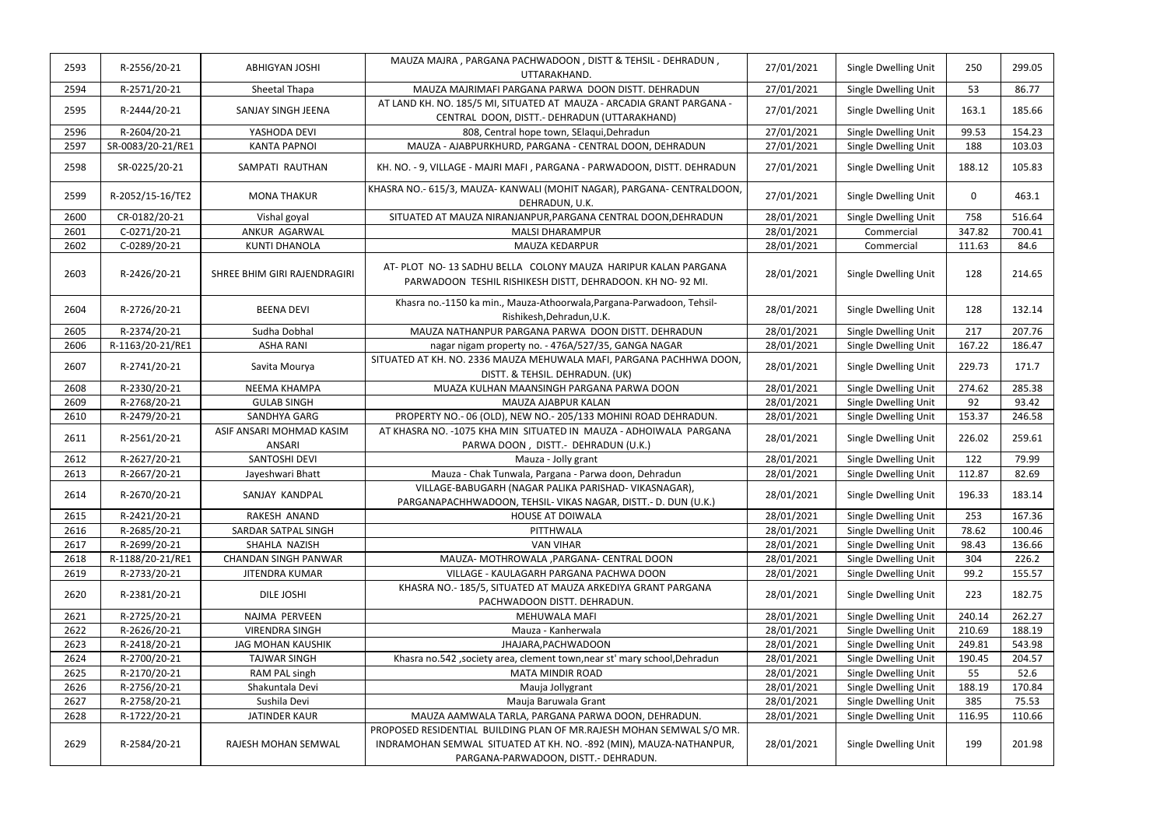| 2593 | R-2556/20-21      | <b>ABHIGYAN JOSHI</b>              | MAUZA MAJRA, PARGANA PACHWADOON, DISTT & TEHSIL - DEHRADUN,<br>UTTARAKHAND.                                                                                                         | 27/01/2021 | Single Dwelling Unit        | 250      | 299.05 |
|------|-------------------|------------------------------------|-------------------------------------------------------------------------------------------------------------------------------------------------------------------------------------|------------|-----------------------------|----------|--------|
| 2594 | R-2571/20-21      | Sheetal Thapa                      | MAUZA MAJRIMAFI PARGANA PARWA DOON DISTT. DEHRADUN                                                                                                                                  | 27/01/2021 | Single Dwelling Unit        | 53       | 86.77  |
| 2595 | R-2444/20-21      | SANJAY SINGH JEENA                 | AT LAND KH. NO. 185/5 MI, SITUATED AT MAUZA - ARCADIA GRANT PARGANA -<br>CENTRAL DOON, DISTT.- DEHRADUN (UTTARAKHAND)                                                               | 27/01/2021 | Single Dwelling Unit        | 163.1    | 185.66 |
| 2596 | R-2604/20-21      | YASHODA DEVI                       | 808, Central hope town, SElaqui, Dehradun                                                                                                                                           | 27/01/2021 | Single Dwelling Unit        | 99.53    | 154.23 |
| 2597 | SR-0083/20-21/RE1 | <b>KANTA PAPNOI</b>                | MAUZA - AJABPURKHURD, PARGANA - CENTRAL DOON, DEHRADUN                                                                                                                              | 27/01/2021 | Single Dwelling Unit        | 188      | 103.03 |
| 2598 | SR-0225/20-21     | SAMPATI RAUTHAN                    | KH. NO. - 9, VILLAGE - MAJRI MAFI, PARGANA - PARWADOON, DISTT. DEHRADUN                                                                                                             | 27/01/2021 | Single Dwelling Unit        | 188.12   | 105.83 |
| 2599 | R-2052/15-16/TE2  | <b>MONA THAKUR</b>                 | KHASRA NO.- 615/3, MAUZA- KANWALI (MOHIT NAGAR), PARGANA- CENTRALDOON,<br>DEHRADUN, U.K.                                                                                            | 27/01/2021 | Single Dwelling Unit        | $\Omega$ | 463.1  |
| 2600 | CR-0182/20-21     | Vishal goyal                       | SITUATED AT MAUZA NIRANJANPUR, PARGANA CENTRAL DOON, DEHRADUN                                                                                                                       | 28/01/2021 | Single Dwelling Unit        | 758      | 516.64 |
| 2601 | C-0271/20-21      | ANKUR AGARWAL                      | <b>MALSI DHARAMPUR</b>                                                                                                                                                              | 28/01/2021 | Commercial                  | 347.82   | 700.41 |
| 2602 | C-0289/20-21      | <b>KUNTI DHANOLA</b>               | <b>MAUZA KEDARPUR</b>                                                                                                                                                               | 28/01/2021 | Commercial                  | 111.63   | 84.6   |
| 2603 | R-2426/20-21      | SHREE BHIM GIRI RAJENDRAGIRI       | AT- PLOT NO- 13 SADHU BELLA COLONY MAUZA HARIPUR KALAN PARGANA<br>PARWADOON TESHIL RISHIKESH DISTT, DEHRADOON. KH NO-92 MI.                                                         | 28/01/2021 | Single Dwelling Unit        | 128      | 214.65 |
| 2604 | R-2726/20-21      | <b>BEENA DEVI</b>                  | Khasra no.-1150 ka min., Mauza-Athoorwala, Pargana-Parwadoon, Tehsil-<br>Rishikesh, Dehradun, U.K.                                                                                  | 28/01/2021 | Single Dwelling Unit        | 128      | 132.14 |
| 2605 | R-2374/20-21      | Sudha Dobhal                       | MAUZA NATHANPUR PARGANA PARWA DOON DISTT. DEHRADUN                                                                                                                                  | 28/01/2021 | Single Dwelling Unit        | 217      | 207.76 |
| 2606 | R-1163/20-21/RE1  | <b>ASHA RANI</b>                   | nagar nigam property no. - 476A/527/35, GANGA NAGAR                                                                                                                                 | 28/01/2021 | Single Dwelling Unit        | 167.22   | 186.47 |
| 2607 | R-2741/20-21      | Savita Mourya                      | SITUATED AT KH. NO. 2336 MAUZA MEHUWALA MAFI, PARGANA PACHHWA DOON,<br>DISTT. & TEHSIL. DEHRADUN. (UK)                                                                              | 28/01/2021 | Single Dwelling Unit        | 229.73   | 171.7  |
| 2608 | R-2330/20-21      | <b>NEEMA KHAMPA</b>                | MUAZA KULHAN MAANSINGH PARGANA PARWA DOON                                                                                                                                           | 28/01/2021 | Single Dwelling Unit        | 274.62   | 285.38 |
| 2609 | R-2768/20-21      | <b>GULAB SINGH</b>                 | MAUZA AJABPUR KALAN                                                                                                                                                                 | 28/01/2021 | Single Dwelling Unit        | 92       | 93.42  |
| 2610 | R-2479/20-21      | SANDHYA GARG                       | PROPERTY NO.- 06 (OLD), NEW NO.- 205/133 MOHINI ROAD DEHRADUN.                                                                                                                      | 28/01/2021 | Single Dwelling Unit        | 153.37   | 246.58 |
| 2611 | R-2561/20-21      | ASIF ANSARI MOHMAD KASIM<br>ANSARI | AT KHASRA NO. - 1075 KHA MIN SITUATED IN MAUZA - ADHOIWALA PARGANA<br>PARWA DOON, DISTT.- DEHRADUN (U.K.)                                                                           | 28/01/2021 | Single Dwelling Unit        | 226.02   | 259.61 |
| 2612 | R-2627/20-21      | <b>SANTOSHI DEVI</b>               | Mauza - Jolly grant                                                                                                                                                                 | 28/01/2021 | Single Dwelling Unit        | 122      | 79.99  |
| 2613 | R-2667/20-21      | Jayeshwari Bhatt                   | Mauza - Chak Tunwala, Pargana - Parwa doon, Dehradun                                                                                                                                | 28/01/2021 | Single Dwelling Unit        | 112.87   | 82.69  |
| 2614 | R-2670/20-21      | SANJAY KANDPAL                     | VILLAGE-BABUGARH (NAGAR PALIKA PARISHAD-VIKASNAGAR),<br>PARGANAPACHHWADOON, TEHSIL- VIKAS NAGAR, DISTT.- D. DUN (U.K.)                                                              | 28/01/2021 | Single Dwelling Unit        | 196.33   | 183.14 |
| 2615 | R-2421/20-21      | RAKESH ANAND                       | <b>HOUSE AT DOIWALA</b>                                                                                                                                                             | 28/01/2021 | Single Dwelling Unit        | 253      | 167.36 |
| 2616 | R-2685/20-21      | SARDAR SATPAL SINGH                | PITTHWALA                                                                                                                                                                           | 28/01/2021 | Single Dwelling Unit        | 78.62    | 100.46 |
| 2617 | R-2699/20-21      | SHAHLA NAZISH                      | <b>VAN VIHAR</b>                                                                                                                                                                    | 28/01/2021 | Single Dwelling Unit        | 98.43    | 136.66 |
| 2618 | R-1188/20-21/RE1  | <b>CHANDAN SINGH PANWAR</b>        | MAUZA- MOTHROWALA , PARGANA- CENTRAL DOON                                                                                                                                           | 28/01/2021 | Single Dwelling Unit        | 304      | 226.2  |
| 2619 | R-2733/20-21      | <b>JITENDRA KUMAR</b>              | VILLAGE - KAULAGARH PARGANA PACHWA DOON                                                                                                                                             | 28/01/2021 | Single Dwelling Unit        | 99.2     | 155.57 |
| 2620 | R-2381/20-21      | DILE JOSHI                         | KHASRA NO.- 185/5, SITUATED AT MAUZA ARKEDIYA GRANT PARGANA<br>PACHWADOON DISTT. DEHRADUN.                                                                                          | 28/01/2021 | Single Dwelling Unit        | 223      | 182.75 |
| 2621 | R-2725/20-21      | NAJMA PERVEEN                      | MEHUWALA MAFI                                                                                                                                                                       | 28/01/2021 | Single Dwelling Unit        | 240.14   | 262.27 |
| 2622 | R-2626/20-21      | <b>VIRENDRA SINGH</b>              | Mauza - Kanherwala                                                                                                                                                                  | 28/01/2021 | <b>Single Dwelling Unit</b> | 210.69   | 188.19 |
| 2623 | R-2418/20-21      | <b>JAG MOHAN KAUSHIK</b>           | JHAJARA, PACHWADOON                                                                                                                                                                 | 28/01/2021 | Single Dwelling Unit        | 249.81   | 543.98 |
| 2624 | R-2700/20-21      | <b>TAJWAR SINGH</b>                | Khasra no.542 , society area, clement town, near st' mary school, Dehradun                                                                                                          | 28/01/2021 | Single Dwelling Unit        | 190.45   | 204.57 |
| 2625 | R-2170/20-21      | RAM PAL singh                      | <b>MATA MINDIR ROAD</b>                                                                                                                                                             | 28/01/2021 | Single Dwelling Unit        | 55       | 52.6   |
| 2626 | R-2756/20-21      | Shakuntala Devi                    | Mauja Jollygrant                                                                                                                                                                    | 28/01/2021 | Single Dwelling Unit        | 188.19   | 170.84 |
| 2627 | R-2758/20-21      | Sushila Devi                       | Mauja Baruwala Grant                                                                                                                                                                | 28/01/2021 | Single Dwelling Unit        | 385      | 75.53  |
| 2628 | R-1722/20-21      | <b>JATINDER KAUR</b>               | MAUZA AAMWALA TARLA, PARGANA PARWA DOON, DEHRADUN.                                                                                                                                  | 28/01/2021 | Single Dwelling Unit        | 116.95   | 110.66 |
| 2629 | R-2584/20-21      | RAJESH MOHAN SEMWAL                | PROPOSED RESIDENTIAL BUILDING PLAN OF MR.RAJESH MOHAN SEMWAL S/O MR.<br>INDRAMOHAN SEMWAL SITUATED AT KH. NO. - 892 (MIN), MAUZA-NATHANPUR,<br>PARGANA-PARWADOON, DISTT.- DEHRADUN. | 28/01/2021 | Single Dwelling Unit        | 199      | 201.98 |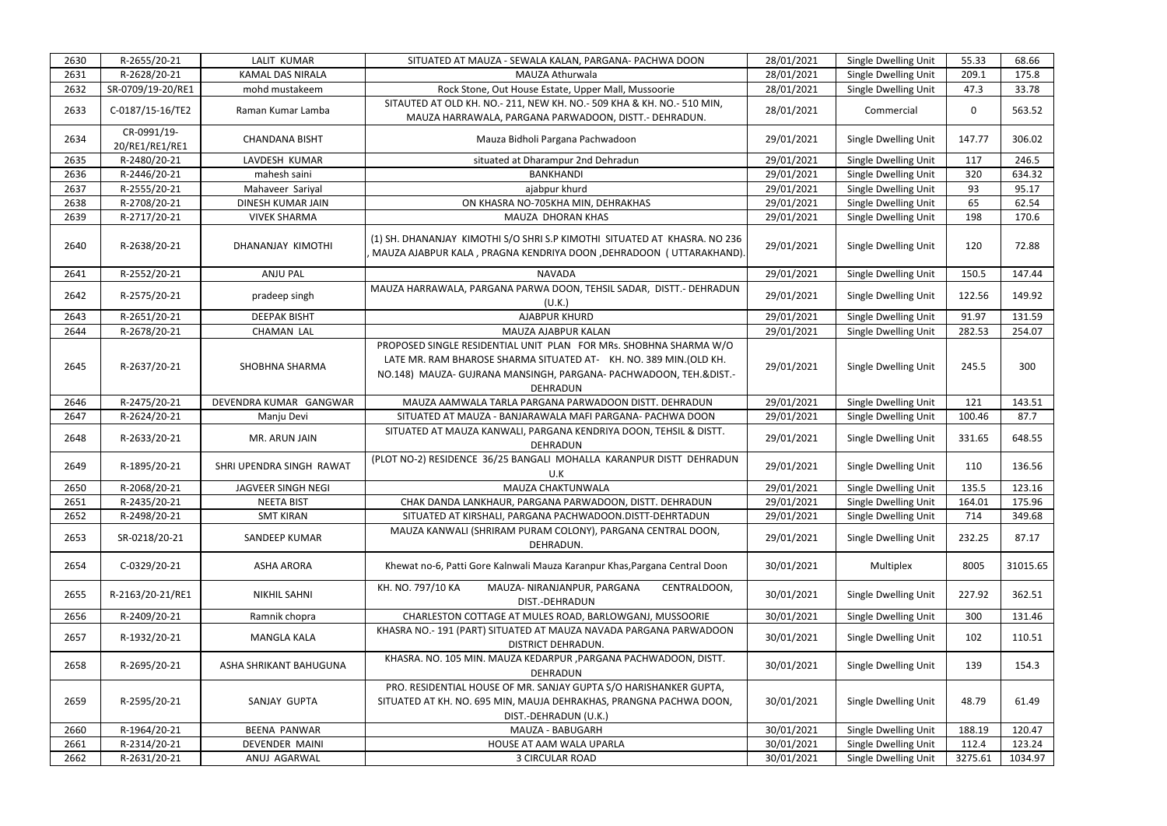| 2630 | R-2655/20-21      | <b>LALIT KUMAR</b>       | SITUATED AT MAUZA - SEWALA KALAN, PARGANA- PACHWA DOON                                                                                              | 28/01/2021 | Single Dwelling Unit | 55.33        | 68.66    |
|------|-------------------|--------------------------|-----------------------------------------------------------------------------------------------------------------------------------------------------|------------|----------------------|--------------|----------|
| 2631 | R-2628/20-21      | KAMAL DAS NIRALA         | MAUZA Athurwala                                                                                                                                     | 28/01/2021 | Single Dwelling Unit | 209.1        | 175.8    |
| 2632 | SR-0709/19-20/RE1 | mohd mustakeem           | Rock Stone, Out House Estate, Upper Mall, Mussoorie                                                                                                 | 28/01/2021 | Single Dwelling Unit | 47.3         | 33.78    |
|      |                   |                          | SITAUTED AT OLD KH. NO.- 211, NEW KH. NO.- 509 KHA & KH. NO.- 510 MIN,                                                                              |            |                      |              |          |
| 2633 | C-0187/15-16/TE2  | Raman Kumar Lamba        | MAUZA HARRAWALA, PARGANA PARWADOON, DISTT.- DEHRADUN.                                                                                               | 28/01/2021 | Commercial           | $\mathbf{0}$ | 563.52   |
|      | CR-0991/19-       |                          |                                                                                                                                                     |            |                      |              |          |
| 2634 | 20/RE1/RE1/RE1    | <b>CHANDANA BISHT</b>    | Mauza Bidholi Pargana Pachwadoon                                                                                                                    | 29/01/2021 | Single Dwelling Unit | 147.77       | 306.02   |
| 2635 | R-2480/20-21      | LAVDESH KUMAR            | situated at Dharampur 2nd Dehradun                                                                                                                  | 29/01/2021 | Single Dwelling Unit | 117          | 246.5    |
| 2636 | R-2446/20-21      | mahesh saini             | <b>BANKHANDI</b>                                                                                                                                    | 29/01/2021 | Single Dwelling Unit | 320          | 634.32   |
| 2637 | R-2555/20-21      | Mahaveer Sariyal         | ajabpur khurd                                                                                                                                       | 29/01/2021 | Single Dwelling Unit | 93           | 95.17    |
| 2638 | R-2708/20-21      | DINESH KUMAR JAIN        | ON KHASRA NO-705KHA MIN, DEHRAKHAS                                                                                                                  | 29/01/2021 | Single Dwelling Unit | 65           | 62.54    |
| 2639 |                   | <b>VIVEK SHARMA</b>      | MAUZA DHORAN KHAS                                                                                                                                   |            |                      | 198          | 170.6    |
|      | R-2717/20-21      |                          |                                                                                                                                                     | 29/01/2021 | Single Dwelling Unit |              |          |
| 2640 | R-2638/20-21      | DHANANJAY KIMOTHI        | (1) SH. DHANANJAY KIMOTHI S/O SHRI S.P KIMOTHI SITUATED AT KHASRA. NO 236<br>, MAUZA AJABPUR KALA , PRAGNA KENDRIYA DOON ,DEHRADOON ( UTTARAKHAND). | 29/01/2021 | Single Dwelling Unit | 120          | 72.88    |
| 2641 | R-2552/20-21      | <b>ANJU PAL</b>          | <b>NAVADA</b>                                                                                                                                       | 29/01/2021 | Single Dwelling Unit | 150.5        | 147.44   |
|      |                   |                          | MAUZA HARRAWALA, PARGANA PARWA DOON, TEHSIL SADAR, DISTT.- DEHRADUN                                                                                 |            |                      |              |          |
| 2642 | R-2575/20-21      | pradeep singh            | (U.K.)                                                                                                                                              | 29/01/2021 | Single Dwelling Unit | 122.56       | 149.92   |
| 2643 | R-2651/20-21      | <b>DEEPAK BISHT</b>      | AJABPUR KHURD                                                                                                                                       | 29/01/2021 | Single Dwelling Unit | 91.97        | 131.59   |
| 2644 | R-2678/20-21      | <b>CHAMAN LAL</b>        | MAUZA AJABPUR KALAN                                                                                                                                 | 29/01/2021 | Single Dwelling Unit | 282.53       | 254.07   |
|      |                   |                          | PROPOSED SINGLE RESIDENTIAL UNIT PLAN FOR MRs. SHOBHNA SHARMA W/O                                                                                   |            |                      |              |          |
| 2645 | R-2637/20-21      | SHOBHNA SHARMA           | LATE MR. RAM BHAROSE SHARMA SITUATED AT- KH. NO. 389 MIN.(OLD KH.                                                                                   | 29/01/2021 | Single Dwelling Unit | 245.5        | 300      |
|      |                   |                          | NO.148) MAUZA- GUJRANA MANSINGH, PARGANA- PACHWADOON, TEH.&DIST.-                                                                                   |            |                      |              |          |
|      |                   |                          | <b>DEHRADUN</b>                                                                                                                                     |            |                      |              |          |
| 2646 | R-2475/20-21      | DEVENDRA KUMAR GANGWAR   | MAUZA AAMWALA TARLA PARGANA PARWADOON DISTT. DEHRADUN                                                                                               | 29/01/2021 | Single Dwelling Unit | 121          | 143.51   |
| 2647 | R-2624/20-21      | Manju Devi               | SITUATED AT MAUZA - BANJARAWALA MAFI PARGANA- PACHWA DOON                                                                                           | 29/01/2021 | Single Dwelling Unit | 100.46       | 87.7     |
| 2648 | R-2633/20-21      | MR. ARUN JAIN            | SITUATED AT MAUZA KANWALI, PARGANA KENDRIYA DOON, TEHSIL & DISTT.                                                                                   | 29/01/2021 | Single Dwelling Unit |              |          |
|      |                   |                          |                                                                                                                                                     |            |                      | 331.65       | 648.55   |
|      |                   |                          | <b>DEHRADUN</b>                                                                                                                                     |            |                      |              |          |
| 2649 | R-1895/20-21      | SHRI UPENDRA SINGH RAWAT | (PLOT NO-2) RESIDENCE 36/25 BANGALI MOHALLA KARANPUR DISTT DEHRADUN                                                                                 | 29/01/2021 | Single Dwelling Unit | 110          | 136.56   |
|      |                   |                          | U.K                                                                                                                                                 |            |                      |              |          |
| 2650 | R-2068/20-21      | JAGVEER SINGH NEGI       | MAUZA CHAKTUNWALA                                                                                                                                   | 29/01/2021 | Single Dwelling Unit | 135.5        | 123.16   |
| 2651 | R-2435/20-21      | <b>NEETA BIST</b>        | CHAK DANDA LANKHAUR, PARGANA PARWADOON, DISTT. DEHRADUN                                                                                             | 29/01/2021 | Single Dwelling Unit | 164.01       | 175.96   |
| 2652 | R-2498/20-21      | <b>SMT KIRAN</b>         | SITUATED AT KIRSHALI, PARGANA PACHWADOON.DISTT-DEHRTADUN                                                                                            | 29/01/2021 | Single Dwelling Unit | 714          | 349.68   |
| 2653 | SR-0218/20-21     | SANDEEP KUMAR            | MAUZA KANWALI (SHRIRAM PURAM COLONY), PARGANA CENTRAL DOON,                                                                                         | 29/01/2021 | Single Dwelling Unit | 232.25       | 87.17    |
|      |                   |                          | DEHRADUN.                                                                                                                                           |            |                      |              |          |
| 2654 | C-0329/20-21      | <b>ASHA ARORA</b>        | Khewat no-6, Patti Gore Kalnwali Mauza Karanpur Khas, Pargana Central Doon                                                                          | 30/01/2021 | Multiplex            | 8005         | 31015.65 |
|      |                   |                          | KH. NO. 797/10 KA<br>MAUZA- NIRANJANPUR, PARGANA<br>CENTRALDOON,                                                                                    |            |                      |              |          |
| 2655 | R-2163/20-21/RE1  | <b>NIKHIL SAHNI</b>      | DIST.-DEHRADUN                                                                                                                                      | 30/01/2021 | Single Dwelling Unit | 227.92       | 362.51   |
| 2656 | R-2409/20-21      | Ramnik chopra            | CHARLESTON COTTAGE AT MULES ROAD, BARLOWGANJ, MUSSOORIE                                                                                             |            |                      | 300          | 131.46   |
|      |                   |                          | KHASRA NO.- 191 (PART) SITUATED AT MAUZA NAVADA PARGANA PARWADOON                                                                                   | 30/01/2021 | Single Dwelling Unit |              |          |
| 2657 | R-1932/20-21      | <b>MANGLA KALA</b>       | <b>DISTRICT DEHRADUN.</b>                                                                                                                           | 30/01/2021 | Single Dwelling Unit | 102          | 110.51   |
|      |                   |                          | KHASRA. NO. 105 MIN. MAUZA KEDARPUR , PARGANA PACHWADOON, DISTT.                                                                                    |            |                      |              |          |
| 2658 | R-2695/20-21      | ASHA SHRIKANT BAHUGUNA   | DEHRADUN                                                                                                                                            | 30/01/2021 | Single Dwelling Unit | 139          | 154.3    |
|      |                   |                          | PRO. RESIDENTIAL HOUSE OF MR. SANJAY GUPTA S/O HARISHANKER GUPTA,                                                                                   |            |                      |              |          |
| 2659 | R-2595/20-21      | SANJAY GUPTA             | SITUATED AT KH. NO. 695 MIN, MAUJA DEHRAKHAS, PRANGNA PACHWA DOON,                                                                                  | 30/01/2021 | Single Dwelling Unit | 48.79        | 61.49    |
|      |                   |                          | DIST.-DEHRADUN (U.K.)                                                                                                                               |            |                      |              |          |
| 2660 | R-1964/20-21      | BEENA PANWAR             | MAUZA - BABUGARH                                                                                                                                    | 30/01/2021 | Single Dwelling Unit | 188.19       | 120.47   |
| 2661 | R-2314/20-21      | DEVENDER MAINI           | HOUSE AT AAM WALA UPARLA                                                                                                                            | 30/01/2021 | Single Dwelling Unit | 112.4        | 123.24   |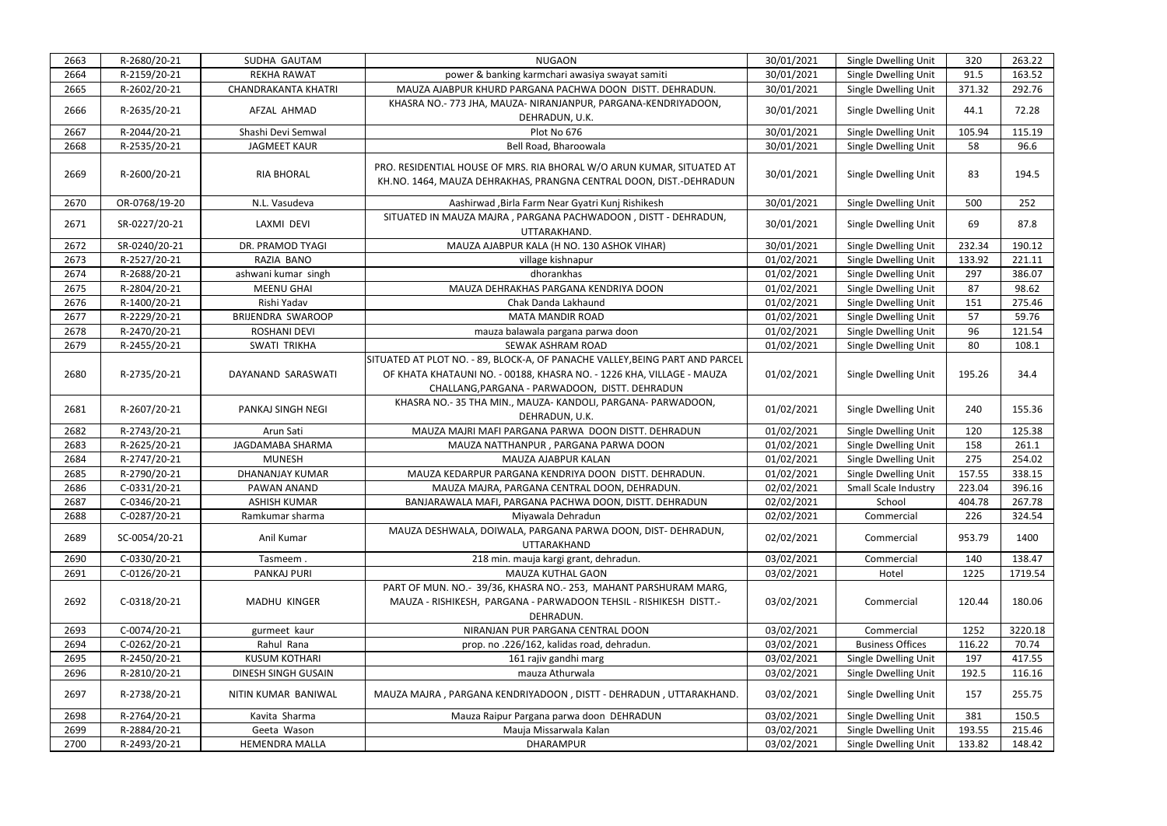| 2663 | R-2680/20-21  | SUDHA GAUTAM               | <b>NUGAON</b>                                                                                                                                                                                          | 30/01/2021 | Single Dwelling Unit        | 320    | 263.22  |
|------|---------------|----------------------------|--------------------------------------------------------------------------------------------------------------------------------------------------------------------------------------------------------|------------|-----------------------------|--------|---------|
| 2664 | R-2159/20-21  | <b>REKHA RAWAT</b>         | power & banking karmchari awasiya swayat samiti                                                                                                                                                        | 30/01/2021 | Single Dwelling Unit        | 91.5   | 163.52  |
| 2665 | R-2602/20-21  | <b>CHANDRAKANTA KHATRI</b> | MAUZA AJABPUR KHURD PARGANA PACHWA DOON DISTT. DEHRADUN.                                                                                                                                               | 30/01/2021 | Single Dwelling Unit        | 371.32 | 292.76  |
| 2666 | R-2635/20-21  | AFZAL AHMAD                | KHASRA NO.- 773 JHA, MAUZA- NIRANJANPUR, PARGANA-KENDRIYADOON,                                                                                                                                         | 30/01/2021 | Single Dwelling Unit        | 44.1   | 72.28   |
|      |               |                            | DEHRADUN, U.K.                                                                                                                                                                                         |            |                             |        |         |
| 2667 | R-2044/20-21  | Shashi Devi Semwal         | Plot No 676                                                                                                                                                                                            | 30/01/2021 | Single Dwelling Unit        | 105.94 | 115.19  |
| 2668 | R-2535/20-21  | <b>JAGMEET KAUR</b>        | Bell Road, Bharoowala                                                                                                                                                                                  | 30/01/2021 | Single Dwelling Unit        | 58     | 96.6    |
| 2669 | R-2600/20-21  | <b>RIA BHORAL</b>          | PRO. RESIDENTIAL HOUSE OF MRS. RIA BHORAL W/O ARUN KUMAR, SITUATED AT<br>KH.NO. 1464, MAUZA DEHRAKHAS, PRANGNA CENTRAL DOON, DIST.-DEHRADUN                                                            | 30/01/2021 | Single Dwelling Unit        | 83     | 194.5   |
| 2670 | OR-0768/19-20 | N.L. Vasudeva              | Aashirwad, Birla Farm Near Gyatri Kunj Rishikesh                                                                                                                                                       | 30/01/2021 | Single Dwelling Unit        | 500    | 252     |
| 2671 | SR-0227/20-21 | LAXMI DEVI                 | SITUATED IN MAUZA MAJRA, PARGANA PACHWADOON, DISTT - DEHRADUN,<br>UTTARAKHAND.                                                                                                                         | 30/01/2021 | Single Dwelling Unit        | 69     | 87.8    |
| 2672 | SR-0240/20-21 | DR. PRAMOD TYAGI           | MAUZA AJABPUR KALA (H NO. 130 ASHOK VIHAR)                                                                                                                                                             | 30/01/2021 | Single Dwelling Unit        | 232.34 | 190.12  |
| 2673 | R-2527/20-21  | RAZIA BANO                 | village kishnapur                                                                                                                                                                                      | 01/02/2021 | Single Dwelling Unit        | 133.92 | 221.11  |
| 2674 | R-2688/20-21  | ashwani kumar singh        | dhorankhas                                                                                                                                                                                             | 01/02/2021 | Single Dwelling Unit        | 297    | 386.07  |
| 2675 | R-2804/20-21  | <b>MEENU GHAI</b>          | MAUZA DEHRAKHAS PARGANA KENDRIYA DOON                                                                                                                                                                  | 01/02/2021 | Single Dwelling Unit        | 87     | 98.62   |
| 2676 | R-1400/20-21  | Rishi Yadav                | Chak Danda Lakhaund                                                                                                                                                                                    | 01/02/2021 | Single Dwelling Unit        | 151    | 275.46  |
| 2677 | R-2229/20-21  | BRIJENDRA SWAROOP          | <b>MATA MANDIR ROAD</b>                                                                                                                                                                                | 01/02/2021 | Single Dwelling Unit        | 57     | 59.76   |
| 2678 | R-2470/20-21  | <b>ROSHANI DEVI</b>        | mauza balawala pargana parwa doon                                                                                                                                                                      | 01/02/2021 | Single Dwelling Unit        | 96     | 121.54  |
|      |               |                            | SEWAK ASHRAM ROAD                                                                                                                                                                                      |            |                             | 80     |         |
| 2679 | R-2455/20-21  | <b>SWATI TRIKHA</b>        |                                                                                                                                                                                                        | 01/02/2021 | Single Dwelling Unit        |        | 108.1   |
| 2680 | R-2735/20-21  | DAYANAND SARASWATI         | SITUATED AT PLOT NO. - 89, BLOCK-A, OF PANACHE VALLEY,BEING PART AND PARCEL<br>OF KHATA KHATAUNI NO. - 00188, KHASRA NO. - 1226 KHA, VILLAGE - MAUZA<br>CHALLANG, PARGANA - PARWADOON, DISTT. DEHRADUN | 01/02/2021 | Single Dwelling Unit        | 195.26 | 34.4    |
| 2681 | R-2607/20-21  | PANKAJ SINGH NEGI          | KHASRA NO.-35 THA MIN., MAUZA-KANDOLI, PARGANA-PARWADOON,<br>DEHRADUN, U.K.                                                                                                                            | 01/02/2021 | Single Dwelling Unit        | 240    | 155.36  |
| 2682 | R-2743/20-21  | Arun Sati                  | MAUZA MAJRI MAFI PARGANA PARWA DOON DISTT. DEHRADUN                                                                                                                                                    | 01/02/2021 | Single Dwelling Unit        | 120    | 125.38  |
| 2683 | R-2625/20-21  | JAGDAMABA SHARMA           | MAUZA NATTHANPUR, PARGANA PARWA DOON                                                                                                                                                                   | 01/02/2021 | Single Dwelling Unit        | 158    | 261.1   |
| 2684 | R-2747/20-21  | <b>MUNESH</b>              | MAUZA AJABPUR KALAN                                                                                                                                                                                    | 01/02/2021 | Single Dwelling Unit        | 275    | 254.02  |
| 2685 | R-2790/20-21  | <b>DHANANJAY KUMAR</b>     | MAUZA KEDARPUR PARGANA KENDRIYA DOON DISTT. DEHRADUN.                                                                                                                                                  | 01/02/2021 | Single Dwelling Unit        | 157.55 | 338.15  |
| 2686 | C-0331/20-21  | PAWAN ANAND                | MAUZA MAJRA, PARGANA CENTRAL DOON, DEHRADUN.                                                                                                                                                           | 02/02/2021 | <b>Small Scale Industry</b> | 223.04 | 396.16  |
| 2687 | C-0346/20-21  | <b>ASHISH KUMAR</b>        | BANJARAWALA MAFI, PARGANA PACHWA DOON, DISTT. DEHRADUN                                                                                                                                                 | 02/02/2021 | School                      | 404.78 | 267.78  |
| 2688 | C-0287/20-21  | Ramkumar sharma            | Miyawala Dehradun                                                                                                                                                                                      | 02/02/2021 | Commercial                  | 226    | 324.54  |
| 2689 | SC-0054/20-21 | Anil Kumar                 | MAUZA DESHWALA, DOIWALA, PARGANA PARWA DOON, DIST- DEHRADUN,<br>UTTARAKHAND                                                                                                                            | 02/02/2021 | Commercial                  | 953.79 | 1400    |
| 2690 | C-0330/20-21  | Tasmeem.                   | 218 min. mauja kargi grant, dehradun.                                                                                                                                                                  | 03/02/2021 | Commercial                  | 140    | 138.47  |
| 2691 | C-0126/20-21  | PANKAJ PURI                | MAUZA KUTHAL GAON                                                                                                                                                                                      | 03/02/2021 | Hotel                       | 1225   | 1719.54 |
| 2692 | C-0318/20-21  | <b>MADHU KINGER</b>        | PART OF MUN. NO.- 39/36, KHASRA NO.- 253, MAHANT PARSHURAM MARG,<br>MAUZA - RISHIKESH, PARGANA - PARWADOON TEHSIL - RISHIKESH DISTT.-<br>DEHRADUN.                                                     | 03/02/2021 | Commercial                  | 120.44 | 180.06  |
| 2693 | C-0074/20-21  | gurmeet kaur               | NIRANJAN PUR PARGANA CENTRAL DOON                                                                                                                                                                      | 03/02/2021 | Commercial                  | 1252   | 3220.18 |
| 2694 | C-0262/20-21  | Rahul Rana                 | prop. no .226/162, kalidas road, dehradun.                                                                                                                                                             | 03/02/2021 | <b>Business Offices</b>     | 116.22 | 70.74   |
| 2695 | R-2450/20-21  | <b>KUSUM KOTHARI</b>       | 161 rajiv gandhi marg                                                                                                                                                                                  | 03/02/2021 | Single Dwelling Unit        | 197    | 417.55  |
| 2696 | R-2810/20-21  | DINESH SINGH GUSAIN        | mauza Athurwala                                                                                                                                                                                        | 03/02/2021 | Single Dwelling Unit        | 192.5  | 116.16  |
| 2697 | R-2738/20-21  | NITIN KUMAR BANIWAL        | MAUZA MAJRA, PARGANA KENDRIYADOON, DISTT - DEHRADUN, UTTARAKHAND.                                                                                                                                      | 03/02/2021 | Single Dwelling Unit        | 157    | 255.75  |
| 2698 | R-2764/20-21  | Kavita Sharma              | Mauza Raipur Pargana parwa doon DEHRADUN                                                                                                                                                               | 03/02/2021 | Single Dwelling Unit        | 381    | 150.5   |
| 2699 | R-2884/20-21  | Geeta Wason                | Mauja Missarwala Kalan                                                                                                                                                                                 | 03/02/2021 | Single Dwelling Unit        | 193.55 | 215.46  |
| 2700 | R-2493/20-21  | <b>HEMENDRA MALLA</b>      | <b>DHARAMPUR</b>                                                                                                                                                                                       | 03/02/2021 | Single Dwelling Unit        | 133.82 | 148.42  |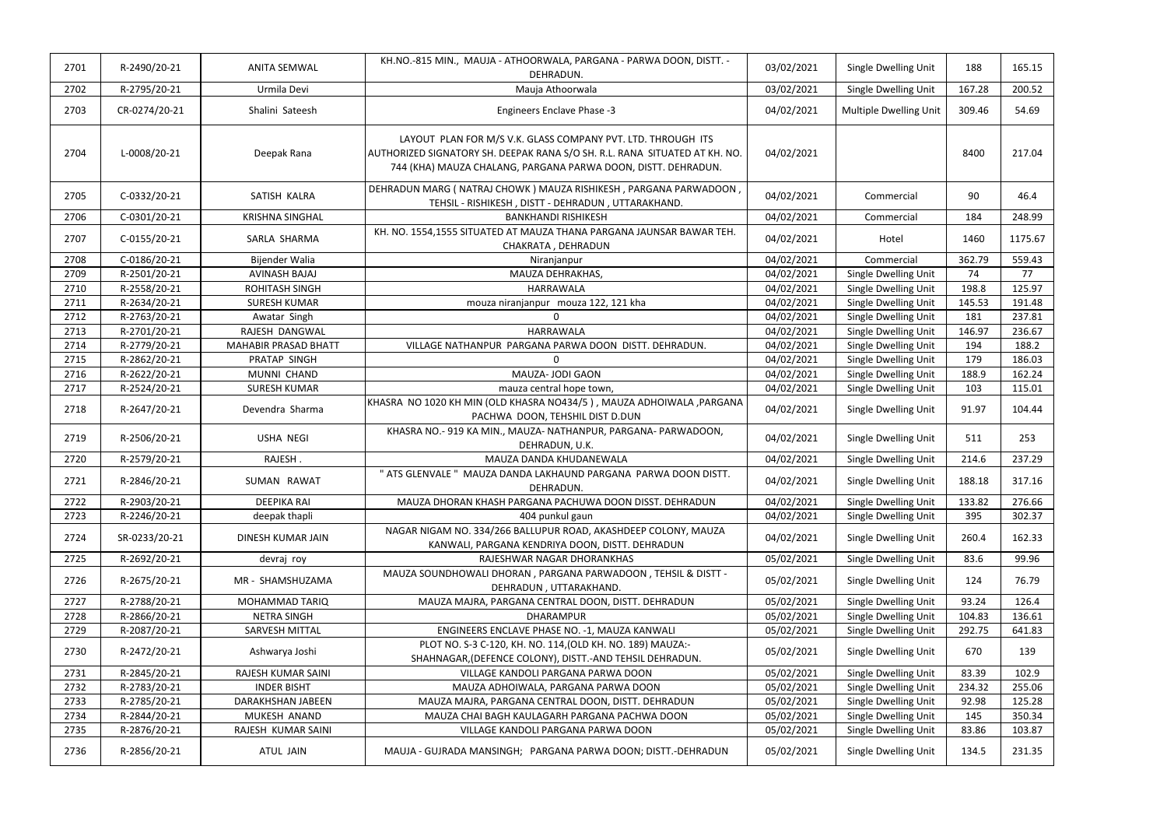| 2701 | R-2490/20-21  | <b>ANITA SEMWAL</b>    | KH.NO.-815 MIN., MAUJA - ATHOORWALA, PARGANA - PARWA DOON, DISTT. -<br>DEHRADUN.                                                                                                                             | 03/02/2021 | Single Dwelling Unit          | 188    | 165.15  |
|------|---------------|------------------------|--------------------------------------------------------------------------------------------------------------------------------------------------------------------------------------------------------------|------------|-------------------------------|--------|---------|
| 2702 | R-2795/20-21  | Urmila Devi            | Mauja Athoorwala                                                                                                                                                                                             | 03/02/2021 | Single Dwelling Unit          | 167.28 | 200.52  |
| 2703 | CR-0274/20-21 | Shalini Sateesh        | <b>Engineers Enclave Phase -3</b>                                                                                                                                                                            | 04/02/2021 | <b>Multiple Dwelling Unit</b> | 309.46 | 54.69   |
| 2704 | L-0008/20-21  | Deepak Rana            | LAYOUT PLAN FOR M/S V.K. GLASS COMPANY PVT. LTD. THROUGH ITS<br>AUTHORIZED SIGNATORY SH. DEEPAK RANA S/O SH. R.L. RANA  SITUATED AT KH. NO.<br>744 (KHA) MAUZA CHALANG, PARGANA PARWA DOON, DISTT. DEHRADUN. | 04/02/2021 |                               | 8400   | 217.04  |
| 2705 | C-0332/20-21  | SATISH KALRA           | DEHRADUN MARG (NATRAJ CHOWK) MAUZA RISHIKESH, PARGANA PARWADOON,<br>TEHSIL - RISHIKESH, DISTT - DEHRADUN, UTTARAKHAND.                                                                                       | 04/02/2021 | Commercial                    | 90     | 46.4    |
| 2706 | C-0301/20-21  | <b>KRISHNA SINGHAL</b> | <b>BANKHANDI RISHIKESH</b>                                                                                                                                                                                   | 04/02/2021 | Commercial                    | 184    | 248.99  |
| 2707 | C-0155/20-21  | SARLA SHARMA           | KH. NO. 1554,1555 SITUATED AT MAUZA THANA PARGANA JAUNSAR BAWAR TEH.<br>CHAKRATA, DEHRADUN                                                                                                                   | 04/02/2021 | Hotel                         | 1460   | 1175.67 |
| 2708 | C-0186/20-21  | Bijender Walia         | Niranjanpur                                                                                                                                                                                                  | 04/02/2021 | Commercial                    | 362.79 | 559.43  |
| 2709 | R-2501/20-21  | <b>AVINASH BAJAJ</b>   | MAUZA DEHRAKHAS,                                                                                                                                                                                             | 04/02/2021 | Single Dwelling Unit          | 74     | 77      |
| 2710 | R-2558/20-21  | <b>ROHITASH SINGH</b>  | HARRAWALA                                                                                                                                                                                                    | 04/02/2021 | Single Dwelling Unit          | 198.8  | 125.97  |
| 2711 | R-2634/20-21  | <b>SURESH KUMAR</b>    | mouza niranjanpur mouza 122, 121 kha                                                                                                                                                                         | 04/02/2021 | Single Dwelling Unit          | 145.53 | 191.48  |
| 2712 | R-2763/20-21  | Awatar Singh           |                                                                                                                                                                                                              | 04/02/2021 | Single Dwelling Unit          | 181    | 237.81  |
| 2713 | R-2701/20-21  | RAJESH DANGWAL         | <b>HARRAWALA</b>                                                                                                                                                                                             | 04/02/2021 | Single Dwelling Unit          | 146.97 | 236.67  |
| 2714 | R-2779/20-21  | MAHABIR PRASAD BHATT   | VILLAGE NATHANPUR PARGANA PARWA DOON DISTT. DEHRADUN.                                                                                                                                                        | 04/02/2021 | Single Dwelling Unit          | 194    | 188.2   |
| 2715 | R-2862/20-21  | PRATAP SINGH           | $\Omega$                                                                                                                                                                                                     | 04/02/2021 | Single Dwelling Unit          | 179    | 186.03  |
| 2716 | R-2622/20-21  | MUNNI CHAND            | MAUZA- JODI GAON                                                                                                                                                                                             | 04/02/2021 | Single Dwelling Unit          | 188.9  | 162.24  |
| 2717 | R-2524/20-21  | <b>SURESH KUMAR</b>    | mauza central hope town,                                                                                                                                                                                     | 04/02/2021 | Single Dwelling Unit          | 103    | 115.01  |
| 2718 | R-2647/20-21  | Devendra Sharma        | KHASRA NO 1020 KH MIN (OLD KHASRA NO434/5 ) , MAUZA ADHOIWALA ,PARGANA<br>PACHWA DOON, TEHSHIL DIST D.DUN                                                                                                    | 04/02/2021 | Single Dwelling Unit          | 91.97  | 104.44  |
| 2719 | R-2506/20-21  | <b>USHA NEGI</b>       | KHASRA NO.- 919 KA MIN., MAUZA- NATHANPUR, PARGANA- PARWADOON,<br>DEHRADUN, U.K.                                                                                                                             | 04/02/2021 | Single Dwelling Unit          | 511    | 253     |
| 2720 | R-2579/20-21  | RAJESH.                | MAUZA DANDA KHUDANEWALA                                                                                                                                                                                      | 04/02/2021 | Single Dwelling Unit          | 214.6  | 237.29  |
| 2721 | R-2846/20-21  | SUMAN RAWAT            | " ATS GLENVALE " MAUZA DANDA LAKHAUND PARGANA PARWA DOON DISTT.<br>DEHRADUN.                                                                                                                                 | 04/02/2021 | Single Dwelling Unit          | 188.18 | 317.16  |
| 2722 | R-2903/20-21  | <b>DEEPIKA RAI</b>     | MAUZA DHORAN KHASH PARGANA PACHUWA DOON DISST. DEHRADUN                                                                                                                                                      | 04/02/2021 | Single Dwelling Unit          | 133.82 | 276.66  |
| 2723 | R-2246/20-21  | deepak thapli          | 404 punkul gaun                                                                                                                                                                                              | 04/02/2021 | Single Dwelling Unit          | 395    | 302.37  |
| 2724 | SR-0233/20-21 | DINESH KUMAR JAIN      | NAGAR NIGAM NO. 334/266 BALLUPUR ROAD, AKASHDEEP COLONY, MAUZA<br>KANWALI, PARGANA KENDRIYA DOON, DISTT. DEHRADUN                                                                                            | 04/02/2021 | Single Dwelling Unit          | 260.4  | 162.33  |
| 2725 | R-2692/20-21  | devraj roy             | RAJESHWAR NAGAR DHORANKHAS                                                                                                                                                                                   | 05/02/2021 | Single Dwelling Unit          | 83.6   | 99.96   |
| 2726 | R-2675/20-21  | MR - SHAMSHUZAMA       | MAUZA SOUNDHOWALI DHORAN, PARGANA PARWADOON, TEHSIL & DISTT -<br>DEHRADUN, UTTARAKHAND.                                                                                                                      | 05/02/2021 | Single Dwelling Unit          | 124    | 76.79   |
| 2727 | R-2788/20-21  | MOHAMMAD TARIQ         | MAUZA MAJRA, PARGANA CENTRAL DOON, DISTT. DEHRADUN                                                                                                                                                           | 05/02/2021 | Single Dwelling Unit          | 93.24  | 126.4   |
| 2728 | R-2866/20-21  | <b>NETRA SINGH</b>     | <b>DHARAMPUR</b>                                                                                                                                                                                             | 05/02/2021 | Single Dwelling Unit          | 104.83 | 136.61  |
| 2729 | R-2087/20-21  | SARVESH MITTAL         | ENGINEERS ENCLAVE PHASE NO. - 1, MAUZA KANWALI                                                                                                                                                               | 05/02/2021 | Single Dwelling Unit          | 292.75 | 641.83  |
| 2730 | R-2472/20-21  | Ashwarya Joshi         | PLOT NO. S-3 C-120, KH. NO. 114, (OLD KH. NO. 189) MAUZA:-<br>SHAHNAGAR, (DEFENCE COLONY), DISTT.-AND TEHSIL DEHRADUN.                                                                                       | 05/02/2021 | Single Dwelling Unit          | 670    | 139     |
| 2731 | R-2845/20-21  | RAJESH KUMAR SAINI     | VILLAGE KANDOLI PARGANA PARWA DOON                                                                                                                                                                           | 05/02/2021 | Single Dwelling Unit          | 83.39  | 102.9   |
| 2732 | R-2783/20-21  | <b>INDER BISHT</b>     | MAUZA ADHOIWALA, PARGANA PARWA DOON                                                                                                                                                                          | 05/02/2021 | Single Dwelling Unit          | 234.32 | 255.06  |
| 2733 | R-2785/20-21  | DARAKHSHAN JABEEN      | MAUZA MAJRA, PARGANA CENTRAL DOON, DISTT. DEHRADUN                                                                                                                                                           | 05/02/2021 | Single Dwelling Unit          | 92.98  | 125.28  |
| 2734 | R-2844/20-21  | MUKESH ANAND           | MAUZA CHAI BAGH KAULAGARH PARGANA PACHWA DOON                                                                                                                                                                | 05/02/2021 | Single Dwelling Unit          | 145    | 350.34  |
| 2735 | R-2876/20-21  | RAJESH KUMAR SAINI     | VILLAGE KANDOLI PARGANA PARWA DOON                                                                                                                                                                           | 05/02/2021 | Single Dwelling Unit          | 83.86  | 103.87  |
| 2736 | R-2856/20-21  | ATUL JAIN              | MAUJA - GUJRADA MANSINGH; PARGANA PARWA DOON; DISTT.-DEHRADUN                                                                                                                                                | 05/02/2021 | Single Dwelling Unit          | 134.5  | 231.35  |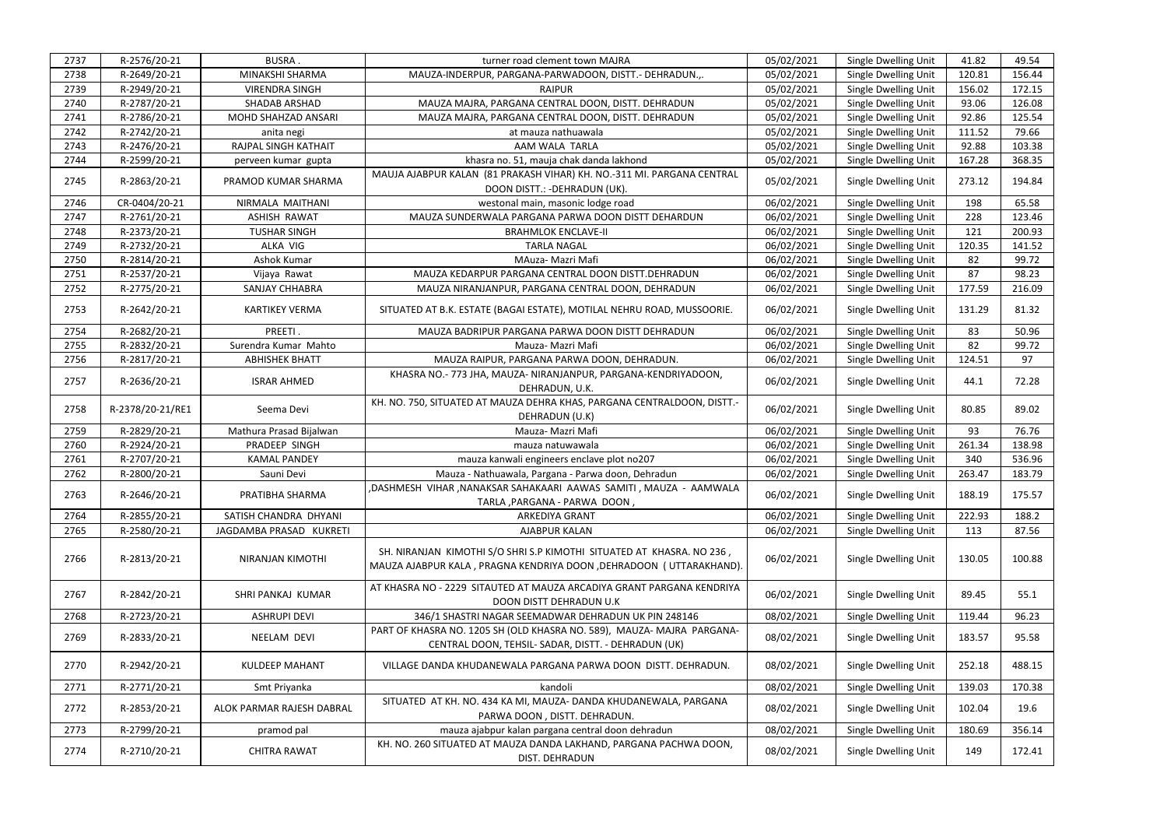| 2737 | R-2576/20-21     | <b>BUSRA.</b>             | turner road clement town MAJRA                                                                                                                | 05/02/2021 | Single Dwelling Unit | 41.82  | 49.54  |
|------|------------------|---------------------------|-----------------------------------------------------------------------------------------------------------------------------------------------|------------|----------------------|--------|--------|
| 2738 | R-2649/20-21     | MINAKSHI SHARMA           | MAUZA-INDERPUR, PARGANA-PARWADOON, DISTT.- DEHRADUN.,.                                                                                        | 05/02/2021 | Single Dwelling Unit | 120.81 | 156.44 |
| 2739 | R-2949/20-21     | <b>VIRENDRA SINGH</b>     | <b>RAIPUR</b>                                                                                                                                 | 05/02/2021 | Single Dwelling Unit | 156.02 | 172.15 |
| 2740 |                  | SHADAB ARSHAD             | MAUZA MAJRA, PARGANA CENTRAL DOON, DISTT. DEHRADUN                                                                                            | 05/02/2021 |                      | 93.06  |        |
|      | R-2787/20-21     |                           |                                                                                                                                               |            | Single Dwelling Unit |        | 126.08 |
| 2741 | R-2786/20-21     | MOHD SHAHZAD ANSARI       | MAUZA MAJRA, PARGANA CENTRAL DOON, DISTT. DEHRADUN                                                                                            | 05/02/2021 | Single Dwelling Unit | 92.86  | 125.54 |
| 2742 | R-2742/20-21     | anita negi                | at mauza nathuawala                                                                                                                           | 05/02/2021 | Single Dwelling Unit | 111.52 | 79.66  |
| 2743 | R-2476/20-21     | RAJPAL SINGH KATHAIT      | AAM WALA TARLA                                                                                                                                | 05/02/2021 | Single Dwelling Unit | 92.88  | 103.38 |
| 2744 | R-2599/20-21     | perveen kumar gupta       | khasra no. 51, mauja chak danda lakhond                                                                                                       | 05/02/2021 | Single Dwelling Unit | 167.28 | 368.35 |
| 2745 | R-2863/20-21     | PRAMOD KUMAR SHARMA       | MAUJA AJABPUR KALAN (81 PRAKASH VIHAR) KH. NO.-311 MI. PARGANA CENTRAL<br>DOON DISTT.: - DEHRADUN (UK).                                       | 05/02/2021 | Single Dwelling Unit | 273.12 | 194.84 |
| 2746 | CR-0404/20-21    | NIRMALA MAITHANI          | westonal main, masonic lodge road                                                                                                             | 06/02/2021 | Single Dwelling Unit | 198    | 65.58  |
| 2747 | R-2761/20-21     | <b>ASHISH RAWAT</b>       | MAUZA SUNDERWALA PARGANA PARWA DOON DISTT DEHARDUN                                                                                            | 06/02/2021 | Single Dwelling Unit | 228    | 123.46 |
| 2748 | R-2373/20-21     | <b>TUSHAR SINGH</b>       | <b>BRAHMLOK ENCLAVE-II</b>                                                                                                                    | 06/02/2021 | Single Dwelling Unit | 121    | 200.93 |
| 2749 | R-2732/20-21     | ALKA VIG                  | <b>TARLA NAGAL</b>                                                                                                                            | 06/02/2021 | Single Dwelling Unit | 120.35 | 141.52 |
| 2750 | R-2814/20-21     | Ashok Kumar               | MAuza- Mazri Mafi                                                                                                                             | 06/02/2021 | Single Dwelling Unit | 82     | 99.72  |
| 2751 | R-2537/20-21     | Vijaya Rawat              | MAUZA KEDARPUR PARGANA CENTRAL DOON DISTT.DEHRADUN                                                                                            | 06/02/2021 | Single Dwelling Unit | 87     | 98.23  |
| 2752 | R-2775/20-21     | SANJAY CHHABRA            | MAUZA NIRANJANPUR, PARGANA CENTRAL DOON, DEHRADUN                                                                                             | 06/02/2021 | Single Dwelling Unit | 177.59 | 216.09 |
| 2753 | R-2642/20-21     | <b>KARTIKEY VERMA</b>     | SITUATED AT B.K. ESTATE (BAGAI ESTATE), MOTILAL NEHRU ROAD, MUSSOORIE.                                                                        | 06/02/2021 | Single Dwelling Unit | 131.29 | 81.32  |
| 2754 | R-2682/20-21     | PREETI.                   | MAUZA BADRIPUR PARGANA PARWA DOON DISTT DEHRADUN                                                                                              | 06/02/2021 | Single Dwelling Unit | 83     | 50.96  |
| 2755 | R-2832/20-21     | Surendra Kumar Mahto      | Mauza- Mazri Mafi                                                                                                                             | 06/02/2021 | Single Dwelling Unit | 82     | 99.72  |
| 2756 | R-2817/20-21     | <b>ABHISHEK BHATT</b>     | MAUZA RAIPUR, PARGANA PARWA DOON, DEHRADUN.                                                                                                   | 06/02/2021 | Single Dwelling Unit | 124.51 | 97     |
|      |                  |                           | KHASRA NO.- 773 JHA, MAUZA- NIRANJANPUR, PARGANA-KENDRIYADOON,                                                                                |            |                      |        |        |
| 2757 | R-2636/20-21     | <b>ISRAR AHMED</b>        | DEHRADUN, U.K.                                                                                                                                | 06/02/2021 | Single Dwelling Unit | 44.1   | 72.28  |
|      |                  |                           |                                                                                                                                               |            |                      |        |        |
| 2758 | R-2378/20-21/RE1 | Seema Devi                | KH. NO. 750, SITUATED AT MAUZA DEHRA KHAS, PARGANA CENTRALDOON, DISTT.-                                                                       | 06/02/2021 | Single Dwelling Unit | 80.85  | 89.02  |
|      |                  |                           | DEHRADUN (U.K)                                                                                                                                |            |                      |        |        |
| 2759 | R-2829/20-21     | Mathura Prasad Bijalwan   | Mauza- Mazri Mafi                                                                                                                             | 06/02/2021 | Single Dwelling Unit | 93     | 76.76  |
| 2760 | R-2924/20-21     | PRADEEP SINGH             | mauza natuwawala                                                                                                                              | 06/02/2021 | Single Dwelling Unit | 261.34 | 138.98 |
| 2761 | R-2707/20-21     | <b>KAMAL PANDEY</b>       | mauza kanwali engineers enclave plot no207                                                                                                    | 06/02/2021 | Single Dwelling Unit | 340    | 536.96 |
| 2762 | R-2800/20-21     | Sauni Devi                | Mauza - Nathuawala, Pargana - Parwa doon, Dehradun                                                                                            | 06/02/2021 | Single Dwelling Unit | 263.47 | 183.79 |
| 2763 | R-2646/20-21     | PRATIBHA SHARMA           | DASHMESH VIHAR ,NANAKSAR SAHAKAARI AAWAS SAMITI , MAUZA - AAMWALA,<br>TARLA, PARGANA - PARWA DOON,                                            | 06/02/2021 | Single Dwelling Unit | 188.19 | 175.57 |
| 2764 | R-2855/20-21     | SATISH CHANDRA DHYANI     | ARKEDIYA GRANT                                                                                                                                | 06/02/2021 | Single Dwelling Unit | 222.93 | 188.2  |
| 2765 | R-2580/20-21     | JAGDAMBA PRASAD KUKRETI   | AJABPUR KALAN                                                                                                                                 | 06/02/2021 | Single Dwelling Unit | 113    | 87.56  |
| 2766 | R-2813/20-21     | NIRANJAN KIMOTHI          | SH. NIRANJAN KIMOTHI S/O SHRI S.P KIMOTHI SITUATED AT KHASRA. NO 236,<br>MAUZA AJABPUR KALA, PRAGNA KENDRIYA DOON , DEHRADOON ( UTTARAKHAND). | 06/02/2021 | Single Dwelling Unit | 130.05 | 100.88 |
| 2767 | R-2842/20-21     | SHRI PANKAJ KUMAR         | AT KHASRA NO - 2229 SITAUTED AT MAUZA ARCADIYA GRANT PARGANA KENDRIYA<br>DOON DISTT DEHRADUN U.K                                              | 06/02/2021 | Single Dwelling Unit | 89.45  | 55.1   |
| 2768 | R-2723/20-21     | <b>ASHRUPI DEVI</b>       | 346/1 SHASTRI NAGAR SEEMADWAR DEHRADUN UK PIN 248146                                                                                          | 08/02/2021 | Single Dwelling Unit | 119.44 | 96.23  |
| 2769 | R-2833/20-21     | NEELAM DEVI               | PART OF KHASRA NO. 1205 SH (OLD KHASRA NO. 589), MAUZA- MAJRA PARGANA-<br>CENTRAL DOON, TEHSIL- SADAR, DISTT. - DEHRADUN (UK)                 | 08/02/2021 | Single Dwelling Unit | 183.57 | 95.58  |
| 2770 | R-2942/20-21     | <b>KULDEEP MAHANT</b>     | VILLAGE DANDA KHUDANEWALA PARGANA PARWA DOON DISTT. DEHRADUN.                                                                                 | 08/02/2021 | Single Dwelling Unit | 252.18 | 488.15 |
| 2771 | R-2771/20-21     | Smt Priyanka              | kandoli                                                                                                                                       | 08/02/2021 | Single Dwelling Unit | 139.03 | 170.38 |
| 2772 | R-2853/20-21     | ALOK PARMAR RAJESH DABRAL | SITUATED AT KH. NO. 434 KA MI, MAUZA- DANDA KHUDANEWALA, PARGANA<br>PARWA DOON, DISTT. DEHRADUN.                                              | 08/02/2021 | Single Dwelling Unit | 102.04 | 19.6   |
| 2773 | R-2799/20-21     | pramod pal                | mauza ajabpur kalan pargana central doon dehradun                                                                                             | 08/02/2021 | Single Dwelling Unit | 180.69 | 356.14 |
|      |                  |                           | KH. NO. 260 SITUATED AT MAUZA DANDA LAKHAND, PARGANA PACHWA DOON,                                                                             |            |                      |        |        |
| 2774 | R-2710/20-21     | <b>CHITRA RAWAT</b>       | DIST. DEHRADUN                                                                                                                                | 08/02/2021 | Single Dwelling Unit | 149    | 172.41 |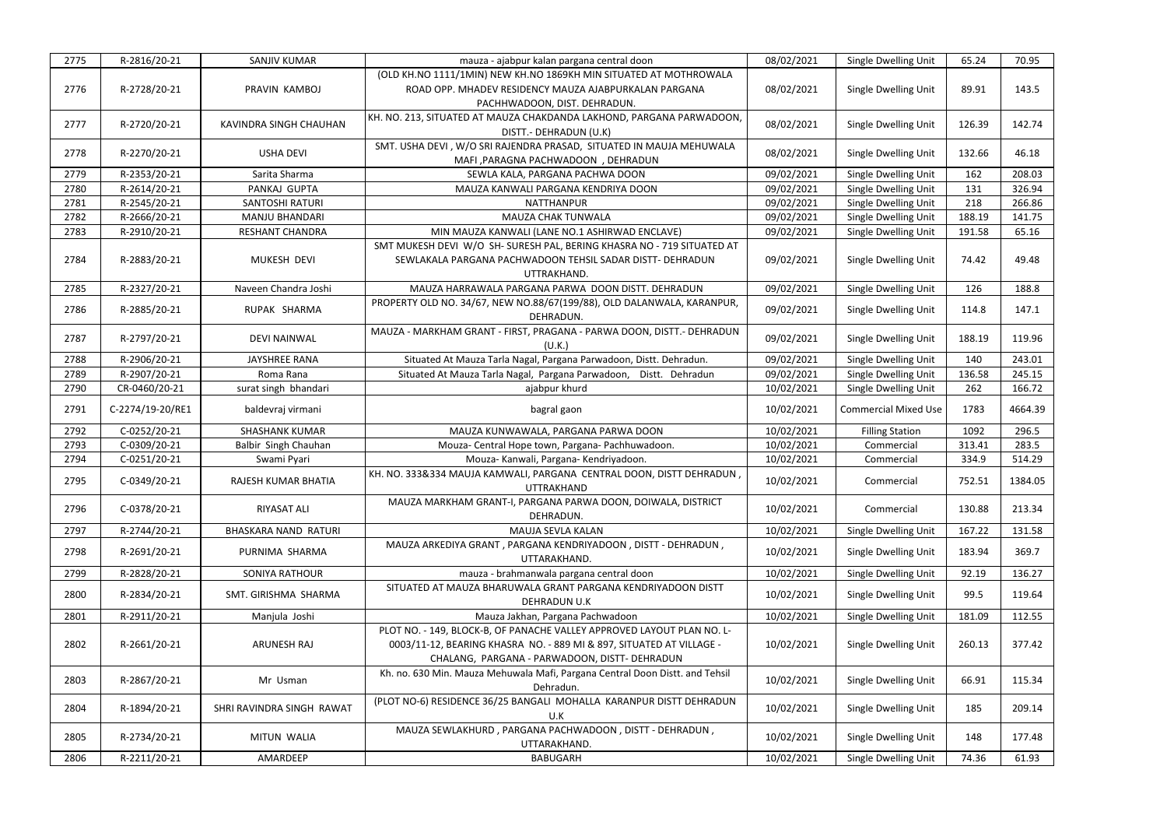| 2775 | R-2816/20-21     | SANJIV KUMAR              | mauza - ajabpur kalan pargana central doon                                   | 08/02/2021 | Single Dwelling Unit        | 65.24  | 70.95   |
|------|------------------|---------------------------|------------------------------------------------------------------------------|------------|-----------------------------|--------|---------|
|      |                  |                           | (OLD KH.NO 1111/1MIN) NEW KH.NO 1869KH MIN SITUATED AT MOTHROWALA            |            |                             |        |         |
| 2776 | R-2728/20-21     | PRAVIN KAMBOJ             | ROAD OPP. MHADEV RESIDENCY MAUZA AJABPURKALAN PARGANA                        | 08/02/2021 | Single Dwelling Unit        | 89.91  | 143.5   |
|      |                  |                           | PACHHWADOON, DIST. DEHRADUN.                                                 |            |                             |        |         |
|      |                  |                           | KH. NO. 213, SITUATED AT MAUZA CHAKDANDA LAKHOND, PARGANA PARWADOON,         |            |                             |        |         |
| 2777 | R-2720/20-21     | KAVINDRA SINGH CHAUHAN    | DISTT.- DEHRADUN (U.K)                                                       | 08/02/2021 | Single Dwelling Unit        | 126.39 | 142.74  |
|      |                  |                           |                                                                              |            |                             |        |         |
| 2778 | R-2270/20-21     | <b>USHA DEVI</b>          | SMT. USHA DEVI, W/O SRI RAJENDRA PRASAD, SITUATED IN MAUJA MEHUWALA          | 08/02/2021 | Single Dwelling Unit        | 132.66 | 46.18   |
|      |                  |                           | MAFI, PARAGNA PACHWADOON, DEHRADUN                                           |            |                             |        |         |
| 2779 | R-2353/20-21     | Sarita Sharma             | SEWLA KALA, PARGANA PACHWA DOON                                              | 09/02/2021 | Single Dwelling Unit        | 162    | 208.03  |
| 2780 | R-2614/20-21     | PANKAJ GUPTA              | MAUZA KANWALI PARGANA KENDRIYA DOON                                          | 09/02/2021 | Single Dwelling Unit        | 131    | 326.94  |
| 2781 | R-2545/20-21     | SANTOSHI RATURI           | <b>NATTHANPUR</b>                                                            | 09/02/2021 | Single Dwelling Unit        | 218    | 266.86  |
| 2782 | R-2666/20-21     | MANJU BHANDARI            | MAUZA CHAK TUNWALA                                                           | 09/02/2021 | Single Dwelling Unit        | 188.19 | 141.75  |
| 2783 | R-2910/20-21     | <b>RESHANT CHANDRA</b>    | MIN MAUZA KANWALI (LANE NO.1 ASHIRWAD ENCLAVE)                               | 09/02/2021 | Single Dwelling Unit        | 191.58 | 65.16   |
|      |                  |                           | SMT MUKESH DEVI W/O SH- SURESH PAL, BERING KHASRA NO - 719 SITUATED AT       |            |                             |        |         |
| 2784 | R-2883/20-21     | MUKESH DEVI               | SEWLAKALA PARGANA PACHWADOON TEHSIL SADAR DISTT- DEHRADUN                    | 09/02/2021 | Single Dwelling Unit        | 74.42  | 49.48   |
|      |                  |                           | UTTRAKHAND.                                                                  |            |                             |        |         |
| 2785 | R-2327/20-21     | Naveen Chandra Joshi      | MAUZA HARRAWALA PARGANA PARWA DOON DISTT. DEHRADUN                           | 09/02/2021 | Single Dwelling Unit        | 126    | 188.8   |
|      |                  |                           | PROPERTY OLD NO. 34/67, NEW NO.88/67(199/88), OLD DALANWALA, KARANPUR,       |            |                             |        |         |
| 2786 | R-2885/20-21     | RUPAK SHARMA              | DEHRADUN.                                                                    | 09/02/2021 | Single Dwelling Unit        | 114.8  | 147.1   |
|      |                  |                           | MAUZA - MARKHAM GRANT - FIRST, PRAGANA - PARWA DOON, DISTT.- DEHRADUN        |            |                             |        |         |
| 2787 | R-2797/20-21     | <b>DEVI NAINWAL</b>       | (U.K.)                                                                       | 09/02/2021 | Single Dwelling Unit        | 188.19 | 119.96  |
| 2788 | R-2906/20-21     | <b>JAYSHREE RANA</b>      | Situated At Mauza Tarla Nagal, Pargana Parwadoon, Distt. Dehradun.           | 09/02/2021 | Single Dwelling Unit        | 140    | 243.01  |
| 2789 | R-2907/20-21     | Roma Rana                 | Situated At Mauza Tarla Nagal, Pargana Parwadoon, Distt. Dehradun            | 09/02/2021 | Single Dwelling Unit        | 136.58 | 245.15  |
| 2790 | CR-0460/20-21    | surat singh bhandari      | ajabpur khurd                                                                | 10/02/2021 | Single Dwelling Unit        | 262    | 166.72  |
|      |                  |                           |                                                                              |            |                             |        |         |
| 2791 | C-2274/19-20/RE1 | baldevraj virmani         | bagral gaon                                                                  | 10/02/2021 | <b>Commercial Mixed Use</b> | 1783   | 4664.39 |
| 2792 | C-0252/20-21     | <b>SHASHANK KUMAR</b>     | MAUZA KUNWAWALA, PARGANA PARWA DOON                                          | 10/02/2021 | <b>Filling Station</b>      | 1092   | 296.5   |
| 2793 | C-0309/20-21     | Balbir Singh Chauhan      | Mouza- Central Hope town, Pargana- Pachhuwadoon.                             | 10/02/2021 | Commercial                  | 313.41 | 283.5   |
| 2794 | C-0251/20-21     | Swami Pyari               | Mouza- Kanwali, Pargana- Kendriyadoon.                                       | 10/02/2021 | Commercial                  | 334.9  | 514.29  |
|      |                  |                           | KH. NO. 333&334 MAUJA KAMWALI, PARGANA CENTRAL DOON, DISTT DEHRADUN,         |            |                             |        |         |
| 2795 | C-0349/20-21     | RAJESH KUMAR BHATIA       |                                                                              | 10/02/2021 | Commercial                  | 752.51 | 1384.05 |
|      |                  |                           | UTTRAKHAND                                                                   |            |                             |        |         |
| 2796 | C-0378/20-21     | RIYASAT ALI               | MAUZA MARKHAM GRANT-I, PARGANA PARWA DOON, DOIWALA, DISTRICT                 | 10/02/2021 | Commercial                  | 130.88 | 213.34  |
|      |                  |                           | DEHRADUN.                                                                    |            |                             |        |         |
| 2797 | R-2744/20-21     | BHASKARA NAND RATURI      | MAUJA SEVLA KALAN                                                            | 10/02/2021 | Single Dwelling Unit        | 167.22 | 131.58  |
| 2798 | R-2691/20-21     | PURNIMA SHARMA            | MAUZA ARKEDIYA GRANT, PARGANA KENDRIYADOON, DISTT - DEHRADUN,                | 10/02/2021 | Single Dwelling Unit        | 183.94 | 369.7   |
|      |                  |                           | UTTARAKHAND.                                                                 |            |                             |        |         |
| 2799 | R-2828/20-21     | SONIYA RATHOUR            | mauza - brahmanwala pargana central doon                                     | 10/02/2021 | Single Dwelling Unit        | 92.19  | 136.27  |
| 2800 | R-2834/20-21     | SMT. GIRISHMA SHARMA      | SITUATED AT MAUZA BHARUWALA GRANT PARGANA KENDRIYADOON DISTT                 | 10/02/2021 | Single Dwelling Unit        | 99.5   | 119.64  |
|      |                  |                           | <b>DEHRADUN U.K</b>                                                          |            |                             |        |         |
| 2801 | R-2911/20-21     | Manjula Joshi             | Mauza Jakhan, Pargana Pachwadoon                                             | 10/02/2021 | Single Dwelling Unit        | 181.09 | 112.55  |
|      |                  |                           | PLOT NO. - 149, BLOCK-B, OF PANACHE VALLEY APPROVED LAYOUT PLAN NO. L-       |            |                             |        |         |
| 2802 | R-2661/20-21     | ARUNESH RAJ               | 0003/11-12, BEARING KHASRA NO. - 889 MI & 897, SITUATED AT VILLAGE -         | 10/02/2021 | Single Dwelling Unit        | 260.13 | 377.42  |
|      |                  |                           | CHALANG, PARGANA - PARWADOON, DISTT- DEHRADUN                                |            |                             |        |         |
|      |                  |                           | Kh. no. 630 Min. Mauza Mehuwala Mafi, Pargana Central Doon Distt. and Tehsil |            |                             |        |         |
| 2803 | R-2867/20-21     | Mr Usman                  | Dehradun.                                                                    | 10/02/2021 | Single Dwelling Unit        | 66.91  | 115.34  |
|      |                  |                           | (PLOT NO-6) RESIDENCE 36/25 BANGALI MOHALLA KARANPUR DISTT DEHRADUN          |            |                             |        |         |
| 2804 | R-1894/20-21     | SHRI RAVINDRA SINGH RAWAT | U.K                                                                          | 10/02/2021 | Single Dwelling Unit        | 185    | 209.14  |
|      |                  |                           | MAUZA SEWLAKHURD, PARGANA PACHWADOON, DISTT - DEHRADUN,                      |            |                             |        |         |
| 2805 | R-2734/20-21     | MITUN WALIA               |                                                                              | 10/02/2021 | Single Dwelling Unit        | 148    | 177.48  |
|      |                  |                           | UTTARAKHAND.                                                                 |            |                             |        |         |
| 2806 | R-2211/20-21     | AMARDEEP                  | <b>BABUGARH</b>                                                              | 10/02/2021 | Single Dwelling Unit        | 74.36  | 61.93   |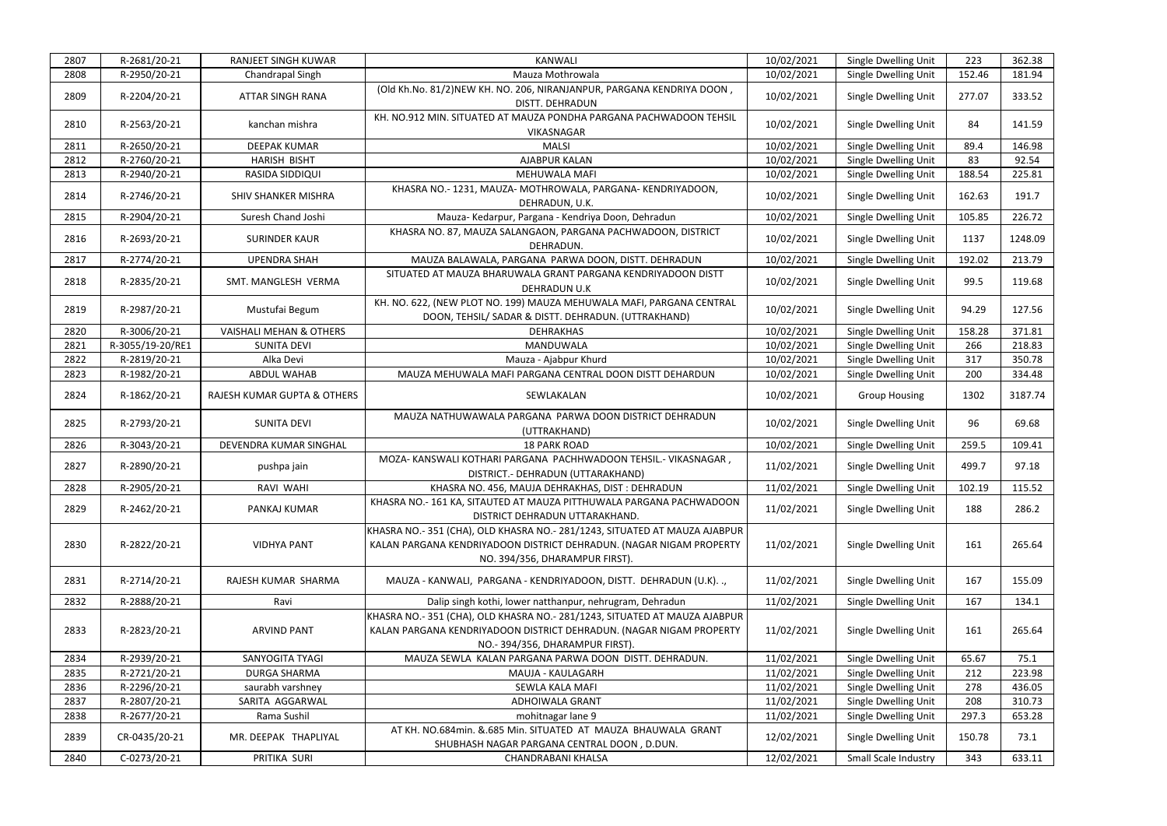| 2807 | R-2681/20-21     | <b>RANJEET SINGH KUWAR</b>             | <b>KANWALI</b>                                                                                                                                                                    | 10/02/2021 | Single Dwelling Unit | 223    | 362.38  |
|------|------------------|----------------------------------------|-----------------------------------------------------------------------------------------------------------------------------------------------------------------------------------|------------|----------------------|--------|---------|
| 2808 | R-2950/20-21     | Chandrapal Singh                       | Mauza Mothrowala                                                                                                                                                                  | 10/02/2021 | Single Dwelling Unit | 152.46 | 181.94  |
| 2809 | R-2204/20-21     | ATTAR SINGH RANA                       | (Old Kh.No. 81/2) NEW KH. NO. 206, NIRANJANPUR, PARGANA KENDRIYA DOON,<br>DISTT. DEHRADUN                                                                                         | 10/02/2021 | Single Dwelling Unit | 277.07 | 333.52  |
| 2810 | R-2563/20-21     | kanchan mishra                         | KH. NO.912 MIN. SITUATED AT MAUZA PONDHA PARGANA PACHWADOON TEHSIL<br>VIKASNAGAR                                                                                                  | 10/02/2021 | Single Dwelling Unit | 84     | 141.59  |
| 2811 | R-2650/20-21     | <b>DEEPAK KUMAR</b>                    | <b>MALSI</b>                                                                                                                                                                      | 10/02/2021 | Single Dwelling Unit | 89.4   | 146.98  |
| 2812 | R-2760/20-21     | <b>HARISH BISHT</b>                    | AJABPUR KALAN                                                                                                                                                                     | 10/02/2021 | Single Dwelling Unit | 83     | 92.54   |
| 2813 | R-2940/20-21     | RASIDA SIDDIQUI                        | MEHUWALA MAFI                                                                                                                                                                     | 10/02/2021 | Single Dwelling Unit | 188.54 | 225.81  |
| 2814 | R-2746/20-21     | <b>SHIV SHANKER MISHRA</b>             | KHASRA NO.- 1231, MAUZA- MOTHROWALA, PARGANA- KENDRIYADOON,<br>DEHRADUN, U.K.                                                                                                     | 10/02/2021 | Single Dwelling Unit | 162.63 | 191.7   |
| 2815 | R-2904/20-21     | Suresh Chand Joshi                     | Mauza-Kedarpur, Pargana - Kendriya Doon, Dehradun                                                                                                                                 | 10/02/2021 | Single Dwelling Unit | 105.85 | 226.72  |
| 2816 | R-2693/20-21     | <b>SURINDER KAUR</b>                   | KHASRA NO. 87, MAUZA SALANGAON, PARGANA PACHWADOON, DISTRICT<br>DEHRADUN.                                                                                                         | 10/02/2021 | Single Dwelling Unit | 1137   | 1248.09 |
| 2817 | R-2774/20-21     | <b>UPENDRA SHAH</b>                    | MAUZA BALAWALA, PARGANA PARWA DOON, DISTT. DEHRADUN                                                                                                                               | 10/02/2021 | Single Dwelling Unit | 192.02 | 213.79  |
| 2818 | R-2835/20-21     | SMT. MANGLESH VERMA                    | SITUATED AT MAUZA BHARUWALA GRANT PARGANA KENDRIYADOON DISTT<br><b>DEHRADUN U.K</b>                                                                                               | 10/02/2021 | Single Dwelling Unit | 99.5   | 119.68  |
| 2819 | R-2987/20-21     | Mustufai Begum                         | KH. NO. 622, (NEW PLOT NO. 199) MAUZA MEHUWALA MAFI, PARGANA CENTRAL<br>DOON, TEHSIL/ SADAR & DISTT. DEHRADUN. (UTTRAKHAND)                                                       | 10/02/2021 | Single Dwelling Unit | 94.29  | 127.56  |
| 2820 | R-3006/20-21     | <b>VAISHALI MEHAN &amp; OTHERS</b>     | <b>DEHRAKHAS</b>                                                                                                                                                                  | 10/02/2021 | Single Dwelling Unit | 158.28 | 371.81  |
| 2821 | R-3055/19-20/RE1 | <b>SUNITA DEVI</b>                     | MANDUWALA                                                                                                                                                                         | 10/02/2021 | Single Dwelling Unit | 266    | 218.83  |
| 2822 | R-2819/20-21     | Alka Devi                              | Mauza - Ajabpur Khurd                                                                                                                                                             | 10/02/2021 | Single Dwelling Unit | 317    | 350.78  |
| 2823 | R-1982/20-21     | ABDUL WAHAB                            | MAUZA MEHUWALA MAFI PARGANA CENTRAL DOON DISTT DEHARDUN                                                                                                                           | 10/02/2021 | Single Dwelling Unit | 200    | 334.48  |
| 2824 | R-1862/20-21     | <b>RAJESH KUMAR GUPTA &amp; OTHERS</b> | SEWLAKALAN                                                                                                                                                                        | 10/02/2021 | <b>Group Housing</b> | 1302   | 3187.74 |
| 2825 | R-2793/20-21     | <b>SUNITA DEVI</b>                     | MAUZA NATHUWAWALA PARGANA PARWA DOON DISTRICT DEHRADUN<br>(UTTRAKHAND)                                                                                                            | 10/02/2021 | Single Dwelling Unit | 96     | 69.68   |
| 2826 | R-3043/20-21     | DEVENDRA KUMAR SINGHAL                 | <b>18 PARK ROAD</b>                                                                                                                                                               | 10/02/2021 | Single Dwelling Unit | 259.5  | 109.41  |
| 2827 | R-2890/20-21     | pushpa jain                            | MOZA- KANSWALI KOTHARI PARGANA PACHHWADOON TEHSIL.- VIKASNAGAR,<br>DISTRICT.- DEHRADUN (UTTARAKHAND)                                                                              | 11/02/2021 | Single Dwelling Unit | 499.7  | 97.18   |
| 2828 | R-2905/20-21     | RAVI WAHI                              | KHASRA NO. 456, MAUJA DEHRAKHAS, DIST: DEHRADUN                                                                                                                                   | 11/02/2021 | Single Dwelling Unit | 102.19 | 115.52  |
| 2829 | R-2462/20-21     | PANKAJ KUMAR                           | KHASRA NO.- 161 KA, SITAUTED AT MAUZA PITTHUWALA PARGANA PACHWADOON<br>DISTRICT DEHRADUN UTTARAKHAND.                                                                             | 11/02/2021 | Single Dwelling Unit | 188    | 286.2   |
| 2830 | R-2822/20-21     | <b>VIDHYA PANT</b>                     | KHASRA NO.-351 (CHA), OLD KHASRA NO.-281/1243, SITUATED AT MAUZA AJABPUR<br>KALAN PARGANA KENDRIYADOON DISTRICT DEHRADUN. (NAGAR NIGAM PROPERTY<br>NO. 394/356, DHARAMPUR FIRST). | 11/02/2021 | Single Dwelling Unit | 161    | 265.64  |
| 2831 | R-2714/20-21     | RAJESH KUMAR SHARMA                    | MAUZA - KANWALI, PARGANA - KENDRIYADOON, DISTT. DEHRADUN (U.K),                                                                                                                   | 11/02/2021 | Single Dwelling Unit | 167    | 155.09  |
| 2832 | R-2888/20-21     | Ravi                                   | Dalip singh kothi, lower natthanpur, nehrugram, Dehradun                                                                                                                          | 11/02/2021 | Single Dwelling Unit | 167    | 134.1   |
| 2833 | R-2823/20-21     | <b>ARVIND PANT</b>                     | KHASRA NO.-351 (CHA), OLD KHASRA NO.-281/1243, SITUATED AT MAUZA AJABPUR<br>KALAN PARGANA KENDRIYADOON DISTRICT DEHRADUN. (NAGAR NIGAM PROPERTY<br>NO.-394/356, DHARAMPUR FIRST). | 11/02/2021 | Single Dwelling Unit | 161    | 265.64  |
| 2834 | R-2939/20-21     | SANYOGITA TYAGI                        | MAUZA SEWLA KALAN PARGANA PARWA DOON DISTT. DEHRADUN.                                                                                                                             | 11/02/2021 | Single Dwelling Unit | 65.67  | 75.1    |
| 2835 | R-2721/20-21     | <b>DURGA SHARMA</b>                    | MAUJA - KAULAGARH                                                                                                                                                                 | 11/02/2021 | Single Dwelling Unit | 212    | 223.98  |
| 2836 | R-2296/20-21     | saurabh varshney                       | SEWLA KALA MAFI                                                                                                                                                                   | 11/02/2021 | Single Dwelling Unit | 278    | 436.05  |
| 2837 | R-2807/20-21     | SARITA AGGARWAL                        | <b>ADHOIWALA GRANT</b>                                                                                                                                                            | 11/02/2021 | Single Dwelling Unit | 208    | 310.73  |
| 2838 | R-2677/20-21     | Rama Sushil                            | mohitnagar lane 9                                                                                                                                                                 | 11/02/2021 | Single Dwelling Unit | 297.3  | 653.28  |
| 2839 | CR-0435/20-21    | MR. DEEPAK THAPLIYAL                   | AT KH. NO.684min. &.685 Min. SITUATED AT MAUZA BHAUWALA GRANT<br>SHUBHASH NAGAR PARGANA CENTRAL DOON, D.DUN.                                                                      | 12/02/2021 | Single Dwelling Unit | 150.78 | 73.1    |
| 2840 | C-0273/20-21     | PRITIKA SURI                           | CHANDRABANI KHALSA                                                                                                                                                                | 12/02/2021 | Small Scale Industry | 343    | 633.11  |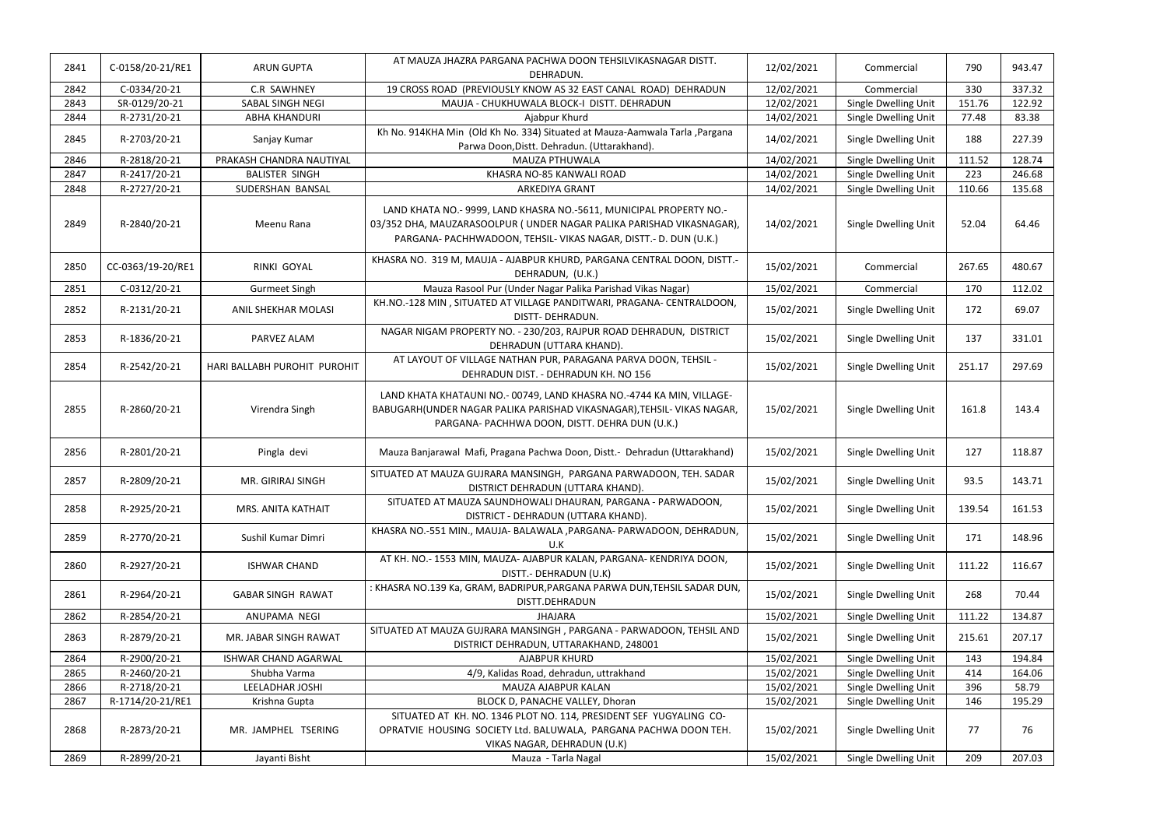| 2841 | C-0158/20-21/RE1  | <b>ARUN GUPTA</b>            | AT MAUZA JHAZRA PARGANA PACHWA DOON TEHSILVIKASNAGAR DISTT.<br>DEHRADUN.                                                                                                                                         | 12/02/2021 | Commercial           | 790    | 943.47 |
|------|-------------------|------------------------------|------------------------------------------------------------------------------------------------------------------------------------------------------------------------------------------------------------------|------------|----------------------|--------|--------|
| 2842 | C-0334/20-21      | <b>C.R SAWHNEY</b>           | 19 CROSS ROAD (PREVIOUSLY KNOW AS 32 EAST CANAL ROAD) DEHRADUN                                                                                                                                                   | 12/02/2021 | Commercial           | 330    | 337.32 |
| 2843 | SR-0129/20-21     | SABAL SINGH NEGI             | MAUJA - CHUKHUWALA BLOCK-I DISTT. DEHRADUN                                                                                                                                                                       | 12/02/2021 | Single Dwelling Unit | 151.76 | 122.92 |
| 2844 | R-2731/20-21      | <b>ABHA KHANDURI</b>         | Ajabpur Khurd                                                                                                                                                                                                    | 14/02/2021 | Single Dwelling Unit | 77.48  | 83.38  |
| 2845 | R-2703/20-21      | Sanjay Kumar                 | Kh No. 914KHA Min (Old Kh No. 334) Situated at Mauza-Aamwala Tarla, Pargana<br>Parwa Doon, Distt. Dehradun. (Uttarakhand).                                                                                       | 14/02/2021 | Single Dwelling Unit | 188    | 227.39 |
| 2846 | R-2818/20-21      | PRAKASH CHANDRA NAUTIYAL     | MAUZA PTHUWALA                                                                                                                                                                                                   | 14/02/2021 | Single Dwelling Unit | 111.52 | 128.74 |
| 2847 | R-2417/20-21      | <b>BALISTER SINGH</b>        | KHASRA NO-85 KANWALI ROAD                                                                                                                                                                                        | 14/02/2021 | Single Dwelling Unit | 223    | 246.68 |
| 2848 | R-2727/20-21      | SUDERSHAN BANSAL             | ARKEDIYA GRANT                                                                                                                                                                                                   | 14/02/2021 | Single Dwelling Unit | 110.66 | 135.68 |
| 2849 | R-2840/20-21      | Meenu Rana                   | LAND KHATA NO.- 9999, LAND KHASRA NO.-5611, MUNICIPAL PROPERTY NO.-<br>03/352 DHA, MAUZARASOOLPUR ( UNDER NAGAR PALIKA PARISHAD VIKASNAGAR),<br>PARGANA- PACHHWADOON, TEHSIL- VIKAS NAGAR, DISTT.- D. DUN (U.K.) | 14/02/2021 | Single Dwelling Unit | 52.04  | 64.46  |
| 2850 | CC-0363/19-20/RE1 | RINKI GOYAL                  | KHASRA NO. 319 M, MAUJA - AJABPUR KHURD, PARGANA CENTRAL DOON, DISTT.-<br>DEHRADUN, (U.K.)                                                                                                                       | 15/02/2021 | Commercial           | 267.65 | 480.67 |
| 2851 | C-0312/20-21      | <b>Gurmeet Singh</b>         | Mauza Rasool Pur (Under Nagar Palika Parishad Vikas Nagar)                                                                                                                                                       | 15/02/2021 | Commercial           | 170    | 112.02 |
| 2852 | R-2131/20-21      | ANIL SHEKHAR MOLASI          | KH.NO.-128 MIN, SITUATED AT VILLAGE PANDITWARI, PRAGANA- CENTRALDOON,<br>DISTT- DEHRADUN.                                                                                                                        | 15/02/2021 | Single Dwelling Unit | 172    | 69.07  |
| 2853 | R-1836/20-21      | PARVEZ ALAM                  | NAGAR NIGAM PROPERTY NO. - 230/203, RAJPUR ROAD DEHRADUN, DISTRICT<br>DEHRADUN (UTTARA KHAND).                                                                                                                   | 15/02/2021 | Single Dwelling Unit | 137    | 331.01 |
| 2854 | R-2542/20-21      | HARI BALLABH PUROHIT PUROHIT | AT LAYOUT OF VILLAGE NATHAN PUR, PARAGANA PARVA DOON, TEHSIL -<br>DEHRADUN DIST. - DEHRADUN KH. NO 156                                                                                                           | 15/02/2021 | Single Dwelling Unit | 251.17 | 297.69 |
| 2855 | R-2860/20-21      | Virendra Singh               | LAND KHATA KHATAUNI NO.-00749, LAND KHASRA NO.-4744 KA MIN, VILLAGE-<br>BABUGARH(UNDER NAGAR PALIKA PARISHAD VIKASNAGAR), TEHSIL- VIKAS NAGAR,<br>PARGANA- PACHHWA DOON, DISTT. DEHRA DUN (U.K.)                 | 15/02/2021 | Single Dwelling Unit | 161.8  | 143.4  |
| 2856 | R-2801/20-21      | Pingla devi                  | Mauza Banjarawal Mafi, Pragana Pachwa Doon, Distt.- Dehradun (Uttarakhand)                                                                                                                                       | 15/02/2021 | Single Dwelling Unit | 127    | 118.87 |
| 2857 | R-2809/20-21      | MR. GIRIRAJ SINGH            | SITUATED AT MAUZA GUJRARA MANSINGH, PARGANA PARWADOON, TEH. SADAR<br>DISTRICT DEHRADUN (UTTARA KHAND).                                                                                                           | 15/02/2021 | Single Dwelling Unit | 93.5   | 143.71 |
| 2858 | R-2925/20-21      | MRS. ANITA KATHAIT           | SITUATED AT MAUZA SAUNDHOWALI DHAURAN, PARGANA - PARWADOON,<br>DISTRICT - DEHRADUN (UTTARA KHAND).                                                                                                               | 15/02/2021 | Single Dwelling Unit | 139.54 | 161.53 |
| 2859 | R-2770/20-21      | Sushil Kumar Dimri           | KHASRA NO.-551 MIN., MAUJA- BALAWALA ,PARGANA- PARWADOON, DEHRADUN,<br>U.K                                                                                                                                       | 15/02/2021 | Single Dwelling Unit | 171    | 148.96 |
| 2860 | R-2927/20-21      | <b>ISHWAR CHAND</b>          | AT KH. NO.- 1553 MIN, MAUZA- AJABPUR KALAN, PARGANA- KENDRIYA DOON,<br>DISTT.- DEHRADUN (U.K)                                                                                                                    | 15/02/2021 | Single Dwelling Unit | 111.22 | 116.67 |
| 2861 | R-2964/20-21      | GABAR SINGH RAWAT            | : KHASRA NO.139 Ka, GRAM, BADRIPUR,PARGANA PARWA DUN,TEHSIL SADAR DUN,<br>DISTT.DEHRADUN                                                                                                                         | 15/02/2021 | Single Dwelling Unit | 268    | 70.44  |
| 2862 | R-2854/20-21      | ANUPAMA NEGI                 | <b>JHAJARA</b>                                                                                                                                                                                                   | 15/02/2021 | Single Dwelling Unit | 111.22 | 134.87 |
| 2863 | R-2879/20-21      | MR. JABAR SINGH RAWAT        | SITUATED AT MAUZA GUJRARA MANSINGH, PARGANA - PARWADOON, TEHSIL AND<br>DISTRICT DEHRADUN, UTTARAKHAND, 248001                                                                                                    | 15/02/2021 | Single Dwelling Unit | 215.61 | 207.17 |
| 2864 | R-2900/20-21      | <b>ISHWAR CHAND AGARWAL</b>  | AJABPUR KHURD                                                                                                                                                                                                    | 15/02/2021 | Single Dwelling Unit | 143    | 194.84 |
| 2865 | R-2460/20-21      | Shubha Varma                 | 4/9, Kalidas Road, dehradun, uttrakhand                                                                                                                                                                          | 15/02/2021 | Single Dwelling Unit | 414    | 164.06 |
| 2866 | R-2718/20-21      | LEELADHAR JOSHI              | MAUZA AJABPUR KALAN                                                                                                                                                                                              | 15/02/2021 | Single Dwelling Unit | 396    | 58.79  |
| 2867 | R-1714/20-21/RE1  | Krishna Gupta                | BLOCK D, PANACHE VALLEY, Dhoran                                                                                                                                                                                  | 15/02/2021 | Single Dwelling Unit | 146    | 195.29 |
| 2868 | R-2873/20-21      | MR. JAMPHEL TSERING          | SITUATED AT KH. NO. 1346 PLOT NO. 114, PRESIDENT SEF YUGYALING CO-<br>OPRATVIE HOUSING SOCIETY Ltd. BALUWALA, PARGANA PACHWA DOON TEH.<br>VIKAS NAGAR, DEHRADUN (U.K)                                            | 15/02/2021 | Single Dwelling Unit | 77     | 76     |
| 2869 | R-2899/20-21      | Jayanti Bisht                | Mauza - Tarla Nagal                                                                                                                                                                                              | 15/02/2021 | Single Dwelling Unit | 209    | 207.03 |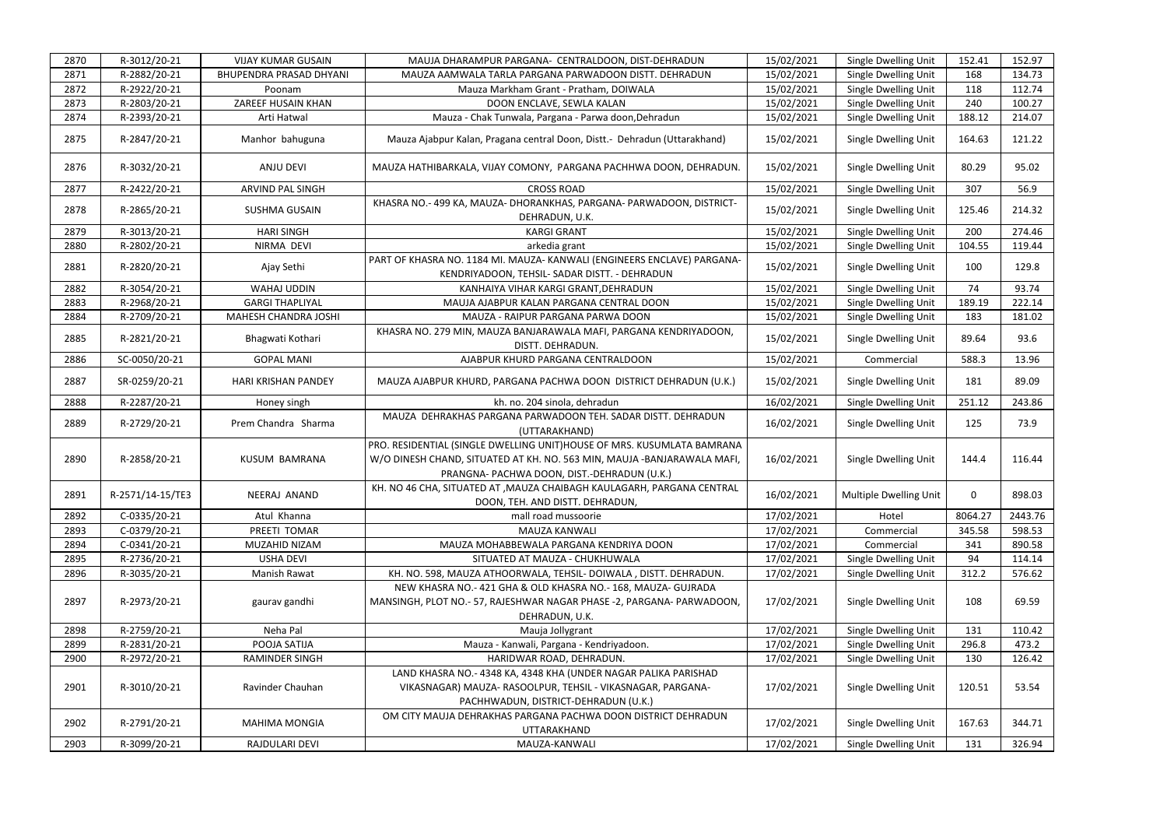| 2870 | R-3012/20-21     | <b>VIJAY KUMAR GUSAIN</b>      | MAUJA DHARAMPUR PARGANA- CENTRALDOON, DIST-DEHRADUN                                                                                                                                              | 15/02/2021 | Single Dwelling Unit          | 152.41      | 152.97  |
|------|------------------|--------------------------------|--------------------------------------------------------------------------------------------------------------------------------------------------------------------------------------------------|------------|-------------------------------|-------------|---------|
| 2871 | R-2882/20-21     | <b>BHUPENDRA PRASAD DHYANI</b> | MAUZA AAMWALA TARLA PARGANA PARWADOON DISTT. DEHRADUN                                                                                                                                            | 15/02/2021 | Single Dwelling Unit          | 168         | 134.73  |
| 2872 | R-2922/20-21     | Poonam                         | Mauza Markham Grant - Pratham, DOIWALA                                                                                                                                                           | 15/02/2021 | Single Dwelling Unit          | 118         | 112.74  |
| 2873 | R-2803/20-21     | ZAREEF HUSAIN KHAN             | DOON ENCLAVE, SEWLA KALAN                                                                                                                                                                        | 15/02/2021 | Single Dwelling Unit          | 240         | 100.27  |
| 2874 | R-2393/20-21     | Arti Hatwal                    | Mauza - Chak Tunwala, Pargana - Parwa doon, Dehradun                                                                                                                                             | 15/02/2021 | Single Dwelling Unit          | 188.12      | 214.07  |
| 2875 | R-2847/20-21     | Manhor bahuguna                | Mauza Ajabpur Kalan, Pragana central Doon, Distt.- Dehradun (Uttarakhand)                                                                                                                        | 15/02/2021 | Single Dwelling Unit          | 164.63      | 121.22  |
| 2876 | R-3032/20-21     | ANJU DEVI                      | MAUZA HATHIBARKALA, VIJAY COMONY, PARGANA PACHHWA DOON, DEHRADUN.                                                                                                                                | 15/02/2021 | Single Dwelling Unit          | 80.29       | 95.02   |
| 2877 | R-2422/20-21     | ARVIND PAL SINGH               | <b>CROSS ROAD</b>                                                                                                                                                                                | 15/02/2021 | Single Dwelling Unit          | 307         | 56.9    |
| 2878 | R-2865/20-21     | <b>SUSHMA GUSAIN</b>           | KHASRA NO.- 499 KA, MAUZA- DHORANKHAS, PARGANA- PARWADOON, DISTRICT-<br>DEHRADUN, U.K.                                                                                                           | 15/02/2021 | Single Dwelling Unit          | 125.46      | 214.32  |
| 2879 | R-3013/20-21     | <b>HARI SINGH</b>              | <b>KARGI GRANT</b>                                                                                                                                                                               | 15/02/2021 | Single Dwelling Unit          | 200         | 274.46  |
| 2880 | R-2802/20-21     | NIRMA DEVI                     | arkedia grant                                                                                                                                                                                    | 15/02/2021 | Single Dwelling Unit          | 104.55      | 119.44  |
| 2881 | R-2820/20-21     | Ajay Sethi                     | PART OF KHASRA NO. 1184 MI. MAUZA- KANWALI (ENGINEERS ENCLAVE) PARGANA-<br>KENDRIYADOON, TEHSIL- SADAR DISTT. - DEHRADUN                                                                         | 15/02/2021 | Single Dwelling Unit          | 100         | 129.8   |
| 2882 | R-3054/20-21     | <b>WAHAJ UDDIN</b>             | KANHAIYA VIHAR KARGI GRANT, DEHRADUN                                                                                                                                                             | 15/02/2021 | Single Dwelling Unit          | 74          | 93.74   |
| 2883 | R-2968/20-21     | <b>GARGI THAPLIYAL</b>         | MAUJA AJABPUR KALAN PARGANA CENTRAL DOON                                                                                                                                                         | 15/02/2021 | Single Dwelling Unit          | 189.19      | 222.14  |
| 2884 | R-2709/20-21     | MAHESH CHANDRA JOSHI           | MAUZA - RAIPUR PARGANA PARWA DOON                                                                                                                                                                | 15/02/2021 | Single Dwelling Unit          | 183         | 181.02  |
| 2885 | R-2821/20-21     | Bhagwati Kothari               | KHASRA NO. 279 MIN, MAUZA BANJARAWALA MAFI, PARGANA KENDRIYADOON,<br>DISTT. DEHRADUN.                                                                                                            | 15/02/2021 | Single Dwelling Unit          | 89.64       | 93.6    |
| 2886 | SC-0050/20-21    | <b>GOPAL MANI</b>              | AJABPUR KHURD PARGANA CENTRALDOON                                                                                                                                                                | 15/02/2021 | Commercial                    | 588.3       | 13.96   |
| 2887 | SR-0259/20-21    | HARI KRISHAN PANDEY            | MAUZA AJABPUR KHURD, PARGANA PACHWA DOON DISTRICT DEHRADUN (U.K.)                                                                                                                                | 15/02/2021 | Single Dwelling Unit          | 181         | 89.09   |
| 2888 | R-2287/20-21     | Honey singh                    | kh. no. 204 sinola, dehradun                                                                                                                                                                     | 16/02/2021 | Single Dwelling Unit          | 251.12      | 243.86  |
| 2889 | R-2729/20-21     | Prem Chandra Sharma            | MAUZA DEHRAKHAS PARGANA PARWADOON TEH. SADAR DISTT. DEHRADUN<br>(UTTARAKHAND)                                                                                                                    | 16/02/2021 | Single Dwelling Unit          | 125         | 73.9    |
| 2890 | R-2858/20-21     | KUSUM BAMRANA                  | PRO. RESIDENTIAL (SINGLE DWELLING UNIT)HOUSE OF MRS. KUSUMLATA BAMRANA<br>W/O DINESH CHAND, SITUATED AT KH. NO. 563 MIN, MAUJA -BANJARAWALA MAFI,<br>PRANGNA- PACHWA DOON, DIST.-DEHRADUN (U.K.) | 16/02/2021 | Single Dwelling Unit          | 144.4       | 116.44  |
| 2891 | R-2571/14-15/TE3 | NEERAJ ANAND                   | KH. NO 46 CHA, SITUATED AT , MAUZA CHAIBAGH KAULAGARH, PARGANA CENTRAL<br>DOON, TEH. AND DISTT. DEHRADUN,                                                                                        | 16/02/2021 | <b>Multiple Dwelling Unit</b> | $\mathbf 0$ | 898.03  |
| 2892 | C-0335/20-21     | Atul Khanna                    | mall road mussoorie                                                                                                                                                                              | 17/02/2021 | Hotel                         | 8064.27     | 2443.76 |
| 2893 | C-0379/20-21     | PREETI TOMAR                   | MAUZA KANWALI                                                                                                                                                                                    | 17/02/2021 | Commercial                    | 345.58      | 598.53  |
| 2894 | C-0341/20-21     | MUZAHID NIZAM                  | MAUZA MOHABBEWALA PARGANA KENDRIYA DOON                                                                                                                                                          | 17/02/2021 | Commercial                    | 341         | 890.58  |
| 2895 | R-2736/20-21     | <b>USHA DEVI</b>               | SITUATED AT MAUZA - CHUKHUWALA                                                                                                                                                                   | 17/02/2021 | Single Dwelling Unit          | 94          | 114.14  |
| 2896 | R-3035/20-21     | Manish Rawat                   | KH. NO. 598, MAUZA ATHOORWALA, TEHSIL- DOIWALA, DISTT. DEHRADUN.                                                                                                                                 | 17/02/2021 | Single Dwelling Unit          | 312.2       | 576.62  |
| 2897 | R-2973/20-21     | gaurav gandhi                  | NEW KHASRA NO.-421 GHA & OLD KHASRA NO.-168, MAUZA-GUJRADA<br>MANSINGH, PLOT NO.- 57, RAJESHWAR NAGAR PHASE -2, PARGANA- PARWADOON,<br>DEHRADUN, U.K.                                            | 17/02/2021 | Single Dwelling Unit          | 108         | 69.59   |
| 2898 | R-2759/20-21     | Neha Pal                       | Mauja Jollygrant                                                                                                                                                                                 | 17/02/2021 | Single Dwelling Unit          | 131         | 110.42  |
| 2899 | R-2831/20-21     | POOJA SATIJA                   | Mauza - Kanwali, Pargana - Kendriyadoon.                                                                                                                                                         | 17/02/2021 | Single Dwelling Unit          | 296.8       | 473.2   |
| 2900 | R-2972/20-21     | RAMINDER SINGH                 | HARIDWAR ROAD, DEHRADUN.                                                                                                                                                                         | 17/02/2021 | Single Dwelling Unit          | 130         | 126.42  |
| 2901 | R-3010/20-21     | Ravinder Chauhan               | LAND KHASRA NO.-4348 KA, 4348 KHA (UNDER NAGAR PALIKA PARISHAD<br>VIKASNAGAR) MAUZA-RASOOLPUR, TEHSIL - VIKASNAGAR, PARGANA-<br>PACHHWADUN, DISTRICT-DEHRADUN (U.K.)                             | 17/02/2021 | Single Dwelling Unit          | 120.51      | 53.54   |
| 2902 | R-2791/20-21     | <b>MAHIMA MONGIA</b>           | OM CITY MAUJA DEHRAKHAS PARGANA PACHWA DOON DISTRICT DEHRADUN<br>UTTARAKHAND                                                                                                                     | 17/02/2021 | Single Dwelling Unit          | 167.63      | 344.71  |
| 2903 | R-3099/20-21     | RAJDULARI DEVI                 | MAUZA-KANWALI                                                                                                                                                                                    | 17/02/2021 | Single Dwelling Unit          | 131         | 326.94  |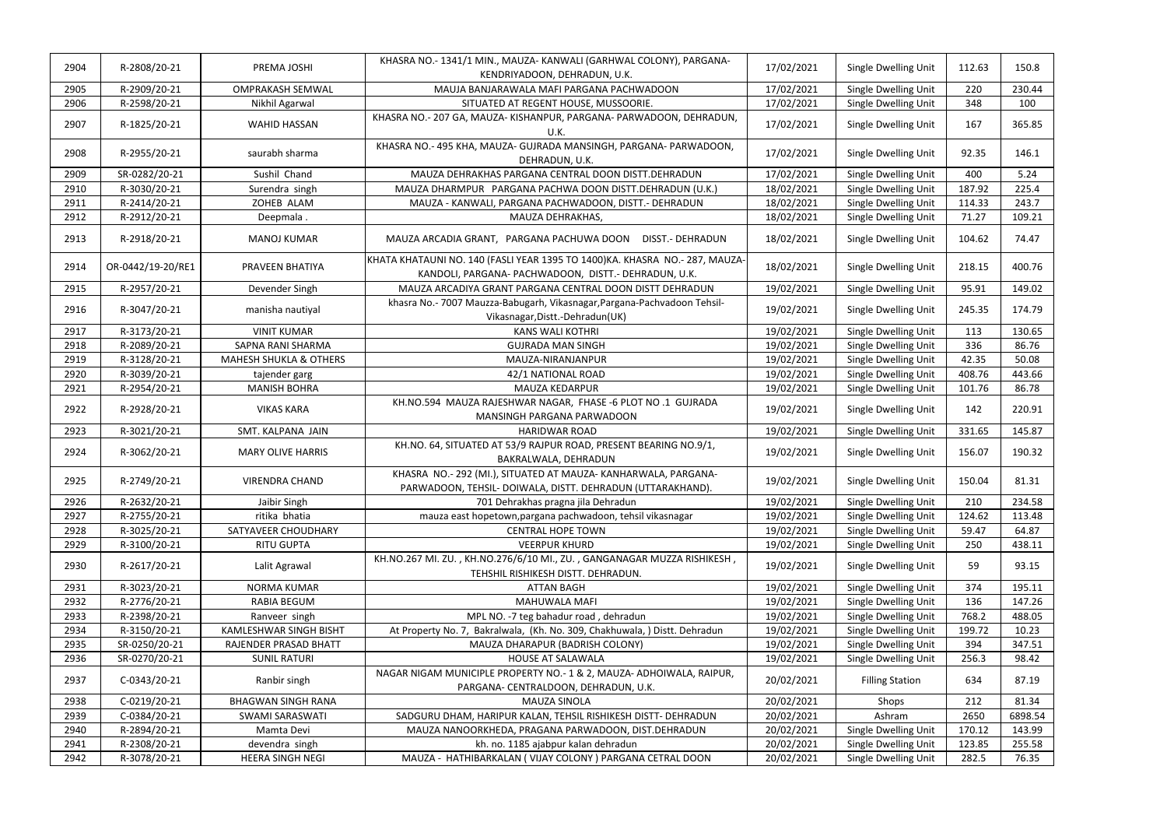| 2904 | R-2808/20-21      | PREMA JOSHI                       | KHASRA NO.- 1341/1 MIN., MAUZA- KANWALI (GARHWAL COLONY), PARGANA-<br>KENDRIYADOON, DEHRADUN, U.K.                                   | 17/02/2021 | Single Dwelling Unit   | 112.63 | 150.8   |
|------|-------------------|-----------------------------------|--------------------------------------------------------------------------------------------------------------------------------------|------------|------------------------|--------|---------|
| 2905 | R-2909/20-21      | <b>OMPRAKASH SEMWAL</b>           | MAUJA BANJARAWALA MAFI PARGANA PACHWADOON                                                                                            | 17/02/2021 | Single Dwelling Unit   | 220    | 230.44  |
| 2906 | R-2598/20-21      | Nikhil Agarwal                    | SITUATED AT REGENT HOUSE, MUSSOORIE.                                                                                                 | 17/02/2021 | Single Dwelling Unit   | 348    | 100     |
| 2907 | R-1825/20-21      | <b>WAHID HASSAN</b>               | KHASRA NO.- 207 GA, MAUZA-KISHANPUR, PARGANA- PARWADOON, DEHRADUN,<br>U.K.                                                           | 17/02/2021 | Single Dwelling Unit   | 167    | 365.85  |
| 2908 | R-2955/20-21      | saurabh sharma                    | KHASRA NO.- 495 KHA, MAUZA- GUJRADA MANSINGH, PARGANA- PARWADOON,<br>DEHRADUN, U.K.                                                  | 17/02/2021 | Single Dwelling Unit   | 92.35  | 146.1   |
| 2909 | SR-0282/20-21     | Sushil Chand                      | MAUZA DEHRAKHAS PARGANA CENTRAL DOON DISTT. DEHRADUN                                                                                 | 17/02/2021 | Single Dwelling Unit   | 400    | 5.24    |
| 2910 | R-3030/20-21      | Surendra singh                    | MAUZA DHARMPUR PARGANA PACHWA DOON DISTT.DEHRADUN (U.K.)                                                                             | 18/02/2021 | Single Dwelling Unit   | 187.92 | 225.4   |
| 2911 | R-2414/20-21      | ZOHEB ALAM                        | MAUZA - KANWALI, PARGANA PACHWADOON, DISTT.- DEHRADUN                                                                                | 18/02/2021 | Single Dwelling Unit   | 114.33 | 243.7   |
| 2912 | R-2912/20-21      | Deepmala.                         | MAUZA DEHRAKHAS,                                                                                                                     | 18/02/2021 | Single Dwelling Unit   | 71.27  | 109.21  |
| 2913 | R-2918/20-21      | <b>MANOJ KUMAR</b>                | MAUZA ARCADIA GRANT, PARGANA PACHUWA DOON DISST.- DEHRADUN                                                                           | 18/02/2021 | Single Dwelling Unit   | 104.62 | 74.47   |
| 2914 | OR-0442/19-20/RE1 | PRAVEEN BHATIYA                   | KHATA KHATAUNI NO. 140 (FASLI YEAR 1395 TO 1400)KA. KHASRA  NO.- 287, MAUZA-<br>KANDOLI, PARGANA- PACHWADOON, DISTT.- DEHRADUN, U.K. | 18/02/2021 | Single Dwelling Unit   | 218.15 | 400.76  |
| 2915 | R-2957/20-21      | Devender Singh                    | MAUZA ARCADIYA GRANT PARGANA CENTRAL DOON DISTT DEHRADUN                                                                             | 19/02/2021 | Single Dwelling Unit   | 95.91  | 149.02  |
| 2916 | R-3047/20-21      | manisha nautiyal                  | khasra No.- 7007 Mauzza-Babugarh, Vikasnagar, Pargana-Pachvadoon Tehsil-<br>Vikasnagar, Distt.-Dehradun(UK)                          | 19/02/2021 | Single Dwelling Unit   | 245.35 | 174.79  |
| 2917 | R-3173/20-21      | <b>VINIT KUMAR</b>                | <b>KANS WALI KOTHRI</b>                                                                                                              | 19/02/2021 | Single Dwelling Unit   | 113    | 130.65  |
| 2918 | R-2089/20-21      | SAPNA RANI SHARMA                 | <b>GUJRADA MAN SINGH</b>                                                                                                             | 19/02/2021 | Single Dwelling Unit   | 336    | 86.76   |
| 2919 | R-3128/20-21      | <b>MAHESH SHUKLA &amp; OTHERS</b> | MAUZA-NIRANJANPUR                                                                                                                    | 19/02/2021 | Single Dwelling Unit   | 42.35  | 50.08   |
| 2920 | R-3039/20-21      | tajender garg                     | 42/1 NATIONAL ROAD                                                                                                                   | 19/02/2021 | Single Dwelling Unit   | 408.76 | 443.66  |
| 2921 | R-2954/20-21      | <b>MANISH BOHRA</b>               | <b>MAUZA KEDARPUR</b>                                                                                                                | 19/02/2021 | Single Dwelling Unit   | 101.76 | 86.78   |
| 2922 | R-2928/20-21      | <b>VIKAS KARA</b>                 | KH.NO.594 MAUZA RAJESHWAR NAGAR, FHASE -6 PLOT NO .1 GUJRADA<br>MANSINGH PARGANA PARWADOON                                           | 19/02/2021 | Single Dwelling Unit   | 142    | 220.91  |
| 2923 | R-3021/20-21      | SMT. KALPANA JAIN                 | <b>HARIDWAR ROAD</b>                                                                                                                 | 19/02/2021 | Single Dwelling Unit   | 331.65 | 145.87  |
| 2924 | R-3062/20-21      | <b>MARY OLIVE HARRIS</b>          | KH.NO. 64, SITUATED AT 53/9 RAJPUR ROAD, PRESENT BEARING NO.9/1,<br>BAKRALWALA, DEHRADUN                                             | 19/02/2021 | Single Dwelling Unit   | 156.07 | 190.32  |
| 2925 | R-2749/20-21      | <b>VIRENDRA CHAND</b>             | KHASRA NO.- 292 (MI.), SITUATED AT MAUZA-KANHARWALA, PARGANA-<br>PARWADOON, TEHSIL- DOIWALA, DISTT. DEHRADUN (UTTARAKHAND).          | 19/02/2021 | Single Dwelling Unit   | 150.04 | 81.31   |
| 2926 | R-2632/20-21      | Jaibir Singh                      | 701 Dehrakhas pragna jila Dehradun                                                                                                   | 19/02/2021 | Single Dwelling Unit   | 210    | 234.58  |
| 2927 | R-2755/20-21      | ritika bhatia                     | mauza east hopetown, pargana pachwadoon, tehsil vikasnagar                                                                           | 19/02/2021 | Single Dwelling Unit   | 124.62 | 113.48  |
| 2928 | R-3025/20-21      | SATYAVEER CHOUDHARY               | <b>CENTRAL HOPE TOWN</b>                                                                                                             | 19/02/2021 | Single Dwelling Unit   | 59.47  | 64.87   |
| 2929 | R-3100/20-21      | <b>RITU GUPTA</b>                 | <b>VEERPUR KHURD</b>                                                                                                                 | 19/02/2021 | Single Dwelling Unit   | 250    | 438.11  |
| 2930 | R-2617/20-21      | Lalit Agrawal                     | KH.NO.267 MI. ZU., KH.NO.276/6/10 MI., ZU., GANGANAGAR MUZZA RISHIKESH,<br>TEHSHIL RISHIKESH DISTT. DEHRADUN.                        | 19/02/2021 | Single Dwelling Unit   | 59     | 93.15   |
| 2931 | R-3023/20-21      | NORMA KUMAR                       | <b>ATTAN BAGH</b>                                                                                                                    | 19/02/2021 | Single Dwelling Unit   | 374    | 195.11  |
| 2932 | R-2776/20-21      | RABIA BEGUM                       | MAHUWALA MAFI                                                                                                                        | 19/02/2021 | Single Dwelling Unit   | 136    | 147.26  |
| 2933 | R-2398/20-21      | Ranveer singh                     | MPL NO. - 7 teg bahadur road, dehradun                                                                                               | 19/02/2021 | Single Dwelling Unit   | 768.2  | 488.05  |
| 2934 | R-3150/20-21      | KAMLESHWAR SINGH BISHT            | At Property No. 7, Bakralwala, (Kh. No. 309, Chakhuwala, ) Distt. Dehradun                                                           | 19/02/2021 | Single Dwelling Unit   | 199.72 | 10.23   |
| 2935 | SR-0250/20-21     | RAJENDER PRASAD BHATT             | MAUZA DHARAPUR (BADRISH COLONY)                                                                                                      | 19/02/2021 | Single Dwelling Unit   | 394    | 347.51  |
| 2936 | SR-0270/20-21     | <b>SUNIL RATURI</b>               | <b>HOUSE AT SALAWALA</b>                                                                                                             | 19/02/2021 | Single Dwelling Unit   | 256.3  | 98.42   |
| 2937 | C-0343/20-21      | Ranbir singh                      | NAGAR NIGAM MUNICIPLE PROPERTY NO.- 1 & 2, MAUZA-ADHOIWALA, RAIPUR,<br>PARGANA- CENTRALDOON, DEHRADUN, U.K.                          | 20/02/2021 | <b>Filling Station</b> | 634    | 87.19   |
| 2938 | C-0219/20-21      | <b>BHAGWAN SINGH RANA</b>         | <b>MAUZA SINOLA</b>                                                                                                                  | 20/02/2021 | Shops                  | 212    | 81.34   |
| 2939 | C-0384/20-21      | <b>SWAMI SARASWATI</b>            | SADGURU DHAM, HARIPUR KALAN, TEHSIL RISHIKESH DISTT- DEHRADUN                                                                        | 20/02/2021 | Ashram                 | 2650   | 6898.54 |
| 2940 | R-2894/20-21      | Mamta Devi                        | MAUZA NANOORKHEDA, PRAGANA PARWADOON, DIST.DEHRADUN                                                                                  | 20/02/2021 | Single Dwelling Unit   | 170.12 | 143.99  |
| 2941 | R-2308/20-21      | devendra singh                    | kh. no. 1185 ajabpur kalan dehradun                                                                                                  | 20/02/2021 | Single Dwelling Unit   | 123.85 | 255.58  |
| 2942 | R-3078/20-21      | HEERA SINGH NEGI                  | MAUZA - HATHIBARKALAN (VIJAY COLONY) PARGANA CETRAL DOON                                                                             | 20/02/2021 | Single Dwelling Unit   | 282.5  | 76.35   |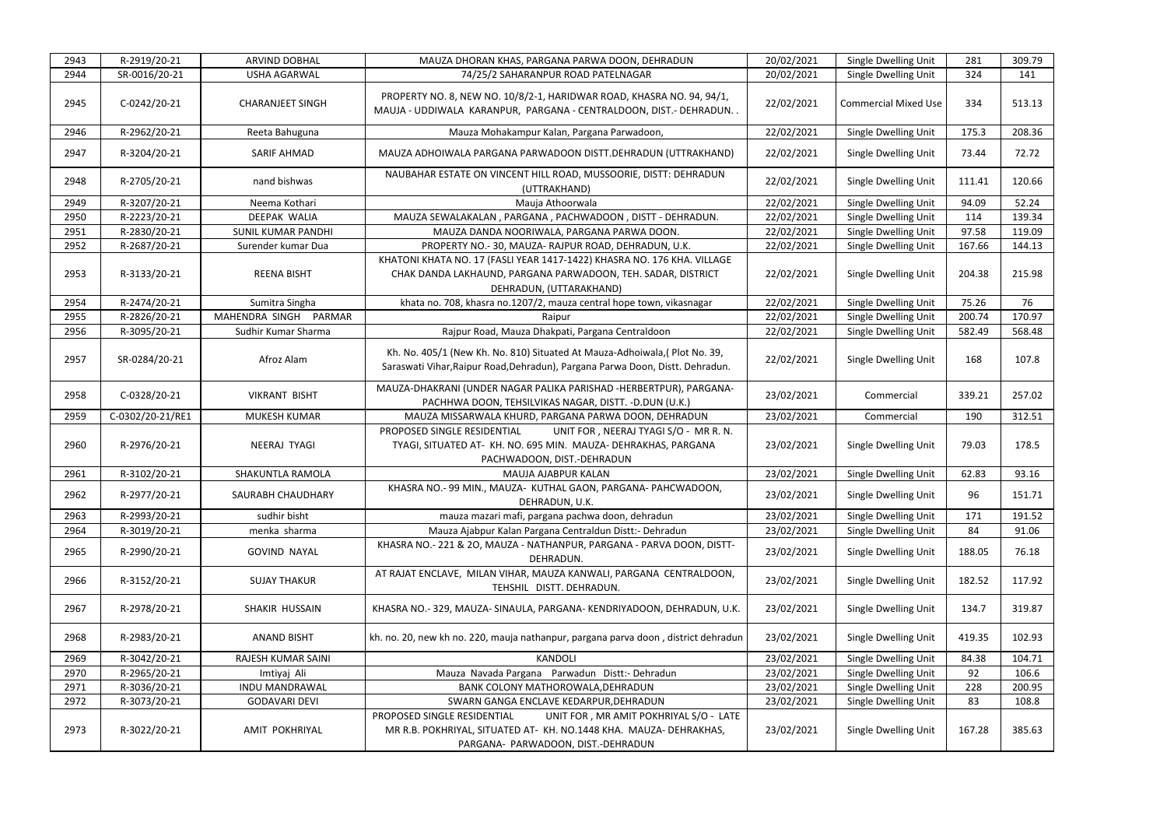| 2943 | R-2919/20-21     | ARVIND DOBHAL             | MAUZA DHORAN KHAS, PARGANA PARWA DOON, DEHRADUN                                                                                                                                   | 20/02/2021 | Single Dwelling Unit        | 281    | 309.79 |
|------|------------------|---------------------------|-----------------------------------------------------------------------------------------------------------------------------------------------------------------------------------|------------|-----------------------------|--------|--------|
| 2944 | SR-0016/20-21    | USHA AGARWAL              | 74/25/2 SAHARANPUR ROAD PATELNAGAR                                                                                                                                                | 20/02/2021 | Single Dwelling Unit        | 324    | 141    |
| 2945 | C-0242/20-21     | <b>CHARANJEET SINGH</b>   | PROPERTY NO. 8, NEW NO. 10/8/2-1, HARIDWAR ROAD, KHASRA NO. 94, 94/1,<br>MAUJA - UDDIWALA KARANPUR, PARGANA - CENTRALDOON, DIST. - DEHRADUN. .                                    | 22/02/2021 | <b>Commercial Mixed Use</b> | 334    | 513.13 |
| 2946 | R-2962/20-21     | Reeta Bahuguna            | Mauza Mohakampur Kalan, Pargana Parwadoon,                                                                                                                                        | 22/02/2021 | Single Dwelling Unit        | 175.3  | 208.36 |
| 2947 | R-3204/20-21     | <b>SARIF AHMAD</b>        | MAUZA ADHOIWALA PARGANA PARWADOON DISTT.DEHRADUN (UTTRAKHAND)                                                                                                                     | 22/02/2021 | Single Dwelling Unit        | 73.44  | 72.72  |
| 2948 | R-2705/20-21     | nand bishwas              | NAUBAHAR ESTATE ON VINCENT HILL ROAD, MUSSOORIE, DISTT: DEHRADUN<br>(UTTRAKHAND)                                                                                                  | 22/02/2021 | Single Dwelling Unit        | 111.41 | 120.66 |
| 2949 | R-3207/20-21     | Neema Kothari             | Mauja Athoorwala                                                                                                                                                                  | 22/02/2021 | <b>Single Dwelling Unit</b> | 94.09  | 52.24  |
| 2950 | R-2223/20-21     | <b>DEEPAK WALIA</b>       | MAUZA SEWALAKALAN, PARGANA, PACHWADOON, DISTT - DEHRADUN.                                                                                                                         | 22/02/2021 | Single Dwelling Unit        | 114    | 139.34 |
| 2951 | R-2830/20-21     | <b>SUNIL KUMAR PANDHI</b> | MAUZA DANDA NOORIWALA, PARGANA PARWA DOON.                                                                                                                                        | 22/02/2021 | Single Dwelling Unit        | 97.58  | 119.09 |
| 2952 | R-2687/20-21     | Surender kumar Dua        | PROPERTY NO.-30, MAUZA-RAJPUR ROAD, DEHRADUN, U.K.                                                                                                                                | 22/02/2021 | <b>Single Dwelling Unit</b> | 167.66 | 144.13 |
| 2953 | R-3133/20-21     | <b>REENA BISHT</b>        | KHATONI KHATA NO. 17 (FASLI YEAR 1417-1422) KHASRA NO. 176 KHA. VILLAGE<br>CHAK DANDA LAKHAUND, PARGANA PARWADOON, TEH. SADAR, DISTRICT<br>DEHRADUN, (UTTARAKHAND)                | 22/02/2021 | <b>Single Dwelling Unit</b> | 204.38 | 215.98 |
| 2954 | R-2474/20-21     | Sumitra Singha            | khata no. 708, khasra no.1207/2, mauza central hope town, vikasnagar                                                                                                              | 22/02/2021 | Single Dwelling Unit        | 75.26  | 76     |
| 2955 | R-2826/20-21     | MAHENDRA SINGH PARMAR     | Raipur                                                                                                                                                                            | 22/02/2021 | Single Dwelling Unit        | 200.74 | 170.97 |
| 2956 | R-3095/20-21     | Sudhir Kumar Sharma       | Rajpur Road, Mauza Dhakpati, Pargana Centraldoon                                                                                                                                  | 22/02/2021 | Single Dwelling Unit        | 582.49 | 568.48 |
| 2957 | SR-0284/20-21    | Afroz Alam                | Kh. No. 405/1 (New Kh. No. 810) Situated At Mauza-Adhoiwala, (Plot No. 39,<br>Saraswati Vihar, Raipur Road, Dehradun), Pargana Parwa Doon, Distt. Dehradun.                       | 22/02/2021 | Single Dwelling Unit        | 168    | 107.8  |
| 2958 | C-0328/20-21     | <b>VIKRANT BISHT</b>      | MAUZA-DHAKRANI (UNDER NAGAR PALIKA PARISHAD -HERBERTPUR), PARGANA-<br>PACHHWA DOON, TEHSILVIKAS NAGAR, DISTT. - D.DUN (U.K.)                                                      | 23/02/2021 | Commercial                  | 339.21 | 257.02 |
| 2959 | C-0302/20-21/RE1 | MUKESH KUMAR              | MAUZA MISSARWALA KHURD, PARGANA PARWA DOON, DEHRADUN                                                                                                                              | 23/02/2021 | Commercial                  | 190    | 312.51 |
| 2960 | R-2976/20-21     | NEERAJ TYAGI              | UNIT FOR, NEERAJ TYAGI S/O - MR R. N.<br>PROPOSED SINGLE RESIDENTIAL<br>TYAGI, SITUATED AT- KH. NO. 695 MIN. MAUZA- DEHRAKHAS, PARGANA<br>PACHWADOON, DIST.-DEHRADUN              | 23/02/2021 | <b>Single Dwelling Unit</b> | 79.03  | 178.5  |
| 2961 | R-3102/20-21     | SHAKUNTLA RAMOLA          | MAUJA AJABPUR KALAN                                                                                                                                                               | 23/02/2021 | Single Dwelling Unit        | 62.83  | 93.16  |
| 2962 | R-2977/20-21     | SAURABH CHAUDHARY         | KHASRA NO.- 99 MIN., MAUZA- KUTHAL GAON, PARGANA- PAHCWADOON<br>DEHRADUN, U.K.                                                                                                    | 23/02/2021 | Single Dwelling Unit        | 96     | 151.71 |
| 2963 | R-2993/20-21     | sudhir bisht              | mauza mazari mafi, pargana pachwa doon, dehradun                                                                                                                                  | 23/02/2021 | Single Dwelling Unit        | 171    | 191.52 |
| 2964 | R-3019/20-21     | menka sharma              | Mauza Ajabpur Kalan Pargana Centraldun Distt:- Dehradun                                                                                                                           | 23/02/2021 | Single Dwelling Unit        | 84     | 91.06  |
| 2965 | R-2990/20-21     | <b>GOVIND NAYAL</b>       | KHASRA NO.- 221 & 20, MAUZA - NATHANPUR, PARGANA - PARVA DOON, DISTT-<br>DEHRADUN.                                                                                                | 23/02/2021 | Single Dwelling Unit        | 188.05 | 76.18  |
| 2966 | R-3152/20-21     | <b>SUJAY THAKUR</b>       | AT RAJAT ENCLAVE, MILAN VIHAR, MAUZA KANWALI, PARGANA CENTRALDOON,<br>TEHSHIL DISTT. DEHRADUN.                                                                                    | 23/02/2021 | Single Dwelling Unit        | 182.52 | 117.92 |
| 2967 | R-2978/20-21     | SHAKIR HUSSAIN            | KHASRA NO.-329, MAUZA-SINAULA, PARGANA-KENDRIYADOON, DEHRADUN, U.K.                                                                                                               | 23/02/2021 | Single Dwelling Unit        | 134.7  | 319.87 |
| 2968 | R-2983/20-21     | <b>ANAND BISHT</b>        | kh. no. 20, new kh no. 220, mauja nathanpur, pargana parva doon, district dehradun                                                                                                | 23/02/2021 | Single Dwelling Unit        | 419.35 | 102.93 |
| 2969 | R-3042/20-21     | RAJESH KUMAR SAINI        | <b>KANDOLI</b>                                                                                                                                                                    | 23/02/2021 | Single Dwelling Unit        | 84.38  | 104.71 |
| 2970 | R-2965/20-21     | Imtiyaj Ali               | Mauza Navada Pargana Parwadun Distt:- Dehradun                                                                                                                                    | 23/02/2021 | Single Dwelling Unit        | 92     | 106.6  |
| 2971 | R-3036/20-21     | <b>INDU MANDRAWAL</b>     | BANK COLONY MATHOROWALA, DEHRADUN                                                                                                                                                 | 23/02/2021 | Single Dwelling Unit        | 228    | 200.95 |
| 2972 | R-3073/20-21     | <b>GODAVARI DEVI</b>      | SWARN GANGA ENCLAVE KEDARPUR, DEHRADUN                                                                                                                                            | 23/02/2021 | Single Dwelling Unit        | 83     | 108.8  |
| 2973 | R-3022/20-21     | AMIT POKHRIYAL            | PROPOSED SINGLE RESIDENTIAL<br>UNIT FOR, MR AMIT POKHRIYAL S/O - LATE<br>MR R.B. POKHRIYAL, SITUATED AT- KH. NO.1448 KHA. MAUZA- DEHRAKHAS,<br>PARGANA- PARWADOON, DIST.-DEHRADUN | 23/02/2021 | Single Dwelling Unit        | 167.28 | 385.63 |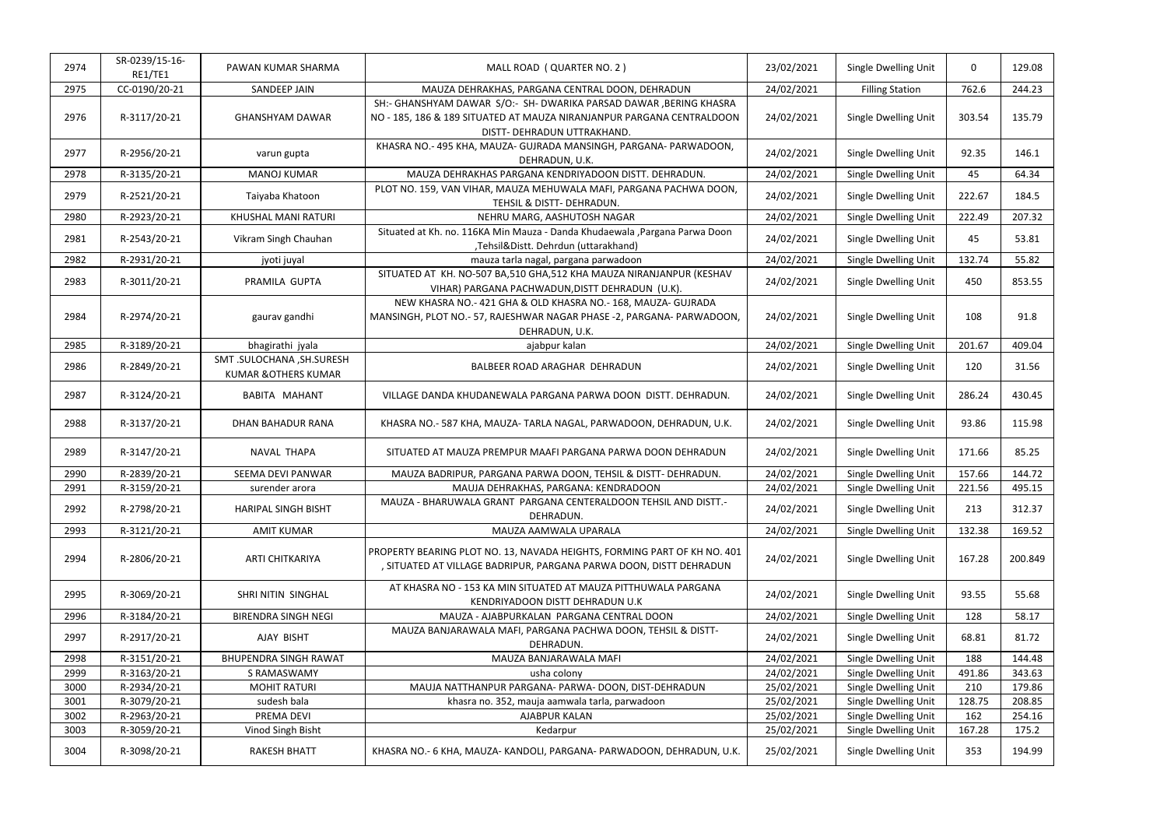| 2974 | SR-0239/15-16-<br>RE1/TE1 | PAWAN KUMAR SHARMA                                           | MALL ROAD (QUARTER NO. 2)                                                                                                                             | 23/02/2021 | Single Dwelling Unit   | $\Omega$ | 129.08  |
|------|---------------------------|--------------------------------------------------------------|-------------------------------------------------------------------------------------------------------------------------------------------------------|------------|------------------------|----------|---------|
| 2975 | CC-0190/20-21             | <b>SANDEEP JAIN</b>                                          | MAUZA DEHRAKHAS, PARGANA CENTRAL DOON, DEHRADUN                                                                                                       | 24/02/2021 | <b>Filling Station</b> | 762.6    | 244.23  |
| 2976 | R-3117/20-21              | <b>GHANSHYAM DAWAR</b>                                       | SH:- GHANSHYAM DAWAR S/O:- SH- DWARIKA PARSAD DAWAR , BERING KHASRA<br>NO - 185, 186 & 189 SITUATED AT MAUZA NIRANJANPUR PARGANA CENTRALDOON          | 24/02/2021 | Single Dwelling Unit   | 303.54   | 135.79  |
|      |                           |                                                              | DISTT- DEHRADUN UTTRAKHAND.                                                                                                                           |            |                        |          |         |
| 2977 | R-2956/20-21              | varun gupta                                                  | KHASRA NO.- 495 KHA, MAUZA- GUJRADA MANSINGH, PARGANA- PARWADOON,<br>DEHRADUN, U.K.                                                                   | 24/02/2021 | Single Dwelling Unit   | 92.35    | 146.1   |
| 2978 | R-3135/20-21              | <b>MANOJ KUMAR</b>                                           | MAUZA DEHRAKHAS PARGANA KENDRIYADOON DISTT. DEHRADUN.                                                                                                 | 24/02/2021 | Single Dwelling Unit   | 45       | 64.34   |
| 2979 | R-2521/20-21              | Taiyaba Khatoon                                              | PLOT NO. 159, VAN VIHAR, MAUZA MEHUWALA MAFI, PARGANA PACHWA DOON,<br>TEHSIL & DISTT- DEHRADUN.                                                       | 24/02/2021 | Single Dwelling Unit   | 222.67   | 184.5   |
| 2980 | R-2923/20-21              | KHUSHAL MANI RATURI                                          | NEHRU MARG, AASHUTOSH NAGAR                                                                                                                           | 24/02/2021 | Single Dwelling Unit   | 222.49   | 207.32  |
| 2981 | R-2543/20-21              | Vikram Singh Chauhan                                         | Situated at Kh. no. 116KA Min Mauza - Danda Khudaewala , Pargana Parwa Doon<br>,Tehsil&Distt. Dehrdun (uttarakhand)                                   | 24/02/2021 | Single Dwelling Unit   | 45       | 53.81   |
| 2982 | R-2931/20-21              | jyoti juyal                                                  | mauza tarla nagal, pargana parwadoon                                                                                                                  | 24/02/2021 | Single Dwelling Unit   | 132.74   | 55.82   |
| 2983 | R-3011/20-21              | PRAMILA GUPTA                                                | SITUATED AT KH. NO-507 BA,510 GHA,512 KHA MAUZA NIRANJANPUR (KESHAV<br>VIHAR) PARGANA PACHWADUN, DISTT DEHRADUN (U.K).                                | 24/02/2021 | Single Dwelling Unit   | 450      | 853.55  |
| 2984 | R-2974/20-21              | gaurav gandhi                                                | NEW KHASRA NO.-421 GHA & OLD KHASRA NO.-168, MAUZA-GUJRADA<br>MANSINGH, PLOT NO.- 57, RAJESHWAR NAGAR PHASE -2, PARGANA- PARWADOON,<br>DEHRADUN, U.K. | 24/02/2021 | Single Dwelling Unit   | 108      | 91.8    |
| 2985 | R-3189/20-21              | bhagirathi jyala                                             | ajabpur kalan                                                                                                                                         | 24/02/2021 | Single Dwelling Unit   | 201.67   | 409.04  |
| 2986 | R-2849/20-21              | SMT .SULOCHANA , SH.SURESH<br><b>KUMAR &amp;OTHERS KUMAR</b> | BALBEER ROAD ARAGHAR DEHRADUN                                                                                                                         | 24/02/2021 | Single Dwelling Unit   | 120      | 31.56   |
| 2987 | R-3124/20-21              | BABITA MAHANT                                                | VILLAGE DANDA KHUDANEWALA PARGANA PARWA DOON DISTT. DEHRADUN.                                                                                         | 24/02/2021 | Single Dwelling Unit   | 286.24   | 430.45  |
| 2988 | R-3137/20-21              | DHAN BAHADUR RANA                                            | KHASRA NO.- 587 KHA, MAUZA- TARLA NAGAL, PARWADOON, DEHRADUN, U.K.                                                                                    | 24/02/2021 | Single Dwelling Unit   | 93.86    | 115.98  |
| 2989 | R-3147/20-21              | NAVAL THAPA                                                  | SITUATED AT MAUZA PREMPUR MAAFI PARGANA PARWA DOON DEHRADUN                                                                                           | 24/02/2021 | Single Dwelling Unit   | 171.66   | 85.25   |
| 2990 | R-2839/20-21              | SEEMA DEVI PANWAR                                            | MAUZA BADRIPUR, PARGANA PARWA DOON, TEHSIL & DISTT- DEHRADUN.                                                                                         | 24/02/2021 | Single Dwelling Unit   | 157.66   | 144.72  |
| 2991 | R-3159/20-21              | surender arora                                               | MAUJA DEHRAKHAS, PARGANA: KENDRADOON                                                                                                                  | 24/02/2021 | Single Dwelling Unit   | 221.56   | 495.15  |
| 2992 | R-2798/20-21              | <b>HARIPAL SINGH BISHT</b>                                   | MAUZA - BHARUWALA GRANT PARGANA CENTERALDOON TEHSIL AND DISTT.-<br>DEHRADUN.                                                                          | 24/02/2021 | Single Dwelling Unit   | 213      | 312.37  |
| 2993 | R-3121/20-21              | <b>AMIT KUMAR</b>                                            | MAUZA AAMWALA UPARALA                                                                                                                                 | 24/02/2021 | Single Dwelling Unit   | 132.38   | 169.52  |
| 2994 | R-2806/20-21              | <b>ARTI CHITKARIYA</b>                                       | PROPERTY BEARING PLOT NO. 13, NAVADA HEIGHTS, FORMING PART OF KH NO. 401<br>, SITUATED AT VILLAGE BADRIPUR, PARGANA PARWA DOON, DISTT DEHRADUN        | 24/02/2021 | Single Dwelling Unit   | 167.28   | 200.849 |
| 2995 | R-3069/20-21              | SHRI NITIN SINGHAL                                           | AT KHASRA NO - 153 KA MIN SITUATED AT MAUZA PITTHUWALA PARGANA<br>KENDRIYADOON DISTT DEHRADUN U.K                                                     | 24/02/2021 | Single Dwelling Unit   | 93.55    | 55.68   |
| 2996 | R-3184/20-21              | <b>BIRENDRA SINGH NEGI</b>                                   | MAUZA - AJABPURKALAN PARGANA CENTRAL DOON                                                                                                             | 24/02/2021 | Single Dwelling Unit   | 128      | 58.17   |
| 2997 | R-2917/20-21              | AJAY BISHT                                                   | MAUZA BANJARAWALA MAFI, PARGANA PACHWA DOON, TEHSIL & DISTT-<br>DEHRADUN.                                                                             | 24/02/2021 | Single Dwelling Unit   | 68.81    | 81.72   |
| 2998 | R-3151/20-21              | <b>BHUPENDRA SINGH RAWAT</b>                                 | MAUZA BANJARAWALA MAFI                                                                                                                                | 24/02/2021 | Single Dwelling Unit   | 188      | 144.48  |
| 2999 | R-3163/20-21              | S RAMASWAMY                                                  | usha colony                                                                                                                                           | 24/02/2021 | Single Dwelling Unit   | 491.86   | 343.63  |
| 3000 | R-2934/20-21              | <b>MOHIT RATURI</b>                                          | MAUJA NATTHANPUR PARGANA- PARWA- DOON, DIST-DEHRADUN                                                                                                  | 25/02/2021 | Single Dwelling Unit   | 210      | 179.86  |
| 3001 | R-3079/20-21              | sudesh bala                                                  | khasra no. 352, mauja aamwala tarla, parwadoon                                                                                                        | 25/02/2021 | Single Dwelling Unit   | 128.75   | 208.85  |
| 3002 | R-2963/20-21              | PREMA DEVI                                                   | AJABPUR KALAN                                                                                                                                         | 25/02/2021 | Single Dwelling Unit   | 162      | 254.16  |
| 3003 | R-3059/20-21              | Vinod Singh Bisht                                            | Kedarpur                                                                                                                                              | 25/02/2021 | Single Dwelling Unit   | 167.28   | 175.2   |
| 3004 | R-3098/20-21              | RAKESH BHATT                                                 | KHASRA NO.- 6 KHA, MAUZA-KANDOLI, PARGANA- PARWADOON, DEHRADUN, U.K.                                                                                  | 25/02/2021 | Single Dwelling Unit   | 353      | 194.99  |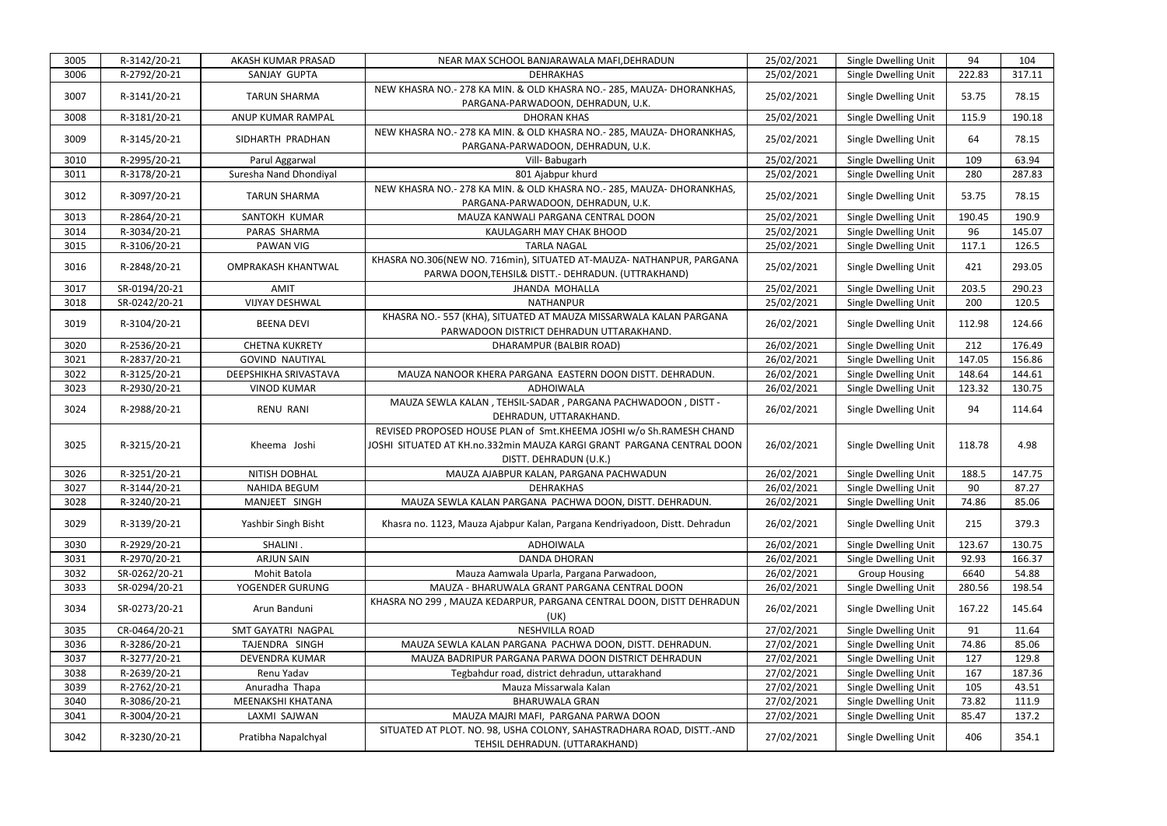| 3005 | R-3142/20-21  | AKASH KUMAR PRASAD        | NEAR MAX SCHOOL BANJARAWALA MAFI, DEHRADUN                                                                                                                             | 25/02/2021 | Single Dwelling Unit | 94     | 104    |
|------|---------------|---------------------------|------------------------------------------------------------------------------------------------------------------------------------------------------------------------|------------|----------------------|--------|--------|
| 3006 | R-2792/20-21  | SANJAY GUPTA              | <b>DEHRAKHAS</b>                                                                                                                                                       | 25/02/2021 | Single Dwelling Unit | 222.83 | 317.11 |
| 3007 | R-3141/20-21  | <b>TARUN SHARMA</b>       | NEW KHASRA NO.- 278 KA MIN. & OLD KHASRA NO.- 285, MAUZA- DHORANKHAS,                                                                                                  | 25/02/2021 | Single Dwelling Unit | 53.75  | 78.15  |
|      |               |                           | PARGANA-PARWADOON, DEHRADUN, U.K.                                                                                                                                      |            |                      |        |        |
| 3008 | R-3181/20-21  | ANUP KUMAR RAMPAL         | <b>DHORAN KHAS</b>                                                                                                                                                     | 25/02/2021 | Single Dwelling Unit | 115.9  | 190.18 |
| 3009 | R-3145/20-21  | SIDHARTH PRADHAN          | NEW KHASRA NO.- 278 KA MIN. & OLD KHASRA NO.- 285, MAUZA- DHORANKHAS,<br>PARGANA-PARWADOON, DEHRADUN, U.K.                                                             | 25/02/2021 | Single Dwelling Unit | 64     | 78.15  |
| 3010 | R-2995/20-21  | Parul Aggarwal            | Vill-Babugarh                                                                                                                                                          | 25/02/2021 | Single Dwelling Unit | 109    | 63.94  |
| 3011 | R-3178/20-21  | Suresha Nand Dhondiyal    | 801 Ajabpur khurd                                                                                                                                                      | 25/02/2021 | Single Dwelling Unit | 280    | 287.83 |
| 3012 | R-3097/20-21  | <b>TARUN SHARMA</b>       | NEW KHASRA NO.- 278 KA MIN. & OLD KHASRA NO.- 285, MAUZA- DHORANKHAS,<br>PARGANA-PARWADOON, DEHRADUN, U.K.                                                             | 25/02/2021 | Single Dwelling Unit | 53.75  | 78.15  |
| 3013 | R-2864/20-21  | SANTOKH KUMAR             | MAUZA KANWALI PARGANA CENTRAL DOON                                                                                                                                     | 25/02/2021 | Single Dwelling Unit | 190.45 | 190.9  |
| 3014 | R-3034/20-21  | PARAS SHARMA              | KAULAGARH MAY CHAK BHOOD                                                                                                                                               | 25/02/2021 | Single Dwelling Unit | 96     | 145.07 |
| 3015 | R-3106/20-21  | <b>PAWAN VIG</b>          | <b>TARLA NAGAL</b>                                                                                                                                                     | 25/02/2021 | Single Dwelling Unit | 117.1  | 126.5  |
| 3016 | R-2848/20-21  | <b>OMPRAKASH KHANTWAL</b> | KHASRA NO.306(NEW NO. 716min), SITUATED AT-MAUZA- NATHANPUR, PARGANA<br>PARWA DOON, TEHSIL& DISTT. - DEHRADUN. (UTTRAKHAND)                                            | 25/02/2021 | Single Dwelling Unit | 421    | 293.05 |
| 3017 | SR-0194/20-21 | AMIT                      | JHANDA MOHALLA                                                                                                                                                         | 25/02/2021 | Single Dwelling Unit | 203.5  | 290.23 |
| 3018 | SR-0242/20-21 | <b>VIJYAY DESHWAL</b>     | <b>NATHANPUR</b>                                                                                                                                                       | 25/02/2021 | Single Dwelling Unit | 200    | 120.5  |
| 3019 | R-3104/20-21  | <b>BEENA DEVI</b>         | KHASRA NO.- 557 (KHA), SITUATED AT MAUZA MISSARWALA KALAN PARGANA<br>PARWADOON DISTRICT DEHRADUN UTTARAKHAND.                                                          | 26/02/2021 | Single Dwelling Unit | 112.98 | 124.66 |
| 3020 | R-2536/20-21  | <b>CHETNA KUKRETY</b>     | DHARAMPUR (BALBIR ROAD)                                                                                                                                                | 26/02/2021 | Single Dwelling Unit | 212    | 176.49 |
| 3021 | R-2837/20-21  | <b>GOVIND NAUTIYAL</b>    |                                                                                                                                                                        | 26/02/2021 | Single Dwelling Unit | 147.05 | 156.86 |
| 3022 | R-3125/20-21  | DEEPSHIKHA SRIVASTAVA     | MAUZA NANOOR KHERA PARGANA EASTERN DOON DISTT. DEHRADUN.                                                                                                               | 26/02/2021 | Single Dwelling Unit | 148.64 | 144.61 |
| 3023 | R-2930/20-21  | <b>VINOD KUMAR</b>        | ADHOIWALA                                                                                                                                                              | 26/02/2021 | Single Dwelling Unit | 123.32 | 130.75 |
| 3024 | R-2988/20-21  | <b>RENU RANI</b>          | MAUZA SEWLA KALAN, TEHSIL-SADAR, PARGANA PACHWADOON, DISTT -<br>DEHRADUN, UTTARAKHAND.                                                                                 | 26/02/2021 | Single Dwelling Unit | 94     | 114.64 |
| 3025 | R-3215/20-21  | Kheema Joshi              | REVISED PROPOSED HOUSE PLAN of Smt.KHEEMA JOSHI w/o Sh.RAMESH CHAND<br>JOSHI SITUATED AT KH.no.332min MAUZA KARGI GRANT PARGANA CENTRAL DOON<br>DISTT. DEHRADUN (U.K.) | 26/02/2021 | Single Dwelling Unit | 118.78 | 4.98   |
| 3026 | R-3251/20-21  | <b>NITISH DOBHAL</b>      | MAUZA AJABPUR KALAN, PARGANA PACHWADUN                                                                                                                                 | 26/02/2021 | Single Dwelling Unit | 188.5  | 147.75 |
| 3027 | R-3144/20-21  | <b>NAHIDA BEGUM</b>       | <b>DEHRAKHAS</b>                                                                                                                                                       | 26/02/2021 | Single Dwelling Unit | 90     | 87.27  |
| 3028 | R-3240/20-21  | MANJEET SINGH             | MAUZA SEWLA KALAN PARGANA PACHWA DOON, DISTT. DEHRADUN.                                                                                                                | 26/02/2021 | Single Dwelling Unit | 74.86  | 85.06  |
| 3029 | R-3139/20-21  | Yashbir Singh Bisht       | Khasra no. 1123, Mauza Ajabpur Kalan, Pargana Kendriyadoon, Distt. Dehradun                                                                                            | 26/02/2021 | Single Dwelling Unit | 215    | 379.3  |
| 3030 | R-2929/20-21  | SHALINI.                  | ADHOIWALA                                                                                                                                                              | 26/02/2021 | Single Dwelling Unit | 123.67 | 130.75 |
| 3031 | R-2970/20-21  | <b>ARJUN SAIN</b>         | <b>DANDA DHORAN</b>                                                                                                                                                    | 26/02/2021 | Single Dwelling Unit | 92.93  | 166.37 |
| 3032 | SR-0262/20-21 | Mohit Batola              | Mauza Aamwala Uparla, Pargana Parwadoon,                                                                                                                               | 26/02/2021 | <b>Group Housing</b> | 6640   | 54.88  |
| 3033 | SR-0294/20-21 | YOGENDER GURUNG           | MAUZA - BHARUWALA GRANT PARGANA CENTRAL DOON                                                                                                                           | 26/02/2021 | Single Dwelling Unit | 280.56 | 198.54 |
| 3034 | SR-0273/20-21 | Arun Banduni              | KHASRA NO 299, MAUZA KEDARPUR, PARGANA CENTRAL DOON, DISTT DEHRADUN<br>(UK)                                                                                            | 26/02/2021 | Single Dwelling Unit | 167.22 | 145.64 |
| 3035 | CR-0464/20-21 | SMT GAYATRI NAGPAL        | <b>NESHVILLA ROAD</b>                                                                                                                                                  | 27/02/2021 | Single Dwelling Unit | 91     | 11.64  |
| 3036 | R-3286/20-21  | TAJENDRA SINGH            | MAUZA SEWLA KALAN PARGANA PACHWA DOON, DISTT. DEHRADUN.                                                                                                                | 27/02/2021 | Single Dwelling Unit | 74.86  | 85.06  |
| 3037 | R-3277/20-21  | DEVENDRA KUMAR            | MAUZA BADRIPUR PARGANA PARWA DOON DISTRICT DEHRADUN                                                                                                                    | 27/02/2021 | Single Dwelling Unit | 127    | 129.8  |
| 3038 | R-2639/20-21  | Renu Yadav                | Tegbahdur road, district dehradun, uttarakhand                                                                                                                         | 27/02/2021 | Single Dwelling Unit | 167    | 187.36 |
| 3039 | R-2762/20-21  | Anuradha Thapa            | Mauza Missarwala Kalan                                                                                                                                                 | 27/02/2021 | Single Dwelling Unit | 105    | 43.51  |
| 3040 | R-3086/20-21  | MEENAKSHI KHATANA         | <b>BHARUWALA GRAN</b>                                                                                                                                                  | 27/02/2021 | Single Dwelling Unit | 73.82  | 111.9  |
| 3041 | R-3004/20-21  | LAXMI SAJWAN              | MAUZA MAJRI MAFI, PARGANA PARWA DOON                                                                                                                                   | 27/02/2021 | Single Dwelling Unit | 85.47  | 137.2  |
| 3042 | R-3230/20-21  | Pratibha Napalchyal       | SITUATED AT PLOT. NO. 98, USHA COLONY, SAHASTRADHARA ROAD, DISTT.-AND<br>TEHSIL DEHRADUN. (UTTARAKHAND)                                                                | 27/02/2021 | Single Dwelling Unit | 406    | 354.1  |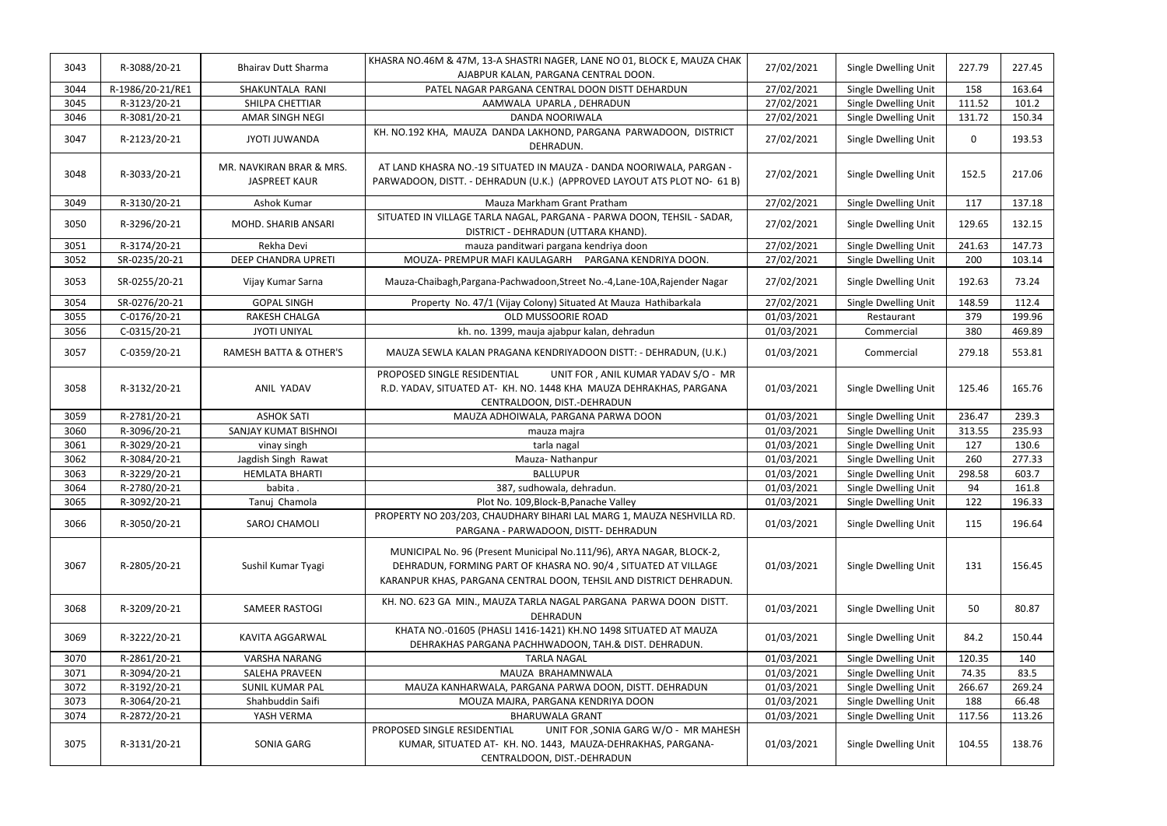| 3043 | R-3088/20-21     | <b>Bhairav Dutt Sharma</b>                       | KHASRA NO.46M & 47M, 13-A SHASTRI NAGER, LANE NO 01, BLOCK E, MAUZA CHAK<br>AJABPUR KALAN, PARGANA CENTRAL DOON.                                                                                             | 27/02/2021 | Single Dwelling Unit | 227.79      | 227.45 |
|------|------------------|--------------------------------------------------|--------------------------------------------------------------------------------------------------------------------------------------------------------------------------------------------------------------|------------|----------------------|-------------|--------|
| 3044 | R-1986/20-21/RE1 | SHAKUNTALA RANI                                  | PATEL NAGAR PARGANA CENTRAL DOON DISTT DEHARDUN                                                                                                                                                              | 27/02/2021 | Single Dwelling Unit | 158         | 163.64 |
| 3045 | R-3123/20-21     | SHILPA CHETTIAR                                  | AAMWALA UPARLA, DEHRADUN                                                                                                                                                                                     | 27/02/2021 | Single Dwelling Unit | 111.52      | 101.2  |
| 3046 | R-3081/20-21     | AMAR SINGH NEGI                                  | DANDA NOORIWALA                                                                                                                                                                                              | 27/02/2021 | Single Dwelling Unit | 131.72      | 150.34 |
| 3047 | R-2123/20-21     | JYOTI JUWANDA                                    | KH. NO.192 KHA, MAUZA DANDA LAKHOND, PARGANA PARWADOON, DISTRICT<br>DEHRADUN.                                                                                                                                | 27/02/2021 | Single Dwelling Unit | $\mathbf 0$ | 193.53 |
| 3048 | R-3033/20-21     | MR. NAVKIRAN BRAR & MRS.<br><b>JASPREET KAUR</b> | AT LAND KHASRA NO.-19 SITUATED IN MAUZA - DANDA NOORIWALA, PARGAN -<br>PARWADOON, DISTT. - DEHRADUN (U.K.) (APPROVED LAYOUT ATS PLOT NO- 61 B)                                                               | 27/02/2021 | Single Dwelling Unit | 152.5       | 217.06 |
| 3049 | R-3130/20-21     | Ashok Kumar                                      | Mauza Markham Grant Pratham                                                                                                                                                                                  | 27/02/2021 | Single Dwelling Unit | 117         | 137.18 |
| 3050 | R-3296/20-21     | MOHD. SHARIB ANSARI                              | SITUATED IN VILLAGE TARLA NAGAL, PARGANA - PARWA DOON, TEHSIL - SADAR,<br>DISTRICT - DEHRADUN (UTTARA KHAND).                                                                                                | 27/02/2021 | Single Dwelling Unit | 129.65      | 132.15 |
| 3051 | R-3174/20-21     | Rekha Devi                                       | mauza panditwari pargana kendriya doon                                                                                                                                                                       | 27/02/2021 | Single Dwelling Unit | 241.63      | 147.73 |
| 3052 | SR-0235/20-21    | DEEP CHANDRA UPRETI                              | MOUZA- PREMPUR MAFI KAULAGARH PARGANA KENDRIYA DOON.                                                                                                                                                         | 27/02/2021 | Single Dwelling Unit | 200         | 103.14 |
| 3053 | SR-0255/20-21    | Vijay Kumar Sarna                                | Mauza-Chaibagh, Pargana-Pachwadoon, Street No.-4, Lane-10A, Rajender Nagar                                                                                                                                   | 27/02/2021 | Single Dwelling Unit | 192.63      | 73.24  |
| 3054 | SR-0276/20-21    | <b>GOPAL SINGH</b>                               | Property No. 47/1 (Vijay Colony) Situated At Mauza Hathibarkala                                                                                                                                              | 27/02/2021 | Single Dwelling Unit | 148.59      | 112.4  |
| 3055 | C-0176/20-21     | RAKESH CHALGA                                    | OLD MUSSOORIE ROAD                                                                                                                                                                                           | 01/03/2021 | Restaurant           | 379         | 199.96 |
| 3056 | C-0315/20-21     | <b>JYOTI UNIYAL</b>                              | kh. no. 1399, mauja ajabpur kalan, dehradun                                                                                                                                                                  | 01/03/2021 | Commercial           | 380         | 469.89 |
| 3057 | C-0359/20-21     | <b>RAMESH BATTA &amp; OTHER'S</b>                | MAUZA SEWLA KALAN PRAGANA KENDRIYADOON DISTT: - DEHRADUN, (U.K.)                                                                                                                                             | 01/03/2021 | Commercial           | 279.18      | 553.81 |
| 3058 | R-3132/20-21     | ANIL YADAV                                       | PROPOSED SINGLE RESIDENTIAL<br>UNIT FOR, ANIL KUMAR YADAV S/O - MR<br>R.D. YADAV, SITUATED AT- KH. NO. 1448 KHA MAUZA DEHRAKHAS, PARGANA<br>CENTRALDOON, DIST.-DEHRADUN                                      | 01/03/2021 | Single Dwelling Unit | 125.46      | 165.76 |
| 3059 | R-2781/20-21     | <b>ASHOK SATI</b>                                | MAUZA ADHOIWALA, PARGANA PARWA DOON                                                                                                                                                                          | 01/03/2021 | Single Dwelling Unit | 236.47      | 239.3  |
| 3060 | R-3096/20-21     | SANJAY KUMAT BISHNOI                             | mauza majra                                                                                                                                                                                                  | 01/03/2021 | Single Dwelling Unit | 313.55      | 235.93 |
| 3061 | R-3029/20-21     | vinay singh                                      | tarla nagal                                                                                                                                                                                                  | 01/03/2021 | Single Dwelling Unit | 127         | 130.6  |
| 3062 | R-3084/20-21     | Jagdish Singh Rawat                              | Mauza-Nathanpur                                                                                                                                                                                              | 01/03/2021 | Single Dwelling Unit | 260         | 277.33 |
| 3063 | R-3229/20-21     | <b>HEMLATA BHARTI</b>                            | <b>BALLUPUR</b>                                                                                                                                                                                              | 01/03/2021 | Single Dwelling Unit | 298.58      | 603.7  |
| 3064 | R-2780/20-21     | babita.                                          | 387, sudhowala, dehradun.                                                                                                                                                                                    | 01/03/2021 | Single Dwelling Unit | 94          | 161.8  |
| 3065 | R-3092/20-21     | Tanuj Chamola                                    | Plot No. 109, Block-B, Panache Valley                                                                                                                                                                        | 01/03/2021 | Single Dwelling Unit | 122         | 196.33 |
| 3066 | R-3050/20-21     | SAROJ CHAMOLI                                    | PROPERTY NO 203/203, CHAUDHARY BIHARI LAL MARG 1, MAUZA NESHVILLA RD.<br>PARGANA - PARWADOON, DISTT- DEHRADUN                                                                                                | 01/03/2021 | Single Dwelling Unit | 115         | 196.64 |
| 3067 | R-2805/20-21     | Sushil Kumar Tyagi                               | MUNICIPAL No. 96 (Present Municipal No.111/96), ARYA NAGAR, BLOCK-2,<br>DEHRADUN, FORMING PART OF KHASRA NO. 90/4, SITUATED AT VILLAGE<br>KARANPUR KHAS, PARGANA CENTRAL DOON, TEHSIL AND DISTRICT DEHRADUN. | 01/03/2021 | Single Dwelling Unit | 131         | 156.45 |
| 3068 | R-3209/20-21     | SAMEER RASTOGI                                   | KH. NO. 623 GA MIN., MAUZA TARLA NAGAL PARGANA PARWA DOON DISTT.<br><b>DEHRADUN</b>                                                                                                                          | 01/03/2021 | Single Dwelling Unit | 50          | 80.87  |
| 3069 | R-3222/20-21     | KAVITA AGGARWAL                                  | KHATA NO.-01605 (PHASLI 1416-1421) KH.NO 1498 SITUATED AT MAUZA<br>DEHRAKHAS PARGANA PACHHWADOON, TAH.& DIST. DEHRADUN.                                                                                      | 01/03/2021 | Single Dwelling Unit | 84.2        | 150.44 |
| 3070 | R-2861/20-21     | <b>VARSHA NARANG</b>                             | <b>TARLA NAGAL</b>                                                                                                                                                                                           | 01/03/2021 | Single Dwelling Unit | 120.35      | 140    |
| 3071 | R-3094/20-21     | SALEHA PRAVEEN                                   | MAUZA BRAHAMNWALA                                                                                                                                                                                            | 01/03/2021 | Single Dwelling Unit | 74.35       | 83.5   |
| 3072 | R-3192/20-21     | <b>SUNIL KUMAR PAL</b>                           | MAUZA KANHARWALA, PARGANA PARWA DOON, DISTT. DEHRADUN                                                                                                                                                        | 01/03/2021 | Single Dwelling Unit | 266.67      | 269.24 |
| 3073 | R-3064/20-21     | Shahbuddin Saifi                                 | MOUZA MAJRA, PARGANA KENDRIYA DOON                                                                                                                                                                           | 01/03/2021 | Single Dwelling Unit | 188         | 66.48  |
| 3074 | R-2872/20-21     | YASH VERMA                                       | <b>BHARUWALA GRANT</b>                                                                                                                                                                                       | 01/03/2021 | Single Dwelling Unit | 117.56      | 113.26 |
| 3075 | R-3131/20-21     | SONIA GARG                                       | UNIT FOR , SONIA GARG W/O - MR MAHESH<br>PROPOSED SINGLE RESIDENTIAL<br>KUMAR, SITUATED AT- KH. NO. 1443, MAUZA-DEHRAKHAS, PARGANA-<br>CENTRALDOON, DIST.-DEHRADUN                                           | 01/03/2021 | Single Dwelling Unit | 104.55      | 138.76 |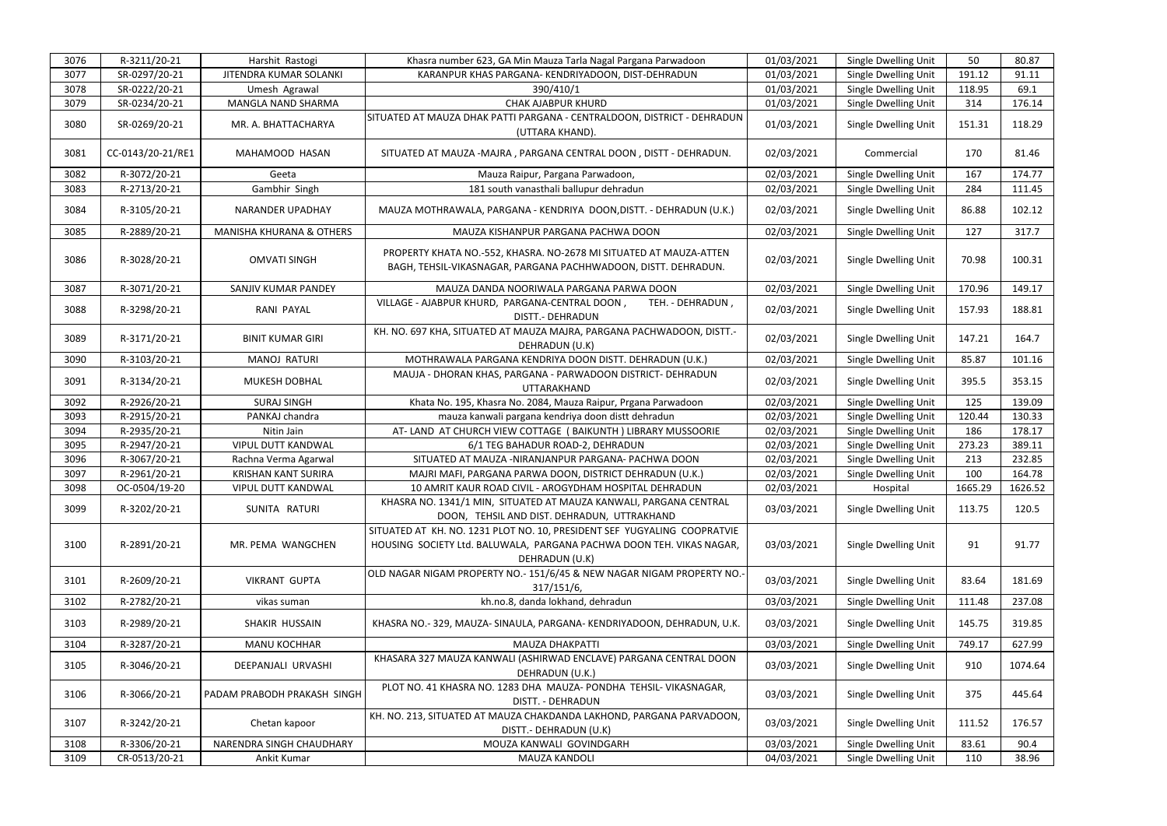| 3076 | R-3211/20-21      | Harshit Rastogi                     | Khasra number 623, GA Min Mauza Tarla Nagal Pargana Parwadoon                                                                                                      | 01/03/2021 | Single Dwelling Unit | 50      | 80.87   |
|------|-------------------|-------------------------------------|--------------------------------------------------------------------------------------------------------------------------------------------------------------------|------------|----------------------|---------|---------|
| 3077 | SR-0297/20-21     | JITENDRA KUMAR SOLANKI              | KARANPUR KHAS PARGANA- KENDRIYADOON, DIST-DEHRADUN                                                                                                                 | 01/03/2021 | Single Dwelling Unit | 191.12  | 91.11   |
| 3078 | SR-0222/20-21     | Umesh Agrawal                       | 390/410/1                                                                                                                                                          | 01/03/2021 | Single Dwelling Unit | 118.95  | 69.1    |
| 3079 | SR-0234/20-21     | MANGLA NAND SHARMA                  | <b>CHAK AJABPUR KHURD</b>                                                                                                                                          | 01/03/2021 | Single Dwelling Unit | 314     | 176.14  |
| 3080 | SR-0269/20-21     | MR. A. BHATTACHARYA                 | SITUATED AT MAUZA DHAK PATTI PARGANA - CENTRALDOON, DISTRICT - DEHRADUN<br>(UTTARA KHAND).                                                                         | 01/03/2021 | Single Dwelling Unit | 151.31  | 118.29  |
| 3081 | CC-0143/20-21/RE1 | MAHAMOOD HASAN                      | SITUATED AT MAUZA - MAJRA, PARGANA CENTRAL DOON, DISTT - DEHRADUN.                                                                                                 | 02/03/2021 | Commercial           | 170     | 81.46   |
| 3082 | R-3072/20-21      | Geeta                               | Mauza Raipur, Pargana Parwadoon,                                                                                                                                   | 02/03/2021 | Single Dwelling Unit | 167     | 174.77  |
| 3083 | R-2713/20-21      | Gambhir Singh                       | 181 south vanasthali ballupur dehradun                                                                                                                             | 02/03/2021 | Single Dwelling Unit | 284     | 111.45  |
| 3084 | R-3105/20-21      | <b>NARANDER UPADHAY</b>             | MAUZA MOTHRAWALA, PARGANA - KENDRIYA DOON, DISTT. - DEHRADUN (U.K.)                                                                                                | 02/03/2021 | Single Dwelling Unit | 86.88   | 102.12  |
| 3085 | R-2889/20-21      | <b>MANISHA KHURANA &amp; OTHERS</b> | MAUZA KISHANPUR PARGANA PACHWA DOON                                                                                                                                | 02/03/2021 | Single Dwelling Unit | 127     | 317.7   |
| 3086 | R-3028/20-21      | <b>OMVATI SINGH</b>                 | PROPERTY KHATA NO.-552, KHASRA. NO-2678 MI SITUATED AT MAUZA-ATTEN<br>BAGH, TEHSIL-VIKASNAGAR, PARGANA PACHHWADOON, DISTT. DEHRADUN.                               | 02/03/2021 | Single Dwelling Unit | 70.98   | 100.31  |
| 3087 | R-3071/20-21      | SANJIV KUMAR PANDEY                 | MAUZA DANDA NOORIWALA PARGANA PARWA DOON                                                                                                                           | 02/03/2021 | Single Dwelling Unit | 170.96  | 149.17  |
| 3088 | R-3298/20-21      | RANI PAYAL                          | VILLAGE - AJABPUR KHURD, PARGANA-CENTRAL DOON,<br>TEH. - DEHRADUN,<br>DISTT.- DEHRADUN                                                                             | 02/03/2021 | Single Dwelling Unit | 157.93  | 188.81  |
| 3089 | R-3171/20-21      | <b>BINIT KUMAR GIRI</b>             | KH. NO. 697 KHA, SITUATED AT MAUZA MAJRA, PARGANA PACHWADOON, DISTT.-<br>DEHRADUN (U.K)                                                                            | 02/03/2021 | Single Dwelling Unit | 147.21  | 164.7   |
| 3090 | R-3103/20-21      | <b>MANOJ RATURI</b>                 | MOTHRAWALA PARGANA KENDRIYA DOON DISTT. DEHRADUN (U.K.)                                                                                                            | 02/03/2021 | Single Dwelling Unit | 85.87   | 101.16  |
| 3091 | R-3134/20-21      | MUKESH DOBHAL                       | MAUJA - DHORAN KHAS, PARGANA - PARWADOON DISTRICT- DEHRADUN<br>UTTARAKHAND                                                                                         | 02/03/2021 | Single Dwelling Unit | 395.5   | 353.15  |
| 3092 | R-2926/20-21      | <b>SURAJ SINGH</b>                  | Khata No. 195, Khasra No. 2084, Mauza Raipur, Prgana Parwadoon                                                                                                     | 02/03/2021 | Single Dwelling Unit | 125     | 139.09  |
| 3093 | R-2915/20-21      | PANKAJ chandra                      | mauza kanwali pargana kendriya doon distt dehradun                                                                                                                 | 02/03/2021 | Single Dwelling Unit | 120.44  | 130.33  |
| 3094 | R-2935/20-21      | Nitin Jain                          | AT-LAND AT CHURCH VIEW COTTAGE (BAIKUNTH) LIBRARY MUSSOORIE                                                                                                        | 02/03/2021 | Single Dwelling Unit | 186     | 178.17  |
| 3095 | R-2947/20-21      | <b>VIPUL DUTT KANDWAL</b>           | 6/1 TEG BAHADUR ROAD-2, DEHRADUN                                                                                                                                   | 02/03/2021 | Single Dwelling Unit | 273.23  | 389.11  |
| 3096 | R-3067/20-21      | Rachna Verma Agarwal                | SITUATED AT MAUZA -NIRANJANPUR PARGANA- PACHWA DOON                                                                                                                | 02/03/2021 | Single Dwelling Unit | 213     | 232.85  |
| 3097 | R-2961/20-21      | <b>KRISHAN KANT SURIRA</b>          | MAJRI MAFI, PARGANA PARWA DOON, DISTRICT DEHRADUN (U.K.)                                                                                                           | 02/03/2021 | Single Dwelling Unit | 100     | 164.78  |
| 3098 | OC-0504/19-20     | VIPUL DUTT KANDWAL                  | 10 AMRIT KAUR ROAD CIVIL - AROGYDHAM HOSPITAL DEHRADUN                                                                                                             | 02/03/2021 | Hospital             | 1665.29 | 1626.52 |
| 3099 | R-3202/20-21      | SUNITA RATURI                       | KHASRA NO. 1341/1 MIN, SITUATED AT MAUZA KANWALI, PARGANA CENTRAL<br>DOON, TEHSIL AND DIST. DEHRADUN, UTTRAKHAND                                                   | 03/03/2021 | Single Dwelling Unit | 113.75  | 120.5   |
| 3100 | R-2891/20-21      | MR. PEMA WANGCHEN                   | SITUATED AT KH. NO. 1231 PLOT NO. 10, PRESIDENT SEF YUGYALING COOPRATVIE<br>HOUSING SOCIETY Ltd. BALUWALA, PARGANA PACHWA DOON TEH. VIKAS NAGAR,<br>DEHRADUN (U.K) | 03/03/2021 | Single Dwelling Unit | 91      | 91.77   |
| 3101 | R-2609/20-21      | <b>VIKRANT GUPTA</b>                | OLD NAGAR NIGAM PROPERTY NO.- 151/6/45 & NEW NAGAR NIGAM PROPERTY NO.-<br>$317/151/6$ ,                                                                            | 03/03/2021 | Single Dwelling Unit | 83.64   | 181.69  |
| 3102 | R-2782/20-21      | vikas suman                         | kh.no.8, danda lokhand, dehradun                                                                                                                                   | 03/03/2021 | Single Dwelling Unit | 111.48  | 237.08  |
| 3103 | R-2989/20-21      | SHAKIR HUSSAIN                      | KHASRA NO.- 329, MAUZA- SINAULA, PARGANA- KENDRIYADOON, DEHRADUN, U.K.                                                                                             | 03/03/2021 | Single Dwelling Unit | 145.75  | 319.85  |
| 3104 | R-3287/20-21      | MANU KOCHHAR                        | <b>MAUZA DHAKPATTI</b>                                                                                                                                             | 03/03/2021 | Single Dwelling Unit | 749.17  | 627.99  |
| 3105 | R-3046/20-21      | DEEPANJALI URVASHI                  | KHASARA 327 MAUZA KANWALI (ASHIRWAD ENCLAVE) PARGANA CENTRAL DOON<br>DEHRADUN (U.K.)                                                                               | 03/03/2021 | Single Dwelling Unit | 910     | 1074.64 |
| 3106 | R-3066/20-21      | PADAM PRABODH PRAKASH SINGH         | PLOT NO. 41 KHASRA NO. 1283 DHA MAUZA- PONDHA TEHSIL- VIKASNAGAR,<br>DISTT. - DEHRADUN                                                                             | 03/03/2021 | Single Dwelling Unit | 375     | 445.64  |
| 3107 | R-3242/20-21      | Chetan kapoor                       | KH. NO. 213, SITUATED AT MAUZA CHAKDANDA LAKHOND, PARGANA PARVADOON,<br>DISTT.- DEHRADUN (U.K)                                                                     | 03/03/2021 | Single Dwelling Unit | 111.52  | 176.57  |
| 3108 | R-3306/20-21      | NARENDRA SINGH CHAUDHARY            | MOUZA KANWALI GOVINDGARH                                                                                                                                           | 03/03/2021 | Single Dwelling Unit | 83.61   | 90.4    |
| 3109 | CR-0513/20-21     | Ankit Kumar                         | MAUZA KANDOLI                                                                                                                                                      | 04/03/2021 | Single Dwelling Unit | 110     | 38.96   |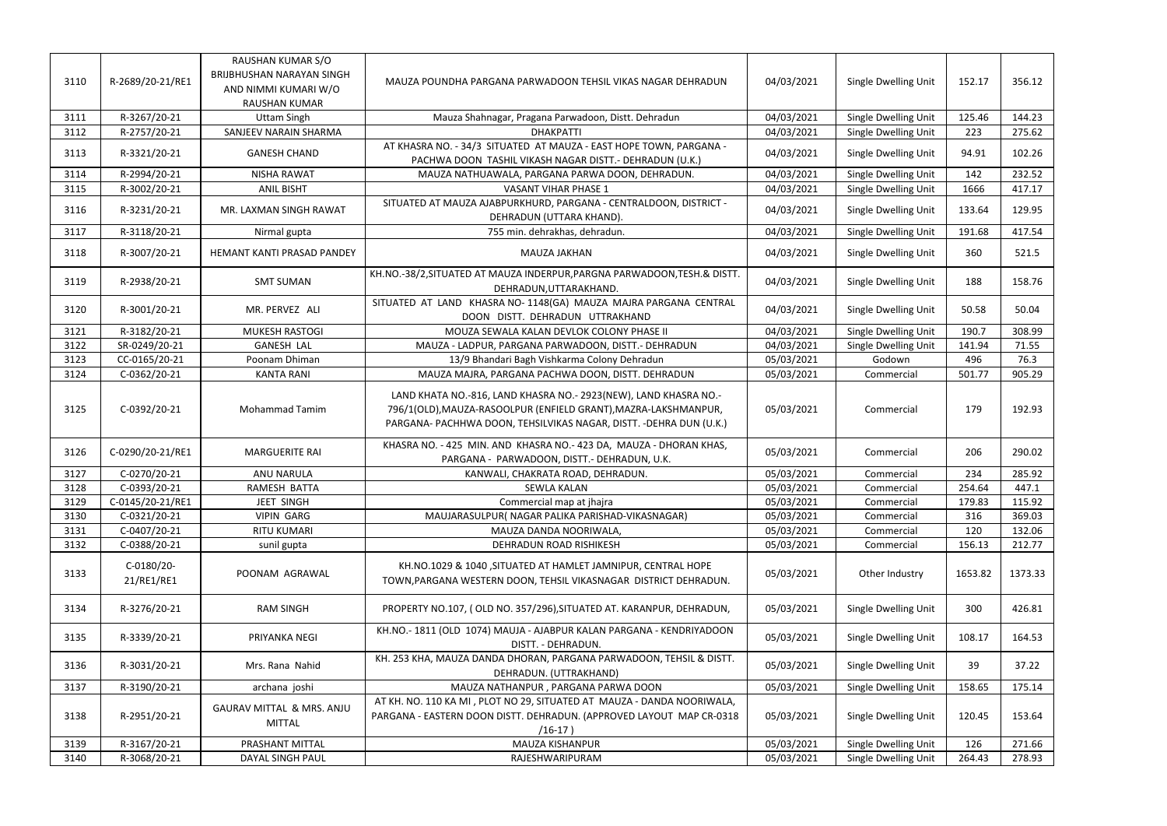|      |                  | RAUSHAN KUMAR S/O          |                                                                          |            |                      |         |         |
|------|------------------|----------------------------|--------------------------------------------------------------------------|------------|----------------------|---------|---------|
|      |                  | BRIJBHUSHAN NARAYAN SINGH  |                                                                          |            |                      |         |         |
| 3110 | R-2689/20-21/RE1 | AND NIMMI KUMARI W/O       | MAUZA POUNDHA PARGANA PARWADOON TEHSIL VIKAS NAGAR DEHRADUN              | 04/03/2021 | Single Dwelling Unit | 152.17  | 356.12  |
|      |                  | <b>RAUSHAN KUMAR</b>       |                                                                          |            |                      |         |         |
| 3111 | R-3267/20-21     | <b>Uttam Singh</b>         | Mauza Shahnagar, Pragana Parwadoon, Distt. Dehradun                      | 04/03/2021 | Single Dwelling Unit | 125.46  | 144.23  |
| 3112 | R-2757/20-21     | SANJEEV NARAIN SHARMA      | <b>DHAKPATTI</b>                                                         | 04/03/2021 | Single Dwelling Unit | 223     | 275.62  |
|      |                  | <b>GANESH CHAND</b>        | AT KHASRA NO. - 34/3 SITUATED AT MAUZA - EAST HOPE TOWN, PARGANA -       |            | Single Dwelling Unit |         |         |
| 3113 | R-3321/20-21     |                            | PACHWA DOON TASHIL VIKASH NAGAR DISTT.- DEHRADUN (U.K.)                  | 04/03/2021 |                      | 94.91   | 102.26  |
| 3114 | R-2994/20-21     | <b>NISHA RAWAT</b>         | MAUZA NATHUAWALA, PARGANA PARWA DOON, DEHRADUN.                          | 04/03/2021 | Single Dwelling Unit | 142     | 232.52  |
| 3115 | R-3002/20-21     | <b>ANIL BISHT</b>          | <b>VASANT VIHAR PHASE 1</b>                                              | 04/03/2021 | Single Dwelling Unit | 1666    | 417.17  |
| 3116 | R-3231/20-21     | MR. LAXMAN SINGH RAWAT     | SITUATED AT MAUZA AJABPURKHURD, PARGANA - CENTRALDOON, DISTRICT -        | 04/03/2021 | Single Dwelling Unit | 133.64  | 129.95  |
|      |                  |                            | DEHRADUN (UTTARA KHAND).                                                 |            |                      |         |         |
| 3117 | R-3118/20-21     | Nirmal gupta               | 755 min. dehrakhas, dehradun.                                            | 04/03/2021 | Single Dwelling Unit | 191.68  | 417.54  |
| 3118 | R-3007/20-21     | HEMANT KANTI PRASAD PANDEY | MAUZA JAKHAN                                                             | 04/03/2021 | Single Dwelling Unit | 360     | 521.5   |
|      |                  |                            |                                                                          |            |                      |         |         |
| 3119 | R-2938/20-21     | <b>SMT SUMAN</b>           | KH.NO.-38/2,SITUATED AT MAUZA INDERPUR, PARGNA PARWADOON, TESH. & DISTT. | 04/03/2021 | Single Dwelling Unit | 188     | 158.76  |
|      |                  |                            | DEHRADUN, UTTARAKHAND.                                                   |            |                      |         |         |
| 3120 | R-3001/20-21     | MR. PERVEZ ALI             | SITUATED AT LAND KHASRA NO-1148(GA) MAUZA MAJRA PARGANA CENTRAL          | 04/03/2021 | Single Dwelling Unit | 50.58   | 50.04   |
|      |                  |                            | DOON DISTT. DEHRADUN UTTRAKHAND                                          |            |                      |         |         |
| 3121 | R-3182/20-21     | <b>MUKESH RASTOGI</b>      | MOUZA SEWALA KALAN DEVLOK COLONY PHASE II                                | 04/03/2021 | Single Dwelling Unit | 190.7   | 308.99  |
| 3122 | SR-0249/20-21    | <b>GANESH LAL</b>          | MAUZA - LADPUR, PARGANA PARWADOON, DISTT.- DEHRADUN                      | 04/03/2021 | Single Dwelling Unit | 141.94  | 71.55   |
| 3123 | CC-0165/20-21    | Poonam Dhiman              | 13/9 Bhandari Bagh Vishkarma Colony Dehradun                             | 05/03/2021 | Godown               | 496     | 76.3    |
| 3124 | C-0362/20-21     | <b>KANTA RANI</b>          | MAUZA MAJRA, PARGANA PACHWA DOON, DISTT. DEHRADUN                        | 05/03/2021 | Commercial           | 501.77  | 905.29  |
|      |                  |                            | LAND KHATA NO.-816, LAND KHASRA NO.- 2923(NEW), LAND KHASRA NO.-         |            |                      |         |         |
| 3125 | C-0392/20-21     | <b>Mohammad Tamim</b>      | 796/1(OLD), MAUZA-RASOOLPUR (ENFIELD GRANT), MAZRA-LAKSHMANPUR,          | 05/03/2021 | Commercial           | 179     | 192.93  |
|      |                  |                            | PARGANA- PACHHWA DOON, TEHSILVIKAS NAGAR, DISTT. - DEHRA DUN (U.K.)      |            |                      |         |         |
|      |                  |                            |                                                                          |            |                      |         |         |
| 3126 | C-0290/20-21/RE1 | <b>MARGUERITE RAI</b>      | KHASRA NO. - 425 MIN. AND KHASRA NO. - 423 DA, MAUZA - DHORAN KHAS,      | 05/03/2021 | Commercial           | 206     | 290.02  |
|      |                  |                            | PARGANA - PARWADOON, DISTT.- DEHRADUN, U.K.                              |            |                      |         |         |
| 3127 | C-0270/20-21     | ANU NARULA                 | KANWALI, CHAKRATA ROAD, DEHRADUN.                                        | 05/03/2021 | Commercial           | 234     | 285.92  |
| 3128 | C-0393/20-21     | RAMESH BATTA               | <b>SEWLA KALAN</b>                                                       | 05/03/2021 | Commercial           | 254.64  | 447.1   |
| 3129 | C-0145/20-21/RE1 | JEET SINGH                 | Commercial map at jhajra                                                 | 05/03/2021 | Commercial           | 179.83  | 115.92  |
| 3130 | C-0321/20-21     | <b>VIPIN GARG</b>          | MAUJARASULPUR( NAGAR PALIKA PARISHAD-VIKASNAGAR)                         | 05/03/2021 | Commercial           | 316     | 369.03  |
| 3131 | C-0407/20-21     | <b>RITU KUMARI</b>         | MAUZA DANDA NOORIWALA,                                                   | 05/03/2021 | Commercial           | 120     | 132.06  |
| 3132 | C-0388/20-21     | sunil gupta                | DEHRADUN ROAD RISHIKESH                                                  | 05/03/2021 | Commercial           | 156.13  | 212.77  |
|      | C-0180/20-       |                            | KH.NO.1029 & 1040, SITUATED AT HAMLET JAMNIPUR, CENTRAL HOPE             |            |                      |         |         |
| 3133 | 21/RE1/RE1       | POONAM AGRAWAL             | TOWN, PARGANA WESTERN DOON, TEHSIL VIKASNAGAR DISTRICT DEHRADUN.         | 05/03/2021 | Other Industry       | 1653.82 | 1373.33 |
|      |                  |                            |                                                                          |            |                      |         |         |
| 3134 | R-3276/20-21     | <b>RAM SINGH</b>           | PROPERTY NO.107, (OLD NO. 357/296), SITUATED AT. KARANPUR, DEHRADUN,     | 05/03/2021 | Single Dwelling Unit | 300     | 426.81  |
|      |                  |                            |                                                                          |            |                      |         |         |
| 3135 | R-3339/20-21     | PRIYANKA NEGI              | KH.NO.- 1811 (OLD 1074) MAUJA - AJABPUR KALAN PARGANA - KENDRIYADOON     | 05/03/2021 | Single Dwelling Unit | 108.17  | 164.53  |
|      |                  |                            | DISTT. - DEHRADUN.                                                       |            |                      |         |         |
| 3136 | R-3031/20-21     | Mrs. Rana Nahid            | KH. 253 KHA, MAUZA DANDA DHORAN, PARGANA PARWADOON, TEHSIL & DISTT.      | 05/03/2021 | Single Dwelling Unit | 39      | 37.22   |
|      |                  |                            | DEHRADUN. (UTTRAKHAND)                                                   |            |                      |         |         |
| 3137 | R-3190/20-21     | archana joshi              | MAUZA NATHANPUR, PARGANA PARWA DOON                                      | 05/03/2021 | Single Dwelling Unit | 158.65  | 175.14  |
|      |                  | GAURAV MITTAL & MRS. ANJU  | AT KH. NO. 110 KA MI, PLOT NO 29, SITUATED AT MAUZA - DANDA NOORIWALA,   |            |                      |         |         |
| 3138 | R-2951/20-21     | <b>MITTAL</b>              | PARGANA - EASTERN DOON DISTT. DEHRADUN. (APPROVED LAYOUT MAP CR-0318     | 05/03/2021 | Single Dwelling Unit | 120.45  | 153.64  |
|      |                  |                            | $/16-17)$                                                                |            |                      |         |         |
| 3139 | R-3167/20-21     | PRASHANT MITTAL            | MAUZA KISHANPUR                                                          | 05/03/2021 | Single Dwelling Unit | 126     | 271.66  |
| 3140 | R-3068/20-21     | DAYAL SINGH PAUL           | RAJESHWARIPURAM                                                          | 05/03/2021 | Single Dwelling Unit | 264.43  | 278.93  |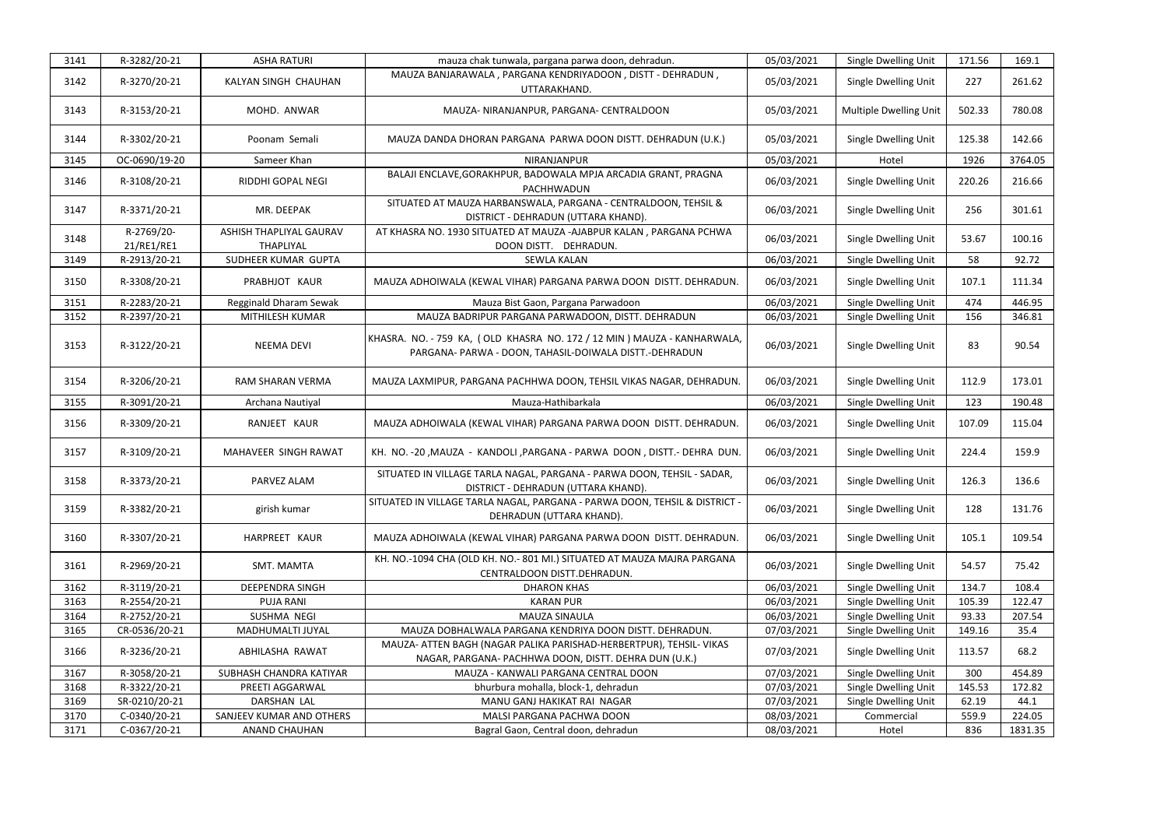| 3141 | R-3282/20-21             | <b>ASHA RATURI</b>                   | mauza chak tunwala, pargana parwa doon, dehradun.                                                                                 | 05/03/2021 | Single Dwelling Unit        | 171.56 | 169.1   |
|------|--------------------------|--------------------------------------|-----------------------------------------------------------------------------------------------------------------------------------|------------|-----------------------------|--------|---------|
| 3142 | R-3270/20-21             | KALYAN SINGH CHAUHAN                 | MAUZA BANJARAWALA, PARGANA KENDRIYADOON, DISTT - DEHRADUN,<br>UTTARAKHAND.                                                        | 05/03/2021 | Single Dwelling Unit        | 227    | 261.62  |
| 3143 | R-3153/20-21             | MOHD. ANWAR                          | MAUZA-NIRANJANPUR, PARGANA- CENTRALDOON                                                                                           | 05/03/2021 | Multiple Dwelling Unit      | 502.33 | 780.08  |
| 3144 | R-3302/20-21             | Poonam Semali                        | MAUZA DANDA DHORAN PARGANA PARWA DOON DISTT. DEHRADUN (U.K.)                                                                      | 05/03/2021 | Single Dwelling Unit        | 125.38 | 142.66  |
| 3145 | OC-0690/19-20            | Sameer Khan                          | NIRANJANPUR                                                                                                                       | 05/03/2021 | Hotel                       | 1926   | 3764.05 |
| 3146 | R-3108/20-21             | RIDDHI GOPAL NEGI                    | BALAJI ENCLAVE, GORAKHPUR, BADOWALA MPJA ARCADIA GRANT, PRAGNA<br>PACHHWADUN                                                      | 06/03/2021 | <b>Single Dwelling Unit</b> | 220.26 | 216.66  |
| 3147 | R-3371/20-21             | MR. DEEPAK                           | SITUATED AT MAUZA HARBANSWALA, PARGANA - CENTRALDOON, TEHSIL &<br>DISTRICT - DEHRADUN (UTTARA KHAND).                             | 06/03/2021 | Single Dwelling Unit        | 256    | 301.61  |
| 3148 | R-2769/20-<br>21/RE1/RE1 | ASHISH THAPLIYAL GAURAV<br>THAPLIYAL | AT KHASRA NO. 1930 SITUATED AT MAUZA -AJABPUR KALAN, PARGANA PCHWA<br>DOON DISTT. DEHRADUN.                                       | 06/03/2021 | Single Dwelling Unit        | 53.67  | 100.16  |
| 3149 | R-2913/20-21             | SUDHEER KUMAR GUPTA                  | <b>SEWLA KALAN</b>                                                                                                                | 06/03/2021 | Single Dwelling Unit        | 58     | 92.72   |
| 3150 | R-3308/20-21             | PRABHJOT KAUR                        | MAUZA ADHOIWALA (KEWAL VIHAR) PARGANA PARWA DOON DISTT. DEHRADUN.                                                                 | 06/03/2021 | Single Dwelling Unit        | 107.1  | 111.34  |
| 3151 | R-2283/20-21             | <b>Regginald Dharam Sewak</b>        | Mauza Bist Gaon, Pargana Parwadoon                                                                                                | 06/03/2021 | Single Dwelling Unit        | 474    | 446.95  |
| 3152 | R-2397/20-21             | MITHILESH KUMAR                      | MAUZA BADRIPUR PARGANA PARWADOON, DISTT. DEHRADUN                                                                                 | 06/03/2021 | Single Dwelling Unit        | 156    | 346.81  |
| 3153 | R-3122/20-21             | <b>NEEMA DEVI</b>                    | KHASRA. NO. - 759 KA, (OLD KHASRA NO. 172 / 12 MIN) MAUZA - KANHARWALA,<br>PARGANA- PARWA - DOON, TAHASIL-DOIWALA DISTT.-DEHRADUN | 06/03/2021 | Single Dwelling Unit        | 83     | 90.54   |
| 3154 | R-3206/20-21             | RAM SHARAN VERMA                     | MAUZA LAXMIPUR, PARGANA PACHHWA DOON, TEHSIL VIKAS NAGAR, DEHRADUN.                                                               | 06/03/2021 | Single Dwelling Unit        | 112.9  | 173.01  |
|      |                          |                                      |                                                                                                                                   |            |                             |        |         |
| 3155 | R-3091/20-21             | Archana Nautiyal                     | Mauza-Hathibarkala                                                                                                                | 06/03/2021 | Single Dwelling Unit        | 123    | 190.48  |
| 3156 | R-3309/20-21             | RANJEET KAUR                         | MAUZA ADHOIWALA (KEWAL VIHAR) PARGANA PARWA DOON DISTT. DEHRADUN.                                                                 | 06/03/2021 | Single Dwelling Unit        | 107.09 | 115.04  |
| 3157 | R-3109/20-21             | MAHAVEER SINGH RAWAT                 | KH. NO. - 20, MAUZA - KANDOLI, PARGANA - PARWA DOON, DISTT. - DEHRA DUN.                                                          | 06/03/2021 | Single Dwelling Unit        | 224.4  | 159.9   |
| 3158 | R-3373/20-21             | PARVEZ ALAM                          | SITUATED IN VILLAGE TARLA NAGAL, PARGANA - PARWA DOON, TEHSIL - SADAR,<br>DISTRICT - DEHRADUN (UTTARA KHAND).                     | 06/03/2021 | Single Dwelling Unit        | 126.3  | 136.6   |
| 3159 | R-3382/20-21             | girish kumar                         | SITUATED IN VILLAGE TARLA NAGAL, PARGANA - PARWA DOON, TEHSIL & DISTRICT -<br>DEHRADUN (UTTARA KHAND).                            | 06/03/2021 | Single Dwelling Unit        | 128    | 131.76  |
| 3160 | R-3307/20-21             | HARPREET KAUR                        | MAUZA ADHOIWALA (KEWAL VIHAR) PARGANA PARWA DOON DISTT. DEHRADUN.                                                                 | 06/03/2021 | Single Dwelling Unit        | 105.1  | 109.54  |
| 3161 | R-2969/20-21             | SMT. MAMTA                           | KH. NO.-1094 CHA (OLD KH. NO.- 801 MI.) SITUATED AT MAUZA MAJRA PARGANA<br>CENTRALDOON DISTT.DEHRADUN.                            | 06/03/2021 | Single Dwelling Unit        | 54.57  | 75.42   |
| 3162 | R-3119/20-21             | <b>DEEPENDRA SINGH</b>               | <b>DHARON KHAS</b>                                                                                                                | 06/03/2021 | Single Dwelling Unit        | 134.7  | 108.4   |
| 3163 | R-2554/20-21             | <b>PUJA RANI</b>                     | <b>KARAN PUR</b>                                                                                                                  | 06/03/2021 | Single Dwelling Unit        | 105.39 | 122.47  |
| 3164 | R-2752/20-21             | SUSHMA NEGI                          | MAUZA SINAULA                                                                                                                     | 06/03/2021 | Single Dwelling Unit        | 93.33  | 207.54  |
| 3165 | CR-0536/20-21            | MADHUMALTI JUYAL                     | MAUZA DOBHALWALA PARGANA KENDRIYA DOON DISTT. DEHRADUN.                                                                           | 07/03/2021 | Single Dwelling Unit        | 149.16 | 35.4    |
| 3166 | R-3236/20-21             | ABHILASHA RAWAT                      | MAUZA- ATTEN BAGH (NAGAR PALIKA PARISHAD-HERBERTPUR), TEHSIL- VIKAS<br>NAGAR, PARGANA- PACHHWA DOON, DISTT. DEHRA DUN (U.K.)      | 07/03/2021 | Single Dwelling Unit        | 113.57 | 68.2    |
| 3167 | R-3058/20-21             | SUBHASH CHANDRA KATIYAR              | MAUZA - KANWALI PARGANA CENTRAL DOON                                                                                              | 07/03/2021 | Single Dwelling Unit        | 300    | 454.89  |
| 3168 | R-3322/20-21             | PREETI AGGARWAL                      | bhurbura mohalla, block-1, dehradun                                                                                               | 07/03/2021 | Single Dwelling Unit        | 145.53 | 172.82  |
| 3169 | SR-0210/20-21            | <b>DARSHAN LAL</b>                   | MANU GANJ HAKIKAT RAI NAGAR                                                                                                       | 07/03/2021 | Single Dwelling Unit        | 62.19  | 44.1    |
| 3170 | C-0340/20-21             | SANJEEV KUMAR AND OTHERS             | MALSI PARGANA PACHWA DOON                                                                                                         | 08/03/2021 | Commercial                  | 559.9  | 224.05  |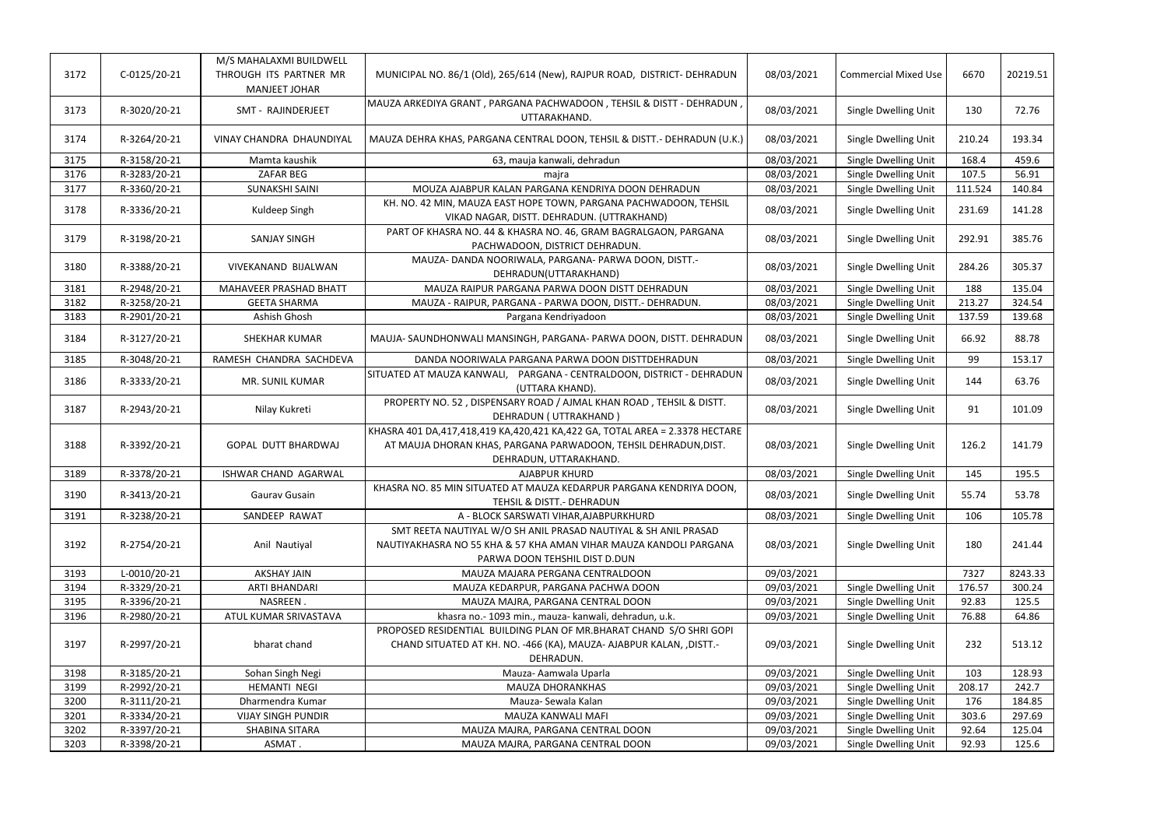|      |              | M/S MAHALAXMI BUILDWELL                        |                                                                                                                                                                          |            |                             |         |          |
|------|--------------|------------------------------------------------|--------------------------------------------------------------------------------------------------------------------------------------------------------------------------|------------|-----------------------------|---------|----------|
| 3172 | C-0125/20-21 | THROUGH ITS PARTNER MR<br><b>MANJEET JOHAR</b> | MUNICIPAL NO. 86/1 (Old), 265/614 (New), RAJPUR ROAD, DISTRICT- DEHRADUN                                                                                                 | 08/03/2021 | <b>Commercial Mixed Use</b> | 6670    | 20219.51 |
| 3173 | R-3020/20-21 | SMT - RAJINDERJEET                             | MAUZA ARKEDIYA GRANT, PARGANA PACHWADOON, TEHSIL & DISTT - DEHRADUN,<br>UTTARAKHAND.                                                                                     | 08/03/2021 | Single Dwelling Unit        | 130     | 72.76    |
| 3174 | R-3264/20-21 | VINAY CHANDRA DHAUNDIYAL                       | MAUZA DEHRA KHAS, PARGANA CENTRAL DOON, TEHSIL & DISTT.- DEHRADUN (U.K.)                                                                                                 | 08/03/2021 | Single Dwelling Unit        | 210.24  | 193.34   |
| 3175 | R-3158/20-21 | Mamta kaushik                                  | 63, mauja kanwali, dehradun                                                                                                                                              | 08/03/2021 | Single Dwelling Unit        | 168.4   | 459.6    |
| 3176 | R-3283/20-21 | <b>ZAFAR BEG</b>                               | majra                                                                                                                                                                    | 08/03/2021 | Single Dwelling Unit        | 107.5   | 56.91    |
| 3177 | R-3360/20-21 | <b>SUNAKSHI SAINI</b>                          | MOUZA AJABPUR KALAN PARGANA KENDRIYA DOON DEHRADUN                                                                                                                       | 08/03/2021 | Single Dwelling Unit        | 111.524 | 140.84   |
| 3178 | R-3336/20-21 | Kuldeep Singh                                  | KH. NO. 42 MIN, MAUZA EAST HOPE TOWN, PARGANA PACHWADOON, TEHSIL<br>VIKAD NAGAR, DISTT. DEHRADUN. (UTTRAKHAND)                                                           | 08/03/2021 | Single Dwelling Unit        | 231.69  | 141.28   |
| 3179 | R-3198/20-21 | <b>SANJAY SINGH</b>                            | PART OF KHASRA NO. 44 & KHASRA NO. 46, GRAM BAGRALGAON, PARGANA<br>PACHWADOON, DISTRICT DEHRADUN.                                                                        | 08/03/2021 | Single Dwelling Unit        | 292.91  | 385.76   |
| 3180 | R-3388/20-21 | <b>VIVEKANAND BIJALWAN</b>                     | MAUZA- DANDA NOORIWALA, PARGANA- PARWA DOON, DISTT.-<br>DEHRADUN(UTTARAKHAND)                                                                                            | 08/03/2021 | Single Dwelling Unit        | 284.26  | 305.37   |
| 3181 | R-2948/20-21 | MAHAVEER PRASHAD BHATT                         | MAUZA RAIPUR PARGANA PARWA DOON DISTT DEHRADUN                                                                                                                           | 08/03/2021 | Single Dwelling Unit        | 188     | 135.04   |
| 3182 | R-3258/20-21 | <b>GEETA SHARMA</b>                            | MAUZA - RAIPUR, PARGANA - PARWA DOON, DISTT.- DEHRADUN.                                                                                                                  | 08/03/2021 | Single Dwelling Unit        | 213.27  | 324.54   |
| 3183 | R-2901/20-21 | Ashish Ghosh                                   | Pargana Kendriyadoon                                                                                                                                                     | 08/03/2021 | Single Dwelling Unit        | 137.59  | 139.68   |
| 3184 | R-3127/20-21 | <b>SHEKHAR KUMAR</b>                           | MAUJA-SAUNDHONWALI MANSINGH, PARGANA-PARWA DOON, DISTT. DEHRADUN                                                                                                         | 08/03/2021 | Single Dwelling Unit        | 66.92   | 88.78    |
| 3185 | R-3048/20-21 | RAMESH CHANDRA SACHDEVA                        | DANDA NOORIWALA PARGANA PARWA DOON DISTTDEHRADUN                                                                                                                         | 08/03/2021 | Single Dwelling Unit        | 99      | 153.17   |
| 3186 | R-3333/20-21 | MR. SUNIL KUMAR                                | SITUATED AT MAUZA KANWALI, PARGANA - CENTRALDOON, DISTRICT - DEHRADUN<br>(UTTARA KHAND).                                                                                 | 08/03/2021 | Single Dwelling Unit        | 144     | 63.76    |
| 3187 | R-2943/20-21 | Nilay Kukreti                                  | PROPERTY NO. 52, DISPENSARY ROAD / AJMAL KHAN ROAD, TEHSIL & DISTT.<br>DEHRADUN ( UTTRAKHAND )                                                                           | 08/03/2021 | Single Dwelling Unit        | 91      | 101.09   |
| 3188 | R-3392/20-21 | <b>GOPAL DUTT BHARDWAJ</b>                     | KHASRA 401 DA,417,418,419 KA,420,421 KA,422 GA, TOTAL AREA = 2.3378 HECTARE<br>AT MAUJA DHORAN KHAS, PARGANA PARWADOON, TEHSIL DEHRADUN, DIST.<br>DEHRADUN, UTTARAKHAND. | 08/03/2021 | Single Dwelling Unit        | 126.2   | 141.79   |
| 3189 | R-3378/20-21 | ISHWAR CHAND AGARWAL                           | <b>AJABPUR KHURD</b>                                                                                                                                                     | 08/03/2021 | Single Dwelling Unit        | 145     | 195.5    |
| 3190 | R-3413/20-21 | <b>Gaurav Gusain</b>                           | KHASRA NO. 85 MIN SITUATED AT MAUZA KEDARPUR PARGANA KENDRIYA DOON,<br>TEHSIL & DISTT.- DEHRADUN                                                                         | 08/03/2021 | Single Dwelling Unit        | 55.74   | 53.78    |
| 3191 | R-3238/20-21 | SANDEEP RAWAT                                  | A - BLOCK SARSWATI VIHAR, AJABPURKHURD                                                                                                                                   | 08/03/2021 | Single Dwelling Unit        | 106     | 105.78   |
| 3192 | R-2754/20-21 | Anil Nautiyal                                  | SMT REETA NAUTIYAL W/O SH ANIL PRASAD NAUTIYAL & SH ANIL PRASAD<br>NAUTIYAKHASRA NO 55 KHA & 57 KHA AMAN VIHAR MAUZA KANDOLI PARGANA<br>PARWA DOON TEHSHIL DIST D.DUN    | 08/03/2021 | Single Dwelling Unit        | 180     | 241.44   |
| 3193 | L-0010/20-21 | <b>AKSHAY JAIN</b>                             | MAUZA MAJARA PERGANA CENTRALDOON                                                                                                                                         | 09/03/2021 |                             | 7327    | 8243.33  |
| 3194 | R-3329/20-21 | ARTI BHANDARI                                  | MAUZA KEDARPUR, PARGANA PACHWA DOON                                                                                                                                      | 09/03/2021 | Single Dwelling Unit        | 176.57  | 300.24   |
| 3195 | R-3396/20-21 | NASREEN.                                       | MAUZA MAJRA, PARGANA CENTRAL DOON                                                                                                                                        | 09/03/2021 | Single Dwelling Unit        | 92.83   | 125.5    |
| 3196 | R-2980/20-21 | ATUL KUMAR SRIVASTAVA                          | khasra no.- 1093 min., mauza- kanwali, dehradun, u.k.                                                                                                                    | 09/03/2021 | Single Dwelling Unit        | 76.88   | 64.86    |
| 3197 | R-2997/20-21 | bharat chand                                   | PROPOSED RESIDENTIAL BUILDING PLAN OF MR.BHARAT CHAND S/O SHRI GOPI<br>CHAND SITUATED AT KH. NO. -466 (KA), MAUZA- AJABPUR KALAN, , DISTT.-<br>DEHRADUN.                 | 09/03/2021 | Single Dwelling Unit        | 232     | 513.12   |
| 3198 | R-3185/20-21 | Sohan Singh Negi                               | Mauza- Aamwala Uparla                                                                                                                                                    | 09/03/2021 | Single Dwelling Unit        | 103     | 128.93   |
| 3199 | R-2992/20-21 | HEMANTI NEGI                                   | MAUZA DHORANKHAS                                                                                                                                                         | 09/03/2021 | Single Dwelling Unit        | 208.17  | 242.7    |
| 3200 | R-3111/20-21 | Dharmendra Kumar                               | Mauza- Sewala Kalan                                                                                                                                                      | 09/03/2021 | Single Dwelling Unit        | 176     | 184.85   |
| 3201 | R-3334/20-21 | <b>VIJAY SINGH PUNDIR</b>                      | MAUZA KANWALI MAFI                                                                                                                                                       | 09/03/2021 | Single Dwelling Unit        | 303.6   | 297.69   |
| 3202 | R-3397/20-21 | SHABINA SITARA                                 | MAUZA MAJRA, PARGANA CENTRAL DOON                                                                                                                                        | 09/03/2021 | Single Dwelling Unit        | 92.64   | 125.04   |
| 3203 | R-3398/20-21 | ASMAT.                                         | MAUZA MAJRA, PARGANA CENTRAL DOON                                                                                                                                        | 09/03/2021 | Single Dwelling Unit        | 92.93   | 125.6    |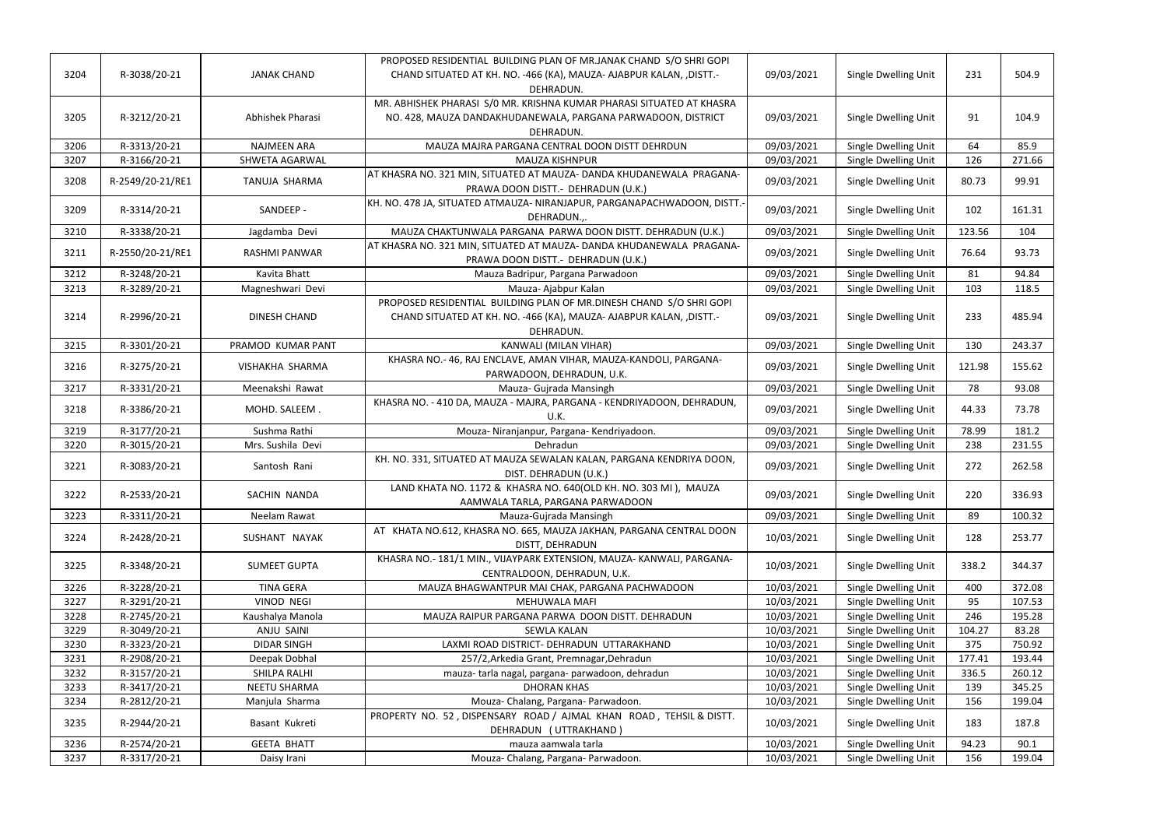|      |                  |                     | PROPOSED RESIDENTIAL BUILDING PLAN OF MR.JANAK CHAND S/O SHRI GOPI       |            |                      |        |        |
|------|------------------|---------------------|--------------------------------------------------------------------------|------------|----------------------|--------|--------|
| 3204 | R-3038/20-21     | <b>JANAK CHAND</b>  | CHAND SITUATED AT KH. NO. -466 (KA), MAUZA- AJABPUR KALAN, ,DISTT.-      | 09/03/2021 | Single Dwelling Unit | 231    | 504.9  |
|      |                  |                     | DEHRADUN.                                                                |            |                      |        |        |
|      |                  |                     | MR. ABHISHEK PHARASI S/0 MR. KRISHNA KUMAR PHARASI SITUATED AT KHASRA    |            |                      |        |        |
| 3205 | R-3212/20-21     | Abhishek Pharasi    | NO. 428, MAUZA DANDAKHUDANEWALA, PARGANA PARWADOON, DISTRICT             | 09/03/2021 | Single Dwelling Unit | 91     | 104.9  |
|      |                  |                     | DEHRADUN.                                                                |            |                      |        |        |
| 3206 | R-3313/20-21     | <b>NAJMEEN ARA</b>  | MAUZA MAJRA PARGANA CENTRAL DOON DISTT DEHRDUN                           | 09/03/2021 | Single Dwelling Unit | 64     | 85.9   |
| 3207 | R-3166/20-21     | SHWETA AGARWAL      | <b>MAUZA KISHNPUR</b>                                                    | 09/03/2021 | Single Dwelling Unit | 126    | 271.66 |
|      |                  |                     | AT KHASRA NO. 321 MIN, SITUATED AT MAUZA- DANDA KHUDANEWALA PRAGANA-     |            |                      |        |        |
| 3208 | R-2549/20-21/RE1 | TANUJA SHARMA       | PRAWA DOON DISTT.- DEHRADUN (U.K.)                                       | 09/03/2021 | Single Dwelling Unit | 80.73  | 99.91  |
| 3209 | R-3314/20-21     | SANDEEP -           | KH. NO. 478 JA, SITUATED ATMAUZA- NIRANJAPUR, PARGANAPACHWADOON, DISTT.- | 09/03/2021 | Single Dwelling Unit | 102    | 161.31 |
|      |                  |                     | DEHRADUN.,.                                                              |            |                      |        |        |
| 3210 | R-3338/20-21     | Jagdamba Devi       | MAUZA CHAKTUNWALA PARGANA PARWA DOON DISTT. DEHRADUN (U.K.)              | 09/03/2021 | Single Dwelling Unit | 123.56 | 104    |
| 3211 | R-2550/20-21/RE1 | RASHMI PANWAR       | AT KHASRA NO. 321 MIN, SITUATED AT MAUZA- DANDA KHUDANEWALA PRAGANA-     | 09/03/2021 | Single Dwelling Unit | 76.64  | 93.73  |
|      |                  |                     | PRAWA DOON DISTT.- DEHRADUN (U.K.)                                       |            |                      |        |        |
| 3212 | R-3248/20-21     | Kavita Bhatt        | Mauza Badripur, Pargana Parwadoon                                        | 09/03/2021 | Single Dwelling Unit | 81     | 94.84  |
| 3213 | R-3289/20-21     | Magneshwari Devi    | Mauza- Ajabpur Kalan                                                     | 09/03/2021 | Single Dwelling Unit | 103    | 118.5  |
|      |                  |                     | PROPOSED RESIDENTIAL BUILDING PLAN OF MR.DINESH CHAND S/O SHRI GOPI      |            |                      |        |        |
| 3214 | R-2996/20-21     | <b>DINESH CHAND</b> | CHAND SITUATED AT KH. NO. -466 (KA), MAUZA- AJABPUR KALAN, ,DISTT.-      | 09/03/2021 | Single Dwelling Unit | 233    | 485.94 |
|      |                  |                     | DEHRADUN.                                                                |            |                      |        |        |
| 3215 | R-3301/20-21     | PRAMOD KUMAR PANT   | KANWALI (MILAN VIHAR)                                                    | 09/03/2021 | Single Dwelling Unit | 130    | 243.37 |
| 3216 | R-3275/20-21     | VISHAKHA SHARMA     | KHASRA NO.-46, RAJ ENCLAVE, AMAN VIHAR, MAUZA-KANDOLI, PARGANA-          | 09/03/2021 | Single Dwelling Unit | 121.98 | 155.62 |
|      |                  |                     | PARWADOON, DEHRADUN, U.K.                                                |            |                      |        |        |
| 3217 | R-3331/20-21     | Meenakshi Rawat     | Mauza- Gujrada Mansingh                                                  | 09/03/2021 | Single Dwelling Unit | 78     | 93.08  |
| 3218 | R-3386/20-21     | MOHD. SALEEM.       | KHASRA NO. - 410 DA, MAUZA - MAJRA, PARGANA - KENDRIYADOON, DEHRADUN,    | 09/03/2021 | Single Dwelling Unit | 44.33  | 73.78  |
|      |                  |                     | U.K.                                                                     |            |                      |        |        |
| 3219 | R-3177/20-21     | Sushma Rathi        | Mouza- Niranjanpur, Pargana- Kendriyadoon.                               | 09/03/2021 | Single Dwelling Unit | 78.99  | 181.2  |
| 3220 | R-3015/20-21     | Mrs. Sushila Devi   | Dehradun                                                                 | 09/03/2021 | Single Dwelling Unit | 238    | 231.55 |
| 3221 | R-3083/20-21     | Santosh Rani        | KH. NO. 331, SITUATED AT MAUZA SEWALAN KALAN, PARGANA KENDRIYA DOON,     | 09/03/2021 | Single Dwelling Unit | 272    | 262.58 |
|      |                  |                     | DIST. DEHRADUN (U.K.)                                                    |            |                      |        |        |
| 3222 | R-2533/20-21     | SACHIN NANDA        | LAND KHATA NO. 1172 & KHASRA NO. 640(OLD KH. NO. 303 MI), MAUZA          | 09/03/2021 | Single Dwelling Unit | 220    | 336.93 |
|      |                  |                     | AAMWALA TARLA, PARGANA PARWADOON                                         |            |                      |        |        |
| 3223 | R-3311/20-21     | Neelam Rawat        | Mauza-Gujrada Mansingh                                                   | 09/03/2021 | Single Dwelling Unit | 89     | 100.32 |
| 3224 | R-2428/20-21     | SUSHANT NAYAK       | AT KHATA NO.612, KHASRA NO. 665, MAUZA JAKHAN, PARGANA CENTRAL DOON      | 10/03/2021 | Single Dwelling Unit | 128    | 253.77 |
|      |                  |                     | DISTT, DEHRADUN                                                          |            |                      |        |        |
| 3225 | R-3348/20-21     | <b>SUMEET GUPTA</b> | KHASRA NO.- 181/1 MIN., VIJAYPARK EXTENSION, MAUZA-KANWALI, PARGANA-     | 10/03/2021 | Single Dwelling Unit | 338.2  | 344.37 |
|      |                  |                     | CENTRALDOON, DEHRADUN, U.K.                                              |            |                      |        |        |
| 3226 | R-3228/20-21     | <b>TINA GERA</b>    | MAUZA BHAGWANTPUR MAI CHAK, PARGANA PACHWADOON                           | 10/03/2021 | Single Dwelling Unit | 400    | 372.08 |
| 3227 | R-3291/20-21     | <b>VINOD NEGI</b>   | MEHUWALA MAFI                                                            | 10/03/2021 | Single Dwelling Unit | 95     | 107.53 |
| 3228 | R-2745/20-21     | Kaushalya Manola    | MAUZA RAIPUR PARGANA PARWA DOON DISTT. DEHRADUN                          | 10/03/2021 | Single Dwelling Unit | 246    | 195.28 |
| 3229 | R-3049/20-21     | ANJU SAINI          | SEWLA KALAN                                                              | 10/03/2021 | Single Dwelling Unit | 104.27 | 83.28  |
| 3230 | R-3323/20-21     | <b>DIDAR SINGH</b>  | LAXMI ROAD DISTRICT- DEHRADUN UTTARAKHAND                                | 10/03/2021 | Single Dwelling Unit | 375    | 750.92 |
| 3231 | R-2908/20-21     | Deepak Dobhal       | 257/2, Arkedia Grant, Premnagar, Dehradun                                | 10/03/2021 | Single Dwelling Unit | 177.41 | 193.44 |
| 3232 | R-3157/20-21     | SHILPA RALHI        | mauza-tarla nagal, pargana-parwadoon, dehradun                           | 10/03/2021 | Single Dwelling Unit | 336.5  | 260.12 |
| 3233 | R-3417/20-21     | NEETU SHARMA        | <b>DHORAN KHAS</b>                                                       | 10/03/2021 | Single Dwelling Unit | 139    | 345.25 |
| 3234 | R-2812/20-21     | Manjula Sharma      | Mouza- Chalang, Pargana- Parwadoon.                                      | 10/03/2021 | Single Dwelling Unit | 156    | 199.04 |
| 3235 | R-2944/20-21     | Basant Kukreti      | PROPERTY NO. 52, DISPENSARY ROAD / AJMAL KHAN ROAD, TEHSIL & DISTT.      | 10/03/2021 | Single Dwelling Unit | 183    | 187.8  |
|      |                  |                     | DEHRADUN (UTTRAKHAND)                                                    |            |                      |        |        |
| 3236 | R-2574/20-21     | <b>GEETA BHATT</b>  | mauza aamwala tarla                                                      | 10/03/2021 | Single Dwelling Unit | 94.23  | 90.1   |
| 3237 | R-3317/20-21     | Daisy Irani         | Mouza-Chalang, Pargana-Parwadoon.                                        | 10/03/2021 | Single Dwelling Unit | 156    | 199.04 |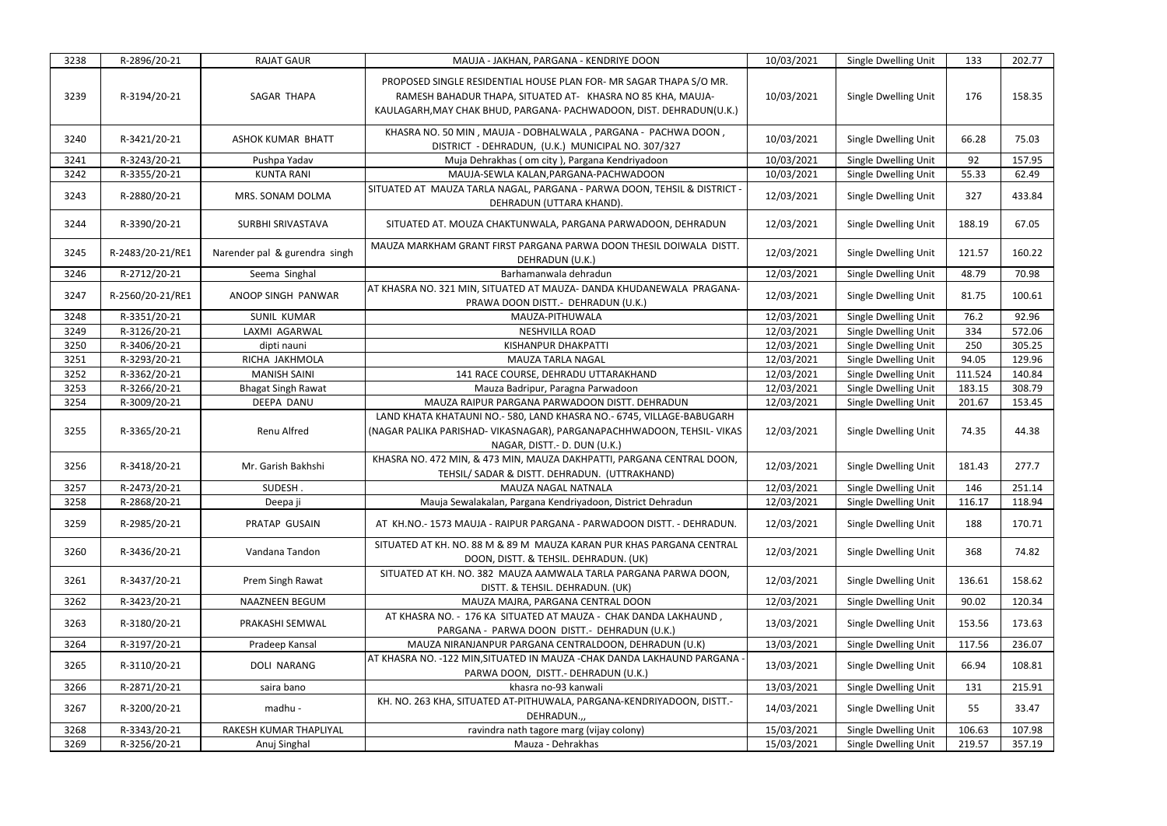| 3238 | R-2896/20-21     | <b>RAJAT GAUR</b>             | MAUJA - JAKHAN, PARGANA - KENDRIYE DOON                                                                                                                                                                  | 10/03/2021 | Single Dwelling Unit        | 133     | 202.77 |
|------|------------------|-------------------------------|----------------------------------------------------------------------------------------------------------------------------------------------------------------------------------------------------------|------------|-----------------------------|---------|--------|
| 3239 | R-3194/20-21     | SAGAR THAPA                   | PROPOSED SINGLE RESIDENTIAL HOUSE PLAN FOR- MR SAGAR THAPA S/O MR.<br>RAMESH BAHADUR THAPA, SITUATED AT- KHASRA NO 85 KHA, MAUJA-<br>KAULAGARH, MAY CHAK BHUD, PARGANA- PACHWADOON, DIST. DEHRADUN(U.K.) | 10/03/2021 | Single Dwelling Unit        | 176     | 158.35 |
| 3240 | R-3421/20-21     | ASHOK KUMAR BHATT             | KHASRA NO. 50 MIN, MAUJA - DOBHALWALA, PARGANA - PACHWA DOON,<br>DISTRICT - DEHRADUN, (U.K.) MUNICIPAL NO. 307/327                                                                                       | 10/03/2021 | Single Dwelling Unit        | 66.28   | 75.03  |
| 3241 | R-3243/20-21     | Pushpa Yadav                  | Muja Dehrakhas (om city), Pargana Kendriyadoon                                                                                                                                                           | 10/03/2021 | Single Dwelling Unit        | 92      | 157.95 |
| 3242 | R-3355/20-21     | <b>KUNTA RANI</b>             | MAUJA-SEWLA KALAN, PARGANA-PACHWADOON                                                                                                                                                                    | 10/03/2021 | Single Dwelling Unit        | 55.33   | 62.49  |
| 3243 | R-2880/20-21     | MRS. SONAM DOLMA              | SITUATED AT MAUZA TARLA NAGAL, PARGANA - PARWA DOON, TEHSIL & DISTRICT -<br>DEHRADUN (UTTARA KHAND).                                                                                                     | 12/03/2021 | Single Dwelling Unit        | 327     | 433.84 |
| 3244 | R-3390/20-21     | SURBHI SRIVASTAVA             | SITUATED AT. MOUZA CHAKTUNWALA, PARGANA PARWADOON, DEHRADUN                                                                                                                                              | 12/03/2021 | Single Dwelling Unit        | 188.19  | 67.05  |
| 3245 | R-2483/20-21/RE1 | Narender pal & gurendra singh | MAUZA MARKHAM GRANT FIRST PARGANA PARWA DOON THESIL DOIWALA DISTT.<br>DEHRADUN (U.K.)                                                                                                                    | 12/03/2021 | Single Dwelling Unit        | 121.57  | 160.22 |
| 3246 | R-2712/20-21     | Seema Singhal                 | Barhamanwala dehradun                                                                                                                                                                                    | 12/03/2021 | Single Dwelling Unit        | 48.79   | 70.98  |
| 3247 | R-2560/20-21/RE1 | ANOOP SINGH PANWAR            | AT KHASRA NO. 321 MIN, SITUATED AT MAUZA- DANDA KHUDANEWALA PRAGANA-<br>PRAWA DOON DISTT. - DEHRADUN (U.K.)                                                                                              | 12/03/2021 | Single Dwelling Unit        | 81.75   | 100.61 |
| 3248 | R-3351/20-21     | <b>SUNIL KUMAR</b>            | MAUZA-PITHUWALA                                                                                                                                                                                          | 12/03/2021 | Single Dwelling Unit        | 76.2    | 92.96  |
| 3249 | R-3126/20-21     | LAXMI AGARWAL                 | <b>NESHVILLA ROAD</b>                                                                                                                                                                                    | 12/03/2021 | Single Dwelling Unit        | 334     | 572.06 |
| 3250 | R-3406/20-21     | dipti nauni                   | <b>KISHANPUR DHAKPATTI</b>                                                                                                                                                                               | 12/03/2021 | Single Dwelling Unit        | 250     | 305.25 |
| 3251 | R-3293/20-21     | RICHA JAKHMOLA                | MAUZA TARLA NAGAL                                                                                                                                                                                        | 12/03/2021 | Single Dwelling Unit        | 94.05   | 129.96 |
| 3252 | R-3362/20-21     | <b>MANISH SAINI</b>           | 141 RACE COURSE, DEHRADU UTTARAKHAND                                                                                                                                                                     | 12/03/2021 | Single Dwelling Unit        | 111.524 | 140.84 |
| 3253 | R-3266/20-21     | <b>Bhagat Singh Rawat</b>     | Mauza Badripur, Paragna Parwadoon                                                                                                                                                                        | 12/03/2021 | Single Dwelling Unit        | 183.15  | 308.79 |
| 3254 | R-3009/20-21     | DEEPA DANU                    | MAUZA RAIPUR PARGANA PARWADOON DISTT. DEHRADUN                                                                                                                                                           | 12/03/2021 | Single Dwelling Unit        | 201.67  | 153.45 |
| 3255 | R-3365/20-21     | Renu Alfred                   | LAND KHATA KHATAUNI NO.- 580, LAND KHASRA NO.- 6745, VILLAGE-BABUGARH<br>(NAGAR PALIKA PARISHAD- VIKASNAGAR), PARGANAPACHHWADOON, TEHSIL- VIKAS<br>NAGAR, DISTT. - D. DUN (U.K.)                         | 12/03/2021 | <b>Single Dwelling Unit</b> | 74.35   | 44.38  |
| 3256 | R-3418/20-21     | Mr. Garish Bakhshi            | KHASRA NO. 472 MIN, & 473 MIN, MAUZA DAKHPATTI, PARGANA CENTRAL DOON,<br>TEHSIL/ SADAR & DISTT. DEHRADUN. (UTTRAKHAND)                                                                                   | 12/03/2021 | Single Dwelling Unit        | 181.43  | 277.7  |
| 3257 | R-2473/20-21     | <b>SUDESH</b>                 | MAUZA NAGAL NATNALA                                                                                                                                                                                      | 12/03/2021 | Single Dwelling Unit        | 146     | 251.14 |
| 3258 | R-2868/20-21     | Deepa ji                      | Mauja Sewalakalan, Pargana Kendriyadoon, District Dehradun                                                                                                                                               | 12/03/2021 | Single Dwelling Unit        | 116.17  | 118.94 |
| 3259 | R-2985/20-21     | PRATAP GUSAIN                 | AT KH.NO.- 1573 MAUJA - RAIPUR PARGANA - PARWADOON DISTT. - DEHRADUN.                                                                                                                                    | 12/03/2021 | Single Dwelling Unit        | 188     | 170.71 |
| 3260 | R-3436/20-21     | Vandana Tandon                | SITUATED AT KH. NO. 88 M & 89 M MAUZA KARAN PUR KHAS PARGANA CENTRAL<br>DOON, DISTT. & TEHSIL. DEHRADUN. (UK)                                                                                            | 12/03/2021 | Single Dwelling Unit        | 368     | 74.82  |
| 3261 | R-3437/20-21     | Prem Singh Rawat              | SITUATED AT KH. NO. 382 MAUZA AAMWALA TARLA PARGANA PARWA DOON,<br>DISTT. & TEHSIL. DEHRADUN. (UK)                                                                                                       | 12/03/2021 | Single Dwelling Unit        | 136.61  | 158.62 |
| 3262 | R-3423/20-21     | NAAZNEEN BEGUM                | MAUZA MAJRA, PARGANA CENTRAL DOON                                                                                                                                                                        | 12/03/2021 | Single Dwelling Unit        | 90.02   | 120.34 |
| 3263 | R-3180/20-21     | PRAKASHI SEMWAL               | AT KHASRA NO. - 176 KA SITUATED AT MAUZA - CHAK DANDA LAKHAUND,<br>PARGANA - PARWA DOON DISTT. - DEHRADUN (U.K.)                                                                                         | 13/03/2021 | Single Dwelling Unit        | 153.56  | 173.63 |
| 3264 | R-3197/20-21     | Pradeep Kansal                | MAUZA NIRANJANPUR PARGANA CENTRALDOON, DEHRADUN (U.K)                                                                                                                                                    | 13/03/2021 | Single Dwelling Unit        | 117.56  | 236.07 |
| 3265 | R-3110/20-21     | <b>DOLI NARANG</b>            | AT KHASRA NO. - 122 MIN, SITUATED IN MAUZA - CHAK DANDA LAKHAUND PARGANA -<br>PARWA DOON, DISTT.- DEHRADUN (U.K.)                                                                                        | 13/03/2021 | Single Dwelling Unit        | 66.94   | 108.81 |
| 3266 | R-2871/20-21     | saira bano                    | khasra no-93 kanwali                                                                                                                                                                                     | 13/03/2021 | Single Dwelling Unit        | 131     | 215.91 |
| 3267 | R-3200/20-21     | madhu -                       | KH. NO. 263 KHA, SITUATED AT-PITHUWALA, PARGANA-KENDRIYADOON, DISTT.-<br>DEHRADUN.,,                                                                                                                     | 14/03/2021 | Single Dwelling Unit        | 55      | 33.47  |
| 3268 | R-3343/20-21     | RAKESH KUMAR THAPLIYAL        | ravindra nath tagore marg (vijay colony)                                                                                                                                                                 | 15/03/2021 | Single Dwelling Unit        | 106.63  | 107.98 |
| 3269 | R-3256/20-21     | Anuj Singhal                  | Mauza - Dehrakhas                                                                                                                                                                                        | 15/03/2021 | Single Dwelling Unit        | 219.57  | 357.19 |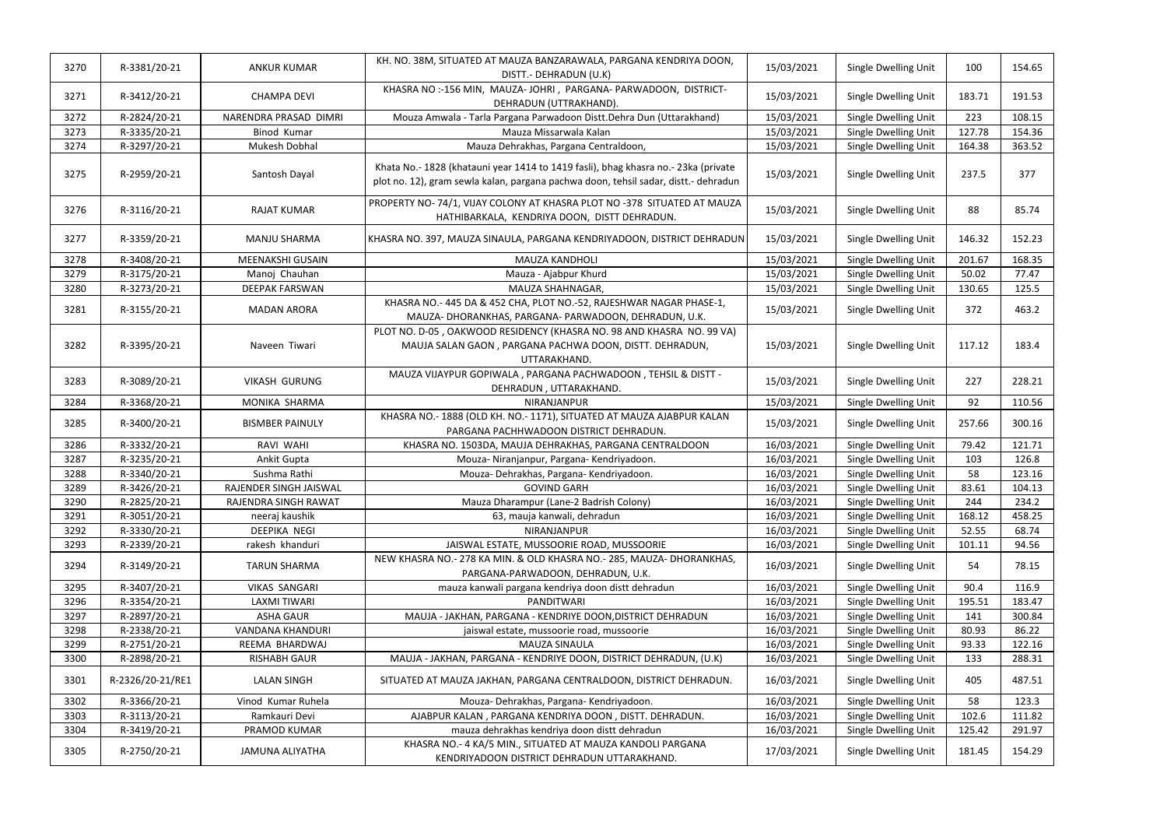|      |                  |                         | KH. NO. 38M, SITUATED AT MAUZA BANZARAWALA, PARGANA KENDRIYA DOON,                                        |            |                      |        |        |
|------|------------------|-------------------------|-----------------------------------------------------------------------------------------------------------|------------|----------------------|--------|--------|
| 3270 | R-3381/20-21     | <b>ANKUR KUMAR</b>      | DISTT.- DEHRADUN (U.K)                                                                                    | 15/03/2021 | Single Dwelling Unit | 100    | 154.65 |
|      |                  |                         | KHASRA NO :- 156 MIN, MAUZA-JOHRI, PARGANA-PARWADOON, DISTRICT-                                           |            |                      |        |        |
| 3271 | R-3412/20-21     | <b>CHAMPA DEVI</b>      | DEHRADUN (UTTRAKHAND).                                                                                    | 15/03/2021 | Single Dwelling Unit | 183.71 | 191.53 |
| 3272 | R-2824/20-21     | NARENDRA PRASAD DIMRI   | Mouza Amwala - Tarla Pargana Parwadoon Distt.Dehra Dun (Uttarakhand)                                      | 15/03/2021 | Single Dwelling Unit | 223    | 108.15 |
| 3273 | R-3335/20-21     | <b>Binod Kumar</b>      | Mauza Missarwala Kalan                                                                                    | 15/03/2021 | Single Dwelling Unit | 127.78 | 154.36 |
| 3274 | R-3297/20-21     | Mukesh Dobhal           | Mauza Dehrakhas, Pargana Centraldoon,                                                                     | 15/03/2021 | Single Dwelling Unit | 164.38 | 363.52 |
|      |                  |                         |                                                                                                           |            |                      |        |        |
| 3275 | R-2959/20-21     | Santosh Dayal           | Khata No.- 1828 (khatauni year 1414 to 1419 fasli), bhag khasra no.- 23ka (private                        | 15/03/2021 | Single Dwelling Unit | 237.5  | 377    |
|      |                  |                         | plot no. 12), gram sewla kalan, pargana pachwa doon, tehsil sadar, distt.- dehradun                       |            |                      |        |        |
|      |                  |                         | PROPERTY NO- 74/1, VIJAY COLONY AT KHASRA PLOT NO -378 SITUATED AT MAUZA                                  |            |                      | 88     | 85.74  |
| 3276 | R-3116/20-21     | <b>RAJAT KUMAR</b>      | HATHIBARKALA, KENDRIYA DOON, DISTT DEHRADUN.                                                              | 15/03/2021 | Single Dwelling Unit |        |        |
| 3277 | R-3359/20-21     |                         |                                                                                                           |            |                      | 146.32 | 152.23 |
|      |                  | <b>MANJU SHARMA</b>     | KHASRA NO. 397, MAUZA SINAULA, PARGANA KENDRIYADOON, DISTRICT DEHRADUN                                    | 15/03/2021 | Single Dwelling Unit |        |        |
| 3278 | R-3408/20-21     | <b>MEENAKSHI GUSAIN</b> | MAUZA KANDHOLI                                                                                            | 15/03/2021 | Single Dwelling Unit | 201.67 | 168.35 |
| 3279 | R-3175/20-21     | Manoj Chauhan           | Mauza - Ajabpur Khurd                                                                                     | 15/03/2021 | Single Dwelling Unit | 50.02  | 77.47  |
| 3280 | R-3273/20-21     | <b>DEEPAK FARSWAN</b>   | MAUZA SHAHNAGAR,                                                                                          | 15/03/2021 | Single Dwelling Unit | 130.65 | 125.5  |
| 3281 |                  | <b>MADAN ARORA</b>      | KHASRA NO.- 445 DA & 452 CHA, PLOT NO.-52, RAJESHWAR NAGAR PHASE-1,                                       |            | Single Dwelling Unit | 372    | 463.2  |
|      | R-3155/20-21     |                         | MAUZA- DHORANKHAS, PARGANA- PARWADOON, DEHRADUN, U.K.                                                     | 15/03/2021 |                      |        |        |
|      |                  |                         | PLOT NO. D-05, OAKWOOD RESIDENCY (KHASRA NO. 98 AND KHASRA NO. 99 VA)                                     |            |                      |        |        |
| 3282 | R-3395/20-21     | Naveen Tiwari           | MAUJA SALAN GAON, PARGANA PACHWA DOON, DISTT. DEHRADUN,                                                   | 15/03/2021 | Single Dwelling Unit | 117.12 | 183.4  |
|      |                  |                         | UTTARAKHAND.                                                                                              |            |                      |        |        |
|      |                  |                         | MAUZA VIJAYPUR GOPIWALA, PARGANA PACHWADOON, TEHSIL & DISTT -                                             |            |                      | 227    |        |
| 3283 | R-3089/20-21     | <b>VIKASH GURUNG</b>    | DEHRADUN, UTTARAKHAND.                                                                                    | 15/03/2021 | Single Dwelling Unit |        | 228.21 |
| 3284 | R-3368/20-21     | MONIKA SHARMA           | NIRANJANPUR                                                                                               | 15/03/2021 | Single Dwelling Unit | 92     | 110.56 |
|      |                  |                         | KHASRA NO.- 1888 (OLD KH. NO.- 1171), SITUATED AT MAUZA AJABPUR KALAN                                     |            |                      |        |        |
| 3285 | R-3400/20-21     | <b>BISMBER PAINULY</b>  | PARGANA PACHHWADOON DISTRICT DEHRADUN.                                                                    | 15/03/2021 | Single Dwelling Unit | 257.66 | 300.16 |
| 3286 | R-3332/20-21     | RAVI WAHI               | KHASRA NO. 1503DA, MAUJA DEHRAKHAS, PARGANA CENTRALDOON                                                   | 16/03/2021 | Single Dwelling Unit | 79.42  | 121.71 |
| 3287 | R-3235/20-21     | Ankit Gupta             | Mouza- Niranjanpur, Pargana- Kendriyadoon.                                                                | 16/03/2021 | Single Dwelling Unit | 103    | 126.8  |
| 3288 | R-3340/20-21     | Sushma Rathi            | Mouza- Dehrakhas, Pargana- Kendriyadoon.                                                                  | 16/03/2021 | Single Dwelling Unit | 58     | 123.16 |
| 3289 | R-3426/20-21     | RAJENDER SINGH JAISWAL  | <b>GOVIND GARH</b>                                                                                        | 16/03/2021 | Single Dwelling Unit | 83.61  | 104.13 |
| 3290 | R-2825/20-21     | RAJENDRA SINGH RAWAT    | Mauza Dharampur (Lane-2 Badrish Colony)                                                                   | 16/03/2021 | Single Dwelling Unit | 244    | 234.2  |
| 3291 | R-3051/20-21     | neeraj kaushik          | 63, mauja kanwali, dehradun                                                                               | 16/03/2021 | Single Dwelling Unit | 168.12 | 458.25 |
| 3292 | R-3330/20-21     | <b>DEEPIKA NEGI</b>     | NIRANJANPUR                                                                                               | 16/03/2021 | Single Dwelling Unit | 52.55  | 68.74  |
| 3293 | R-2339/20-21     | rakesh khanduri         | JAISWAL ESTATE, MUSSOORIE ROAD, MUSSOORIE                                                                 | 16/03/2021 | Single Dwelling Unit | 101.11 | 94.56  |
| 3294 | R-3149/20-21     | <b>TARUN SHARMA</b>     | NEW KHASRA NO.- 278 KA MIN. & OLD KHASRA NO.- 285, MAUZA- DHORANKHAS,                                     |            |                      |        | 78.15  |
|      |                  |                         | PARGANA-PARWADOON, DEHRADUN, U.K.                                                                         | 16/03/2021 | Single Dwelling Unit | 54     |        |
| 3295 | R-3407/20-21     | <b>VIKAS SANGARI</b>    | mauza kanwali pargana kendriya doon distt dehradun                                                        | 16/03/2021 | Single Dwelling Unit | 90.4   | 116.9  |
| 3296 | R-3354/20-21     | <b>LAXMI TIWARI</b>     | PANDITWARI                                                                                                | 16/03/2021 | Single Dwelling Unit | 195.51 | 183.47 |
| 3297 | R-2897/20-21     | <b>ASHA GAUR</b>        | MAUJA - JAKHAN, PARGANA - KENDRIYE DOON, DISTRICT DEHRADUN                                                | 16/03/2021 | Single Dwelling Unit | 141    | 300.84 |
| 3298 | R-2338/20-21     | VANDANA KHANDURI        | jaiswal estate, mussoorie road, mussoorie                                                                 | 16/03/2021 | Single Dwelling Unit | 80.93  | 86.22  |
| 3299 | R-2751/20-21     | REEMA BHARDWAJ          | MAUZA SINAULA                                                                                             | 16/03/2021 | Single Dwelling Unit | 93.33  | 122.16 |
| 3300 | R-2898/20-21     | <b>RISHABH GAUR</b>     | MAUJA - JAKHAN, PARGANA - KENDRIYE DOON, DISTRICT DEHRADUN, (U.K)                                         | 16/03/2021 | Single Dwelling Unit | 133    | 288.31 |
| 3301 | R-2326/20-21/RE1 | <b>LALAN SINGH</b>      | SITUATED AT MAUZA JAKHAN, PARGANA CENTRALDOON, DISTRICT DEHRADUN.                                         | 16/03/2021 | Single Dwelling Unit | 405    | 487.51 |
| 3302 | R-3366/20-21     | Vinod Kumar Ruhela      | Mouza- Dehrakhas, Pargana- Kendriyadoon.                                                                  | 16/03/2021 | Single Dwelling Unit | 58     | 123.3  |
| 3303 | R-3113/20-21     | Ramkauri Devi           | AJABPUR KALAN, PARGANA KENDRIYA DOON, DISTT. DEHRADUN.                                                    | 16/03/2021 | Single Dwelling Unit | 102.6  | 111.82 |
| 3304 | R-3419/20-21     | PRAMOD KUMAR            | mauza dehrakhas kendriya doon distt dehradun                                                              | 16/03/2021 | Single Dwelling Unit | 125.42 | 291.97 |
| 3305 | R-2750/20-21     | JAMUNA ALIYATHA         | KHASRA NO.- 4 KA/5 MIN., SITUATED AT MAUZA KANDOLI PARGANA<br>KENDRIYADOON DISTRICT DEHRADUN UTTARAKHAND. | 17/03/2021 | Single Dwelling Unit | 181.45 | 154.29 |
|      |                  |                         |                                                                                                           |            |                      |        |        |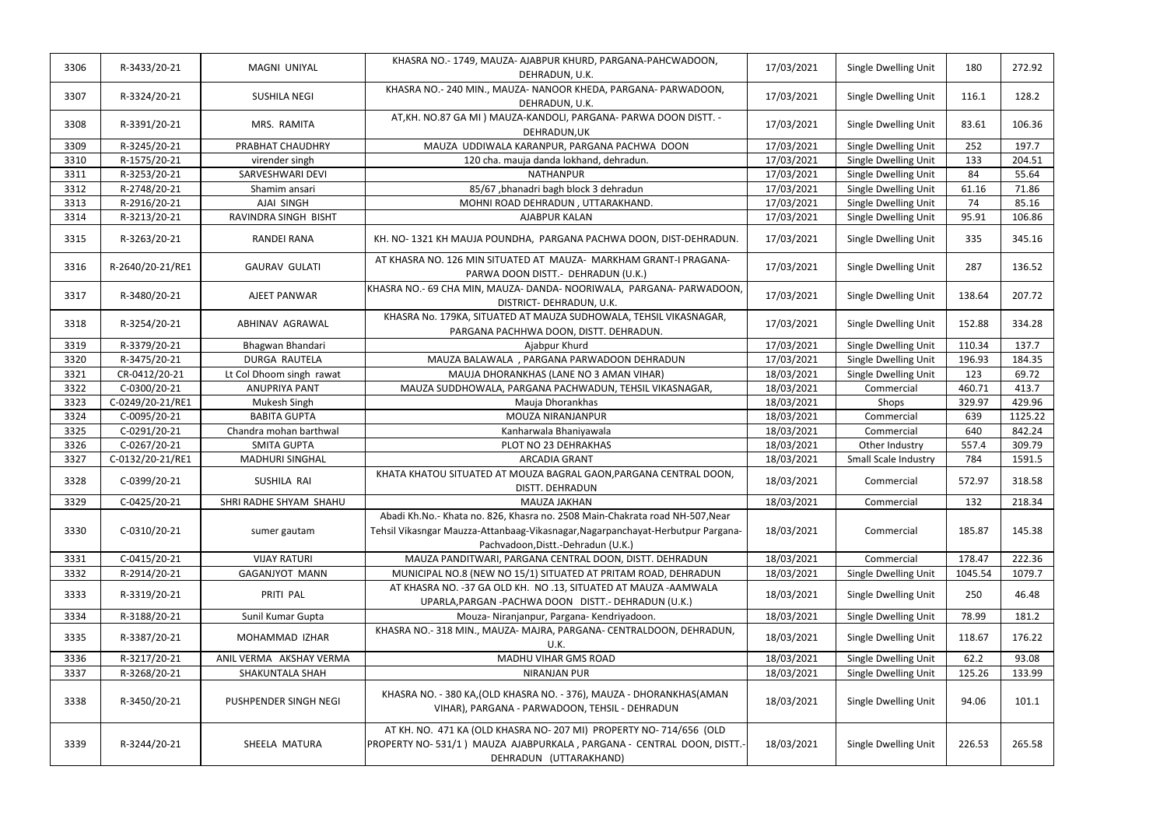| 3306 | R-3433/20-21     | MAGNI UNIYAL             | KHASRA NO.- 1749, MAUZA- AJABPUR KHURD, PARGANA-PAHCWADOON,<br>DEHRADUN, U.K.                                                                                           | 17/03/2021 | Single Dwelling Unit | 180     | 272.92  |
|------|------------------|--------------------------|-------------------------------------------------------------------------------------------------------------------------------------------------------------------------|------------|----------------------|---------|---------|
| 3307 | R-3324/20-21     | <b>SUSHILA NEGI</b>      | KHASRA NO.- 240 MIN., MAUZA- NANOOR KHEDA, PARGANA- PARWADOON,                                                                                                          | 17/03/2021 | Single Dwelling Unit | 116.1   | 128.2   |
|      |                  |                          | DEHRADUN, U.K.                                                                                                                                                          |            |                      |         |         |
| 3308 | R-3391/20-21     | MRS. RAMITA              | AT, KH. NO.87 GA MI ) MAUZA-KANDOLI, PARGANA- PARWA DOON DISTT. -<br>DEHRADUN, UK                                                                                       | 17/03/2021 | Single Dwelling Unit | 83.61   | 106.36  |
| 3309 | R-3245/20-21     | PRABHAT CHAUDHRY         | MAUZA UDDIWALA KARANPUR, PARGANA PACHWA DOON                                                                                                                            | 17/03/2021 | Single Dwelling Unit | 252     | 197.7   |
| 3310 | R-1575/20-21     | virender singh           | 120 cha. mauja danda lokhand, dehradun.                                                                                                                                 | 17/03/2021 | Single Dwelling Unit | 133     | 204.51  |
| 3311 | R-3253/20-21     | SARVESHWARI DEVI         | <b>NATHANPUR</b>                                                                                                                                                        | 17/03/2021 | Single Dwelling Unit | 84      | 55.64   |
| 3312 | R-2748/20-21     | Shamim ansari            | 85/67, bhanadri bagh block 3 dehradun                                                                                                                                   | 17/03/2021 | Single Dwelling Unit | 61.16   | 71.86   |
| 3313 | R-2916/20-21     | AJAI SINGH               | MOHNI ROAD DEHRADUN, UTTARAKHAND.                                                                                                                                       | 17/03/2021 | Single Dwelling Unit | 74      | 85.16   |
| 3314 | R-3213/20-21     | RAVINDRA SINGH BISHT     | AJABPUR KALAN                                                                                                                                                           | 17/03/2021 | Single Dwelling Unit | 95.91   | 106.86  |
| 3315 | R-3263/20-21     | RANDEI RANA              | KH. NO-1321 KH MAUJA POUNDHA, PARGANA PACHWA DOON, DIST-DEHRADUN.                                                                                                       | 17/03/2021 | Single Dwelling Unit | 335     | 345.16  |
| 3316 | R-2640/20-21/RE1 | <b>GAURAV GULATI</b>     | AT KHASRA NO. 126 MIN SITUATED AT MAUZA- MARKHAM GRANT-I PRAGANA-<br>PARWA DOON DISTT. - DEHRADUN (U.K.)                                                                | 17/03/2021 | Single Dwelling Unit | 287     | 136.52  |
| 3317 | R-3480/20-21     | AJEET PANWAR             | KHASRA NO.- 69 CHA MIN, MAUZA- DANDA- NOORIWALA, PARGANA- PARWADOON,<br>DISTRICT- DEHRADUN, U.K.                                                                        | 17/03/2021 | Single Dwelling Unit | 138.64  | 207.72  |
| 3318 | R-3254/20-21     | ABHINAV AGRAWAL          | KHASRA No. 179KA, SITUATED AT MAUZA SUDHOWALA, TEHSIL VIKASNAGAR,<br>PARGANA PACHHWA DOON, DISTT. DEHRADUN.                                                             | 17/03/2021 | Single Dwelling Unit | 152.88  | 334.28  |
| 3319 | R-3379/20-21     | Bhagwan Bhandari         | Ajabpur Khurd                                                                                                                                                           | 17/03/2021 | Single Dwelling Unit | 110.34  | 137.7   |
| 3320 | R-3475/20-21     | DURGA RAUTELA            | MAUZA BALAWALA, PARGANA PARWADOON DEHRADUN                                                                                                                              | 17/03/2021 | Single Dwelling Unit | 196.93  | 184.35  |
| 3321 | CR-0412/20-21    | Lt Col Dhoom singh rawat | MAUJA DHORANKHAS (LANE NO 3 AMAN VIHAR)                                                                                                                                 | 18/03/2021 | Single Dwelling Unit | 123     | 69.72   |
| 3322 | C-0300/20-21     | <b>ANUPRIYA PANT</b>     | MAUZA SUDDHOWALA, PARGANA PACHWADUN, TEHSIL VIKASNAGAR,                                                                                                                 | 18/03/2021 | Commercial           | 460.71  | 413.7   |
| 3323 | C-0249/20-21/RE1 | Mukesh Singh             | Mauja Dhorankhas                                                                                                                                                        | 18/03/2021 | Shops                | 329.97  | 429.96  |
| 3324 | C-0095/20-21     | <b>BABITA GUPTA</b>      | MOUZA NIRANJANPUR                                                                                                                                                       | 18/03/2021 | Commercial           | 639     | 1125.22 |
| 3325 | C-0291/20-21     | Chandra mohan barthwal   | Kanharwala Bhaniyawala                                                                                                                                                  | 18/03/2021 | Commercial           | 640     | 842.24  |
| 3326 | C-0267/20-21     | <b>SMITA GUPTA</b>       | PLOT NO 23 DEHRAKHAS                                                                                                                                                    | 18/03/2021 | Other Industry       | 557.4   | 309.79  |
| 3327 | C-0132/20-21/RE1 | <b>MADHURI SINGHAL</b>   | <b>ARCADIA GRANT</b>                                                                                                                                                    | 18/03/2021 | Small Scale Industry | 784     | 1591.5  |
| 3328 | C-0399/20-21     | SUSHILA RAI              | KHATA KHATOU SITUATED AT MOUZA BAGRAL GAON, PARGANA CENTRAL DOON,<br>DISTT. DEHRADUN                                                                                    | 18/03/2021 | Commercial           | 572.97  | 318.58  |
| 3329 | C-0425/20-21     | SHRI RADHE SHYAM SHAHU   | MAUZA JAKHAN                                                                                                                                                            | 18/03/2021 | Commercial           | 132     | 218.34  |
|      |                  |                          | Abadi Kh.No.- Khata no. 826, Khasra no. 2508 Main-Chakrata road NH-507, Near                                                                                            |            |                      |         |         |
| 3330 | C-0310/20-21     | sumer gautam             | Tehsil Vikasngar Mauzza-Attanbaag-Vikasnagar, Nagarpanchayat-Herbutpur Pargana-<br>Pachvadoon, Distt.-Dehradun (U.K.)                                                   | 18/03/2021 | Commercial           | 185.87  | 145.38  |
| 3331 | C-0415/20-21     | <b>VIJAY RATURI</b>      | MAUZA PANDITWARI, PARGANA CENTRAL DOON, DISTT. DEHRADUN                                                                                                                 | 18/03/2021 | Commercial           | 178.47  | 222.36  |
| 3332 | R-2914/20-21     | <b>GAGANJYOT MANN</b>    | MUNICIPAL NO.8 (NEW NO 15/1) SITUATED AT PRITAM ROAD, DEHRADUN                                                                                                          | 18/03/2021 | Single Dwelling Unit | 1045.54 | 1079.7  |
| 3333 | R-3319/20-21     | PRITI PAL                | AT KHASRA NO. - 37 GA OLD KH. NO . 13, SITUATED AT MAUZA - AAMWALA<br>UPARLA, PARGAN - PACHWA DOON DISTT. - DEHRADUN (U.K.)                                             | 18/03/2021 | Single Dwelling Unit | 250     | 46.48   |
| 3334 | R-3188/20-21     | Sunil Kumar Gupta        | Mouza- Niranjanpur, Pargana- Kendriyadoon.                                                                                                                              | 18/03/2021 | Single Dwelling Unit | 78.99   | 181.2   |
| 3335 | R-3387/20-21     | MOHAMMAD IZHAR           | KHASRA NO.- 318 MIN., MAUZA- MAJRA, PARGANA- CENTRALDOON, DEHRADUN,<br>U.K.                                                                                             | 18/03/2021 | Single Dwelling Unit | 118.67  | 176.22  |
| 3336 | R-3217/20-21     | ANIL VERMA AKSHAY VERMA  | MADHU VIHAR GMS ROAD                                                                                                                                                    | 18/03/2021 | Single Dwelling Unit | 62.2    | 93.08   |
| 3337 | R-3268/20-21     | SHAKUNTALA SHAH          | <b>NIRANJAN PUR</b>                                                                                                                                                     | 18/03/2021 | Single Dwelling Unit | 125.26  | 133.99  |
| 3338 | R-3450/20-21     | PUSHPENDER SINGH NEGI    | KHASRA NO. - 380 KA, (OLD KHASRA NO. - 376), MAUZA - DHORANKHAS (AMAN<br>VIHAR), PARGANA - PARWADOON, TEHSIL - DEHRADUN                                                 | 18/03/2021 | Single Dwelling Unit | 94.06   | 101.1   |
| 3339 | R-3244/20-21     | SHEELA MATURA            | AT KH. NO. 471 KA (OLD KHASRA NO- 207 MI) PROPERTY NO- 714/656 (OLD<br>PROPERTY NO- 531/1) MAUZA AJABPURKALA, PARGANA - CENTRAL DOON, DISTT.-<br>DEHRADUN (UTTARAKHAND) | 18/03/2021 | Single Dwelling Unit | 226.53  | 265.58  |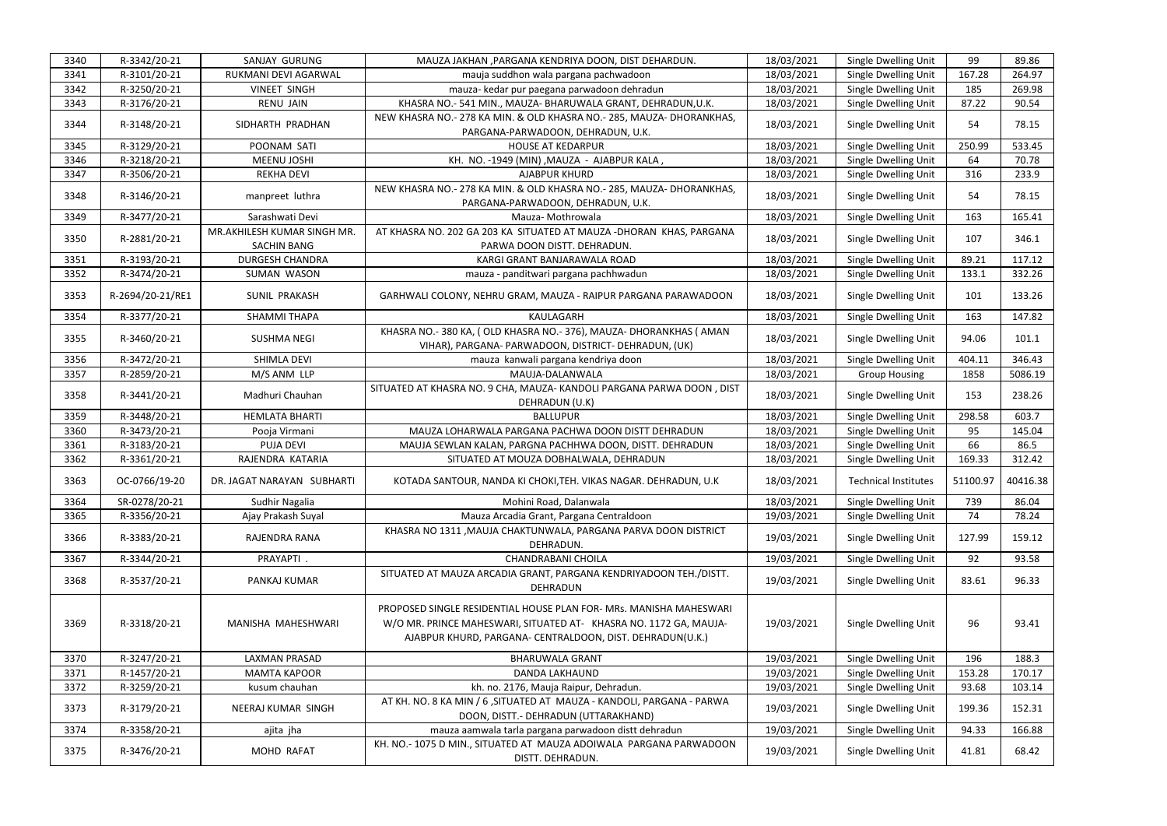| 3340 | R-3342/20-21                 | SANJAY GURUNG                                     | MAUZA JAKHAN , PARGANA KENDRIYA DOON, DIST DEHARDUN.                                                                                                                                                 | 18/03/2021               | Single Dwelling Unit                         | 99       | 89.86    |
|------|------------------------------|---------------------------------------------------|------------------------------------------------------------------------------------------------------------------------------------------------------------------------------------------------------|--------------------------|----------------------------------------------|----------|----------|
| 3341 | R-3101/20-21                 | RUKMANI DEVI AGARWAL                              | mauja suddhon wala pargana pachwadoon                                                                                                                                                                | 18/03/2021               | Single Dwelling Unit                         | 167.28   | 264.97   |
| 3342 | R-3250/20-21                 | <b>VINEET SINGH</b>                               | mauza- kedar pur paegana parwadoon dehradun                                                                                                                                                          | 18/03/2021               | Single Dwelling Unit                         | 185      | 269.98   |
| 3343 |                              | <b>RENU JAIN</b>                                  | KHASRA NO.- 541 MIN., MAUZA- BHARUWALA GRANT, DEHRADUN, U.K.                                                                                                                                         |                          |                                              | 87.22    | 90.54    |
| 3344 | R-3176/20-21<br>R-3148/20-21 | SIDHARTH PRADHAN                                  | NEW KHASRA NO.- 278 KA MIN. & OLD KHASRA NO.- 285, MAUZA- DHORANKHAS,<br>PARGANA-PARWADOON, DEHRADUN, U.K.                                                                                           | 18/03/2021<br>18/03/2021 | Single Dwelling Unit<br>Single Dwelling Unit | 54       | 78.15    |
|      |                              |                                                   |                                                                                                                                                                                                      |                          | Single Dwelling Unit                         |          |          |
| 3345 | R-3129/20-21                 | POONAM SATI                                       | <b>HOUSE AT KEDARPUR</b>                                                                                                                                                                             | 18/03/2021               |                                              | 250.99   | 533.45   |
| 3346 | R-3218/20-21                 | <b>MEENU JOSHI</b>                                | KH. NO. - 1949 (MIN), MAUZA - AJABPUR KALA,                                                                                                                                                          | 18/03/2021               | Single Dwelling Unit                         | 64       | 70.78    |
| 3347 | R-3506/20-21                 | <b>REKHA DEVI</b>                                 | <b>AJABPUR KHURD</b>                                                                                                                                                                                 | 18/03/2021               | Single Dwelling Unit                         | 316      | 233.9    |
| 3348 | R-3146/20-21                 | manpreet luthra                                   | NEW KHASRA NO.- 278 KA MIN. & OLD KHASRA NO.- 285, MAUZA- DHORANKHAS,<br>PARGANA-PARWADOON, DEHRADUN, U.K.                                                                                           | 18/03/2021               | Single Dwelling Unit                         | 54       | 78.15    |
| 3349 | R-3477/20-21                 | Sarashwati Devi                                   | Mauza- Mothrowala                                                                                                                                                                                    | 18/03/2021               | Single Dwelling Unit                         | 163      | 165.41   |
| 3350 | R-2881/20-21                 | MR.AKHILESH KUMAR SINGH MR.<br><b>SACHIN BANG</b> | AT KHASRA NO. 202 GA 203 KA SITUATED AT MAUZA -DHORAN KHAS, PARGANA<br>PARWA DOON DISTT. DEHRADUN.                                                                                                   | 18/03/2021               | Single Dwelling Unit                         | 107      | 346.1    |
| 3351 | R-3193/20-21                 | <b>DURGESH CHANDRA</b>                            | KARGI GRANT BANJARAWALA ROAD                                                                                                                                                                         | 18/03/2021               | Single Dwelling Unit                         | 89.21    | 117.12   |
| 3352 | R-3474/20-21                 | <b>SUMAN WASON</b>                                | mauza - panditwari pargana pachhwadun                                                                                                                                                                | 18/03/2021               | Single Dwelling Unit                         | 133.1    | 332.26   |
| 3353 | R-2694/20-21/RE1             | SUNIL PRAKASH                                     | GARHWALI COLONY, NEHRU GRAM, MAUZA - RAIPUR PARGANA PARAWADOON                                                                                                                                       | 18/03/2021               | Single Dwelling Unit                         | 101      | 133.26   |
| 3354 | R-3377/20-21                 | <b>SHAMMI THAPA</b>                               | KAULAGARH                                                                                                                                                                                            | 18/03/2021               | Single Dwelling Unit                         | 163      | 147.82   |
| 3355 | R-3460/20-21                 | <b>SUSHMA NEGI</b>                                | KHASRA NO.-380 KA, (OLD KHASRA NO.-376), MAUZA-DHORANKHAS (AMAN<br>VIHAR), PARGANA- PARWADOON, DISTRICT- DEHRADUN, (UK)                                                                              | 18/03/2021               | Single Dwelling Unit                         | 94.06    | 101.1    |
| 3356 | R-3472/20-21                 | <b>SHIMLA DEVI</b>                                | mauza kanwali pargana kendriya doon                                                                                                                                                                  | 18/03/2021               | Single Dwelling Unit                         | 404.11   | 346.43   |
| 3357 | R-2859/20-21                 | M/S ANM LLP                                       | MAUJA-DALANWALA                                                                                                                                                                                      | 18/03/2021               | <b>Group Housing</b>                         | 1858     | 5086.19  |
| 3358 | R-3441/20-21                 | Madhuri Chauhan                                   | SITUATED AT KHASRA NO. 9 CHA, MAUZA-KANDOLI PARGANA PARWA DOON, DIST<br>DEHRADUN (U.K)                                                                                                               | 18/03/2021               | Single Dwelling Unit                         | 153      | 238.26   |
| 3359 | R-3448/20-21                 | <b>HEMLATA BHARTI</b>                             | <b>BALLUPUR</b>                                                                                                                                                                                      | 18/03/2021               | Single Dwelling Unit                         | 298.58   | 603.7    |
| 3360 | R-3473/20-21                 | Pooja Virmani                                     | MAUZA LOHARWALA PARGANA PACHWA DOON DISTT DEHRADUN                                                                                                                                                   | 18/03/2021               | Single Dwelling Unit                         | 95       | 145.04   |
| 3361 | R-3183/20-21                 | <b>PUJA DEVI</b>                                  | MAUJA SEWLAN KALAN, PARGNA PACHHWA DOON, DISTT. DEHRADUN                                                                                                                                             | 18/03/2021               | Single Dwelling Unit                         | 66       | 86.5     |
| 3362 | R-3361/20-21                 | RAJENDRA KATARIA                                  | SITUATED AT MOUZA DOBHALWALA, DEHRADUN                                                                                                                                                               | 18/03/2021               | Single Dwelling Unit                         | 169.33   | 312.42   |
| 3363 | OC-0766/19-20                | DR. JAGAT NARAYAN SUBHARTI                        | KOTADA SANTOUR, NANDA KI CHOKI, TEH. VIKAS NAGAR. DEHRADUN, U.K                                                                                                                                      | 18/03/2021               | <b>Technical Institutes</b>                  | 51100.97 | 40416.38 |
| 3364 | SR-0278/20-21                | Sudhir Nagalia                                    | Mohini Road, Dalanwala                                                                                                                                                                               | 18/03/2021               | Single Dwelling Unit                         | 739      | 86.04    |
| 3365 | R-3356/20-21                 | Ajay Prakash Suyal                                | Mauza Arcadia Grant, Pargana Centraldoon                                                                                                                                                             | 19/03/2021               | Single Dwelling Unit                         | 74       | 78.24    |
| 3366 | R-3383/20-21                 | RAJENDRA RANA                                     | KHASRA NO 1311, MAUJA CHAKTUNWALA, PARGANA PARVA DOON DISTRICT<br>DEHRADUN.                                                                                                                          | 19/03/2021               | Single Dwelling Unit                         | 127.99   | 159.12   |
| 3367 | R-3344/20-21                 | PRAYAPTI.                                         | <b>CHANDRABANI CHOILA</b>                                                                                                                                                                            | 19/03/2021               | Single Dwelling Unit                         | 92       | 93.58    |
| 3368 | R-3537/20-21                 | PANKAJ KUMAR                                      | SITUATED AT MAUZA ARCADIA GRANT, PARGANA KENDRIYADOON TEH./DISTT.<br>DEHRADUN                                                                                                                        | 19/03/2021               | Single Dwelling Unit                         | 83.61    | 96.33    |
| 3369 | R-3318/20-21                 | MANISHA MAHESHWARI                                | PROPOSED SINGLE RESIDENTIAL HOUSE PLAN FOR- MRs. MANISHA MAHESWARI<br>W/O MR. PRINCE MAHESWARI, SITUATED AT- KHASRA NO. 1172 GA, MAUJA-<br>AJABPUR KHURD, PARGANA- CENTRALDOON, DIST. DEHRADUN(U.K.) | 19/03/2021               | Single Dwelling Unit                         | 96       | 93.41    |
| 3370 | R-3247/20-21                 | <b>LAXMAN PRASAD</b>                              | <b>BHARUWALA GRANT</b>                                                                                                                                                                               | 19/03/2021               | Single Dwelling Unit                         | 196      | 188.3    |
| 3371 | R-1457/20-21                 | <b>MAMTA KAPOOR</b>                               | <b>DANDA LAKHAUND</b>                                                                                                                                                                                | 19/03/2021               | Single Dwelling Unit                         | 153.28   | 170.17   |
| 3372 | R-3259/20-21                 | kusum chauhan                                     | kh. no. 2176, Mauja Raipur, Dehradun.                                                                                                                                                                | 19/03/2021               | Single Dwelling Unit                         | 93.68    | 103.14   |
| 3373 | R-3179/20-21                 | NEERAJ KUMAR SINGH                                | AT KH. NO. 8 KA MIN / 6, SITUATED AT MAUZA - KANDOLI, PARGANA - PARWA<br>DOON, DISTT.- DEHRADUN (UTTARAKHAND)                                                                                        | 19/03/2021               | Single Dwelling Unit                         | 199.36   | 152.31   |
| 3374 | R-3358/20-21                 | ajita jha                                         | mauza aamwala tarla pargana parwadoon distt dehradun                                                                                                                                                 | 19/03/2021               | Single Dwelling Unit                         | 94.33    | 166.88   |
| 3375 | R-3476/20-21                 | MOHD RAFAT                                        | KH. NO.- 1075 D MIN., SITUATED AT MAUZA ADOIWALA PARGANA PARWADOON<br>DISTT. DEHRADUN.                                                                                                               | 19/03/2021               | Single Dwelling Unit                         | 41.81    | 68.42    |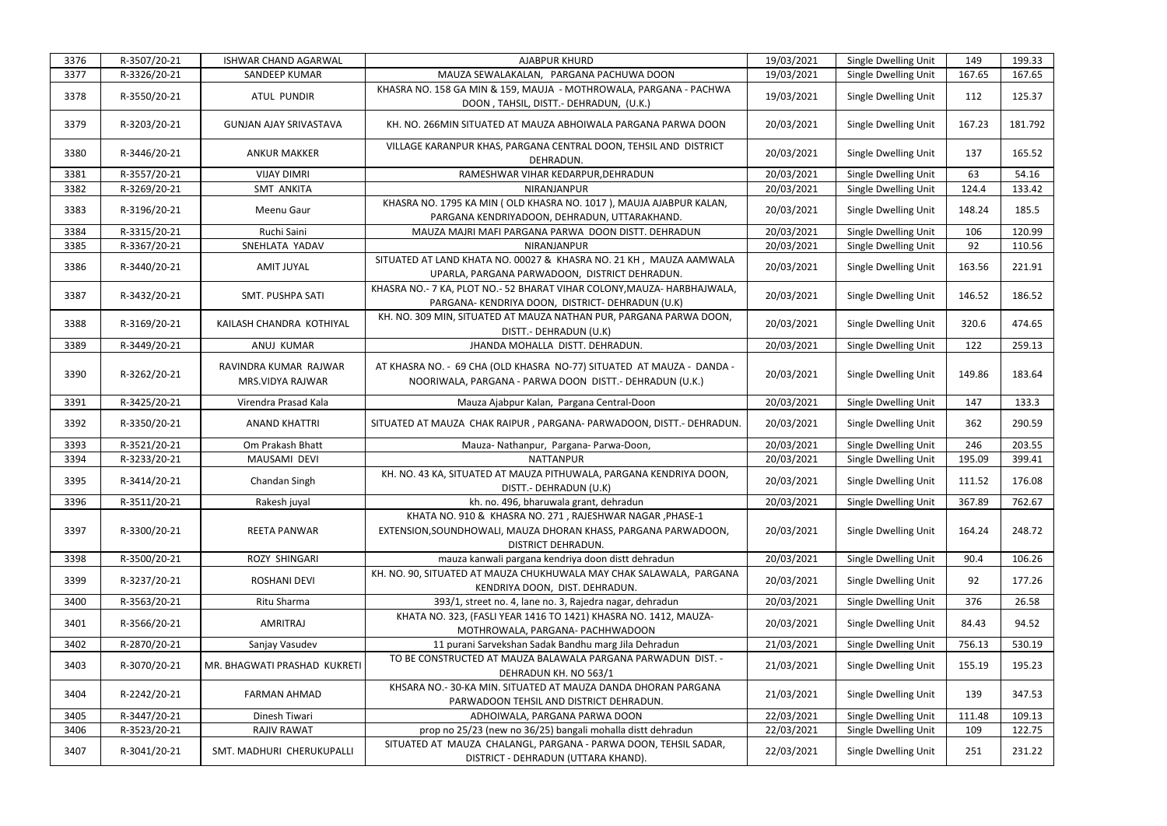| 3376 | R-3507/20-21 | <b>ISHWAR CHAND AGARWAL</b>               | <b>AJABPUR KHURD</b>                                                                                                                                    | 19/03/2021 | Single Dwelling Unit | 149    | 199.33  |
|------|--------------|-------------------------------------------|---------------------------------------------------------------------------------------------------------------------------------------------------------|------------|----------------------|--------|---------|
| 3377 | R-3326/20-21 | SANDEEP KUMAR                             | MAUZA SEWALAKALAN, PARGANA PACHUWA DOON                                                                                                                 | 19/03/2021 | Single Dwelling Unit | 167.65 | 167.65  |
| 3378 | R-3550/20-21 | <b>ATUL PUNDIR</b>                        | KHASRA NO. 158 GA MIN & 159, MAUJA - MOTHROWALA, PARGANA - PACHWA<br>DOON, TAHSIL, DISTT. - DEHRADUN, (U.K.)                                            | 19/03/2021 | Single Dwelling Unit | 112    | 125.37  |
| 3379 | R-3203/20-21 | <b>GUNJAN AJAY SRIVASTAVA</b>             | KH. NO. 266MIN SITUATED AT MAUZA ABHOIWALA PARGANA PARWA DOON                                                                                           | 20/03/2021 | Single Dwelling Unit | 167.23 | 181.792 |
| 3380 | R-3446/20-21 | <b>ANKUR MAKKER</b>                       | VILLAGE KARANPUR KHAS, PARGANA CENTRAL DOON, TEHSIL AND DISTRICT<br>DEHRADUN.                                                                           | 20/03/2021 | Single Dwelling Unit | 137    | 165.52  |
| 3381 | R-3557/20-21 | <b>VIJAY DIMRI</b>                        | RAMESHWAR VIHAR KEDARPUR, DEHRADUN                                                                                                                      | 20/03/2021 | Single Dwelling Unit | 63     | 54.16   |
| 3382 | R-3269/20-21 | <b>SMT ANKITA</b>                         | NIRANJANPUR                                                                                                                                             | 20/03/2021 | Single Dwelling Unit | 124.4  | 133.42  |
| 3383 | R-3196/20-21 | Meenu Gaur                                | KHASRA NO. 1795 KA MIN (OLD KHASRA NO. 1017), MAUJA AJABPUR KALAN,<br>PARGANA KENDRIYADOON, DEHRADUN, UTTARAKHAND.                                      | 20/03/2021 | Single Dwelling Unit | 148.24 | 185.5   |
| 3384 | R-3315/20-21 | Ruchi Saini                               | MAUZA MAJRI MAFI PARGANA PARWA DOON DISTT. DEHRADUN                                                                                                     | 20/03/2021 | Single Dwelling Unit | 106    | 120.99  |
| 3385 | R-3367/20-21 | SNEHLATA YADAV                            | NIRANJANPUR                                                                                                                                             | 20/03/2021 | Single Dwelling Unit | 92     | 110.56  |
| 3386 | R-3440/20-21 | AMIT JUYAL                                | SITUATED AT LAND KHATA NO. 00027 & KHASRA NO. 21 KH, MAUZA AAMWALA<br>UPARLA, PARGANA PARWADOON, DISTRICT DEHRADUN.                                     | 20/03/2021 | Single Dwelling Unit | 163.56 | 221.91  |
| 3387 | R-3432/20-21 | <b>SMT. PUSHPA SATI</b>                   | KHASRA NO.- 7 KA, PLOT NO.- 52 BHARAT VIHAR COLONY, MAUZA- HARBHAJWALA,<br>PARGANA- KENDRIYA DOON, DISTRICT- DEHRADUN (U.K)                             | 20/03/2021 | Single Dwelling Unit | 146.52 | 186.52  |
| 3388 | R-3169/20-21 | KAILASH CHANDRA KOTHIYAL                  | KH. NO. 309 MIN, SITUATED AT MAUZA NATHAN PUR, PARGANA PARWA DOON,<br>DISTT.- DEHRADUN (U.K)                                                            | 20/03/2021 | Single Dwelling Unit | 320.6  | 474.65  |
| 3389 | R-3449/20-21 | ANUJ KUMAR                                | JHANDA MOHALLA DISTT. DEHRADUN.                                                                                                                         | 20/03/2021 | Single Dwelling Unit | 122    | 259.13  |
| 3390 | R-3262/20-21 | RAVINDRA KUMAR RAJWAR<br>MRS.VIDYA RAJWAR | AT KHASRA NO. - 69 CHA (OLD KHASRA NO-77) SITUATED AT MAUZA - DANDA -<br>NOORIWALA, PARGANA - PARWA DOON DISTT. - DEHRADUN (U.K.)                       | 20/03/2021 | Single Dwelling Unit | 149.86 | 183.64  |
| 3391 | R-3425/20-21 | Virendra Prasad Kala                      | Mauza Ajabpur Kalan, Pargana Central-Doon                                                                                                               | 20/03/2021 | Single Dwelling Unit | 147    | 133.3   |
| 3392 | R-3350/20-21 | <b>ANAND KHATTRI</b>                      | SITUATED AT MAUZA CHAK RAIPUR, PARGANA- PARWADOON, DISTT.- DEHRADUN.                                                                                    | 20/03/2021 | Single Dwelling Unit | 362    | 290.59  |
| 3393 | R-3521/20-21 | Om Prakash Bhatt                          | Mauza-Nathanpur, Pargana-Parwa-Doon,                                                                                                                    | 20/03/2021 | Single Dwelling Unit | 246    | 203.55  |
| 3394 | R-3233/20-21 | MAUSAMI DEVI                              | <b>NATTANPUR</b>                                                                                                                                        | 20/03/2021 | Single Dwelling Unit | 195.09 | 399.41  |
| 3395 | R-3414/20-21 | Chandan Singh                             | KH. NO. 43 KA, SITUATED AT MAUZA PITHUWALA, PARGANA KENDRIYA DOON,<br>DISTT.- DEHRADUN (U.K)                                                            | 20/03/2021 | Single Dwelling Unit | 111.52 | 176.08  |
| 3396 | R-3511/20-21 | Rakesh juyal                              | kh. no. 496, bharuwala grant, dehradun                                                                                                                  | 20/03/2021 | Single Dwelling Unit | 367.89 | 762.67  |
| 3397 | R-3300/20-21 | REETA PANWAR                              | KHATA NO. 910 & KHASRA NO. 271, RAJESHWAR NAGAR, PHASE-1<br>EXTENSION, SOUNDHOWALI, MAUZA DHORAN KHASS, PARGANA PARWADOON,<br><b>DISTRICT DEHRADUN.</b> | 20/03/2021 | Single Dwelling Unit | 164.24 | 248.72  |
| 3398 | R-3500/20-21 | ROZY SHINGARI                             | mauza kanwali pargana kendriya doon distt dehradun                                                                                                      | 20/03/2021 | Single Dwelling Unit | 90.4   | 106.26  |
| 3399 | R-3237/20-21 | <b>ROSHANI DEVI</b>                       | KH. NO. 90, SITUATED AT MAUZA CHUKHUWALA MAY CHAK SALAWALA, PARGANA<br>KENDRIYA DOON, DIST. DEHRADUN.                                                   | 20/03/2021 | Single Dwelling Unit | 92     | 177.26  |
| 3400 | R-3563/20-21 | Ritu Sharma                               | 393/1, street no. 4, lane no. 3, Rajedra nagar, dehradun                                                                                                | 20/03/2021 | Single Dwelling Unit | 376    | 26.58   |
| 3401 | R-3566/20-21 | AMRITRAJ                                  | KHATA NO. 323, (FASLI YEAR 1416 TO 1421) KHASRA NO. 1412, MAUZA-<br>MOTHROWALA, PARGANA- PACHHWADOON                                                    | 20/03/2021 | Single Dwelling Unit | 84.43  | 94.52   |
| 3402 | R-2870/20-21 | Sanjay Vasudev                            | 11 purani Sarvekshan Sadak Bandhu marg Jila Dehradun                                                                                                    | 21/03/2021 | Single Dwelling Unit | 756.13 | 530.19  |
| 3403 | R-3070/20-21 | MR. BHAGWATI PRASHAD KUKRETI              | TO BE CONSTRUCTED AT MAUZA BALAWALA PARGANA PARWADUN DIST. -<br>DEHRADUN KH. NO 563/1                                                                   | 21/03/2021 | Single Dwelling Unit | 155.19 | 195.23  |
| 3404 | R-2242/20-21 | <b>FARMAN AHMAD</b>                       | KHSARA NO.-30-KA MIN. SITUATED AT MAUZA DANDA DHORAN PARGANA<br>PARWADOON TEHSIL AND DISTRICT DEHRADUN.                                                 | 21/03/2021 | Single Dwelling Unit | 139    | 347.53  |
| 3405 | R-3447/20-21 | Dinesh Tiwari                             | ADHOIWALA, PARGANA PARWA DOON                                                                                                                           | 22/03/2021 | Single Dwelling Unit | 111.48 | 109.13  |
| 3406 | R-3523/20-21 | <b>RAJIV RAWAT</b>                        | prop no 25/23 (new no 36/25) bangali mohalla distt dehradun                                                                                             | 22/03/2021 | Single Dwelling Unit | 109    | 122.75  |
| 3407 | R-3041/20-21 | SMT. MADHURI CHERUKUPALLI                 | SITUATED AT MAUZA CHALANGL, PARGANA - PARWA DOON, TEHSIL SADAR,<br>DISTRICT - DEHRADUN (UTTARA KHAND).                                                  | 22/03/2021 | Single Dwelling Unit | 251    | 231.22  |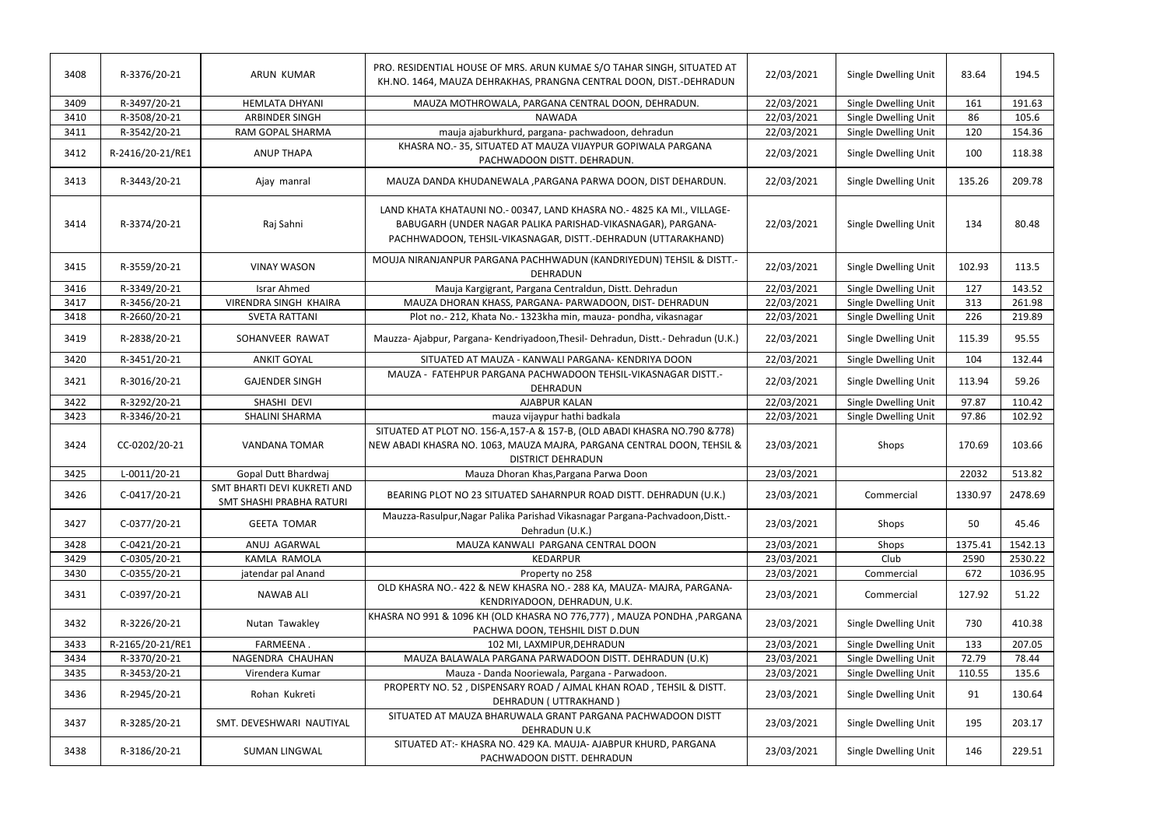| 3408 | R-3376/20-21     | ARUN KUMAR                                              | PRO. RESIDENTIAL HOUSE OF MRS. ARUN KUMAE S/O TAHAR SINGH, SITUATED AT<br>KH.NO. 1464, MAUZA DEHRAKHAS, PRANGNA CENTRAL DOON, DIST.-DEHRADUN                                                         | 22/03/2021 | Single Dwelling Unit | 83.64   | 194.5   |
|------|------------------|---------------------------------------------------------|------------------------------------------------------------------------------------------------------------------------------------------------------------------------------------------------------|------------|----------------------|---------|---------|
| 3409 | R-3497/20-21     | <b>HEMLATA DHYANI</b>                                   | MAUZA MOTHROWALA, PARGANA CENTRAL DOON, DEHRADUN.                                                                                                                                                    | 22/03/2021 | Single Dwelling Unit | 161     | 191.63  |
| 3410 | R-3508/20-21     | <b>ARBINDER SINGH</b>                                   | <b>NAWADA</b>                                                                                                                                                                                        | 22/03/2021 | Single Dwelling Unit | 86      | 105.6   |
| 3411 | R-3542/20-21     | RAM GOPAL SHARMA                                        | mauja ajaburkhurd, pargana- pachwadoon, dehradun                                                                                                                                                     | 22/03/2021 | Single Dwelling Unit | 120     | 154.36  |
| 3412 | R-2416/20-21/RE1 | <b>ANUP THAPA</b>                                       | KHASRA NO.-35, SITUATED AT MAUZA VIJAYPUR GOPIWALA PARGANA<br>PACHWADOON DISTT. DEHRADUN.                                                                                                            | 22/03/2021 | Single Dwelling Unit | 100     | 118.38  |
| 3413 | R-3443/20-21     | Ajay manral                                             | MAUZA DANDA KHUDANEWALA ,PARGANA PARWA DOON, DIST DEHARDUN.                                                                                                                                          | 22/03/2021 | Single Dwelling Unit | 135.26  | 209.78  |
| 3414 | R-3374/20-21     | Raj Sahni                                               | LAND KHATA KHATAUNI NO.-00347, LAND KHASRA NO.-4825 KA MI., VILLAGE-<br>BABUGARH (UNDER NAGAR PALIKA PARISHAD-VIKASNAGAR), PARGANA-<br>PACHHWADOON, TEHSIL-VIKASNAGAR, DISTT.-DEHRADUN (UTTARAKHAND) | 22/03/2021 | Single Dwelling Unit | 134     | 80.48   |
| 3415 | R-3559/20-21     | <b>VINAY WASON</b>                                      | MOUJA NIRANJANPUR PARGANA PACHHWADUN (KANDRIYEDUN) TEHSIL & DISTT.-<br><b>DEHRADUN</b>                                                                                                               | 22/03/2021 | Single Dwelling Unit | 102.93  | 113.5   |
| 3416 | R-3349/20-21     | <b>Israr Ahmed</b>                                      | Mauja Kargigrant, Pargana Centraldun, Distt. Dehradun                                                                                                                                                | 22/03/2021 | Single Dwelling Unit | 127     | 143.52  |
| 3417 | R-3456/20-21     | VIRENDRA SINGH KHAIRA                                   | MAUZA DHORAN KHASS, PARGANA- PARWADOON, DIST- DEHRADUN                                                                                                                                               | 22/03/2021 | Single Dwelling Unit | 313     | 261.98  |
| 3418 | R-2660/20-21     | <b>SVETA RATTANI</b>                                    | Plot no.- 212, Khata No.- 1323kha min, mauza- pondha, vikasnagar                                                                                                                                     | 22/03/2021 | Single Dwelling Unit | 226     | 219.89  |
| 3419 | R-2838/20-21     | SOHANVEER RAWAT                                         | Mauzza-Ajabpur, Pargana-Kendriyadoon, Thesil-Dehradun, Distt.-Dehradun (U.K.)                                                                                                                        | 22/03/2021 | Single Dwelling Unit | 115.39  | 95.55   |
| 3420 | R-3451/20-21     | <b>ANKIT GOYAL</b>                                      | SITUATED AT MAUZA - KANWALI PARGANA- KENDRIYA DOON                                                                                                                                                   | 22/03/2021 | Single Dwelling Unit | 104     | 132.44  |
| 3421 | R-3016/20-21     | <b>GAJENDER SINGH</b>                                   | MAUZA - FATEHPUR PARGANA PACHWADOON TEHSIL-VIKASNAGAR DISTT.-<br>DEHRADUN                                                                                                                            | 22/03/2021 | Single Dwelling Unit | 113.94  | 59.26   |
| 3422 | R-3292/20-21     | SHASHI DEVI                                             | AJABPUR KALAN                                                                                                                                                                                        | 22/03/2021 | Single Dwelling Unit | 97.87   | 110.42  |
| 3423 | R-3346/20-21     | SHALINI SHARMA                                          | mauza vijaypur hathi badkala                                                                                                                                                                         | 22/03/2021 | Single Dwelling Unit | 97.86   | 102.92  |
| 3424 | CC-0202/20-21    | <b>VANDANA TOMAR</b>                                    | SITUATED AT PLOT NO. 156-A,157-A & 157-B, (OLD ABADI KHASRA NO.790 & 778)<br>NEW ABADI KHASRA NO. 1063, MAUZA MAJRA, PARGANA CENTRAL DOON, TEHSIL &<br><b>DISTRICT DEHRADUN</b>                      | 23/03/2021 | Shops                | 170.69  | 103.66  |
| 3425 | L-0011/20-21     | Gopal Dutt Bhardwaj                                     | Mauza Dhoran Khas, Pargana Parwa Doon                                                                                                                                                                | 23/03/2021 |                      | 22032   | 513.82  |
| 3426 | C-0417/20-21     | SMT BHARTI DEVI KUKRETI AND<br>SMT SHASHI PRABHA RATURI | BEARING PLOT NO 23 SITUATED SAHARNPUR ROAD DISTT. DEHRADUN (U.K.)                                                                                                                                    | 23/03/2021 | Commercial           | 1330.97 | 2478.69 |
| 3427 | C-0377/20-21     | <b>GEETA TOMAR</b>                                      | Mauzza-Rasulpur, Nagar Palika Parishad Vikasnagar Pargana-Pachvadoon, Distt.-<br>Dehradun (U.K.)                                                                                                     | 23/03/2021 | Shops                | 50      | 45.46   |
| 3428 | C-0421/20-21     | ANUJ AGARWAL                                            | MAUZA KANWALI PARGANA CENTRAL DOON                                                                                                                                                                   | 23/03/2021 | Shops                | 1375.41 | 1542.13 |
| 3429 | C-0305/20-21     | KAMLA RAMOLA                                            | <b>KEDARPUR</b>                                                                                                                                                                                      | 23/03/2021 | Club                 | 2590    | 2530.22 |
| 3430 | C-0355/20-21     | jatendar pal Anand                                      | Property no 258                                                                                                                                                                                      | 23/03/2021 | Commercial           | 672     | 1036.95 |
| 3431 | C-0397/20-21     | <b>NAWAB ALI</b>                                        | OLD KHASRA NO.- 422 & NEW KHASRA NO.- 288 KA, MAUZA- MAJRA, PARGANA-<br>KENDRIYADOON, DEHRADUN, U.K.                                                                                                 | 23/03/2021 | Commercial           | 127.92  | 51.22   |
| 3432 | R-3226/20-21     | Nutan Tawakley                                          | KHASRA NO 991 & 1096 KH (OLD KHASRA NO 776,777), MAUZA PONDHA, PARGANA<br>PACHWA DOON, TEHSHIL DIST D.DUN                                                                                            | 23/03/2021 | Single Dwelling Unit | 730     | 410.38  |
| 3433 | R-2165/20-21/RE1 | FARMEENA.                                               | 102 MI, LAXMIPUR, DEHRADUN                                                                                                                                                                           | 23/03/2021 | Single Dwelling Unit | 133     | 207.05  |
| 3434 | R-3370/20-21     | NAGENDRA CHAUHAN                                        | MAUZA BALAWALA PARGANA PARWADOON DISTT. DEHRADUN (U.K)                                                                                                                                               | 23/03/2021 | Single Dwelling Unit | 72.79   | 78.44   |
| 3435 | R-3453/20-21     | Virendera Kumar                                         | Mauza - Danda Nooriewala, Pargana - Parwadoon.                                                                                                                                                       | 23/03/2021 | Single Dwelling Unit | 110.55  | 135.6   |
| 3436 | R-2945/20-21     | Rohan Kukreti                                           | PROPERTY NO. 52, DISPENSARY ROAD / AJMAL KHAN ROAD, TEHSIL & DISTT.<br>DEHRADUN ( UTTRAKHAND )                                                                                                       | 23/03/2021 | Single Dwelling Unit | 91      | 130.64  |
| 3437 | R-3285/20-21     | SMT. DEVESHWARI NAUTIYAL                                | SITUATED AT MAUZA BHARUWALA GRANT PARGANA PACHWADOON DISTT<br>DEHRADUN U.K                                                                                                                           | 23/03/2021 | Single Dwelling Unit | 195     | 203.17  |
| 3438 | R-3186/20-21     | <b>SUMAN LINGWAL</b>                                    | SITUATED AT:- KHASRA NO. 429 KA. MAUJA- AJABPUR KHURD, PARGANA<br>PACHWADOON DISTT. DEHRADUN                                                                                                         | 23/03/2021 | Single Dwelling Unit | 146     | 229.51  |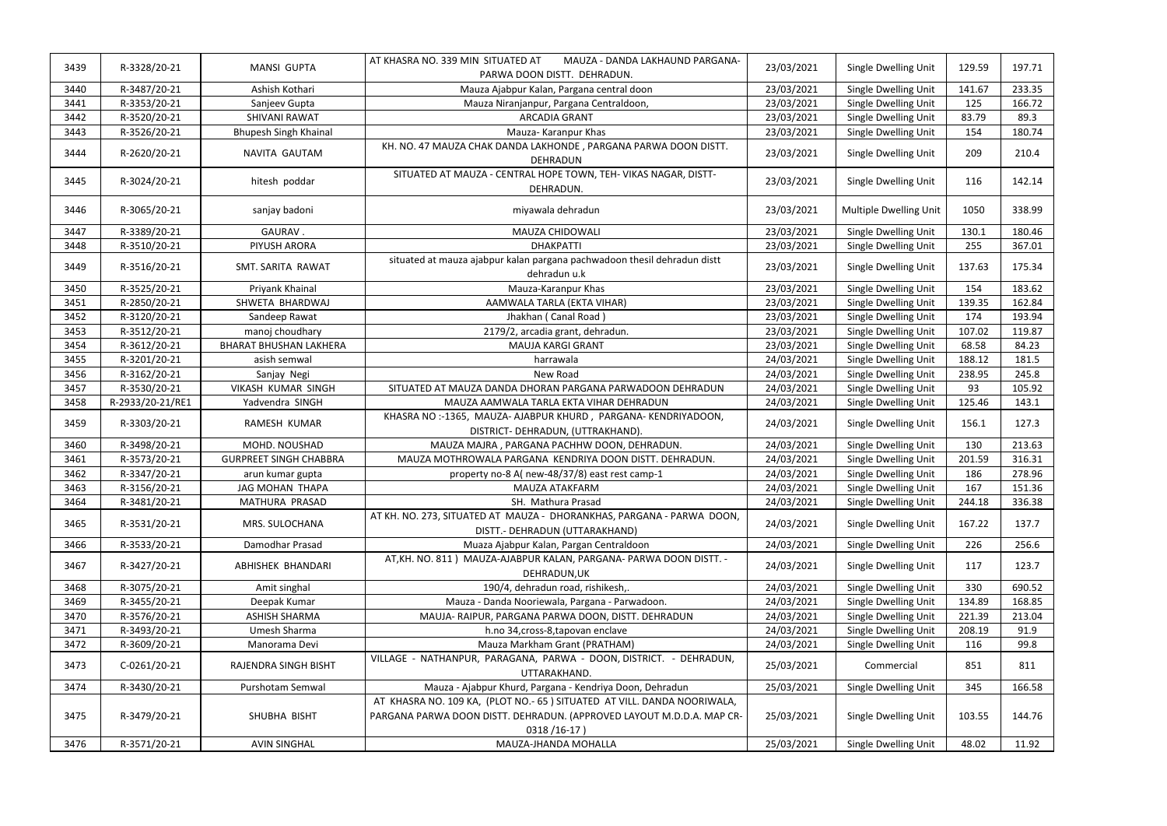|      |                  |                               | AT KHASRA NO. 339 MIN SITUATED AT<br>MAUZA - DANDA LAKHAUND PARGANA-                                                                                              |            |                        |        |        |
|------|------------------|-------------------------------|-------------------------------------------------------------------------------------------------------------------------------------------------------------------|------------|------------------------|--------|--------|
| 3439 | R-3328/20-21     | MANSI GUPTA                   | PARWA DOON DISTT. DEHRADUN.                                                                                                                                       | 23/03/2021 | Single Dwelling Unit   | 129.59 | 197.71 |
| 3440 | R-3487/20-21     | Ashish Kothari                | Mauza Ajabpur Kalan, Pargana central doon                                                                                                                         | 23/03/2021 | Single Dwelling Unit   | 141.67 | 233.35 |
| 3441 | R-3353/20-21     | Sanjeev Gupta                 | Mauza Niranjanpur, Pargana Centraldoon,                                                                                                                           | 23/03/2021 | Single Dwelling Unit   | 125    | 166.72 |
| 3442 | R-3520/20-21     | SHIVANI RAWAT                 | <b>ARCADIA GRANT</b>                                                                                                                                              | 23/03/2021 | Single Dwelling Unit   | 83.79  | 89.3   |
| 3443 | R-3526/20-21     | <b>Bhupesh Singh Khainal</b>  | Mauza-Karanpur Khas                                                                                                                                               | 23/03/2021 | Single Dwelling Unit   | 154    | 180.74 |
| 3444 | R-2620/20-21     | NAVITA GAUTAM                 | KH. NO. 47 MAUZA CHAK DANDA LAKHONDE, PARGANA PARWA DOON DISTT.<br><b>DEHRADUN</b>                                                                                | 23/03/2021 | Single Dwelling Unit   | 209    | 210.4  |
| 3445 | R-3024/20-21     | hitesh poddar                 | SITUATED AT MAUZA - CENTRAL HOPE TOWN, TEH-VIKAS NAGAR, DISTT-<br>DEHRADUN.                                                                                       | 23/03/2021 | Single Dwelling Unit   | 116    | 142.14 |
| 3446 | R-3065/20-21     | sanjay badoni                 | miyawala dehradun                                                                                                                                                 | 23/03/2021 | Multiple Dwelling Unit | 1050   | 338.99 |
| 3447 | R-3389/20-21     | GAURAV.                       | MAUZA CHIDOWALI                                                                                                                                                   | 23/03/2021 | Single Dwelling Unit   | 130.1  | 180.46 |
| 3448 | R-3510/20-21     | PIYUSH ARORA                  | <b>DHAKPATTI</b>                                                                                                                                                  | 23/03/2021 | Single Dwelling Unit   | 255    | 367.01 |
| 3449 | R-3516/20-21     | SMT. SARITA RAWAT             | situated at mauza ajabpur kalan pargana pachwadoon thesil dehradun distt<br>dehradun u.k                                                                          | 23/03/2021 | Single Dwelling Unit   | 137.63 | 175.34 |
| 3450 | R-3525/20-21     | Priyank Khainal               | Mauza-Karanpur Khas                                                                                                                                               | 23/03/2021 | Single Dwelling Unit   | 154    | 183.62 |
| 3451 | R-2850/20-21     | SHWETA BHARDWAJ               | AAMWALA TARLA (EKTA VIHAR)                                                                                                                                        | 23/03/2021 | Single Dwelling Unit   | 139.35 | 162.84 |
| 3452 | R-3120/20-21     | Sandeep Rawat                 | Jhakhan (Canal Road)                                                                                                                                              | 23/03/2021 | Single Dwelling Unit   | 174    | 193.94 |
| 3453 | R-3512/20-21     | manoj choudhary               | 2179/2, arcadia grant, dehradun.                                                                                                                                  | 23/03/2021 | Single Dwelling Unit   | 107.02 | 119.87 |
| 3454 | R-3612/20-21     | <b>BHARAT BHUSHAN LAKHERA</b> | MAUJA KARGI GRANT                                                                                                                                                 | 23/03/2021 | Single Dwelling Unit   | 68.58  | 84.23  |
| 3455 | R-3201/20-21     | asish semwal                  | harrawala                                                                                                                                                         | 24/03/2021 | Single Dwelling Unit   | 188.12 | 181.5  |
| 3456 | R-3162/20-21     | Sanjay Negi                   | New Road                                                                                                                                                          | 24/03/2021 | Single Dwelling Unit   | 238.95 | 245.8  |
| 3457 | R-3530/20-21     | VIKASH KUMAR SINGH            | SITUATED AT MAUZA DANDA DHORAN PARGANA PARWADOON DEHRADUN                                                                                                         | 24/03/2021 | Single Dwelling Unit   | 93     | 105.92 |
| 3458 | R-2933/20-21/RE1 | Yadvendra SINGH               | MAUZA AAMWALA TARLA EKTA VIHAR DEHRADUN                                                                                                                           | 24/03/2021 | Single Dwelling Unit   | 125.46 | 143.1  |
| 3459 | R-3303/20-21     | RAMESH KUMAR                  | KHASRA NO:-1365, MAUZA-AJABPUR KHURD, PARGANA-KENDRIYADOON,<br>DISTRICT- DEHRADUN, (UTTRAKHAND).                                                                  | 24/03/2021 | Single Dwelling Unit   | 156.1  | 127.3  |
| 3460 | R-3498/20-21     | MOHD. NOUSHAD                 | MAUZA MAJRA, PARGANA PACHHW DOON, DEHRADUN.                                                                                                                       | 24/03/2021 | Single Dwelling Unit   | 130    | 213.63 |
| 3461 | R-3573/20-21     | <b>GURPREET SINGH CHABBRA</b> | MAUZA MOTHROWALA PARGANA KENDRIYA DOON DISTT. DEHRADUN.                                                                                                           | 24/03/2021 | Single Dwelling Unit   | 201.59 | 316.31 |
| 3462 | R-3347/20-21     | arun kumar gupta              | property no-8 A( new-48/37/8) east rest camp-1                                                                                                                    | 24/03/2021 | Single Dwelling Unit   | 186    | 278.96 |
| 3463 | R-3156/20-21     | JAG MOHAN THAPA               | MAUZA ATAKFARM                                                                                                                                                    | 24/03/2021 | Single Dwelling Unit   | 167    | 151.36 |
| 3464 | R-3481/20-21     | MATHURA PRASAD                | SH. Mathura Prasad                                                                                                                                                | 24/03/2021 | Single Dwelling Unit   | 244.18 | 336.38 |
| 3465 | R-3531/20-21     | MRS. SULOCHANA                | AT KH. NO. 273, SITUATED AT MAUZA - DHORANKHAS, PARGANA - PARWA DOON,<br>DISTT.- DEHRADUN (UTTARAKHAND)                                                           | 24/03/2021 | Single Dwelling Unit   | 167.22 | 137.7  |
| 3466 | R-3533/20-21     | Damodhar Prasad               | Muaza Ajabpur Kalan, Pargan Centraldoon                                                                                                                           | 24/03/2021 | Single Dwelling Unit   | 226    | 256.6  |
| 3467 | R-3427/20-21     | ABHISHEK BHANDARI             | AT, KH. NO. 811) MAUZA-AJABPUR KALAN, PARGANA- PARWA DOON DISTT. -<br>DEHRADUN, UK                                                                                | 24/03/2021 | Single Dwelling Unit   | 117    | 123.7  |
| 3468 | R-3075/20-21     | Amit singhal                  | 190/4, dehradun road, rishikesh,.                                                                                                                                 | 24/03/2021 | Single Dwelling Unit   | 330    | 690.52 |
| 3469 | R-3455/20-21     | Deepak Kumar                  | Mauza - Danda Nooriewala, Pargana - Parwadoon.                                                                                                                    | 24/03/2021 | Single Dwelling Unit   | 134.89 | 168.85 |
| 3470 | R-3576/20-21     | <b>ASHISH SHARMA</b>          | MAUJA- RAIPUR, PARGANA PARWA DOON, DISTT. DEHRADUN                                                                                                                | 24/03/2021 | Single Dwelling Unit   | 221.39 | 213.04 |
| 3471 | R-3493/20-21     | Umesh Sharma                  | h.no 34, cross-8, tapovan enclave                                                                                                                                 | 24/03/2021 | Single Dwelling Unit   | 208.19 | 91.9   |
| 3472 | R-3609/20-21     | Manorama Devi                 | Mauza Markham Grant (PRATHAM)                                                                                                                                     | 24/03/2021 | Single Dwelling Unit   | 116    | 99.8   |
| 3473 | C-0261/20-21     | RAJENDRA SINGH BISHT          | VILLAGE - NATHANPUR, PARAGANA, PARWA - DOON, DISTRICT. - DEHRADUN,<br>UTTARAKHAND.                                                                                | 25/03/2021 | Commercial             | 851    | 811    |
| 3474 | R-3430/20-21     | Purshotam Semwal              | Mauza - Ajabpur Khurd, Pargana - Kendriya Doon, Dehradun                                                                                                          | 25/03/2021 | Single Dwelling Unit   | 345    | 166.58 |
| 3475 | R-3479/20-21     | SHUBHA BISHT                  | AT KHASRA NO. 109 KA, (PLOT NO.- 65) SITUATED AT VILL. DANDA NOORIWALA,<br>PARGANA PARWA DOON DISTT. DEHRADUN. (APPROVED LAYOUT M.D.D.A. MAP CR-<br>$0318/16-17)$ | 25/03/2021 | Single Dwelling Unit   | 103.55 | 144.76 |
| 3476 | R-3571/20-21     | <b>AVIN SINGHAL</b>           | MAUZA-JHANDA MOHALLA                                                                                                                                              | 25/03/2021 | Single Dwelling Unit   | 48.02  | 11.92  |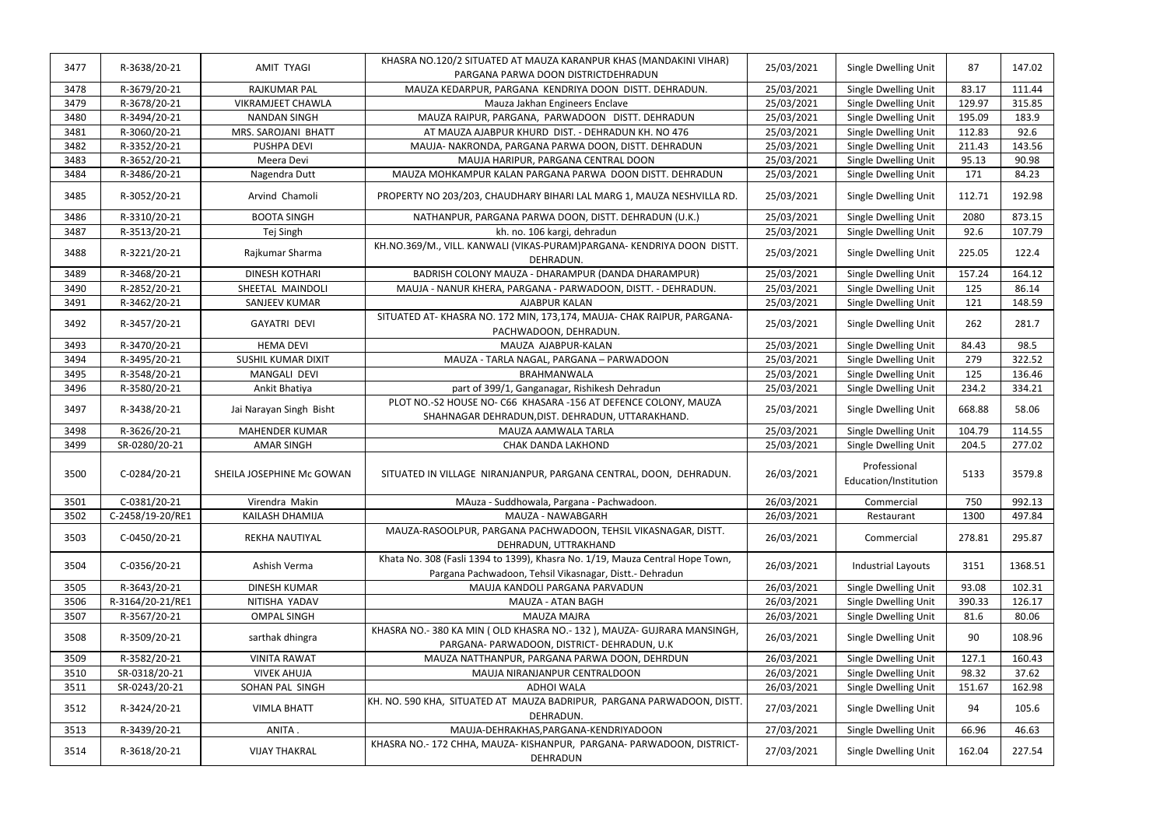| 3477 | R-3638/20-21     | <b>AMIT TYAGI</b>         | KHASRA NO.120/2 SITUATED AT MAUZA KARANPUR KHAS (MANDAKINI VIHAR)<br>PARGANA PARWA DOON DISTRICTDEHRADUN                                 | 25/03/2021 | Single Dwelling Unit                  | 87     | 147.02  |
|------|------------------|---------------------------|------------------------------------------------------------------------------------------------------------------------------------------|------------|---------------------------------------|--------|---------|
| 3478 | R-3679/20-21     | <b>RAJKUMAR PAL</b>       | MAUZA KEDARPUR, PARGANA KENDRIYA DOON DISTT. DEHRADUN.                                                                                   | 25/03/2021 | Single Dwelling Unit                  | 83.17  | 111.44  |
| 3479 | R-3678/20-21     | VIKRAMJEET CHAWLA         | Mauza Jakhan Engineers Enclave                                                                                                           | 25/03/2021 | Single Dwelling Unit                  | 129.97 | 315.85  |
| 3480 | R-3494/20-21     | <b>NANDAN SINGH</b>       | MAUZA RAIPUR, PARGANA, PARWADOON DISTT. DEHRADUN                                                                                         | 25/03/2021 | Single Dwelling Unit                  | 195.09 | 183.9   |
| 3481 | R-3060/20-21     | MRS. SAROJANI BHATT       | AT MAUZA AJABPUR KHURD DIST. - DEHRADUN KH. NO 476                                                                                       | 25/03/2021 | Single Dwelling Unit                  | 112.83 | 92.6    |
| 3482 | R-3352/20-21     | PUSHPA DEVI               | MAUJA- NAKRONDA, PARGANA PARWA DOON, DISTT. DEHRADUN                                                                                     | 25/03/2021 | Single Dwelling Unit                  | 211.43 | 143.56  |
| 3483 | R-3652/20-21     | Meera Devi                | MAUJA HARIPUR, PARGANA CENTRAL DOON                                                                                                      | 25/03/2021 | Single Dwelling Unit                  | 95.13  | 90.98   |
| 3484 | R-3486/20-21     | Nagendra Dutt             | MAUZA MOHKAMPUR KALAN PARGANA PARWA DOON DISTT. DEHRADUN                                                                                 | 25/03/2021 | Single Dwelling Unit                  | 171    | 84.23   |
| 3485 | R-3052/20-21     | Arvind Chamoli            | PROPERTY NO 203/203, CHAUDHARY BIHARI LAL MARG 1, MAUZA NESHVILLA RD.                                                                    | 25/03/2021 | Single Dwelling Unit                  | 112.71 | 192.98  |
| 3486 | R-3310/20-21     | <b>BOOTA SINGH</b>        | NATHANPUR, PARGANA PARWA DOON, DISTT. DEHRADUN (U.K.)                                                                                    | 25/03/2021 | Single Dwelling Unit                  | 2080   | 873.15  |
| 3487 | R-3513/20-21     | Tej Singh                 | kh. no. 106 kargi, dehradun                                                                                                              | 25/03/2021 | Single Dwelling Unit                  | 92.6   | 107.79  |
| 3488 | R-3221/20-21     | Rajkumar Sharma           | KH.NO.369/M., VILL. KANWALI (VIKAS-PURAM)PARGANA- KENDRIYA DOON DISTT.<br>DEHRADUN.                                                      | 25/03/2021 | Single Dwelling Unit                  | 225.05 | 122.4   |
| 3489 | R-3468/20-21     | <b>DINESH KOTHARI</b>     | BADRISH COLONY MAUZA - DHARAMPUR (DANDA DHARAMPUR)                                                                                       | 25/03/2021 | Single Dwelling Unit                  | 157.24 | 164.12  |
| 3490 | R-2852/20-21     | SHEETAL MAINDOLI          | MAUJA - NANUR KHERA, PARGANA - PARWADOON, DISTT. - DEHRADUN.                                                                             | 25/03/2021 | Single Dwelling Unit                  | 125    | 86.14   |
| 3491 | R-3462/20-21     | <b>SANJEEV KUMAR</b>      | AJABPUR KALAN                                                                                                                            | 25/03/2021 | Single Dwelling Unit                  | 121    | 148.59  |
| 3492 | R-3457/20-21     | <b>GAYATRI DEVI</b>       | SITUATED AT- KHASRA NO. 172 MIN, 173,174, MAUJA- CHAK RAIPUR, PARGANA-<br>PACHWADOON, DEHRADUN.                                          | 25/03/2021 | Single Dwelling Unit                  | 262    | 281.7   |
| 3493 | R-3470/20-21     | <b>HEMA DEVI</b>          | MAUZA AJABPUR-KALAN                                                                                                                      | 25/03/2021 | Single Dwelling Unit                  | 84.43  | 98.5    |
| 3494 | R-3495/20-21     | <b>SUSHIL KUMAR DIXIT</b> | MAUZA - TARLA NAGAL, PARGANA - PARWADOON                                                                                                 | 25/03/2021 | Single Dwelling Unit                  | 279    | 322.52  |
| 3495 | R-3548/20-21     | MANGALI DEVI              | BRAHMANWALA                                                                                                                              | 25/03/2021 | Single Dwelling Unit                  | 125    | 136.46  |
| 3496 | R-3580/20-21     | Ankit Bhatiya             | part of 399/1, Ganganagar, Rishikesh Dehradun                                                                                            | 25/03/2021 | Single Dwelling Unit                  | 234.2  | 334.21  |
| 3497 | R-3438/20-21     | Jai Narayan Singh Bisht   | PLOT NO.-S2 HOUSE NO- C66 KHASARA -156 AT DEFENCE COLONY, MAUZA<br>SHAHNAGAR DEHRADUN, DIST. DEHRADUN, UTTARAKHAND.                      | 25/03/2021 | Single Dwelling Unit                  | 668.88 | 58.06   |
| 3498 | R-3626/20-21     | <b>MAHENDER KUMAR</b>     | MAUZA AAMWALA TARLA                                                                                                                      | 25/03/2021 | <b>Single Dwelling Unit</b>           | 104.79 | 114.55  |
| 3499 | SR-0280/20-21    | <b>AMAR SINGH</b>         | CHAK DANDA LAKHOND                                                                                                                       | 25/03/2021 | Single Dwelling Unit                  | 204.5  | 277.02  |
| 3500 | C-0284/20-21     | SHEILA JOSEPHINE Mc GOWAN | SITUATED IN VILLAGE NIRANJANPUR, PARGANA CENTRAL, DOON, DEHRADUN.                                                                        | 26/03/2021 | Professional<br>Education/Institution | 5133   | 3579.8  |
| 3501 | C-0381/20-21     | Virendra Makin            | MAuza - Suddhowala, Pargana - Pachwadoon.                                                                                                | 26/03/2021 | Commercial                            | 750    | 992.13  |
| 3502 | C-2458/19-20/RE1 | KAILASH DHAMIJA           | MAUZA - NAWABGARH                                                                                                                        | 26/03/2021 | Restaurant                            | 1300   | 497.84  |
| 3503 | C-0450/20-21     | <b>REKHA NAUTIYAL</b>     | MAUZA-RASOOLPUR, PARGANA PACHWADOON, TEHSIL VIKASNAGAR, DISTT.<br>DEHRADUN, UTTRAKHAND                                                   | 26/03/2021 | Commercial                            | 278.81 | 295.87  |
| 3504 | C-0356/20-21     | Ashish Verma              | Khata No. 308 (Fasli 1394 to 1399), Khasra No. 1/19, Mauza Central Hope Town,<br>Pargana Pachwadoon, Tehsil Vikasnagar, Distt.- Dehradun | 26/03/2021 | Industrial Layouts                    | 3151   | 1368.51 |
| 3505 | R-3643/20-21     | <b>DINESH KUMAR</b>       | MAUJA KANDOLI PARGANA PARVADUN                                                                                                           | 26/03/2021 | Single Dwelling Unit                  | 93.08  | 102.31  |
| 3506 | R-3164/20-21/RE1 | NITISHA YADAV             | MAUZA - ATAN BAGH                                                                                                                        | 26/03/2021 | Single Dwelling Unit                  | 390.33 | 126.17  |
| 3507 | R-3567/20-21     | <b>OMPAL SINGH</b>        | <b>MAUZA MAJRA</b>                                                                                                                       | 26/03/2021 | Single Dwelling Unit                  | 81.6   | 80.06   |
| 3508 | R-3509/20-21     | sarthak dhingra           | KHASRA NO.-380 KA MIN (OLD KHASRA NO.-132), MAUZA-GUJRARA MANSINGH,<br>PARGANA- PARWADOON, DISTRICT- DEHRADUN, U.K.                      | 26/03/2021 | Single Dwelling Unit                  | 90     | 108.96  |
| 3509 | R-3582/20-21     | <b>VINITA RAWAT</b>       | MAUZA NATTHANPUR, PARGANA PARWA DOON, DEHRDUN                                                                                            | 26/03/2021 | Single Dwelling Unit                  | 127.1  | 160.43  |
| 3510 | SR-0318/20-21    | <b>VIVEK AHUJA</b>        | MAUJA NIRANJANPUR CENTRALDOON                                                                                                            | 26/03/2021 | Single Dwelling Unit                  | 98.32  | 37.62   |
| 3511 | SR-0243/20-21    | SOHAN PAL SINGH           | <b>ADHOI WALA</b>                                                                                                                        | 26/03/2021 | Single Dwelling Unit                  | 151.67 | 162.98  |
| 3512 | R-3424/20-21     | <b>VIMLA BHATT</b>        | KH. NO. 590 KHA, SITUATED AT MAUZA BADRIPUR, PARGANA PARWADOON, DISTT.<br>DEHRADUN.                                                      | 27/03/2021 | Single Dwelling Unit                  | 94     | 105.6   |
| 3513 | R-3439/20-21     | ANITA.                    | MAUJA-DEHRAKHAS, PARGANA-KENDRIYADOON                                                                                                    | 27/03/2021 | Single Dwelling Unit                  | 66.96  | 46.63   |
| 3514 | R-3618/20-21     | <b>VIJAY THAKRAL</b>      | KHASRA NO.- 172 CHHA, MAUZA-KISHANPUR, PARGANA-PARWADOON, DISTRICT-<br>DEHRADUN                                                          | 27/03/2021 | Single Dwelling Unit                  | 162.04 | 227.54  |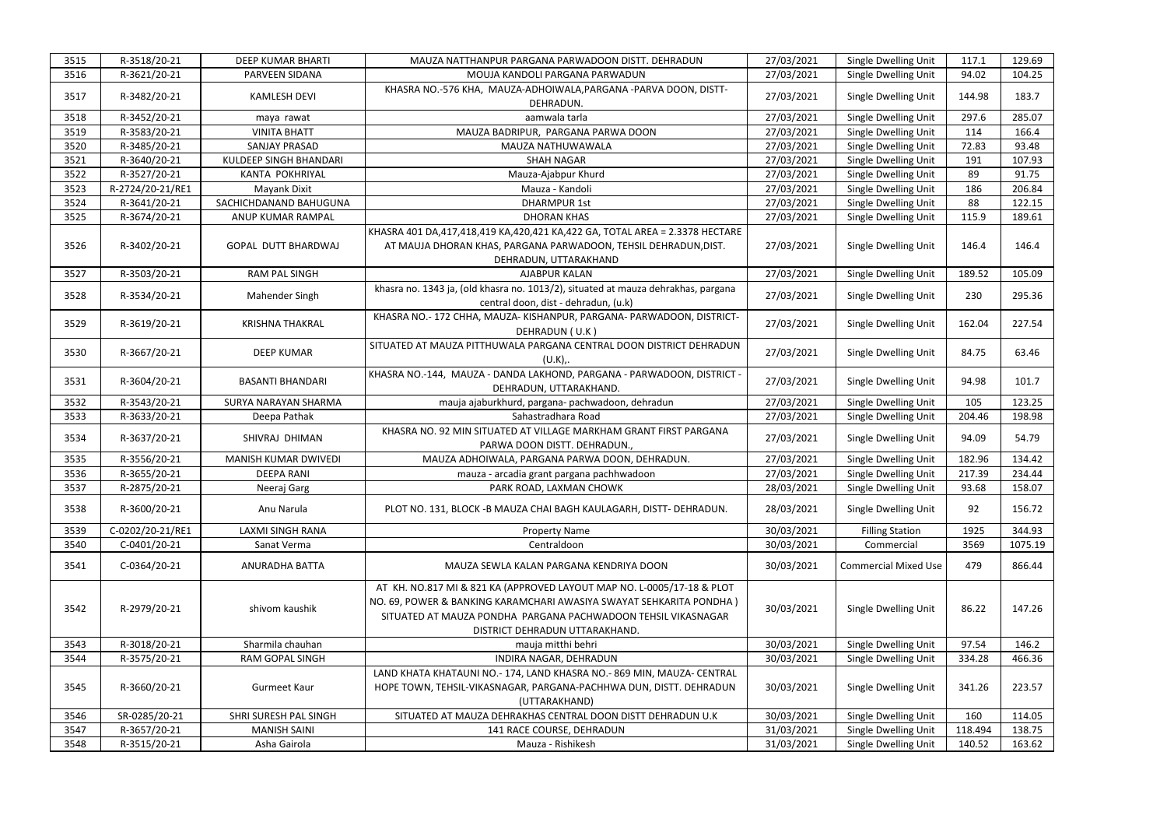| 3515 | R-3518/20-21     | <b>DEEP KUMAR BHARTI</b>      | MAUZA NATTHANPUR PARGANA PARWADOON DISTT. DEHRADUN                                                                                                                                                                                               | 27/03/2021 | Single Dwelling Unit        | 117.1   | 129.69  |
|------|------------------|-------------------------------|--------------------------------------------------------------------------------------------------------------------------------------------------------------------------------------------------------------------------------------------------|------------|-----------------------------|---------|---------|
| 3516 | R-3621/20-21     | PARVEEN SIDANA                | MOUJA KANDOLI PARGANA PARWADUN                                                                                                                                                                                                                   | 27/03/2021 | Single Dwelling Unit        | 94.02   | 104.25  |
| 3517 | R-3482/20-21     | <b>KAMLESH DEVI</b>           | KHASRA NO.-576 KHA, MAUZA-ADHOIWALA, PARGANA - PARVA DOON, DISTT-<br>DEHRADUN.                                                                                                                                                                   | 27/03/2021 | Single Dwelling Unit        | 144.98  | 183.7   |
| 3518 | R-3452/20-21     | maya rawat                    | aamwala tarla                                                                                                                                                                                                                                    | 27/03/2021 | Single Dwelling Unit        | 297.6   | 285.07  |
| 3519 | R-3583/20-21     | <b>VINITA BHATT</b>           | MAUZA BADRIPUR, PARGANA PARWA DOON                                                                                                                                                                                                               | 27/03/2021 | Single Dwelling Unit        | 114     | 166.4   |
| 3520 | R-3485/20-21     | <b>SANJAY PRASAD</b>          | MAUZA NATHUWAWALA                                                                                                                                                                                                                                | 27/03/2021 | Single Dwelling Unit        | 72.83   | 93.48   |
| 3521 | R-3640/20-21     | <b>KULDEEP SINGH BHANDARI</b> | <b>SHAH NAGAR</b>                                                                                                                                                                                                                                | 27/03/2021 | Single Dwelling Unit        | 191     | 107.93  |
| 3522 | R-3527/20-21     | KANTA POKHRIYAL               | Mauza-Ajabpur Khurd                                                                                                                                                                                                                              | 27/03/2021 | Single Dwelling Unit        | 89      | 91.75   |
| 3523 | R-2724/20-21/RE1 | Mayank Dixit                  | Mauza - Kandoli                                                                                                                                                                                                                                  | 27/03/2021 | Single Dwelling Unit        | 186     | 206.84  |
| 3524 | R-3641/20-21     | SACHICHDANAND BAHUGUNA        | <b>DHARMPUR 1st</b>                                                                                                                                                                                                                              | 27/03/2021 | Single Dwelling Unit        | 88      | 122.15  |
| 3525 | R-3674/20-21     | ANUP KUMAR RAMPAL             | <b>DHORAN KHAS</b>                                                                                                                                                                                                                               | 27/03/2021 | Single Dwelling Unit        | 115.9   | 189.61  |
| 3526 | R-3402/20-21     | <b>GOPAL DUTT BHARDWAJ</b>    | KHASRA 401 DA,417,418,419 KA,420,421 KA,422 GA, TOTAL AREA = 2.3378 HECTARE<br>AT MAUJA DHORAN KHAS, PARGANA PARWADOON, TEHSIL DEHRADUN, DIST.<br>DEHRADUN, UTTARAKHAND                                                                          | 27/03/2021 | Single Dwelling Unit        | 146.4   | 146.4   |
| 3527 | R-3503/20-21     | <b>RAM PAL SINGH</b>          | AJABPUR KALAN                                                                                                                                                                                                                                    | 27/03/2021 | Single Dwelling Unit        | 189.52  | 105.09  |
| 3528 | R-3534/20-21     | Mahender Singh                | khasra no. 1343 ja, (old khasra no. 1013/2), situated at mauza dehrakhas, pargana<br>central doon, dist - dehradun, (u.k)                                                                                                                        | 27/03/2021 | Single Dwelling Unit        | 230     | 295.36  |
| 3529 | R-3619/20-21     | <b>KRISHNA THAKRAL</b>        | KHASRA NO.- 172 CHHA, MAUZA-KISHANPUR, PARGANA-PARWADOON, DISTRICT-<br>DEHRADUN (U.K)                                                                                                                                                            | 27/03/2021 | Single Dwelling Unit        | 162.04  | 227.54  |
| 3530 | R-3667/20-21     | <b>DEEP KUMAR</b>             | SITUATED AT MAUZA PITTHUWALA PARGANA CENTRAL DOON DISTRICT DEHRADUN<br>$(U.K)$ .                                                                                                                                                                 | 27/03/2021 | Single Dwelling Unit        | 84.75   | 63.46   |
| 3531 | R-3604/20-21     | <b>BASANTI BHANDARI</b>       | KHASRA NO.-144, MAUZA - DANDA LAKHOND, PARGANA - PARWADOON, DISTRICT -<br>DEHRADUN, UTTARAKHAND.                                                                                                                                                 | 27/03/2021 | Single Dwelling Unit        | 94.98   | 101.7   |
| 3532 | R-3543/20-21     | SURYA NARAYAN SHARMA          | mauja ajaburkhurd, pargana- pachwadoon, dehradun                                                                                                                                                                                                 | 27/03/2021 | Single Dwelling Unit        | 105     | 123.25  |
| 3533 | R-3633/20-21     | Deepa Pathak                  | Sahastradhara Road                                                                                                                                                                                                                               | 27/03/2021 | Single Dwelling Unit        | 204.46  | 198.98  |
| 3534 | R-3637/20-21     | SHIVRAJ DHIMAN                | KHASRA NO. 92 MIN SITUATED AT VILLAGE MARKHAM GRANT FIRST PARGANA<br>PARWA DOON DISTT. DEHRADUN.,                                                                                                                                                | 27/03/2021 | Single Dwelling Unit        | 94.09   | 54.79   |
| 3535 | R-3556/20-21     | MANISH KUMAR DWIVEDI          | MAUZA ADHOIWALA, PARGANA PARWA DOON, DEHRADUN.                                                                                                                                                                                                   | 27/03/2021 | Single Dwelling Unit        | 182.96  | 134.42  |
| 3536 | R-3655/20-21     | <b>DEEPA RANI</b>             | mauza - arcadia grant pargana pachhwadoon                                                                                                                                                                                                        | 27/03/2021 | <b>Single Dwelling Unit</b> | 217.39  | 234.44  |
| 3537 | R-2875/20-21     | Neeraj Garg                   | PARK ROAD, LAXMAN CHOWK                                                                                                                                                                                                                          | 28/03/2021 | Single Dwelling Unit        | 93.68   | 158.07  |
| 3538 | R-3600/20-21     | Anu Narula                    | PLOT NO. 131, BLOCK -B MAUZA CHAI BAGH KAULAGARH, DISTT- DEHRADUN.                                                                                                                                                                               | 28/03/2021 | Single Dwelling Unit        | 92      | 156.72  |
| 3539 | C-0202/20-21/RE1 | LAXMI SINGH RANA              | <b>Property Name</b>                                                                                                                                                                                                                             | 30/03/2021 | <b>Filling Station</b>      | 1925    | 344.93  |
| 3540 | C-0401/20-21     | Sanat Verma                   | Centraldoon                                                                                                                                                                                                                                      | 30/03/2021 | Commercial                  | 3569    | 1075.19 |
| 3541 | C-0364/20-21     | ANURADHA BATTA                | MAUZA SEWLA KALAN PARGANA KENDRIYA DOON                                                                                                                                                                                                          | 30/03/2021 | <b>Commercial Mixed Use</b> | 479     | 866.44  |
| 3542 | R-2979/20-21     | shivom kaushik                | AT KH. NO.817 MI & 821 KA (APPROVED LAYOUT MAP NO. L-0005/17-18 & PLOT<br>NO. 69, POWER & BANKING KARAMCHARI AWASIYA SWAYAT SEHKARITA PONDHA)<br>SITUATED AT MAUZA PONDHA PARGANA PACHWADOON TEHSIL VIKASNAGAR<br>DISTRICT DEHRADUN UTTARAKHAND. | 30/03/2021 | Single Dwelling Unit        | 86.22   | 147.26  |
| 3543 | R-3018/20-21     | Sharmila chauhan              | mauja mitthi behri                                                                                                                                                                                                                               | 30/03/2021 | Single Dwelling Unit        | 97.54   | 146.2   |
| 3544 | R-3575/20-21     | RAM GOPAL SINGH               | INDIRA NAGAR, DEHRADUN                                                                                                                                                                                                                           | 30/03/2021 | Single Dwelling Unit        | 334.28  | 466.36  |
| 3545 | R-3660/20-21     | <b>Gurmeet Kaur</b>           | LAND KHATA KHATAUNI NO.- 174, LAND KHASRA NO.- 869 MIN, MAUZA- CENTRAL<br>HOPE TOWN, TEHSIL-VIKASNAGAR, PARGANA-PACHHWA DUN, DISTT. DEHRADUN<br>(UTTARAKHAND)                                                                                    | 30/03/2021 | Single Dwelling Unit        | 341.26  | 223.57  |
| 3546 | SR-0285/20-21    | SHRI SURESH PAL SINGH         | SITUATED AT MAUZA DEHRAKHAS CENTRAL DOON DISTT DEHRADUN U.K                                                                                                                                                                                      | 30/03/2021 | Single Dwelling Unit        | 160     | 114.05  |
| 3547 | R-3657/20-21     | <b>MANISH SAINI</b>           | 141 RACE COURSE, DEHRADUN                                                                                                                                                                                                                        | 31/03/2021 | Single Dwelling Unit        | 118.494 | 138.75  |
| 3548 | R-3515/20-21     | Asha Gairola                  | Mauza - Rishikesh                                                                                                                                                                                                                                | 31/03/2021 | Single Dwelling Unit        | 140.52  | 163.62  |